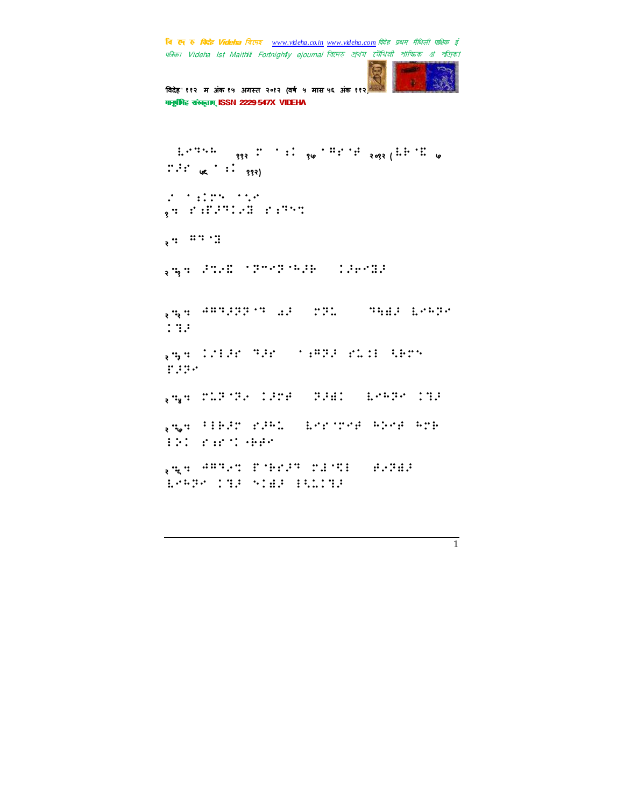चि एक रु *विदेह Videha चिए*न्छ <u>www.videha.co.in www.videha.com</u> विदेह प्रथम मैथिली पाक्षिक ई पत्रिका Videha Ist Maithili Fortnightly ejournal রিদেহ প্রথম মৌথিনী পাক্ষিক গ্র পত্রিক।

'वदेह' ११२ म अंक १५ अगत २०१२ (वष ५ मास ५६ अंक ११२) मानुषीिह संस्कृताम् ISSN 2229-547X VIDEHA

 $\mathbb{R}^{2\times 2}$  . The contract  $\mathbb{R}^{2\times 2}$  is the contract of  $\mathbb{R}^{2\times 2}$  ,  $\mathbb{R}^{2\times 2}$  is the contract of  $\mathbb{R}^{2\times 2}$  $::\vdots$   $\downarrow$   $\downarrow$   $\vdots$   $\downarrow$   $\downarrow$   $\downarrow$   $\downarrow$ 

 $T$  :  $T$  :  $T$  :  $T$  :  $T$  :  $T$  $\sqrt{1 + \frac{1}{2} \cdot \frac{1}{2} \cdot \frac{1}{2} \cdot \frac{1}{2} \cdot \frac{1}{2} \cdot \frac{1}{2} \cdot \frac{1}{2} \cdot \frac{1}{2} \cdot \frac{1}{2} \cdot \frac{1}{2} \cdot \frac{1}{2} \cdot \frac{1}{2} \cdot \frac{1}{2} \cdot \frac{1}{2} \cdot \frac{1}{2} \cdot \frac{1}{2} \cdot \frac{1}{2} \cdot \frac{1}{2} \cdot \frac{1}{2} \cdot \frac{1}{2} \cdot \frac{1}{2} \cdot \frac{1}{2} \cdot \frac{1}{2} \cdot \frac{1}{2} \cdot$ 

़ः "" "

१७१९ में अपने अपने समाप्रदेश करने समाप्रदेश करने समाप्रदेश करने समाप्रदेश करने समाप्रदेश करने समाप्रदेश करने स<br>इ.स.च्या अधिकारित करने समाप्रदेश करने समाप्रदेश करने समाप्रदेश करने समाप्रदेश करने समाप्रदेश करने समाप्रदेश कर

२६<del>३ थे अपने अपने अध्याय का सामान्य स्थापान्य अध्याय का अध्याय का अध्याय का अध्याय का अध्याय का अध्याय का अध्याय</del>  $\ddot{.}$ 

<sub>२</sub>७३º 12138 (138 - 139 - 1392 (1393 - 1392 - 1393 - 1393 - 1393 - 1393 - 1 &⢼⢽!

२७७ था था था अपनी कारण करते हैं। अन्य कारण करते हैं। अन्य कारण करते हैं। अन्य कारण करते हैं। अन्य कारण करते है<br>इन्द्र कारण करते हैं। अन्य कारण करते हैं। अन्य कारण करते हैं। अन्य कारण करते हैं। अन्य कारण करते हैं। अन्य कार

<sub>२</sub>५<sub>७</sub>५ गाउँँँ २००४ घर सामान्य सामान्य सामान्य सामान्य अपन  $37.22 \pm 0.000$ 

२६६ सम्पर्क हे क्रिकेट क्रिकेट अधिकारि ⣇⢳⢽!⣙⢼.⣞⢼!3⣃⣅⣙⢼!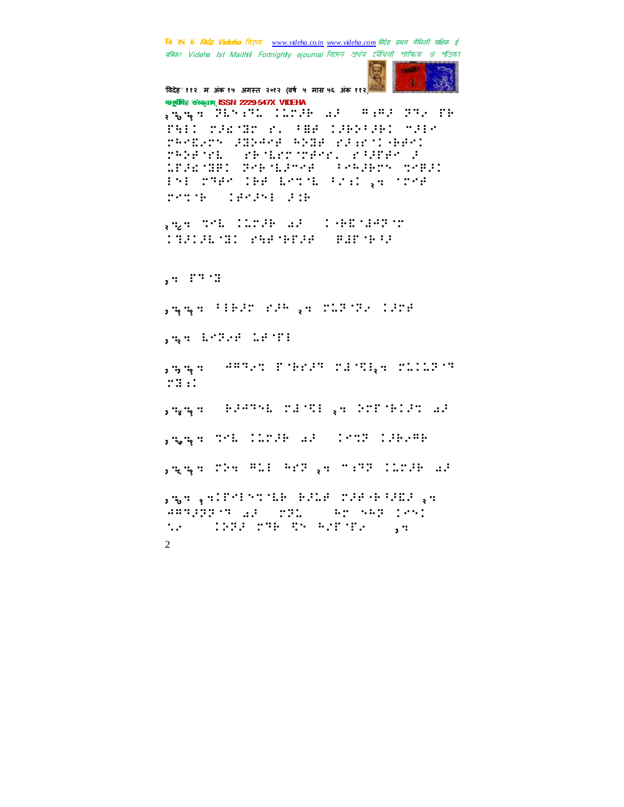चि एक रु *विदेह Videha चिए*न्छ <u>www.videha.co.in www.videha.com</u> विदेह प्रथम मैथिली पाक्षिक ई पत्रिका Videha Ist Maithili Fortnightly ejournal রিদেহ প্রথম মৌথিনী পাক্ষিক প্র পত্রিক।



.<br>विदेह' ११२ म अंक १५ अगस्त २०१२ (वर्ष ५ मास ५६ अंक ११२) मानुष्टीबिह संस्कृताम् ISSN 2229-547X VIDEHA

<sup>२</sup>⣒७⣒१⣒!⢽⣇⣐⢹⣅!⣅⢼⢷!⣔⢼.!⢻⣐⢻⢼!⢽⢹⢴!&⢷! FAIL TRETRY P. FOR IRRIGHT TRET ⢳⣏⢴!⢼⣝⢵⢺⢾!⢳⢵⣝⢾!⢼⣐9⢷⢾! ⢳⢵⢾⣇0!⢷⣇⢾=!⢸⢼&⢾!⢼! ⣅&⢼⣎⣝⢿!⢽⢷⣇⢼+⢾0!7⢳⢼⢷!⣉⢿⢼! 33!⢹⢾!⢷⢾!⣇⣉⣇!7"⣐!२⣒!⢾! ⣉⢷.!⢾⢼3!⢼⣈⢷!

<sup>२</sup>⣒८⣒!⣉⣇!⣅⢼⢷!⣔⢼.!9⢷⣏⣜⢺⢽!;;! ⣙⢼⢼⣇⣝!⣓⢾⢷&⢼⢾0!⢿⣜&⢷⢸⢼!

,. !" "

,‱ुषु प<sup>ु</sup> 1999 | 239 <sub>| २</sub>० | 229 | 22 | 2329 |

<sup>३</sup>⣒२⣒!⣇⢽⢴⢾!⣅⢾&3!!

<sup>३</sup>⣒३⣒१⣒!!⢺⢻⢹⢴⣉!&⢷⢼⢹!⣜⣋3२⣒!⣅⣅⢽⢹!  $::::$ 

<sup>३</sup>⣒४⣒१⣒!!⢷⢼⢺⢹⣇!⣜⣋3!२⣒!⢵&⢷⢼⣉!⣔⢼!

,५५५ °C थे अप्रैलेख करण सम्प्रेष्ठ अस्त्रीय अस्ति ।

الَامِ الْمُتَابِيَّةِ الْمَتَابِيَّةِ الْمَتَابِيَّةِ الْمَتَابَةِ وَالْمَتَابَةِ وَالْمَتَابِيَّةِ وَالْمَتَ

 $\mathfrak{D}$ <sup>३</sup>⣒७⣒!१⣒&3⣉⣇⢷!⢷⢼⣅⢾!⢼⢾9⢷⢸⢼⣏⢼!२⣒! ⢺⢻⢹⢼⢽⢽⢹!⣔⢼!(⢽⣅(!.⢳!⢳⢽!! ⣁⢴@0!⢵⢽⢼!⢹⢷!⣋!⢳"&&⢴!@!३⣒!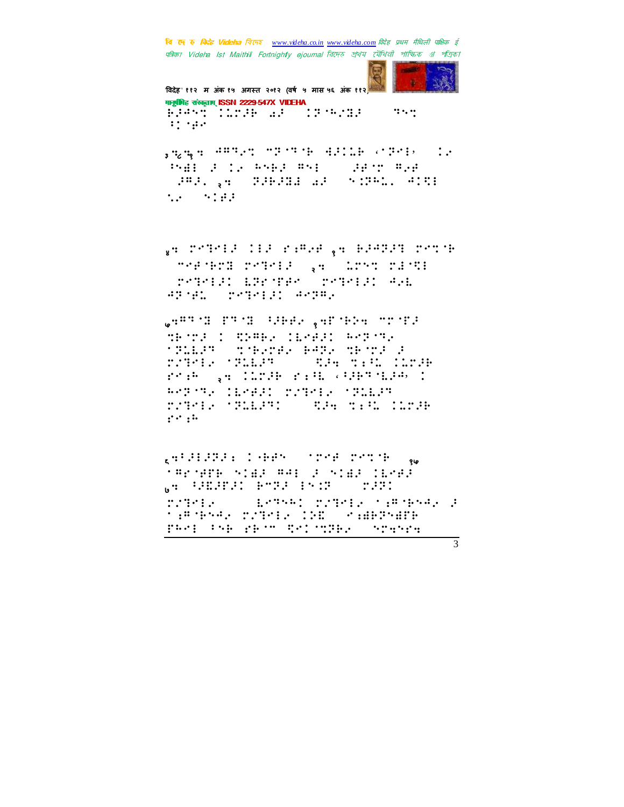वि ए रु क्रिडे Videha विएक www.videha.co.in www.videha.com विदेह प्रथम मैथिली पाक्षिक ई पत्रिका Videha Ist Maithili Fortnightly ejournal রিদেহ প্রথম মৌথিনী পাক্ষিক ্যা পত্রিকা



विदेह' ११२ म अंक १५ अगस्त २०१२ (वर्ष ५ मास ५६ अंक ११२) मानूबंगिह संस्कृतम् ISSN 2229-547X VIDEHA RASE TOOR AF (1976/92) (955  $\mathbf{H}^{\text{in}}$  ,  $\mathbf{H}^{\text{in}}$ 

suga enter mentre allie cents de PABL 2 12 RAB2 RAB - 2875 R28 GAAL , A S AGAADA SA S SAARAD AIRB  $1.7 - 1.144$ 

ye shirib 110 ramor ye bomon shirib insered pstell (gall 12051-2231) STATERI ERRITAR (SPIRERI ARE STORY TETRIT SEPRE

GARANTENT BREE STIRE TOTE TRITE I TRABA INSER ASTURA **TREP TORPE RATE OR TEST** rather (Files ) ( The meeting in the reak ga firsk rask (spendies i Report Clear: STREET STEER **TIME THEFT THE TELL INCH**  $\mathbf{r}^{\prime}$  , i.e.

gatebered takes over error ( ) **TREMBER SIGN RAF 3 SIGN IGSEN** WEBSTANDERS ENTERTAINMENT rziele () kezek rziele naciese z **SAPEAR MINE CONSTRUCTS** PROF TOP PROT ROLOTER CONTANTS

 $\overline{\mathcal{E}}$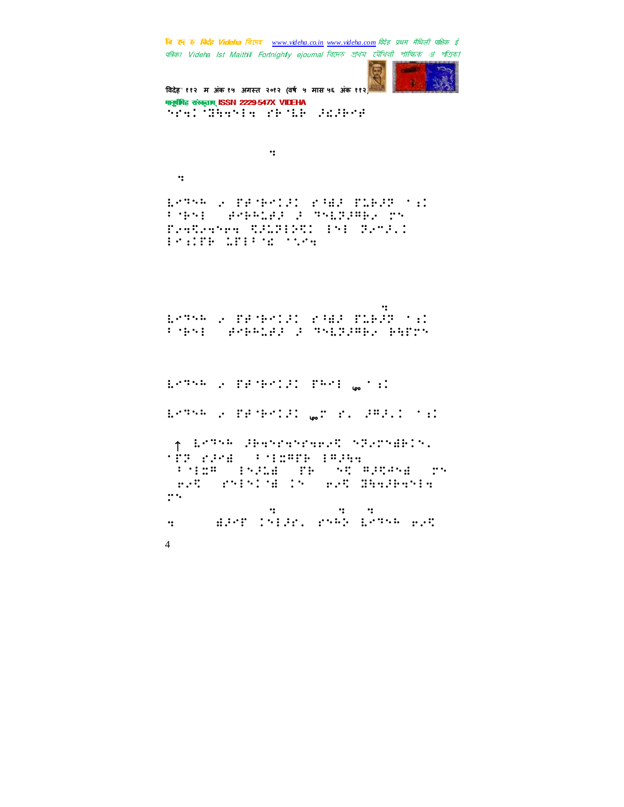चि एक रु *विदेह Videha चिए*न्छ <u>www.videha.co.in www.videha.com</u> विदेह प्रथम मैथिली पाक्षिक ई पत्रिका Videha Ist Maithili Fortnightly ejournal রিদেহ প্রথম মৌথিনী পাক্ষিক প্র পত্রিক।



.<br>विदेह' ११२ म अंक १५ अगस्त २०१२ (वर्ष ५ मास ५६ अंक ११२) मानुषिहि संस्कृतम् ISSN 2229-547X VIDEHA  $\tilde{\gamma}$  of  $\tilde{3}$  :  $\tilde{3}$ 

```
Ejduje – pobsze pod proces pod proces pod proces pod proces pod proces pod proces pod proces pod proces pod pr<br>Ejduje – pod proces pod proces pod proces pod proces pod proces pod proces pod proces pod proces pod proces po
```
9 WJEFIBID: SFTJEFIBID: SFTJEFIBID: SFTJEFIBID: SFTJEFOUT!

Lantsk & Pankrij: KAA Plkjr (d.<br>Finkt (Pankrij: Finlants 7⢷3-!⢾⢷⢳⣅⢾⢼!⢼!⢹⣇⢽⢼⢻⢷⢴!!\*! Bashara Banding Pal 3⣐&⢷!⣅&37⣎!⣁⣒!Bmm!uif!pme!

bu!uif!gpmmpxjoh!mjol⣒!! ⣇⢹⢳!⢴.&⢾⢷⢼!⢸⣞⢼!&⣅⢷⢼⢽!⣐! 7⢷3-!⢾⢷⢳⣅⢾⢼!⢼!⢹⣇⢽⢼⢻⢷⢴!⢷⣓&!

⣇⢹⢳!⢴.&⢾⢷⢼!&⢳3!५० ⣐!

⣇⢹⢳!⢴.&⢾⢷⢼!५०!=!⢼⢻⢼=!⣐!

↑ Lo<sup>ng</sup>ob Jesopratore.5 t220tdelt.  $'$  FF  $\times$  PH  $^2$  +  $^2$  +  $^2$  +  $^2$  +  $^2$  +  $^2$  +  $^2$  +  $^2$  +  $^2$  +  $^2$  +  $^2$  +  $^2$  +  $^2$  +  $^2$  +  $^2$  +  $^2$  +  $^2$  +  $^2$  +  $^2$  +  $^2$  +  $^2$  +  $^2$  +  $^2$  +  $^2$  +  $^2$  +  $^2$  +  $^2$  +  $^2$  +  $^2$  + !73⣍⢻!#3⢼⣅⣞#!&⢷!#⣋!⢻⢼⣋⢺⣞#!! #⢶⢴⣋#!3⣞!!#⢶⢴⣋!⣝⣓⣒⢼⢷⣒3⣒#!  $\cdots$ 

iuuq;00xxx⣒wjefib⣒dp⣒jo0joefy  $y$  =  $\frac{1}{2}$   $\frac{1}{2}$   $\frac{1}{2}$   $\frac{1}{2}$   $\frac{1}{2}$   $\frac{1}{2}$   $\frac{1}{2}$   $\frac{1}{2}$   $\frac{1}{2}$   $\frac{1}{2}$   $\frac{1}{2}$   $\frac{1}{2}$   $\frac{1}{2}$   $\frac{1}{2}$   $\frac{1}{2}$   $\frac{1}{2}$   $\frac{1}{2}$   $\frac{1}{2}$   $\frac{1}{2}$   $\frac{1}{2}$   $\frac{1}{2}$   $\frac{1}{$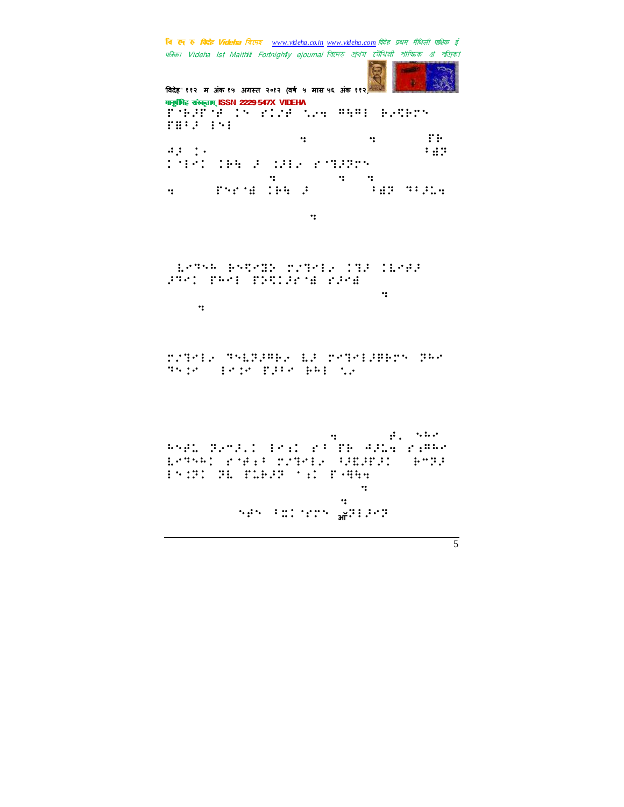चि एक रु *विदेह Videha चिए*न्छ <u>www.videha.co.in www.videha.com</u> विदेह प्रथम मैथिली पाक्षिक ई पत्रिका Videha Ist Maithili Fortnightly ejournal রিদেহ প্রথম মৌথিনী পাক্ষিক গ্র পত্রিক।



विदेह' ११२ म अंक १५ अगस्त २०१२ (वर्ष ५ मास ५६ अंक ११२) मानुषीिह संस्कृताम् ISSN 2229-547X VIDEHA fies and the complete states **THIS IS!** ius;00sfbefsquare.com ⢺⢼!j!Bee!b!!Tvctdsjqujpo!7⣞⢽! 3!⢷⣓!⢼!⣈⢼3⢴!⣙⢼⢽! iuuq;00xxx⣒wjefib⣒dp⣒jo0joefy  $y$  , the distribution of the state  $\mathbf{g}$  is a set of  $\mathbf{g}$  is a set of  $\mathbf{g}$ 

!⣇⢹⢳!⢷⣋⣝⢵;"⣙3⢴!⣙⢼.⣇⢾⢼! ⢼⢹!&⢳3!&⢵⣋⢼⣞!⢼⣞! ius (1993) in the control of the control of the control of the control of the control of the control of the co  $\cdot:$ 

"⣙3⢴!⢹⣇⢽⢼⢻⢷⢴!⣇⢼!⣙3⢼⢿⢷!⢽⢳! ⢹⣈0!3⣈!&⢼7!⢷⢳3!⣁⢴-!)dboopu!

hhbkfoesbawjefibetibles besteht in de steeds andere besteht in de steeds andere besteht in de steeds andere be ⢳⢾⣅!⢽⢴+⢼=!3⣐!⢸!&⢷!⢺⢼⣅⣒!⣐⢻⢳! ⣇⢹⢳!⢾⣐⢸!"⣙3⢴!⢸⢼⣏⢼&⢼0!⢷+⢽⢼! 3⣈⢽!⢽⣇.&⣅⢷⢼⢽!⣐!&9⣛⣓⣒!! ius (1990), provincia est anno 1990.<br>1900 - Carlo Carlo Carlo Carlo Carlo Carlo Carlo Carlo Carlo Carlo Carlo Carlo Carlo Carlo Carlo Carlo Carlo ius (100 lbvmpomio dpn0vojobha vojoba vojoba vojoba vojoba vojoba vojoba vojoba vojoba vojoba vojoba vojoba vo  $\sim$   $\frac{1}{2}$   $\frac{1}{2}$   $\frac{1}{2}$   $\frac{1}{2}$   $\frac{1}{2}$   $\frac{1}{2}$   $\frac{1}{2}$   $\frac{1}{2}$   $\frac{1}{2}$   $\frac{1}{2}$   $\frac{1}{2}$   $\frac{1}{2}$   $\frac{1}{2}$   $\frac{1}{2}$   $\frac{1}{2}$   $\frac{1}{2}$   $\frac{1}{2}$   $\frac{1}{2}$   $\frac{1}{2}$   $\frac{1}{2}$   $\frac{1}{2}$   $\frac{1}{$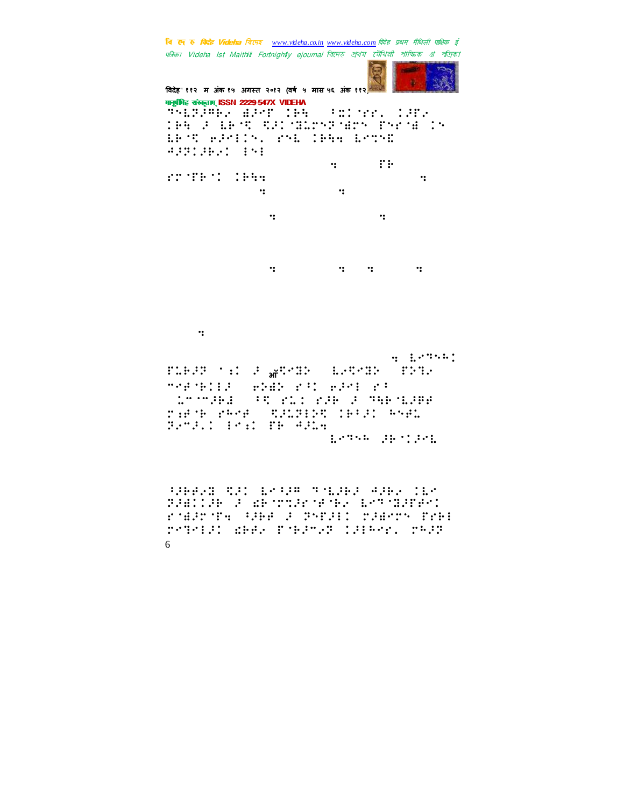बि ए रु क्रिटे Videha विरुक www.videha.co.in www.videha.com विदेह प्रथम मैथिली पाक्षिक ई पत्रिका Videha Ist Maithili Fortnightly ejournal রিদেহ প্রথম মৌথিনী পাক্ষিক প্র পত্রিকা



विदेह' ११२ म अंक १५ अगस्त २०१२ (वर्ष ५ मास ५६ अंक ११२) मानुबंधिह संस्कृतम् ISSN 2229-547X VIDEHA Thirlmg, ager (pa) (sc)con (gra THE 2 LEST CALCULOSTERS PARTNELS

LEAT WESTER YOU TEEN LATER **APPIDENT INE**  $\ddot{\mathbf{u}}$  $\cdots$ 

rrent image  $\dddot{\bullet}$  $\dddot{\mathbf{z}}$  $\cdot:$  $\dddot{\cdot}$  $\ddot{\cdot}$  $\dddot{\bullet}$  $\mathbf{u} = \mathbf{u}$  $\ddot{\phantom{1}}$ 

 $\cdot$ :

 $4.52341$ FLERE MAIL RESERVED SERVICE FRIE MARTELE (PARK PRO PROF PR tromand of ricean a margare rath red (SAAD) (BOS esp. Bethi Pel Th Alle pensa da trad

**THERE TO BE STORE THERE AND THE SAME** BABILAR & BROTTANOPORES BETORENT rjednjeg (der d'omedit njemm frei reteil: deel roein.e (lieer. rele 6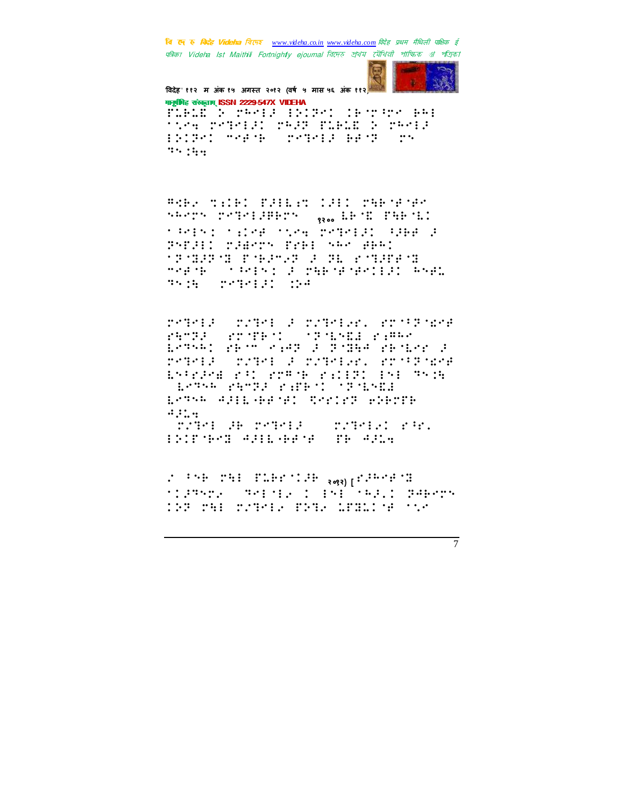वि ए रु क्रिडे Videha विएक www.videha.co.in www.videha.com विदेह प्रथम मैथिली पाक्षिक ई पत्रिका Videla Ist Maithili Fortnightly ejournal রিদেহ শ্রথম মৌথিনী পাক্ষিক গ্র পত্রিকা



विदेह' ११२ म अंक १५ अगस्त २०१२ (वर्ष ५ मास ५६ अंक ११२) मानूबंभिह संस्कृतम् ISSN 2229-547X VIDEHA

field's regulations increased tice referr reff firing power ESIPAL MARCH ( PARAER BROT ) PM  $35.34$ 

Reby till THEET CHI THETENY SARTS TRIPLINETS (goodle in The SLI ters tried the competency employ SYSSI MARYS SYN SAS ARS **MEMBER DEFENSE DE PORTENE** media (1999) a para antist shell 35 H 2777131 154

TARABA (TITAB) A TITABLAN, INTERFERE range (roman) (paleng rame) idade: PROStago do Bolha Presido d PARTIE (PLANE E PLANER) PROFESSOR ESPERANT PROFIN PERRIT PS CAN LOTAR PROFILE FERSON CROESER ESTAR SPIELSBEART TSTITT BIBTTE  $4324$ 

**CONTRACT AND CONTRACT** for her and have the and

 $\mathcal{L} = \mathbb{P} \left( \mathbb{P} \oplus \mathbb{P} \left( \mathbb{P} \oplus \mathbb{P} \right) \oplus \mathbb{P} \right) \oplus \mathbb{P} \left( \mathbb{P} \oplus \mathbb{P} \left( \mathbb{P} \right) \right) \oplus \mathbb{P} \left( \mathbb{P} \oplus \mathbb{P} \right) \oplus \mathbb{P} \left( \mathbb{P} \right)$ tighter (neighbor informationaler) 153 PAI TYRES FDRA LEBLEAR TOM

 $\overline{7}$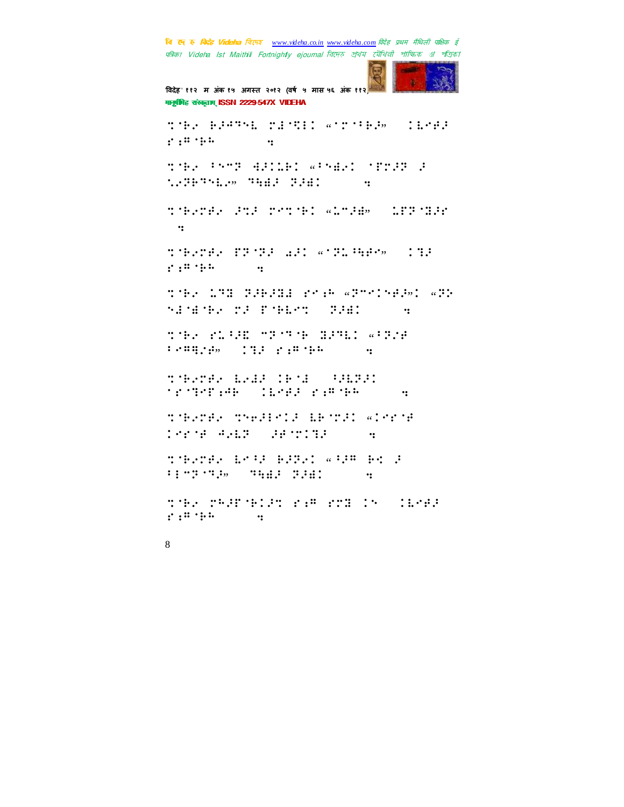वि ए रु क्रिडे Videha विएक www.videha.co.in www.videha.com विदेह प्रथम मैथिली पाक्षिक ई पत्रिका Videha Ist Maithili Fortnightly ejournal রিদেহ প্রথম মৌথিনী পাক্ষিক প্র পত্রিকা

विदेह' ११२ म अंक १५ अगस्त २०१२ (वर्ष ५ मास ५६ अंक ११२)

मानूबंभिह संस्कृतम् ISSN 2229-547X VIDEHA

the EPPS transformed and the control  $2.14333444$  $\dddot{\bullet}$ the test drims winds: Trup : **WANDALLS**, **HALL BILL**  $\dddot{\bullet}$ tikres and retied «1580 (187518)  $\dddot{\mathbf{r}}$ THERE FROM AN WOLHER (19)  $2.24 \pm 0.000$  $\dddot{\mathbf{r}}$ THE LEB BREEZE POINT SPOCERED SEE **NEMMER TO PARTY START**  $\sim$   $\sim$ THE PLUE TRUCK HILL AUCH  $\mathbb{E}[\mathcal{P}^{\text{H}}\mathcal{P}^{\text{H}}\mathcal{P}^{\text{H}}] = \mathbb{E}[\mathcal{P}^{\text{H}}\mathcal{P}^{\text{H}}\mathcal{P}^{\text{H}}\mathcal{P}^{\text{H}}\mathcal{P}^{\text{H}}] = \mathbb{E}[\mathcal{P}^{\text{H}}\mathcal{P}^{\text{H}}\mathcal{P}^{\text{H}}]\mathcal{P}^{\text{H}}$ there may be a conser **MENTHE CLOSE FIRMS COM** TTERTER THREETIE EETTEL WINKIN **THE WALK SHOTTED A** TTERNER LAND BOTH AND BACK **TEMP (73)** 7622 7021  $\dddot{\mathbf{r}}$ THE PERMITS FROM THE CONTRACT  $\mathcal{C}$  , if  $\mathcal{C}$  , if  $\dddot{\bullet}$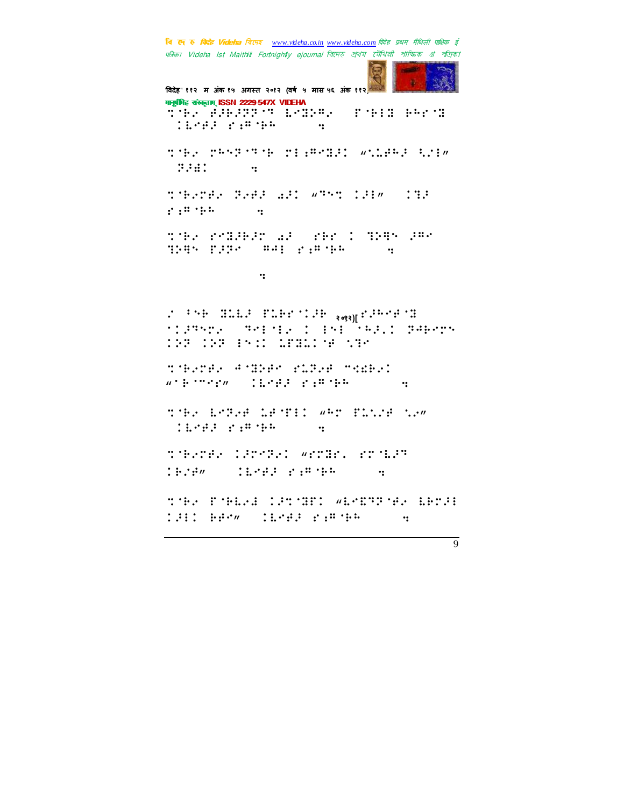वि ए रु क्रिडे Videha विएक www.videha.co.in www.videha.com विदेह प्रथम मैथिली पाक्षिक ई पत्रिका Videha Ist Maithili Fortnightly ejournal রিদেহ প্রথম মৌথিনী পাক্ষিক প্র পত্রিকা



विदेह' ११२ म अंक १५ अगस्त २०१२ (वर्ष ५ मास ५६ अंक ११२) मानांगिह संस्कृतम् ISSN 2229-547X VIDEHA the Boost Lebo, followed TEMPE PARTNE  $\sim$  11 the response response wiles the  $7.741$   $41$ there had all which was an  $2.243344$  $\dddot{\mathbf{r}}$ the released at the Coleman 200 nes nes mai rimano  $\bullet$  $\dddot{\mathbf{r}}$ 2015 BLLP FLECTIFF <sub>Resul</sub> CPHOFTE nighter (neine i 151 <sup>7</sup>eg.: Sepert there ander clies model  $\mathbf{w}^{\star} \oplus \mathbf{f}^{\star} \oplus \mathbf{f}^{\star} \oplus \mathbf{f}^{\star} \mathbf{g}^{\star} = \mathbf{f}^{\star} \oplus \mathbf{f}^{\star} \oplus \mathbf{f}^{\star} \oplus \mathbf{f}^{\star} \oplus \mathbf{f}^{\star} \oplus \mathbf{f}^{\star} \oplus \mathbf{f}^{\star} \oplus \mathbf{f}^{\star} \oplus \mathbf{f}^{\star} \oplus \mathbf{f}^{\star} \oplus \mathbf{f}^{\star} \oplus \mathbf{f}^{\star} \oplus \mathbf{$  $\mathbf{r}$ the behad is will war fills to the tish sa masuka  $\cdot$ : there large work ander **COMPANY CONSERVER CONSERVER**  $\ddot{\phantom{1}}$ the Philip Crime Wednie berg **THI HAW TEMAR PARTHA**  $\mathbf{r}$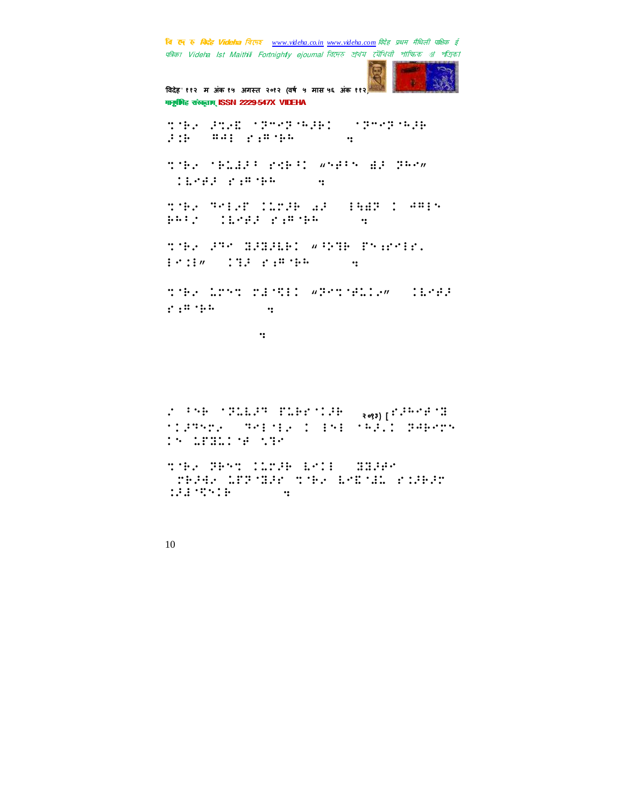चि एक रु *विदेह Videha चिए*न्छ <u>www.videha.co.in www.videha.com</u> विदेह प्रथम मैथिली पाक्षिक ई पत्रिका Videha Ist Maithili Fortnightly ejournal রিদেহ প্রথম মৌথিনী পাক্ষিক প্র পত্রিক।



'वदेह' ११२ म अंक १५ अगत २०१२ (वष ५ मास ५६ अंक ११२) मानुषीिह संस्कृताम् ISSN 2229-547X VIDEHA

⣉⢷⢴!⢼⣉⢴⣏!⢽+⢽⢳⢼⢷!#⢽+⢽⢳⢼⢷! ⢼⣈⢷#)⢻⢺3!⣐⢻⢷⢳\*!!29⣒6:&!!!!!

⣉⢷⢴!⢷⣅⣜⢼⢸!⣊⢷⢸!"⢾7!⣞⢼!⢽⢳" )⣇⢾⢼!⣐⢻⢷⢳\*!!7⣒52&!!!!!

⣉⢷⢴!⢹3⢴&!⣅⢼⢷!⣔⢼!#3⣓⣞⢽#!⢺⢻3!  $F^T$  =  $F^T$   $F^T$  =  $F^T$   $F^T$   $F^T$  =  $F^T$   $F^T$ 

⣉⢷⢴!⢼⢹!⣝⢼⣝⢼⣇⢷!"⢸⢵⣙⢷!&⣐3=! 3⣈3"!)⣙⢼!⣐⢻⢷⢳\*!!7⣒52&!!!!!

 $^{\prime}$  which is the set of  $^{\prime}$ ⣐⢻⢷⢳\*!!23⣒29&!!!!!

Puifs;!!2⣒:3&!!!!!

 $\langle 1 \rangle$  (308)  $\langle 2 \rangle$  (308.29) [ $\langle 2 \rangle$  (308.29) [ $\langle 2 \rangle$  (308.29) [ $\langle 2 \rangle$  (308.29) [ $\langle 2 \rangle$ ↑ Langer School (133) Construction  ${\mathbb C}$  &  ${\mathbb C}$   ${\mathbb C}$   ${\mathbb C}$   ${\mathbb C}$   ${\mathbb C}$   ${\mathbb C}$   ${\mathbb C}$   ${\mathbb C}$   ${\mathbb C}$   ${\mathbb C}$   ${\mathbb C}$   ${\mathbb C}$   ${\mathbb C}$   ${\mathbb C}$   ${\mathbb C}$   ${\mathbb C}$   ${\mathbb C}$   ${\mathbb C}$   ${\mathbb C}$   ${\mathbb C}$   ${\mathbb C}$   ${\mathbb C}$   ${\mathbb C}$   ${\mathbb C}$   ${\mathbb C}$   ${\mathbb C}$   ${\mathbb$ 

⣉⢷⢴!⢽⢷⣉!⣅⢼⢷!⣇3!#⣝⣝⢼⢾#! )⢷⢼⣚⢴!⣅&⢽⣝⢼!⣉⢷⢴!⣇⣏⣜⣅!⣈⢼⢷⢼! **∴**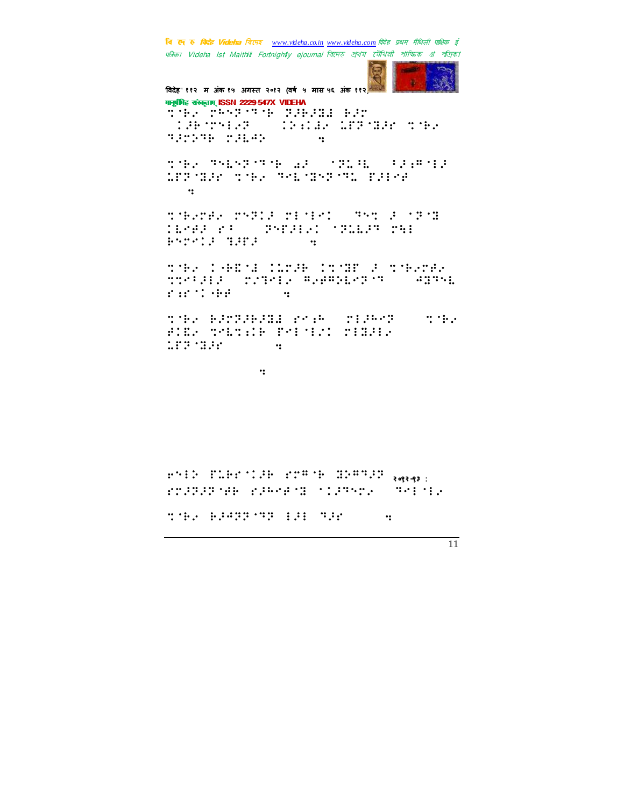चि एक रु *विदेह Videha चिए*न्छ <u>www.videha.co.in www.videha.com</u> विदेह प्रथम मैथिली पाक्षिक ई पत्रिका Videha Ist Maithili Fortnightly ejournal রিদেহ প্রথম মৌথিনী পাক্ষিক গ্র পত্রিক।



विदेह' ११२ म अंक १५ अगस्त २०१२ (वर्ष ५ मास ५६ अंक ११२) मानुष्टीबिह संस्कृताम् ISSN 2229-547X VIDEHA

tres definitions definitions of the set<br>The stress of the set of the set of the set of the set of the set of the set of the set of the set of the set #⢼⢷3⢴⢽#!)⢵⣐⣜⢴!⣅&⢽⣝⢼!⣉⢷⢴! ⢹⢼⢵⢹⢷!⢼⣇⢺⢵\*!!23⣒86&!!!!!

⣉⢷⢴!⢹⣇⢽⢹⢷!⣔⢼!#⢽⣅⢸⣇#)7⢼⣐⢻3⢼! ⣅&⢽⣝⢼!⣉⢷⢴!⢹⣇⣝⢽⢹⣅!&⢼3⢾\*!!  $23$ 

⣉⢷⢴⢾⢴!⢽⢼!33!#⢹⣉!⢼!⢽⣝! ⣇⢾⢼!⢸#!)⢽&⢼3⢴!⢽⣅⣇⢼⢹!⣓3.! Browle Hand (1982) and (1982) and (1982) and (1982) and (1982) and (1982) and (1982) and (1982) and (1982) and

⣉⢷⢴!9⢷⣏⣜!⣅⢼⢷!⣉⣝&!⢼!⣉⢷⢴⢾⢴!  $^{\prime}$ 37°33′. "OʻZYOS RABADLAR (S. 2335). ⣐9⢷⢾\*!!25⣒82&!!!!!

 $^{\prime}$   $^{\prime}$   $^{\prime}$   $^{\prime}$   $^{\prime}$   $^{\prime}$   $^{\prime}$   $^{\prime}$   $^{\prime}$   $^{\prime}$   $^{\prime}$   $^{\prime}$   $^{\prime}$   $^{\prime}$   $^{\prime}$   $^{\prime}$   $^{\prime}$   $^{\prime}$   $^{\prime}$   $^{\prime}$   $^{\prime}$   $^{\prime}$   $^{\prime}$   $^{\prime}$   $^{\prime}$   $^{\prime}$   $^{\prime}$   $^{\prime}$   $^{\prime}$   $^{\prime}$   $^{\prime}$   $^{\prime}$  #103 | 133 | 133 | 133 | 133 | 133 | 133 | 133 | 133 | 133 | 133 | 133 | 133 | 133 | 133 | 133 | 133 | 133 | 133 | 133 | 133 | 133 | 133 | 133 | 133 | 133 | 133 | 133 | 133 | 133 | 133 | 133 | 133 | 133 | 133 | 133 | 13 **WEBSTER** 

Puifs;!!1⣒:9&!!!!!

 $\pm$ 340 Black (1980 Black (1980 Black (1980 Black) ⢼⢽⢼⢽⢾⢷!⢼⢳⢾⣝!⢼⢹⢴-!⢹33⢴!

⣉⢷⢴!⢷⢼⢺⢽⢽⢹⢽!3⢼3!⢹⢼!!65⣒23&!!!!!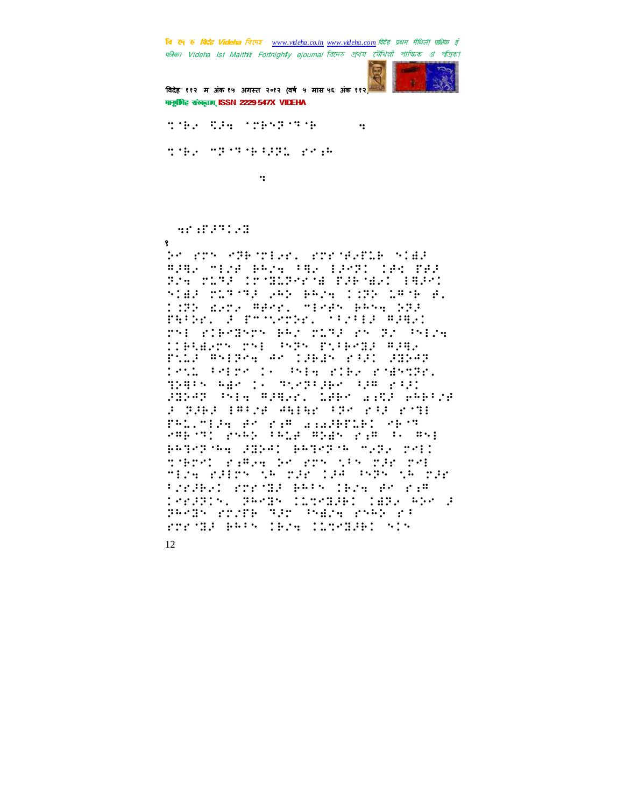वि एक रु क्रिटेड Videha विएम्ब www.videha.co.in www.videha.com विदेह प्रथम मैथिली पाक्षिक ई पत्रिका Videha Ist Maithili Fortnightly ejournal রিদেহ প্রথম মৌথিনী পাক্ষিক প্র পত্রিকা



विदेह' ११२ म अंक १५ अगस्त २०१२ (वर्ष ५ मास ५६ अंक ११२ गानूबंगिह संस्कृताम् ISSN 2229-547X VIDEHA

the CH (the Second)  $\dddot{\mathbf{z}}$ the strip will read

 $\cdot$ :

ard: Patter

 $\mathbf{R}$ PO KON STROOMS, KOKORATIR NIMA #282 MIZA BRZA FR2 I2MPI 184 PA2 Bre Mine (rominaria peroak) (APO) SIEP MITTE ARE BROW ISBN 1878-8. WB dete Ader, Michael Base 233 PHOR. J Provence, Statta Adapt THE PIERTHYM ERS TIME PHOTO PRESE MEGGER THE PRPY TOEPNE BURY rus Wing Ar (AW) run down Tetl Perre Is Star File Fombone. mans age to memoral composit SHEAR SHEW MARGEL LARK WARRING a daea ferze eeler fok ria ring PROSTER AN PARTNERSHOW MET kaping puny dang anggo pia di aug PRIME RESEARCHER MAN MARK MAIL tiend refeated and the new new Mich rains though 194 (595 though Professionnelle efficiere de cod Crratis, amras (Lorade) (1822-AGR) a BRANK POSTE TEM PARSE PART PR FTF WE BRIDGEFALL INTERFERING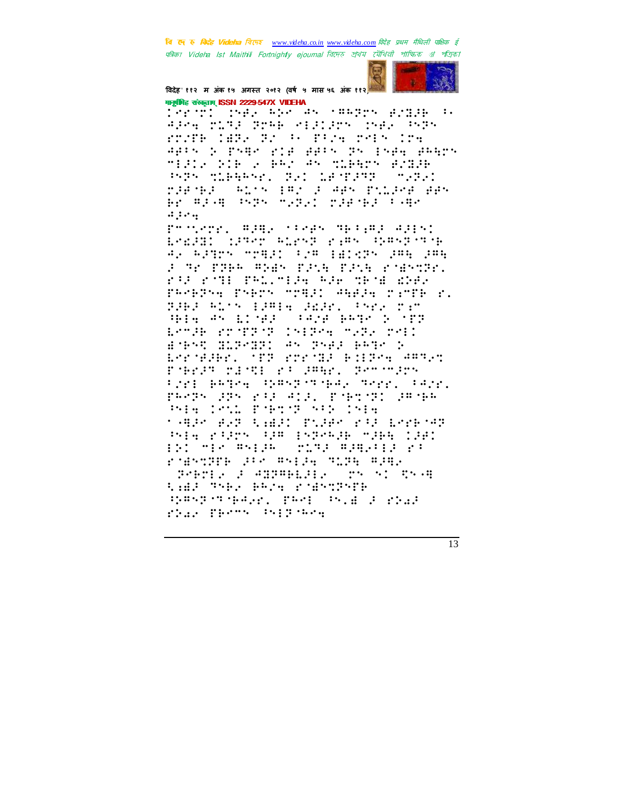बि एक रु *बिरोह Videha चिएक www.videha.co.in www.videha.com विदेह प्रथम मैथिली पाक्षिक ई* पत्रिका Videha Ist Maithili Fortnightly ejournal রিদেহ প্রথম মৌথিনী পাক্ষিক প্র পত্রিকা



विदेह' ११२ म अंक १५ अगस्त २०१२ (वर्ष ५ मास ५६ अंक ११२) गानूबंगिह संस्कृताम् ISSN 2229-547X VIDEHA

Dernfl nav Ask As (AASPA) Argae (A Wind rite tree willer chair way rosh leb. B. A. Pase odk 10e APIS & PSRS PIP PPIS PS ISPN PRACH MISIS RIE S PRO 45 MIRROS ROBIN PSPS MIRRARY BRI LENDING MYR. raenea (Alis EA) a Aes Pilase ees Br #2-4 PSPS MARAI MIRMBI F-48  $d$  ,  $\mathcal{C}$  ,  $\mathcal{C}$ 

from ers. Adapt them appear added Lengil (1950) Wireley Pipe (1950) 55 As Address models for falsons due due a ne pope span pang pang engnoon. ka kat milad kelaka bel PROPERTY PARTY STREET ARAGE TIMPE P. PARA POSS TAMIN ANAL CONSTAN HEE AN EDNA (PAYA BATA & MIR ESTAR STORES DAIRS, TERRITORIO BORGE BLEGER: 45 BSBF BATE & Bernelbr. (TV rornik billes AAS)c Pobraz raobi ra aggus zenonary Pred BATAG CHRATINGA, Tare Para PHOPS 2PS PAP ADEL PORTOR 28086<br>ASIA DONN PORTOR SAN DSIA tage gun babi filet ran berkan Pie razh ar Espekar mar 1991 BO ME RADA COS RUBBIO P ristre av svin Tim Sam POSTA F ANDRESSA (PS S) TO A l.A: The Phys Cantring SPROTOGRAP, PROPOSIT PORT fiar Phone Septema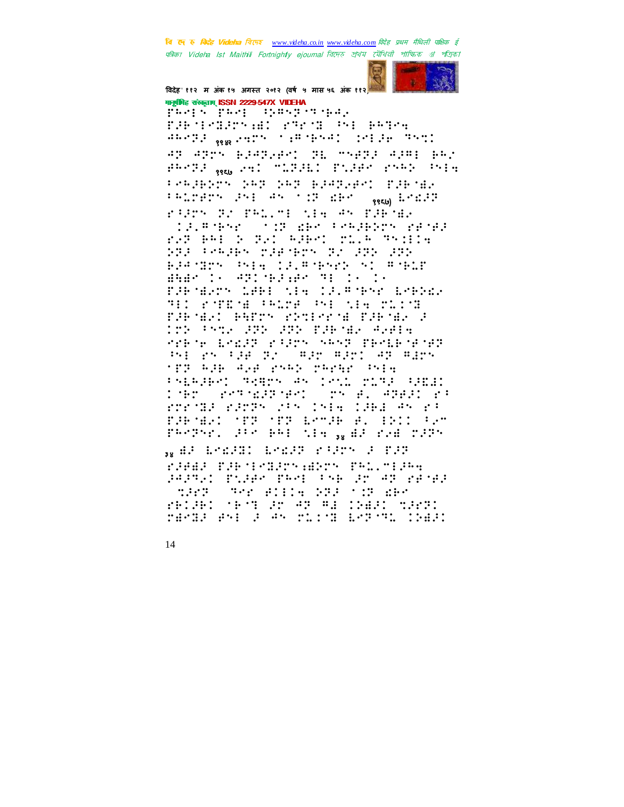वि एक रु क्रिटेड Videha विएम्ब www.videha.co.in www.videha.com विदेह प्रथम मैथिली पाक्षिक ई पत्रिका Videha Ist Maithili Fortnightly ejournal রিদেহ প্রথম মৌথিনী পাক্ষিক প্র পত্রিকা



विदेह' ११२ म अंक १५ अगस्त २०१२ (वर्ष ५ मास ५६ अंक ११२ गानूबंगिह संस्कृताम् ISSN 2229-547X VIDEHA

Part Crare Spark Straig F.B (1832) H. STETE THE BRTAN HROTE <sub>3988</sub> PATT (1987-1954) (2012-1957) 42 4255 BRAZIERT 26 SSB22 4281 BRS PROTE <sub>9000</sub> .91 MITHI PLAP PRRP PRES Predect per per elegant flema PRIMEDS PSE AS SIT ERS rare of Paleo de 45 fabre **STORY WERE PROPERTY OF THE**  $1.31999997$ rat BH: S Bal REPO TELR TRICH 233 Frager was hor 32 232 232 BERGEN PHE CELROPHE NI ROBLE BAR ( STIPLAR TE ) EPP MATH GPH (MP) CP.P MHP GREEN **TECH POTENT PROPERTY IN EXECUTIVE** FARMAL BATTY STORYN FARMA A **TTS PATE OUR OUR DIRECT AREA** rebor 1823 ester SASP Proiboro PH 25 FEB 22 (#22 #221 #2 #225 tra Alb Alb real resort (Sip PALERENT SAMPA AN IRIL PLER PREAD D'es d'annagement sur el grego d' FTF NEW FETTY STATISTICS IPHONE AND FR EPP MAIL TER TER BROPH (B. 1911) Par PROPOSITION PRESSENTING WARRANT

<sub>aw</sub> da (broad) broad? (farr a far rada farikian dari Telesa. PAPEL PURP PROFINE RY AP PROPE THT TEN HILL STA TIME PRINK (ROT 25 48 82 IN23) 5223 rege as a sy rice born chec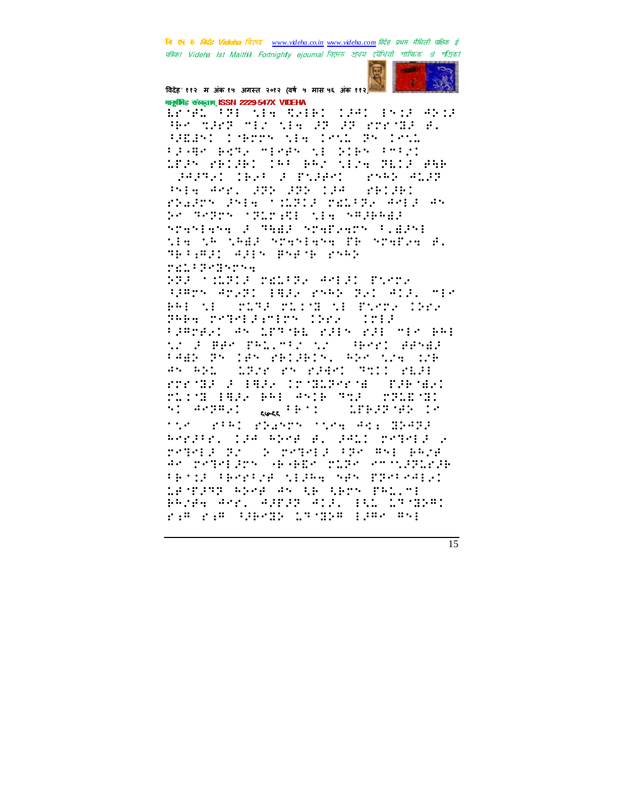बि एक रु *बिरोह Videha चिएक www.videha.co.in www.videha.com विदेह प्रथम मैथिली पाक्षिक ई* पत्रिका Videha Ist Maithili Fortnightly ejournal রিদেহ প্রথম মৌথিনী পাক্ষিক প্র পত্রিকা



विदेह' ११२ म अंक १५ अगस्त २०१२ (वर्ष ५ मास ५६ अंक ११२) गानूबंगिह संस्कृताम् ISSN 2229-547X VIDEHA

Gračjem sme sviko (241 inskomsk He many marked ay ay anamay e. WHEN INFORMATE INCLUSION FRAME BOTA TEMPS NE SIBN FTEM WERM PRIPED INFORMATION SENSORGE **Senda Alip** SARRI DESK SCHEEN 1514 Ann. 200 100 124 rhalms and a composition and a series and SK RAPON (PLOGRE 116 NAJBAG) spasiasa d MAAD spafiaps fidisi the thoughd? Spendana PB Spaper A. TELENI ANY BYETE PYRY **MALLERSHIPPH** BRE SERRE PERSONALE POSTA

19855 45281 1832 2542 821 413. 518 PRESSES TORPHOTOGRAPH TO PRETZ CORP. PRES 201013.5125 (DEC 1213 PRODUCT AN IPPORTUNING WAR TEACHER the Park Palenty of **SPEC PRACT** FABRISH TEN PETERNAL REMOVEMENTE  $45.411$ **CONTRACTOR** SERVICE SERVICE rrrus a lang trungera (fibract rting (A), A4( Ania Mn) (rough)  $51.49397$  $\epsilon$  (betzer  $\cdots$  ) in the set of  $\cdots$ **ASSESSMENT** 

the select practic these describeds Repared 198 Roef B. GROT Seneral S reads by a reads the man page An provides (August 2020 an Clearly PROSE PRODUCE SERRA SAS PROPORED LESTIFF RESEARCHE RETROITE Phila Ani, Albub All, 191 1778198 rim rim (Serge 1989) (Serge 1988 Ser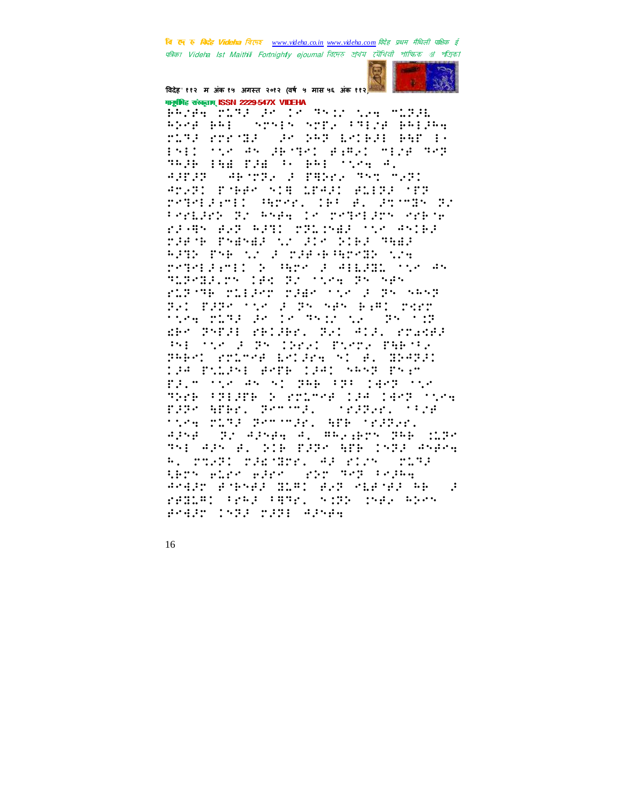बि एक रु *बिरोह Videha चिएक www.videha.co.in www.videha.com विदेह प्रथम मैथिली पाक्षिक ई* पत्रिका Videla Ist Maithili Fortnightly ejournal রিদেহ শ্রথম মৌথিনী পাক্ষিক প্রা পত্রিকা



विदेह' ११२ म अंक १५ अगस्त २०१२ (वर्ष ५ मास ५६ अंक ११२) गानुबंधिह संस्कृतम् ISSN 2229-547X VIDEHA

880 - 2019 - 2019 - 2019 - 2020 - 2020 aper par correo organização parada niga provia (an 142 inigai ger 1)<br>1911 - Vin An agyant aggyi miza gha **TRIP INE TIE : PRI 1500 F.** AMARI PARA SIN MARI AMBA YEN reteraction break (18) alography to Permany distance in pedemany entire PARTY BAN RAND PRODUCE TO SPOKE rang Pasan trunk Sia gaa FRID THE NO. FOR HOPER NOW regendario de gare de gindino con gr Richard He Roches Boyer FLETE TILFET THE TAC F BY NEW 221 raze (156 a 25 ses electronic)<br>1594 ruza ancienzisto se caso d de Pyng delger på gla pradga Size F Profess Picky PHF16  $\cdots$  : PRESI STORE LSIERA SI B. HEAPPI 198 PYLPH BRTH 1981 SAST PSIM FRIT TO AN AD BAB FBF 1985 THAT THE FREADH & STIPPE CAR CAPP TIPE FARK APER. PROOF. STRAKE STAR tice play accorde. Affecteder. APSA (ProAPSA) A. ARZARTS PAR (195 THE APP AL DIE EPPS APE INTE ANAMA R. TT.PI TERMITE. AF FILM (TLTP) SETS FLOW FROM STOR TOT PORTS Andar Bobnea die: Bud nieoea Ab (a PRINCIPLE FROM COMPANY STREET AND A Brage (592) 232: Alban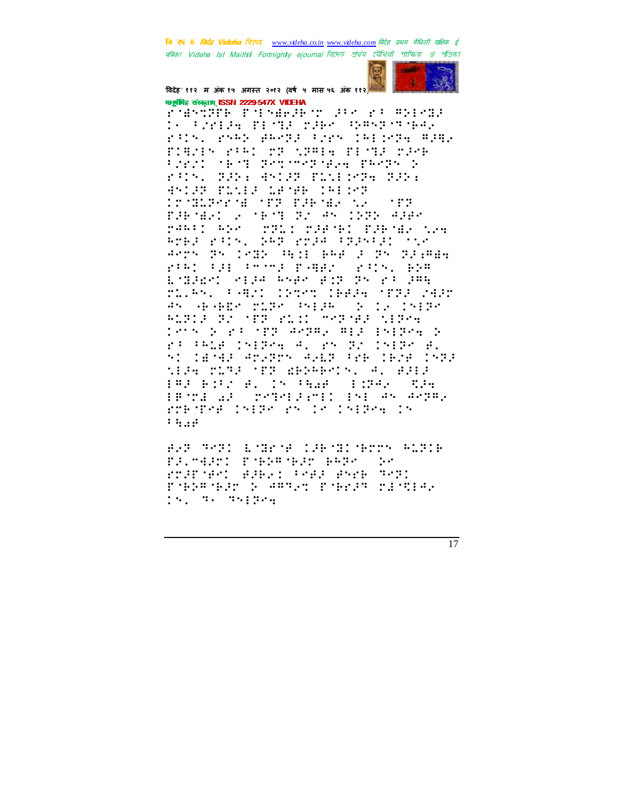वि एक रु क्विहेट Videha विएम्ब www.videha.co.in www.videha.com विदेह प्रथम मैथिली पाक्षिक ई पत्रिका Videha Ist Maithili Fortnightly ejournal রিদেহ প্রথম মৌথিনী পাক্ষিক প্র পত্রিকা



विदेह' ११२ म अंक १५ अगस्त २०१२ (वर्ष ५ मास ५६ अंक ११२) गानुबंधिह संस्कृतम् ISSN 2229-547X VIDEHA

rnamöde rusavard de ri gres In Friedry Plote read Spangoroad. rins, reed peopl thre Ierrore Addr. FIRSTN FORD TRONGER FESTA TANK President Processer Prep. 6 FUND BEER BYLER FINE FOR BEER BYISP PONES OF ME IPENTS CONSIDERANCE INTERFERING CON  $\cdot$  : : FJRMEN 2018-19-12-00-1222-0188 ranti Abril roccionardo carderico 8283 FRING 283 FR34 FR35F31 TOP Arry 35 1832 Hill BAR 3 35 313888 rie: Odd Chroma Bogar (rich) Bog ESBART STAR RAPS POR BACK DRE rijan, Famer (Schoolimaam (PPA 2430 85 H-BER MIRR PHIRR 2012-15128 PLEASE EN MEE PLAIN THEMES NIEHE Tern S pa off Aeday aga ghidey S 1512-6 A. PS 22 1512-04.  $f:III,0$ SI TEMPER ANGENY AGEN PER TROP TSEP MER TORP TER BERBEVON, R. BRER 182 Bill A. (5 Shar (1982) 324 EPSTA AF STREPHENTEN ENESKAPPER Robert Calor Raich Calor Ca  $44.14$ 

BST 7021 EMBINE 188 MIL-8227 ALTIE FRIMARY: POBSEOBRY BARA (SA rrandet aaklichea ande mont PORTHER ROWER PORTHERS js, m. maipeg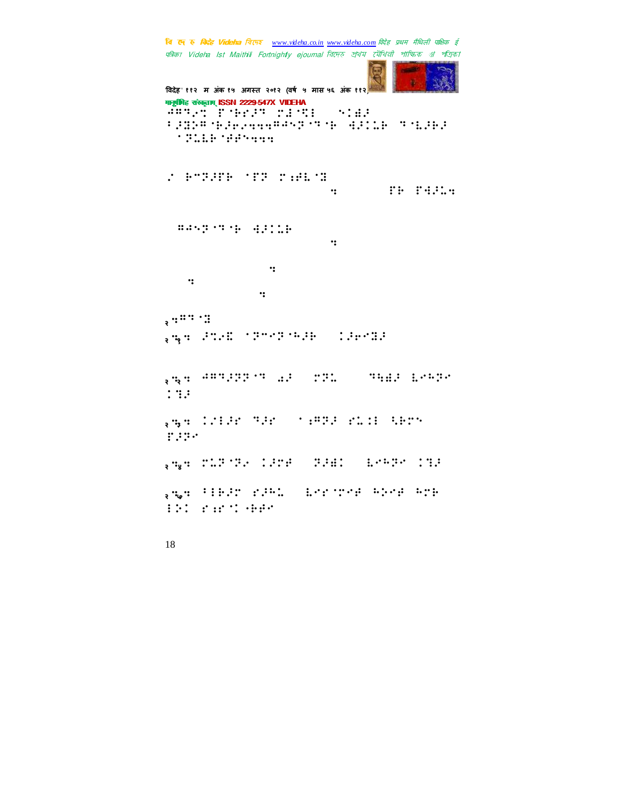```
चि एक रु विदेह Videha चिएन्छ <u>www.videha.co.in www.videha.com</u> विदेह प्रथम मैथिली पाक्षिक ई
 पत्रिका Videha Ist Maithili Fortnightly ejournal রিদেহ প্রথম মৌথিনী পাক্ষিক প্র পত্রিক।
'वदेह' ११२ म अंक १५ अगत २०१२ (वष ५ मास ५६ अंक ११२)
मानुषीिह संस्कृताम् ISSN 2229-547X VIDEHA
WE WE WE WERE THE THE STATE OF THE STATE OF THE STATE OF THE STATE OF THE STATE OF THE STATE OF THE STATE OF T
 7⢼⣝⢵⢻⢷⢼⢶⢴⣒⣒⣒⢻⢺⢽⢹⢷!⣚⢼⣅⢷!⢹⣇⢼⢷⢼!
    \cdot, \cdot, \cdot, \cdot, \cdot, \cdot, \cdot, \cdot, \cdot, \cdot, \cdot, \cdot, \cdot, \cdot, \cdot, \cdot, \cdot, \cdot, \cdot, \cdot, \cdot, \cdot, \cdot, \cdot, \cdot, \cdot, \cdot, \cdot, \cdot, \cdot, \cdot, \cdot, \cdot, \cdot, \cdot, \cdot, \cdot,
 "!⢷+⢽⢼&⢷!&⢽!⣐⢾⣇⣝!
                                                                   he state best and the state of the state of the state of the state of the state of the state of the state of t<br>And the state of the state of the state of the state of the state of the state of the state of the state of th
    !⢻⢺⢽⢹⢷!⣚⢼⣅⢷!
 hekawiefiburie banden die banden van die banden van die banden van die banden van die banden van die banden va<br>Die banden van die banden van die banden van die banden van die banden van die banden van die banden van die b
 iuuq;00xxx⣒nbjuijmjmflibltbo
 high control of the control of the control of the control of the control of the control of the control of the control of the control of the control of the control of the control of the control of the control of the control
 q_2 and q_3 if q_4 if q_5 if q_6 if q_7, ......
२⣒१⣒!⢼⣉⢴⣏!⢽+⢽⢳⢼⢷.!⢼⢶⣝⢼!
 २६<del>३ देव सम्पादका पाउन्हे अस्ता प्राप्ताः स्यापादका</del> सम्भावन्
⣙⢼!
 <sub>२</sub>७३º 12138 (138 - 139 - 1392 (1393 - 1392 - 1393 - 1393 - 1393 - 1393 - 1
&⢼⢽!
 २७७ थ. २००१ पर २००४ - अनुसार पर अस्ति केलाव अस्ति ।
 <sub>२</sub>५<sub>७</sub>५ गाउँँँ २००४ साला घर साला पुरस्का साला प्र
3⢵!⣐9⢷⢾!
```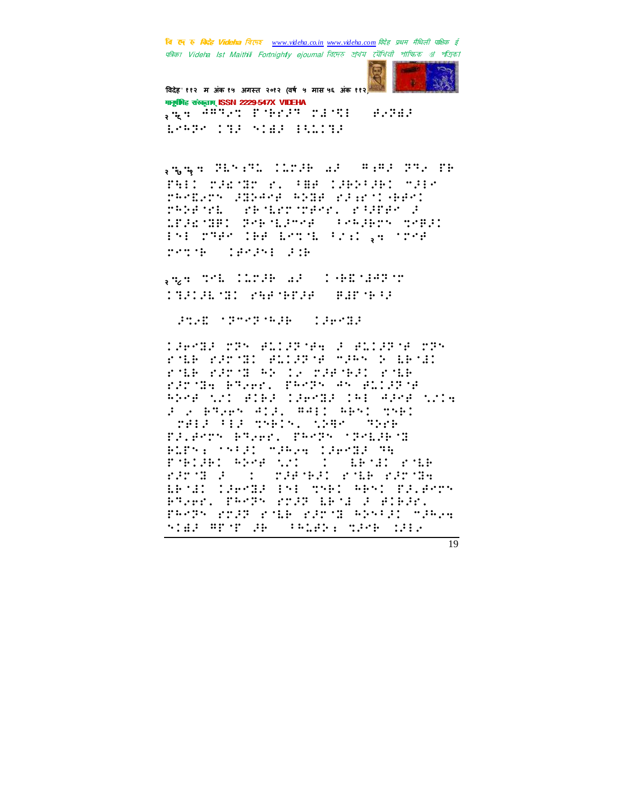वि एक रु क्विहेट Videha विएम्ब www.videha.co.in www.videha.com विदेह प्रथम मैथिली पाक्षिक ई पत्रिका Videha Ist Maithili Fortnightly ejournal রিদেহ প্রথম মৌথিনী পাক্ষিক প্র পত্রিকা



विदेह' ११२ म अंक १५ अगस्त २०१२ (वर्ष ५ मास ५६ अंक ११२) गानूबंगिह संस्कृताम् ISSN 2229-547X VIDEHA <sub>ang</sub> <sup>aan</sup>go pobrin riop: 1000 100 510 1000 1000

saya PESPE CEDP ar "BiBI PRO TR FAIL MARCHER (ABSONIC MAP respre docent enormer class dens **CONFIDENTIAL PREPARE MADE MADE** LPSE MBI PREMIPRE (PRESERVO MRBS) Informed The Education (1994) rende (1882-1811)

<sub>ang</sub> the Confe af Commonwerth **TOOLOGY AND SPEED BOOKS** 

FOR SPORTER CHANGE

CAPAR TR BOORNA F BOORN TR role randicalisation of the Solenai role rand evice nachad role randa Page, Pedro en Aliand REMAINING AIRS CSAMBS IRE ASMA NINA F. PARTNER AIR, AAII ABSI MSBI THIS HIS TABLAS AND A THIB FALENTY ETHER, FRONT CROLEROS PLEN: THERE MARGH CARMER MR ABMIN PMB PORTABLE PROFILED FRIDA I THREE FER STOR BROAD (SARGE 151 GSR) RRSD PS.AMOS<br>RG2AP. PRMOS POSO BROAD SCRIBSE. PROPRIETED FOLK FROM RESERVITION STAR APSPORT (A) (AANARY: SPORT (PH)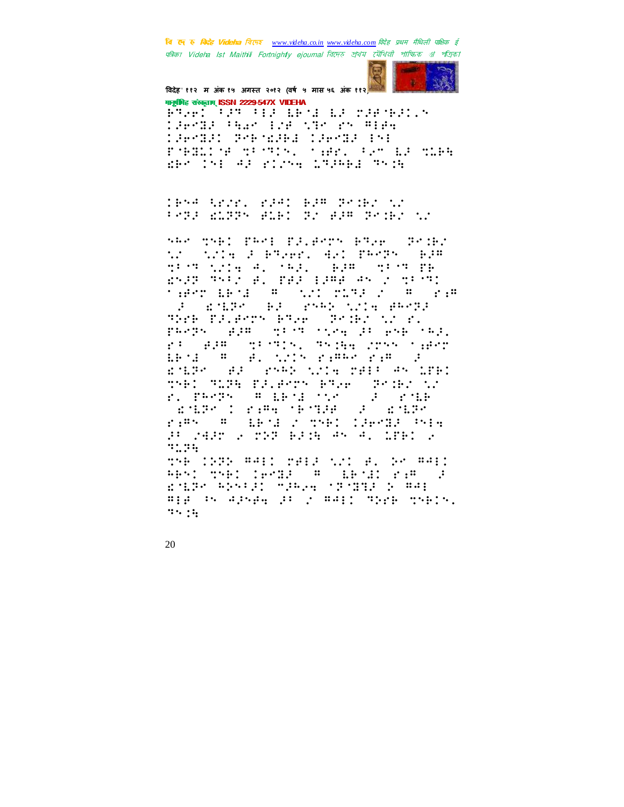वि एक रु क्रिटेड Videha विएम्ब www.videha.co.in www.videha.com विदेह प्रथम मैथिली पाक्षिक ई पत्रिका Videla Ist Maithili Fortnightly ejournal রিদেহ শ্রথম মৌথিনী পাক্ষিক গ্র পত্রিকা



विदेह' ११२ म अंक १५ अगस्त २०१२ (वर्ष ५ मास ५६ अंक ११२ की मानूबंगिह संस्कृतम् ISSN 2229-547X VIDEHA

FreeDoughter (1980) are all construction DEPTE PART DIE NIM 25 Alex Carda: Prendama (Arrol 191 POSSED STORY **THE UP AF THE** der 151 AP Strow 132661 3516

IBM Arch. 2341 BJM BriBC MC PARE WIRRY WILL RE WER RAINE TE

SAR TSBI PART PRIPRON BROWN PRIBI tro tria d'aquant dur Pagno ago tako bene a citolografio a cha SPO BOBES (BP) SMAD NOIS BAMBE THE EASENT PLE SPORT OF BUILDING parps gum grow spreads and say. ra ale status shik critical Bena <sup>The</sup> Calculus Pages Page of EMERGINE PARK WIN THE PASSITE! THE TIME MAJESTS RIGHT MAJES IS  $\mathbb{R}^2 \times \mathbb{R}^2$  . Then S. PROPRI W. BEOGLOGO kiri dengan kalendar dalam rams (# 1651) roman Caroll Mig PURBEN 2022 BRIE AN AL WEED 2  $31.34$ THE COOR WALL THIS NOT H. DE WALL

RESI TSEL LEMBE (# | BEMBL 2:# | ENER PERMIT MARKETTMIN E BAL #10 Produced DP 2 #411 MD28 MD615.  $33.34$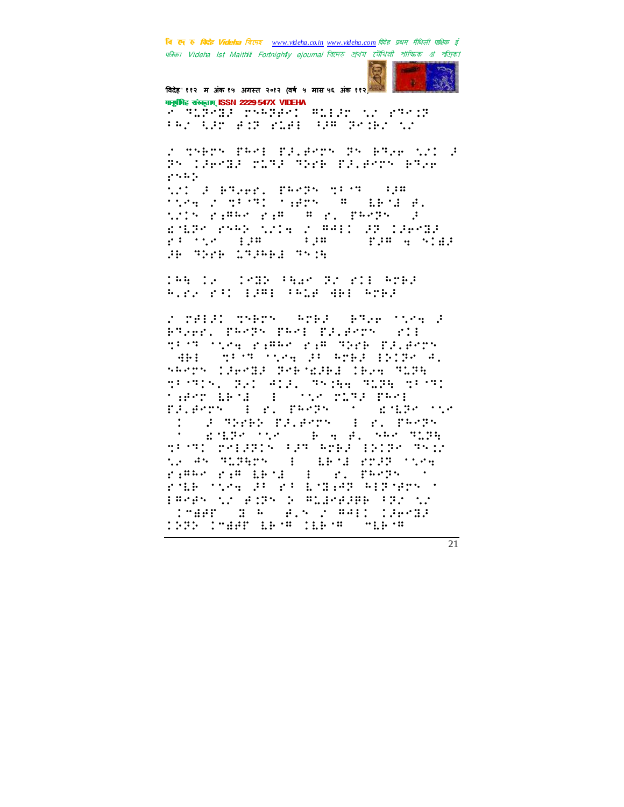वि एक रु क्विहेट Videha विएम्ब www.videha.co.in www.videha.com विदेह प्रथम मैथिली पाक्षिक ई पत्रिका Videla Ist Maithili Fortnightly ejournal রিদেহ শ্রথম মৌথিনী পাক্ষিক প্রা পত্রিকা



विदेह' ११२ म अंक १५ अगस्त २०१२ (वर्ष ५ मास ५६ अंक ११२ के गानुबंधिह संस्कृतम् ISSN 2229-547X VIDEHA

a hibara psoport orige transport FAZ RET BIR YOHE REF ROIEZ NY

n therm fend fluenth fm efter wil a 35 LEPSA MIRE REMA PELANTS ARLA  $\mathbf{r}^{(1)}$  . In fact, WI FARGE PROPERTY OF ting 2 mars: 1985 (# 1981 #) WIN FIRES FIRE ROLL PROPERTY  $\ddot{\cdot}$ EMERGENED NOTE OF PAID OR ISBNDS ristra pro din alla proposan S THE STAGE TYPE

198 12 (1982) Page Provide Area Alra ri (del Cale del Area

n relat sherh (Arba) Aque ning a Ples. Propr Prof Pleaserr (201 disco sono pappo pap papp palabro WHEN THE TERM OF STREET ENTRY W. SPOTS LEECH PORTHER TEAR TERR things, Belleig, Thing Tipe thing nafyr Bend (d. 1920), pard ferd<br>Fdyfyrir a an ferdro (n. 1991) **SECRETISTICS J THE ELECT I C. PROP** st samte tie skaak food ming.<br>Skater bekendt ferskeide kine mei: na an mighth (1) bend rogg then<br>ragger rag bend (1) ri pergy (1) rde svera por policiale aplaren s PROPOSIC POPS & PLACEFER FRISC THAT I R FAN 2 WALL LARGE COST CHAPT ARTH CARTH THRIP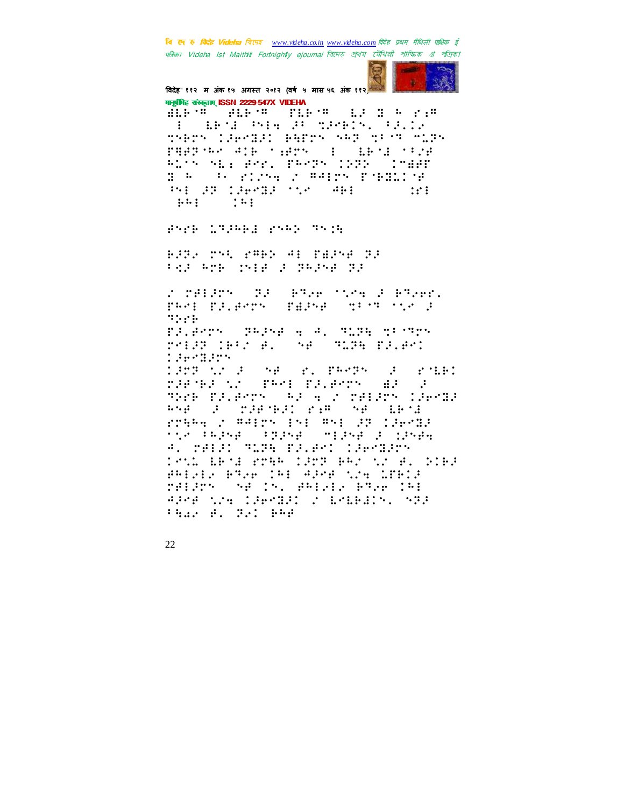वि ए रु क्रिडे Videha विएक www.videha.co.in www.videha.com विदेह प्रथम मैथिली पाक्षिक ई पत्रिका Videla Ist Maithili Fortnightly ejournal রিদেহ শ্রথম মৌথিনী পাক্ষিক গ্র পত্রিকা



विदेह' ११२ म अंक १५ अगस्त २०१२ (वर्ष ५ मास ५६ अंक ११२) मानूबंभिह संस्कृतम् ISSN 2229-547X VIDEHA

ALPA ALPA MIPA LI LI L'A **TECHNICAL PHACE SECRETAL FRIDE** therm (Sends) earrh nap thin nurb PAPPAR ADE SAPPA (B) ARMA SPAR ALTS SEE ART. PARPS INCE (TREAT B A (A) Slove o WALPY POBBLOF PH 28 126583 TV5 (861)  $\cdots$  $\cdots$  :  $\cdots$ 

Prob 173661 crep 7536

BOS 79, 2802 41 28298 33 **PAR ROB CHIEF 2 SHINE SE** 

2 réléry (23) anya sing 2 anyar. PROF PELBOYS (PAPSE) MEST TOO P  $\mathbb{R}^n \times \mathbb{R}^n$ FRIENDS (PRPSE A 4. SLPR SPORTS THIS INC #. 54 **MISS PAIRS** termen 1958 NASA (ABS) el 1969 (Sascando)<br>1987 Pascal (1961-1981-Party) (Bassa TRANS PALAMON (1942) A CO-OALAON (1969)<br>Ana (1961) Ovar National Charles Library rrang r #41rs 1s1 #51 33 libros tic Pers Prise three second creek A. MAISI TITLE FILM ( 1907220) **Contract Experience Barrows B. SiBA** PHILL PROFILE APMENING LIPLE THIRD SHOTS, HAIRIE BRAK IAI APPE NPH CHPMED 2 EPEREDN, NTP **Than B. B. Php**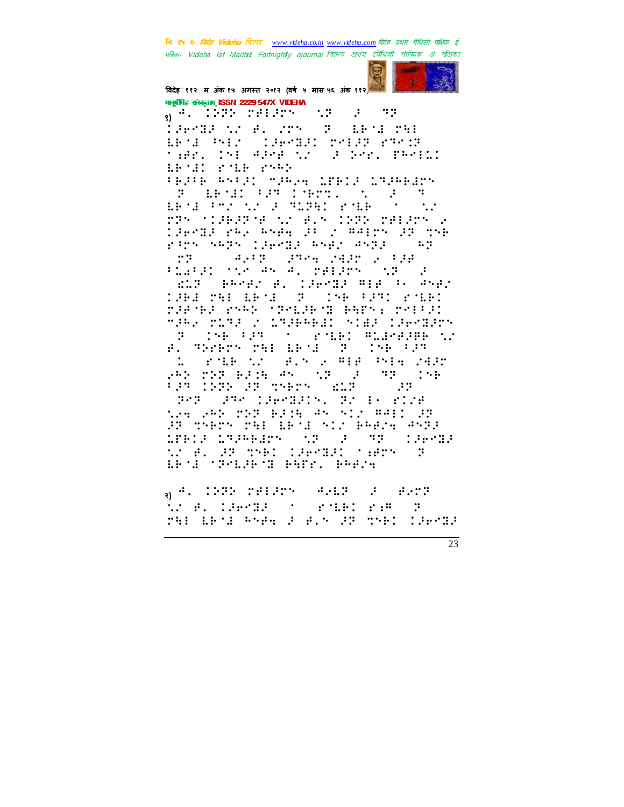वि एक रु क्विहेट Videha विएम्ब www.videha.co.in www.videha.com विदेह प्रथम मैथिली पाक्षिक ई पत्रिका Videla Ist Maithili Fortnightly ejournal রিদেহ শ্রথম মৌথিনী পাক্ষিক প্রা পত্রিকা



विदेह' ११२ म अंक १५ अगस्त २०१२ (वर्ष ५ मास ५६ अंक ११२) गानूबंगिह संस्कृताम् ISSN 2229-547X VIDEHA

 $_{\odot}$  4. 1000 respective  $\mathbb{R}^2$  $\mathbb{R}^2 \times \mathbb{R}^2$ iaeda yn el nos (B) meso oel BROWNER (PROBLEM) POINT PROP tako (ni 484 dr. 2 ben feril EPAC PAR PRO

TESTE ANTSI MSAGH IPEIS IMSABANN  $\left\langle \mathbb{P} \right\rangle = \text{Lip}\left\{ \mathbb{E}\left[ \mathbb{P} \right] \mathbb{P} \right\} \left\{ \mathbb{P} \right\} \left\{ \mathbb{P} \right\} \left\{ \mathbb{P} \right\} \left\{ \mathbb{P} \right\} \left\{ \mathbb{P} \right\} \left\{ \mathbb{P} \right\} \left\{ \mathbb{P} \right\} \left\{ \mathbb{P} \right\} \left\{ \mathbb{P} \right\} \left\{ \mathbb{P} \right\} \left\{ \mathbb{P} \right\} \left\{ \mathbb{P} \right\} \$ ERSE FOR NO FUSERED POLE (2000) NO ran (1969ang 12 eln 19ap relarn 2<br>1969au rhy bheilac a chealan 9a che rans segs chemicaser espri cep  $\mathbb{R}^n$  $\langle \sigma_1 \sigma_2 \sigma_3 \rangle = \langle \sigma_1 \sigma_2 \sigma_1 \rangle \langle \sigma_2 \sigma_2 \sigma_3 \rangle \langle \sigma_1 \sigma_2 \sigma_1 \rangle$ FLARED TO AN AL MARENT OF SP SELP (PROFINS) LEPOLE REPORT AND 1961 MH ARMA (F. 1963-1971 PMB) raenea engo (priabholgenna rrig) raka roma (nobelkelen stea (akrears<br>19 - Dek fam i nordener modeaak sc F. Therm which is the compound A STEED OF SEATHER PHESICEPT  $: \cdot :$ SPAR (250 CREATED) PACES PIAE tra 252 223 BJ16 35 512 8411 23.<br>JS SSB25 251 1651 512 6524 3533 WHIP WREADY (S F PR  $13.0037$ sz el az szer raksaal sabs Ma ERNE MENERNI BAIN, BRENN

 $\frac{1}{30}$  4. IPPP THERMAN ARE SAME transformation and raw d red bend ander drøv da mned cobrad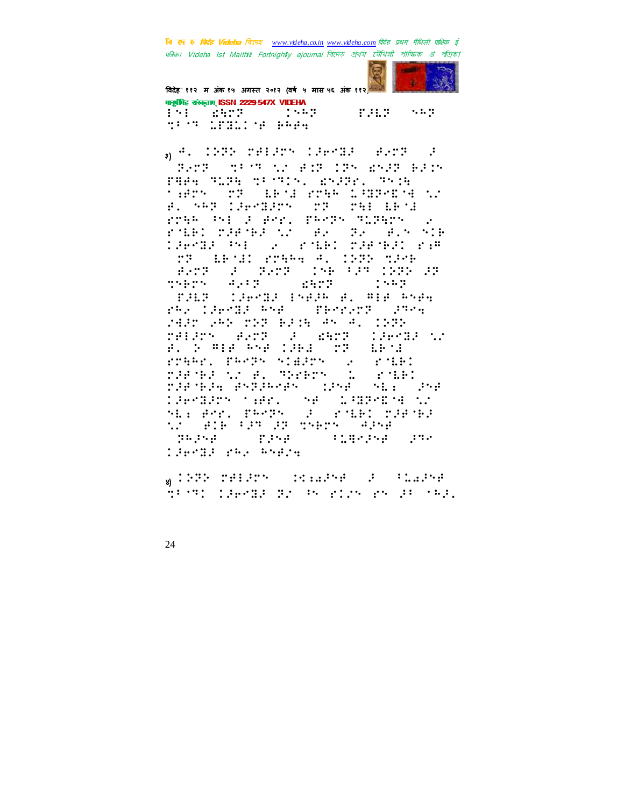वि ए रु क्रिडे Videha विएक www.videha.co.in www.videha.com विदेह प्रथम मैथिली पाक्षिक ई पत्रिका Videla Ist Maithili Fortnightly ejournal রিদেহ শ্রথম মৌথিনী পাক্ষিক প্রা পত্রিকা



विदेह' ११२ म अंक १५ अगस्त २०१२ (वर्ष ५ मास ५६ अंक ११२) मानामिह संस्कृतम् ISSN 2229-547X VIDEHA **CENT CONSTRUCTION**  $\mathbf{r} = \mathbf{r} \cdot \mathbf{r} \cdot \mathbf{r}$  $\mathbf{1} \cdot \mathbf{1}$ **TIME AND LATE PRES** 

<sub>a</sub> 4. 1989 refers leeses (exre )e FATE (TECH NAME IF ITS WARE BEIN FARA TITE TESTING ANCHO TNIE SAPPS OFFICIAL PER LIBRARY WO #. SAP CHPSHOW OT OTHERWIGHT roak (si a esp. pasos miders)  $\mathbb{R}^n$ rances restaurant and security and with Caerda Pricos (single) paeneal sym TP LEAD TTEM 4. 1999 TPP GRAND CO DRAMA CHA POR CHAR AN THET WALE WHITE IN THE TALP (CHPSE ENERGY AL ALE ANEW res laeras ene ("Perrson" anna 2425 252 523 6236 45 41 1232 MALAMA (ASMA ) A (ARMA ) (ARMA ). B. S MIR RY CHA 72 (BR)  $\mathcal{L} = \mathcal{L}^{\text{max}}$ rram: Phore Slare THORAGE THEY  $\mathbf{r}$  : the f  $\ddot{\phantom{a}}$ DJENEJA PSDJRSPS (1958. SET. JSP *LEPTERS SARE, SE LETERARYE SE* ali Anni penda (d. 1916) odanje<br>12. staljenog osada (dana) Serve Profession **Singled State TEPSE PRE RNETH** 

WIPPE THERTY (Staalfer ) Fourier SPORT TERMIN BY PROVINCES IN THE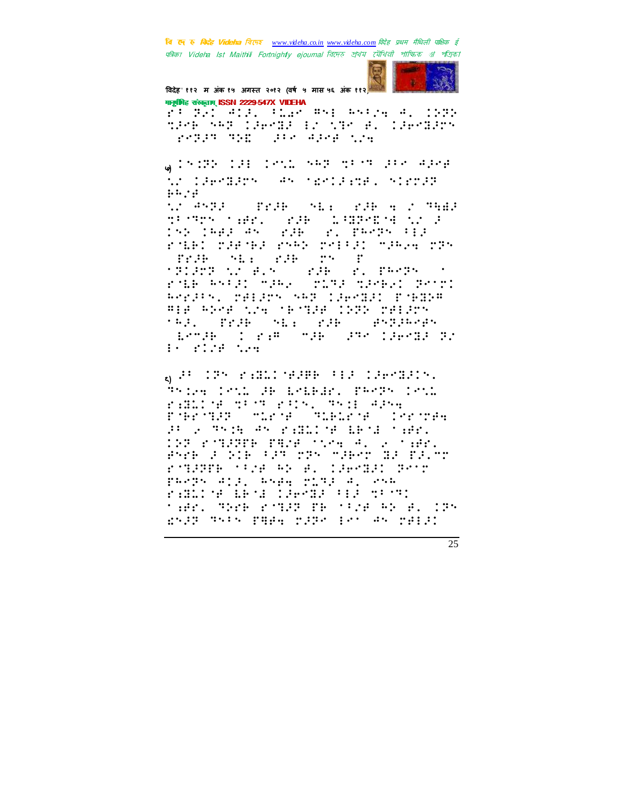वि एक रु क्विहेट Videha विएम्ब www.videha.co.in www.videha.com विदेह प्रथम मैथिली पाक्षिक ई पत्रिका Videla Ist Maithili Fortnightly ejournal রিদেহ শ্রথম মৌথিনী পাক্ষিক প্রা পত্রিকা



विदेह' ११२ म अंक १५ अगस्त २०१२ (वर्ष ५ मास ५६ अंक ११२) मानूबंभिह संस्कृतम् ISSN 2229-547X VIDEHA

FO BRI ALA. CLAR AND ANCHOR. 1979 make sep capked by the B. Capkedars 2022 THE 310 APH 124

WINDER IS THE WAR ARE TRIP SPECIALLY tro laerdarro (Arconetarra, rierar  $1.1.74$ tur angu **STORY SEE STATES STATES** transformation and conductive the  $\ddot{\cdot}$ **ROBOTA PROPRIED** 152 1682 AS ( riko marafra esko metal maken mas **ME: PAR TWO Trib**  $\ddot{\cdot}$ 1919–102 B.S. (2006) 2007–2010<br>2016–1039–21 Mars (2019–2020–2021–2012) Replace relars sky (leedla) poeder WEB ANYB MAN TETRE INGN MBERM 1971 TERR MEL ERRY PATRONAM SEMPRO I PAR (MPR) PRO IPPORT RI  $\mathbb{H}^1$  and  $\mathbb{H}^1$  and  $\mathbb{H}^1$  are the set of  $\mathbb{H}^1$ 

a Pro IPS andmilling.PPF fig. IPERBRIS. Thing Ini Space Liber, PROTH Ini PARLINE MENT PRINT THIS APHA Poblomar (starte) makaroe (cristing PUS TERM PERMIT ROLL TRANS 198 romanne para cirke A. 2 caer. Per l'alt de ce care de flec rigger (128 AS A. 1360031 Scip parps and arguments and run PARLINE ERNE CHRYBE FER MENTI tako menderman profesione kolone 2535 TSIS FRAG 2356 101 AS 28131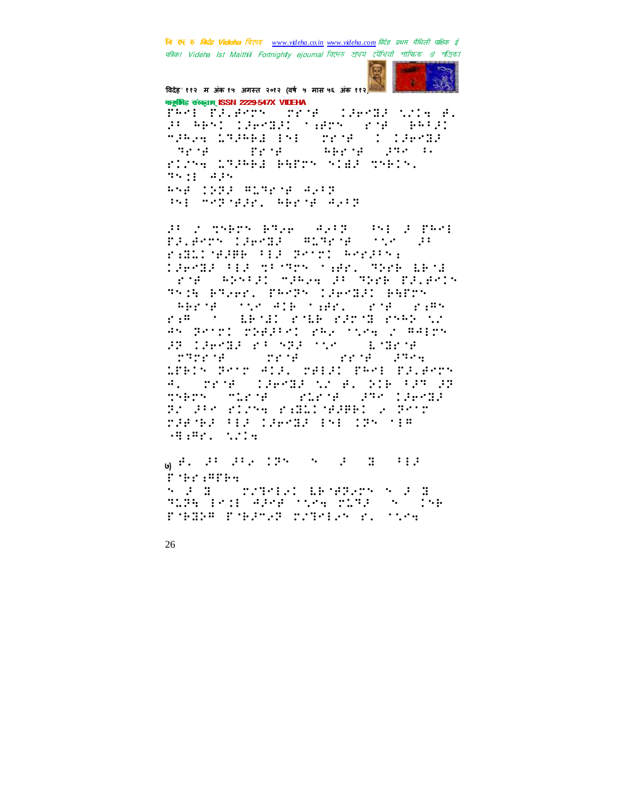वि ए रु क्रिडे Videha विएक www.videha.co.in www.videha.com विदेह प्रथम मैथिली पाक्षिक ई पत्रिका Videla Ist Maithili Fortnightly ejournal রিদেহ শ্রথম মৌথিনী পাক্ষিক প্রা পত্রিকা



विदेह' ११२ म अंक १५ अगस्त २०१२ (वर्ष ५ मास ५६ अंक ११२) मानूसीमेह संस्कृताम् ISSN 2229-547X VIDEHA

PROFILENTS TROP CLEATE WIR B. an Absolutermac representationnais ngkak brgkeg 191 (opine) (1919-192)<br>"Trine" (opine) (() kerie () grafik  $\mathbb{R}^n$  is the set of  $\mathbb{R}^n$ riche imaggi parro otas robio.  $35.11 - 4.15$ **ANA (222 BISP) # #2:2** PH SPERBE WHERE WHE

an a mhenn egyes gyng sona a prha FRIGHTS IRGHBS SENSON (1980) RE ram: GARB (B) Print Repars. lgengg fig af mar hær. Merk beng<br>Søngs ebrigt mgeve grumpek påvenne This Place Teach Clarket Perry siper Colesgi (2018) and cardinals<br>and college and and anti-siper Colesgi<br>and permit maggior and colesgi (2019)<br>and (argument name) over the current chrome control and control LEBIN PATE ALF. MALFI EARL EF.AMM 4. Trie (1831) W.A. Sib CP CP therm where shere age takens driver along additional of Dit THE RESIDENCE IN THE TEACHER  $-4.442.1214$ 

 $\mathbf{0} \begin{array}{l} \mathbf{0} \end{array} \begin{array}{l} \mathbf{0} \end{array} \begin{array}{l} \mathbf{0} \end{array} \begin{array}{l} \mathbf{0} \end{array} \begin{array}{l} \mathbf{0} \end{array} \begin{array}{l} \mathbf{0} \end{array} \begin{array}{l} \mathbf{0} \end{array} \begin{array}{l} \mathbf{0} \end{array} \begin{array}{l} \mathbf{0} \end{array} \begin{array}{l} \mathbf{0} \end{array} \begin{array}{l} \mathbf{0} \end{array} \begin{array}{l} \mathbf{0} \end{$ Police (SPP) + PORTH PORTSE TITULE IN THE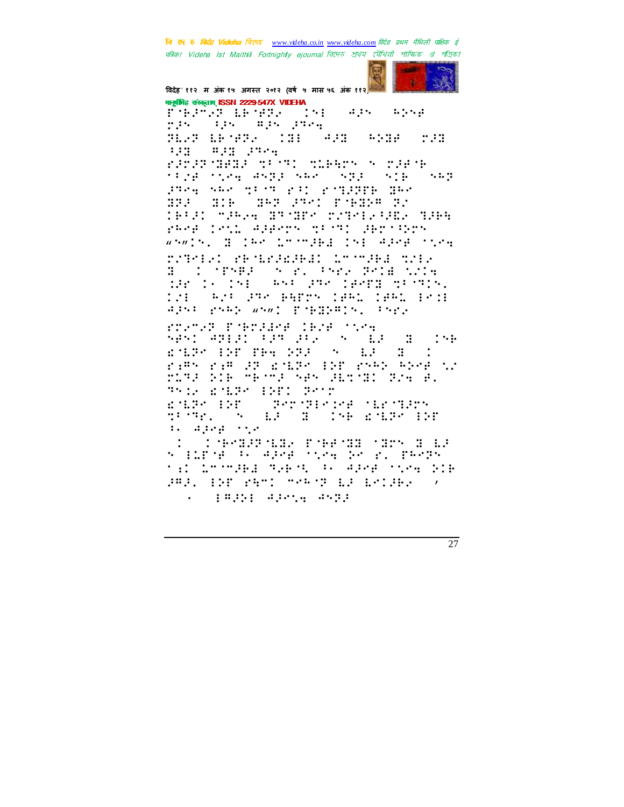वि एक रु क्विहेट Videha विएम्ब www.videha.co.in www.videha.com विदेह प्रथम मैथिली पाक्षिक ई पत्रिका Videha Ist Maithili Fortnightly ejournal রিদেহ প্রথম মৌথিনী পাক্ষিক প্র পত্রিকা



विदेह' ११२ म अंक १५ अगस्त २०१२ (वर्ष ५ मास ५६ अंक ११२) गानूबंगिह संस्कृताम् ISSN 2229-547X VIDEHA

ESPARA LESPA (191)<br>125 - Par Ceps (195) ang sa pang **SEPT ED SEPT 131 111 011 112** FRIDAMENT CHANNEL COMMON COMPANY riga ngay angg nasi nggo nga  $\cdots$ 3984 SAR MESS PAI PSIDNED BA 1992 - 1116 - 1149 (998), fotballe (92)<br>1943-21 - March (1971), fotball (999-1994), fotball PROF LOND APPROVATORE PROSPERS whath, Boles Loomaka Info@aane over retrial demanded in what wil Company of the Post Cole  $\mathbb{R}$ He is the same producer with. 12: A2: PR PATTY 1841 1841 ESI **APAC PART WAL PORTHING CAPA** rnamak Kobraiae (Bag otas APS ANIX PROPERTY AT LA  $\mathbb{R}^2$  :  $\mathbb{R}^2$ EMERGINE THE NEW SCHOOLS IN ras ras de la marcada responsa MIRE DIE METME SAS GEMOIL FIS A. This Mille INT: Tetr EMERGINE CONTROLLED TECTION  $\label{eq:2} \frac{1}{2}\left(1+\frac{1}{2}\right)\frac{1}{2}\left(1-\frac{1}{2}\right)\left(1-\frac{1}{2}\right)\left(1-\frac{1}{2}\right)$  $\mathbf{1}_{\mathcal{A}}=\mathbf{1}_{\mathcal{A}}\mathbf{1}_{\mathcal{A}}\mathbf{1}_{\mathcal{B}}\mathbf{1}_{\mathcal{A}}\mathbf{1}_{\mathcal{C}}\mathbf{1}_{\mathcal{C}}$ **CONSTRUCTION CONSTRUCTION** s fires a sper sing proporter til 15 media 326 d. A. Adea (tiek 118 PRES INT PART SPACE IS INTERV  $\mathcal{L} = \left\{ \begin{array}{ll} \mathcal{L} \left( \mathcal{L} \right) \left( \mathcal{L} \right) \left( \mathcal{L} \right) \left( \mathcal{L} \right) \left( \mathcal{L} \right) \left( \mathcal{L} \right) \left( \mathcal{L} \right) \left( \mathcal{L} \right) \left( \mathcal{L} \right) \left( \mathcal{L} \right) \left( \mathcal{L} \right) \left( \mathcal{L} \right) \left( \mathcal{L} \right) \left( \mathcal{L} \right) \left( \mathcal{L} \right) \left( \mathcal{L} \right) \left( \$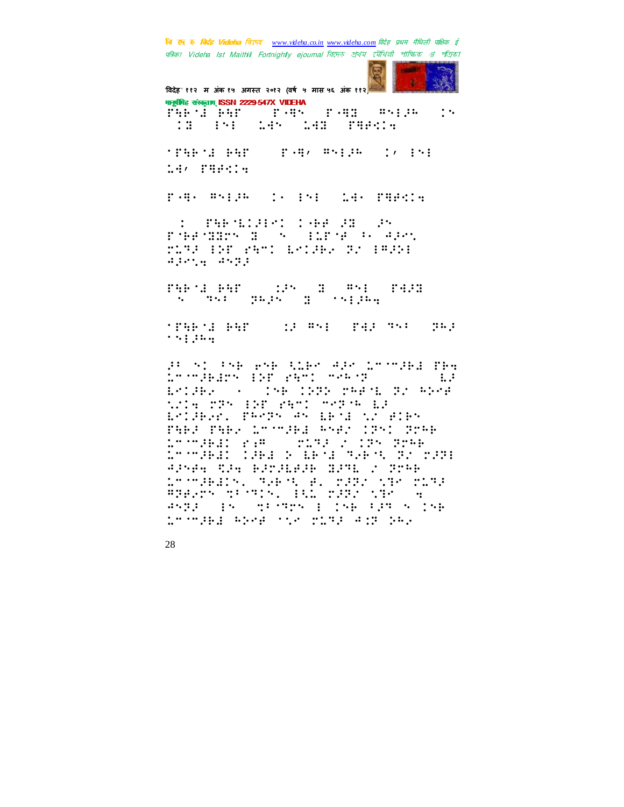वि ए रु क्रिडे Videha विएक www.videha.co.in www.videha.com विदेह प्रथम मैथिली पाक्षिक ई पत्रिका Videla Ist Maithili Fortnightly ejournal রিদেহ শ্রথম মৌথিনী পাক্ষিক গ্র পত্রিকা



विदेह' ११२ म अंक १५ अगस्त २०१२ (वर्ष ५ मास ५६ अंक ११२ के मानूसीमेह संस्कृताम् ISSN 2229-547X VIDEHA **CONFIDENTIAL CONSTRUCTS** The description **THE INE LAN LAB PRACH TERMI RAT ( P.A. ANISA () INI** 14, PHPCO. ran magnetic resolute randa **CONTRACTS: CONTRACTS: SECOND SERVE BOSHOP POSE MIRT II**  $\mathcal{A}_{\bullet}$  . MARK INF WATER BRIGHT BY IRENE apera aspr FARMER DES ES PAL FALE<br>18 Partie Papa de Malpa **TERMI RAT ( OF WAIT PARTNAL PAR**  $\cdots$  ; ; ; ; , , PUSE ISE EST SAM SENATORE PR LoomsBarr (DP PBM) measure  $\mathbb{R}^2$ ESTINA (A) THE TINE THEM NI HI ANS this TPS INF PASI SOFTS LE ESTERNI PROPY AN ERNE NI BIRN TARA TARA LOOMARA ASBA 1951 9048<br>Loomaral Bag () pluga 2019s 9048 chinaeac (aea o Geid Saéin Goirage APSA SPA PROBADE BRAN 2 POPP ingraeals, specific pragmings hist

akaa aktifaanka 194 aas ka

Chinaba Abre tir nCha Ain bA.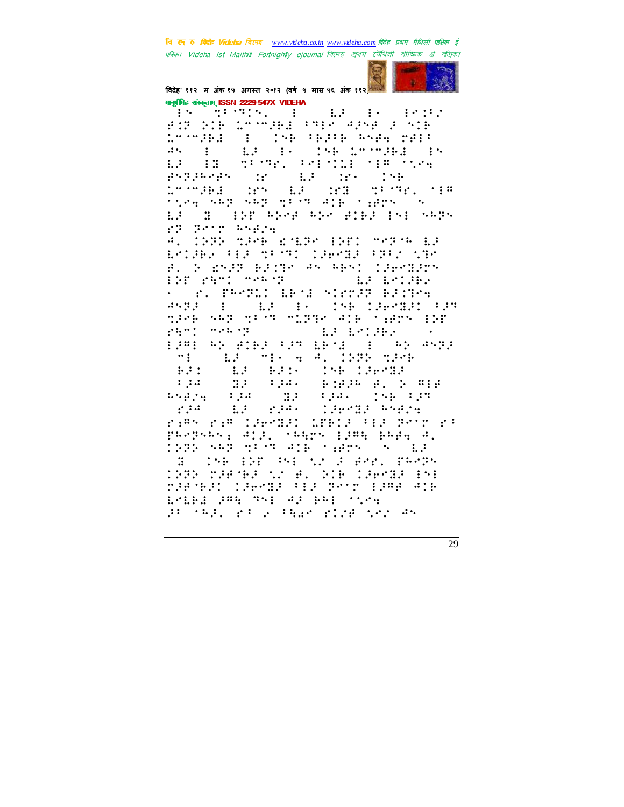वि एक रु क्विहेट Videha विएम्ब www.videha.co.in www.videha.com विदेह प्रथम मैथिली पाक्षिक ई पत्रिका Videha Ist Maithili Fortnightly ejournal রিদেহ প্রথম মৌথিনী পাক্ষিক প্র পত্রিকা



विदेह' ११२ म अंक १५ अगस्त २०१२ (वर्ष ५ मास ५६ अंक ११२) गानूबंगिह संस्कृताम् ISSN 2229-547X VIDEHA

The Brune and Lands Brune FOR DIE CHOMPED FREM APHELPHOTE Sil (1963) 16216 (5966) 2813<br>Sile (1963) 1963 (1979) 164  $\mathbf{a}$ .  $\mathbb{R}$ **STORY PRINTED SERVICE**  $\vdots$  :  $\mathbb{R}^3$ PSTP-SPS OF SALE OF STORE Loopea des La dem Store. (18 1504 592 592 593 50 416 1985 - S **THE INT ROOF ROOM BIRD INT NRON**  $\mathbb{R}^3$ FR Beng Angga #. 1939 MIPR ROLER EPPI MPPOR LP ESTARA FEA MESMIT TARSEA FAFIS NAS B. S BYBP BENTY AN ABNI LEPTING **ALE LOTED** DE SANT SERVICE **Food Profil bridge Sidney Bactro** angy (1) (1) 13 (1) (n) (n) (2) 11-11) (1)<br>Sieh neg sich swige alb cabon (1) **SAME MARKET COMPANY** LP LODER EPRO AN AIRPORT ERMIT IN AN ANDR  $\cdot \cdot$  : EP THE 4 4. INTE TREE  $\mathbb{R}^2$ (196 126932)  $\mathbf{H}$ :  $\mathbb{R}^2$  :  $\mathbb{R}^2$  :  $\mathbb{R}^2$  $\mathbb{R}^2 \rightarrow \mathbb{R}^2$  $\mathbf{1}$  ,  $\mathbf{1}$ **BOOK AND ALL AND ADDRESS**  $\mathbb{E} \mathcal{H}^{\mathcal{M}}_{\mathcal{M}} \mathcal{H}^{\mathcal{M}} = \mathbb{E} \mathcal{H}^{\mathcal{M}} = \mathbb{E} \mathcal{H}^{\mathcal{M}} = \mathbb{E} \mathcal{H}^{\mathcal{M}} = \mathbb{E} \mathcal{H}^{\mathcal{M}} = \mathbb{E} \mathcal{H}^{\mathcal{M}}$ **Silence Website**  $\mathbb{R}^2 = \mathbb{R}^{2d+1}$  $\mathcal{L}^{(1,1)}$ rams ram (Senda) Greca (Ba dhir ri PROPORT ALL CANDS LING BANG A. 1985 - 548 - 669 - 669 - 669 - 660 - 660 - 66 E THE END PHONE FOR PROPE 1935 MARTAR NO B. GIB (APMER 15) rakan désa (Brasilea Ad Leibi PRA Sel AP BRI Stea BE SABLE FROM PART FIRE NEW AN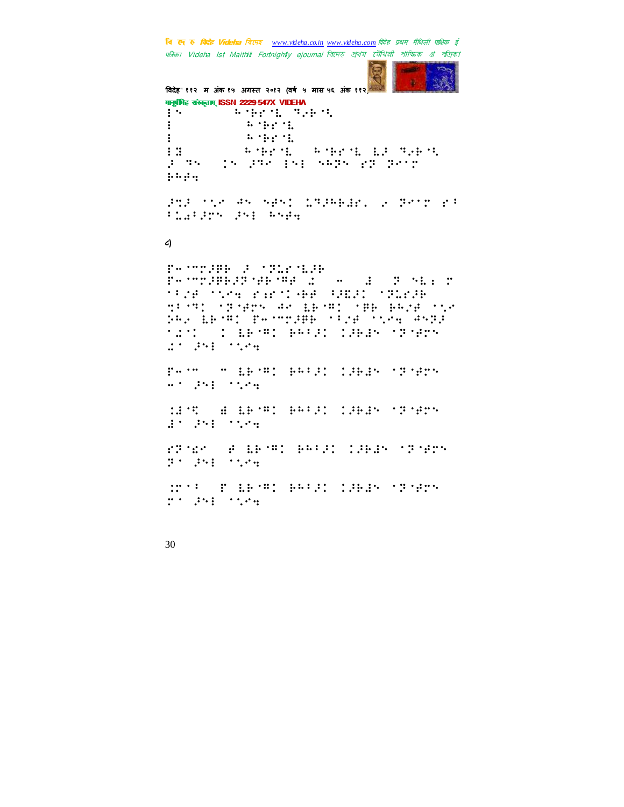बि एक रु मिन्हें Videha विरफर www.videha.co.in www.videha.com विदेह प्रथम मैथिली पाक्षिक ई पत्रिका Videha Ist Maithili Fortnightly ejournal রিদেহ প্রথম মৌথিনী পাক্ষিক প্র পত্রিকা



विदेह' ११२ म अंक १५ अगस्त २०१२ (वर्ष ५ मास ५६ अंक ११२) गानूबंगिह संस्कृताम् ISSN 2229-547X VIDEHA **PORTL SPECK**  $\vdots$  $\ddot{\mathbf{r}}$  $\ddot{\ddot{\cdot}}$  $\cdots$  :  $\cdots$  : **AMENT AMENT LE THEM**  $\vdots$  $\mathbb{R}^n$  . Then  $\begin{array}{cccccccccccccc} \updownarrow\sim&\downarrow\sim\sim&\updownarrow\sim&\downarrow\sim&\downarrow\sim&\downarrow\sim&\downarrow\sim&\downarrow\sim&\downarrow\sim&\downarrow\sim&\downarrow\sim&\downarrow\sim&\downarrow\sim&\downarrow\sim&\downarrow\sim&\downarrow\sim&\downarrow\sim&\downarrow\sim&\downarrow\sim&\downarrow\sim&\downarrow\sim&\downarrow\sim&\downarrow\sim&\downarrow\sim&\downarrow\sim&\downarrow\sim&\downarrow\sim&\downarrow\sim&\downarrow\sim&\downarrow\sim&\downarrow\sim&\downarrow\sim&\downarrow\sim&\downarrow\sim&\down$  $......$ Policy as sesident and the propose **FLATISH IND BARA**  $\epsilon$ F-77286 2 (The 138 **P-MARBER 1997 12** . . . . . . MEZE TOME RAPOLAER PREPL TREPAR dist. Speech as been seemed that SAS LEORI PAOPINE ORIN OVER ANNE TIME I BENEVARAL CHAR SPORT  $\begin{picture}(130,10) \put(0,0){\vector(1,0){30}} \put(15,0){\vector(1,0){30}} \put(15,0){\vector(1,0){30}} \put(15,0){\vector(1,0){30}} \put(15,0){\vector(1,0){30}} \put(15,0){\vector(1,0){30}} \put(15,0){\vector(1,0){30}} \put(15,0){\vector(1,0){30}} \put(15,0){\vector(1,0){30}} \put(15,0){\vector(1,0){30}} \put(15,0){\vector(1,0){30}} \put(15,0){\vector($ Ferrard Hibron Beng; (SB28 (Prems  $\mathbf{u}^{(k)}$  ,  $\mathbf{f}^{(k)}$  ,  $\mathbf{f}^{(k)}$  ,  $\mathbf{f}^{(k)}$  ,  $\mathbf{f}^{(k)}$  ,  $\mathbf{f}^{(k)}$ MACH A LEORY BRIDG CABLES STORES  $25.351.524$ ranch a benn each laean nann a STORY FILENCE PROFILED SPEAK OF SPORT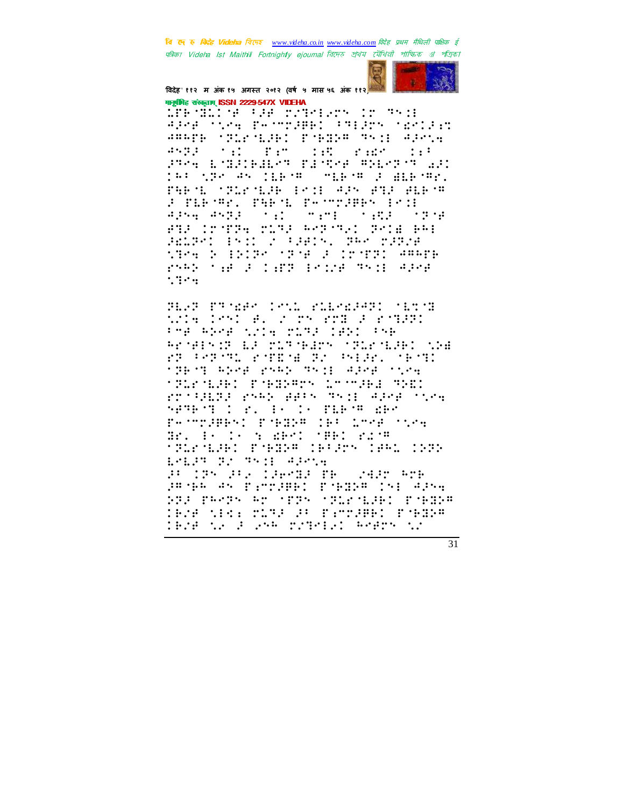बि एक रु *बिरोह Videha चिएक www.videha.co.in www.videha.com विदेह प्रथम मैथिली पाक्षिक ई* पत्रिका Videha Ist Maithili Fortnightly ejournal রিদেহ প্রথম মৌথিনী পাক্ষিক প্র পত্রিকা



## विदेह' ११२ म अंक १५ अगस्त २०१२ (वर्ष ५ मास ५६ अंक ११२) गानूबंगिह संस्कृताम् ISSN 2229-547X VIDEHA

SPETRO 4 PAR TITELET OT TY H APAR TERR PATTERNS PREPD TERLET ARADE (1912-1628) Poboar Prof. A2014  $4572 + 11 + 12$  $\mathbb{R}^2$  :  $\mathbb{R}^2$  :  $\mathbb{R}^2$  :  $\mathbb{R}^2$  :  $\mathbb{R}^2$  :  $: : :$ ande bomannemen factor moboron aan 183 NPK AN 11678 (M1678 J B16786) PARTE TRIATEDE EXTENSIVE SERVE F PERMAN, PHRME PAMMAPRA PAIR agna anggo silo mimbo silga (1914)<br>agla limaga miga kegugul gelib kel Gebagi (Kil)2 (Sal)2 (Ako 2022)<br>Sang 2 (Silay sasa 2 (2sal) (Akon rner og at land anne della gre  $1.399$ 

PEAR PROBE CONDUCTED ARTIST wie 1951 au d'on foar 2 foart. Pre apre this rife (SB) Par Referred LP pictifiary (constituted tha PROPERD POTESE RACHERY SECTION the most cost components are concer **TRACKED PREPRO LOCARE THE** 88732632 8555 8855 9511 9208 5508 Aparticle. Britishman Fernalder Fredrik (et 1996 (1996 Bris 1982, 1983 albei (1861) auch<br>1912 albei Graelen (1619) albei (1695 EMERT TE TRIE APMIR POIR RESIRER TROVADE ATE ande as piccane: poeze (sp. 4as. PRE PROPRIAD (PPR) (PLP) GERE PORTPR **TRIB MIRE TONE IN FETTIBED FABOR** IBJA NA JALAMA MINABAI APAMA NG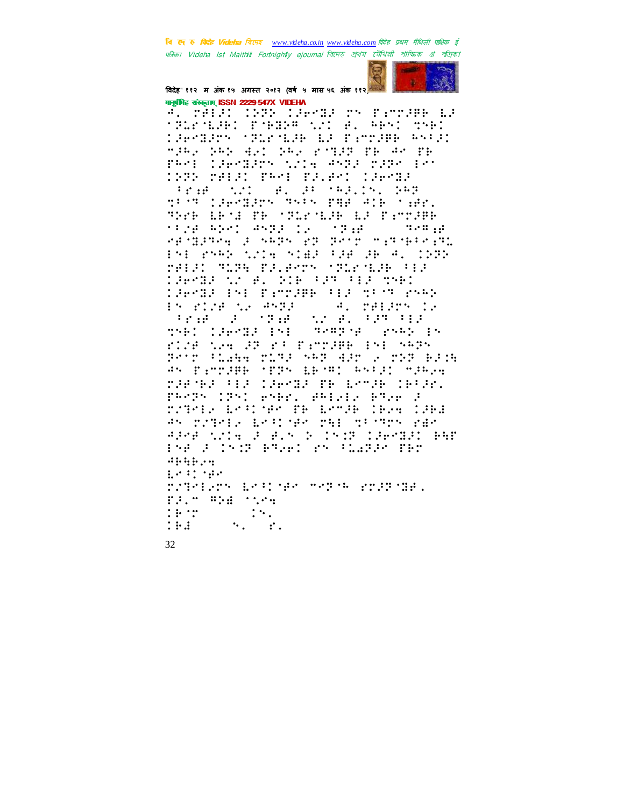वि एक रु क्रिटेड Videha विएम्ब www.videha.co.in www.videha.com विदेह प्रथम मैथिली पाक्षिक ई पत्रिका Videla Ist Maithili Fortnightly ejournal রিদেহ শ্রথম মৌথিনী পাক্ষিক প্রা পত্রিকা



विदेह' ११२ म अंक १५ अगस्त २०१२ (वर्ष ५ मास ५६ अंक ११२) गानुबंधिह संस्कृतम् ISSN 2229-547X VIDEHA

4. MÅL: 1989 196988 MY PAMMAR LA **TREPERD PREDUCTED ARMITMED** 12691225 SPLETER E2 Parc2PB ASS21 many pap ay: pay riman me ar me PRAD COPARDON NOTE ANDE MODA DAN 1930 relat SW-6 Balant (Senda Free will else their par SPORTIANSEN RYPY PHE ALE SARD. The design formed by firstne tize RSPI ANDESIA (1998) (STARGE arhiberal i sheshir esti mangrapa ESE PSAN SZLA SIÆR FJA JA A. 1939 MAIR TURE PRIAMM (TURNIN AIR Caenda (2014) Viel Can Tig Sheed TJARBI ESE PATTIER FEJ TEST PSAG En rice na Angel (1941-1981-2051) Star Formal Walley (FR) THE CHEMICAL END START HE START IN rice the SP ra FirmSPB 151 5525 Principale nite set den 2 nit beid AN PATTER TERN ERTHI ANGEL TERRA THE RESERVED IN STREET IN THE STREET PROPR (PRI BREE, BREAK BRAK 2 break letter mellema 1624 1964 An provide lead new pair na copy rac APAR NATH IP BIN DOCTORE CIRCUIT BAR President Party Program and Party  $40.4011$  $\mathbb{R}^{2n+1}$  , then ratelers leftings method erathing. ra "Pa title  $14.19$  $\mathbf{1} \cdot \mathbf{1}$  $\mathcal{F}_{\mathcal{F}}$  and  $\mathcal{F}_{\mathcal{F}}$  $: ...$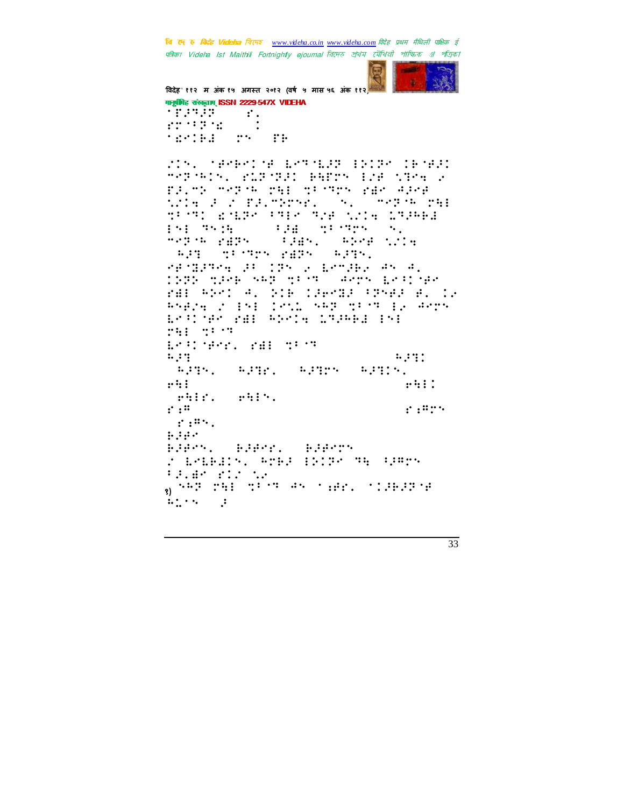वि एक रु क्विहेट Videha विएम्ब www.videha.co.in www.videha.com विदेह प्रथम मैथिली पाक्षिक ई पत्रिका Videha Ist Maithili Fortnightly ejournal রিদেহ প্রথম মৌথিনী পাক্ষিক প্র পত্রিকা



विदेह' ११२ म अंक १५ अगस्त २०१२ (वर्ष ५ मास ५६ अंक ११२) मानूबंगिह संस्कृतम् ISSN 2229-547X VIDEHA  $\mathcal{L}$  is a set of  $\mathcal{L}$  $\mathbf{f}$ .  $22.22.22.22.22$ 

**SECOND TRUNK** 

MS. MEMBER 1877 1887 1917 19181 MARINEN PORTRAI BAPTY EMB NTMA 2 FRINK MATHE PHE NEUTRO PEACHFACH wie a z fachtnym (m. 1979 n. didi shir bak the she inser **SALE SECTION AND**  $\frac{1}{2}$   $\frac{1}{2}$   $\frac{1}{2}$   $\frac{1}{2}$   $\frac{1}{2}$   $\frac{1}{2}$   $\frac{1}{2}$   $\frac{1}{2}$   $\frac{1}{2}$   $\frac{1}{2}$   $\frac{1}{2}$  $\frac{1}{2}$   $\frac{1}{2}$   $\frac{1}{2}$   $\frac{1}{2}$   $\frac{1}{2}$   $\frac{1}{2}$   $\frac{1}{2}$   $\frac{1}{2}$   $\frac{1}{2}$   $\frac{1}{2}$ media sade alge. **APP STORY FER APPS.** eponenea di 1950 a Lendea Asca. thall when we will across that you rd: Abril A. Sib (Serds (Shees A. I. pregasjon and structure from the World ESTINA PER ADSIN 172APE ESE 251 2522 Left Ger. rdf grow  $\mathbf{u}$  :  $\mathbf{u}$  $1.331$ **APPL APREL APPROVERED.**  $\cdots$  $\cdots$  : : :  $r$  :  $r$  :  $r$  $\cdots$  $: :$ "  $\mathbf{r}$  :  $\mathbf{r}$  :  $\mathcal{L}:\mathbb{R}^{n}\times\mathbb{R}$  $1.14.7$ BJBYS, BJBYS, BJBYSS r Estadis, apad introductional FRIGHT STATIST  $_{3})$  and children as a Her. (1999) e  $\mathbf{L}$  ,  $\mathbf{L}$  ,  $\mathbf{L}$  $\mathbf{R}$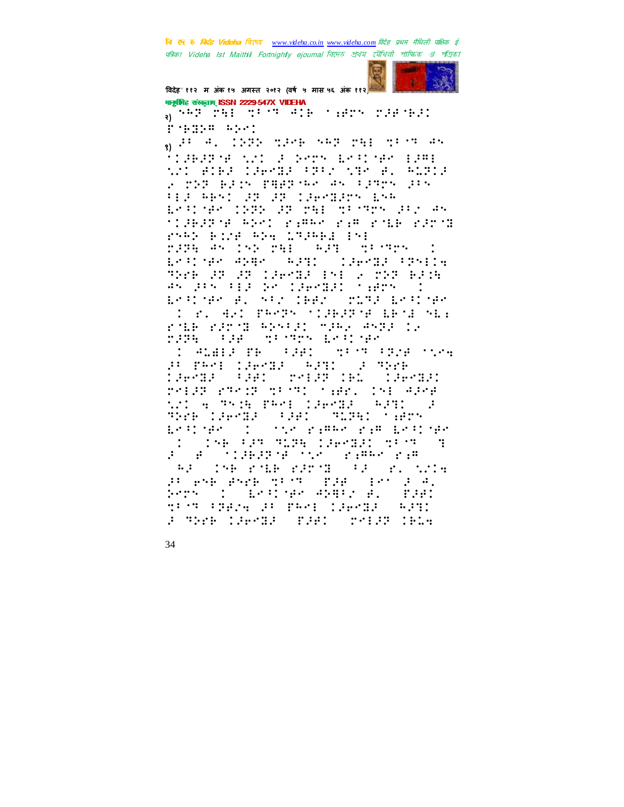वि एक रु क्रिटेड Videha विएम्ब www.videha.co.in www.videha.com विदेह प्रथम मैथिली पाक्षिक ई पत्रिका Videla Ist Maithili Fortnightly ejournal রিদেহ শ্রথম মৌথিনী পাক্ষিক প্রা পত্রিকা



विदेह' ११२ म अंक १५ अगस्त २०१२ (वर्ष ५ मास ५६ अंक ११२) गानूबंगिह संस्कृताम् ISSN 2229-547X VIDEHA

Sourch Transportance (1989) ruman aper g Productions when sampled write as flagare this provising an ear the side computed the three substa a 200 klim popular as cines jõs tic best concordinates as<br>anticenciana concordinates concors tided the spel rims rim roun round ryky Bird Ale 172461 151 PARE AN INDUCED ( RAT ) ME MEN Endinan Ayan (Aya) (Sandy Presse ਸਿੰਦਰੀ ਕੁਝ ਕੁਝ ਪਰਮਾਗਰ ਰਾਜ ਦਾ ਹੁੰਦਰ ਰਹੁੰਦਰ

AN JEN FER DE CRASBEL SARDN ESPIRAS AL SPECIENT CONFEDERINAS I ri 421 PROS (1822'S AR'S SE) ram rang byog way book I. 1976 (FDB) 15-715 12-11-42 CONDUCTE PROTECTIVE PROFINE an periodieraa (east of meek relag esemponista caerulina agea<br>Nolos shop peel laeega (eggi )a THE CHPSE FHIL TERRITORY Endings of the range random proper I THE FP TER CHEER TEST al al Scalaballist (palledes e.g.)<br>1941 - Che prime parime (factoristiche PURSE PAPE STORY PRESS POSSES berg () welcome good as fam trit (Pers an Pers Caerda (Aato

a men laetan dan selah lau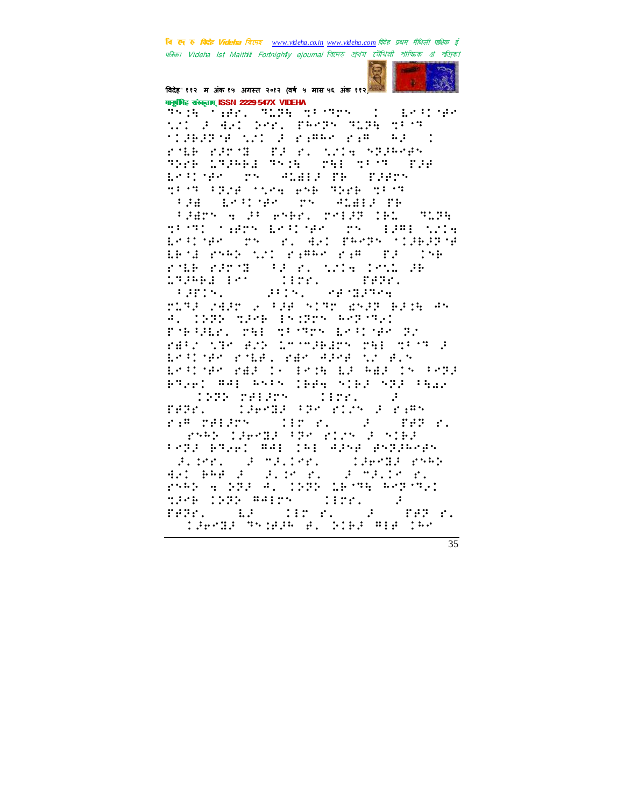बि एक रु *बिरोह Videha चिएक www.videha.co.in www.videha.com विदेह प्रथम मैथिली पाक्षिक ई* पत्रिका Videla Ist Maithili Fortnightly ejournal রিদেহ শ্রথম মৌথিনী পাক্ষিক প্রা পত্রিকা



विदेह' ११२ म अंक १५ अगस्त २०१२ (वर्ष ५ मास ५६ अंक ११२) गानूबंगिह संस्कृताम् ISSN 2229-547X VIDEHA

SANG TARK SURFACE MEN ON CARD NR<br>NAN SEARN SPAN TRAPA SURFACE M MIRREN NO FEBRUARY PE rik rand (facturer) Saakes The Class to Scott Company and Company ESTING TO SEARCH PROPERTY tion (President and Park tion **FAR ASTER THE SARE TH SPARY A PURPHER SPIRE IN STARK** dring (1985 belijke 1957 liger Silk<br>belijke opstal die prepstijdiging Dena angkonstitut alagger alago (198 rolk ranol (face, with iswicak<br>1946-1946 - 1972, Confear, **SECRET PERSONAL**  $\mathbf{H}$  ,  $\mathbf{H}$  ,  $\mathbf{H}$  ,  $\mathbf{H}$ MIRA VEAM 2003A SIR SIR BSAR BASH AS 1939 MPH 15:375 Report:  $\ddot{\cdot}$ . PORTHER THE TECTTS ESTIMATED rato var ads promakars rai dios a En Common Common San Ademaid (1980) ESTURE PAR IS TEMP ER PAR IN THR FT261 ##1 #515 1P#4 51P# 57P# FRA2 - 1985 relaty - 18re. - 2<br>Pearl - 196982 Par elity 2 pagy ra malarro (linor) a consolida SMAR CREMER FRAUSTIN RUNCHR Pris Elect WAL (Al Albertander Surel Schlieb, Claroll Prac del BRE 2002, por el 12 maile el<br>embo a 1922 di 1925 la machine tre contents in the following<br>Personal contents in the content<br>Schedrocher al bibliography **THE P.**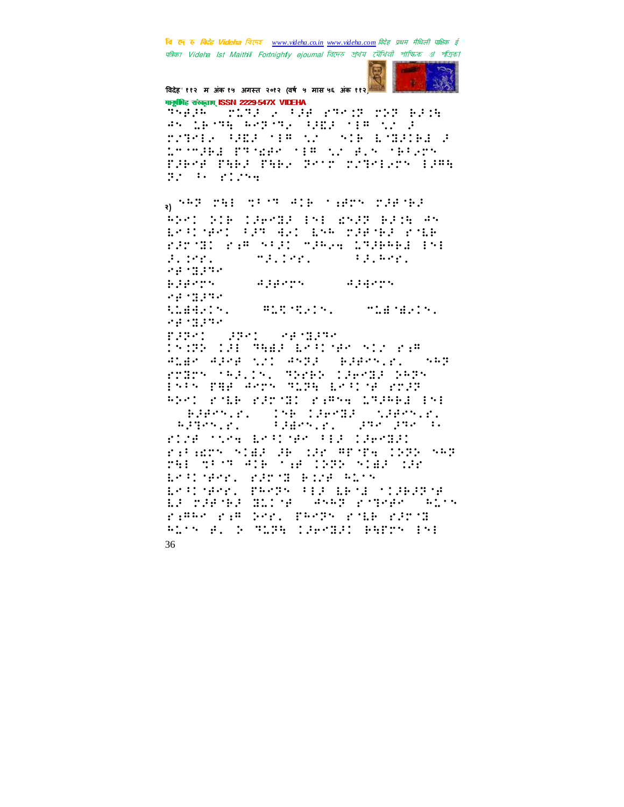वि एक रु क्रिटेड Videha विएम्ब www.videha.co.in www.videha.com विदेह प्रथम मैथिली पाक्षिक ई पत्रिका Videha Ist Maithili Fortnightly ejournal রিদেহ প্রথম মৌথিনী পাক্ষিক প্র পত্রিকা



विदेह' ११२ म अंक १५ अगस्त २०१२ (वर्ष ५ मास ५६ अंक ११२ के गानूबंधिह संस्कृताम् ISSN 2229-547X VIDEHA

SARA TELEVISIA PERSONAL PARA as then asymptoment and the send rather GHA new samples broaded a Louisea Progeo (18 true en 18120) FJERE FAEJ FAEJ FRYT TITREJTY 1JPA British Plant

 $\frac{1}{3}$  , which is the control of the control of the state  $\frac{1}{3}$ ANYT NIE TJERZE ENE WNJF EJIN 45 Defined for all bee connected rando resourcement operative  $1.1441$  $\mathcal{L}(\mathcal{L}_1, \mathcal{L}_2, \mathcal{L}_1)$  $3.3931$ **Participant** Barbara ( a diplomación de al diplomación **PERMITTE**  $1.144114...$ **AND STATES South State Control** eginggale i rader to **STAR SEMINARY** DRIBR 198 MAAR EKSTYAK RID BYA (F.Hen. 2. 1982) Aldr APre thi Arde rolow (Allia, Serb) (Serl) 2455 iyly raf Arry Alge british rrdg RNO POLE PROCHO PARSA LIRREL ESE Rafovin, 196-1965ag (d. 1967)<br>1965ag - Palovin, 196-1965ag<br>1965ag - Palovin Sagar **PARTICAL CONSTRUCTION** rice time brainer als clembs: ratary star about write 1976 sep MAR SPORTAGE CAR ISSN SIAP SPE ESPIRENT PROMIERTE RESP Erscher, Pers Sid Erichtsbare La raegea Billye (AseB Porele') els ramen ram ber. Perzy role raroz ALTS AL D MINH COAPROL BATTS INE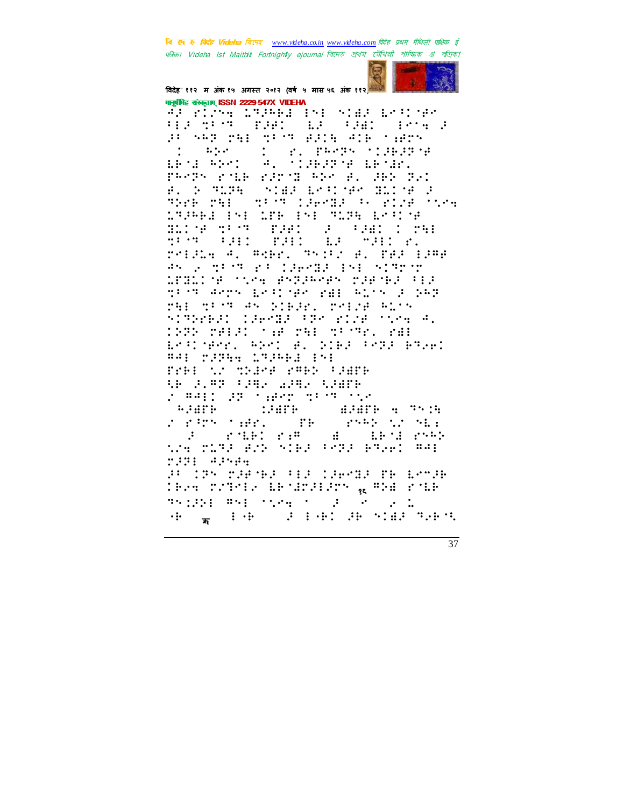वि एक रु क्विहेट Videha विएम्ब www.videha.co.in www.videha.com विदेह प्रथम मैथिली पाक्षिक ई पत्रिका Videla Ist Maithili Fortnightly ejournal রিদেহ শ্রথম মৌথিনী পাক্ষিক প্রা পত্রিকা



विदेह' ११२ म अंक १५ अगस्त २०१२ (वर्ष ५ मास ५६ अंक ११२) गानूबंगिह संस्कृताम् ISSN 2229-547X VIDEHA

Ar richa 1924 Electric Star Leston  $\{ \frac{1}{2}, \frac{1}{2}, \frac{1}{2}, \frac{1}{2}, \frac{1}{2}, \frac{1}{2}, \frac{1}{2}, \frac{1}{2}, \frac{1}{2}, \frac{1}{2}, \frac{1}{2}, \frac{1}{2}, \frac{1}{2}, \frac{1}{2}, \frac{1}{2}, \frac{1}{2}, \frac{1}{2}, \frac{1}{2}, \frac{1}{2}, \frac{1}{2}, \frac{1}{2}, \frac{1}{2}, \frac{1}{2}, \frac{1}{2}, \frac{1}{2}, \frac{1}{2}, \frac{1}{2}, \frac{1}{2}, \frac{1}{2}, \frac{1}{2}, \frac{1}{2}, \$ **THI AS PART PROPER** an sep pal drom aala gle caaps  $\mathbb{R}^2$  : PRPP (11839)  $\mathbb{Z}$  .  $\mathbb{Z}$  .  $\mathbb{Z}$  $\ddot{\cdot}$ ERSEARCH AL STREPSHEMENE PROPRIECENT PROCESSIBLE SERVICE B. S MIRE (STAR BRATISH BILLY ) SPER PHILOIDENT CERTE EN RICE STRA LTPRES INFORME INFORMATION  $\mathcal{P} = \{H_{\text{eff}}^{\text{max}}\}$  (2011) Hille gree paper gren fall fål (12 mal). refile A. Ader. Third B. PAP fine An a mism pacificate information traité sué, Adamén dans Cra mism arms principe rail answer par PHE TRITAN PIERS, PAPINE BLIN SIRGERI LEPGE (PROVINCE SVR) 4. INTE MALAGE SAN MALE MESTER SALE Endinant, Adri al diel Prof. Bouel **84: 2399 23862 15:** Frei ar deles reep (Sere r Addi di rahvornim run **WEBSTER AND - THE CONSTRAINING** standard (1981) and the standard state of the state of the state of the state of the state of the state of the<br>State of the state of the state of the state of the state of the state of the state of the state of the state 2321 Albert an 195 papiean na 1apida de 695a IPAN CATHIA LPOLCHIPS & PAE BOLP **35:22: 85: 1129 1 2** a <sub>m</sub> ia (21a) a súplas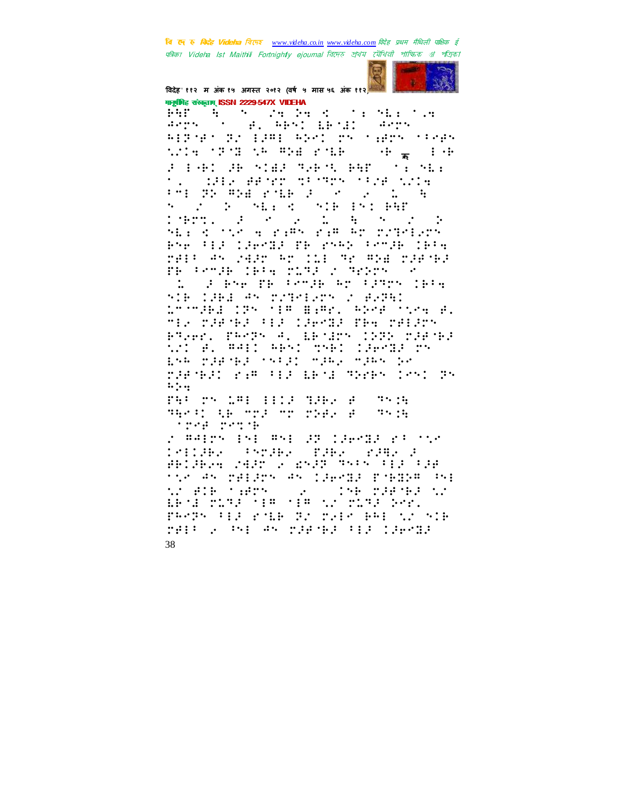वि एक रु क्रिटेड Videha विएम्ब www.videha.co.in www.videha.com विदेह प्रथम मैथिली पाक्षिक ई पत्रिका Videla Ist Maithili Fortnightly ejournal রিদেহ শ্রথম মৌথিনী পাক্ষিক প্রা পত্রিকা



विदेह' ११२ म अंक १५ अगस्त २०१२ (वर्ष ५ मास ५६ अंक ११२) मानूबंगिह संस्कृतम् ISSN 2229-547X VIDEHA

o <sup>2</sup>A (1961) za da shekarar 1969 zuwa<br>9 - Maria Absolubiyoti (1955) **WE**  $\mathbf{a}$  ,  $\mathbf{a}$  ,  $\mathbf{a}$  ,  $\mathbf{a}$  ,  $\mathbf{a}$  ,  $\mathbf{a}$ RIPSES RACIARI RESULTS SARDS SPARS **WIRTH START START**  $\cdots$  ,  $\cdots$ a bar am sima gamu mur sé si.  $\ddot{\phantom{0}}$ n 1991 (1992) af ren de rens seva surta.<br>And de seva antik (2003) (2004) a Source State of SIR ISI RAT **THERE**  $\label{eq:2.1} \mathcal{L}=\mathcal{L}=\mathcal{L}=\mathcal{L}=\mathcal{L}=\mathcal{L}=\mathcal{H}=\mathcal{H}=\mathcal{L}=\mathcal{L}$ Ali d'out a ram rim de romàged Pre FIS CSPMBS TR PrP2 Frm3R CRT4 MAIR AN WARD AD ILL ME ADA MUACH. PHORMORE IRRA MITROS TRIMMONO of Breaking Compact by Congress (BC)  $\ddot{\cdot}$ SIE LAEW AS TURPLATS O AVARI Loomaal 195 (18 BaAr, ASKA 1554 A. MIR SPECHALLER CREMEN THE SHIRS' BROGEN PROTECTS EBORY 1978 TORPEOR tri el mali mesi muki lawaa Ms ESA PIRTEI TSII MIAL MIAS DE raenea: rae fia dena green (nn: gn  $\cdots$ FAR TH 181 BILE THE AT  $\mathbb{R}^n \times \mathbb{R}^n$ THANK AR TOS TO CHEAN BUILTY OF **STORY TATION** r Agirs isi Asi 28 (2001) 23 con DAIDHE FAMAR TARE RAHE A PRIPRA VARD 2 BNPP THIN FIR FPR tic An relarn An lawda Poede (ne transporter the service **Second State State State State** Bellouse the the trust ber. PROPRIETZ POLE POSTOLEO PRESSO NIR rain y shi an raacha sia cayoma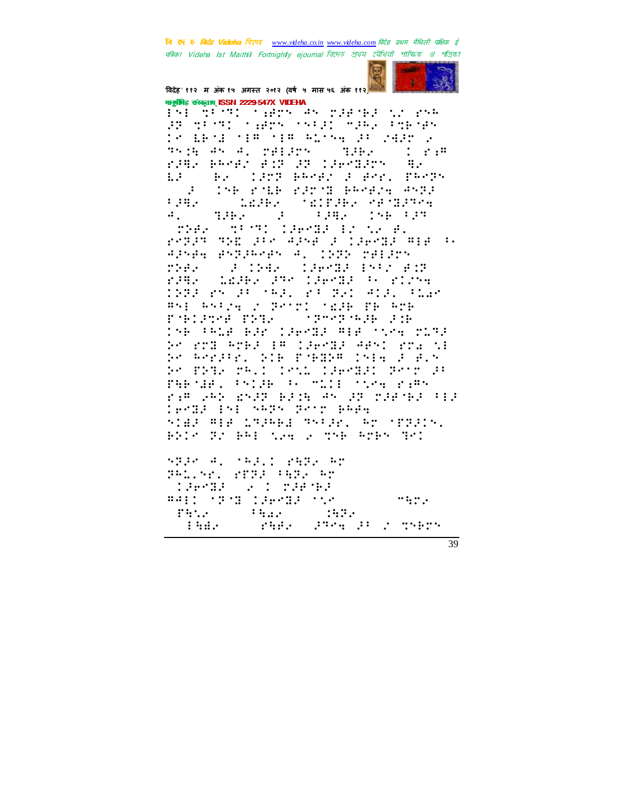वि एक रु क्विहेट Videha विएम्ब www.videha.co.in www.videha.com विदेह प्रथम मैथिली पाक्षिक ई पत्रिका Videha Ist Maithili Fortnightly ejournal রিদেহ প্রথম মৌথিনী পাক্ষিক প্র পত্রিকা



विदेह' ११२ म अंक १५ अगस्त २०१२ (वर्ष ५ मास ५६ अंक ११२) गानूबंगिह संस्कृताम् ISSN 2229-547X VIDEHA

Pel Sist caps as paralel to re sender en planten beginne 22. 23. 23. De Brussim sim Alske di 24dr 2 This Ancalogue is the State of the State of the State of the State of the State of the State of the State of the State of the State of the State of the State of the State of the State of the State of the State of the State  $\therefore$   $\therefore$   $\therefore$ rage been bur ar taergarr  $\ddot{a}$ Br (1953 BRABY 3 BAY, 2003)  $\mathbb{R}^3$ Information Personal Ange  $\mathcal{L}$ **SECRET SECRETA** 1,182 **MANUFACT** 1962 - 2 COURT 1960<br>CONTROL DEPRES 12 NASEL  $(1.54 - 1.22)$  $\ddot{a}$ .  $TSP$ reduce the use agent of topedd min sk Alben Ablikain A. (1926 relieb 136533 DNA 202 nder de service de la proporcione de la contextura de la contextura de la contextura de la contextura de la co<br>De la contextura de la contextura de la contextura de la contextura de la contextura de la contextura de la co  $\mathcal{F}$  . Then  $\mathcal{F}$ LEBA PROTECTS AND STORE rum. 1983 PS 3: 543, PT 821 413, PLAC BNI RNIZA Z POTOL TERR PR RTR PORTAGE PRIS CONTROLLER AND .<br>196 FALA 622 (26912 Ala 1196 2192 .<br>De ard Arby (A lybedy Apyl ard th PO ROBBEL PIE POBBELINIA BLACK PO EPRE PRID IMAG IPPORT POT P PARTHE PRING Resource and Party rim 242 grup elig 45 de riginal (1) Terma (5) 5425 Brit BAA. **STAR REPORTED TSPACE AT STREET.** BRIC RO BAI NOW 2 MORE AMPS ROI spread said particular

| 300.000 0000 0000 00             |                                 |
|----------------------------------|---------------------------------|
|                                  |                                 |
| <b>BALL (238 100000 100</b>      | $\cdots$ is the set of $\cdots$ |
| <b>Philadelphia (1999)</b>       |                                 |
| dian san distributed and several |                                 |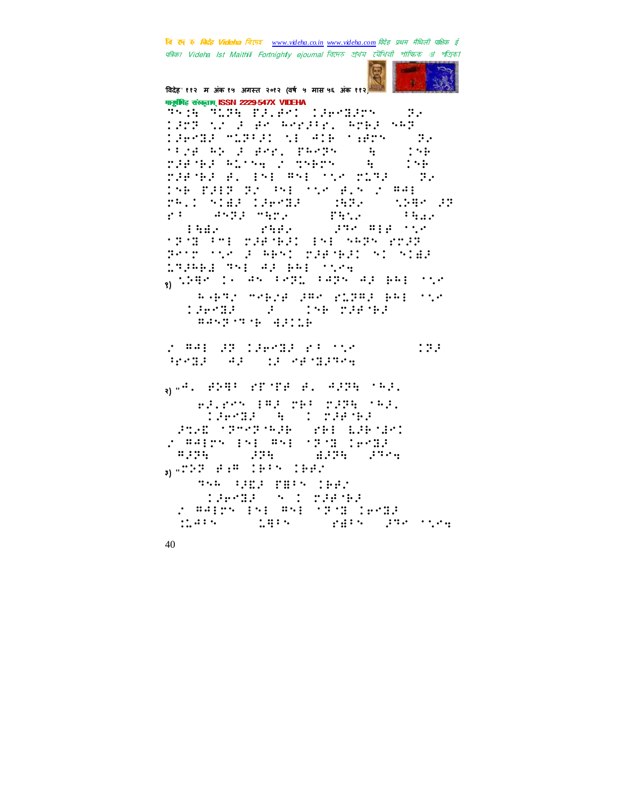बि एक रु मिन्हें Videha विरमर www.videha.co.in www.videha.com विदेह प्रथम मैथिली पाक्षिक ई पत्रिका Videla Ist Maithili Fortnightly ejournal রিদেহ শ্রথম মৌথিনী পাক্ষিক প্রা পত্রিকা



विदेह' ११२ म अंक १५ अगस्त २०१२ (वर्ष ५ मास ५६ अंक ११२) मानूसीमेह संस्कृताम् ISSN 2229-547X VIDEHA

The Pile Elect Clessor  $\mathbb{R}^n$ TREP NO R RE REPRIE REPRI SRP. 196919 MIRSEL NE AIR SARTS<br>1978 AN 2 BAY, PAMPS (19  $\mathbb{R}$  :  $: \cdot :$  $\mathbf{1} \cdot \mathbf{1}$ randa alise romano  $\ddot{a}$ THE REAL END AND STATISTICS. THE 158 FJP 22 PSE 158 B.5 2 MME ralı yıldı (Jerop - 1922) (1998–192)<br>23 - Aydı Merk - Patlan - Salak grade aggebrade **Similar**  $\mathbf{r}$  : the set of  $\mathbf{r}$ **TRID PHE CREMER ENE NAPH CORP** Priz Tir 2 APSI Z281921 SI SIAR **MINE THE 43 BM STAR**  $\frac{1}{30}$  where  $\frac{1}{3}$  ,  $\frac{1}{3}$  and  $\frac{1}{3}$  and  $\frac{1}{3}$  and  $\frac{1}{3}$  and  $\frac{1}{3}$  and  $\frac{1}{3}$  and  $\frac{1}{3}$ 

(RAPT) MARIE (PRO PLIP) PRESSUR Caendal al Companie **BOSTON BOSTON** 

2004: 22 126-126 23 1121  $\mathbf{1}$   $\mathbf{3}$   $\mathbf{1}$ ROSE AF SE CROSSING

 $\frac{1}{30}$  and  $\frac{1}{30}$  . The second second second second second second second second second second second second second second second second second second second second second second second second second second second

#3.rc% (#3 rH= r375 '\*3. **TAPSA ROCKETS POSE CROSS-RPF (SPF EPPIEC)** r ##irk ini #ni (PSI (PSI) *<u><b>0.000</u>* **1.000 1.000 1.000 1.000 1.000 1.000 1.000 1.000 1.000**  $_{3)}$  (2002) (Fig. 2003) (Fig. **TAR BULL PHIA (BB)** Maria Strainer

2 #4155 151 #51 (2013)18038 **SERVE STARTING**  $11.4333$  $\mathbb{R}^{n}$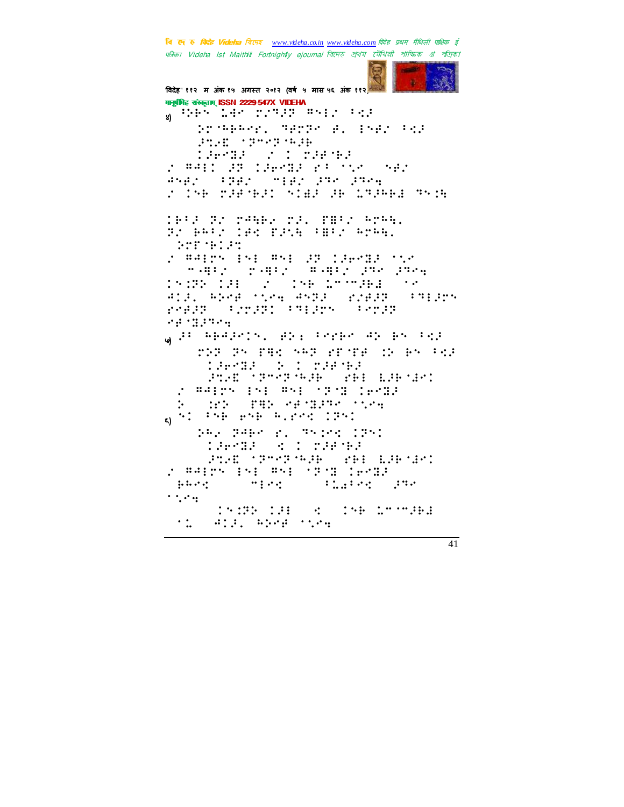वि एक रु क्विहेट Videha विएम्ब www.videha.co.in www.videha.com विदेह प्रथम मैथिली पाक्षिक ई पत्रिका Videha Ist Maithili Fortnightly ejournal রিদেহ প্রথম মৌথিনী পাক্ষিক প্র পত্রিকা



विदेह' ११२ म अंक १५ अगस्त २०१२ (वर्ष ५ मास ५६ अंक ११२) गानूबंगिह संस्कृताम् ISSN 2229-547X VIDEHA  $\frac{1}{20}$  :245  $\frac{1}{2}$  .45 (2.723 (851) (2.2 Promence, Serge e. 15er (83) **STAR STORY SAFE COMMON CONSTRUCTION** r WAIT 22 TEPSE PROTO SER **ANAS (PAS (MIAS PRO PRO)** r The Safean Miaa ae Louisea onas 1852 P2 MARA M2, PB52 RMAR.<br>P2 RR52 185 P258 SB52 RMAR. **DOST SECTION** 2 ##125 151 #51 28 126582 515 **SAMPLE PARTY WARES FROM PROV** INDREDIAL CONTRACTOR  $\cdots$ ALA, ASAA YOMA ANGA (2020) (19125) PART (PREPLIEBERS PARR  $99.1233999$ g : Abdinin, Bri Probr dr bn Pol MAR RESIDENT MICHAEL ME BELLEVI 1969 1 1 1999 FRED TRAP SHE SHE LARGED r PAlry Eye Pye (1978-1878) SHE THE SPORTS SEA  $\ddot{\cdot}$  $\mathbf{g}^{(n)}$  . The special special problem pay pape gi dejeg (pe) **COMMON SECTION** POETYPESHE PHILEPIC 2 BALCH IN BNI 1218 IPNE  $\ddot{v}$  is a set of  $\ddot{v}$  $\sigma$  is a set of  $\sigma$  .  $\cdots$ **INSTEAD OF STRAIN STRAIN**  $\cdot$  :  $\begin{array}{cccccc} \mathcal{A} & \mathcal{C} & \mathcal{C} & \mathcal{C} & \mathcal{C} & \mathcal{C} & \mathcal{C} & \mathcal{C} & \mathcal{C} & \mathcal{C} & \mathcal{C} & \mathcal{C} & \mathcal{C} & \mathcal{C} & \mathcal{C} & \mathcal{C} & \mathcal{C} & \mathcal{C} & \mathcal{C} & \mathcal{C} & \mathcal{C} & \mathcal{C} & \mathcal{C} & \mathcal{C} & \mathcal{C} & \mathcal{C} & \mathcal{C} & \mathcal{C} & \mathcal{C} & \mathcal{C} & \math$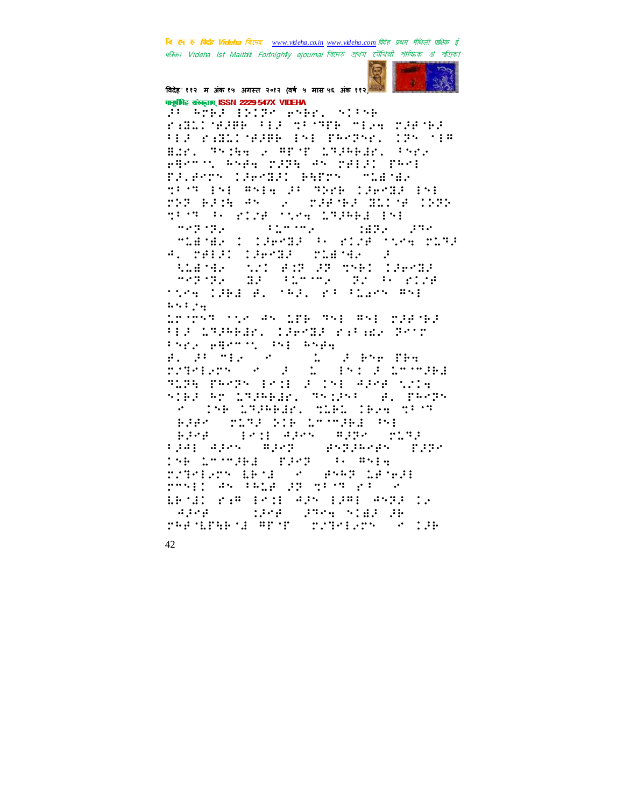वि एक रु क्रिटेड Videha विएम्ब www.videha.co.in www.videha.com विदेह प्रथम मैथिली पाक्षिक ई पत्रिका Videla Ist Maithili Fortnightly ejournal রিদেহ শ্রথম মৌথিনী পাক্ষিক প্রা পত্রিকা



विदेह' ११२ म अंक १५ अगस्त २०१२ (वर्ष ५ मास ५६ अंक ११२) गानूबंगिह संस्कृताम् ISSN 2229-547X VIDEHA

j<sup>e a</sup>rre detro eser, strsk rancers (1980) and the company of the company FED RABLINGDEN ENE PROPHET (PN MER BAY, Thing & APTE LTDARIE, Thre FROM SHE MIRE AN MILL TANK FALENTY COMMON BETTY TEACHER TEST ESE PSIN 28 TEMP CHRIB ISE 723 BASH 45 (2) 738 928 821 98 1202 diction and the Indeed Inf a dia 1970 mponina amin'ny faritr'i Nord-Amerika ao amin'ny faritr'i Nord-Amerika ao amin'ny faritr'i Nord-Amerika<br>Ny faritr'ora dia GMT+1.  $\mathcal{O}(\mathcal{O}(10^6))$ chiadiko daftarte etzi huniorra A. MARIT CHAND MINGER C Starter (121 august 1981 lieber)<br>Schedule (13 august 1981 lieber)<br>Stres 1984 av Start auf Night mei  $\ldots, \ldots,$ Loures the An Lob Sni Ani official HI LTPARE (PROB) films Por र भिन्न सिर्माणील के साथ सम्मूल<br>के अन्तर्गत के साथ साथ S President binérien) es as fissant a chinava SLEE PROPRIECH IN 151 APORTUNIE nieg er Logebar, online (e. 1869)<br>19 - De Logebar, olbis leva ofto adar (1919) bia loomdal (54)<br>adre (1911) sors (819-) bi  $\mathbb{R}^n$ tja: ajes mjež (pszjmegs zjze 158 Loomaal (Park (F. 8514) rathers bend of Gene benefi rnsil as this dront risk a ERMIN KAR ERME APR EPRE ANDE 12  $\left( \begin{array}{ccc} 0.1884 & 0 & 0.1884 \\ 0.0000 & 0.0000 & 0.0000 \\ 0.0000 & 0.0000 & 0.0000 \\ \end{array} \right) \times \left( \begin{array}{ccc} 0.0000 & 0.0000 & 0.0000 \\ 0.0000 & 0.0000 & 0.0000 \\ 0.0000 & 0.0000 & 0.0000 \\ \end{array} \right) \times \left( \begin{array}{ccc} 0.0000 & 0.0000 & 0.0000 \\ 0.0000$ reported a most constant a cap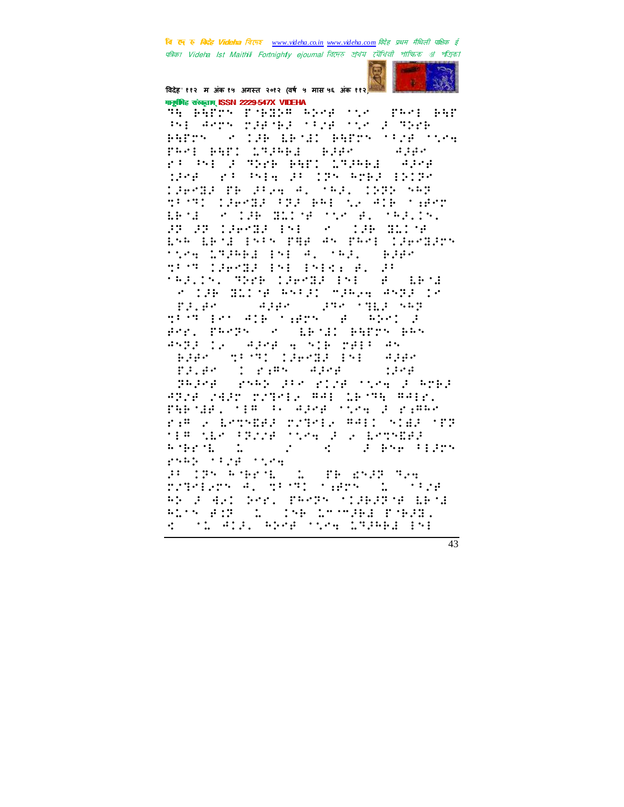बि एक रु *बिरोह Videha चिएक www.videha.co.in www.videha.com विदेह प्रथम मैथिली पाक्षिक ई* पत्रिका Videla Ist Maithili Fortnightly ejournal রিদেহ শ্রথম মৌথিনী পাক্ষিক প্রা পত্রিকা



विदेह' ११२ म अंक १५ अगस्त २०१२ (वर्ष ५ मास ५६ अंक ११२) गानूबंगिह संस्कृताम् ISSN 2229-547X VIDEHA

the birds remove about the crack bur sti den halla sigl sis stage BAPOS (2012) LESIL BAPOS STAR SSPA<br>PROL BAPI LITZABAL (BJBP) (1948) r: 251 2 Mark BAP: 1926B1 (4208 1208 208 9514 25 125 5262 12120 CAPTER TH STOR AL MASS COTO NAT this control the beside album and ROCHE HIDDE STROEP (SAFILLY)  $1.1.1.1$ BR BR 196000 151 (St. 196001115 ESA ERSE ESPS PHP AS PAPE COPPOORS tice LAPHER Ene Al (AP), SEPR TEST LEPTE ESE ESERI EL 25 fealth, The Caesar End of Caesa se ige ming esta sage Gsag (  $\begin{array}{cccccccccccccc} & T\mathcal{F}_1,\mathcal{F}_2 & & \cdots & \mathcal{F}_1\mathcal{F}_2 & & \mathcal{F}_2\mathcal{F}_2 & & \mathcal{F}_1\mathcal{F}_1 & & \mathcal{F}_2\mathcal{F}_2 \\ & T\mathcal{F}_1,\mathcal{F}_2 & & \mathcal{F}_2\mathcal{F}_2 & & \mathcal{F}_1\mathcal{F}_2 & & \mathcal{F}_2\mathcal{F}_2 & & \mathcal{F}_2\mathcal{F}_2 \\ & & T\mathcal{F}_1,\mathcal{F}_2 & & \mathcal{F}_1\mathcal{F}_2 & & \mathcal{F}_2\math$ Provincial Communications (PAP) 4522 12 (4268 4 518 2818 45 BARK STORY CAPABE ENE SAAR Trian Confan Arna Conne SPARA SPAR PROVINCE COMPARADOR APINE INST TITULE AAL LETTE AALE. ribud. Ha bilaya she a rawo ram a bronzeg padria meli nigg (pr He ALE PROP them a component  $\frac{1}{2}$  .  $5.25 \pm 0.11$  ,  $-1.1$ **Said Start Party Start**  $\frac{1}{2} \left( \mathcal{N} \left( \mathcal{N} \right) \right) \left( \mathcal{N} \left( \mathcal{N} \right) \right) \left( \mathcal{N} \left( \mathcal{N} \right) \right) \left( \mathcal{N} \left( \mathcal{N} \right) \right) \left( \mathcal{N} \left( \mathcal{N} \right) \right) \left( \mathcal{N} \left( \mathcal{N} \right) \right) \left( \mathcal{N} \left( \mathcal{N} \right) \right) \left( \mathcal{N} \left( \mathcal{N} \right) \right) \left( \mathcal{N} \left( \mathcal{N} \right)$ B IP FARI ar 195 Forest Co. (Broasar Sav<br>Evertars footbost carrs Co. (1924 RESPONSE ERROR CONFIDENTIAL Rick auf (1888) im Schaal Poble.<br>Rooms Avi, Rick moek in Baby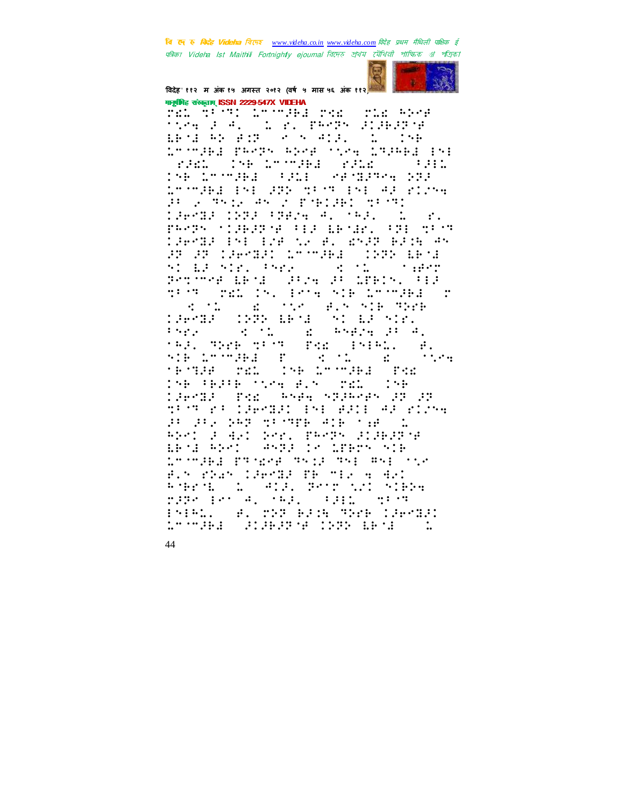वि ए रु क्रिडे Videha विएक www.videha.co.in www.videha.com विदेह प्रथम मैथिली पाक्षिक ई पत्रिका Videla Ist Maithili Fortnightly ejournal রিদেহ শ্রথম মৌথিনী পাক্ষিক প্রা পত্রিকা



विदेह' ११२ म अंक १५ अगस्त २०१२ (वर्ष ५ मास ५६ अंक ११२ व मानूबंगिह संस्कृताम् ISSN 2229-547X VIDEHA

fil that income per the spe ting a 4. To 2. There allegate ERG RESTRICT STATES IN THE Dringed peers and side broad pa **FALL INF LOOMBE FRIE (1991)** THE LOOPER COURT CHANGES SEA 1555.A. ISB 232 SPORT ESE 42 SIZSA FROM THIS ANDER PHILED TRITT 196988 1989 (19824 A. 1983)  $\ddot{\cdot}$ PROPRIATIONARY PERSONAL PRESSURE THEAR INE ENFORCED WHAT BENE AN ST ST COMMON LTTMBE (1989 BB18 si 12 sir. Tsr. 114 sir. 114 sir.<br>Prover 1831 (Pira Pick 1818), 113 TROT TEL IN POSS NIE LTOCHE CT  $\mathcal{A}$  , the scalar state of  $\mathcal{B}$  , which will define MAGE OND BREAK AT BEATER ingur (d. 1872), a chugaigh all<br>1932 ghab dina faoi 1919. Cair<br>1916 1877 ghac foi dina con  $\ddots \ddots$ rénde del lise innues per 158 PRPE Time Bir (mail 158) Caerda (pro Angelhagher ap ap ding a lawan in Gari al King BURG SAR MUMPER ALE TER L. RESIGNARI EST. PROPRIATARISM BROB REST (ANDER 18 DEREN NIR <u>Dringed propos regulard ard co</u>r Bir rhan (Sends PR mis a As)  $\frac{1}{2} \left( \frac{1}{2} \frac{1}{2} \frac{1}{2} \frac{1}{2} \frac{1}{2} \frac{1}{2} \frac{1}{2} \frac{1}{2} \frac{1}{2} \frac{1}{2} \frac{1}{2} \frac{1}{2} \frac{1}{2} \frac{1}{2} \frac{1}{2} \frac{1}{2} \frac{1}{2} \frac{1}{2} \frac{1}{2} \frac{1}{2} \frac{1}{2} \frac{1}{2} \frac{1}{2} \frac{1}{2} \frac{1}{2} \frac{1}{2} \frac{1}{2} \frac{1}{2} \frac{1}{2} \frac{1}{2}$ 1 ADA Promini nika nde les 4, sad, sidio nest ESIAL (#. 253 BJSB 352B 1360331 <u> 1999: Hall States Bord (1911-1913)</u>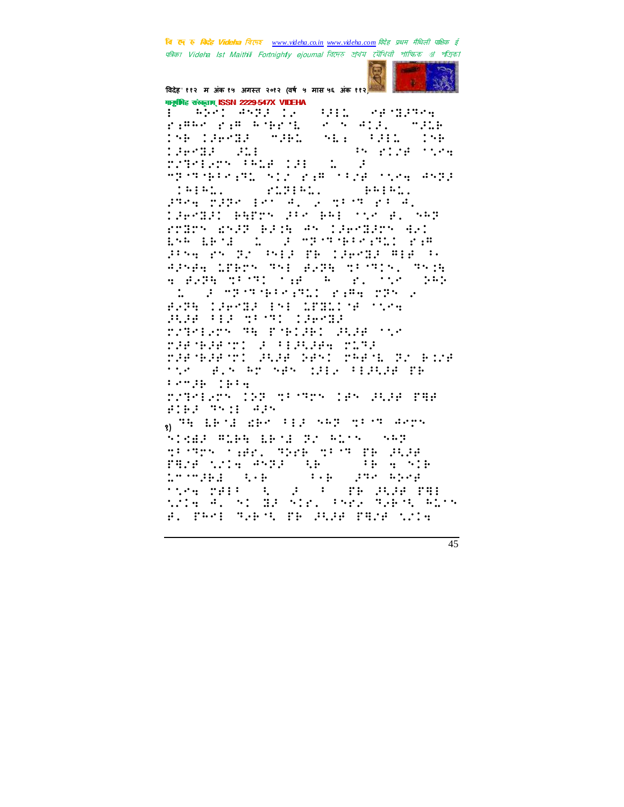वि एक रु क्विहेट Videha विएम्ब www.videha.co.in www.videha.com विदेह प्रथम मैथिली पाक्षिक ई पत्रिका Videla Ist Maithili Fortnightly ejournal রিদেহ শ্রথম মৌথিনী পাক্ষিক প্রা পত্রিকা



विदेह' ११२ म अंक १५ अगस्त २०१२ (वर्ष ५ मास ५६ अंक ११२ व गानूबंगिह संस्कृताम् ISSN 2229-547X VIDEHA

SARI SERIES<br>SARA AMA SARI rime rim whrth 198 (Senas Stand Services) (98  $35.722.727779$ Martia al TIME (1918) 1919  $\mathbb{Z} \longrightarrow \mathbb{R}$ eperempte province and enterpresent and p CHINA STRING  $\cdots$  :  $\cdots$  : 2004 선고대 Ent Al 2 선터역 관계 4. TRANSPORTED AND BAILING B. SAP rolom chap bash am caerlach del ESA ERSED E DE MESTARRAGALI PAR anse es al med de caesoa mie n APSAS LEEDS ASE AVAN NUMER (ASIN a Anglich (alla la Sal  $1.4.1$  $\mathbb{Z}^2 = \mathbb{Z}^2 \times \mathbb{Z}^2 \times \mathbb{Z}^2 \times \mathbb{Z}^2 \times \mathbb{Z}^2 \times \mathbb{Z}^2 \times \mathbb{Z}^2 \times \mathbb{Z}^2 \times \mathbb{Z}^2 \times \mathbb{Z}^2 \times \mathbb{Z}^2 \times \mathbb{Z}^2 \times \mathbb{Z}^2 \times \mathbb{Z}^2 \times \mathbb{Z}^2 \times \mathbb{Z}^2 \times \mathbb{Z}^2 \times \mathbb{Z}^2 \times \mathbb{Z}^2 \times \mathbb{Z}^2 \times \mathbb{Z}^2 \times \$ syne chema and member from **BURGER SECRITARYS** STREET TH POSSES SURFIVE MARTER MISSION MARAGO AGA NEL MARA DI BIG the B.S Ar SP (BB) FEBUR TR Pende dels ratelers (ST of The Cas aude PRA #192 7511 425 s) The EBSCH who coupled to the depth STREE RIPE ERSE PL RISK (SRP there was the second the sum raze szta especiael i Pelalóte 1554.<br>1554 MH (S. 2003) Brogan PH<br>1514 A. S. 16 Sin, Park Personal B. PROP SPROG PROGRAM PROF SOCK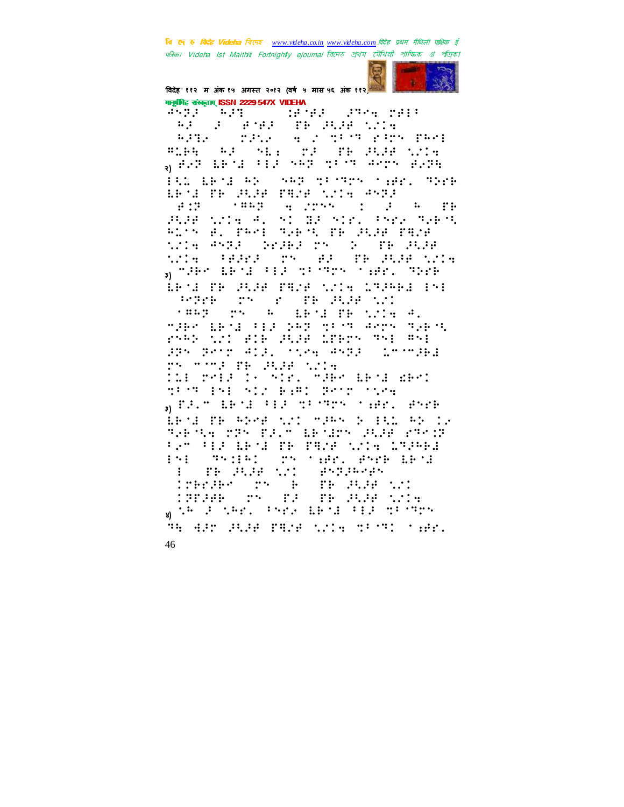वि एक रु क्रिटेड Videha विएम्ब www.videha.co.in www.videha.com विदेह प्रथम मैथिली पाक्षिक ई पत्रिका Videla Ist Maithili Fortnightly ejournal রিদেহ শ্রথম মৌথিনী পাক্ষিক প্রা পত্রিকা



विदेह' ११२ म अंक १५ अगस्त २०१२ (वर्ष ५ मास ५६ अंक ११२) गानूबंगिह संस्कृताम् ISSN 2229-547X VIDEHA

SPAR STARTED  $\mathcal{P}(\mathcal{G},\mathcal{G})=\mathcal{P}(\mathcal{G})$ **AF F FAR TH BULL WILL CONSTRUCTION CONSTRUCTION**  $\ldots$ mini na Vila (na cre anae shin <sub>a</sub> est mend for ser goer gens girk Him about Add (AAP groups (1991) Union BROWNER CHARTERY SERVICE  $\mathbb{R}^2$  $\mathbf{H} = \mathbf{H}$ PLAR STORY ALL SOCIETY SOCIOLASH THROUGH RITS B. PROF RAROL PROPERTYR WIRTH PARK CHORAGE TACCORD TROUBLE inter 1992 (pr. 1918)<br><sub>3)</sub> make leng tid of compromise. She's LEAS TE SUSH TRAP ANDE L'UPER 191 **PORT TO POST BOARDON** teach and a mand me wie fil make iking tia yaa mitut wemu makin res on aik sus ince the sh 335 3612 413. 1164 4533 - 157538 rn mond fe dide wile<br>Illi relacio nie, maer lewiceeri TEST ENE NIC BARI POST TION a PALT LETA FEA DITTY TARL PYPE BROW TROPPART ON TOPAC ROBBER 12 THE SEA TRY TAIN ABOUT ANDER THOM ter til med fr fare trie 1934. (Third of the Seat Photo Leng  $\mathbf{1} \cdot \mathbf{1}$ THE PURP NOTE - PREPROPR  $\ddot{\phantom{a}}$ **CONSIDER TO BE** STORE THE TO THE SIGN WITH g të fitesi shkararët në She se er ald fere til die statt tek.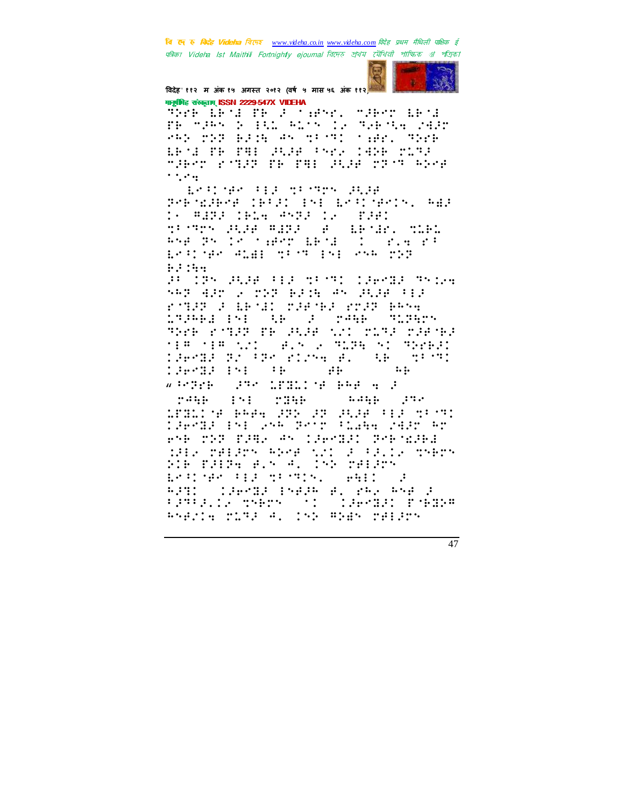बि एक रु मिन्हें Videha विरमर www.videha.co.in www.videha.com विदेह प्रथम मैथिली पाक्षिक ई पत्रिका Videla Ist Maithili Fortnightly ejournal রিদেহ শ্রথম মৌথিনী পাক্ষিক প্রা পত্রিকা



विदेह' ११२ म अंक १५ अगस्त २०१२ (वर्ष ५ मास ५६ अंक ११२) मानामिह संस्कृतम् ISSN 2229-547X VIDEHA

THE BEST PEOPLIPHIC SPECTABLE TE MIRS & IND REMA IS THE MA CHIM **PRESIDE BEDEVAL MESSED SHEET SPEER** LEAD TE THE JULE THAN CHEE TITLE "Her ridge the FAI (B.H. 2773 ASK)  $\cdots$ 

ESPIRATORS TEST TEST PRIME President (PFF) (54) 1837-08-15. Add G AURA IRIA ANRA IV (PARI trings and which a ABSAR, TAPA And Bridge Capture LBod  $\mathbb{R}^2$  . The state of  $\mathbb{R}^2$ Endinan Ald: Stor End and Sta **FF:55** 

BUILDS BUBB FED TO THE LEATH TSIAN sap admissions adda as dida tid POTAR A BROAD CAROBA POAR BROW comparing the 2 yage occasion Reel colds be due out class caeoes nie nie tyd (alt ) fore to francj<br>1964: Profesorote alt (alt ) fr  $\mathbf{H}$ 126513 151  $\mathbf{H}$  $\ddots$  : were are handed began

 $1.44$  $\cdot$  : : : :  $\mathbf{1} \cdot \mathbf{1}$ **STORE**  $\ldots$  :  $\ldots$ 1881:4 PRA SS SS SS SS FER 50 55 19608 191 296 Beir (1966 2007 Ar PH TRE FINE AN INPOINT THE MINE MIR TAIRTH ANNA NOT ROBERT TARTY BIB FRITH R.S.R. 150 TREPT ESTINA PERSONAL AND  $\mathcal{L}$ RATI (IAPOIA ESAGAR AL 282 RSA A (PRESIDENTIFY) OR TENNIS PARA RSAMIN MITH A. TSP RPAS MAIRMS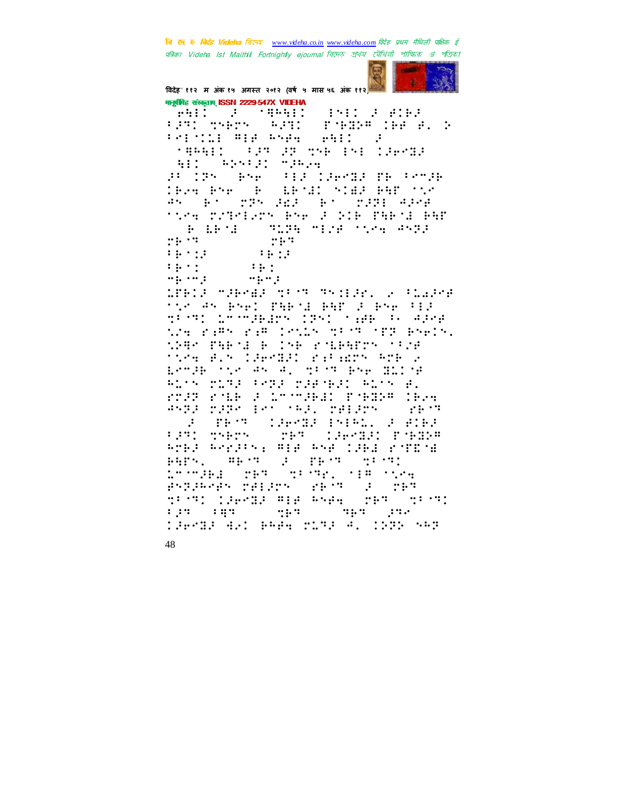वि एक रु क्रिटेड Videha विएम्ब www.videha.co.in www.videha.com विदेह प्रथम मैथिली पाक्षिक ई पत्रिका Videla Ist Maithili Fortnightly ejournal রিদেহ শ্রথম মৌথিনী পাক্ষিক প্রা পত্রিকা



विदेह' ११२ म अंक १५ अगस्त २०१२ (वर्ष ५ मास ५६ अंक ११२ व गानूबंगिह संस्कृताम् ISSN 2229-547X VIDEHA **SERVICE SERVICE ALL: ALL: ALL:** titlemen Airl fere dele pla Principal Air Angel (AGI)  $\ddot{\cdot}$ 198411 (FP 22 TH 151 126512 an tas (ese) nia taeraa me nrmae The Press Politics (AID PAT 152 45 BY 275 REP BY 2771 4246 tire complete bee 2 bib fabri bar  $\begin{array}{cccccccccc} \mathbf{1} & \mathbf{1} & \mathbf{1} & \mathbf{1} & \mathbf{1} & \mathbf{1} & \mathbf{1} & \mathbf{1} & \mathbf{1} & \mathbf{1} & \mathbf{1} & \mathbf{1} & \mathbf{1} & \mathbf{1} & \mathbf{1} & \mathbf{1} & \mathbf{1} & \mathbf{1} & \mathbf{1} & \mathbf{1} & \mathbf{1} & \mathbf{1} & \mathbf{1} & \mathbf{1} & \mathbf{1} & \mathbf{1} & \mathbf{1} & \mathbf{1} & \mathbf{1} & \mathbf{1} & \$ **ERSTART SERVICE**  $\mathbb{R}^{n+1}$  $\cdots$  $1 + 12$  $\cdots$  $\cdots$  $\mathbf{1}$  is the set of  $\mathbf{1}$  $\alpha_1,\ldots,\alpha_n$  $\cdots$  :  $\cdots$  : LPRIS MARKER MEST TRIBAL 20 FLARKE tic An Bhe: PAB 12 BAP 3 Bhe FIS SPORT IMPORTANCE IPST COMPOSITION the reference to the state of the service. wer meng e ine roleern <sup>y</sup>oue tice R.S. LEPTRI riture Arb 2 ESTER TO AN AL TEST PAR HILDE ROOM TORE FREE THEORIC ROOM BU ros rue a crosed form dem GADE DIRECTOR PARTNERSHIP  $\mathbb{R}^n$  is the set of  $\mathbb{R}^n$ S 2 TROT (26012-15151) 2-8162<br>F251 TSBTS - TRT (260121-15168 ROBE REPORTS FOR REPORTS LEED POTECH pars, mess portiones serve Dromaea (1989) na Parl (1980) nin Byzande Selas Serg a ser didio check sie ese. Mes didio 1980 1980 - 1980 - 1980 1991 **TRANSPORT BARA MINE A. 1939 SAB**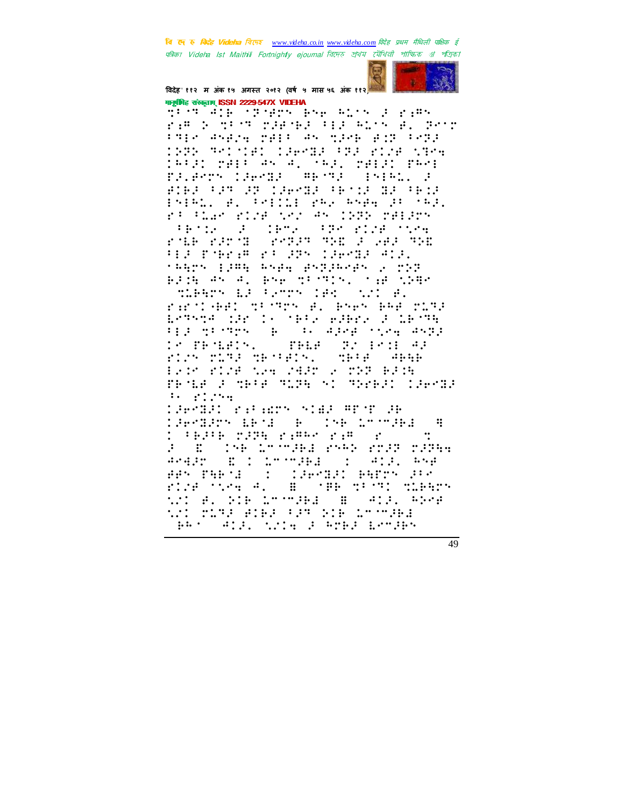बि एक रु *बिरोह Videha चिएक www.videha.co.in www.videha.com विदेह प्रथम मैथिली पाक्षिक ई* पत्रिका Videla Ist Maithili Fortnightly ejournal রিদেহ শ্রথম মৌথিনী পাক্ষিক প্রা পত্রিকা



विदेह' ११२ म अंक १५ अगस्त २०१२ (वर्ष ५ मास ५६ अंक ११२) गानूबंगिह संस्कृताम् ISSN 2229-547X VIDEHA

from Windows the Second State of the Second State of the Second State of the Second State of the Second State o ram no massa rapera a la sensa del perro PSP Andre Malt an Mind auf Prie 1935 Servier (1903) (31) 2019 5304 IRFAI MAIR AN A. MAA. MAIAI PRMI EALERTH CAPREL (PRIMA) (PHALL) A RIER FRAGIS CHRIE FERIE IE FEIR PRING B. PRICE PRACHABL BROAD, ra alum rice nec an ibab relarn standard (1952) (1953) (1953) (1954)<br>Braker (1955) (Braker (1968) (1968) (1968) HIS PORTH ROOFF CHAND AND. there flug head asplaces a TDP BESH AND ALL BNP METRING THE NEBR

there is terry led (ill e. rander wound been perchan Estria dan De Seta Adena d'Eeste FED SPORTS (B) PROGRESS STAR AND is produced a problem by paid as rich ring destate. Sheep Agap Exist play the agent works each TE SERVE SERVE SERVE SERVE DEPOSIT  $\mathcal{L}_{\mathcal{F}} = \{ \mathcal{L}_{\mathcal{F}} \mathcal{L}_{\mathcal{F}} \mathcal{L}_{\mathcal{F}} \}$ 

**COPYRED RAFARTY SIGN APST OR** CHAIRS WHITE THE COURT ፨ C FEPF 225 2356 2356 235 23 °C 3 E (156 LTT-BI PS5) PPP PARA Arago (B): Tin-Agel (S) (Atd. (Age APROPABLE : CAPAZI PAPPROJER FINE TOME ALL BOOTER TEST TIGHTS wi el bib inches (B) Aisl Abre wi misa adaa sas bia tiroogaa GRANI ATEL SITA E AMBE LAMERA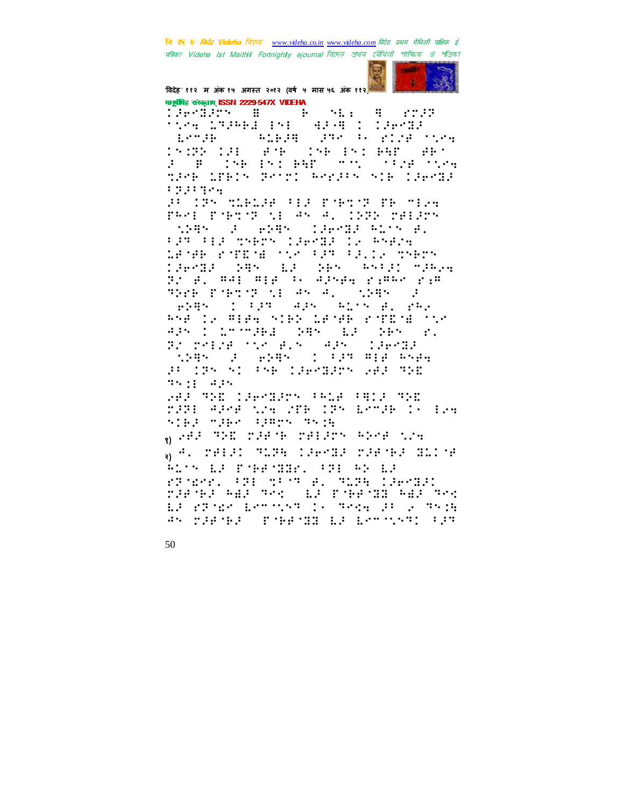वि एक रु क्रिटेड Videha विएम्ब www.videha.co.in www.videha.com विदेह प्रथम मैथिली पाक्षिक ई पत्रिका Videha Ist Maithili Fortnightly ejournal রিদেহ প্রথম মৌথিনী পাক্ষিক প্র পত্রিকা



विदेह' ११२ म अंक १५ अगस्त २०१२ (वर्ष ५ मास ५६ अंक ११२) गानुबंधिह संस्कृतम् ISSN 2229-547X VIDEHA

DEPERTY BOOK HOMES  $\ddot{H}$   $\ddot{H}$   $\ddot{H}$   $\ddot{H}$ ting inspective against there: (1853) - Albam (and ) albam (se 15:22 19: 20: 20: 15: 15: 20: 20: FOR THE END BETWEEN THE TIME SPECIFIC POST POST STRIP CHOID **FRANCH** 

a da mana ua reco de cae PARE PORTON NE AN A. 1939 MAE20N ANDRE SA SENDER CAPABA PLAN BL tin til sverk lakas la kara LEARN FATEAR AND FRAUDRAINER Caerda Sark La Serk Artai makae dr e. Wal Wie in Alsen rimsk rim THE POST OF AN ALL SPENCE

PSA LA ATAN SIRA LAMAR 2000'N MAS agê (1 brîngeg) (285 - 62 - 265 - 26<br>de perez (155 - 265 - 425 - 1264 - 26 **SPR FOR PRESS IS FROM HIM ANPA** an the et new tapemare was mem  $25.11 - 4.15$ 

**AND THE CONSIDER PRINT RESOURCE** radi Aare waa die 195 metal 17 maa  $_{30}$  and the run will replace when the a) 4. Separa Super Caesaa Saasea durise ALOS LE POHENBEL FRI AN LE FROM PRESPONDED TERM COMMAN ble helmed was all colemn her was

EF PINES ESTIMATORS THREE FOUNDATION AN TAPARA (PAPPARA LA LETTONA (PAP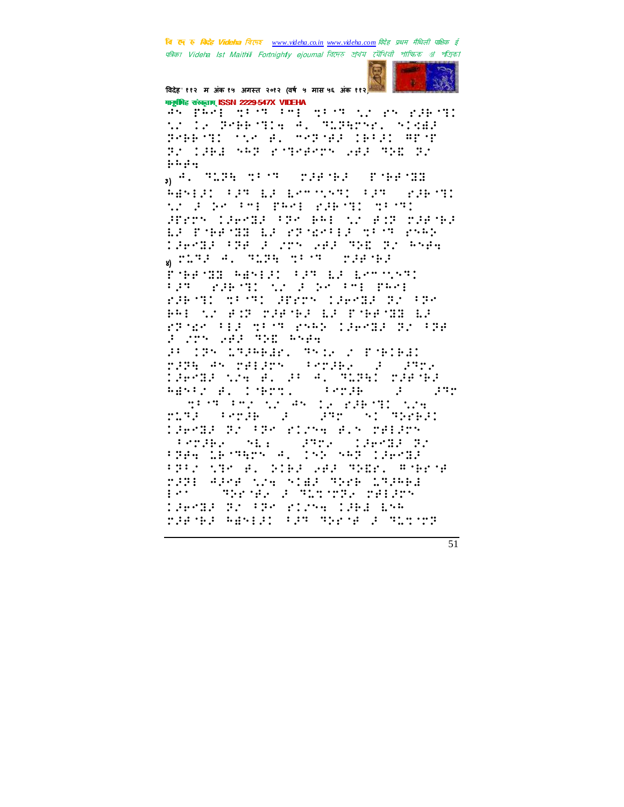वि एक रु क्विहेट Videha विएम्ब www.videha.co.in www.videha.com विदेह प्रथम मैथिली पाक्षिक ई पत्रिका Videha Ist Maithili Fortnightly ejournal রিদেহ প্রথম মৌথিনী পাক্ষিক প্র পত্রিকা



विदेह' ११२ म अंक १५ अगस्त २०१२ (वर्ष ५ मास ५६ अंक ११२)

गानूबंगिह संस्कृताम् ISSN 2229-547X VIDEHA an ping great reporter the short product.<br>An included Sir and great the short PORTUGAL POSTE CRIA PET BY 1868 SAR RINGERY 200 TEE BY  $1.444$ 

 $_{31}$  4, SLPH distribution and the second ABREAT FOR ES ERMINARI FOR COSENTI the Pole (Part Part Public Story) arres capyra (proper so addorate) LA PORPOR LA PROPRIA SION PARA larda (de a zry 283 920 92 Ayes <sub>w</sub> risk al sign of school ried

PORPOR REVEAL PAR LA LATINARI FRAME PRESTRICTED ROOM PROPERTY rakon dios ancos lavos prosp PH W BU THAN DI TARUB D range fire masser component and the a cry all the their

an 195 19ambar, S512 2 Pobleal basi estralarsi (praecula cares <u> 1964: She'd, an Allmann Sanga</u>  $\mathbf{R}$ RESERVED THRUST COMPANY OF THE

THE THE REPORT OF THE TELL TIME MIRA PROBLEMA SPORTS NO REPEAT DEPART RESPECTIEVE BIN MELROY (1982) Marc (1982) 1993 P.<br>1944 Mersen A. 192 942 194918 FREE STRIKE SIER WAR TRIEL FORCH MPH APPE NOW SIMP MODE LAPPER Pro Throe Planner Method **TRANS BY PROVIDING IRBS END** rafne meklar fan nyene a nichts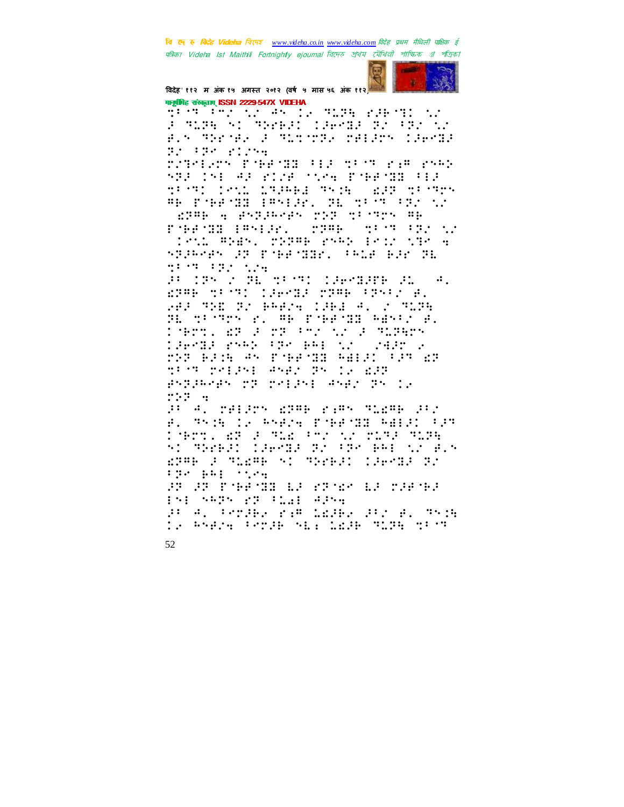वि एक रु क्रिटेड Videha विएम्ब www.videha.co.in www.videha.com विदेह प्रथम मैथिली पाक्षिक ई पत्रिका Videla Ist Maithili Fortnightly ejournal রিদেহ শ্রথম মৌথিনী পাক্ষিক প্রা পত্রিকা



## विदेह' ११२ म अंक १५ अगस्त २०१२ (वर्ष ५ मास ५६ अंक ११२) गानूबंगिह संस्कृताम् ISSN 2229-547X VIDEHA

THE REAL AND AND THE PARTICULAR 136583 Br (82) N **FOREST STATES** A.S THING A TUITURE TALENT CAPAR B2 (FBP) 21259

ratelers foreomniele diese ale asse SPECISE AF RICH STRACE PARTHE FER SPORT INTO ORPHAINE SAN CAPE SPORTS #B PYBBYRH (#MEGB) HE METH FRY NY 

FMARTH PRESS STREET TEST PROCH CONSIGNATION CONTROL CONSIGNING STATES STIRSES IT PORTHER TRIP BIR TH dich fan 124.<br>Giornald al dicht (Geragie Glosse)

EPRE SPORT (SPORT 2986 FPRP) 8. AN THE TO HARRY CONFIRE SERVICE BL SPIREN E. AR PIRRIB RENE R. CHTL AF F TH FT AT F TATHT SAPAR PROS PROGRESS SARE THE BACK AN EMBRICA BALL CAR AT the relate and the 12 dif President of cripricates en la **PER 5** 

20 A. MAL2MY WPRE RAPY TOWER 202 B. This Is the the Post College of the l'esti de l'audient distinguent.<br>Al absell labell et facient distingu EPRE 2 MIERR SI MIERRI LIEGER PE **PER BRITISH** 

22 23 Energia La 23ndr La 236nd2 PSP SAPS PP PLAP APSA

an al nepake raw where any al mesk TV PSEZH PROJE SE: LEJE JUDE OPTJ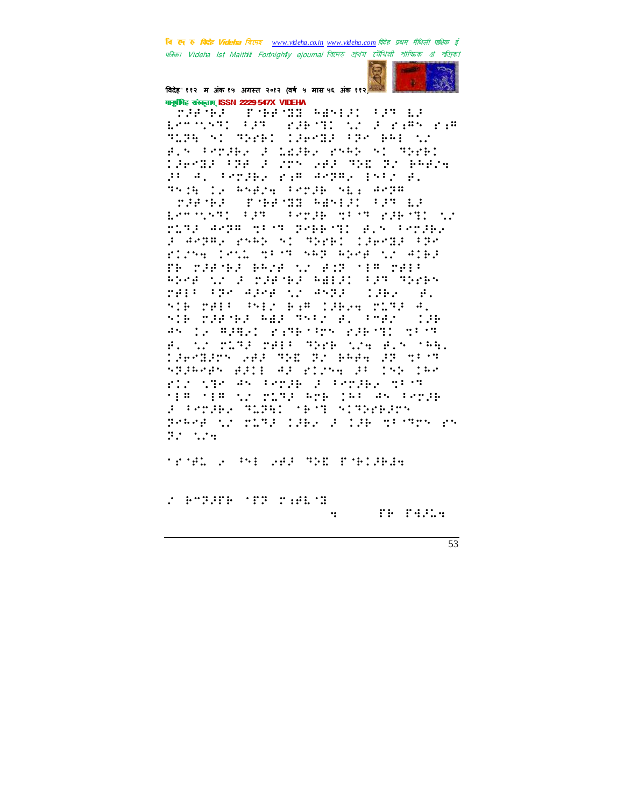वि एक रु क्विहेट Videha विएम्ब www.videha.co.in www.videha.com विदेह प्रथम मैथिली पाक्षिक ई पत्रिका Videla Ist Maithili Fortnightly ejournal রিদেহ শ্রথম মৌথিনী পাক্ষিক প্রা পত্রিকা



विदेह' ११२ म अंक १५ अगस्त २०१२ (वर्ष ५ मास ५६ अंक ११२) गानूबंगिह संस्कृताम् ISSN 2229-547X VIDEHA

rafé forma medicina d End the RIC (FIRST) order RIC (1990) of the Constant TIPE SI THEI CHPER FRO BREAK F.S. Persby 3 LESBY PSPD SI TREE **THERE BE A MOST WAR THE TO BREEK** ji aj terjic rimanjac istr al This Is bhaing frogh his drop THE RESOURCE THE RESOURCE OF LA ESTIMATE FROM CROSS MEST PRESTO WA ring acre norm reading also cengal F ARTAG PRAS RO TEPEC CIRRIE FTR riche (richter mehreren) er TE THE BE BRIE NI FIT TER TELE Rod to a paral Amar (an Abres part the aleaser aship.  $1.39x - 0.$ SIE MAIN SSIM BAR (2824 MINE 4. SIR MARTHA REALTSPOORS PHAY (188 AN IS REAL PARKING PERMIT MEM B. M. TITE THIS TEEN NOW B.S. TAN **TRANSPORTER THE BY BABE 28 NETT** 5326595 BRIE #2 BIS59 BRO 1905-190 ric the second profession of the ti# ti# th phPl App (A) 45 (Proph F Porter Three (1878) Streeters Sere to plas like i like the money pr  $32.724$ 

**TENNIS PRESSURE THE PARTNER** 

*FARISH MIR THEMS* TH PASSA  $\cdot$ :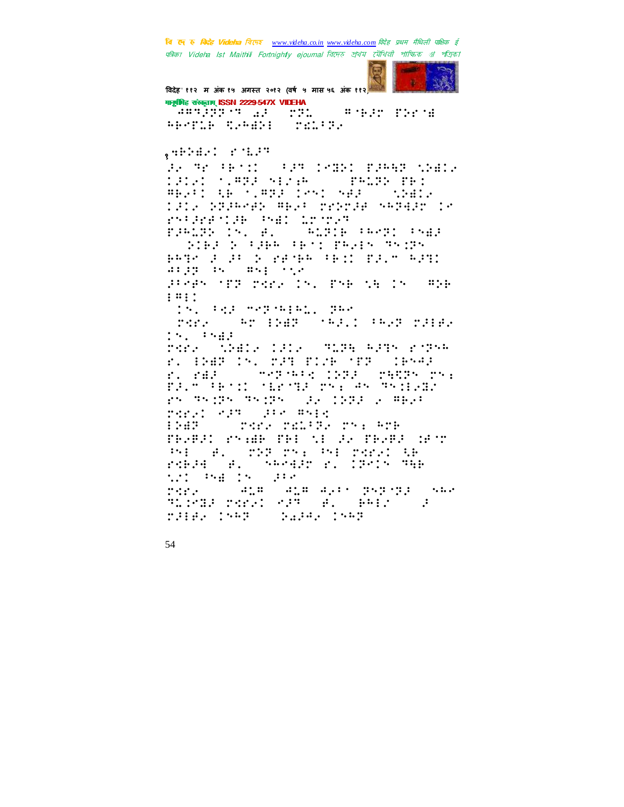बि एक रु मिन्हें Videha विरमर www.videha.co.in www.videha.com विदेह प्रथम मैथिली पाक्षिक ई पत्रिका Videla Ist Maithili Fortnightly ejournal রিদেহ শ্রথম মৌথিনী পাক্ষিক প্রা পত্রিকা



विदेह' ११२ म अंक १५ अगस्त २०१२ (वर्ष ५ मास ५६ अंक ११२) गानूबंगिह संस्कृताम् ISSN 2229-547X VIDEHA Jarijira ya shi wake mkan WESTER CONSET TELFR. ,ePheni rilar A TE PETI PAT IMAI BAR CARA SINGLE SENSITY SERVICES ment de Plang best ses "Schels tate boarder Aber propie Sroeid tr rythernie Pal Mrche PAGER IN W. W. WEDIA (WAT (MAR DIES D'ASPE ABAILEMEN MAIN PROF 2 25 2 22 9 0 5 1 2 1 2 2 3 4 5 1 argument and the PROPRIATE TOTAL IN THE NEUTRO PRE  $: 4: 1:$ **Ar INS (1932) 1992 2318 Contract Contract Contract**  $151.3547$ rera (1981a 1912) Milha Adir a Crea r. 1985 (S. 225 F.C. 155 (1654) **COMPARED INSTALL PREPRIENCE**  $\mathbf{f}$ .  $\mathbf{f}$   $\mathbf{d}$ . ing Allian (1982) and an India (1982)<br>In 1981 an Iomraidh (1982) a' Chaidhlic TEEL SPECIFIC BALE **BOOK THE STATE OF STATE** PROBAT PROOF PRICATURE PROBACTED Bille, present bisher:  $\mathbf{1}$  : : rdeld al sweding, 1981s Mar nin Palon (P)<br>Tarix (1941) And And Alas Paparen stran rand en al abibl  $\mathbb{R}^2$ THE THE SAFE SAFE INST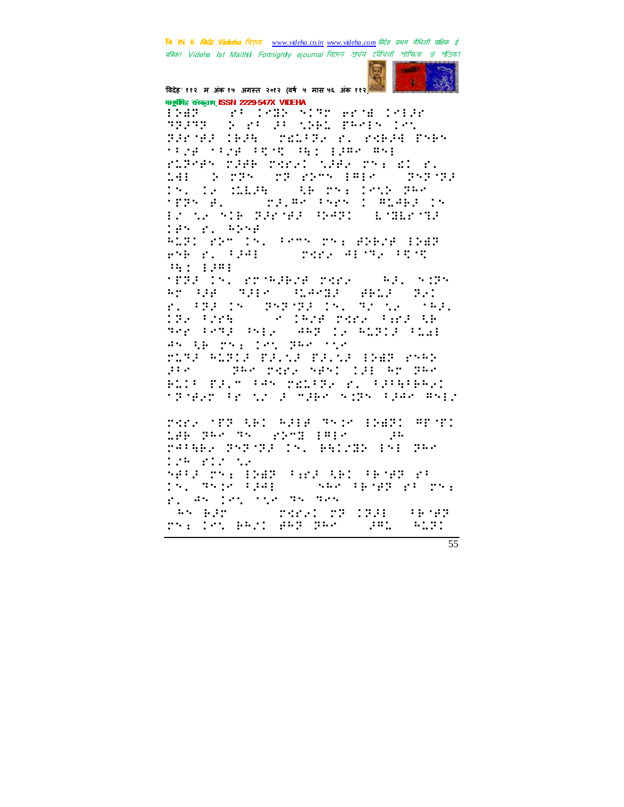वि एक रु क्विहेट Videha विएम्ब www.videha.co.in www.videha.com विदेह प्रथम मैथिली पाक्षिक ई पत्रिका Videla Ist Maithili Fortnightly ejournal রিদেহ শ্রথম মৌথিনী পাক্ষিক প্রা পত্রিকা

Barnea (Bah (MELAR) r. Pebag Prer

ringes rade reral tada res di ri 14: 2 MPH (MP PPH) PRES (PHP) Dr. Dr. MEJA (1948–1958) Dr. 186 TERN B. C. TELRY PAPA I REARD IN

RLP: rPM (S. Frms rS. RPB)# HPAR

rfalling from Albert Care (1941) norn ag nga sina silakgi angi digi

ri (1930) in Component in Component (193)<br>1932 : Freguesia Component (193) in Freguesia mer (emp) (mir) (amp) ir Aipir (insi

MINE ROBIN BRIDGE BRIDGE SHAR PRO TRANSPORT CHAINES TO BOOK TEST FAR TELETA PL FIREFRAG the masses are considered and many consideration and proposed and proposed and proposed and consideration of the

rde 'PR' GD' Alle Thin Dig: Ar T.

SALE TS: EDAR (FREE RED (R)MP PP In The Part (2018) (See The Part 21, 25, 2

188 PRO TO 2201 PRESS (28) rathe PSP CS, Builde (S) PAS



विदेह' ११२ म अंक १५ अगस्त २०१२ (वर्ष ५ मास ५६ अंक ११२ व

**ENGRY** nggaga ji

195 P. R. R.

pri p. 1341 -

 $14:1111$ 

time attribute

 $\mathbb{R}^{n}$  . In particular,  $\mathbb{R}^{n}$ 

मानूबंगिह संस्कृताम् ISSN 2229-547X VIDEHA 

**TENP TENP FROM PEN EPRO RNE** 

an is resolved particle

ri an int the moment

rs: 101 part 949 par

**Alle State State** 

**CONSIGNATION** 

 $\mathbb{R}^n$ 

55

 $-4.33$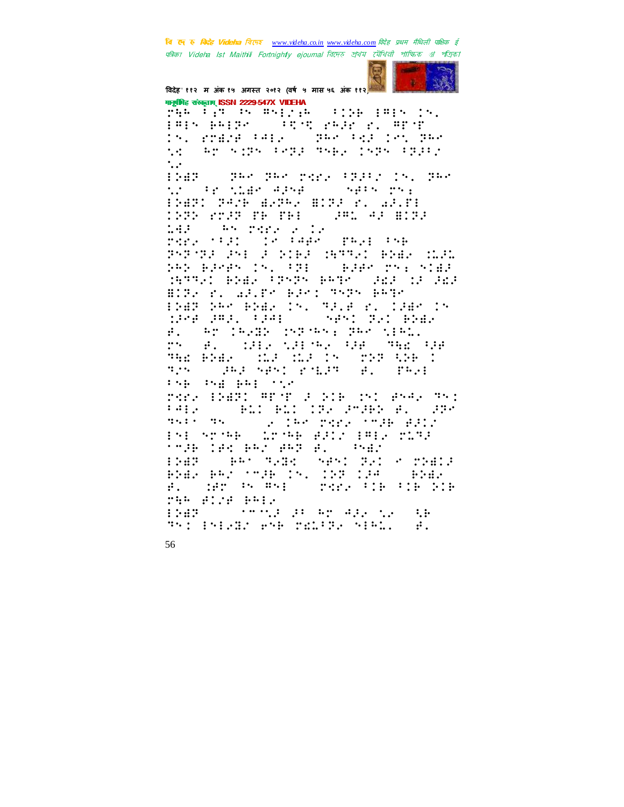बि ए रु क्रिटे Videha निएर www.videha.co.in www.videha.com विदेह प्रथम मैथिली पाक्षिक ई पत्रिका Videla Ist Maithili Fortnightly ejournal রিদেহ শ্রথম মৌথিনী পাক্ষিক প্রা পত্রিকা



विदेह' ११२ म अंक १५ अगस्त २०१२ (वर्ष ५ मास ५६ अंक ११२ व मानूबंगिह संस्कृताम् ISSN 2229-547X VIDEHA

THE PARTNER RESEARCH PARTNER CO. iArs Agine ( ) compared al Arab In rode Hall (SWA Hallen She TAN SIRS PARA REALISES PROP  $\ddot{\phantom{0}}$  $\cdot$ ...

ENER (1968) BAR TREE FRIED IN 1968  $\sim$  5400  $\sim$  1000  $\sim$ INST PAN SPRA SIDE P. SP.TI  $1.4.3$   $-$ **SAN TREE SOLE** rene (1910) te fage.  $\mathbf{r}$  :  $\mathbf{r}$  :  $\mathbf{r}$  :  $\mathbf{r}$ PSP THE PSE POINT THREE BINS TO MAKE 545 BJMAN (N. 331) - BJAN 253 SIAJ here. Bras (ref) begy sal us Sal BIRA P. WALES EASY PARK PATS INAR NGA BNAS ING MPLACAL IPANCIN<br>SIPANGAMPIL PIPAL CONGNITRIC BNAS **SAM TRANS MARKET BROOKERS.**  $\mathbf{r}$ . **SALE OF A SHOW THE THE TIME**  $\cdots$ . Par Bar ( the the two res the t The Sales Sand Policy (All Tell the machinery rdra (1982) Andri 2 Gib (21 Geographic)<br>1912 - Cobild Bill (192 Geographic), 295  $\mathcal{W}(\mathcal{X},\mathcal{Y})=\mathcal{W}(\mathcal{X},\mathcal{Y})$ **Southerness (September 200** 151 spomp (Cromp 2212 1812 pl2)<br>1726 123 BM2 252 262 (Sal  $\mathbb{R}^{n+1}$  ,  $\mathbb{R}^{n+1}$ **SAMILY STATE IDAN BEEP BRY THIR IN. IEB 138**  $\ddotsc$ ter is map **The Bibliography**  $\mathbf{r}$ . 755 #12# B512 **IDAN**  $\ddot{\cdot}$  :

Thi Phillip ene pricing nich.  $\mathbb{R}$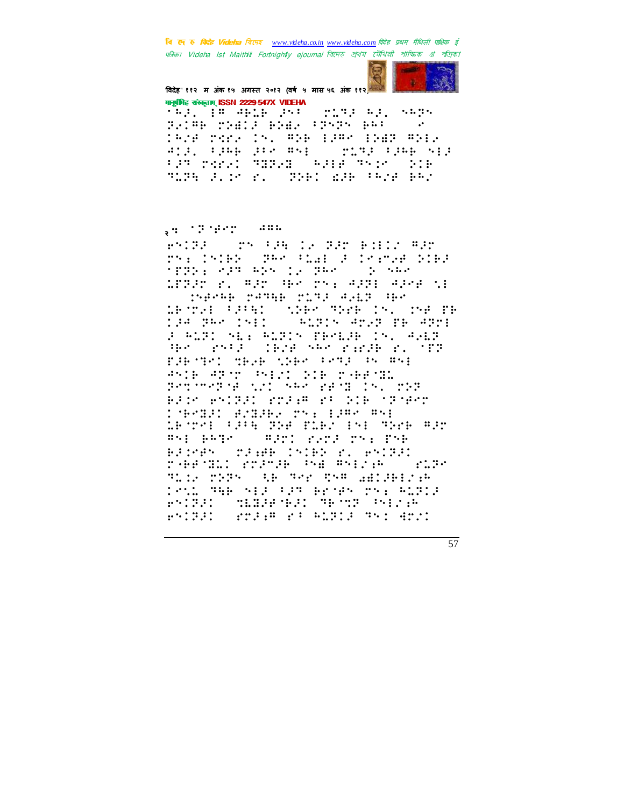वि एक रु क्विहेट Videha विएम्ब www.videha.co.in www.videha.com विदेह प्रथम मैथिली पाक्षिक ई पत्रिका Videla Ist Maithili Fortnightly ejournal রিদেহ শ্রথম মৌথিনী পাক্ষিক প্রা পত্রিকা



विदेह' ११२ म अंक १५ अगस्त २०१२ (वर्ष ५ मास ५६ अंक ११२) गानुबंधिह संस्कृतम् ISSN 2229-547X VIDEHA

 $\{5,1\}$  )  $\{9,100\}$  (see Fig. **STATE ARE SAPS** SAIRE CHAIR BHAR FSHSH BRE TH' IRSE MARY IN, AGE 19AM 1987 AS12 ADEL FRAG PER BREVO MINE FRAG SER FRAME STREET STREET STREET SLIE SLOW F. STORY ESP PROF BRO

## $\frac{1}{2}$  and  $\frac{1}{2}$   $\frac{1}{2}$   $\frac{1}{2}$   $\frac{1}{2}$   $\frac{1}{2}$   $\frac{1}{2}$   $\frac{1}{2}$  $\ldots$

FNING (THE IN NAT BILL WAT ry: 15182 (PAK Plat 3 18:55) 2183 Principal and political conduction 1832 M RR HA MA RRE RRA ME parak pasak pls: 4,42 46 LESTAR FJERI (SIRK TRYE IN, INF TR 194 PHP 1511 **SALEDY AMAP PROPER** F RITI ME: RITIN TEMEJE IN. AVEZ He ship dide we radio room F.B. Tel Then the Central Company #516 #Pro PSECI NIE CHAPTEL anthroping will need rend in Corps BEST BRIDE STEAM ST DIE TOTGET CHRIBI BIGHA MY: 1988–851 LE TRI (FJ)A TVE TLEV INE TVRE AST #51 BRTP | #201 PAD2 DN: PSB BASHAN (MAGHE INIBN 21 GNIBA) rakendit primik sye Astrak (pite TIL THE SECTOR RESEARCH THIS THE MEASURE EXIMAL THE FORCE PSIER (MEDROBE) REMEASURE  $H^{1,1}H^{1,1}H^{1,1}H^{1,1}H^{1,1}H^{1,1}H^{1,1}H^{1,1}H^{1,1}H^{1,1}H^{1,1}H^{1,1}H^{1,1}H^{1,1}H^{1,1}H^{1,1}H^{1,1}H^{1,1}H^{1,1}H^{1,1}H^{1,1}H^{1,1}H^{1,1}H^{1,1}H^{1,1}H^{1,1}H^{1,1}H^{1,1}H^{1,1}H^{1,1}H^{1,1}H^{1,1}H^{1,1}H^{1,1}H^{1,1}H^{1,1}H^{1,$ Service and Angels are grad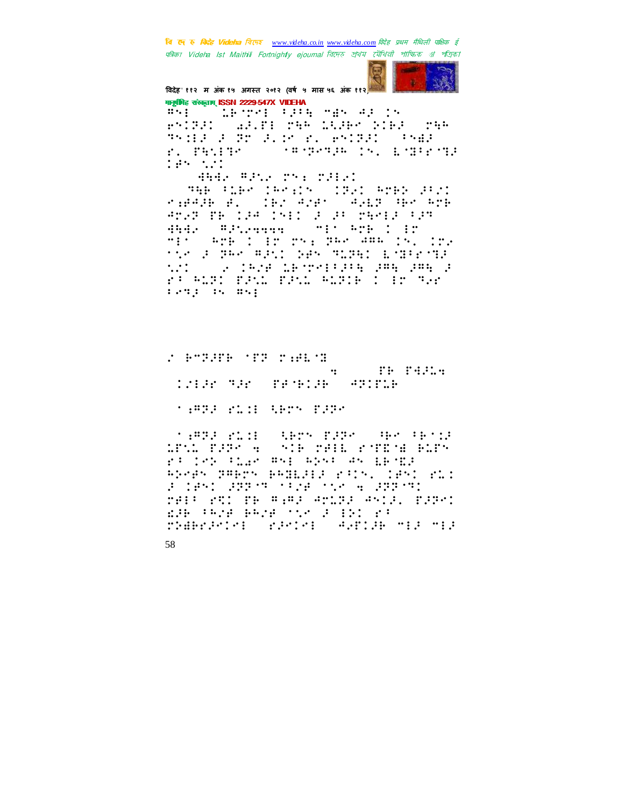वि ए रु क्रिडे Videha विएक www.videha.co.in www.videha.com विदेह प्रथम मैथिली पाक्षिक ई पत्रिका Videla Ist Maithili Fortnightly ejournal রিদেহ শ্রথম মৌথিনী পাক্ষিক গ্র পত্রিকা



विदेह' ११२ म अंक १५ अगस्त २०१२ (वर्ष ५ मास ५६ अंक ११२) मानूबंगिह संस्कृताम् ISSN 2229-547X VIDEHA

WHEN I WE THE SPEED ME IN TRIE FIRM FIRM PLANTED (PREF **SEMPRE IN EMPRISE** r. Phille ter und

4542 APS2 The THEO

arve me cae chec'à an Albertan did, Tashkaaaa (1981-1982)<br>Mir Sepesi Bronk Persam (5, 185<br>Mir Soper Asil Ser Musel Engerne tur: " y chua despraggan gen gen"g<br>23 mart para para madre : gp muz reng is map

**TEMPERS YES THEMS**  $\mathcal{L}(\mathcal{C})$ reterm spreak trian man

**SAMPA PLIP HET PATH** 

**MARRA PLOE (REPN PARK) HER PENCE** trillegge a sie mei konige eins FOR THE CHIEF WAS SERVED AN ERCHIT Abert TABre BAHLEL rich, 1951 rich a last agregatua sus 4 agreg THIS FOI TH WHAT WOULD WALL TITE! EPROPERTY BACK TOP OF BELOVE rrabración ración explabónia mia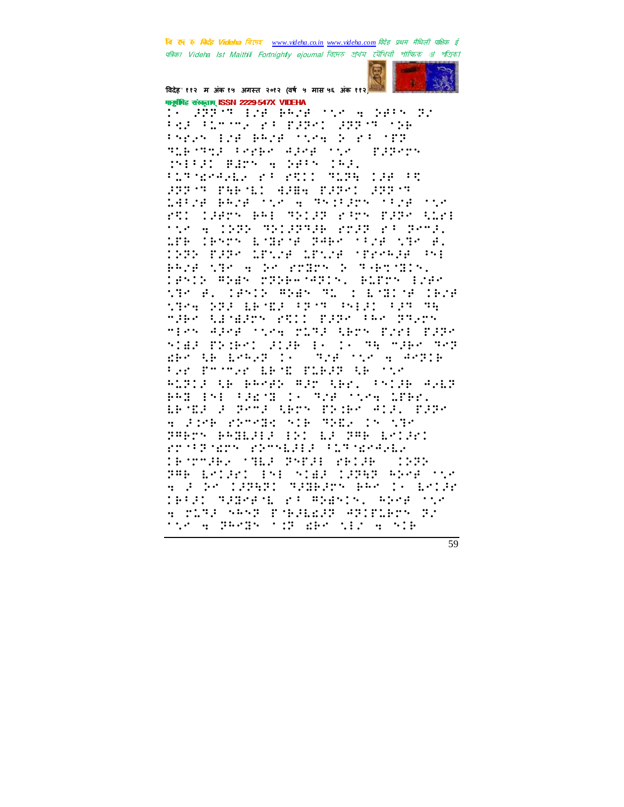बि एक रु *बिरोह Videha चिएक www.videha.co.in www.videha.com विदेह प्रथम मैथिली पाक्षिक ई* पत्रिका Videha Ist Maithili Fortnightly ejournal রিদেহ প্রথম মৌথিনী পাক্ষিক প্র পত্রিকা



विदेह' ११२ म अंक १५ अगस्त २०१२ (वर्ष ५ मास ५६ अंक ११२) गानूबंगिह संस्कृताम् ISSN 2229-547X VIDEHA

<u>The Sides of the Beth City of Ship St</u> PAR PLOTON RP PRPMI REPORTSE Presh lef BRef tire 2 ex tre TIP TEACHER SPACE TO T aradores MIRE BEN A NAPH IAE. **FIRMSHOWER STILL TIME CAR FT** 1952a agust nin a dh'istri nais nin (1985) BREATNIE ROOM PORT WIRE  $\mathcal{L}^{\mathcal{L}}$ tic a 1985 SC28SB roll rf Beng. 186 (Provincers Pake Side (Reciev <u> 1980 BARA GENSA GENSA (BRAGAN GA)</u> PROFISION AND POSSESS IN THESTICAL 19512 ADAS MODERNADIS, BLEMS EZAR the B. 18516 Adam Al : Ending 1928 STOR STATED OF STORY SHARP SAMPLE mark tangan etti pape (660 premg nick ager som plag trok føri føde.<br>Side fodesi gige is is af næs age gkê de bekar bi sava sir a arabe ter Posmer West PLBPP theory ALTIF AR RAMER WER ARR. FRIED AVET PAR ENE FRENZ I: The nine LTBr. LETER R SPORT LESS PRINT AIR TRAPP e Frek Strele rik Till (r 130 rrows and controls within the CROSSING THE SATE CRISH  $\frac{1}{2}$  :  $\frac{1}{2}$  :  $\frac{1}{2}$  :  $\frac{1}{2}$ PAR LAIGEI ESE SIBR IRAR AGAR MUA 4 2 20 122421 SZOBZON BRO 16 E0126 IBFAI MABMAGE EG MINESIS, RIMA SSM a ring sesp pobliced encribes by the a BREAK tip who the a bib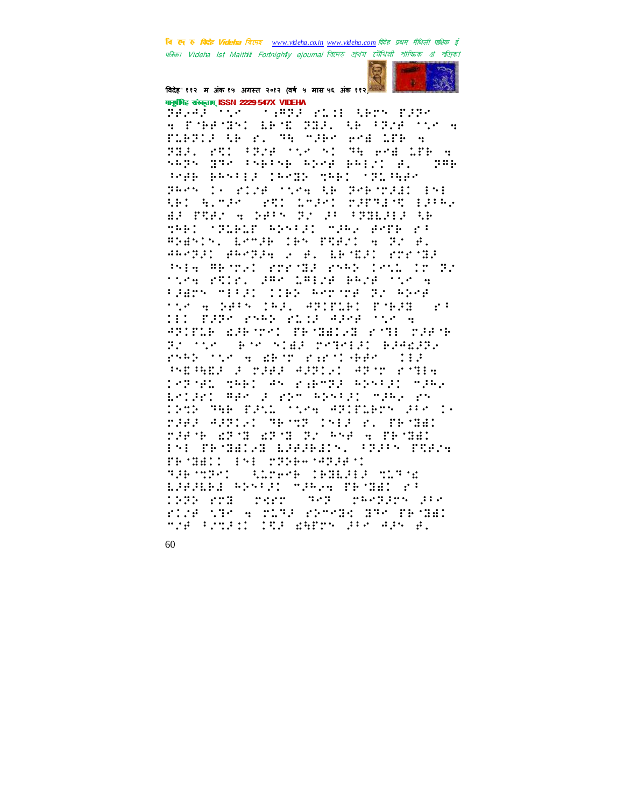बि एक रु मिन्हें Videha विरमर www.videha.co.in www.videha.com विदेह प्रथम मैथिली पाक्षिक ई पत्रिका Videla Ist Maithili Fortnightly ejournal রিদেহ শ্রথম মৌথিনী পাক্ষিক প্রা পত্রিকা



विदेह' ११२ म अंक १५ अगस्त २०१२ (वर्ष ५ मास ५६ अंक ११२) मानूबंभिह संस्कृतम् ISSN 2229-547X VIDEHA

Selel hin o 1932 rid Abry 2230 A PORTH ERC PEACH COMPANY TIBILE OF THE THE PHOTOS OF R FILL FT: FFME MARK THEFME LIFE A saps greatering about pairling.  $\mathbf{y}$  :  $\mathbf{y}$ sega assign teems weat thisge Personal rize (1984) AB (Precrudio 191)<br>ABI (Almuro ) raio imurio rupalar 19169 di rêzî e salk di al administr THE STEELT RESERVATION FOTE PR #NBYON, EPTER ORN PRESS & PS B. ARATED ARATEN 2 A S. SEATED Provide Prim Wenter Strange Star Into It St the surful and mode and the h FJEDN MERGE ISBN ARDIOBUGG ANRA tič 4 nati (Al) spomao mjeza (pj III PARK PARK PLIA APPROVACH ATITLE ESPONS TEMBELE FOR THE **SERVICES POPPER BEARING**  $\mathbb{R}^2 \times \mathbb{R}^2$ rak tira ser randake (113 PERSIA FREE ARTIC ART PTRE 1839EL MARI AN RABMSA AGNASI MARG ESTANT RES A VIEW RISKART MARK YS 1965 American Power Additional Divis MARA APPIRI MESME ISEA Y. PESHE FRACE EPOI EPOI PL PAR A PROBI **INTERNATIONAL AND STANDARD** PROBLEM INFORMATION C SPRINGEN (Albert IPALPER NISTA LARGER PESSEN SARAH TESHIL 23 1989 roll cerc (308) ca-23rd av rice the 4 ring rimeds due facual man Famedo (Ste Barry (Fro Aly B.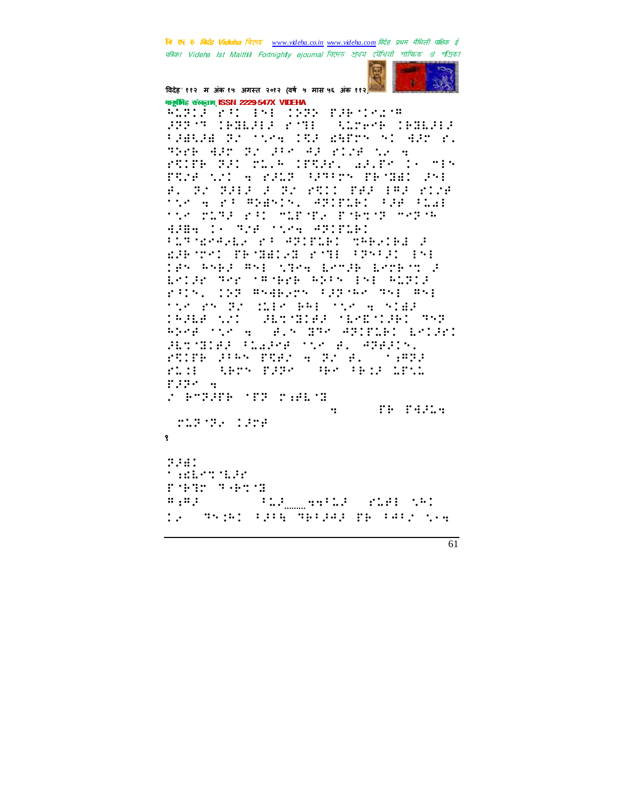वि एक रु क्विहेट Videha विएम्ब www.videha.co.in www.videha.com विदेह प्रथम मैथिली पाक्षिक ई पत्रिका Videla Ist Maithili Fortnightly ejournal রিদেহ শ্রথম মৌথিনী পাক্ষিক প্রা পত্রিকা



विदेह' ११२ म अंक १५ अगस्त २०१२ (वर्ष ५ मास ५६ अंक ११२) गानूबंगिह संस्कृताम् ISSN 2229-547X VIDEHA

Addied by 198 1982 Earners **JUPYS CHELLER FYEL (SLYPYB CHELLER** PABLAM TO MON CRA WATCH NO ART W. THE APP DE PROVABLE DE LA A FUIDE TO TEST ITURE ARIPY IN THE FRIE WILLE FROM SPREEN PROBED PNE B. TV TALE A TV STIL THA LAR SINE the government animal concentration THE PLAY FAIL MLEMER EMPLOY MEETA 4384 13 728 729 4212121 **FITTERSHIP ST APIPIED THESIBE P** ERTY THILE FT TRUE IN tas Aseg As: 1954 broge brokin d ESTAR TER SASARE AND STARTED rijs, jog manges ignaa maj maj the restriction partition a ends **IRAGONI ARTEGE NERVIRI 753** REAR TEACH CHEAT HRY ANIMAL LACARD Hrtman Change over Alenand FUITE FIRE TUES A TS E. (1972) SERN FRRS (BROOKER LEVE  $f$  in the set of  $f$ radio e **SAMPAIN SID SANCH TH PARLA**  $\dddot{\bullet}$ **MARK COMPARENT**  $\mathbf{Q}$ **BREE** t ander mar FORTH SARTI **Side Communication of the Contract of Contract Contract Contract Operations**  $\mathbf{u}_1, \mathbf{u}_2$ IS TRIED FREE TREPAR TROPPER SAM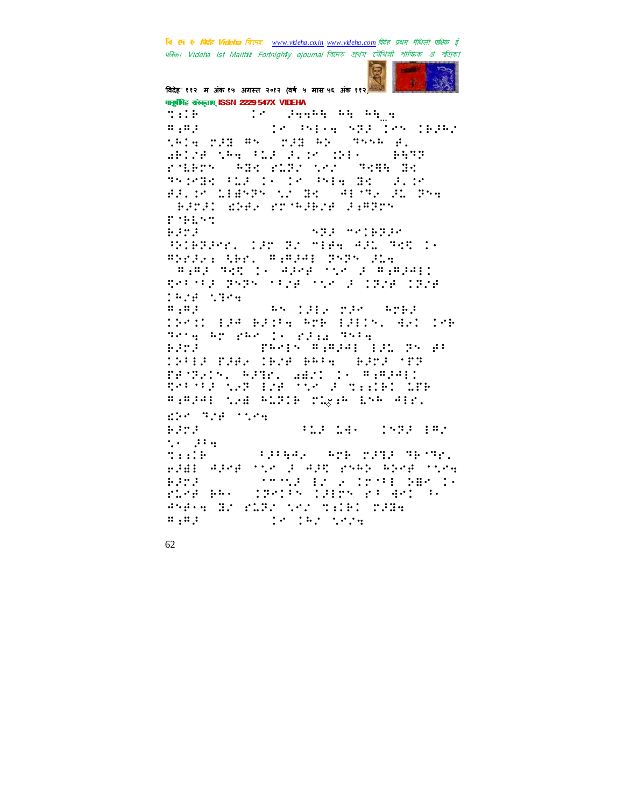वि ए रु क्रिडे Videha विएक www.videha.co.in www.videha.com विदेह प्रथम मैथिली पाक्षिक ई पत्रिका Videla Ist Maithili Fortnightly ejournal রিদেহ শ্রথম মৌথিনী পাক্ষিক গ্র পত্রিকা



विदेह' ११२ म अंक १५ अगस्त २०१२ (वर्ष ५ मास ५६ अंक ११२) गानूबंगिह संस्कृताम् ISSN 2229-547X VIDEHA

10 Hubb bh bhja  $\mathbb{R}^n$  :  $\mathbb{R}^n$ Te Price STA Ins IBARD  $\mathbf{u}_1, \mathbf{u}_2$ skie pap As (pap ki) skuk p. (<br>GBIZA sku filo alim info (papa rolers (FBR rLP) this mode dr Things the light of the game also alificates of a factoring BATAI ANGLATIMANA ASHITI r mart **Barat STA SPACED IN** SPIERFORM IFM RACHIEF AFWORD IN BREAK: ARE, B.B.PAI BREAK PLAT  $\frac{1}{2}$  ,  $\frac{1}{2}$  ,  $\frac{1}{2}$  ,  $\frac{1}{2}$  ,  $\frac{1}{2}$  ,  $\frac{1}{2}$  ,  $\frac{1}{2}$  ,  $\frac{1}{2}$  ,  $\frac{1}{2}$  ,  $\frac{1}{2}$  ,  $\frac{1}{2}$  ,  $\frac{1}{2}$  ,  $\frac{1}{2}$  ,  $\frac{1}{2}$  ,  $\frac{1}{2}$  ,  $\frac{1}{2}$  ,  $\frac{1}{2}$  ,  $\frac{1}{2}$  ,  $\frac{1$ ternis term of he over the control of 1928 1309 An idio name Anad  $\mathbf{u}_1, \mathbf{u}_2$ IPAN HP BENG AME HBIN, AND DAR Scraphy particularly State **Bara** THER WINDER IN THE IPER PARK IPAN PRES (PAMA YPP PASPAIN, RANK, WAZI IS RARARI)<br>RAPSPA NAP TIA SNA A MAAIRI WER #:#341 the ALTIB TEXIB ESA ATE. EDS TEE STAR **TAS AS (1992-192) Barnet**  $\ddot{z}$  .  $\ddot{z}$  :  $1:1:1$ **STORIC WAS THE TERM** BJED APPE TO J APP PART ROOF TOOK **SHOW IN A COMPANY OF** Barat i PLAR BAY (1981)8 (2805-23 ARI 36 Andre Hr Ruff von Tilbl rade  $\mathbf{u}_1, \mathbf{u}_2$ Te The Serve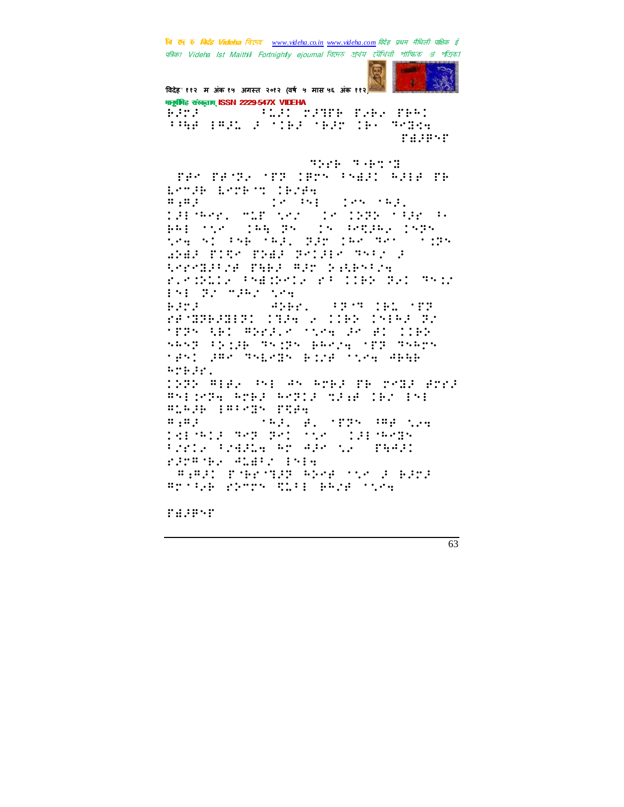वि एक रु क्विहेट Videha विएम्ब www.videha.co.in www.videha.com विदेह प्रथम मैथिली पाक्षिक ई पत्रिका Videha Ist Maithili Fortnightly ejournal রিদেহ প্রথম মৌথিনী পাক্ষিক প্র পত্রিকা



विदेह' ११२ म अंक १५ अगस्त २०१२ (वर्ष ५ मास ५६ अंक ११२) मानूबंगिह संस्कृताम् ISSN 2229-547X VIDEHA

RPPA (1921) FLAT TANK PARA PRAJ<br>TORE EPAL 2 (1922) FRANCES OF STREET rasesr

This Teach TAK TANTA YTT IPPS PSAAI RAIA TR **MONDAY MONDAY**  $\mathbf{u}_1, \mathbf{u}_2$  $\mathbb{R}^n$  and  $\mathbb{R}^n$  $\begin{aligned} \mathcal{L}_{\mathcal{A}}(\mathcal{L}_{\mathcal{A}}(\mathcal{A})) &\geq \mathcal{L}_{\mathcal{A}}(\mathcal{A})\mathcal{L}_{\mathcal{A}}(\mathcal{A}) \end{aligned}$ idiner, mar<sup>s</sup>ver (18)1606-1648 ()<br>Anistre (1940-05) (5) (2004-1505) 194 vi světšel, pletakčne č  $\dddot{\mathbf{r}}$  : : : : BRAS TITY THE TYLES THEY F trendice family of Scheers rindula shedralist Cler Bal Bro paper promised the property of the SPEEL SPORTIEL OFF **BASE** PROBRABLE: 1924 2 1162 15162 22 **TERN ABI BIRILY TOME IN BI CIEN** sky tyje svjet kaja je se svajs rang awa shirin kina rina dhah Arbir. 1996 Alex (51 AS Ared BB redd Arra #511574 AMER ASPIR MR38 (B2 151 WINDS PROTH PEA  $\mathcal{F}(\mathbb{R},\mathbb{R})=\{\mathbb{R},\mathbb{R}^n\mid\mathbb{R}^n\}\subset\{\mathbb{R}\}\subset\{\mathbb{R}\}\subset\{\mathbb{R}\}$  $\mathbf{u}_1, \mathbf{u}_2, \ldots$  $\frac{1}{2}$   $\frac{1}{2}$   $\frac{1}{2}$   $\frac{1}{2}$   $\frac{1}{2}$   $\frac{1}{2}$   $\frac{1}{2}$   $\frac{1}{2}$   $\frac{1}{2}$   $\frac{1}{2}$   $\frac{1}{2}$   $\frac{1}{2}$   $\frac{1}{2}$   $\frac{1}{2}$   $\frac{1}{2}$   $\frac{1}{2}$   $\frac{1}{2}$   $\frac{1}{2}$   $\frac{1}{2}$   $\frac{1}{2}$   $\frac{1}{2}$   $\frac{1}{2}$  1819-13 982 281 Provinser en als SP pelo runner Aldtr 1514 **AND SERVICE SHOW THAT PERPENDENT** Brigh Shop Rill Bene the

racescr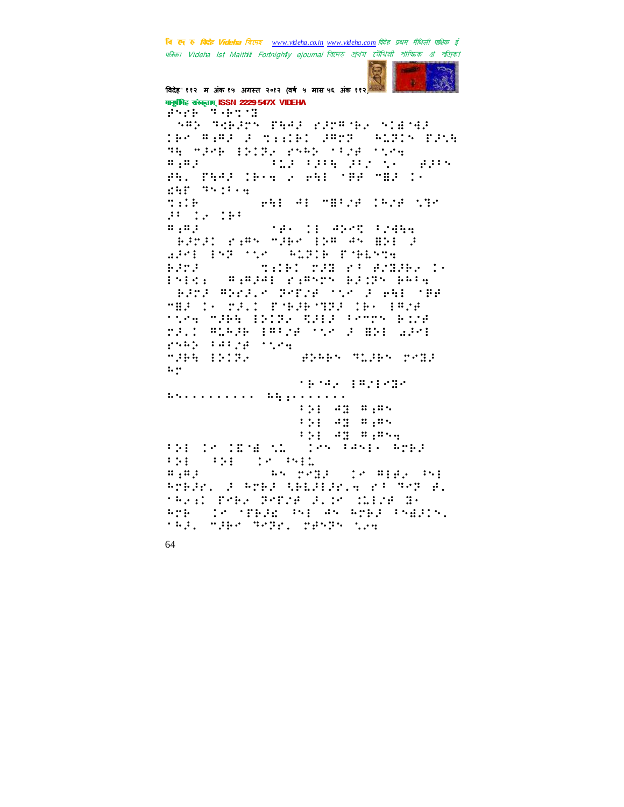वि एक रु क्रिटेड Videha विएम्ब www.videha.co.in www.videha.com विदेह प्रथम मैथिली पाक्षिक ई पत्रिका Videla Ist Maithili Fortnightly ejournal রিদেহ শ্রথম মৌথিনী পাক্ষিক প্রা পত্রিকা



विदेह' ११२ म अंक १५ अगस्त २०१२ (वर्ष ५ मास ५६ अंक ११२) मानूबंगिह संस्कृतम् ISSN 2229-547X VIDEHA **Post Construction SARE REPORT PRAFT PIPROPS STESSED** THA RARA A MAAINI ARMA (RING) PANG BE SPECIFIED PART STEP STAR  $\pm 1.2$   $\pm 2.14$   $\pm 1.2$   $\pm 1.4$   $\pm 1.5$  $\mathbf{u}_1, \mathbf{u}_2$ PAL PARK CHEED WANT THE MBR IE diff Thiller en: A: MBPIS CRIB STM  $\mathbb{C}$ :::  $P = 1.01111$  $\mathbf{u}$ ,  $\mathbf{u}$ ,  $\mathbf{r}$ **MARKET ADAM PENAN** GARAN SARK MAGA BIR AR BILI APPE EST TOO PATTE FORESTA  $B = B + B$ **MILLED MILL IN STREET** Endia # ####E ri#nch B2175 BRF4 SERVICENTS CONTRACTOR CONTRACTOR MER IS MAIL PORPORE IRS IPM ting make 1213, Said Provincia rach mings (marge the a mode wat:  $\frac{1}{2}$  which is a range of the  $\frac{1}{2}$ **MARK BASES** BOWER TEST TEST  $\mathbf{L}$  : nena, fajinga hteres errores diggererrer 191 43 #1#4 the ag sign. **THE REAL METAL Sim Panja Ages**  $\frac{1}{2}$   $\frac{1}{2}$   $\frac{1}{2}$   $\frac{1}{2}$   $\frac{1}{2}$   $\frac{1}{2}$   $\frac{1}{2}$   $\frac{1}{2}$   $\frac{1}{2}$   $\frac{1}{2}$   $\frac{1}{2}$   $\frac{1}{2}$   $\frac{1}{2}$   $\frac{1}{2}$   $\frac{1}{2}$   $\frac{1}{2}$   $\frac{1}{2}$   $\frac{1}{2}$   $\frac{1}{2}$   $\frac{1}{2}$   $\frac{1}{2}$   $\frac{1}{2}$   $\mathbf{1}$   $\mathbf{1}$   $\mathbf{1}$  $\frac{1}{2}$  (  $\frac{1}{2}$  ,  $\frac{1}{2}$  ,  $\frac{1}{2}$  ,  $\frac{1}{2}$  ,  $\frac{1}{2}$  ,  $\frac{1}{2}$  ,  $\frac{1}{2}$  ,  $\frac{1}{2}$  ,  $\frac{1}{2}$  $\mathbf{u}_1, \mathbf{u}_2$ ROBERT E ROBE SBEEDELA VI PRO B. TRANS PORA POPAR SUNT MINE BY RTE (18 TEER PH) AN ATEP PNERTH. tel, mikrober, pandno ver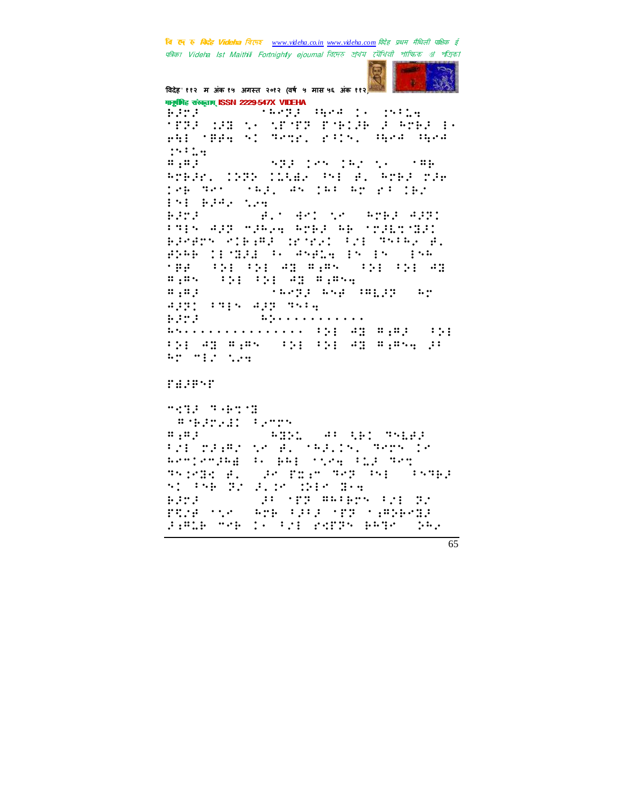वि एक रु क्विहेट Videha विएम्ब www.videha.co.in www.videha.com विदेह प्रथम मैथिली पाक्षिक ई पत्रिका Videha Ist Maithili Fortnightly ejournal রিদেহ প্রথম মৌথিনী পাক্ষিক প্র পত্রিকা



विदेह' ११२ म अंक १५ अगस्त २०१२ (वर्ष ५ मास ५६ अंक ११२) मानूबंगिह संस्कृताम् ISSN 2229-547X VIDEHA **Allen Schedule Head is infinit** Baran Barat, **TERPORE NA NETER EMBLIE DE AMBRE EX** PHI TEPH SI TRYP, PRIN, RHPA RHPA  $1941.4$  $\cdots$ arage. 1989 11582 (at 9. arag rg.<br>1980 991 - 1991 (at 1990 9r rg. 1920) 151 B.W. N.H  $\pm 1$  and  $\pm 1$  and  $\pm 2$ Baran Ba FTER APP SPACE ASEP AR SSPECTED Bangon nibaga (propinsi Syi<sup>ngala</sup>a) BRAB (Product an Angle Product Pra #185 | 121 | 121 | 43 | 81854  $\mathbf{a}_1 \mathbf{a}_2$  $\pm$  and  $\pm$  and  $\pm$  and  $\pm$  and  $\pm$  and  $\pm$  and  $\pm$  $\cdots$ approxime appointed **BATA**  $\mathcal{L} = \{ \mathbf{L}_1^T, \mathbf{L}_2^T, \mathbf{L}_3^T, \mathbf{L}_4^T, \mathbf{L}_5^T, \mathbf{L}_6^T, \mathbf{L}_7^T, \mathbf{L}_8^T, \mathbf{L}_9^T, \mathbf{L}_1^T, \mathbf{L}_2^T, \mathbf{L}_3^T, \mathbf{L}_4^T, \mathbf{L}_5^T, \mathbf{L}_7^T, \mathbf{L}_7^T, \mathbf{L}_8^T, \mathbf{L}_9^T, \mathbf{L}_9^T, \mathbf{L}_1^T, \mathbf{L}_1^T, \$ #4............... (9) 43 ###: (9) 101 AN #1#5 (101 101 AN #N #1#54 D An mich tem racescr

**MANDED READERS SECRET SECRET SECRET**  $\frac{1}{2}$  :  $\frac{1}{2}$  :  $\frac{1}{2}$  :  $\frac{1}{2}$  :  $\frac{1}{2}$  :  $\frac{1}{2}$  :  $\frac{1}{2}$  :  $\frac{1}{2}$  :  $\frac{1}{2}$  :  $\frac{1}{2}$  :  $\frac{1}{2}$  :  $\frac{1}{2}$  :  $\frac{1}{2}$  :  $\frac{1}{2}$  :  $\frac{1}{2}$  :  $\frac{1}{2}$  :  $\frac{1}{2}$  :  $\frac{1}{2}$  :  $\frac{1$ **A: W: THEF**  $\mathbf{u}_1, \mathbf{u}_2, \ldots$ Fri mager of all teacher Semblie Rendemarks (From British Power Part stringer er sjoer faans trop Trops (broep)<br>Sis steer die die sinder die s ga episaangekooppe **Barbara** PRIA TER APE PROFINE TERMIN FIRDE MARCIN FILE PAPPS BATAC  $\ddot{\cdot}$  .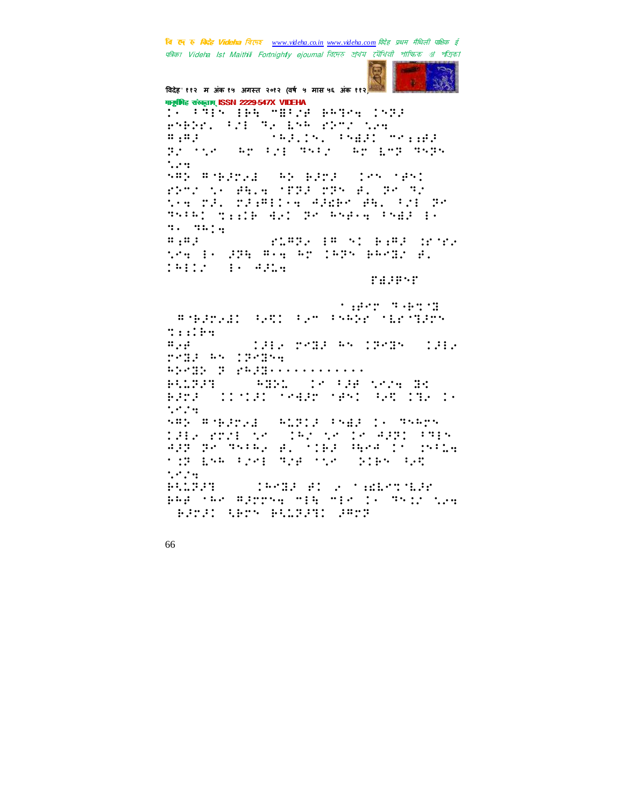वि एक रु क्रिटेड Videha विएम्ब www.videha.co.in www.videha.com विदेह प्रथम मैथिली पाक्षिक ई पत्रिका Videla Ist Maithili Fortnightly ejournal রিদেহ শ্রথম মৌথিনী পাক্ষিক গ্র পত্রিকা



विदेह' ११२ म अंक १५ अगस्त २०१२ (वर्ष ५ मास ५६ अंक ११२) गानूबंधिह संस्कृताम् ISSN 2229-547X VIDEHA PARRI POI TROING PROVINCE **STARTS, PARK MYTHE**  $\mathbf{u}_1, \mathbf{u}_2, \ldots$ British Artist Sell (1988) Artist September  $\ddots$  : SAR AMERICA SE ERNA (PS MAS) FRONT CO., PRINCIPES 2005 2010 12: the plu plaming Alder Am. Out Br Thing till did no happy they i  $\mathfrak{m} = \mathfrak{m} \mathfrak{m}$  $\mathbf{u}_1, \mathbf{u}_2$ ROBERT SI BRE STRA tra E- 225 B-a 62 (625 B-227 B.  $\frac{1}{2}$   $\frac{1}{2}$   $\frac{1}{2}$   $\frac{1}{2}$   $\frac{1}{2}$   $\frac{1}{2}$   $\frac{1}{2}$   $\frac{1}{2}$   $\frac{1}{2}$   $\frac{1}{2}$   $\frac{1}{2}$   $\frac{1}{2}$   $\frac{1}{2}$   $\frac{1}{2}$   $\frac{1}{2}$   $\frac{1}{2}$   $\frac{1}{2}$   $\frac{1}{2}$   $\frac{1}{2}$   $\frac{1}{2}$   $\frac{1}{2}$   $\frac{1}{2}$  racesc  $\gamma$  and  $\gamma$  -respectively. **SAMPLE SERVICE SERVICE SERVICE Testing THE PERPOS INTER THE**  $\mathbf{a}$ ... **PARE AN IPARTS ANDL IS MAR NEWS NO PRODUCT** BRTA (119181) SPART SANT ART INFOIR  $1.424$ **SAR A MERGE - RIBIS (SAR) IS TRAGS** ISBN 2021 NP (IRZ NP IP ASSI PRIN

agg ge masay al ciago Apealic palla THE ENR PINE RIP TIME SIEN PAR  $1.923$   $\pm$ 88.888 BALGAR (1981) (Benga Bilos Madeninae)<br>BRB MAK Bannya MIR MIK IS SYSTEMA BREAD ABEN BALSAND AWES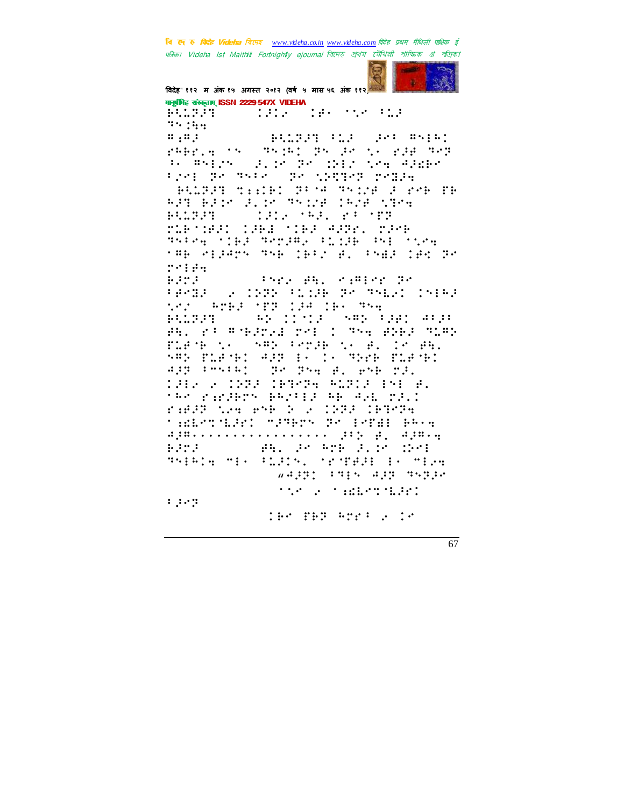वि एक रु क्विहेट Videha विएम्ब www.videha.co.in www.videha.com विदेह प्रथम मैथिली पाक्षिक ई पत्रिका Videha Ist Maithili Fortnightly ejournal রিদেহ প্রথম মৌথিনী পাক্ষিক প্র পত্রিকা



विदेह' ११२ म अंक १५ अगस्त २०१२ (वर्ष ५ मास ५६ अंक ११२) मानूबंगिह संस्कृतम् ISSN 2229-547X VIDEHA

tate the sign and **HASP**  $35.344$ 

BOOTH COMPANY SAFE BREET  $\mathbf{u}_1, \mathbf{u}_2$ PRESENTS TRIBL TRIPS ON SPEED THE Be Which of the Brookly the Alber trem as asis (as weaks ready GRUSSE TEEDS STATE TO ME STATE SE RPD BESK E.SK THINE IRIB NTH. 841888 THE SALE PROPER MARTING CONSTITUTES ASSAULTED Thing the Trues (Chile Chi the tep appart wip jpir al ciad jpr pr 

They Bh. KiBler Br Baran Barat, PARTIE OF INTERFACING TROUBLE INTER NAV (POBR 188 184 186 354 **PRODUCT** BE INTE SAR PRESSURE PRO PROPORTED THE COPAN PERPORTER FLEME AS A SPECIFICATED IN BR. **SAY PLANE: ASS BY CONSTRAINT** 432 Fryth: 28 254 B. 656 23. **THE FIRE INTERNATION IN B.** the random benild be gen mall rado the emb o ricos (Boros tadetiko tamer de Pando Belg 4,800, 2000, 2000, 2000, 2000, 2000, 2000, 2000, 2000, 2000, 2000, 2000, 2000, 2000, 2000, 2000, 2000, 2000, 2 Barat i **See Section Professional Contracts** Things will safely from the incomers weight frie all relie the screener man:

 $1.142$ 

the fift work a te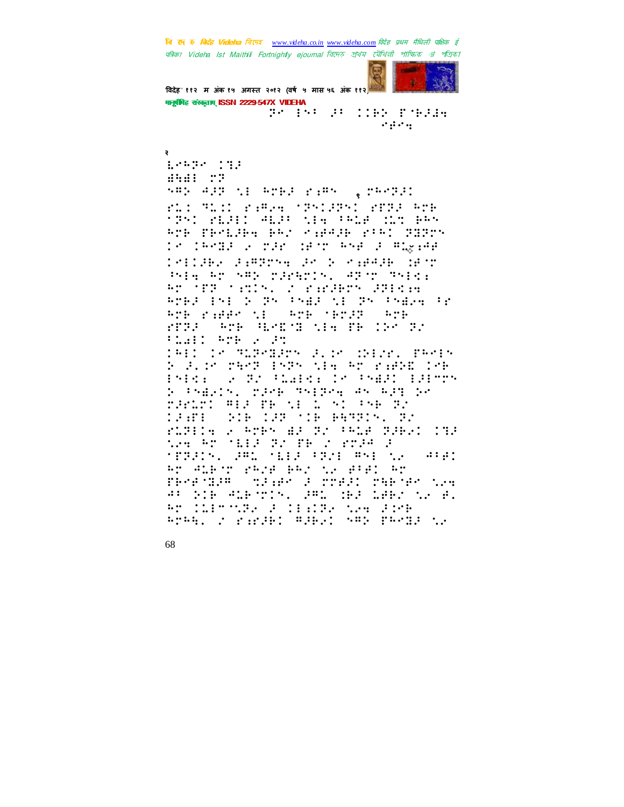वि ए रु क्रिडे Videha विएक www.videha.co.in www.videha.com विदेह प्रथम मैथिली पाक्षिक ई पत्रिका Videla Ist Maithili Fortnightly ejournal রিদেহ শ্রথম মৌথিনী পাক্ষিক প্রা পত্রিকা



विदेह' ११२ म अंक १५ अगस्त २०१२ (वर्ष ५ मास ५६ अंक ११२) गानुबंधिह संस्कृतम् ISSN 2229-547X VIDEHA Br 150 BC 1162 Freda

 $\partial_{\alpha} \partial_{\beta} \partial_{\beta} \partial_{\beta}$ 

 $1.9439 - 133$ #4#1 27 ner ers di erer rien (penski FLI FLID FARAH (FRIERS) FFRE ATE **TRI PLAID ALAS NIA ARGE MAT BRY** And Permiles and raddide place Sound Te TReda a par deno Roa a August *lellie, Finnse de l'eigene des* Principal resources and the principal state of the second state of the second state of the second state of the ar (1898) antaŭ dialargara geleak.<br>Anagola digeleak galego di galegakaj ge And radden the And Sandra And FTPS ATE HERMITIAN TE INTER Plat: And 2021 IRED IN MURNERN R. M. WEIN, PRNES S P. S. MART TATA MIA AT PARKE 18 Prisi & Protain: 18 Press (Simpr S PSERIN, MASE MNIGHT AN AGH SP THIT WHATE IN IN YOUR TO CAND SOM COM TO BANKIN, SV rusing a brew as sa spue samar cos the Ar (1833) Stoff of Program of (PRAIS, ARL (1832–1921) ASI (12 - 414)<br>An Albon (Prai PA) (2 - 814) An<br>Therogae (orage ) confal (1967–1924 AR SIE ALEXINA DAL MED LAET NA B. RESIDENTIFICATION IN STATISTICS. RORAL Z PARIBI RIBAL SRP PROBE NA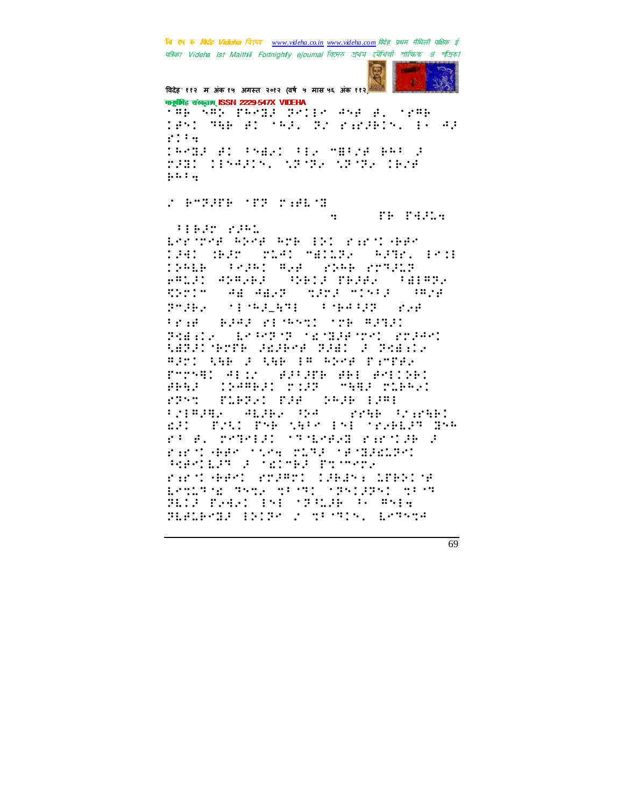वि एक रु क्विहेट Videha विएम्ब www.videha.co.in www.videha.com विदेह प्रथम मैथिली पाक्षिक ई पत्रिका Videla Ist Maithili Fortnightly ejournal রিদেহ শ্রথম মৌথিনী পাক্ষিক গ্র পত্রিকা



**TH PAPLA** 

विदेह' ११२ म अंक १५ अगस्त २०१२ (वर्ष ५ मास ५६ अंक ११२) मानामिह संस्कृतम् ISSN 2229-547X VIDEHA the Any pargu price and discrep

tant mas at red. By randeln, is go  $\mathbf{r}$ :  $\mathbf{r}$ **TRANS NO PARAT PER MORTAN RAP 2** THE COMMON STORE STORE CRIME  $......$ 

**A ROSE CONTRACTOR**  $\dddot{\cdot}$ 

**SIDE PRO** Enrope Abne Are (FSI rand Aer) 1981 SAJE (2141 MAILE) AJGE (PI) .<br>1941k (Kalen Aya (angkarangan PALE ANALO SHIP PERE SHIPS  $11.919$  $-4\frac{1}{2}$   $-4\frac{1}{2}$ ,  $\frac{1}{2}$   $-1\frac{1}{2}$   $-1\frac{1}{2}$   $-1\frac{1}{2}$   $-1\frac{1}{2}$   $-1\frac{1}{2}$   $-1\frac{1}{2}$ **PORT CONTROL**  $\mathcal{L}$  : the space of  $\mathcal{L}$ Print (BJ42 risht) orb #2921 Pedalo arter thanged the control of the control SARAD SETE ARABAN RAKU A REKKA #251 ANE 2 ANE 1# #278 FinTA2 PTTMED HELD ( PAPAPE PEE PMILDED **194891 2018 2008 20091**  $\mathbf{r}$ FRANCO PLERAL PARA CAPA ESPE **PARTICE SECTION CONTROL Satisfacture** ERS FOUR THE NEW INE STORED STAR ra el repetat (santerem ranstama) rand General Steel State (1980) Sections WASAN SANG PERSON randament rogeol (gegya 1865) ye<br>Andlew Sydl de Micconteller HIS THAT IN STUDE & WHA BERLEVER ENTRY 2 METRIN, EVRNMA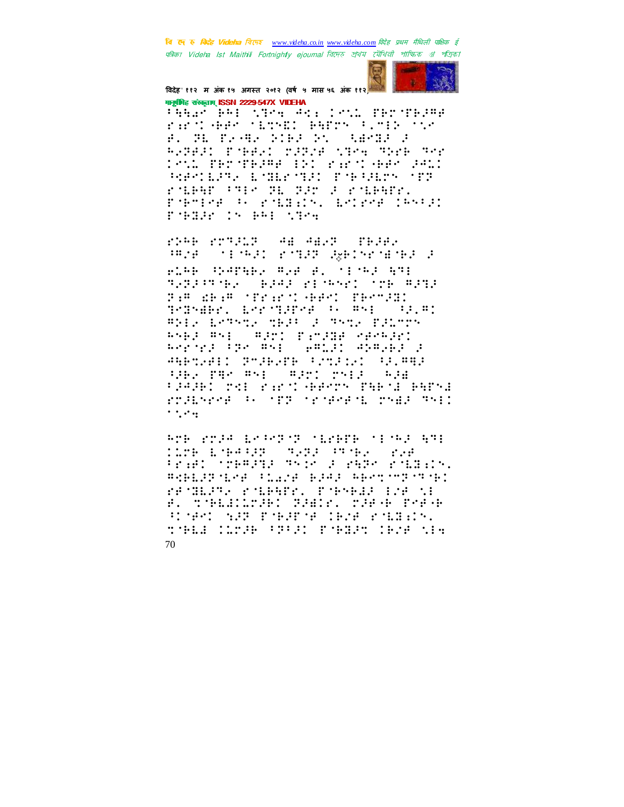वि एक रु क्विहेट Videha विएम्ब www.videha.co.in www.videha.com विदेह प्रथम मैथिली पाक्षिक ई पत्रिका Videla Ist Maithili Fortnightly ejournal রিদেহ শ্রথম মৌথিনী পাক্ষিক প্রা পত্রিকা



विदेह' ११२ म अंक १५ अगस्त २०१२ (वर्ष ५ मास ५६ अंक ११२) गानूबंगिह संस्कृताम् ISSN 2229-547X VIDEHA

Panas Bel (1954) And Control Perspeed<br>Pansi Georgia Sarah Berry Pusat (196 S. S. C. S. S. S. S. S. SEC. S BARAI PARAL MARYE NTPA TEMP TOM ISM THOTHER IN YARD ARM PAI POPULPRY LONGON POPULPY OF range (me me no d'rance. PORTICE POSTGERON, ESTROPOLIMATE rume : PPI the

rom rother as ages there **PROFILED PORT WEIGHT PER** ping corpup, map g, species SPERSON BEST PESSED OF SPEA P.A. delA (Principales) Person: SKINAAR, EKRYSARKA (\* 85) (S.A) #NEW ESTATE TREP & TATE FELTING RSB3 #S: #3r: P.M3HA SASA3r: Report the Well Gambi Annual P ARESANI PSEADE FASTAL FRAME **BEATH WALKERSHIPS IN THE REAL** FRAGE THE PAPT GERTY THETE BATY! rollsche B. Springserigene Salt  $\cdots$ 

Analysis Erstrick (Eraba (Finalys) TIME EMPROPE SOME STAR STAR transference ste canerale distri Real:Park Club BRAD Resource Set PETHERS POLEHER, PORCHAR LOR NE #. THEILTHI THIS. THAN PAPAR RIGHT AND PORNTH IRE POINTS. the Crew Chapter Chart Care the 70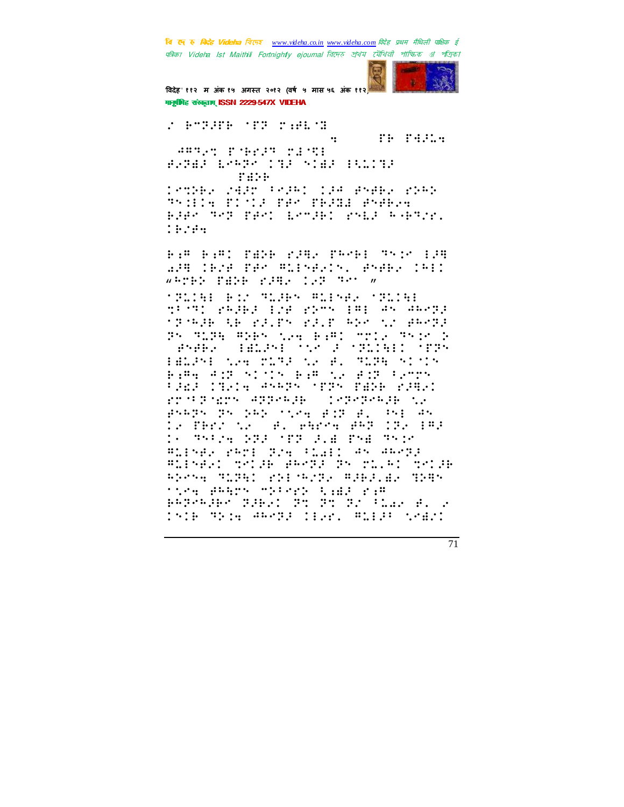बि एक रु क्रिके Videha विएक www.videha.co.in www.videha.com विदेह प्रथम मैथिली पाक्षिक ई पत्रिका Videla Ist Maithili Fortnightly ejournal রিদেহ শ্রথম মৌথিনী পাক্ষিক প্রা পত্রিকা



विदेह' ११२ म अंक १५ अगस्त २०१२ (वर्ष ५ मास ५६ अंक ११२ मानामिह संस्कृतम् ISSN 2229-547X VIDEHA

**FARISH YE THEM THE PAPER**  $\dddot{\mathbf{r}}$ **ABRAT PORTH PENDE** BARBA LEADE THA STORE BILLING rate Temper rago (eggan tag anger rogp Thile Elfie Ben Beski Pheem BEEK THE PERSON ENTERS PARE ROBTIS.  $10.104$ 

B:# B:#: MAGH 2006 MAGH 7525 100 APROCEDE THE MILESHALL HSHER CHIC **WATER THRE SING ISS NAME** 

**TELLE BY TEEN TEENE TELLE** trit, Pale Car Park Personal Service **TRINGE AR PAIRS PAIR AGE NA PAPRA** BY TERR FREY SIR BARD TELL TYPE R GRABY (BELPA) the Formulation Pre-HERMA TERS TO BUSINESS TO BEAU AND SIMIS BEAUTY BND PRODU FAWE COSTA ASSOC TOPS DANN RING rrathers appeals concretely to graph dr 181 (1958) de gel de 185 (1958).<br>Le Parl le (de ambre dad 1958) da S THIN SEA TER ALE PHE THIN BLINES PROF BOW FLAID AN ARCHI BLENBAL MATCH BRATE TN MLLRI MATCH angsa Migal entisyon Agagian Mhas<br>1924 Aams Mhaen Nadd ea pêrêngerî rapê: dr. dr. dr. Gilax di v 1516 METAL WARRENTEDES WEEDER SPACE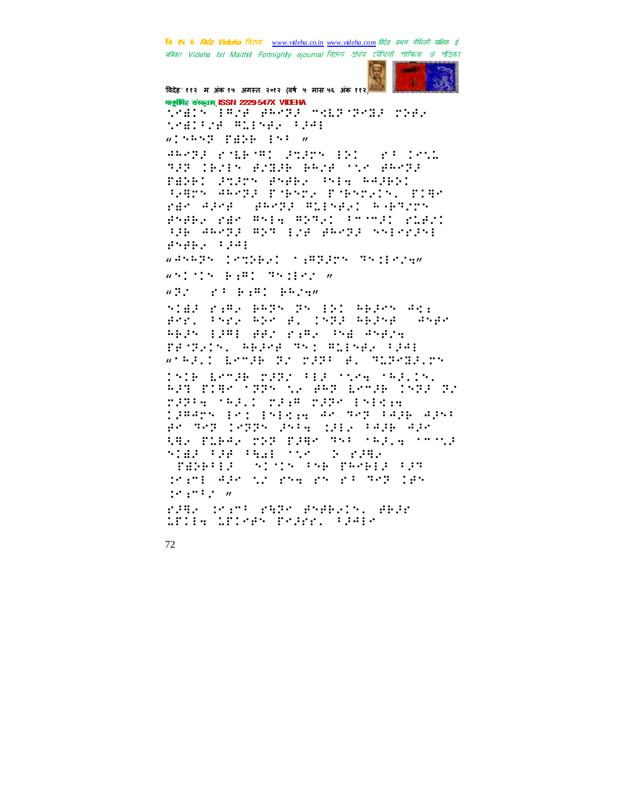वि एक रु क्विहेट Videha विएम्ब www.videha.co.in www.videha.com विदेह प्रथम मैथिली पाक्षिक ई पत्रिका Videha Ist Maithili Fortnightly ejournal রিদেহ প্রথম মৌথিনী পাক্ষিক প্র পত্রিকা



विदेह' ११२ म अंक १५ अगस्त २०१२ (वर्ष ५ मास ५६ अंक ११२) गानुबंधिह संस्कृतम् ISSN 2229-547X VIDEHA track large awres many drag chap tractor mineral time w: SPSP PARE (SP) # ARABE POLEOBI ENERGY ENI (PROJECT) 333 IECEN ROBER BACK TON RAMSA TARE: POPP PRER THE WARRS SPRES ARCHE PORTE PORTEIN, PIRC ran Alna (Abnyl Allegel basyrn Press res ship space (showed ried) ija daragi mencija paragi ssiranisi  $\mathbf{f}^{\star}\mathbf{f}^{\star}\mathbf{f}^{\star}\mathbf{f}^{\star}\mathbf{f}^{\star}=\mathbf{f}^{\star}\mathbf{f}^{\star}\mathbf{f}^{\star}\mathbf{f}^{\star}$ wannph (emine) (spring friedrich)  $\mathbf{w}^{n} \mathbf{t}^{n} \mathbf{t}^{n} \mathbf{t}^{n} \mathbf{t}^{n} = \mathbf{t}^{n} \mathbf{t}^{n} \mathbf{t}^{n} \mathbf{t}^{n} \mathbf{t}^{n} \mathbf{t}^{n} \mathbf{t}^{n} \mathbf{t}^{n} \mathbf{t}^{n} \mathbf{t}^{n}$  $\mathbf{w}$ :  $\mathbf{r}$  ,  $\mathbf{r}$  ,  $\mathbf{r}$  ,  $\mathbf{r}$  ,  $\mathbf{r}$  ,  $\mathbf{r}$  ,  $\mathbf{r}$  ,  $\mathbf{r}$ star rim, paps ps int appealing. ant, three who all chall walnamed what REPORTED BELOCIES THE RNEIN FRONTS, REPORT TO STELL SEATS WORREN ERMAN DI MADA BL PEDROEFING DSIE Ernae padz (FEA) nine nealin. APS FIRE 1995 12 AAR EEMAR ISBN 92 MARIA (PALI MARA MARK ENERAR pjesno pro popolju se men raju spor Br Tri 1875 (Pig 1816 (Balk A) SAR PLEAR TRE PRAY THE SARIA STORE **STAR PRESENT TO START OF START** TENNIS STOR PROPERTIES Port APP NO PRESENT PARTIES rage crime rage anderly, dear MINE MISS PORT (2015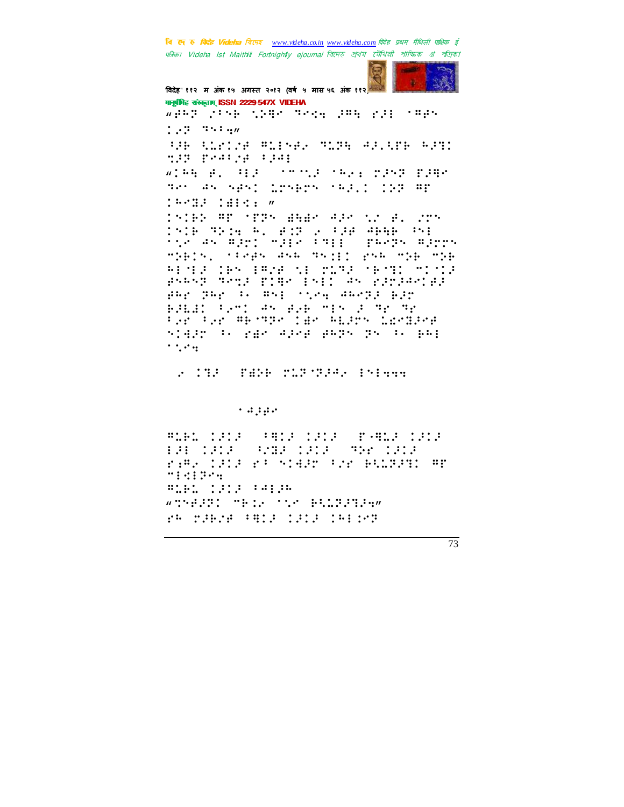

विदेह' ११२ म अंक १५ अगस्त २०१२ (वर्ष ५ मास ५६ अंक ११२) गानूबंगिह संस्कृताम् ISSN 2229-547X VIDEHA webs risk then hough for sil copy  $1.43 - 3.44$ **THE CONTRACTORY STORY OF STREET** man pediga ida. wind di dia shekara masa pada pada Ter 45 5851 London (63.1 153 FF  $\begin{minipage}{.4\linewidth} \begin{tabular}{l} \multicolumn{2}{c}{\textbf{\textcolor{blue}{\bf{1}}}} & \multicolumn{2}{c}{\textbf{\textcolor{blue}{\bf{1}}}} & \multicolumn{2}{c}{\textbf{\textcolor{blue}{\bf{2}}}} \\ \multicolumn{2}{c}{\textbf{\textcolor{blue}{\bf{2}}}} & \multicolumn{2}{c}{\textbf{\textcolor{blue}{\bf{2}}}} & \multicolumn{2}{c}{\textbf{\textcolor{blue}{\bf{2}}}} & \multicolumn{2}{c}{\textbf{\textcolor{blue}{\bf{2}}}} \\ \multicolumn{2}{c}{\textbf{\textcolor{blue}{\bf{2}}}} &$ ISIBD AP YPPS BABY APP NJ B. JOS 1516 This R. Bill of the Angel to:<br>150 An Anni 1710 This Therm Anni MEETAL SPAGES ASA JASII 2004 MEETAL REMOVING BROWN NEWSFIELD MINIA Brand Send Plan End: An Edmond Br gay pay is may such anong pgr BREET PAST AN BAB SIN 2 MP MP the the WESTER car WEBS Lengthe START IN YAR ARRA ARTS TS IN BRI  $\mathcal{L}^{\text{in}}$  ,  $\mathcal{L}^{\text{in}}$  ,  $\mathcal{L}^{\text{in}}$ 

**STATE PARK MINIMUM Priggs** 

 $\sim 0.1\,\mu$  e

RIEL COOP (PRINTING COOP) PARIS COOP 121 1212 rama (1919 r) Sidde for Bildgail Mr mindiffer *<u>BIBL IDID 18198</u>* **WINDING TELL TIME BILDERER** re raere (Alla 1919 1961)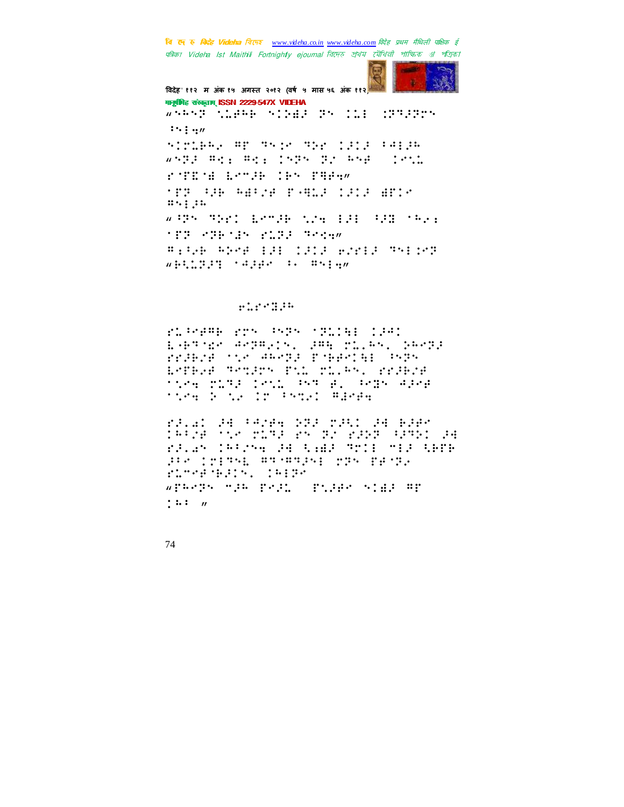

विदेह' ११२ म अंक १५ अगस्त २०१२ (वर्ष ५ मास ५६ अंक ११२) गानूबंगिह संस्कृताम् ISSN 2229-547X VIDEHA where these sides as ill dripps  $\cdots$ ;  $\cdots$ STORE WE THE THE STATE FREE while Head Head (SIN IS HSP) (SML) riche benge der Pher tra un matre roma caca arch  $\mathbf{H}$  ,  $\mathbf{H}$  ,  $\mathbf{H}$ with thei both the HH (HH (Per **THE PHETIC PLICE TORSE** #:500 ADMA 131 1313 ANY13 751107 which has a series of  $\mathbb{R}^n$  . The series of  $\mathbb{R}^n$ 

## $1:1:1:1:1:1$

riPrese rrs PSPS (Plie: 1941 EGRAPHE ARDALIS, DAN MILAS, DARDE rrange to seems represented the ESTEVE PSTATY TWO TOURN, PPARAF tice play lett as all again ages tice 2 is In Prist Wards

ralah ad terde 223 maan ad 630° 14124 (Se pina 25 de 22 2330 1295) 24<br>23.a5 141254 34 5.48 7211 713 5686 FRA 1919-1 #PA#PPNE 2PN PRAPA firstness, 1919-WPREPS THE PEAL (PLANE SIN AT  $\ddagger$  : :  $\ddagger$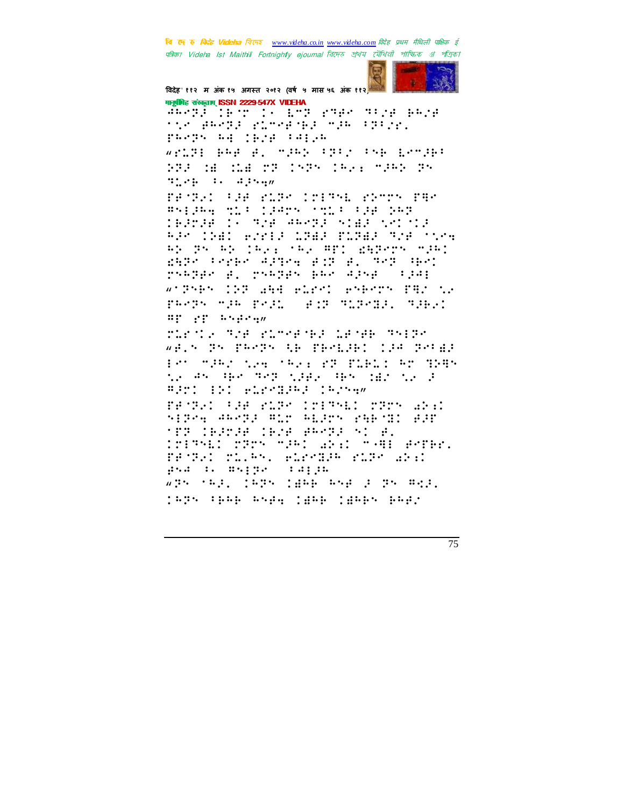

विदेह' ११२ म अंक १५ अगस्त २०१२ (वर्ष ५ मास ५६ अंक ११२) गानूबंगिह संस्कृताम् ISSN 2229-547X VIDEHA

ARABE (1872) 13 AMB 2788 7728 BR28 the Barge Plengthe measurer. PR-25 Rd (B)# (Rd)R wriff pap p. mjar (p), cap Lemje: 333 18 118 23 1535 1624 2365 35  $\mathcal{R}$  and  $\mathcal{R}$  are all  $\mathcal{R}$  and  $\mathcal{R}$  are all  $\mathcal{R}$  and  $\mathcal{R}$  are all  $\mathcal{R}$ 

FRONT LEE FIRE CONTRA FRONT FRO Bylang will cannot will be the TERMIN IN THE WANTED STAR SPICER RPP INED BOYER LOWER PLOWER TOP TIME AS PROAS TAKE TAK ATT WARRY TEAT 2528 Perke Affea Add A. 782 Per rnaden e. rnaden ean adne (()de wither CDP and elect energy PRI to PROPRISE PORT AND STRONG STREET sp er steden

MACTA THE PLOGEDED LEGEN THIRD wels by propy to poorler clear poral Pro make the cheesed flate by digg the AS (PHO TRIP then (PS) the the S **WEDNESD PERSONAL INCHER** TENT OFF PUR INSTALL MINH ARE SPPH WARPS WILL WIRDS FURNIT BID 'TT (BJTJE (B26 85073 5) S. IMERSED MARS MARI WEEL ARTER. PROPER TO BALL FORCHER FORM WELL gsa il megge (iaggi wre sell iers idee ese i rs mail japs (pap asp. jgap jgaps pap)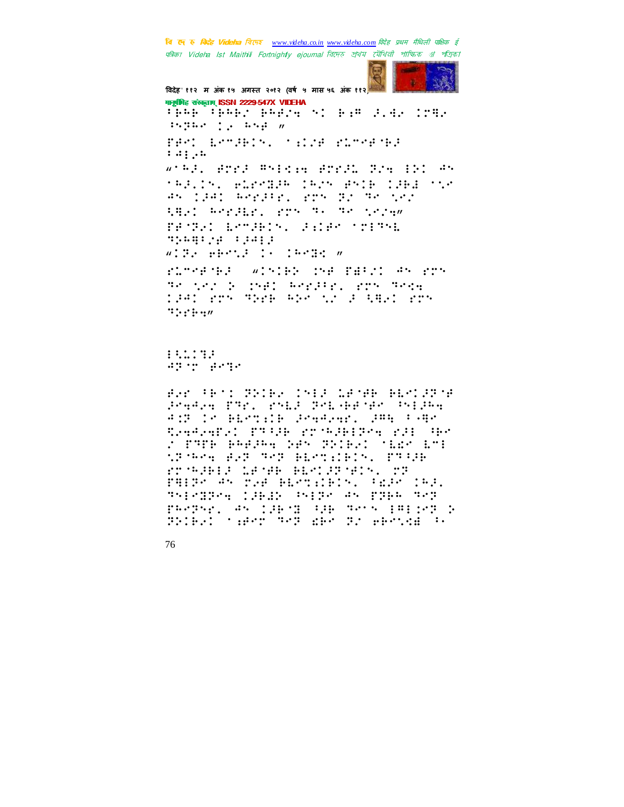

विदेह' ११२ म अंक १५ अगस्त २०१२ (वर्ष ५ मास ५६ अंक ११२) मानामिह संस्कृतम् ISSN 2229-547X VIDEHA ther there below at him like true  $\mathcal{L}^{\mathcal{L}}$  . The property of  $\mathcal{L}^{\mathcal{L}}$  , the properties of  $\mathcal{L}^{\mathcal{L}}$ FART ERMINING TELLE PLONE NA  $1.44...$ wiki, Arri Anton Arric Bin 101 An *TRAIN, BLEKEAR CRIN BNIB CARE TIK* 85 (28) 502332, 225 326 30 502 the World's fry to the core. PRODUCT LAMPRON LOCAL STREETSL mpaganya adalah wile ePoil is induct a runnered winder he fachi en rrn The Ship Southern Republic School Theory TRAD POS TREE RES NO R READ POS  $\mathbb{C}[\cdot;\cdot;\cdot;\cdot;\cdot]$ 13.111.112 aging gaga

BAR TEST PRIER INES LEGEN BENISPAR Praga Part rail and Grander Science ANT LE BEETIE PRAAGAN, PRA FARK CHARGER PROF PROBIBUS PH OR 2 FATE PRESPACIENT SPIELD CERCORAL SPORT REPORT BEFORED SOMETIME FAIRS AN TOP BESTIEDN, PERSONAL ThirdPress. Webline the Program of Press. PROPAGE AN ISBND 328 JAMES 1811-00 D BRIEFI TAPP TOP WHO BY PHONE TO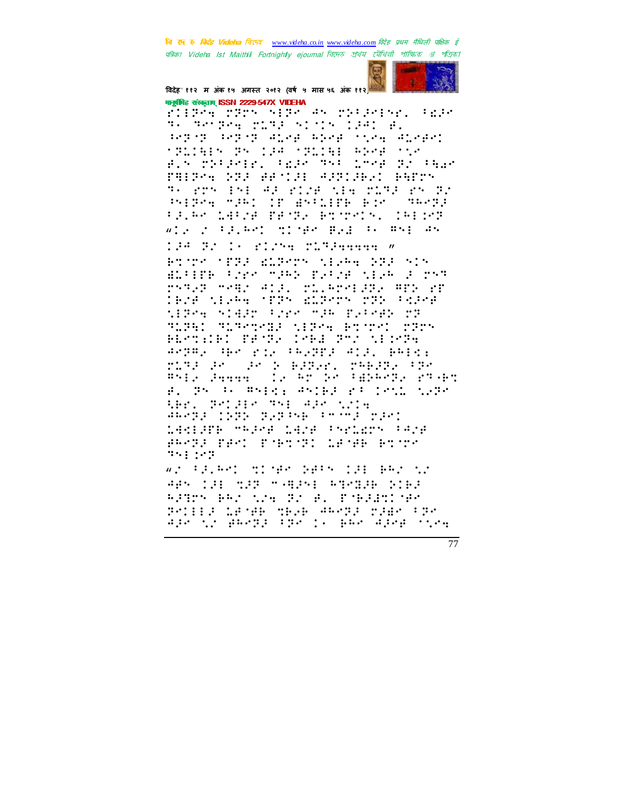

विदेह' ११२ म अंक १५ अगस्त २०१२ (वर्ष ५ मास ५६ अंक ११२) गानूबंगिह संस्कृताम् ISSN 2229-547X VIDEHA

alisand and continue of her care whether the control TE THIRD TITE SING ISSUED ang ng ang ng aling aping tina alingn: splikes by the splike week sys B.S. MARAGEL REAG THE COOR TE PRES PHIRM SRP ARTIS ASTISET BATTY TH STATINE AFTERDATE TETE SATT PHONE MORE IN BROWNER BIR THROU PALAM SARYA TANTA AMINYIN, IAENG Wir z Falkel miner Bad fo Rep an

134 Brit (1981) Manuary W Brown STIL MIRTS SLAW DIE SIN BLEEPE FREE MORE PARKE MEAN OF MAN rshed medic all, rulerellde are dr IPSE NEVAW TERN BLAMMA MAR PRIMA tires starp from the presencer SLEED SLEEDER CIPEW BOODS UPPS HERTICHO PROPA CREE POS SECRE APPRESSING PICTURES AND BRICK rise en en bobezen robeen (en<br>ste emma (in or broedenen) rsobe B. The Geography Ander Pacific Carr thr. Polise The Ale tria ARATA (1971-7923) Personal part 14KLUPA MAJAR 14MR PAKLEMA PAMP PROTE THOS TORONT LEGE ROOM  $11.41111$ 

wi filmd dide befrole emicu APS IN THE TABLE FINISH NIE RATTS BRI NIE TI B. FORAALIE SMITTE LENE MEZE ARMSE MJEM FSK aprove garge through and aproporting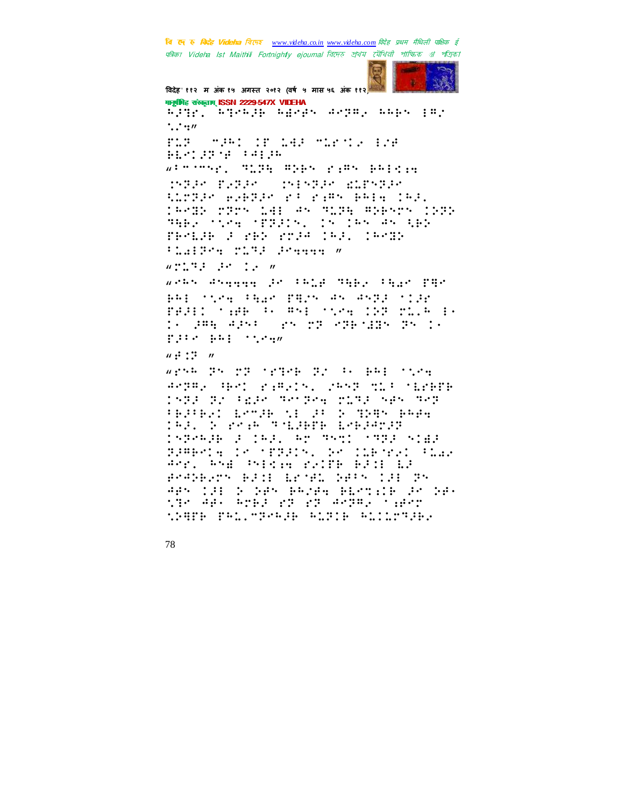

विदेह' ११२ म अंक १५ अगस्त २०१२ (वर्ष ५ मास ५६ अंक ११२) मानूबंगिह संस्कृताम् ISSN 2229-547X VIDEHA ajqr] aqeajh ageps aepo, aabs (pr)  $\ddots$  : PLP ("PRI IP LAP "LESTA INF BE-12778 (00120 windows: TIME HDPS riHs PRISIN MIR TRIP (MARRY ELTYPE SIMPLE BABBER MA PAPE BRIA (R.E. SPARE PROVIDED AN ALPE AGENCY ISOS THEY SAME STREETS, IN ITS AN AN ABY TRYLIN F PRY STIP INE, IRVIN **FLATTER MITTE PERSONAL**  $\mathbf{w}$  and  $\mathbf{w}$  are the set of  $\mathbf{w}$ wrat atgygg profage Mapp fagr par PRI TOTH PROTTED AN ANTE TIME FARIO SAME POSE STAR INFORMACE 10 286 4256 25 28 28 285 185 35 10 plie hat steen  $w: \mathbb{R}^n \times \mathbb{R}^n$ write  $\mathbb{P}^1$  (22 or 320  $\mathbb{P}^1$  (22 or 4)  $\mathbb{P}^1$  (34 or 4) ARTAN HEN RIANIS, NAST MICH MERED 1933 32 FEB 30 30 504 2133 999 303 **FRAMELY LOOKS IN START THEORY REPORT** SAI 2 PYA TYLAPP LYBJATJ SSPARD F 183. An TSn: 1983 Side BRANCH IS STREET, SE ILBORYD PLAR Angl And Thirde Polifi Bail La POSPERTY PAIN WRITER DEPAILING APS IS & MP BRYE BESTIE PO MP the App Aral ra ra Araba (1987) SPAPE PRISTRAGE RIPIE RICIPALE.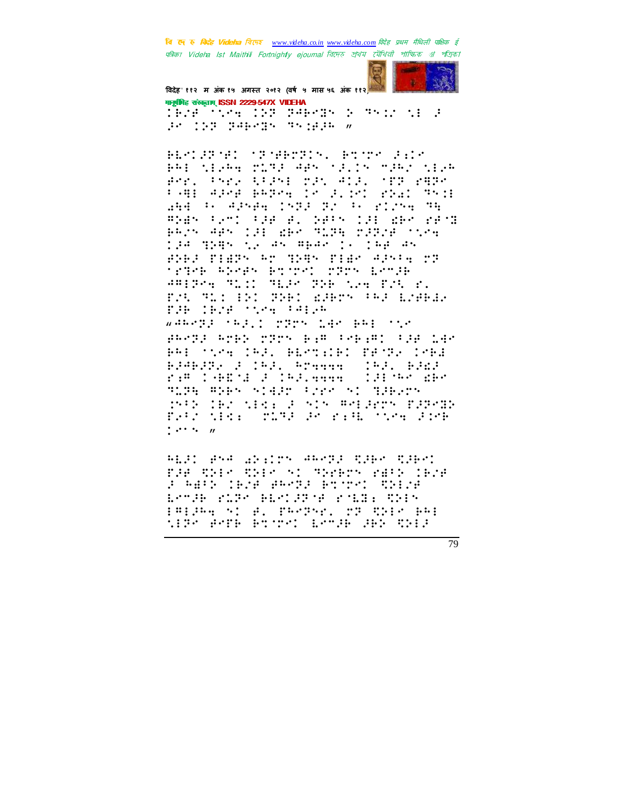

विदेह' ११२ म अंक १५ अगस्त २०१२ (वर्ष ५ मास ५६ अंक ११२) गानूबंगिह संस्कृताम् ISSN 2229-547X VIDEHA

Terelibra 193 346-35 S 3512 ME 3  $P = 1.59$  THR-TR TRINGER  $\pi$ 

BLAIDEAN STABATIS, BOOK DID PRESSENT TOTAL APROVACING TANK SEPR Rep. Pape AFIAE MIN ADE, MER PARA FRAME APPEARANCE POSSESSED AND TRIE 253 F. Albert 1972 T. F. 21294 TR span for: foe al path (of abr ad<br>bezh gan (of abr swom poppa five 5815 131 die 2852 194 BAS NE 45 AB48 DE 168 45 PRES PIERS AN TRAS PIER ASSAM NR track about boord cars book ARISAN MEDI MERK SIN TEN BEL K. DS TO: OS THI 2380 (PS LOBER F.B. IESE SNYH PALAR wandda (nadio 2020) 180 Ani (190 PROTE ROBO CTON BYR FOR PRI FIR 196 PRI TOTE CRAV PETTIED PROPA CORA BJ4BJ22 J 193. 924444 (193. BJdJ 121757 dist SLEE SPEN NIGHT FREM NI THERTY THIS INSTITUTE IN NINTENTIFY PURPORT FARE MESS CONTROLLED FIRE COMMUNIST 

ALIS ANA SENIMA ARMIA CIRM CIRMI THE THE THE ST THIET FEED IES a meth cere amnaz esimnoù Rhère ESTAR PLOS BESTADOR POLICIONES PRIAGONI AL PANTHEL TT TRIM BAI MIRA AATE ESTRAD EAMJE JED TOIJ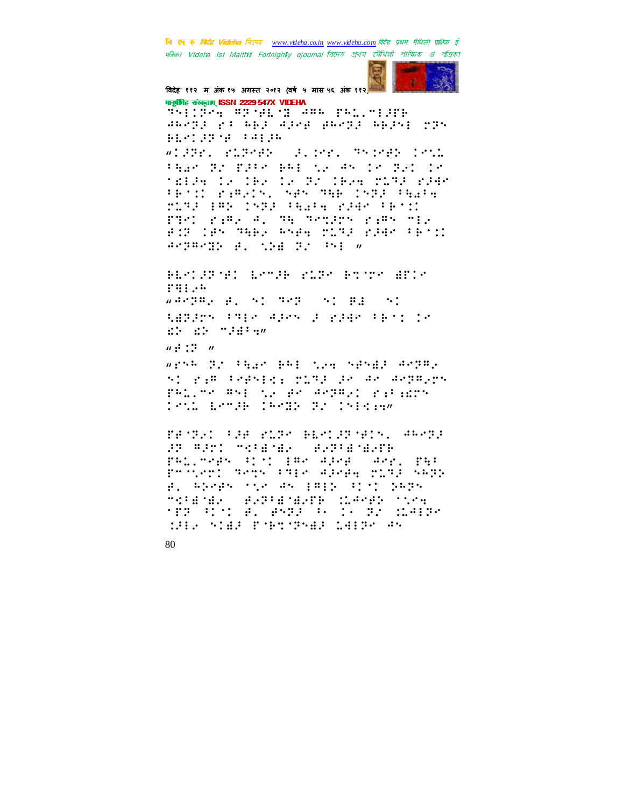

विदेह' ११२ म अंक १५ अगस्त २०१२ (वर्ष ५ मास ५६ अंक ११२) मानामिह संस्कृतम् ISSN 2229-547X VIDEHA

thing are such as partners anega ya npi aleg ghega npisi pgs 8821.0218 101.06 wider, rubert (d. 2011) Beredy Tett Page di Pine Bel na de le dal le teleg is the 12 BM (hearings read PRODUCERSING NEWSTHE INSERTIALITY ring (Ar (1933) (Arab and 2008) (Brit FRAME PARK AND RECREATED PARK MER adr das Heel ksae dies biek kalend **ACTES IN ALL SERVICE CONTRACTS AND ACTIVE** 

BERICHT ERTE KIR BITTE MICH range and property  $\sqrt{4}$  (2001)  $\frac{1}{2}$  (  $\frac{1}{2}$  (  $\frac{1}{2}$  (  $\frac{1}{2}$  (  $\frac{1}{2}$  (  $\frac{1}{2}$  (  $\frac{1}{2}$  (  $\frac{1}{2}$  (  $\frac{1}{2}$  (  $\frac{1}{2}$  (  $\frac{1}{2}$  (  $\frac{1}{2}$  (  $\frac{1}{2}$  (  $\frac{1}{2}$  (  $\frac{1}{2}$  (  $\frac{1}{2}$  (  $\frac{1}{2}$  (  $\$ through the states of edge there is  $\mathbb{R}^n$  . The state  $\mathbb{R}^n$  $w : \mathbb{C}^2 \times \mathbb{R}^2$ 

write Brotham Belonge Spiel Ander ni ra<sup>m is</sup>hnini mini in An Anggunn ..mr #s: 52 #r #r##2: rifich  $\mathbf{r}$  : Teth Leman (Peda Br Informa

PROPER CREATED BENICHTS AND ARREST 32 AST STERE SONERNE panjeles dist par apes alegi par Policel sens the sleep enth same #1 800#5 100 #5 F#F0 FD10 0885 metanak akstranaksi peras nora the Command Age of Commander MBS STAR PORTUGAR 1819-08-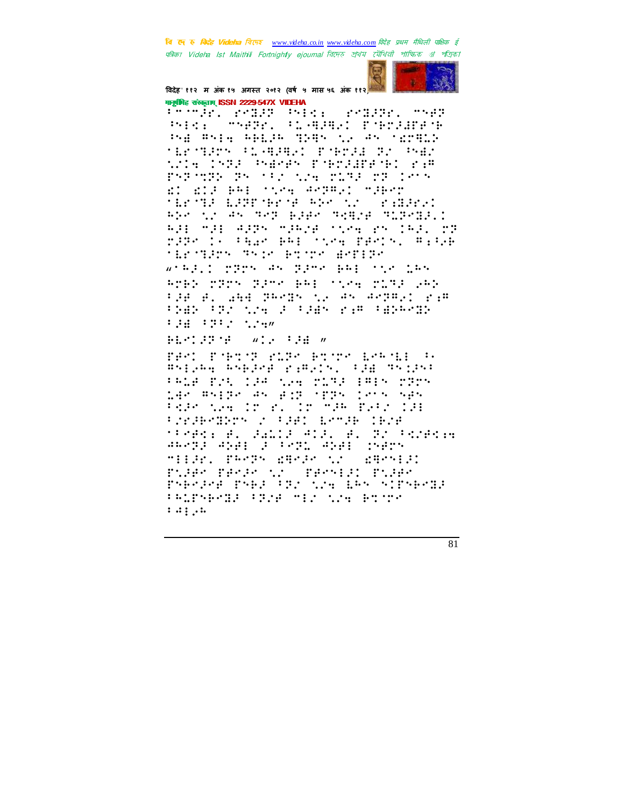

विदेह' ११२ म अंक १५ अगस्त २०१२ (वर्ष ५ मास ५६ अंक ११२) गानूबंगिह संस्कृताम् ISSN 2229-547X VIDEHA

fromår. Præss Sylve Præsse. Myss  $39.14 \pm 0.001$ **MARY PLANDS PHONES** PG WHATHAN THE LATER TO AN INSTITUT **MESTERS PLANNERS PARTED RS PART** wie 1523 Persk Portagenei Ka PARAMEN PACING NOW MERRIME CHIN di dif BRE stra Argent SiBro terna esprimentado de Pragos: who the assumed place means midedle. I 831 M21 A225 M2824 M124 PS 1821 M2 rêze li sûge papîsyek rasis, Alber MESTERS TRIP BOOK BRIEF withdil provise removable into 186 ROBE CROSS RESS BREAKING CORP. 285 tie el amb desde su es especi rie <u> : SAS (32 - SSA) : (1965 - SSA) (ASSA)</u>  $1.14 - 1.212 - 1.24$ 

**HAMERY SERVICE WILL BE AN** 

PACK PORTON RIPO ROOM LOAGH (A) Bright, bright, papers, file Srepri tele provise the Flag PR Pers 148 BSERS AN BIR STRN CRON NAM PAPP New ID B. ID MPR Beforder **Presented a Cast Lease Tere** trendo el fallo elf. el 20 de rendo angel and I form and cher-MILROL PROPY BROAD NO CERCAIN PUBER PERSENTING PERSONAL PUBER PARTRE PART OF STATES STREET **FALPARAGE FROM THOSE WAS RECOV**  $1.41...$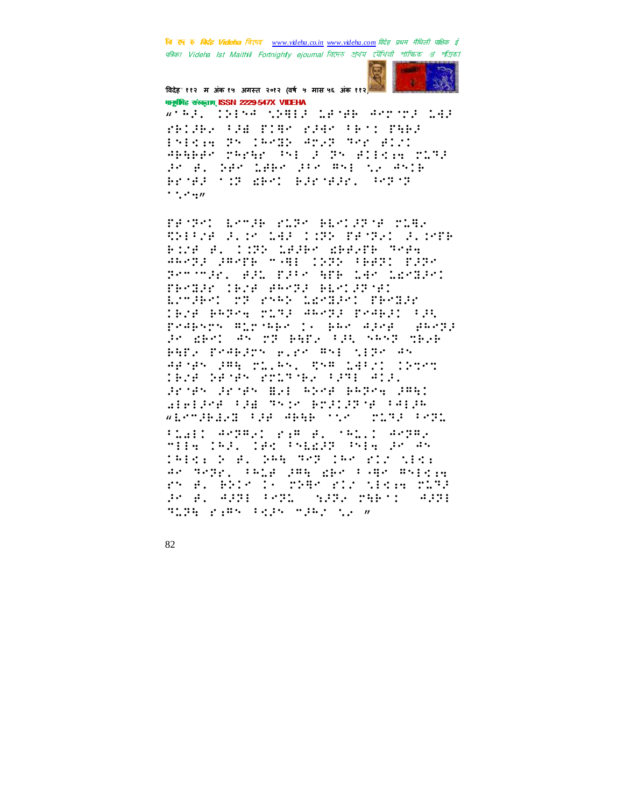

विदेह' ११२ म अंक १५ अगस्त २०१२ (वर्ष ५ मास ५६ अंक ११२) गानूबंगिह संस्कृताम् ISSN 2229-547X VIDEHA

wiki International Conde Anning Lep PRINK THE TIME PINE TEST THE? Prices Britangh Anglicano Alit Abbey rene bi a re siles not de al Sae Labe die mei tie actr Broek (12 dec Blroele, Porch  $\cdot$  ,  $\cdot$  ...

FRONT LOOK PLEATER TEACHER TIME SPEEDE SUCH 188 IND BENSIL SUCHE Bire A. (195 1836) Sheare Mode #672 J#28 - 48 1595 (602) 230 service, act pase and tae taegoed TEMBER (EZA ARMER ELMIJENA) Louise: Ora response arease IB:B BARAW TITE ARATE PAARI TIT pedangn wightaan ji adam dina saangi le aber al se bar, les lang dels PAPA Problem alre mni tipe on APSEN JAN ST. RN. CHA LAFT: 1958 TEMP DENEM VOLTNER PROF AIR. jeres jeres mji mjel bojem jogo WEBSTACH SEARCH BOOKSTACHER wikht:Add the Abbb that the tath Phall Aspeal Fie Al (Aniil Aspea MILA (P.E. 185 PALAIR PALA 2008) TREAK DOWN DRESTRY TRACKING MEAN ar medi. (Phia jan die Coge article ry A. Brie is rray ric wines ring 38 B. ARTE FRID (1872) MARITI (487) Hinda Padro Pages Hide tie W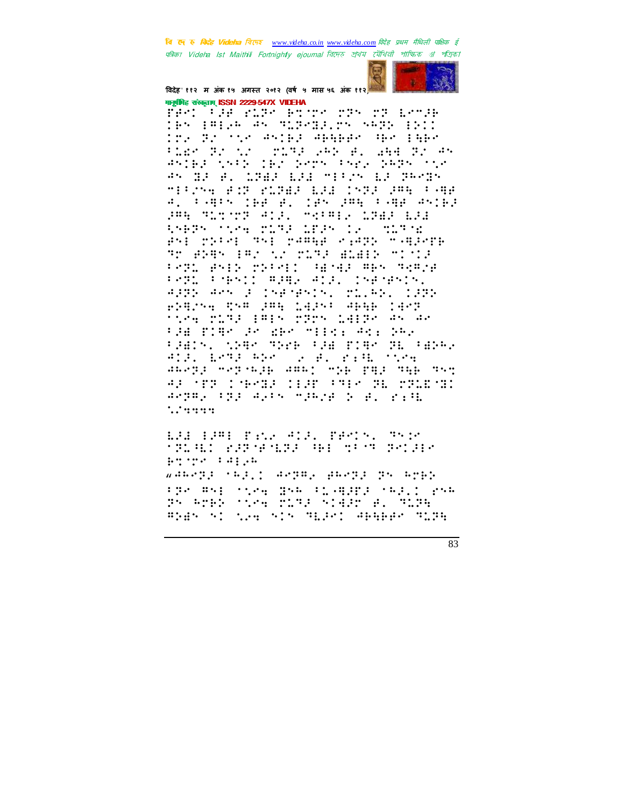

विदेह' ११२ म अंक १५ अगस्त २०१२ (वर्ष ५ मास ५६ अंक ११२) गानूबंगिह संस्कृताम् ISSN 2229-547X VIDEHA

fer: Whe ruse actor can ca brook jes jejše da minemata seda jadi (re Bronne Anche Abhbar Abe Bhbe Film Brown **STORY AND ALL AND COMPANY** 45191 5512 192 2025 1522 2435 750 AN BE B. LEWE ERE MIRON ER PAMEN MIRSH FOR SCREENED INTENSAGE A. PABRO IAE A. IAN 285 PABROAMIA PRESTATORE ALL COMPENSATED ADA there wine right information with a Pri prez Tri pamie zamr zapod TO BREE ERN NN MITR BIBER MINIR PARL BREE MEERS (RENER ARR) ARABI 1971 19811 **BOB-BOB-DARYETA** 4395 488 3 19898518, TL.85, 1395 argina she jeg 1415) Aggal 1422.<br>Shekarar 1915 pansarash aslar FOR TIRE OF RES MILE: AR: SAP FJEIN, NNBH MNYB FJE FIRM PE FENRY ADEL ESTE ANS CO BLOCKER STORE #6011 m010616 ##61 m26 FB3 M66 M55 AF TER CORPORATION AND THE TELEVIS 48982 (93) 4215 53628 2 81 8398  $1.744444$ 

EAR EARD Path Ala. PACK, Thir **MELAL REPORTER AND MOST PRINT** porter adjunwanego rngji aepo, pnego pe nepp FRA #51 Stag B56 FL-BBB S601.1 P56 Probehover with night alongs Branching Street Barrier Search Street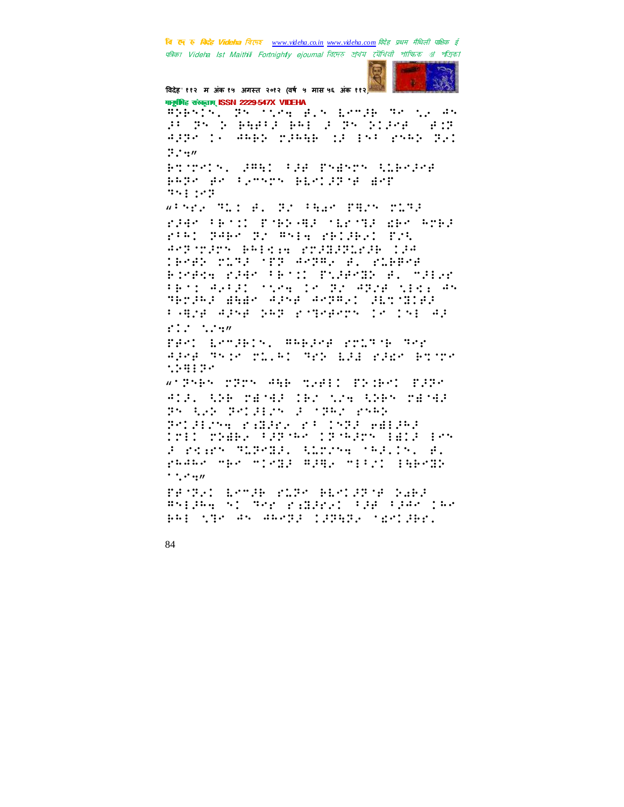

विदेह' ११२ म अंक १५ अगस्त २०१२ (वर्ष ५ मास ५६ अंक ११२) मानूबंगिह संस्कृताम् ISSN 2229-547X VIDEHA

FRENCH PHONE FIN ESSERT TECHNICAL PURCH BARGED BALL PHONOPHOLICE 4256 13 4665 22666 12 153 2565 221  $\mathbb{R}$  :  $\mathbb{R}$ 

Boundal PRE CHA Paper Albert BASK AR PATTER BERIEDEN ART  $3941197$ 

Winds Michel Ro Char PRON MIRE rado (Prof. Port. 8) order from the Arra FOR THE TO PAIN FELIENT TAL Arthream Pelsie rollichii 194 TRANS WITH STR ARTHY N. WINNAP Rodes 2007 PROD PUBPER B. MODE PESI APPEL STRATIS TO ATOM TEST AN METHA BEEK APSE ARTAIN SITURPE F-B28 APSE 253 POTOROTS IN ISBN 42

 $f'$ .  $f'$  .  $f'$ .  $f''$ 

FARI LRTIEIN, AREANE POLTIE THE APPE Thin Tile: The EPA read Print 129125

wiPres pPps AGE pad: PPied PPPs ADEL AND TEMES ODE NEW ANDY TEMES The Light Tennishers of Strain Press. Pristre radio ricord emided THI THEY FARMED IPMACH BELF FOR F PORT TERMIN SERVA MARING B. radar mer mirgi Adap mishi iabrob  $\cdot$   $\cdot$   $\cdot$   $\cdot$   $\cdot$ 

TANTAI ESTAR VIDEO RESIATA DURA<br>Anglare ni The Videopleto Par Pars Irs par the as abend tongs, tretched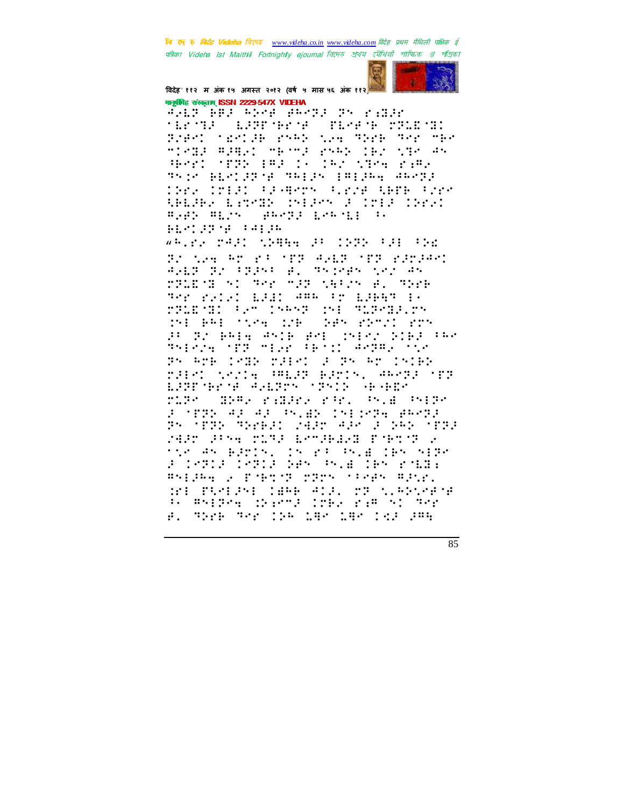

विदेह' ११२ म अंक १५ अगस्त २०१२ (वर्ष ५ मास ५६ अंक ११२) मानामिह संस्कृतम् ISSN 2229-547X VIDEHA

A.LS WAS AGAM ARASA SA YING 'Le'll Larrier's fleet rail'n: Brend tenige root the Stre Shr me MIRBE REREI MEINE ENRE IEZ NIE AN Herri (1886) 183 (1981) 1964 (1986) The South East of The State of the State of the South State of the South State of the South State of the South ISEA (MIJ) PJ-HAMA PLEZE RETE PZEA SHERBY ESTMER (MERMA 2 COER COPY) BARK BENN (BRATE EARNED I) **BL-13278 FAIDE** 

 $\mathcal{N}^{\text{L}}$  , and the second second contribution of  $\mathcal{N}^{\text{L}}$  , and the second second second second second second second second second second second second second second second second second second second second s Brown around the Avam the ranawi APLE BY FRENT B. THINGH NAY AN MARTIN SI APP MAR SHIRN A. AGAR Ter rill and ame branker is PRIEMED PAM (MAMP OME PIPMER.PM DE PRESSOR DE SPRIEDENS an ay belg grib and chiny biba nen There is the serve that it around the Protect Crob coder of Protect Crobb rated to the SALAR Bardel SARARA STR LPPT the tell 421325 (1351) (42412) ring and range rate of the stage a ngga 4a 4a shiga 1na bhag genga a jiao te te ne jihat vyijny tyyka.<br>25 jily 1966-21 valo ale li 656 jiha MEP PRAY TITE ESTERING FARAT 2 tin an edith. In 29 Ph.e. Central F CRICE CRICE SENTINGE CENTRICES Bright & Pobson Sher Steph Band. WE PUSERE THE ATAL MP SLEEDARDE Be Andrew Channel Cobe and no Sea B. The Ter Chamber Car Car Pas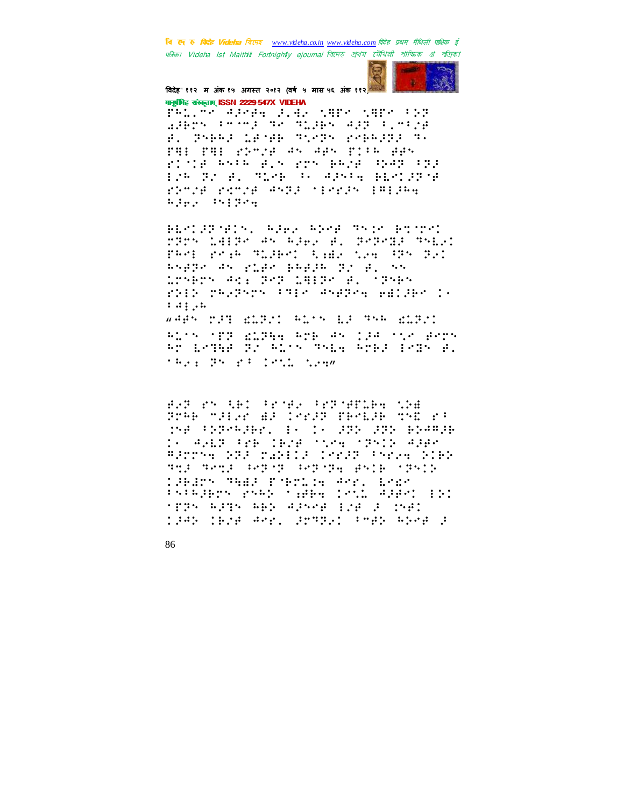

विदेह' ११२ म अंक १५ अगस्त २०१२ (वर्ष ५ मास ५६ अंक ११२ व गानूबंगिह संस्कृताम् ISSN 2229-547X VIDEHA

PALLAR ADRAG DIAL SAPROSARE POR Adams then the model applicate B. PHAR LENB SYMPH PHARRE S. FAI FAI 20028 AS APS FILM APS rinde Asta els rrs Bare Gag (193 President and strategies are adversed and strategies ringe range esta sterlis tetleg **Sime Prices** 

BLATISTATA, RIBE REAR TAIR BOOTS rnr 1819- An Ale, A. Depend Mn.C PROF ROLE MILLENT RIGHT NOW MPN RDI Rugge an Fige Bagga gr g. nu <u>London and Bestichise del tser</u> rill rasper (Chesser and San 1)  $1.43 \pm .1.1$ week rat direct and many and direct With the Elfas Windows (18 the Berg

RT ESTAR TV RUSS TSEA RTRE PSTS R. the Profile Committee

BOT PRODUCT PROBLEMATION NOR Bree maller Ad Cords feolie mod at re Openaer is to Sup any Branch In AGER Pre Iere ting tree to Alen Ranner Spallnichte (Seine Berleg Stad THE TELE PERCHARGE PAIR CRAIN **COURS THAN PYRIGH ANY. LARA** Priegers raeb cades loth gaget (PN) tros algas any disser pre l'oser 1945 (Bra 40r. STTP: Prep Abor 3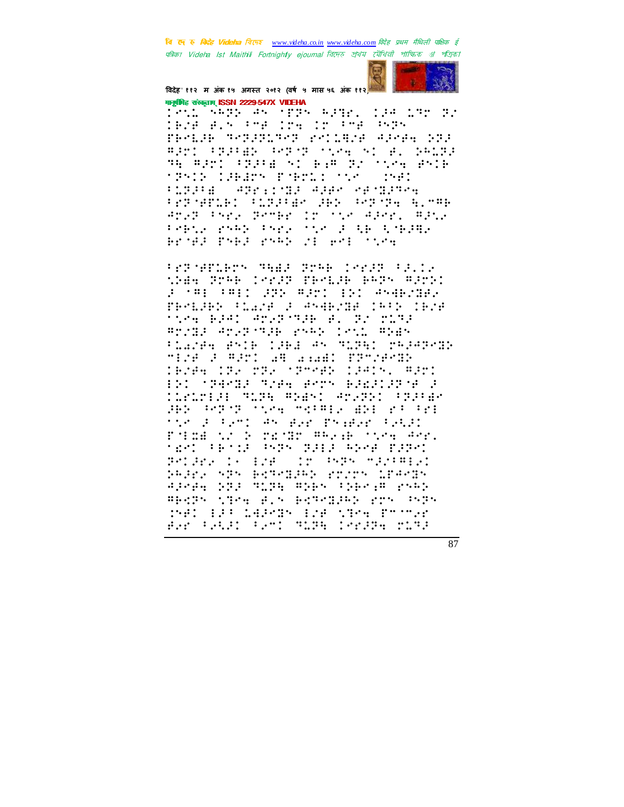

विदेह' ११२ म अंक १५ अगस्त २०१२ (वर्ष ५ मास ५६ अंक ११२) गानूबंगिह संस्कृताम् ISSN 2229-547X VIDEHA

1012 GARA AS SERS APREL 194 196 R. TEMP BIS AMP TOW IN AMP ASPS TEMLIE SMIJILSMI PMIJINE APMA NIJ BRY: PREPART PORTS TOOK ALTE. DRIRE TH FROM PRAGE SO BAR ROOMSHARED **MPRID COBED FORTLY TO STATE FIRSTE (AREA) MISS ASPA PENDING TERMINE REFORM ANY REPORT BIMAGE** Anal Cara lembe in the Aler. Albu Personal Personal Communications Bright Pape Pape 21 Bell 1524

From Holers Made order from Steeler waa mee waan heduk kees elek a reported and engineering and production PROLED FLAZE 2 SOMEZIE IPED IRZE ting BRAI Anyloge B. B. Chong Brida Arabeta rek 1811 Bras Places enterted an might released MIZA 2 ASTI AA GIAAN ISMINAMIN IBJEN IPA MPA (Presh IPAIS, APM) EDI (PAPOR TIAN APTS BREATING A Cuncil Tite Terr Andis (Tille as est the final set as elected the Form an Ave Productional rding to 2 radio mean from And.<br>Sant from the bible bree rupe: Pridry in 128. THE PSPS MILTIPLE PAJER SPS REPORTER POIDS LEAGRS APARA DEP SLER ADRA (PRRAF PARD BECPS STOR RIS ECTORNEY FOS PSPS MAD 123 LAPTER 128 NTPH Promot Bar Fall: FamilyNove Carlys rugg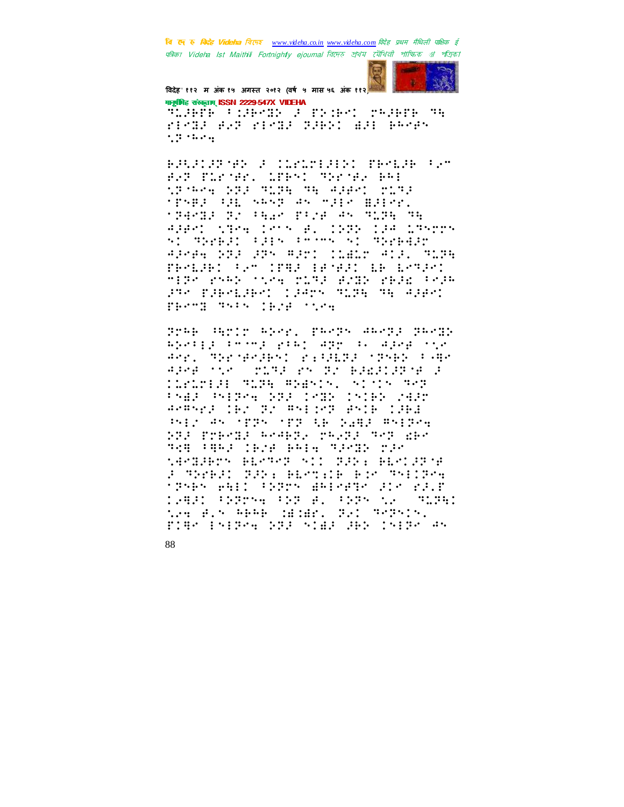

विदेह' ११२ म अंक १५ अगस्त २०१२ (वर्ष ५ मास ५६ अंक ११२) मानामिह संस्कृतम् ISSN 2229-547X VIDEHA

TEACH CAPACA A PRINT PRAGH TH rishi kal rishi dibat di bese  $\gamma$  (ii) that  $\eta$ 

BRAINSTAR CONSISTER BRAIN CO BAR PLEABEL LIBMI MEETHA BAD **13 561 233 3135 35 4387 2133 SPARE RESORATORY MEET BEECK. TRANSPORT PERMITTED AN PLEA PA** APPROVING CROSS B. 1979 198 175005 s: Spred: Cdis Croms S: Spreddr Alega 202 205 Alert Chang Atl. Anda PROLED FROM TENS PROPER LE LONGO mide robb steam ring group regarded and paperaged (1995) nung ng Aagdu PERMI SALA (BOB SCRA

Bree Henr eber, Peers Weeps Beegh aperald recept practicage in adeptinge Angl Shermonthel Pickett (1966) Comp APPE TO TEST PROPER BEEN DESCRIPTED **CONSIST TORE REACT, SINCE THE** PARE PHIRM STA IMIN INIEN MART andres in the community aris isn't PHILAR STRAINTRONAGE DARK PRITCH STI Preszi Reger, regti Sep des THE FEAR INSTALLED TANK TAP SAMBURY REMARK SIL BURY REMIUDING 3 THE TIME HETER FOR THIRD tanen egit foarm geloege gie egit 19921 (1995-4 (1996-8) (1995-1958) MISSI the Bir ABAB (Bide, Bri Reprir. FIRE ENERGY DRAMAINE ABD INERGY AN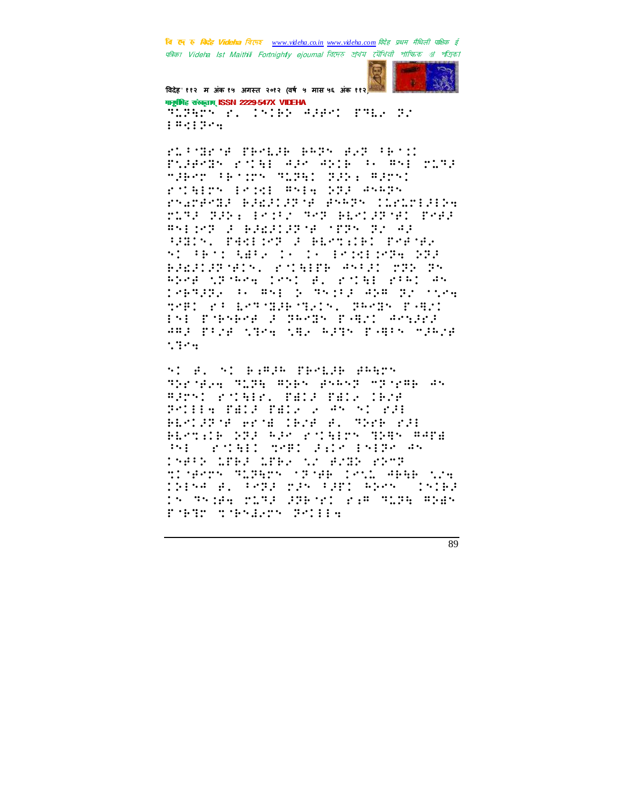

विदेह' ११२ म अंक १५ अगस्त २०१२ (वर्ष ५ मास ५६ अंक ११२) मानूबंगिह संस्कृताम् ISSN 2229-547X VIDEHA

There's, Index Adam, Pale 22  $1.01133344$ 

KITERNA TAMLA AATS ALT IATU Publicar rotal aproacts to mri rump maker thrirs winnings, wars: roleich from Whie SBP Where ryanedia badangang esegs (Lrundgios MIRA RANG BRIEZ REP. BERLAR MEL PREA #51157 2 BJEJIJP58 (PP5 P2 42 APRIMA PARTIME & BEMTIDED PARTHY SI PRODUKER IS IS BROWLOCH DER BREEZENING POBIN ANDI TER PY and crowd int elected power  $\ldots$ peaking in major majir and process SMED AT LATILE MEDIAL PRAIN FABAL INE POPSPOR 2 PROBM PORT ACTIVE amp programme, che appe papre space  $1.329$  :

**SI B. SI B.M.D. TEMLIE BRADY** The Great Chile, Albert Annual Special An #Bry: roleir, fall fall (Bre Police PALE PALE 2005-01  $\mathbb{R}^2$ BLOIDE WORTH IBSE B. THIB 200 HERTICH STA RAR POSITY TERR RATE PHOTOGREET TORES SEEM ENERGY AN **INFORMATES AT EVER STOP** timents SLEEDS (FROM LOLD ARAB SIN China a. Tria ran Tari Alen Tinlea In This count areas for The Same She PORT TORNARD POILS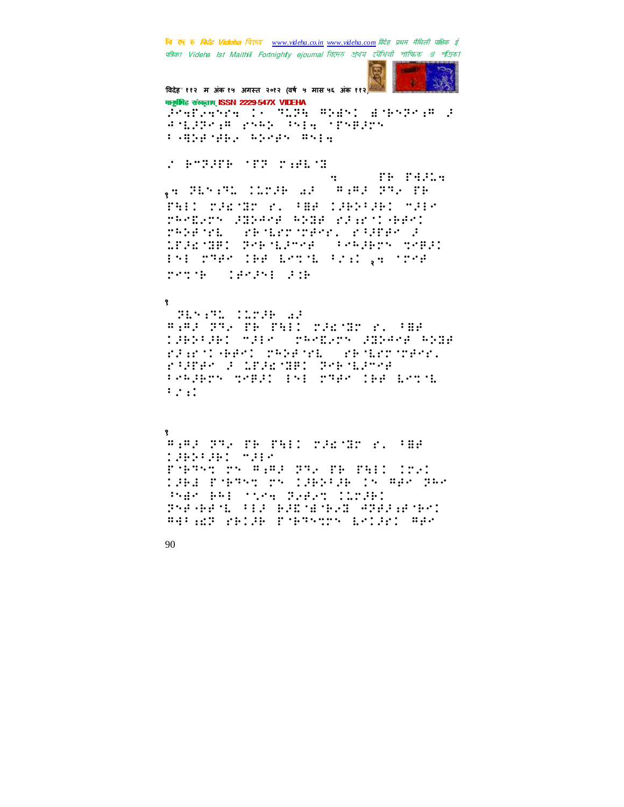

विदेह' ११२ म अंक १५ अगस्त २०१२ (वर्ष ५ मास ५६ अंक ११२)

गानूबंगिह संस्कृताम् ISSN 2229-547X VIDEHA Jegriers : Schup Alder Breeker stranger group (significant) **PAQDEMENT ROOF SALE** 

*CASTER TE THEM* TH PASCH  $\dddot{\bullet}$ , SEPRE COST AT THE FRAME PAIL MARCHER (AND AND MAR rangers docked atom right appet **Server Server Stephen Stephen Stephen Stephen Stephen Stephen Stephen Stephen Stephen Stephen Stephen Stephen MANAGE** 1831181 Perilane (Pelgon Medi Personal des actor (car pe cros rend tech si

## $\mathbf{R}$

315 : 31 : 11 : 31 : 31 ### FR TH THIS THEMT E. THE 1969961 MALK (MARGAN SOPANA ASOR ragniers regens friedrich FURNO D'ESCRIPT PENINSE Persons tempt in: row the betth  $: . . .$ 

## १

### PR PE PHIL MAND P. MBP 1962-261 M213<br>Pobses de Alpaz ds. P6 P411 1821 1961 PAPY TY 1962-06 15 MAY 765 PART RAI TOTA BARAT CONSEC Steelen ook kommunister se #4: AZ YELE PYPTYTY LYLED ##\*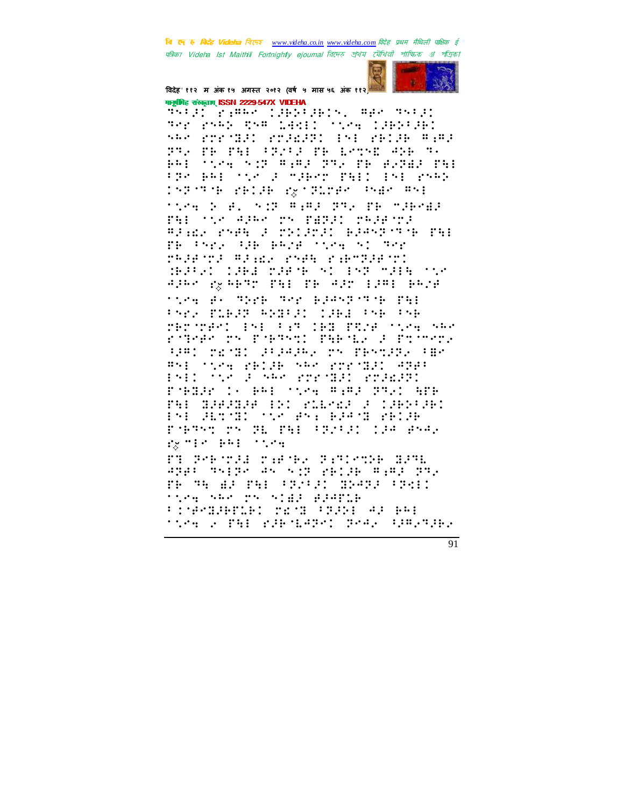

विदेह' ११२ म अंक १५ अगस्त २०१२ (वर्ष ५ मास ५६ अंक ११२) गानूबंगिह संस्कृताम् ISSN 2229-547X VIDEHA

Medal bipme (1965-1915) mpe medal Ter rubb tum Land: the libbide: SAR POPTERI POSEREI 151 PEIRE A.A. FOR THE STAR TH LOTEN SERVICE PRI 1514 532 8382 232 23 22282 251 FRA BAILYON FOR PRESS PAIL PART 153759 PRIPE PROTECTED PAP PSE tics of B. S.T. R.R. PR. TE STREET PAI 'n Salar en PAPP' engang #FARE PAPE F PRIPPED BEANDING THE TR Park ORD BRIE Straw at The releved glaz, regulardighet HARAT TABA MARYE STORY MARROON APAK KRAPT PHI PP APM 1981 PAYE

tice as Shee Ser electoring PAI Pres PLB2P RDH21 (2B1 PrB PrB TET TEMPLO ENE OF SERVER TEMPLO TOMBO NAM right of Pierro Peril and Porch HAL MESS ALAGAY TESTING TEST #51 Time PRIP SAM POPTORI APP: 1511 (SACR 545 ana 1821 anggogo remarks to and street weak profilera PHOGRESSE IN PLEASE FORMARI PH ARTIC TO BREAK BECK rassi ny mpini tritr'ilia avy EX "Ex ( PHE 11529)

PT Personal surface Butterne Butt #2#: Thile #n ni2 2B13B #.#2 2T2 <u> 16 46 47 167 1771 - Arabi IV.</u> tion about all signific **FINENHILL TEN USER AF BAI** tics a PAL PARTERN Pres DRESTAR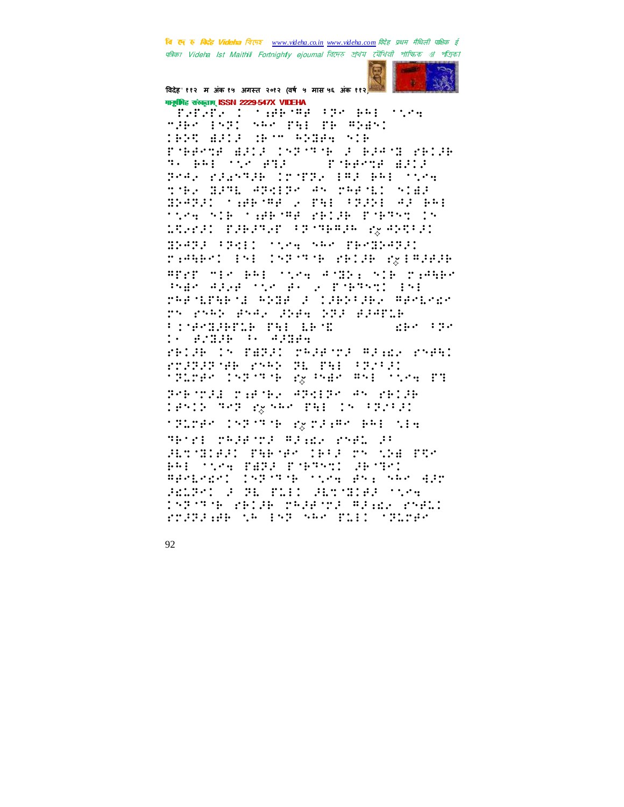

विदेह' ११२ म अंक १५ अगस्त २०१२ (वर्ष ५ मास ५६ अंक ११२) गानूबंगिह संस्कृताम् ISSN 2229-547X VIDEHA

ÎMARÎJÊN 1 MAJADE MAR AZER DE MANG "He 1521 SAM PH TH READ **TAGO ACTS APM ANDAR YOU** Pobende altik 15379 de le blevi velle **CONSTRUCTION T. BEE TET BEE** Pres planter Index (82 Be) incr the BPR APAIPA An readily night BOSC YARMA 2001 (SOL 42 BH) ting SIR the MA PEIR PARTY IS MARI PRESE CRYBBE RADDER BRAND (MARI) (1974) SAR BRANDARY riAbert (bi (nonce relevance releva WPET MER BAE SORG ANDER SIE MIGGER Pode Adapt the Bill Poppert (Po) THE NITHE NI (ADIE) 3 (1380-382) ABRICAN rn rnh fn4, Syfe 283 BJAT16 **FINENHELD PHI LETE SEPTITION** <u>: AMAD B AMAD</u> PRIJE IN TARJI PRJENTJ PJALA PNORI POSPER MARK PE PHI PROPE SPLEAK INFORMACING PART STAR FT Preside rather apopro as selec 19512 PPP 3g-565 PBE 15 FP2F21 iPloan (nPicke agolian ami tis TRIPE TREPTTE REAL PRED IP ALTERARY PHENRY CHAR TY CHA PRO PHI TOME PHRA PORTMON SPORT Bernedt ( 1537716 1154 ASI 545 AD and a difficult and a tra 158759-2818 PRAFTE PAGE 2581 rragaen im 193 ses plat (globe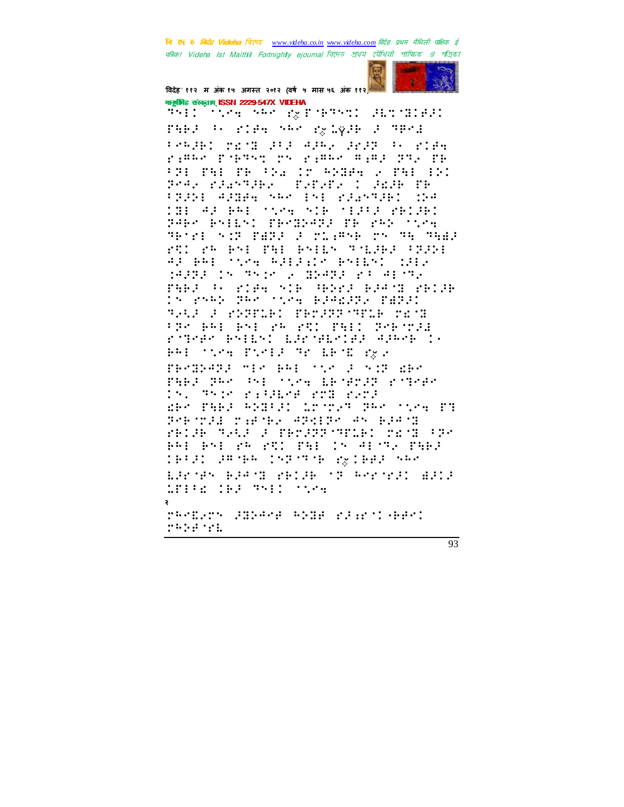

विदेह' ११२ म अंक १५ अगस्त २०१२ (वर्ष ५ मास ५६ अंक ११२) गानूबंगिह संस्कृताम् ISSN 2229-547X VIDEHA

THE SAME NEW PRESENT PERSON PARA (6 Plan nen bylgie a Mend PARANG MENEGARA APROVASION ELEM rimas reprezire rimas ministra da FREE PHOTO TRACTO PROPE 2 PHOTO Pres plantike (Papapel (adik pr :332: 43884 SAR (S) 23253381 CG CHI AF BAE 'SAN SIB 'EFFF YBIFB' PARK RYTEY: PRKSPARE PR 200 154 METRI SIM PARA A PLAME PS ME MAAA FD: PR PRE FAI PRIER TRUPP (FEDE 43 BRE TYPE RJEJECH BYEENI ISE. SOF IN THE 2 BATE PLAINT. TABJ : KIDA SIB ADDI BJASH KBIJB (n phay gar tire blazige pagi) 1988 - Prince Marian, amerikan PSP BAI BSI PR PSI PAIL SPROTH r<sup>i</sup>nere bellet largerida aase ti PRESSURE PUBLIC TROLLETE PRO PROBRETT MES RAI STAND COMMERCIAL PARJ PAR PAL STRA LESPOJE PSTRAR 15. Thir righter rol roof den Pael Abdill inner Pen Mons PT Presida rathe APRIPromotion FRIDE SHIP F FRONTS STILL CECT PRO PAI PAI PA PRI PAI IN ALMIN PARA 19521 JR(95) 153(75)6 381992 555 Larde Bast retablisherred Bata MIRE INFORMED Stre respre docen enos discussions **MADE ME**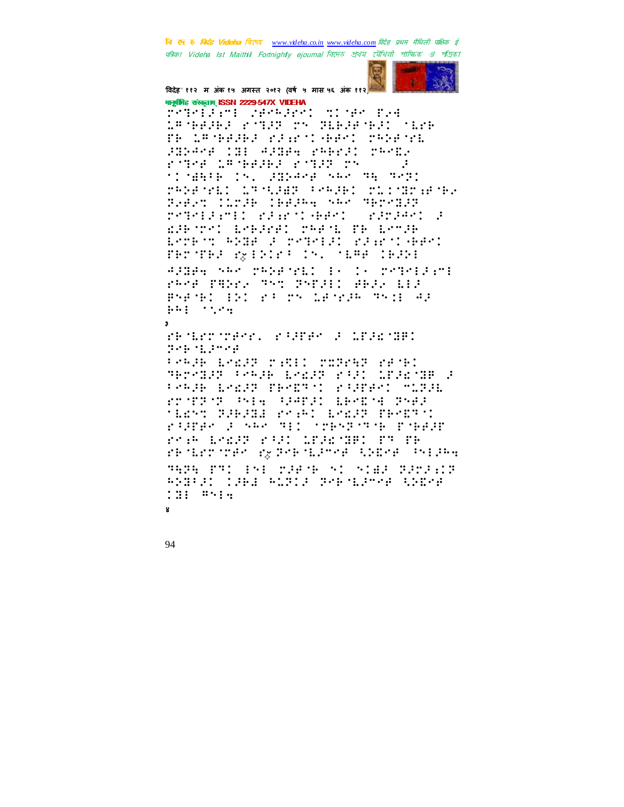

विदेह' ११२ म अंक १५ अगस्त २०१२ (वर्ष ५ मास ५६ अंक ११२) गानुबंधिह संस्कृतम् ISSN 2229-547X VIDEHA

regeller vangen: Sloan bye LAMBAGE FMIRT TV RIBRANE: MIFB TROLP NATHA SASK CONFERENCE SOMAL TO SURFA PRESIDENTS rings Langeded rings reco  $\ddot{\cdot}$ timese (S. 285484 SAR 96 982) research drained (eeuer rochereare SART COSH (BEBG SG) SPYSOR reteracher dagen gegen deragen  $\ddot{\phantom{0}}$ ESPANORABIS PREAL PROGRAM Enchanged Reduced Control (1995) and the control of the control of the control of the control of the control of FROM PROGRESS CO. SEPRODUCE APREAS SAR SPEED MALL IS IN THIRTEEN rene fanks and antill dels bli Presence in the state of the state of  $1.41 + 1.74$  $\mathbf{3}$ FROM THE POST POSSESS AND STATES September Proge bragg right ragged gene: SPECIE PER LEAST PONT ATACHE P PRAGE LREAD PERSON FARRENT MISSE rrother by Council Benedict Pool tland 226282 primi lra22 fbrE<sup>4</sup>ti<br>pjippr 2 ndr 311 trenziste fjell PORT EMAIL PAIL LEIGHTH PROPE rentronnen by deentache (Chine (Prague THE FILENT CHECK NI NIME FACILIT

ANGLES CORE ALCOR CAR ESTAD CORA 131 #514

94

 $\mathbf{v}$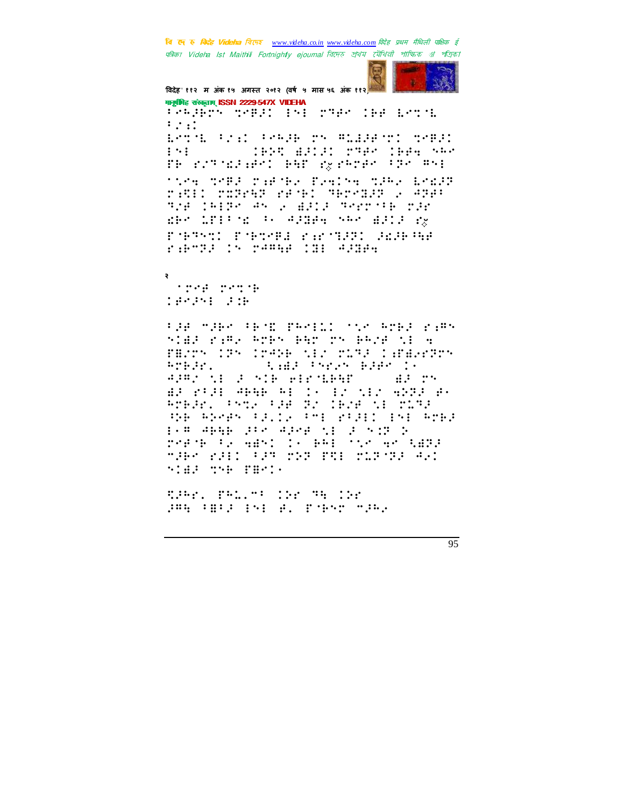

विदेह' ११२ म अंक १५ अगस्त २०१२ (वर्ष ५ मास ५६ अंक ११२) गानूबंगिह संस्कृताम् ISSN 2229-547X VIDEHA

Pragéry nrego (ni raer cee brit  $\mathcal{L}$  :  $\mathcal{L}$ ESTAL PRED PSPER TRANSPORT TERRI

**THIS ARTIC TRACTAGE SAM**  $\mathbf{1} \cdot \mathbf{1}$ TH SATTERNIAN HAT SESPECT TRAINS

TORE ORBERT BETER TRACTOR SERRORES ratio rozemz estad tarendaz 2 Agãi SZA (RISK AN 2 ARIS SKRISTA ISP ERS LEFT E POSSE APRAGUARS BRIDGE POPTYCL POPTYPE PARTNERS GRAPHE range in remarking dinas

**STORY CARDS** 198991 318

FJA MJER FEMD PRMEDI SNR RMEJ KARR nida rama Anghi gho ni ghad il e FAIRS ITS INSER MIN MIRE INFARMING And there pape is Arbar. APROVIS POSSESSIONERS **ALL** BE PER SPAR RE LO DE NIE ANGE PO ROBERT PANG PER PO CROB NE CLEA SPE ANGEM PRIJE POL PRRIJ 191 AMER per apap die adem in der Simon refig to admit in BRI sic an thus MARK RAID FAR MORE PRI MURYRA AVI **STAR TOP THAT.** 

t:62, PAL "F (22 TH (22 and this industrial process.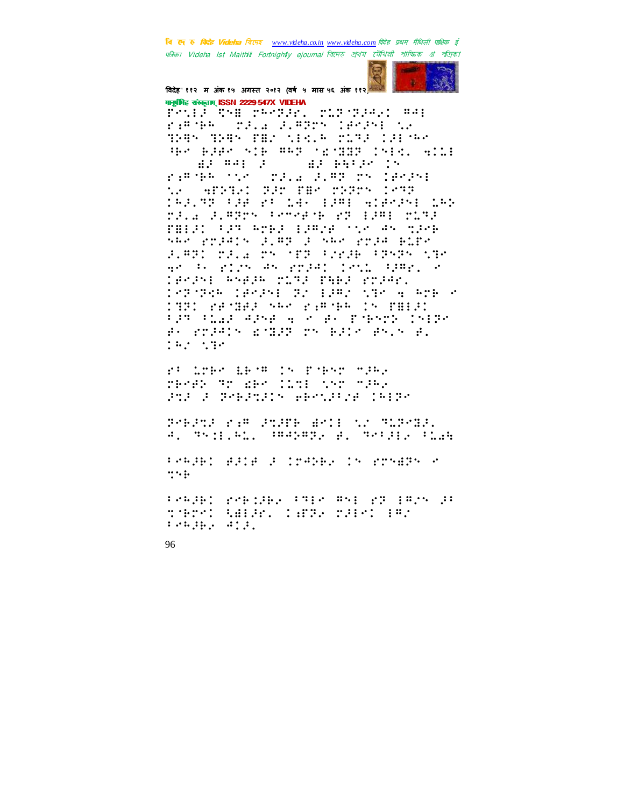

विदेह' ११२ म अंक १५ अगस्त २०१२ (वर्ष ५ मास ५६ अंक ११२ व

मानूबंभिह संस्कृतम् ISSN 2229-547X VIDEHA Fril<sup>1</sup>Tre regist ruggies  $\cdots$ rifine (rale algebra lenghe nu THE THE THIS MAIN MITH LIPPE 960 B260 SIR #62 SECRET INFOL 8111 82 MAI 3 | 82 HALP 15 riman and the street with the second W WENTER THE THE TOTH 1877 193.98 F.W 23 136 1381 6180301 192 TRIA RIPTY POSSES AT 1991 TIPE FBIST FIR AMES TIRNE THAT AN MICH ske pridre ivar i ske prid blire F.RT. ME.A MY MED FREED FRYER NEW An Political Program (2011-1282) n Terang Wheak cita paka poler. 189396 188951 92 1982 598 4 598 8 **SPECIFICATE PROPERTY PRICE** PAR PLAY APRESA S AR PORTROL INDR BR START STRAK TO BAIR BOOK B.  $142.332$ 

rt lobe dess ca psear mise TEMPS TO SEMILLINE NATURERS FOR PURPHERS' WARDLEDG CAIRS

POBROS KAR ROSEN BOLE NO SUPORA A. Mydish., HAPAPP, B. MARJER R.A.

Project adda a crabel in rrnagh r  $\mathbb{R}^{n}$ 

PRAGUE PRESIDE PRIS RAI PROVINCI three Galler, Larry rale: 182  $\mathbf{F}$  which is a set of  $\mathbf{F}$  .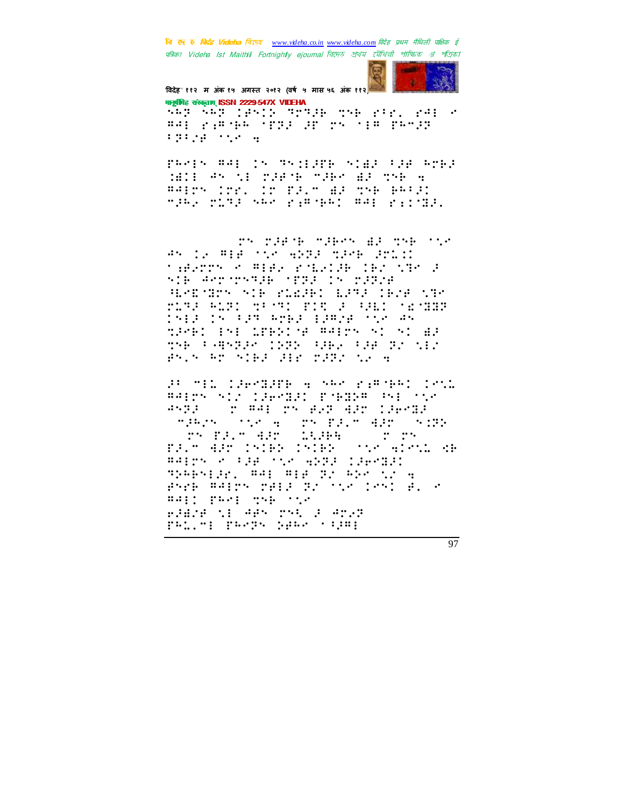

विदेह' ११२ म अंक १५ अगस्त २०१२ (वर्ष ५ मास ५६ अंक ११२ व गानूबंगिह संस्कृताम् ISSN 2229-547X VIDEHA

mai yangin (ppi di sa (proprocesso) **STEPH START** 

PRAIN AND THE MAJINE STANDARD ROBE MILL AN ME WHATE MARK AR WHEN ##Ers Irr. Ir FA.m AR TSE BREAD MARY MIRA SAM PARTAGE RAD PAITHIL

rn raech maken da rhe cor AN IS WEB TOO ANDE MEER SMIIL takrry o Alex rollie (Brode ) SIP ASTATORAL STRACTS TRITE HERMITS SIE PLEADE EARS IEPE CH FLAP RING THORD FOR 2 PRED OR CHR 1913 (5 F.P. AMA) 13824 (52 A. tree: 151 LPPS: 4 WAITS SI 51 AD the Company Capa Company of the British Andrew Barn (1981) (1981)

35 MIL COPPOSED A SAR PARTER CRIL BALON NIZ ISBAGSI ESBGIB PAL SYA<br>ANGSA - DABAL DNABIN ASO ISBAGS makers often a component and sound i profilmojnih 1920. u 1928.<br>Planovnih prijednih prijednih vrhodnih ka BAINS & FRESCO AND CREMED speeche, mar miglic epo Cr ande maion oals dichief (en) al e HAIL PROP TOR TEM FRENCH APS THE F ATEP PALITE PROPR SARO TIGGI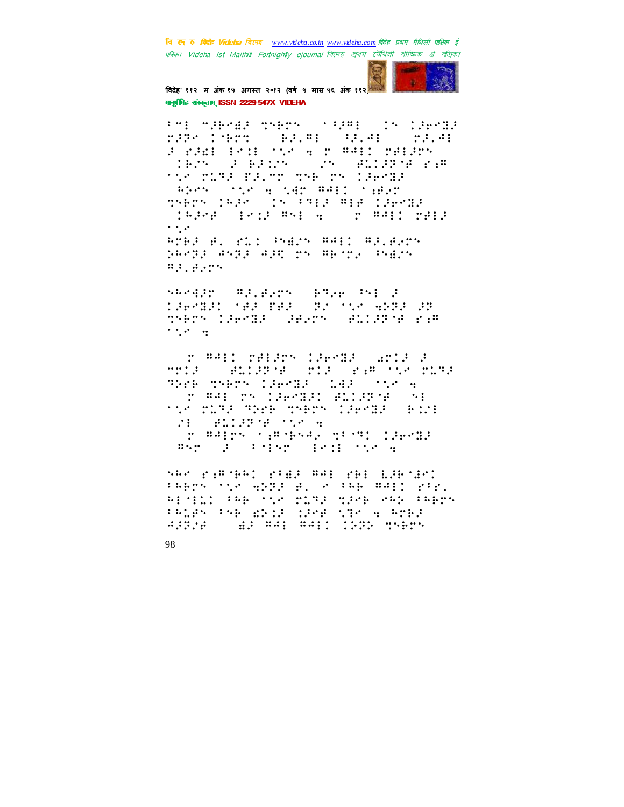

विदेह' ११२ म अंक १५ अगस्त २०१२ (वर्ष ५ मास ५६ अंक ११२) गानूबंगिह संस्कृताम् ISSN 2229-547X VIDEHA

Pri rjenej nsem (1988) (s jeneje **MARK COMMON BALLEY**  $19.41 - 23.41$ F PRESENTENT A PORTER PREPDY TEMPOR EPOMO COM CRUIPEM KAR MA MIRA FALMO THE ON CAPMER SAPAN STOR A NAM PAIL SAPAN.<br>SPARK IPAK SIN FRIE PIA IPANGE **: : :::: : ::::** TRAME POST RNI A  $\cdot$  . ROBE B. PLI PHON RAID RELEVO pargu drog duog yr Apryk Grekr **Ballandrin** 

navage i 1969191 199 199 - 22 112 - 6229 92<br>Shern 196919 - 9925 - 9119279 238  $\gamma$  ,  $\gamma$  ,  $\gamma$ 

**TO RAIL THIRT CEPTE WILL FILE** mma anistra mia rapone mina tir mil leek syks likeli (kin **SECRETE TEAM STORAGES SARESARY MESTIC LEADER** When I find friends the most of

sko ranski rod mal rel 19630 PRESS STR ANDER BL 2019 RE BRIDGERY REMELT PRESSURE TIME THAT PRESS PALEN PNB RDIP IPHE NTM A ROBP apëra (gjima) maj: 1999 qyery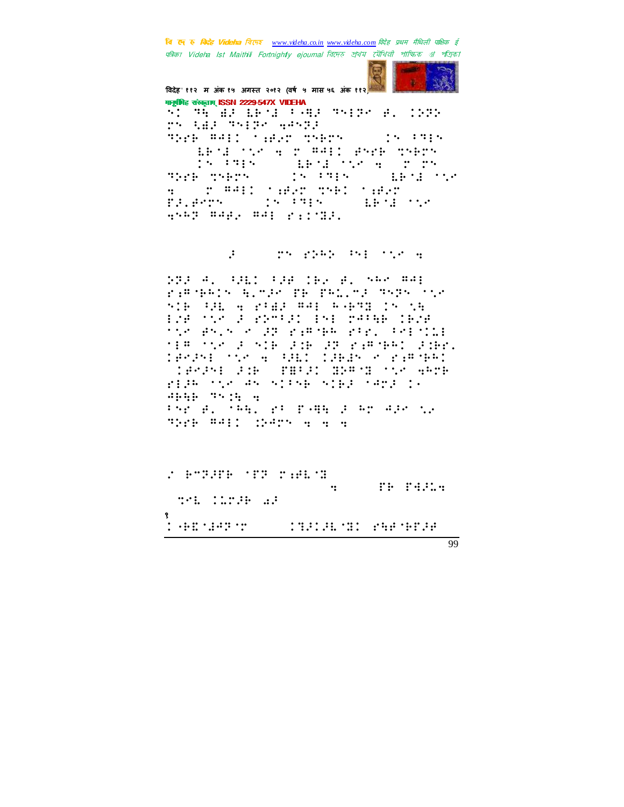

विदेह' ११२ म अंक १५ अगस्त २०१२ (वर्ष ५ मास ५६ अंक ११२) मानुष्टीमिह संस्कृताम् ISSN 2229-547X VIDEHA

.⢹⣓!⣞⢼!⣇⢷⣜!79⣛⢼!⢹3⢽!⢾=!⢵⢽⢵! !⣃⣞⢼!⢹3⢽!⣒⢺⢽⢼! ⢹⢵⢷!⢻⢺3!⣐⢾⢴!⣉⢷!26!!7⢹3! 27: Prince of the Community of the Community<br>27: Prince of the Community of the Community 29!!7⢹3!2:!⣇⢷⣜!⣁!⣒!:!! ⢹⢵⢷!⣉⢷!22!!7⢹3!21!⣇⢷⣜!⣁!  $\frac{1}{2}$   $\frac{1}{2}$   $\frac{1}{2}$   $\frac{1}{2}$   $\frac{1}{2}$   $\frac{1}{2}$   $\frac{1}{2}$   $\frac{1}{2}$   $\frac{1}{2}$   $\frac{1}{2}$   $\frac{1}{2}$   $\frac{1}{2}$   $\frac{1}{2}$   $\frac{1}{2}$   $\frac{1}{2}$   $\frac{1}{2}$   $\frac{1}{2}$   $\frac{1}{2}$   $\frac{1}{2}$   $\frac{1}{2}$   $\frac{1}{2}$   $\frac{1}{2}$   $\$ &⢼=⢾!29!!7⢹3!28!⣇⢷⣜!⣁! ⣒⢳⢽!⢻⢺⢾⢴!⢻⢺3!⣐⣈⣝⢼=!

## -57-58⢼!59!!⢵⢳⢵!⢸3!⣁!⣒!

⢵⢽⢼!⢺=!⢸⢼⣇!7⢼⢾!⢷⢴!⢾=!⢳!⢻⢺3! ⣐⢻⢷⢳!⣓=+⢼!&⢷!&⢳⣅=+⢼!⢹⢽!⣁!  $^{\prime}$  YIE A PIE <sup>21</sup> EP PIE 1998 IN 19 3"⢾!⣁!⢼!⢵+7⢼!33!⢺7⣓⢷!⢷"⢾!  $^{\circ}$  ^ 4 ^  $^{\circ}$  /  $^{\circ}$  /  $^{\circ}$  /  $^{\circ}$  /  $^{\circ}$  /  $^{\circ}$  /  $^{\circ}$  /  $^{\circ}$  /  $^{\circ}$  /  $^{\circ}$  /  $^{\circ}$  /  $^{\circ}$  /  $^{\circ}$  /  $^{\circ}$  /  $^{\circ}$  /  $^{\circ}$  /  $^{\circ}$  /  $^{\circ}$  /  $^{\circ}$  /  $^{\circ}$  /  $^{\circ}$  /  $^{\circ}$  /  $^{\circ}$  /  $^$ 3⢻!⣁!⢼!⢷!⢼⣈⢷!⢼⢽!⣐⢻⢷⢳!⢼⣈⢷=!  $\overline{1}$  Provincing the set of  $\overline{3}$ #⢾⢼3!⢼⣈⢷#!&⣟7⢼!⣝⢵⢻⣝!⣁!⣒⢳⢷! 3⢼⢳!⣁!⢺!7⢷!⢷⢼!⢺⢼!j! ⢺⢷⣓⢷!⢹⣈⣓!⣒! 7!⢾=!⢳⣓=!7!&9⣛⣓!⢼!⢳!⢺⢼!⣁⢴! ⢹⢵⢷!⢻⢺3!⣈⢵⢺!⣒!⣒!⣒!

"!⢷+⢽⢼&⢷!&⢽!⣐⢾⣇⣝!  $\mathbf{h}$  , and  $\mathbf{h}$  , and  $\mathbf{h}$  , and  $\mathbf{h}$  , and  $\mathbf{h}$  , and  $\mathbf{h}$ !⣉⣇!⣅⢼⢷!⣔⢼! १ 9⢷⣏⣜⢺⢽!;;!⣙⢼⢼⣇⣝!⣓⢾⢷&⢼⢾!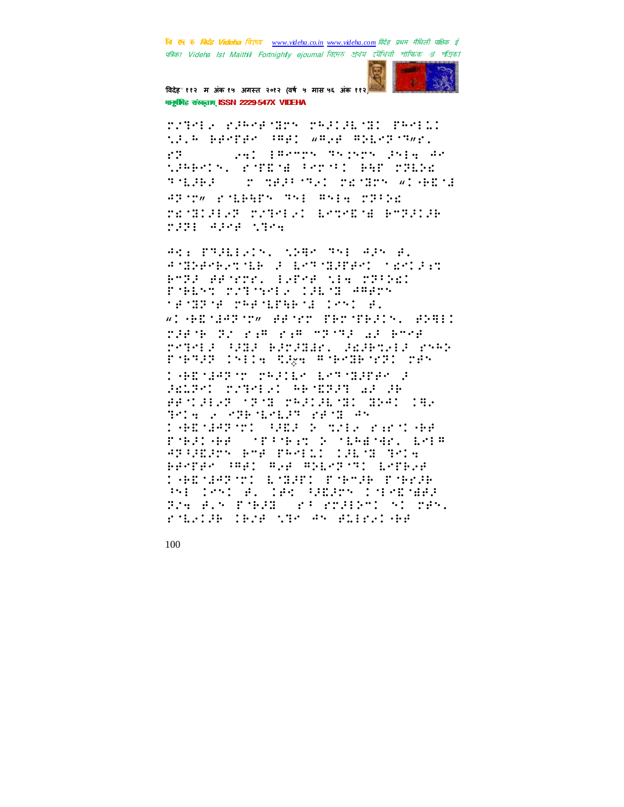

विदेह' ११२ म अंक १५ अगस्त २०१२ (वर्ष ५ मास ५६ अंक ११२) गानूबंगिह संस्कृताम् ISSN 2229-547X VIDEHA

reads reporter recept at reduc the propriet was wave modern that get farmer argume frie ar  $\mathcal{L}^{\mathcal{L}}$ SPRATA, POTEOR PARAL PAR PTERE **TEAMED** <u> A MARITIN MARIN SAN</u> WP-50 PALENTS TSI RSIN STILL rendialer rendat beredna bryatab TIME 4348 1344

AND PRESING NEW THE APP B. A MINAPHONE A LONGARAN SEMIRI BTD: APTER: 1.PTB tim TD:50 FORM COUNCIL CHAIN AREN *MEANING THEALTHEAL LAND B.* WIGHTSHIMM HEST THTTPHIS SPHIL nard to remove of the argument retera adda baradur. Adabrara reeb PORTZE INDUSTRIES TO SPORTAGE TEN **THEMSEY PRESS EMPRESS E** SENIT TYPES TRETTER AT SE AASTALAR STATISTIKS ON ARTICLE 9814 2 896 12129 2832 38 **THEMARYST REF & STEP PART AR** PORTOR STEPHEN & MERENHAL EMER #PARRY PTE PRODUCTRISE TO: prepredompt myromatic film **GENERAL ENERGY PARTIE PARTIE** PHOTOSICAL IAS SHEADS INFORMAR Breaktharter at reference them. riche der Streede en Richelde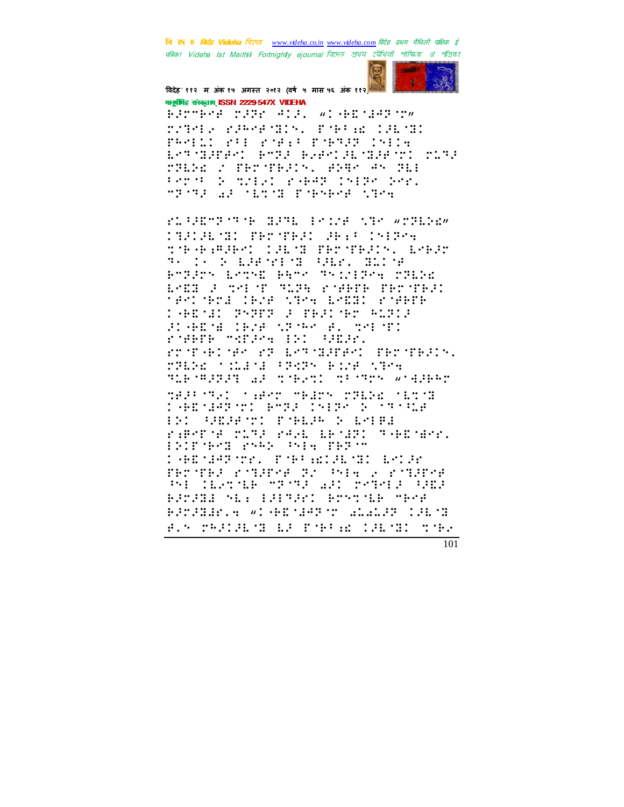

विदेह' ११२ म अंक १५ अगस्त २०१२ (वर्ष ५ मास ५६ अंक ११२) गानूबंगिह संस्कृताम् ISSN 2229-547X VIDEHA

BROTHER CREE ALR. WI HEADARACH rathe remarks remarked PRODUCTS FOR PERSONS INTER iksfolkered ande aventekoleren biste THE T THT THE WAY AN THE Province only read in Province **MEATH AF METAL EMPRESS NECK** 

FLANDERS HALLINGE STRANDLER **CONSERVERS ARE CHIPS** therein Inch and the third and n. 1. t in the state that may be BTRITH LATHE BATA THINIPAN TRENE LADO A MALTO SUPE PTHERE PROTECT nesimera (eze saska bsogi romere **CARTE SYSTS CORPORATE** BIGHTME IRSE STORY B. SMESTI rowers marged in: Gener. rrophed new roll by the coefficity of the state. rabe third (Pers Bird them TERMINIST AF TORRED TEMPT WORRED MAJE MAJO SAPAM MEJMA MZENE SEMSI **ABSERTI ETA INFA E MAGA CONTROLLED IN STATE** raPorof with real design tablear. ENTERNE PARK PALE PER T CADMARTER PAPARING BYDE TECTED FORDER TO PHE 2 FORDER and then he will be completely likely BROWN ALL BRITANY BOSTOLE TEST ES PHILES DE PELA IELS  $\mathbb{C}$  the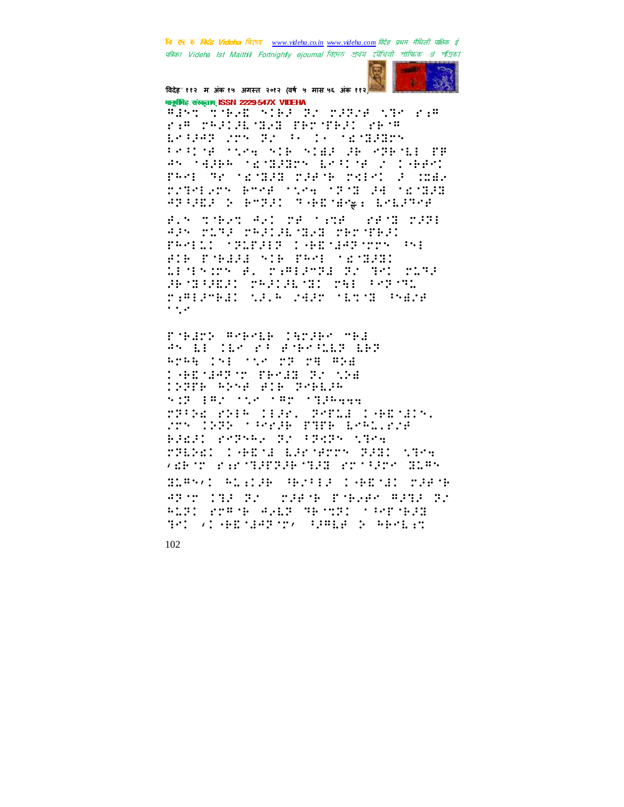

विदेह' ११२ म अंक १५ अगस्त २०१२ (वर्ष ५ मास ५६ अंक ११२) गानूबंगिह संस्कृताम् ISSN 2229-547X VIDEHA

WART TO BANK STAR SAN TASAR STAR STAR rim radionimum faritadi raim Bright one to be in the manders Principal control of Alas (SB) reports the An industrial industry and the control of the co PARE TE SECRET PERCH PRESS  $\therefore$  :  $\therefore$ rathers end they the State of Tenger APPEER & BMPRI THERMAN EMERGE

R.S. THERT ALL TROOPER OPPORTUNE APS TIME THEIR WAR THT THE FIR FORES NIR PROFINSION LESER DR. C. C. PERSONAL DR. DR. CLOCK **SECRETER PRESENT PHE FORCE** raminedi tale redr (1873-1900)  $\cdot$  .  $\cdot$ 

Poblet Websib (Ardbe mbl st if the research in 8288 (91 'S' 23 24 824 **CHIMARY BEAN COM 1999 594 816 206136**  $\mathcal{N}(\mathcal{G}) = \{ \mathcal{G}(\mathcal{G}) \mid \mathcal{M}(\mathcal{G}) \geq \mathcal{G}(\mathcal{G}) \geq \mathcal{G}(\mathcal{G}) \}$ rath red (BR) agus comain MA COON SPEED TIPE LARGENE BREAK PORTHOL RECEPTION CROW <u> 1915. – Leonard Berghin, 1911 - 1916</u> verto ractemente que rocero eles BLAST ALICE ARTIF LABINE MEMB APAT INFORMATION PAPAMENTIC ALT: PPP 9 4.83 TR 752 (100 1833 ner (f.ersen) (sample) (f.ersen)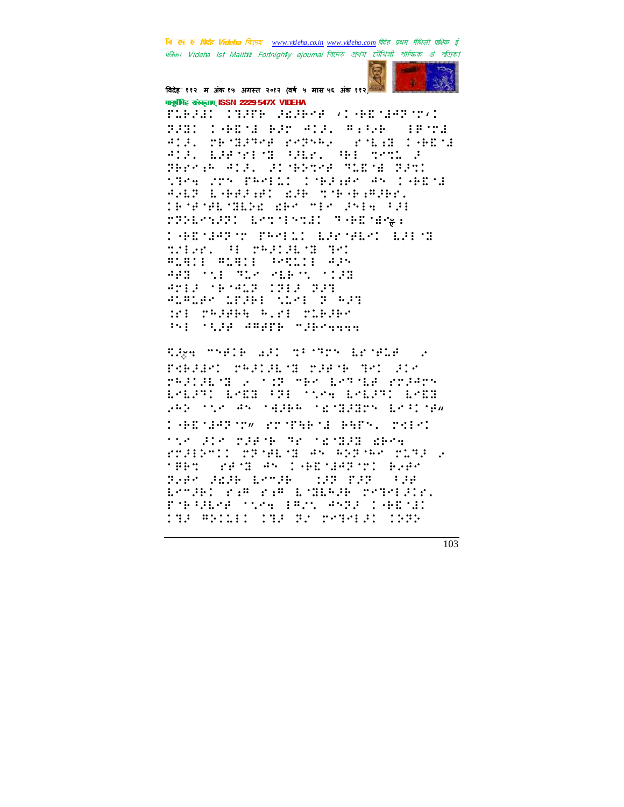

विदेह' ११२ म अंक १५ अगस्त २०१२ (वर्ष ५ मास ५६ अंक ११२) मानूबंगिह संस्कृतम् ISSN 2229-547X VIDEHA

ribidi (SHP Adbro (19810001) BUD CARSEBUS ALL AILAR (BSS) ADA TEMBARKA PROPER (PMBAB DAGOMA ALF. EFFAILS HAR. HE SACE F Theody All. Slidere Michael Tan: STOR COM PROFILE EMPLOYE AN IGREMA AALP LANGARY WHO TO HAMPING. IPSPECIES ARTICLES PRO rPHP5PPI EPTTESTEL THETHR: **THEMAPY PRESS BRYANY BRYS** trier. H radioistic **BOOK BOOK CONTROL** 481 711 712 21871 7131 AMER (BOARD INER NAT ALALAM LEVA: MLME 2 AVS WI THINK WAI TIERE Bi SUR ARATE SAPARAN

Rage onele adductions around up FORTIFIC TRAINING TAP TO THE AIR radian most not make new man rradik LALPH LADE FRE STAR LALPT LADE 282 TV5 AN TAIBR TETEREN ESPITA **CARMARY WARTHER BARY, MARY** MAN 200 D2818 TE MEMB2B EBOW rradenti radedica es esades riagos **MEDIT SECRET PRODUCTS IN THE SECRET PRODUCTS** PAPA JEJE EMMJE (197 PJP) 198 ESTARI PAR PAR ESHERAR TSTSRIDE. FOR WEAP COPE IFIN ANDER LARENED **CHA WALLED CHA HA STREET CORP.**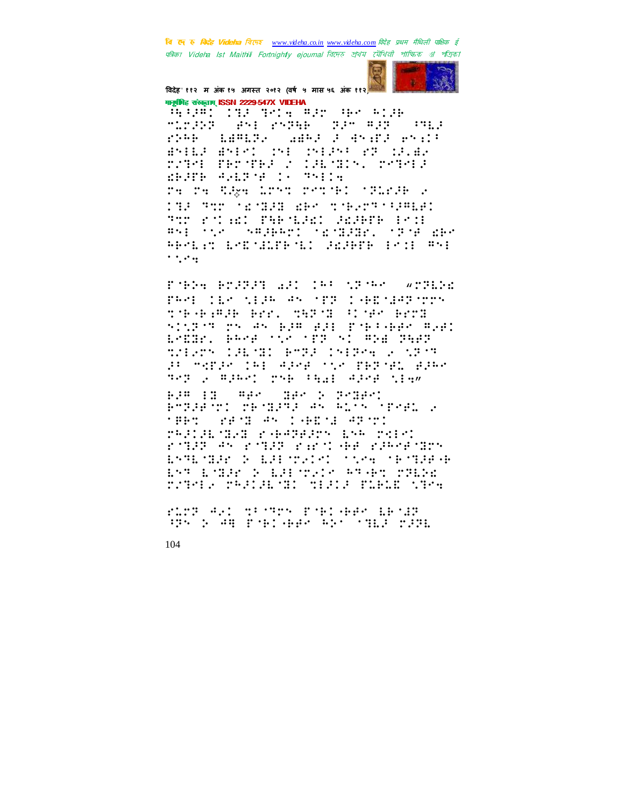

विदेह' ११२ म अंक १५ अगस्त २०१२ (वर्ष ५ मास ५६ अंक ११२) मानूबंभिह संस्कृतम् ISSN 2229-547X VIDEHA

(A) All the man are more **SAME PATHE STAR WATER START**  $1.1.1.1.1.1$ rde masse and paragement BYILE BYERD ONE ONEPY 27 SPACE DZIPE PROTER Z CALMINA DVIMER ERSTE WALDAR IN THIS re re Saye Lrot rother (Plane ) **THE TOO SECRET ARE THE STARBED** TT POINT THE LED SAIRTE POI #51 TVP S#2BRPI TEMBER TEMP EBT REPLACEMENT MANUFACTURERS ENTERED  $\mathcal{L}^{\text{in}}$  ,  $\mathcal{L}^{\text{in}}$  ,  $\mathcal{L}^{\text{in}}$ 

rjen ersst all de johen wroch PRODUCED SEARCH OFFICERS SERVICE there has been the street been stirus pa da plu dit populado uldi LADRA BRAB (SA (PR)SI BRE<sup>7</sup>PER THEATH ISLATIC PTER INFERS 2007-7 an menak dan gare tik nepter elak nep y mjarj pak ingl sire ting

as : pene: **BOW 13 WHAT** POINT THORPS AN ALON TENE 2 **MERCO PERSONAL CHERE ARRIVE** refilm man repeated and refer reduces reducered as reduced ESTECHED & ESPONSOR COMPOSITION EST ESHER D'ESPOISON FT-PT TTEDE reters restarding that field the

FLOR AND SPIRES FORD HAR LEOLE SPACE AN PORT-RESORT CHILD MARK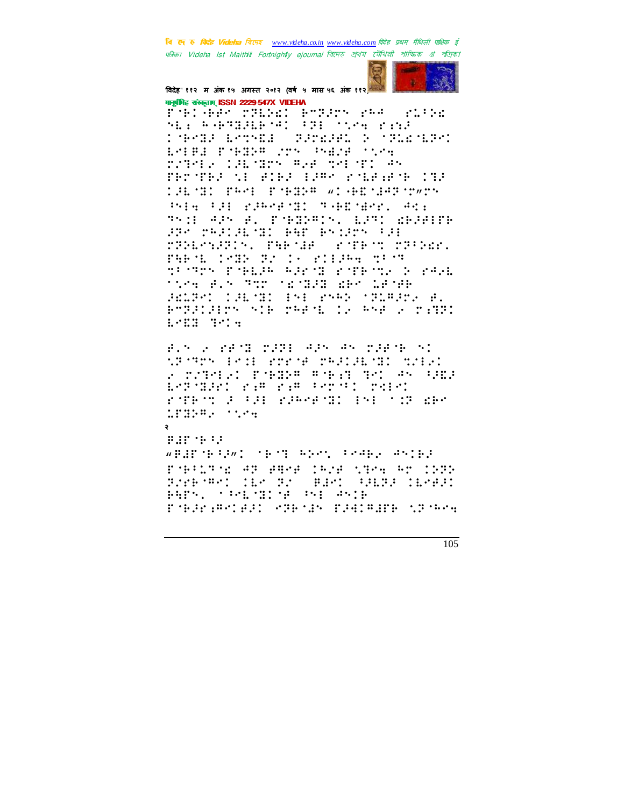

विदेह' ११२ म अंक १५ अगस्त २०१२ (वर्ष ५ मास ५६ अंक ११२) गानुबंधिह संस्कृतम् ISSN 2229-547X VIDEHA

FACAAR TRING BTREEK PAR (TIRE SE: RAPTERENT PRE STAR FIEL D'Brog, Brongo, Gardago e Maddonari EMPER PORCH 200 PARA MINE roters can dry week net movemen TECTED AI BIED 1988 RALENT CHO **THE TEST PRODUCTS IN THE SECOND SECTION IN THE SECOND SECTION IN THE SECOND SECTION IN THE SECOND SECTION IN T** Principal planents formany, App This Albuma, Political Little Search ang paalakoni bar bylang (al THEORITY, THEORY STEP TIGGE. **CONFIDENTIAL STATES SECTION** FAR 11 trongly formula agent entropy of each tics for The tribute and Letth BELRY THEME INE PARK STERRY B. PTELEDY SIR THEM IS ANE S TIME ESER ROCH

BIN 2 PEND MIRE AIN AN MIRTH NO SPORT EST PRESEDENT SERVICE <u>, riki, rada pali pi e du do</u> Leromani kam kam serdi beler ropeon a fai rawwedi isi sin des **AND AND AND ADDRESS** 

₹

**BAP SHOP** wBdBob92w1 obj51 Aben Pe4B2 AniB3 Poblisor AS ABA Chra Side Ar C222 Screens in St Birt Gans increa Bars, Conferred bar asia riedramidd i shein radhare in shew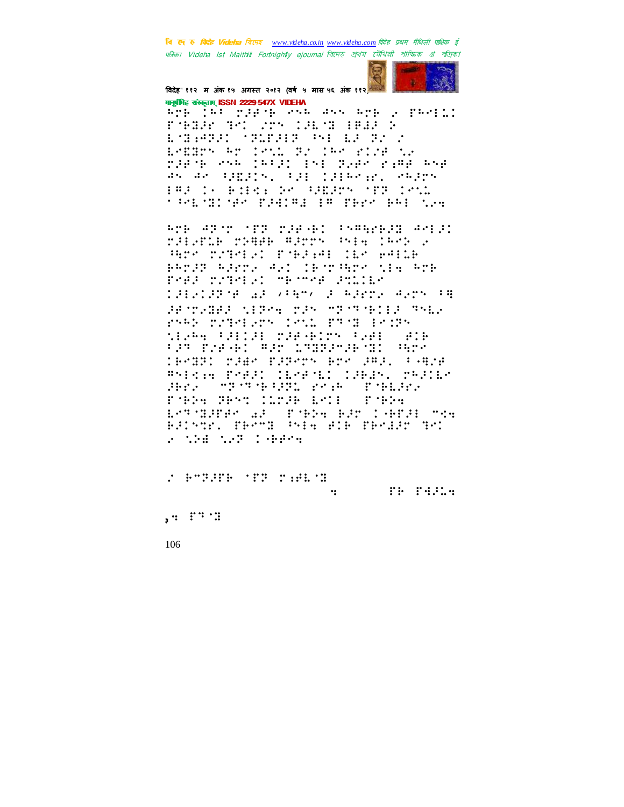

विदेह' ११२ म अंक १५ अगस्त २०१२ (वर्ष ५ मास ५६ अंक ११२) मानूबंभिह संस्कृतम् ISSN 2229-547X VIDEHA

and the rights and due are a radii FARR AN STRIPE BERG EMBRED MEDIE PHOLECY ESEGNA AN CANL GA CAS ECOR NA<br>DGRAP ANA CAPOL ENE GARA ESPREANO An Ar Edgarn, Edg (1984-1981) raden PRODUCED AND REPORT TO CALL **TREASURE SHOWS IN SERVICE SAY** 

Arb AB'r 'fB rad-bi (SAAbbal Anta rdianik rigek gjrrs (sig jast a Herr criterial possible list estile PROFINSION AND CEONOMIC SERVICE PAR TIRER TETAR PULLE 198219278 af Vien, fleddin Albrech BETWARE SIRE WAS TRIPPEDED THEY rabb reference lett fact form tishe filli mikelma fel alih **FAN BYEARD WAY CARRAGEMED ARTS** TEMBEL CABM PAPMON ECO APAL FORMA Price Podd (1964) (2618, 292110 **MESTARRE PORT PARAGE**  $\therefore$   $\therefore$ FORM TEMP COMPETED IN FORM Estimates al Critère Elp Cobral mov<br>Elistri resta isla ele resalt del **A MAR NAT DEPART** 

**Sie Pille**  $\dddot{\bullet}$ 

 $\frac{1}{2}$  :  $\frac{1}{2}$  :  $\frac{1}{2}$  :  $\frac{1}{2}$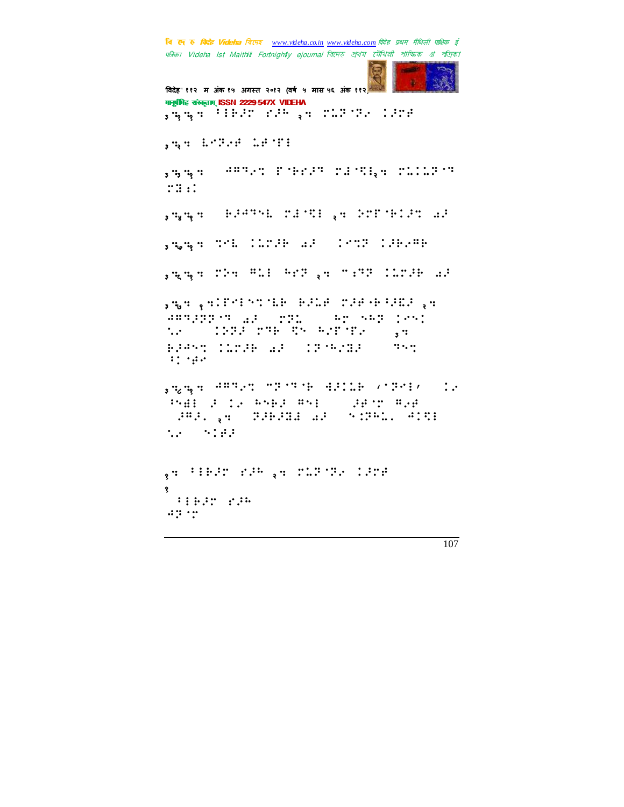.<br>विदेह' ११२ म अंक १५ अगस्त २०१२ (वर्ष ५ मास ५६ अंक ११२) <sup>३</sup>⣒१⣒१⣒!73⢷⢼!⢼⢳!२⣒!⣅⢽⢽⢴!⢼⢾!

<sup>३</sup>⣒२⣒!⣇⢽⢴⢾!⣅⢾&3!!

मानुष्टीबिह संस्कृताम् ISSN 2229-547X VIDEHA

<sup>३</sup>⣒३⣒१⣒!!⢺⢻⢹⢴⣉!&⢷⢼⢹!⣜⣋3२⣒!⣅⣅⢽⢹! ⣝⣐!

<sup>३</sup>⣒४⣒१⣒!!⢷⢼⢺⢹⣇!⣜⣋3!२⣒!⢵&⢷⢼⣉!⣔⢼!

,५<sub>५</sub>५,५ थली | 1223 | 1234 | 1235 | 1236 | 1236 | 1236 | 1237 | 1238 | 1239 | 1239 | 1239 | 1239 | 1239 | 1239 |

<sup>३</sup>⣒६⣒१⣒!⢵⣒!⢻⣅3!⢳⢽!२⣒!+⣐⢹⢽!⣅⢼⢷!⣔⢼!

<sup>३</sup>⣒७⣒!१⣒&3⣉⣇⢷!⢷⢼⣅⢾!⢼⢾9⢷⢸⢼⣏⢼!२⣒! ⢺⢻⢹⢼⢽⢽⢹!⣔⢼!(⢽⣅(!.⢳!⢳⢽!! ⣁⢴@0!⢵⢽⢼!⢹⢷!⣋!⢳"&&⢴!@!३⣒! ⢷⢼⢺⣉!⣅⢼⢷!⣔⢼!)⢽⢳"⣝⢼\*.!⢹⣉!  $\mathbf{H}$ 

३।९५३ मध्यप्रदेश पर प्राप्त सर्वेदेशील अधिकारी करते. ⢸⣞3!⢼!⢴!⢳⢷⢼!⢻3!!)⢼⢾!⢻⢴⢾\*.! )⢼⢻⢼=\*२⣒!!⢽⢼⢷⢼⣝⣜!⣔⢼.!⣈⢽⢳⣅=!⢺⣋3! ⣁⢴0!⢾⢼!

<sup>१</sup>⣒!73⢷⢼!⢼⢳!२⣒!⣅⢽⢽⢴!⢼⢾! १ !73⢷⢼!⢼⢳!  $\mathcal{A}(\mathcal{I},\mathcal{I},\mathcal{I})$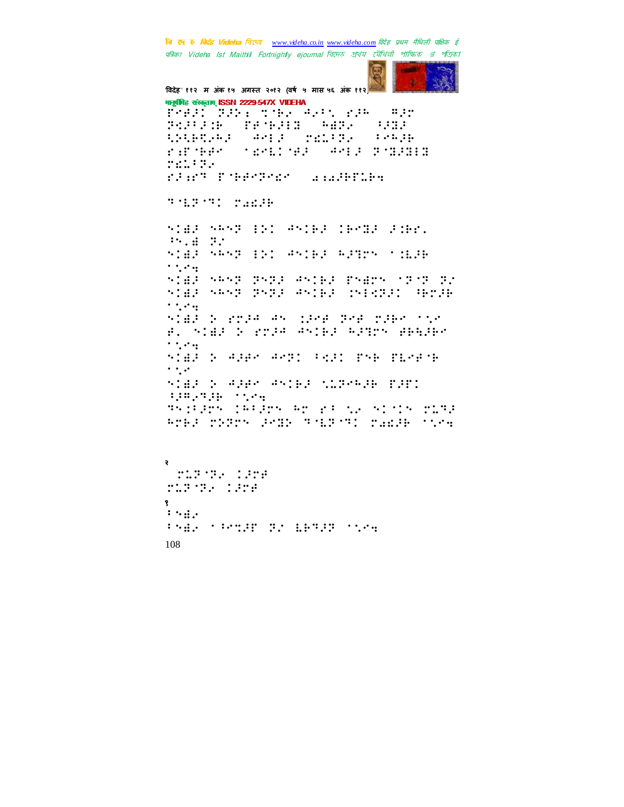

विदेह' ११२ म अंक १५ अगस्त २०१२ (वर्ष ५ मास ५६ अंक ११२) गानूबंगिह संस्कृताम् ISSN 2229-547X VIDEHA PART BRI STEP APPS 226  $\cdots$ **PERFECTIVES IN SERVICE**  $\mathbf{1}$  ,  $\mathbf{1}$  ,  $\mathbf{1}$  ,  $\mathbf{1}$ things: Adja religy frage **MANUFACTURE AND STREETS** calification mada title rlar finerar anderse **THEFT TEED** STAR SPSP INT WSTER TEMBE RIET.  $39.477$ **STAR SAST END ASTER ARTMY MILLE**  $\cdots$ SIEP SASP PSPE ASIEP PSEM (1979-92 star skap papp dater (algebr) (begin  $\cdots$ SIEP 2 STAR AN IPAR PAR TARK TIM #. STAR & STRA ASTER RRTTS #BARBS  $\cdot$  ,  $\cdot$  . SIER & ARRY ARTI PRIL THE TEMPTE  $\cdot$  ... siar posper ssier sichere coco  $\mathcal{L}_1^{\mathcal{L}_2} \mathcal{L}_2^{\mathcal{L}_1} \mathcal{L}_3^{\mathcal{L}_2} \mathcal{L}_4^{\mathcal{L}_3} \mathcal{L}_5^{\mathcal{L}_4} \mathcal{L}_6^{\mathcal{L}_5} \mathcal{L}_7^{\mathcal{L}_6} \mathcal{L}_8^{\mathcal{L}_7}$ skiliški plijev prostova stotu stra RTEE TRETH GREE THEFTI TAKER TIME  $\ddot{\phantom{0}}$ and the conduction of the conduction of the conduction of the conduction of the conduction of the conduction o

mineral dime  $\mathbf{R}$  $3.5 \pm 0.1$ PARK CROSS BY RESERVING 108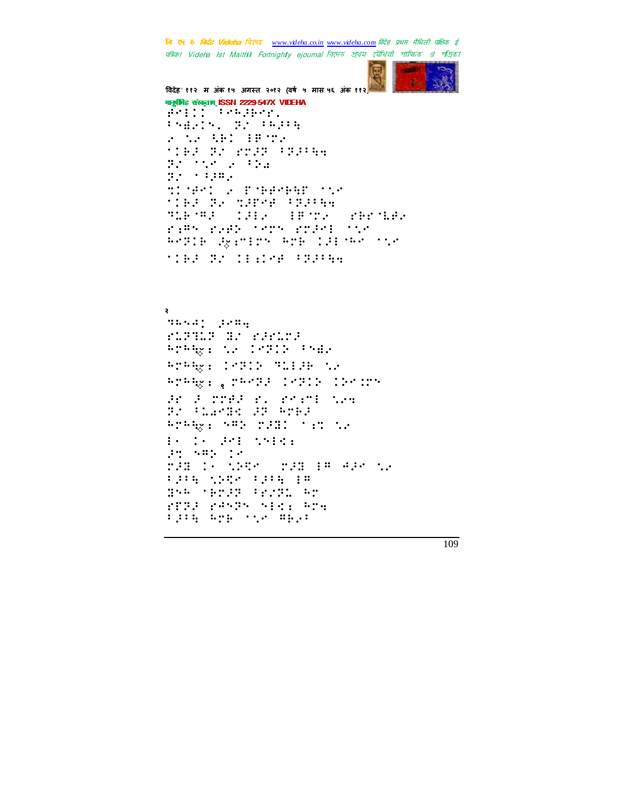चि एक रु *विदेह Videha चिए*न्छ <u>www.videha.co.in www.videha.com</u> विदेह प्रथम मैथिली पाक्षिक ई पत्रिका Videha Ist Maithili Fortnightly ejournal রিদেহ প্রথম মৌথিনী পাক্ষিক গ্র পত্রিক।



'वदेह' ११२ म अंक १५ अगत २०१२ (वष ५ मास ५६ अंक ११२) मानुषीिह संस्कृतम् ISSN 2229-547X VIDEHA **Wellie States** 7⣞⢴=!⢽"!7⢳⢼7⣓!  $\angle$  10  $\angle$  19  $\angle$  19  $\angle$  19  $\angle$  19  $\angle$  19  $\angle$ **TIES 32 2022 1922 556** 32 112 200 200  $T$   $'$   $'$   $'$   $T$   $T$   $T$ ⣉⢾!⢴!&⢷⢾⢷⣓&!⣁! ⢷⢼!⢽⢴!⣉⢼&⢾!7⢽⢼7⣓⣒! ⢹⣅⢷⢻⢼-!⢼3⢴-!3⢿⢴-!⢷⣇⢾⢴! ⣐⢻!⢴⢾⢵!!⢼3!⣁! BeBIE Wardro BrB 131'Be co  $^{\prime}$  : 23  $^{\prime}$  3  $^{\prime}$  3  $^{\prime}$  3  $^{\prime}$  3  $^{\prime}$  3  $^{\prime}$  3  $^{\prime}$  3  $^{\prime}$  3  $^{\prime}$  3  $^{\prime}$  3  $^{\prime}$  3  $^{\prime}$  3  $^{\prime}$  3  $^{\prime}$  3  $^{\prime}$  3  $^{\prime}$  3  $^{\prime}$  3  $^{\prime}$  3  $^{\prime}$  3  $^{\prime}$  3  $^{\prime}$  3  $^{\prime}$  3  $^{\prime}$  3  $^{\$ 

२ ∫med: geng ⣅⢽⣙⣅⢽!⣝"!⢼⣅⢼! Hrag: W. Crack Pres  $\frac{1}{2}$  $`$ ⢼!⢼!⢾⢼!=!⣐+3!⣁⢴⣒!  $T$  !7  $T$   $T$   $T$   $T$   $T$   $T$ Hrag: Sar rad: Sar ra 3j!j!⢼3!⣁3⣊⣐! ⢼⣉!⢻⢵!-! THE 1990 CONTROL CONTROL COMPANY OF 7⢼7⣓!⣁⢵⣋!7⢼7⣓!3⢻! ⣝⢳!⢷⢼⢽!7"⢽⣅!⢳! &⢽⢼!⢺⢽!3⣊⣐!⢳⣒! 7.7% The Secret Secret Secret Secret Secret Secret Secret Secret Secret Secret Secret Secret Secret Secret Sec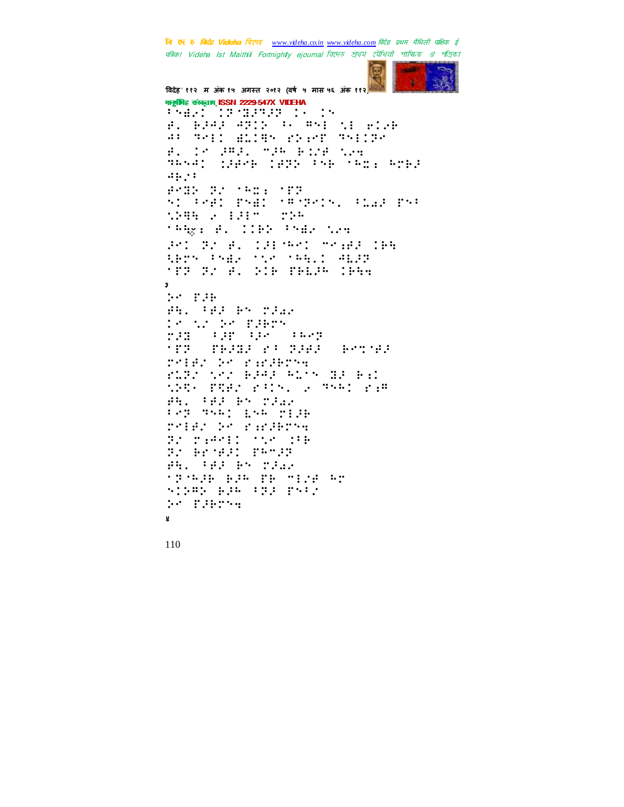वि ए रु क्रिडे Videha विएक www.videha.co.in www.videha.com विदेह प्रथम मैथिली पाक्षिक ई पत्रिका Videla Ist Maithili Fortnightly ejournal রিদেহ শ্রথম মৌথিনী পাক্ষিক প্রা পত্রিকা



विदेह' ११२ म अंक १५ अगस्त २०१२ (वर्ष ५ मास ५६ अंक ११२) मानूबंगिह संस्कृतम् ISSN 2229-547X VIDEHA **PHAT IS SETTLE IN 18** 8. 6343 4915 : #916 451 51 6126 AR MAIL BLIBS PRINT MSILM B. 18 PRES MPR BINE NAM TRNAI (SPAR 1972 PNP 1981: PTP)  $44.24$ SI PRED PRED CROPPING PLAP PRP **WEB 201217-00**  $\mathbb{R}^{n}$ thigh B. CIBN Phile New POI PA B. CALMAN MAGHA CER ARTS PSER TO THEIR HEAD **THE R. P. D. PHILE THE**  $\mathbf{z}$ 28 F.H Sh. MS Br That te ar be filter 'TP TEACH PAGAS POINT relación radaren FLEY NAT BRAF ALON HR BAD the rest site (s were semfil Willes Clar 123 THE 155 THE relative randers Britanic  $\mathcal{O}(\mathcal{O}_1)$  , and  $\mathcal{O}(\mathcal{O}_2)$ 3: Briggi Phili Shi Willie Marsh **SPORT RESTRICTED**  $\sim$  (180) (1910) (1910) (1910) De Plinter  $\mathbf{g}$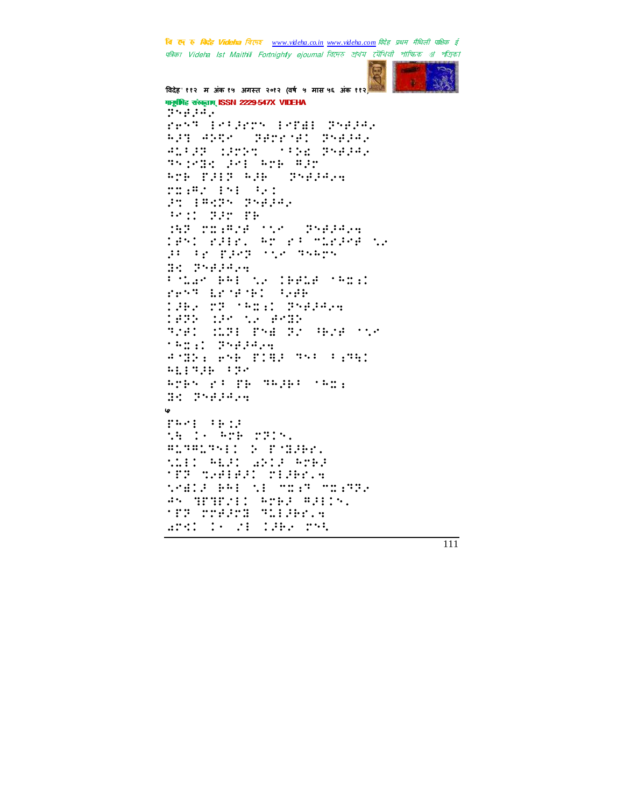वि ए रु क्रिडे Videha विएक www.videha.co.in www.videha.com विदेह प्रथम मैथिली पाक्षिक ई पत्रिका Videha Ist Maithili Fortnightly ejournal রিদেহ প্রথম মৌথিনী পাক্ষিক প্র পত্রিকা



विदेह' ११२ म अंक १५ अगस्त २०१२ (वर्ष ५ मास ५६ अंक ११२) मानूबंगिह संस्कृतम् ISSN 2229-547X VIDEHA  $\mathcal{D}(\mathcal{G},\mathcal{G},\mathcal{G})$  . rest propres predictedial API ANDRO BATERNAL BRAGAN ALIST MODEL TEN TRAINS Thirdle are the War Arb PRIN ARB (Phelale **THING IND SAI** 3t 18635 Bedday Will SPM TH 152 TERPIE 153 STREET 1851 PABRI AM 23 MIRAGA NA j: () pick the mann B: 2582424 Polar BRI to IBBLE offici rent briefel GeB 1962 PP TROLL PSAGGA 1972 MAR NA BAND **MIDS PAR ROOMS TEAM TOP**  $7.911$ **TREE BREEZHING AND: PHP PINE THE FINE BEFORE PRO** Apple y: Hp SAGH: (Ani; Sc Presser ها PROPERTY We do Are rrin. **BLANCARDS IN STREET WILL BEST WILL BYES** SMADE ART STOMBER MOGRE.<br>AN GENEZIO AMAE APION. **THE STREET TERRITORY** and Is al Mike nyk

 $\overline{111}$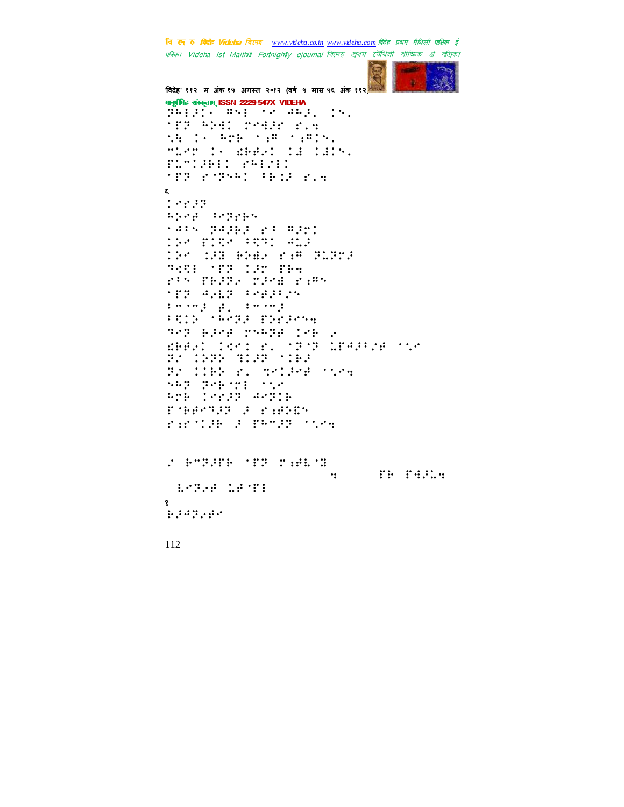**त्रि एन रु क्रिटेह Videha** विएम्ब \_www.videha.co.in\_www.videha.com विदेह प्रथम मैथिली पाक्षिक ई पत्रिका Videha Ist Maithili Fortnightly ejournal রিদেহ প্রথম মৌথিনী পাক্ষিক প্র পত্রিক।



```
'वदेह' ११२ म अंक १५ अगत २०१२ (वष ५ मास ५६ अंक ११२)
मानुषीिह संस्कृताम् ISSN 2229-547X VIDEHA
ji:::: v 352. 15.
APP REE STREET STREET
⣁⣓!j!⢳⢷!⣐⢻.⣐⢻=!
+⣅!j!⣎⢷⢾⢴!⣜.⣜=!
FL*13B: 2 PHISIS
*FF runner (FR) 1971
६
⢼⢽!
⢳⢵⢾!⢸⢽⢷!
'4!\ THEF : '
T^* T^* T^* T^* T^* T^* T^* T^* T^* T^* T^* T^* T^* T^* T^* T^* T^* T^* T^* T^* T^* T^* T^* T^* T^* T^* T^* T^* T^* T^* T^* T^* T^* T^* T^* T^* T^* 
⢵!⣈⢼⣝!⢷⢵⣞⢴!⣐⢻!⢽⣅⢽⢼!
⢹⣊⣋3!&⢽!⢼!&⢷⣒!
7!&⢷⢼⢽⢴!⢼⣞!⣐⢻!
&⢽!⢺⢴⣇⢽!7⢾⢼7"!
1 + \cdots 1 + \cdots 1 + \cdots 27⣋⢵!⢳⢽⢼!&⢵⢼⣒!
⢹⢽.⢷⢼⢾!⢳⢽⢾!⢷!⢴!
⣎⢷⢾⢴!⣊⣈!=!⢽⢽!⣅&⢺⢼7"⢾!⣁!
⢽"!⢵⢽⢵!⣙⢼⢽!⢷⢼!
\mathbb{R}: libb r. Thilfed (1954)
SEP PERMIT TO
WEE !::37 #2318
&⢷⢾⢹⢼⢽!⢼!⣐⢾⢵⣏!
⣐⢼⢷!⢼!&⢳+⢼⢽!⣁⣒!
T EMPRED THE PHEND
                          hhbkfoesbAwjefib⣒dpn!&⢷!&⣚⢼⣅⣒!!
 !⣇⢽⢴⢾!⣅⢾&3!
१
⢷⢼⢺⢽⢴⢾!
```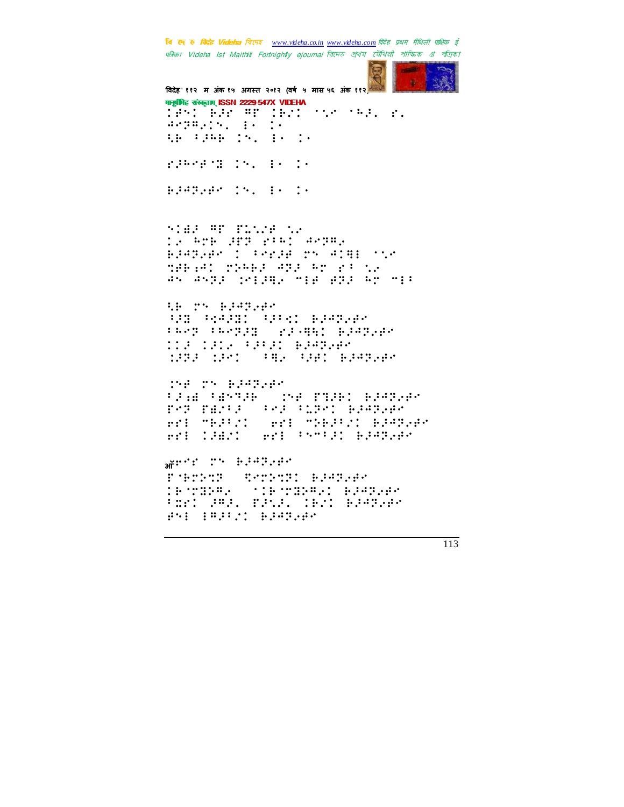**बि एक रु** *बिर्दह Videha विए***नर** www.videha.co.in www.videha.com विदेह प्रथम मैथिली पाक्षिक ई पत्रिका Videha Ist Maithili Fortnightly ejournal রিদেহ প্রথম মৌথিনী পাক্ষিক প্র পত্রিকা



विदेह' ११२ म अंक १५ अगस्त २०१२ (वर्ष ५ मास ५६ अंक ११२) गानूबंगिह संस्कृताम् ISSN 2229-547X VIDEHA TAND BAR AR IBNI SNA SAAL R.  $\text{argmin}_{\mathbf{x}} \{ \mathbf{w}_1, \dots, \mathbf{w}_n \}$ th (1966) 1920 1930 1930 riberiol (S. E. C. BRANGAN IN BROOK

**MARK WE BEACH TA** 1. ATE 200 PIA: 48382 BIATHAM I PAPIA TO AIN STA **MARKET MARK AND AM RACIN** 45 4522 101282 MIR 822 AM MIR

the production of **THE RAIN THAN BIANGE** PAPE PAPPER (PLANE) BJAR2AP MI MIL PROVINGEN 1999 1951 (PB) 9981 BJP929P

the role:Addition tan terre (ne pael bagaar<br>Pro pelta (tra tidri bagaar) erl "BJP21" erl "DBJP21 BJP3287 erl (2021) erl (5552) B202205

WHITE THE BEST PART FARDAS CREDIO BIARQUE **TRANSPORT (SECONDICATION)** Ford PAI, PPLA, CENT B247284 PH INDEX BRANCH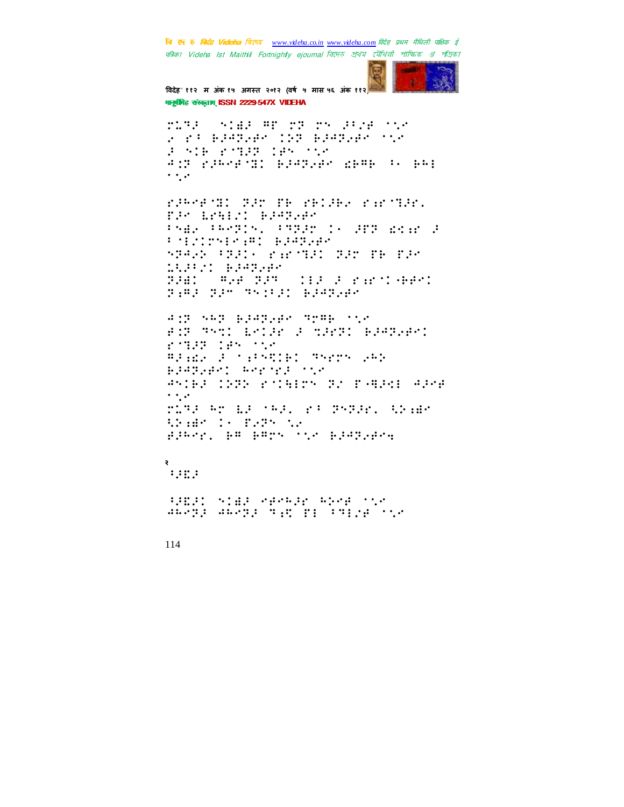**बि एक रु** *बिर्दह Videha विए***नर** www.videha.co.in www.videha.com विदेह प्रथम मैथिली पाक्षिक ई पत्रिका Videha Ist Maithili Fortnightly ejournal রিদেহ প্রথম মৌথিনী পাক্ষিক প্র পত্রিকা



विदेह' ११२ म अंक १५ अगस्त २०१२ (वर्ष ५ मास ५६ अंक ११२) गानूबंगिह संस्कृताम् ISSN 2229-547X VIDEHA

ring wide mp re regards the a programach de gramage san FAIR PARK 185 AS ANY PIPERTY BIARDAR NEWS POINT  $\cdot$  .

raberil aar ne relaev ruciar. ro britt bocos PARK PROPINS PREPENDS AND ROBE A **Polynomeral School** SPASS (PACK PAPTEC PAP PR PAP 1982: Bagan<br>1981 - Gerand III a ransern ring nas neighborganism

AND SAP BRANGER TEAR TOP FOR THIS LEIGHT CONFIDENT BEATLENT rings the the Brank Forestell Serre 242 BJ472481 Report the ANIEF INSN SYLBERN SY FARAE APME  $\cdot$  . ring ar ba sag, ra gagge, thaga Weight to Harry the giner, po port the planned

₹  $\ddots$ 

SHEED STAR SPARED RESPONSED daepp daepp wip pp rwpje sie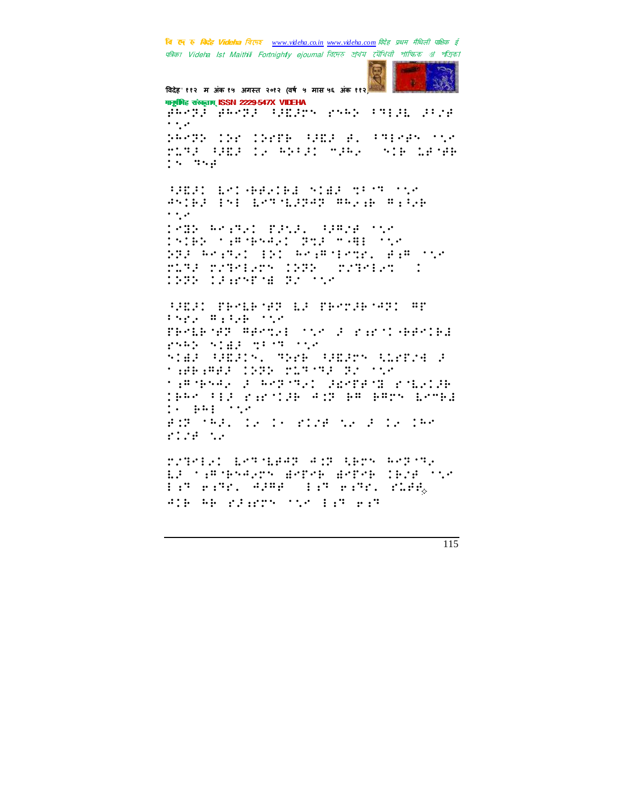वि एक रु क्विहेट Videha विएम्ब www.videha.co.in www.videha.com विदेह प्रथम मैथिली पाक्षिक ई पत्रिका Videha Ist Maithili Fortnightly ejournal রিদেহ প্রথম মৌথিনী পাক্ষিক প্র পত্রিকা



विदेह' ११२ म अंक १५ अगस्त २०१२ (वर्ष ५ मास ५६ अंक ११२) गानूबंगिह संस्कृताम् ISSN 2229-547X VIDEHA Active and the company of the control  $\cdot$  . PROTECTIVE COVER (FREE B. (FREEM) STO ring (GB) is moth why will be made  $19.399$ BEEN ESTABLIED STEE MESMOSCH ANIER INI LYTTLATAT AALIE AILLE  $\cdot$  ... 1888 Reimal Band, Gamberthe Inibe tampeded pur man ten 533 Anistal (5) Anistandry, Bis 150 MARE MATHEMAN (1978) MATHEMAT 1989 12:59PH 20100 **BOOK THEFT IS THATEFUL TO** Press Rates the PROBRET REOTAL TOO F PARTICHEOIRE PARK STEP 2002/2012 STAR SHERIS, THE SHERM SLEEDE F **THEFFER COOP SUPPORTS TO THE** timeses a especial archivation. TEAR FER PAPTIEN AND EA EACH ERCHE  $\left(\cdot\right)$  (iii)  $\left(\cdot\right)$ BOROTHER IS IN BIGB NS BOIS INT star to rateled bethored and then weren. EACHIEMENEST BROKE BROKE CESE TIP

Pat Fate, APRO Pat Fate, Plang

Will be right to life and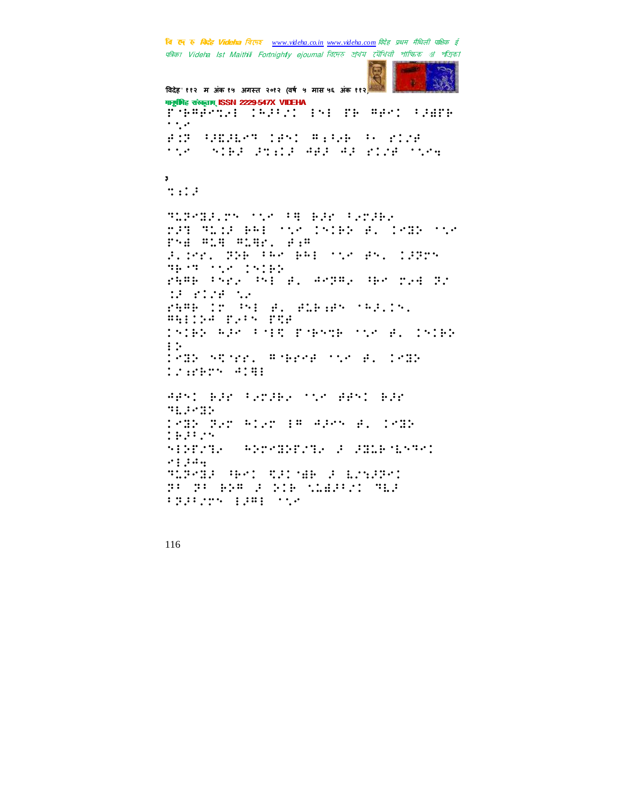बि एक रु मिन्हें Videha विरफर www.videha.co.in www.videha.com विदेह प्रथम मैथिली पाक्षिक ई पत्रिका Videla Ist Maithili Fortnightly ejournal রিদেহ শ্রথম মৌথিনী পাক্ষিক গ্র পত্রিকা



विदेह' ११२ म अंक १५ अगस्त २०१२ (वर्ष ५ मास ५६ अंक ११२) मानूबंगिह संस्कृतम् ISSN 2229-547X VIDEHA Fuelose (esc) is reservance  $\cdot$  ... FOR MESSAGE CENTURISM (POSSESSION the Siles shift and all plue them  $\mathbf{3}$  $\mathbb{R}$ :  $\mathbb{R}$ SUPPRESS TO SAME REPORTER MAR SIMA BRI MAR (SIB) B. 1882 MAR Phi #14 #14: #:# Flore, BBB CRA BRE the Br. 1935-**THAT AND INCHER** PARE FREE PAI B. RETRY HE TER T. AR STORE AN Herlin Broadway (82.15) **Billie Park PRP** INDEX RES POINT ECHNIE COST B. INDEX  $\mathbf{H}$ 1885 Store Adene overside 18 12927 4191 ARSI BIR FENIBE TOO BRSI BIR **BELOWED** 1882 Bar Alar EW Adam A. 1882  $1:1:2:2$ **NINETER SENSIBETER FOREIGNENT**  $9.1244$ TORONT HAD TO ME A LOGIC. BO BO BOW FOREST MARKET MAP PERSON ERRITO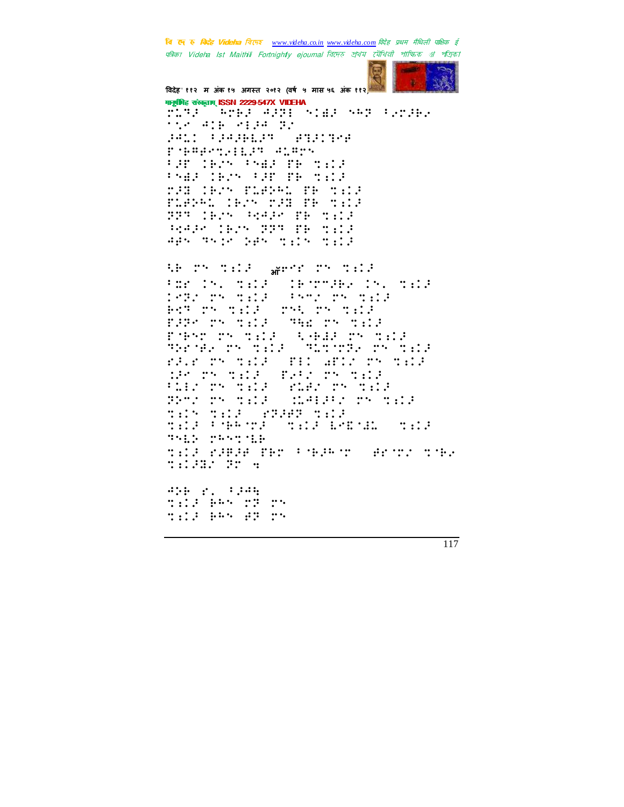वि एक रु क्विहेट Videha विएम्ब www.videha.co.in www.videha.com विदेह प्रथम मैथिली पाक्षिक ई पत्रिका Videha Ist Maithili Fortnightly ejournal রিদেহ প্রথম মৌথিনী পাক্ষিক প্র পত্রিকা



विदेह' ११२ म अंक १५ अगस्त २०१२ (वर्ष ५ मास ५६ अंक ११२) गानूबंगिह संस्कृताम् ISSN 2229-547X VIDEHA

fite (Area Age: Side SAP Froger tie alb ella pr **ARTICLE AND RESIDENT** remediate since **BETHIN PART TRONGE** PARK TEMP FROM THE TELP r:B (Br) TLAND TR TILE TLEND CHAN THE THURS 333 1925 52426 39 3112 RAP ORT 223 BB 3:12 April Regard Spring Edward Ed

AB TH TALE Specific Things 2 For the mail. TROUGHA IN THIS ster mond 1932 TH SER BOT TH TELE THE TH TELE FPP TH THE THE THILLE Poper restar (AGHA restar The SEA on Still Statement on Still FAIR TH THIS THIS WILL THE THIS HR TR THIS SEARCH THIS FIRST TRONGER **START THE TELE** Steam Steam Stock **SEARCHER TO TELLS** tir til (2200 til til Perus (til Expublication **SALE PRAYMER** till rifle fer tylen arounder till: Hr +

Ship r. 1985 THIS BAS 23 25 till bas ar re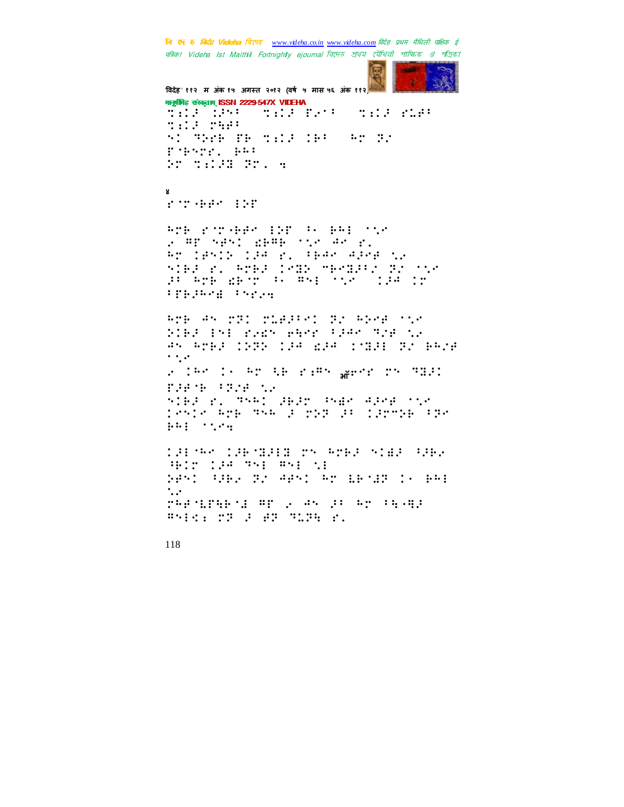**बि एक रु** *बिर्दह Videha विए***नर** www.videha.co.in www.videha.com विदेह प्रथम मैथिली पाक्षिक ई पत्रिका Videha Ist Maithili Fortnightly ejournal রিদেহ প্রথম মৌথিনী পাক্ষিক প্র পত্রিকা

**COLOR**  $\mathcal{G}$ 

विदेह' ११२ म अंक १५ अगस्त २०१२ (वर्ष ५ मास ५६ अंक ११२) गानूबंगिह संस्कृताम् ISSN 2229-547X VIDEHA  $\pm 1.13$   $\pm 1.01$  $\mathcal{L}(\mathcal{L}(\mathcal{L},\mathcal{L},\mathcal{L},\mathcal{L},\mathcal{L},\mathcal{L}))$ TELE EPST THE THE **NI THE TE TELL IN AT TA** Fiberr, BBC **ST THIS ST. 4** 

Х. romane in

Anderson (1918–1918), 1919–1918<br>George Santo (1911–1928), 1920–1920 RT CHRID CIA PL TEAR AGRE NA nieg r. Areg inger menggar groning<br>da are benro an gae nin (1940-18 **TERME Press** 

And an only classed by Area the PIER INT YOUR BACK FRAM TOP NO 85 AMER 1989 198 BJ8 1988 32 BAZE  $\cdot$  , , , , 2019-11-02038 EP PERSONNELLY TEAC FAR 18 PROF. NA nieg r. 7561 gegrupeen gane nin Tente Ara dha la rob la clarmoa ade  $1441 - 1144$ 

1987年6月10日 NEWS PORT STAR SPEA HED 134 HAI HAI 51 5951 (282 F. 4951 F. 18735 I. 16 BF  $\dddot{\phantom{0}}$ reporting to mr of me of er er (speng) Bridge Miller H. M. H. R.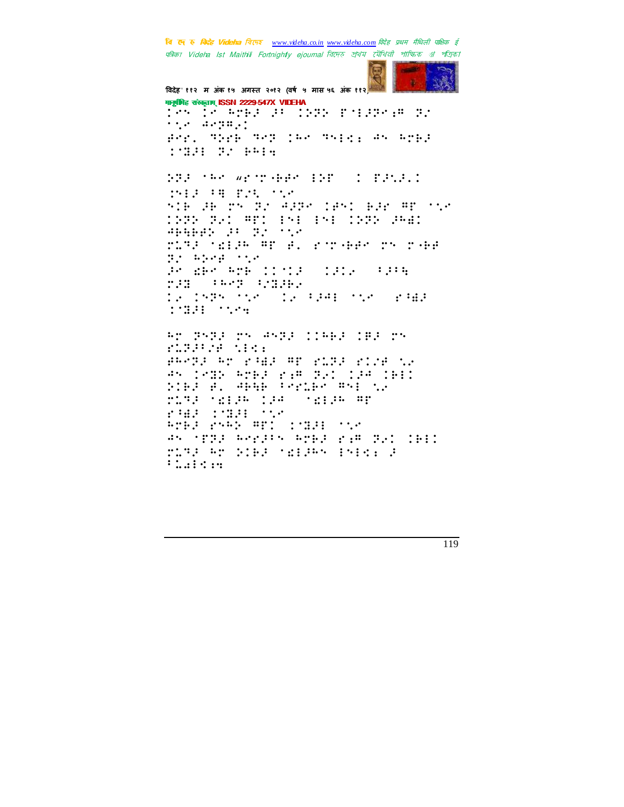बि एक रु मिन्हे Videha विरुक www.videha.co.in www.videha.com विदेह प्रथम मैथिली पाक्षिक ई पत्रिका Videha Ist Maithili Fortnightly ejournal রিদেহ প্রথম মৌথিনী পাক্ষিক প্র পত্রিকা



विदेह' ११२ म अंक १५ अगस्त २०१२ (वर्ष ५ मास ५६ अंक ११२) मानूबंभिह संस्कृतम् ISSN 2229-547X VIDEHA 104 î.A.Hrad da 1999 polaroka di **SALARDERST** Ber. Shrk Sep (68 Shrk: 45 Grk) **1980 S. Billy** SSP (Ar writings in the finit 1912 FR 215 TOP SIE JE TS TV AJTA LAST EJR AT 'NY 1989 821 API 191 191 1989 841<br>Abbbey 81 82 192 MISE SEEP AT B. POTABR TH TAB 22 5588 758 Proder Are Conce (1912) (PPP) **THE SECRET STREET** 12 1585 TVP (12 FPH) TVP (2988)  $1.1211 - 1.001$ Ar PARP no Angel (1863 183 no rthalice tie: PROTECTS FOR THE TECHNOLOGY OF AN IMBN AMERICAN BRITISH IBEI bieg al ange benne mei si ring (dige 194) (dige Ap rad (1981-158 RTEJ PARK ATI INDI MAN AN TERPORTEN AMBRO K.A. BAI (BI) ring ar biag chigas isle d'

**Financier**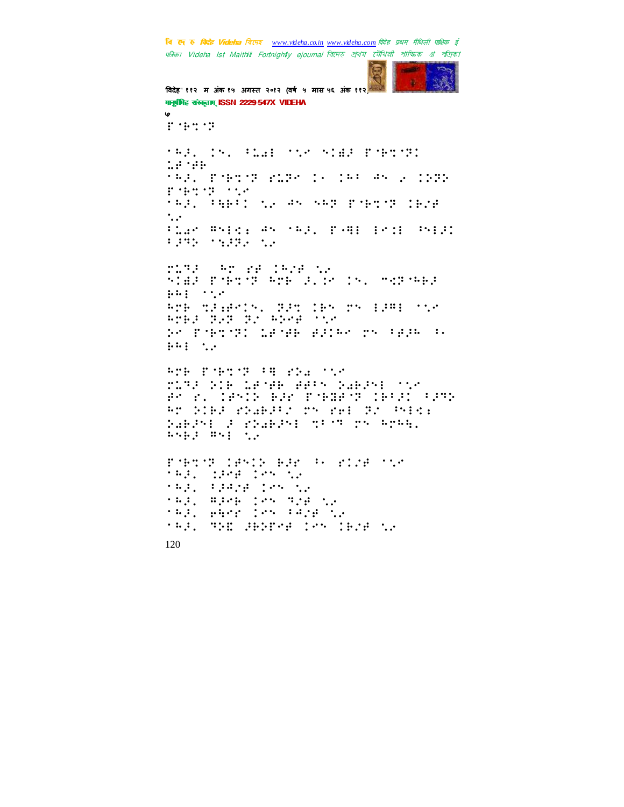बि एक रु मिन्हें Videha विरफर www.videha.co.in www.videha.com विदेह प्रथम मैथिली पाक्षिक ई पत्रिका Videha Ist Maithili Fortnightly ejournal রিদেহ প্রথম মৌথিনী পাক্ষিক প্র পত্রিকা

```
START
```
विदेह' ११२ म अंक १५ अगस्त २०१२ (वर्ष ५ मास ५६ अंक ११२) गानूबंगिह संस्कृताम् ISSN 2229-547X VIDEHA ی  $T = 100T$ tel. In Stat the night Powers:  $1.4.141$ TRES EMPLOYE PLEASER IN THE ANGLE INER Policy of the Car TRE PRESS NO AN NAT PORTS IRSP  $\cdot$ ... Plan Rhide Rhotel, PHH Endi Phill 1975 1997 10 nisa (An Pallasa ).<br>Sida pobols anb alle (S. Sel Servab  $\frac{1}{2}$  in  $\frac{1}{2}$  in  $\frac{1}{2}$  in  $\frac{1}{2}$  in  $\frac{1}{2}$ RTE MAGARIN, PAM IBN 25 1281 STR 8783 737 73 823 538 PO PORTON LEGAL ARIAN TO FARA PR  $i$ <sup>1</sup>  $i$   $i$   $i$   $i$ POR PORTS FROM THE MIRA DIE LANAR AARS DARASE NIE Brian (Britisher Pobleop (BF) (PP) RT DIES SDARFFS TO SEE TO POECE Sabani a pSabani profesor breg.  $\text{m}$  and  $\text{m}$ PORTS IRAIN RAD AN BIZE TOM TREL CREE DES SU **SAR, PRAZE TEN NA** tag, mper ces mor to tag, and the Capacity **TAIL THE SENERA CRY CENE NA**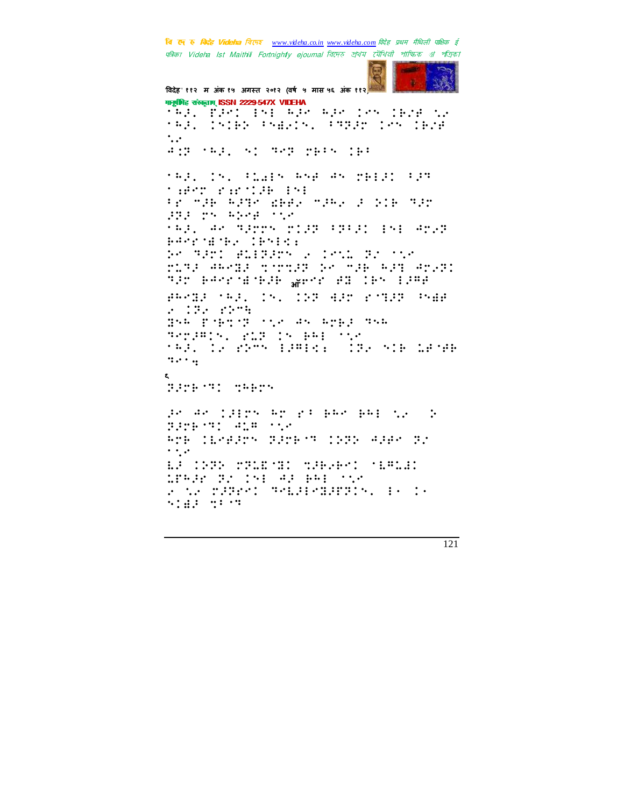वि एक रु क्विहेट Videha विएम्ब www.videha.co.in www.videha.com विदेह प्रथम मैथिली पाक्षिक ई पत्रिका Videha Ist Maithili Fortnightly ejournal রিদেহ প্রথম মৌথিনী পাক্ষিক প্র পত্রিকা

```
CONTRACT
     \mathcal{G}
```

```
विदेह' ११२ म अंक १५ अगस्त २०१२ (वर्ष ५ मास ५६ अंक ११२)
गानुबंधिह संस्कृतम् ISSN 2229-547X VIDEHA
the Personal are also provided to
      INIER PNESIN, PROGRAM IESE
\mathbf{1} \mathbf{1} \mathbf{1} \mathbf{1} \mathbf{1}\dddot{\phantom{0}}AND THE ST TEP NEED THE
TRAVING PEARS AND AN PREAD PAR
THAT PROTHERS
From HP APPO WHEN MPAN POSSESSED
333 TV 4588 TV
tel en minn nilm (mill (m) en anym
PARTNER IPMED.
PO SATI PLIBATO 2 ISLA BI MIS
risk akron crrise br Pak kan arvei
320 BASESBORG WAS BEEN LESS
BRANK TRAVIS (1980-882) PONTRO PORT
2.132 \pm 2225BYF FORTIN CAS AN APER NYE
September 2013 15 Bell Ste
tel, le restauraire instrument
2.004ξ
FROM THE SAMPLE
an an iairs ar ra ban bai tu ch
2009-01-018-018
Arb Cleaser Barber 1989 Adde Br
\cdot .
18938 BY 151 83 991 758
FOR THREE WEBSTERES, BOIL
5142 - 2122
```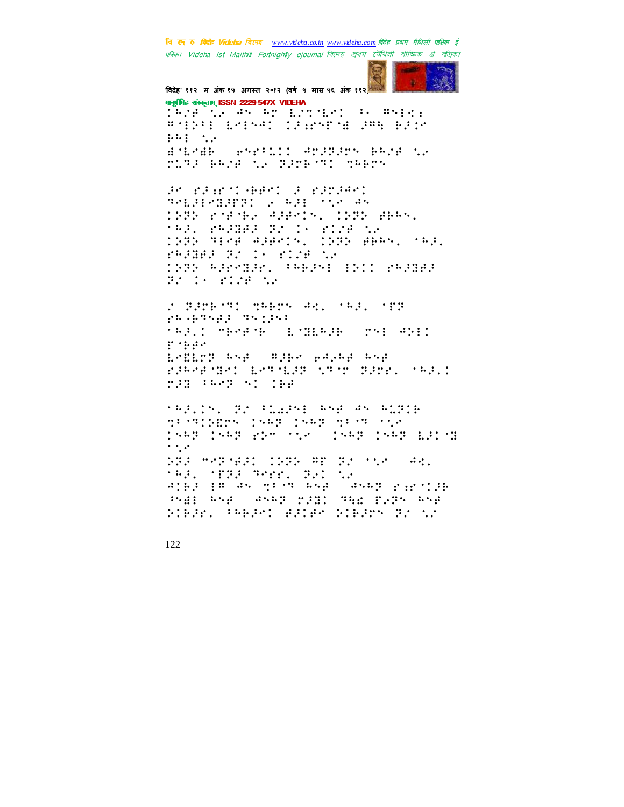**बि एक रु** *बिर्दह Videha विए***नर** www.videha.co.in www.videha.com विदेह प्रथम मैथिली पाक्षिक ई पत्रिका Videla Ist Maithili Fortnightly ejournal রিদেহ শ্রথম মৌথিনী পাক্ষিক গ্র পত্রিকা



विदेह' ११२ म अंक १५ अगस्त २०१२ (वर्ष ५ मास ५६ अंक ११२<sup>)।</sup>

मानूबंगिह संस्कृताम् ISSN 2229-547X VIDEHA Territor as an arrived as associ # SPP: 101541 (Prestor Paragete  $1.41 - 1.2$ BARGE PROVISION ATSTSTRAGE AR TIME BRIE NA BETRONI TRETO

Profesorated a ferenc **SMILLERS COMPANY** 1985 POPUL ANALY, 1985 ABAN. **TRAV PRAGAZI DE 16 PICA CA** 1992 9124 914213, 1992 445, 1991 PROBE BY 10 PLOE TO 1995 Adresde, TABJA: 1911 rAJSAJ Brite Blog th

**TRAVE MEMBERS EMBERGE (2013-021)** Police Barn 198127 ksp wike papel bsp randed actual streamers (1980) **THE PROPERTY OF** 

**TRAINS ON PLAAME RHA AN RUPIE** me internet to the transfer means of the pang pang pia sia siang pang pinong  $\cdot$  ... 533 MARYBON (535 BP 32 MAR) AR. **MARY MEDIA REPORT DAILY** ∵.∙ ajej je as nist bse (asby ranije PABLANE ANAP MIC THE FIRM AND bible: Chblei Blief bibles Br tr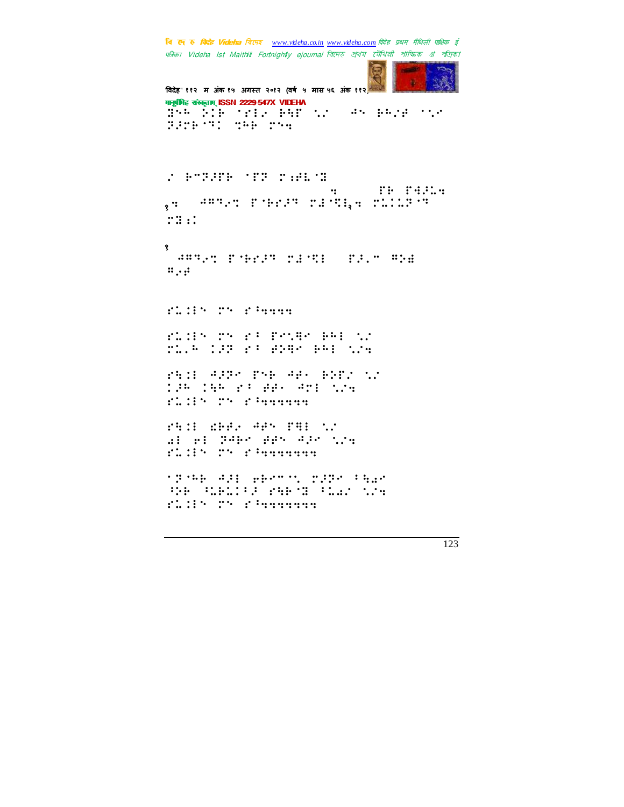चि एक रु *विदेह Videha चिए*न्छ <u>www.videha.co.in www.videha.com</u> विदेह प्रथम मैथिली पाक्षिक ई पत्रिका Videha Ist Maithili Fortnightly ejournal রিদেহ প্রথম মৌথিনী পাক্ষিক গ্র পত্রিক।



विदेह' ११२ म अंक १५ अगस्त २०१२ (वर्ष ५ मास ५६ अंक ११२) मानुषीिह संस्कृताम् ISSN 2229-547X VIDEHA ∄₩ ŠIE 'SIS BAT NY 'AN BAZE 'NY ⢽⢼⢷⢹!⣉⢳⢷!⣒!

"!⢷+⢽⢼&⢷!&⢽!⣐⢾⣇⣝! hhbkfoesbAwjefibloesbAwjefibloesbAwjefibloesbAwjefibloesbAwjefibloesbAwjefibloesb । संस्कृत संस्कृत स्टाइट स्थान संस्कृत स्टाइट स्थान संस्कृत संस्कृत संस्कृत संस्कृत संस्कृत संस्कृत संस्कृत सं **THE** 

१ !⢺⢻⢹⢴⣉!&⢷⢼⢹!⣜⣋3.!&⢼=+!⢻⢵⣞!  $::$ ...

⣅⣈3!!⢸⣒⣒⣒⣒!

⣅⣈3!!⢸!&⣁⣛!⢷⢳3!⣁"! ⣅=⢳.⢼⢽!⢸!⢾⢵⣛!⢷⢳3!⣁"⣒!

⣓⣈3!⢺⢼⢽!&⢷!⢺⢾j!⢷⢵&"!⣁"! ⢼⢳.⣓⢳!⢸!⢾⢾j!⢺3!⣁"⣒! ⣅⣈3!!⢸⣒⣒⣒⣒⣒⣒!

⣓⣈3!⣎⢷⢾⢴!⢺⢾!&⣛3!⣁"!  $\overline{3}$ : 21  $\overline{3}$   $\overline{3}$   $\overline{3}$   $\overline{3}$   $\overline{3}$   $\overline{3}$   $\overline{3}$   $\overline{3}$   $\overline{3}$   $\overline{3}$   $\overline{3}$   $\overline{3}$   $\overline{3}$   $\overline{3}$   $\overline{3}$   $\overline{3}$   $\overline{3}$   $\overline{3}$   $\overline{3}$   $\overline{3}$   $\overline{3}$   $\overline{3}$   $\overline{3}$   $\$ **SUS SECURE SECURE SECURE SECURE SECURE SECURE SECURE SECURE SECURE SECURE SECURE SECURE SECURE SECURE SECURE S** 

⢽⢳⢷.⢺⢼3!⢶⢷+⣁!⢼⢽!7⣓⣔! ⢸⢵⢷.⢸⣅⢷⣅7⢼!⣓⢷⣝!7⣅⣔"!⣁"⣒! ⣅⣈3!!⢸⣒⣒⣒⣒⣒⣒⣒!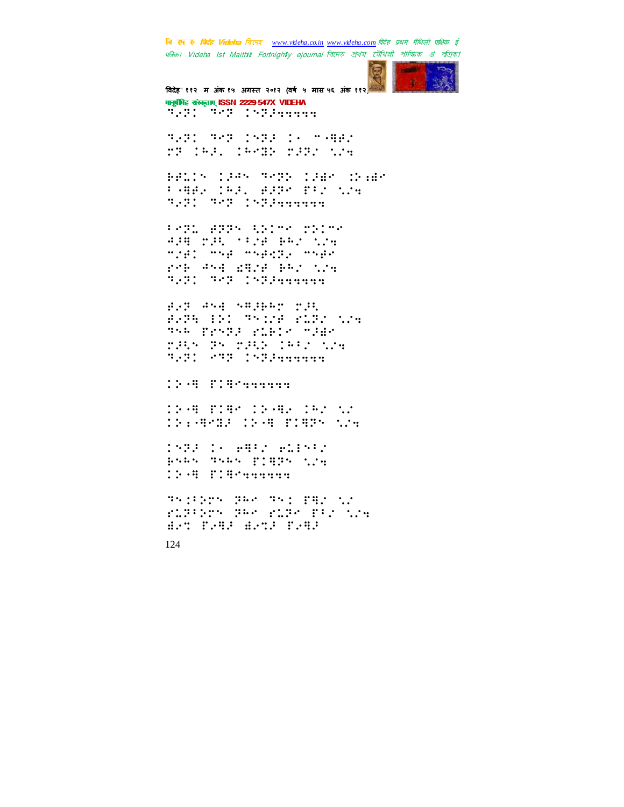वि ए रु क्रिडे Videha विएक www.videha.co.in www.videha.com विदेह प्रथम मैथिली पाक्षिक ई पत्रिका Videha Ist Maithili Fortnightly ejournal রিদেহ প্রথম মৌথিনী পাক্ষিক প্র পত্রিকা



विदेह' ११२ म अंक १५ अगस्त २०१२ (वर्ष ५ मास ५६ अंक ११२) मानूबंभिह संस्कृतम् ISSN 2229-547X VIDEHA T.S. The conception

**SARE SAR INSERIES SERIES** MT (PR) (PRID MARY 129

BRITH 1985 MARK 1985 (NaBr F-882 1931 8325 FF2 524 **SAN SAN LANGARAN** 

PARL ARRA SILEM MILEM **APR TPL TEST PRO NOW** mid: mag mager, mage POB 454 BRIE BRI NIE 

822 454 583662 235 FRID IN THINE FIRE NEW TAR PEARD FIELD MORE rans as rail (61) 1998<br>Teac eta coadereren

**COMPILE** 

1598 FIRM 15982 IRZ NZ 

INTE IN WHICH WEENED pana mana pinga sisa 

35:1225 PRO 35: FB2 N2 rupters par rupr par tra A. T. B. A. A. T. B. A.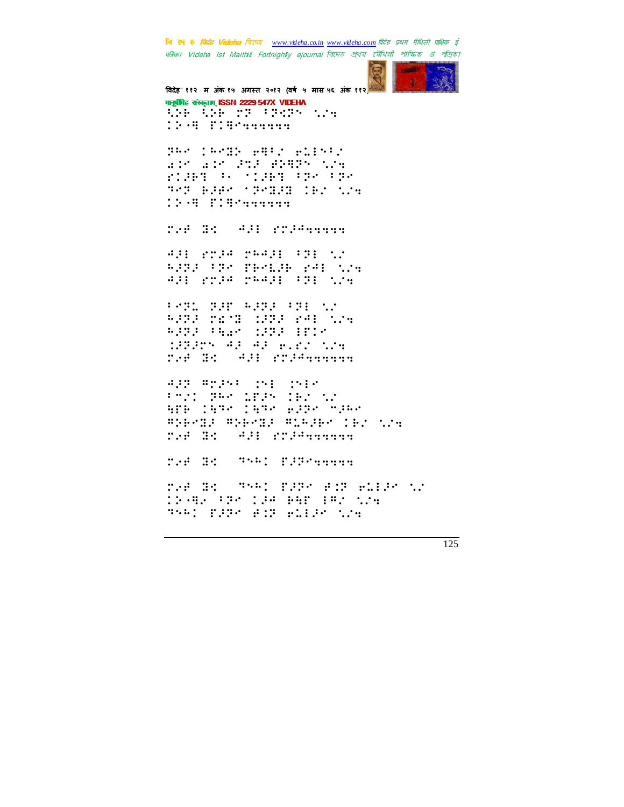वि ए रु क्रिडे Videha विएक www.videha.co.in www.videha.com विदेह प्रथम मैथिली पाक्षिक ई पत्रिका Videha Ist Maithili Fortnightly ejournal রিদেহ প্রথম মৌথিনী পাক্ষিক ॳ পত্রিকা



विदेह' ११२ म अंक १५ अगस्त २०१२ (वर्ष ५ मास ५६ अंक ११२) मानूबंधिह संस्कृताम् ISSN 2229-547X VIDEHA Co CO 23 (2025 12) *TOM STIRESHER* 

gar (ard) egg elleg art art 252 BBB5 525 right + 'ight +pr +pr **THE BEEF MEMBER CENTIME COMMITTEDS** 

red Hr (431 rr34ggggg

431 2234 25431 331 12 5333 (30 TECLA 241 WS ali rrla baali (bi sh

**PARE REPARENTS (** ∵.' 8323 TEME 1323 PAI NOW APPE TRAM SPRESSED M 199955 43 43 F.E. W.S T.S H. AM STIPPERS

**APP REPAIL ONE ONES** Prof. Bar 1825 1927 11 APROVAMO TAMO AZZA MUARO #NEPSE #NEPSE #1PSEP (E2 124 ref St AH srPennen

red He Stat Pilleague

raf Bro 3561 f.P. Adformation to 1998. (20.130.000.000.000.000 The: PRPP PAR PLERE NOW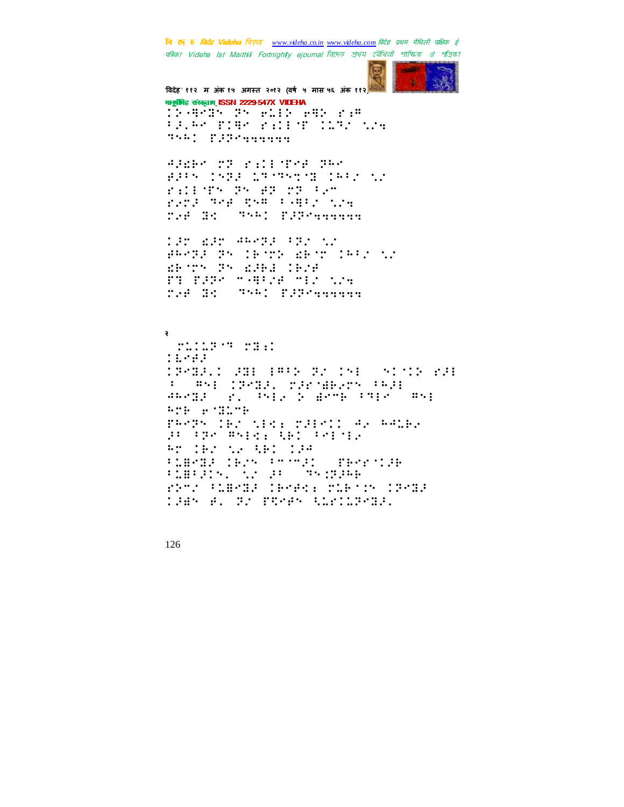वि ए रु क्रिडे Videha विएक www.videha.co.in www.videha.com विदेह प्रथम मैथिली पाक्षिक ई पत्रिका Videla Ist Maithili Fortnightly ejournal রিদেহ শ্রথম মৌথিনী পাক্ষিক গ্র পত্রিকা



विदेह' ११२ म अंक १५ अगस्त २०१२ (वर्ष ५ मास ५६ अंक ११२) मानूबंभिह संस्कृतम् ISSN 2229-547X VIDEHA Crank as elle em ra the Press Piler life the

**BAR: BEBEARING** 

Added TP rill Tre PRO BREAK INFR 1777-178 IRES 12 FEITY PH #P 28 FPT PATE THE THE FABLE TIME ref Hr. The FEBranner

tur kar akepa (protr PROTECTS IPOTA REOT IRED AT detry In died (etc) Fi hard which his tra rid he was ribbedone

र **MANUFACTION**  $11.997$ 198821 281 1912 92 151 - 51 12 221 anega (e) bije pogodnje imako mog Press rather PROPRISED NEWS PRESIDENT RELEA Broger Walder Abdulenter Ar Chr ta Abi Cid PLOMOR (BZS POSOR) (PHOMORE)<br>PLOPENS, SZ PP. OSTROPH rbni (terde ibned: nibnih (fred THE B. BY PREPS REPORTED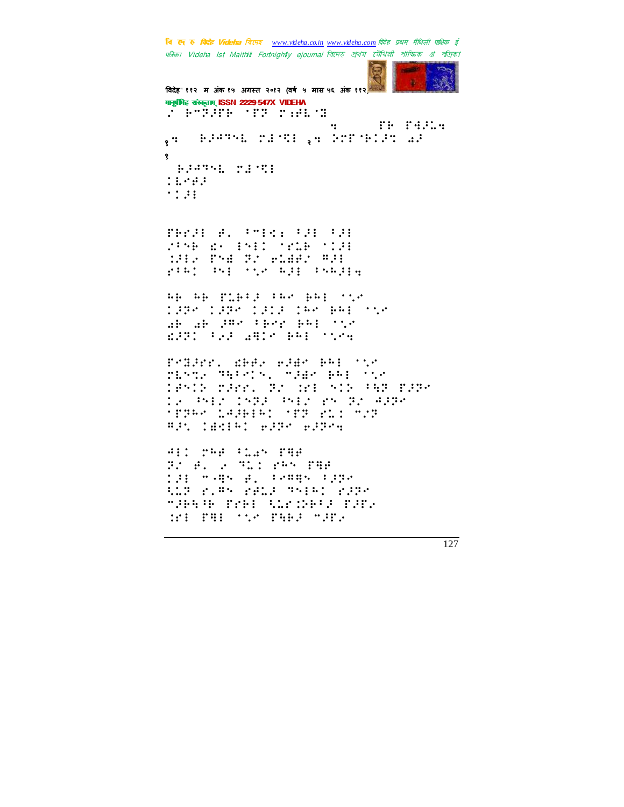चि एक रु *विदेह Videha चिए*न्छ <u>www.videha.co.in www.videha.com</u> विदेह प्रथम मैथिली पाक्षिक ई पत्रिका Videha Ist Maithili Fortnightly ejournal রিদেহ প্রথম মৌথিনী পাক্ষিক গ্র পত্রিক।



```
विदेह' ११२ म अंक १५ अगस्त २०१२ (वर्ष ५ मास ५६ अंक ११२)
मानुषीिह संस्कृताम् ISSN 2229-547X VIDEHA
"!⢷+⢽⢼&⢷!&⢽!⣐⢾⣇⣝!
                               hhbkfoesbAwjefib⣒dpn!&⢷!&⣚⢼⣅⣒!!
१⣒!!⢷⢼⢺⢹⣇!⣜⣋3!२⣒!⢵&⢷⢼⣉!⣔⢼!
१
!⢷⢼⢺⢹⣇!⣜⣋3!
\ddots\cdot : \cdot :
```
**THASE # 200 200 200 200 200 200 200** "75" THE STREET ⣈⢼3⢴!&⣞!⢽"!⢶⣅⣞⢾"!⢻⢼3! 7⢳!⢸3!⣁!⢳⢼3.7⢳⢼3⣒!

Be Be gies and the energy ⢼⢽.⢼⢽!⢼⢼!⢳!⢷⢳3!⣁.! ⣔⢷.⣔⢷!⢼⢻!7⢷!⢷⢳3!⣁! ⣎⢼⢽!7⢴⢼!⣔⣛!⢷⢳3!⣁⣒!

FORD: 1990 PHE ⣇⣉⢴!⢹⣓7=!+⢼⣞!⢷⢳3!⣁!  $10013$  . The set of  $1001$  and  $1001$  $\left( \begin{array}{cc} . & . & . & . \\ . & . & . & . \\ . & . & . & . \end{array} \right)$ &⢽⢳!⣅⢺⢼⢷3⢳!&⢽!⣅⣈.+"⢽! ⢻⢼⣁!⣞⣊3⢳!⢶⢼⢽.⢶⢼⢽⣒!

**41: 748 (22) THE** ⢽"!⢾=!⢴!⢹⣅⣈!⢳!&⣛⢾! <mark>03! →9</mark>9 #. Pamp +99} ⣃⣅⢽!=⢻!⢾⣅⢼!⢹3⢳!⢼⢽! +⢼⢷⣓⢸⢷!&⢷3!⣃⣅⣈⢵⢷7⢼!&⢼&⢴! ⣈3!&⣛3!⣁!&⣓⢷⢼!+⢼&⢴!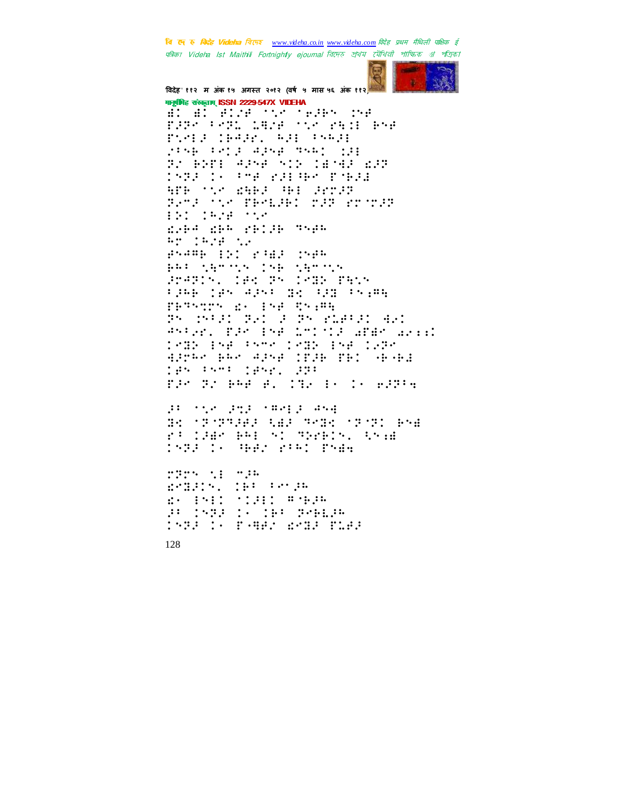वि एक रु क्रिटेड Videha विएम्ब www.videha.co.in www.videha.com विदेह प्रथम मैथिली पाक्षिक ई पत्रिका Videla Ist Maithili Fortnightly ejournal রিদেহ শ্রথম মৌথিনী পাক্ষিক প্রা পত্রিকা



विदेह' ११२ म अंक १५ अगस्त २०१२ (वर्ष ५ मास ५६ अंक ११२) मानूबंगिह संस्कृताम् ISSN 2229-547X VIDEHA E Eleventrien be THE PARE LANE MAY PAIR PAP FUSI (BAR) ARE PARRE 2356 3212 A256 3561 123

BY BREE WARR RID CAMBE AND 1532 16 378 221365 F7622 WHO YA RWA WE SYNC Beng the BB-12B1 r3B ST-73B 101 1528 TOP Robe Rhb Philip Shab Ar CAPE to PSARE IN PIRE ISPE BREAK SECTION CONFIDENTIAL President in 1985 (Parties FRANK (BS 425) 38 (FR (5528) PHYMPY 20 158 55:85 35 (593) 321 3 35 (1893) 421 Antary Par 158 151312 APAN arist 1982 198 (1999) 1982 198 (1989)<br>Adobe Bhe Adob (1896 161 (464) 195 PST 1952, 200 FACTO PHP AL CTA IN CH BATTS

BU TEM BER THAT ROAD BK (POPPER RAF PORT (PORT RSA ra 1985 BAI ST ShrBIS, ASAR **SARA DE SHART BRAND** 

 $\begin{picture}(120,15) \put(0,0){\vector(1,0){10}} \put(15,0){\vector(1,0){10}} \put(15,0){\vector(1,0){10}} \put(15,0){\vector(1,0){10}} \put(15,0){\vector(1,0){10}} \put(15,0){\vector(1,0){10}} \put(15,0){\vector(1,0){10}} \put(15,0){\vector(1,0){10}} \put(15,0){\vector(1,0){10}} \put(15,0){\vector(1,0){10}} \put(15,0){\vector(1,0){10}} \put(15,0){\vector($ EMBIN, IBP Proph s PHI MBI #926 st jega je jet gredsk **THE IN PART REE PIRE**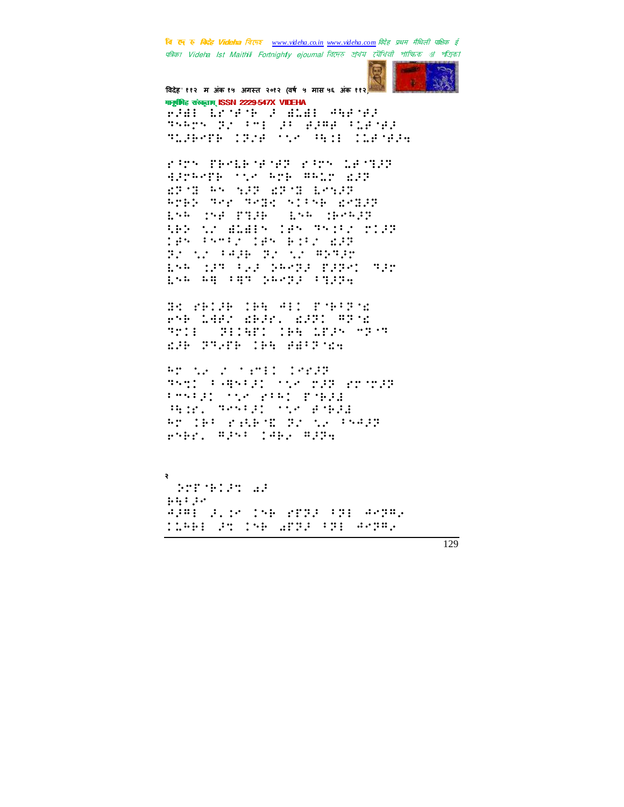वि एक रु क्विहेट Videha विएम्ब www.videha.co.in www.videha.com विदेह प्रथम मैथिली पाक्षिक ई पत्रिका Videha Ist Maithili Fortnightly ejournal রিদেহ প্রথম মৌথিনী পাক্ষিক প্র পত্রিকা



विदेह' ११२ म अंक १५ अगस्त २०१२ (वर्ष ५ मास ५६ अंक ११२) मानूबंगिह संस्कृतम् ISSN 2229-547X VIDEHA

FAUL LESPOE 2 BLB1 ANFORM Start Store in Bing Change **TEACH INS YE RESIDENCE** 

ring Tengeneng ring 18733 APPROPR TO REP WRIT APP EPS 55 522 EPS 1852 RTED THE THIR SITSH REIST ESP ISE FILE  $\begin{picture}(150,10) \put(0,0){\vector(1,0){10}} \put(15,0){\vector(1,0){10}} \put(15,0){\vector(1,0){10}} \put(15,0){\vector(1,0){10}} \put(15,0){\vector(1,0){10}} \put(15,0){\vector(1,0){10}} \put(15,0){\vector(1,0){10}} \put(15,0){\vector(1,0){10}} \put(15,0){\vector(1,0){10}} \put(15,0){\vector(1,0){10}} \put(15,0){\vector(1,0){10}} \put(15,0){\vector($ ARY NO BLBIS TRY TRIPS TIPE 185 PSMP2 185 BiP2 ARP Si tr'age Si tr'anner 1946 Ang Pang Deedle Palang<br>1946 Ang Pina Deedle Palang Sala

BO PRIZE IPA ALI POPIPOR rth 14A: dhir. dill Albi Tri Tilti ik di Tri **MONDAY CONTRACTOR** 

Product of Press  $1.9232$ THIS PARAGE TO THE PETITE Professional Party Porce WHEN THREE SIMPLES Professor Report Records (1942) pright springled spring

**SEP WIPS AF**  $1.1.11...$ APRE P. S. THE PERP PRE APPRA 11581 25 158 2832 331 46382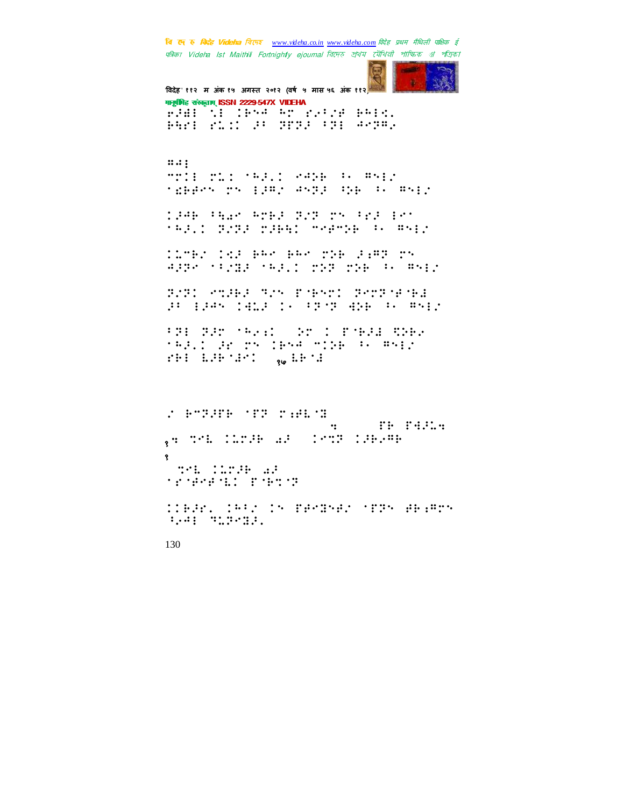**त्रि एन रु क्रिटेह Videha** विएम्ब \_www.videha.co.in\_www.videha.com विदेह प्रथम मैथिली पाक्षिक ई पत्रिका Videha Ist Maithili Fortnightly ejournal রিদেহ প্রথম মৌথিনী পাক্ষিক প্র পত্রিক।



विदेह' ११२ म अंक १५ अगस्त २०१२ (वर्ष ५ मास ५६ अंक ११२) मानुष्टीबिह संस्कृताम् ISSN 2229-547X VIDEHA ⢶⢼⣞3!⣁3!⢷⢺!⢳!⢴7"⢾!⢷⢳3⣊=!

⢷⣓3!⣅⣈!⢼7!⢽&⢽⢼!7⢽3!⢺⢽⢻⢴!

 $\ldots;$ +3!⣅⣈!⢳⢼=!⢺⢵⢷!⢸j!⢻3"! ⣎⢷⢾!!3⢼⢻"!⢺⢽⢼!⢸⢵⢷!⢸j!⢻3"!

 $\frac{7.748}{7.748}$  The SPE 201 PM The SPE 201 ⢳⢼=!⢽"⢽⢼!⢼⢷⣓!+⢾+⢵⢷!⢸j!⢻3"!

 $\frac{1}{2}$  . The set of the set of the set of the set of the set of the set of the set of the set of the set of the set of the set of the set of the set of the set of the set of the set of the set of the set of the set of t ⢺⢼⢽!7"⣝⢼!⢳⢼=!⢵⢽!⢵⢷!⢸j!⢻3"!

 $T$ . The state of the state  $T$  is the state of the state  $T$  $77$  30  $77$  30  $77$  30  $77$  30  $77$  30  $77$  30  $77$ 

79: 79: 70 \$P\$\$P\$ ↑PALI AP TH IPAP MINE P PRIZ ⢷3!⣇⢼⢷⣜.!१५ ⣇⢷⣜!

"!⢷+⢽⢼&⢷!&⢽!⣐⢾⣇⣝! hhbkfoesbAwjefibloesbAwjefibloesbAwjefibloesbAwjefibloesbAwjefibloesbAwjefibloesb । सम्पादा अपना प्राप्त सम्पादा अस्ति । १ **THE CONSTRUCTS** ⢾⢾⣇!&⢷⣉⢽@!

 $\Box$ P.  $\Box$ 7"  $\Box$ 7"  $\Box$ 7"  $\Box$ ⢸⢴⢺3!⢹⣅⢽⣝⢼=!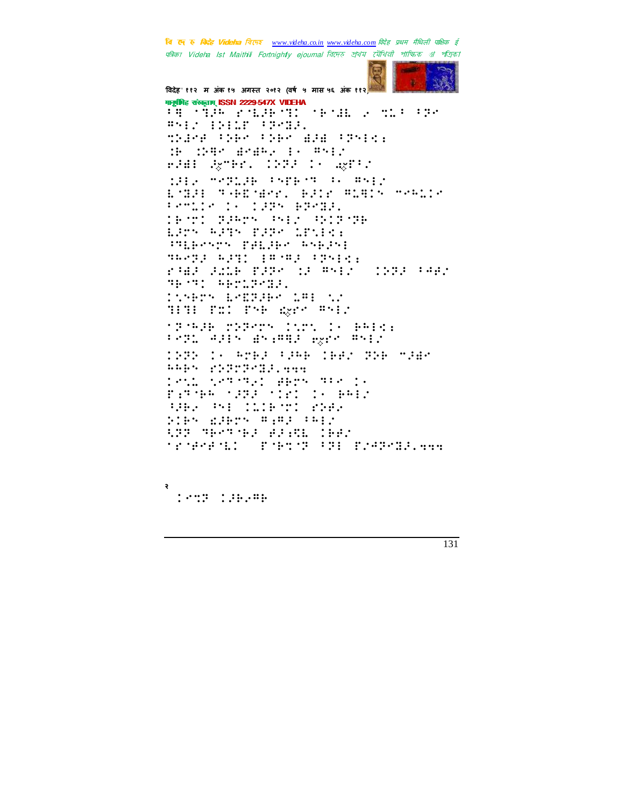वि एक रु क्विहेट Videha विएम्ब www.videha.co.in www.videha.com विदेह प्रथम मैथिली पाक्षिक ई पत्रिका Videha Ist Maithili Fortnightly ejournal রিদেহ প্রথম মৌথিনী পাক্ষিক প্র পত্রিকা



विदेह' ११२ म अंक १५ अगस्त २०१२ (वर्ष ५ मास ५६ अंक ११२) मानूसीमेह संस्कृताम् ISSN 2229-547X VIDEHA FACTOR POLECTIC SECAL IN THE FOR BRID HEILE FROM: THE UPP UPP AND UPPER: de char arabe is msic FRANK WARD TO SERVE THE SERVE MRS TERMIN PAPENT BOWNER

EMBRE THROWNER BRID PLAIN MARLIN Pendid 1: 1225 BREEL IBOTI PARTS PAID PRIPORE Earl ware rare bridge **THEORY HEAD SPEED** HAPPE WEBS BROWN SPREES ras amb part of my: 1998 (482 SEASY WESTFAIR. **TANA LANGER 181 AN** WIND FOR THE WAY WHEN

**TROWN SYNCH INT. IN BREAK** PRINCIPAL AND HER AREA BALL **AADS SECONDARY SERVICE** 1951 SPRIDAL ARTHURA 19<br>Parako 1999 (1911-19) RRIC SPECTAL COOPTIONSHIP SIBN WARTER WARD 199 969943 83381 1682

truerant french (Frederick)

tempo tingma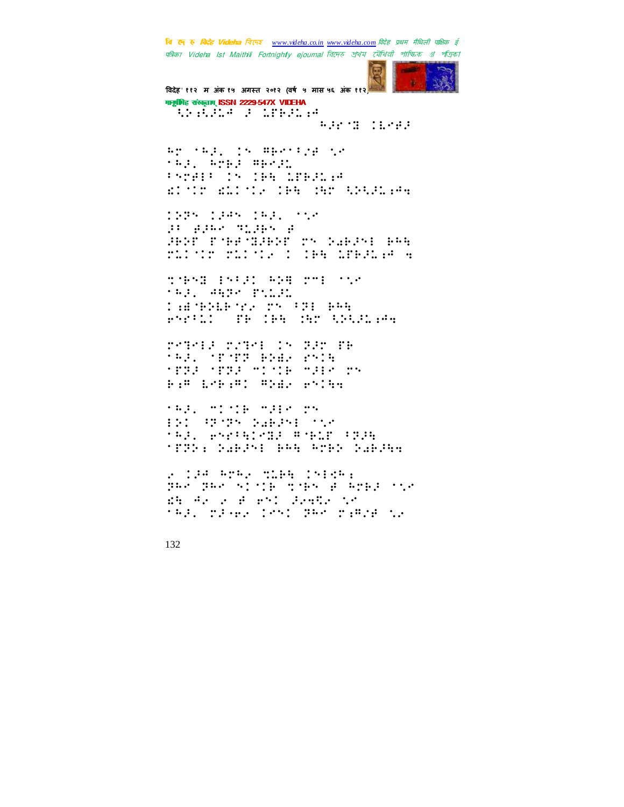वि ए रु क्रिडे Videha विएक www.videha.co.in www.videha.com विदेह प्रथम मैथिली पाक्षिक ई पत्रिका Videha Ist Maithili Fortnightly ejournal রিদেত প্রথম মৌথিনী পাক্ষিক রা পত্রিকা



.<br>विदेह' ११२ म अंक १५ अगस्त २०१२ (वर्ष ५ मास ५६ अंक ११२ मानूबंभिह संस्कृतम् ISSN 2229-547X VIDEHA **WARDER SERVICE** 

**Adrin Cheff** 

An index to Abertina te **TAP, APRITHMENT** Presidents the Special ETATE ELIMP THE ME ANGELES

1935 1945 1931 155 go guar signs g HAT TYM MANT TY CHAN HAN 

TOPSE ESPAIL PRE THE TIM tal, sape point Carthlete ry (21 Ag **PARTIC TH INE MAY ANGELES** 

repear repeat to part me **TAR, SPSTE BREE PRIN MERPORTER MICHAELM PRO B.W LOB.W. WIEL BYING** 

**SAR STORY SERVICE** IND UP THE NAHING STA **TAG, PRESERVED BYBLE STOR TERRI NABIMI BRA ROBE NABIMA** 

20124 AMA2 MIRR INFORT BRA BRA STATE SARROW ROBERTAR in Arthur Born Chann an tag, presentent par parties.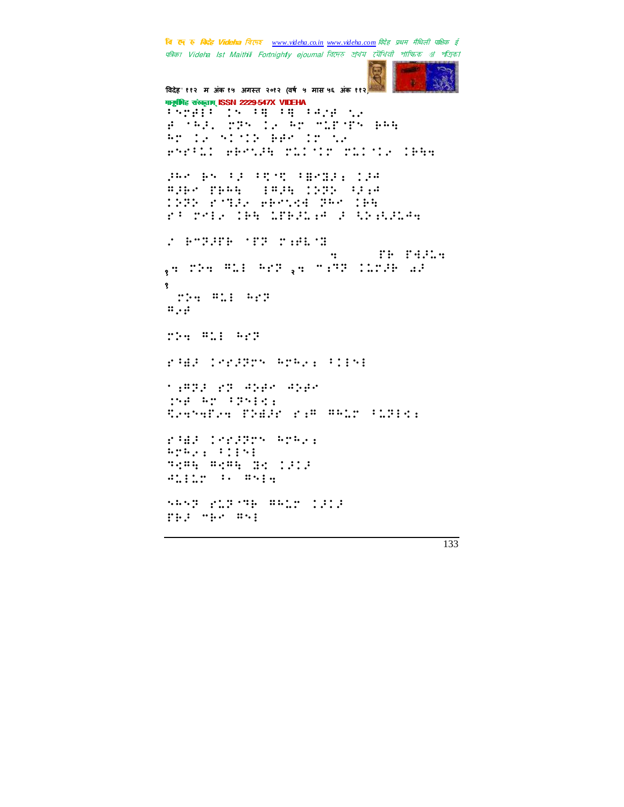चि एक रु *विदेह Videha चिए*न्छ <u>www.videha.co.in www.videha.com</u> विदेह प्रथम मैथिली पाक्षिक ई पत्रिका Videha Ist Maithili Fortnightly ejournal রিদেহ প্রথম মৌথিনী পাক্ষিক গ্র পত্রিক।

'वदेह' ११२ म अंक १५ अगत २०१२ (वष ५ मास ५६ अंक ११२) मानुषीिह संस्कृताम् ISSN 2229-547X VIDEHA 7-2011 120 14 14 14 15 16 ⢾!⢳⢼=!⢽!⢴!⢳!+⣅&&!⢷⢳⣓@! HT IS NIGHT HE IN THE ⢶7⣅!⢶⢷⣁⢼⣓!⣅.⣅⢴!⢷⣓⣒! ⢼⢳!⢷!7⢼!7⣋⣋!7⣟⣝⢼⣐!⢼⢺! ⢻⢼⢷!&⢷⢳⣓-!3⢻⢼⣓!⢵⢽⢵!⢸⢼⣐⢺! ⢵⢽⢵!⣙⢼⢴!⢶⢷⣁⣊⣚!⢽⢳!⢷⣓!  $^{\prime}$  3  $^{\prime}$  3  $^{\prime}$  3  $^{\prime}$  3  $^{\prime}$  3  $^{\prime}$  3  $^{\prime}$  3  $^{\prime}$  3  $^{\prime}$  4  $^{\prime}$  4  $^{\prime}$  4  $^{\prime}$  4  $^{\prime}$  4  $^{\prime}$  4  $^{\prime}$  4  $^{\prime}$  4  $^{\prime}$  4  $^{\prime}$  4  $^{\prime}$  4  $^{\prime}$  4  $^{\prime}$  4  $^{\prime}$  4  $^{\prime}$  4  $^{\prime}$  4  $^{\prime}$  ${\rm [7-Fe/H/H]}$  (12 T.A.C.) hhbkfoesbAwjefibloesbAwjefibloesbAwjefibloesbAwjefibloesbAwjefibloesbAwjefibloesb الَالِينَ الْأَرْضَا: Pie Pie Prij (1998) . وَالْمَالِينَ الْمَالِينَ ال १ !⢵⣒!⢻⣅3!⢳⢽!  $::, ::$  $T^*_{21}$  =  $T^*_{31}$  =  $T^*_{31}$ ⢸⣞⢼!⢼⢽!⢳⢳⢴⣐!733! ⣐⢻⢽⢼!⢽!⢺⢵⢾.⢺⢵⢾!! ⣈⢾!⢳!7⢽3⣊⣐! ⣋⢴⣒⣒&⢴⣒!&⢵⣞⢼!⣐⢻!⢻⢳⣅!7⣅⢽3⣊⣐! ⢸⣞⢼!⢼⢽!⢳⢳⢴⣐!  $L^m$ ⢹⣊⢻⣓.⢻⣊⢻⣓!⣝⣊!⢼⢼! **Wille : 34** ⢳⢽!⣅⢽⢹⢷!⢻⢳⣅!⢼⢼! FBJ 782 351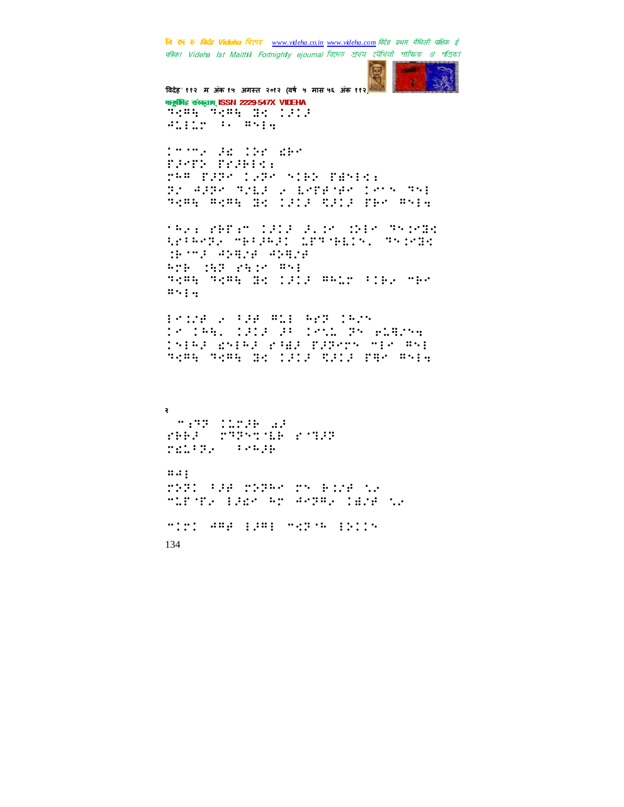वि एक रु मिनेह Videha विएक www.videha.co.in www.videha.com विदेह प्रथम मैथिली पाक्षिक ई पत्रिका Videha Ist Maithili Fortnightly ejournal রিদেহ প্রথম মৌথিনী পাক্ষিক প্র পত্রিকা



विदेह' ११२ म अंक १५ अगस्त २०१२ (वर्ष ५ मास ५६ अंक ११२) गानूबंगिह संस्कृताम् ISSN 2229-547X VIDEHA **Menings Billie STILL IN SAID** 

In the SE IN SER racra reason. rem BSP 12P SIE FESTAL Browner Ship Follower (2008-301 syng nyng de lill til till der nyig

TRANSPERINT ISIS SUCH CHANNEL<br>APPROXIMENTES INTERNATIVE de ma specie specie **ATE 193 2918 #51** same same had think media time what  $\cdots$ 

Pring 2 Pag All And Cans 18 1941 1919 PP 1811 PR PLATOR 15162 animal play pageon ole en Sema Sema de Laia Calla Par Mela

shed supering stage rater. compa

 $\ldots$  : THI WE THE THE THE RESERVE mindre famo en Andel Cara de

mini Amerikani mezin ibili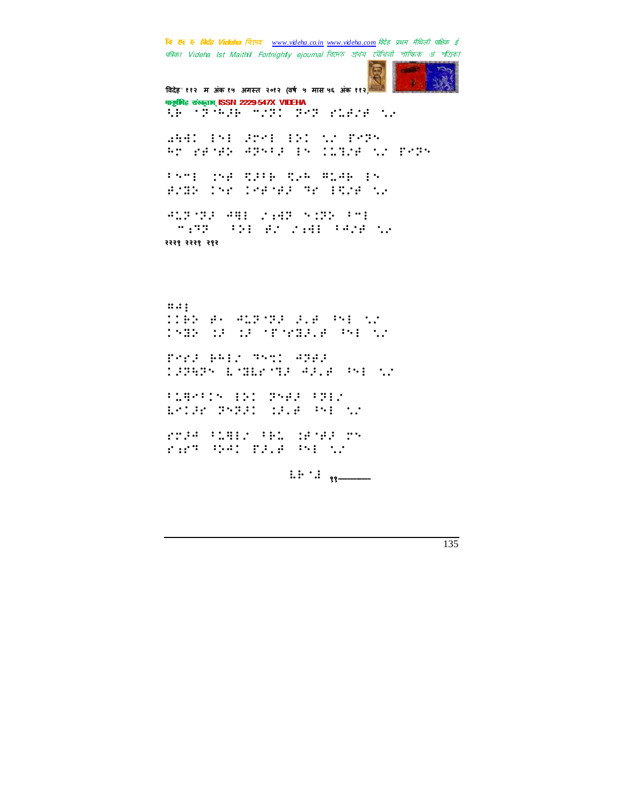चि एक रु *विदेह Videha चिए*न्छ <u>www.videha.co.in www.videha.com</u> विदेह प्रथम मैथिली पाक्षिक ई पत्रिका Videha Ist Maithili Fortnightly ejournal রিদেহ প্রথম মৌথিনী পাক্ষিক গ্র পত্রিক।



विदेह' ११२ म अंक १५ अगस्त २०१२ (वर्ष ५ मास ५६ अंक ११२) मानुषीिह संस्कृताम् ISSN 2229-547X VIDEHA ⣃⢷!⢽⢳⢼⢷!+"⢽!⢽⢽!⣅⢾"⢾!⣁⢴!! ⣔⣓⣚!33!⢼3!3⢵!⣁"!&⢽!  $^{\circ}$  )  $^{\circ}$  (2)  $^{\circ}$  (3)  $^{\circ}$   $^{\circ}$  (3)  $^{\circ}$  (3)  $^{\circ}$  (3)  $^{\circ}$  (3)  $^{\circ}$  (3)  $^{\circ}$  (3)  $^{\circ}$  (3)  $^{\circ}$  (3)  $^{\circ}$  (3)  $^{\circ}$  (3)  $^{\circ}$  (3)  $^{\circ}$  (3)  $^{\circ}$  (3)  $^{\circ}$  (3)  $^{\circ}$  (3)  $^{\circ}$  (3)  $^{\circ}$  ( 7+3!⣈⢾!⣋⢼7⢷.⣋⢴⢳!⢻⣅⢺⢷!3!  $H$  : The state of the state of the state of the state of the state of the state of the state of the state of the state of the state of the state of the state of the state of the state of the state of the state of the stat ⢺⣅⢽⢽⢼!⢺⣛3!"⣐⣚⢽!⣈⢽⢵!7+3! #+⣐⢹⢽#!7⢵3!⢾"!"⣐⣚3!7⢺"⢾!⣁⢴! २२२१ २२२१ २१२  $\ldots$  : ⢷⢵!⢾j!⢺⣅⢽⢽⢼!⢼=⢾!⢸3!⣁"!  $\frac{1}{3}$ \$^:} \$\$\$; \$\$\$; \$\$\$; ⢼⢽⣓⢽.⣇⣝⣇⣙⢼!⢺⢼=⢾!⢸3!⣁"! 7⣅⣛7!3⢵!⢽⢾⢼!7⢽3"!!  $\frac{1}{3}$   $\frac{1}{3}$   $\frac{1}{3}$   $\frac{1}{3}$   $\frac{1}{3}$   $\frac{1}{3}$   $\frac{1}{3}$   $\frac{1}{3}$   $\frac{1}{3}$   $\frac{1}{3}$   $\frac{1}{3}$   $\frac{1}{3}$   $\frac{1}{3}$   $\frac{1}{3}$   $\frac{1}{3}$   $\frac{1}{3}$   $\frac{1}{3}$   $\frac{1}{3}$   $\frac{1}{3}$   $\frac{1}{3}$   $\frac{1}{3}$   $\frac$ rr34 fi9: 196 fig. 1978 rr ⣐⢹!⢸⢵⢺!&⢼=⢾!⢸3!⣁"!

 $\mathbb{R}$  :  $\mathbb{R}$  :  $\mathbb{R}$   $\longrightarrow$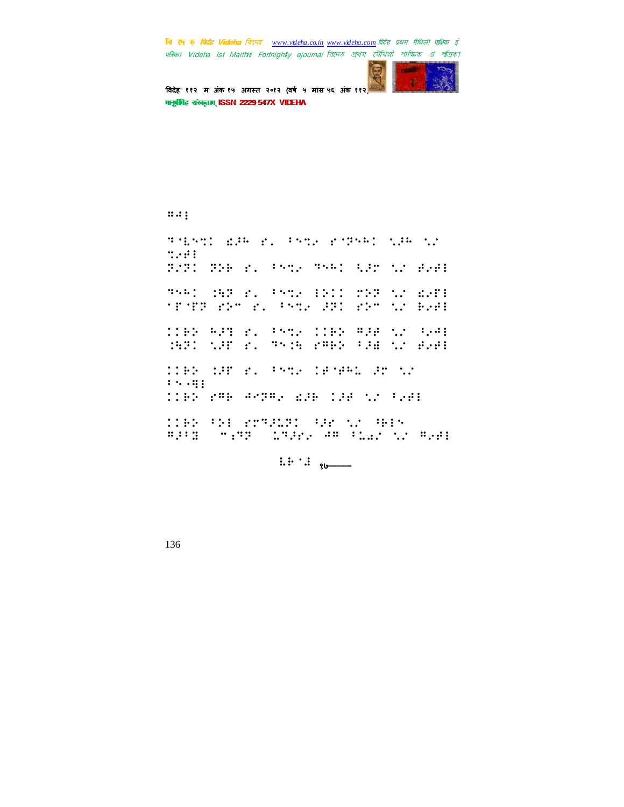**त्रि एन रु क्रिटेह Videha** विएम्ब \_www.videha.co.in\_www.videha.com विदेह प्रथम मैथिली पाक्षिक ई पत्रिका Videha Ist Maithili Fortnightly ejournal রিদেহ প্রথম মৌথিনী পাক্ষিক প্র পত্রিক।



.<br>विदेह' ११२ म अंक १५ अगस्त २०१२ (वर्ष ५ मास ५६ अंक ११२ मानुष्टीबिह संस्कृताम् ISSN 2229-547X VIDEHA

**H**.

⢹⣇⣉!⣎⢼⢳!=!7⣉⢴!⢽⢳!⣁⢼⢳!⣁"! ⣉⢴⢾3!  $T^T$   $T^T$   $T^T$   $T^T$   $T^T$   $T^T$   $T^T$   $T^T$   $T^T$   $T^T$   $T^T$   $T^T$   $T^T$   $T^T$   $T^T$   $T^T$   $T^T$   $T^T$   $T^T$   $T^T$   $T^T$   $T^T$   $T^T$   $T^T$   $T^T$   $T^T$   $T^T$   $T^T$   $T^T$   $T^T$   $T^T$   $T^T$   $T^T$   $T^T$   $T^T$   $T^T$   $T^T$  HARD OR REAL PART OF THE SERVICE SERVICE SERVICE SERVICE SERVICE SERVICE SERVICE SERVICE SERVICE SERVICE SERVI \*F\*FF remains the PPI remains been ⢷⢵!⢳⢼⣙!=!7⣉⢴!⢷⢵!⢻⢼⢾!⣁"!⢸⢴⢺3! ⣈⣓⢽!⣁⢼&!=!⢹⣈⣓!⢻⢷⢵!7⢼⣞!⣁"!⢾⢴⢾3! ⢷⢵!⣈⢼&!=!7⣉⢴!⢾⢾⢳⣅!⢼!⣁"!  $3.99$ ⢷⢵!⢻⢷!⢺⢽⢻⢴!⣎⢼⢷.⢼⢾!⣁"!7⢴⢾3! ⢷⢵!7⢵3!⢹⢼⣅⢽!⢸⢼!⣁"!⢸⢷3! ⢻⢼7⣝!#+⣐⢹⢽#!⣅⢹⢼⢴!⢺⢻!7⣅⣔"!⣁"!⢻⢴⢾3!

...........⣇⢷⣜.१७--------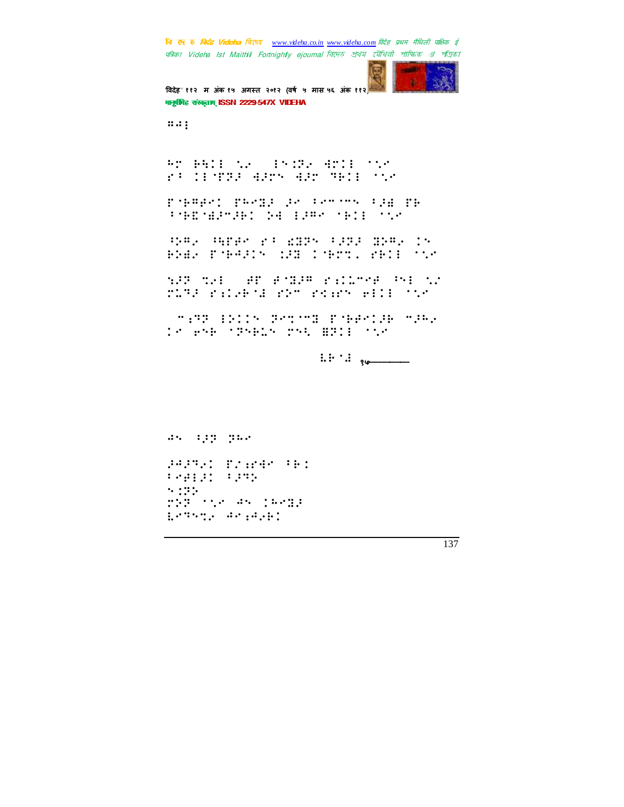चि एक रु *विदेह Videha चिए*न्छ <u>www.videha.co.in www.videha.com</u> विदेह प्रथम मैथिली पाक्षिक ई पत्रिका Videha Ist Maithili Fortnightly ejournal রিদেহ প্রথম মৌথিনী পাক্ষিক গ্র পত্রিক।



विदेह' ११२ म अंक १५ अगस्त २०१२ (वर्ष ५ मास ५६ अंक ११२ मानुषीिह संस्कृताम् ISSN 2229-547X VIDEHA

**SAC**3.5

Br BBIE was from drie drie two ⢸!3&⢽⢼!⣚⢼.⣚⢼!⢹⢷3!⣁!!

&⢷⢻⢾!&⢳⣝⢼!⢼!7++!7⢼⣞!&⢷! ⢸⢷⣏⣞⢼+⢼⢷!⢵⣚!3⢼⢻!⢷3!⣁!!

⢸⢵⢻⢴!⢸⣓&⢾!⢸!⣎⣝⢽!7⢼⢽⢼!⣝⢵⢻⢴!!! ₿₿Æ, PARSIN (198 1982) BRID (19

 $^{\prime}$  SP  $^{\prime}$  SP  $^{\prime}$  SP  $^{\prime}$  SP  $^{\prime}$  SP  $^{\prime}$  SP  $^{\prime}$  SP  $^{\prime}$  SP  $^{\prime}$ ⣅⢹⢼!⣐⢴⢷⣜!⢵+!⣊⣐!⢶33!⣁!!

#+⣐⢹⢽#3⢵!⢽⣉+⣝!&⢷⢾⢼⢷!+⢼⢳⢴!! !⢶⢷!⢽⢷⣅!⣃!⣟⢽3!⣁!@!!

...............⣇⢷⣜.१५--------------

⢺!⢸⢼⢽!⢽⢳!""! ⢼⢺⢼⢹⢴!&"⣐⣚!7⢷⣈! 79913 7992  $\sim$  1215  $T^*$   $T^*$   $T^*$   $T^*$   $T^*$   $T^*$   $T^*$   $T^*$   $T^*$   $T^*$   $T^*$   $T^*$   $T^*$   $T^*$   $T^*$   $T^*$   $T^*$   $T^*$   $T^*$   $T^*$   $T^*$   $T^*$   $T^*$   $T^*$   $T^*$   $T^*$   $T^*$   $T^*$   $T^*$   $T^*$   $T^*$   $T^*$   $T^*$   $T^*$   $T^*$   $T^*$   $T^*$  ⣇⢹⣉⢴!⢺⣐⢺⢴⢷!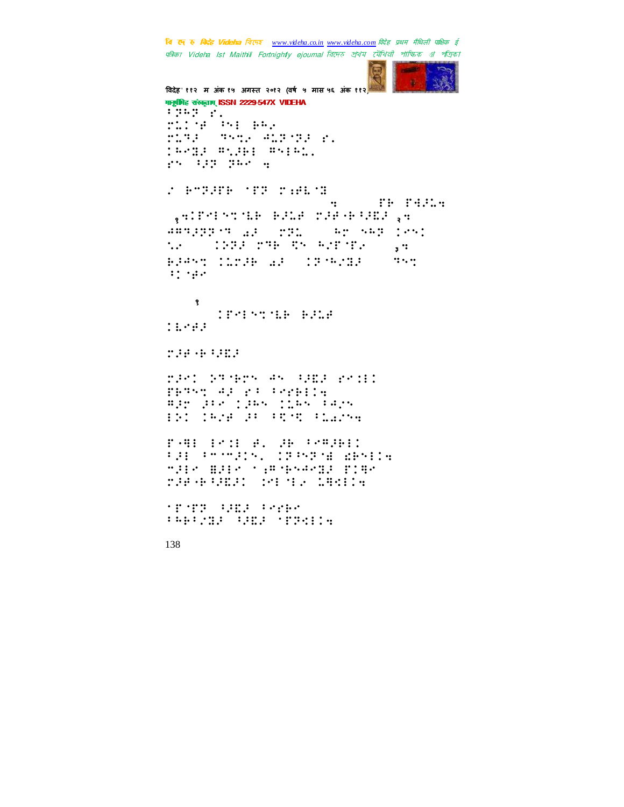**त्रि एन रु क्रिटेह Videha** विएम्ब \_www.videha.co.in\_www.videha.com विदेह प्रथम मैथिली पाक्षिक ई पत्रिका Videha Ist Maithili Fortnightly ejournal রিদেহ প্রথম মৌথিনী পাক্ষিক গ্র পত্রিক।



'वदेह' ११२ म अंक १५ अगत २०१२ (वष ५ मास ५६ अंक ११२) मानुषीिह संस्कृताम् ISSN 2229-547X VIDEHA Fung ::  $T^3$   $T^3$   $T^3$   $T^3$   $T^3$   $T^3$   $T^3$   $T^3$   $T^3$ ⣅⢹⢼-!⢹⣉⢴!⢺⣅⢽⢽⢼!=! ⢳⣝⢼!⢻⣁⢼⢷3!⢻3⢳⣅=! : 0 0 112 12 12 12 12 12 13 14 "!⢷+⢽⢼&⢷!&⢽!⣐⢾⣇⣝! hhbkawiefibetibe <sup>१</sup>⣒&3⣉⣇⢷!⢷⢼⣅⢾!⢼⢾9⢷⢸⢼⣏⢼!२⣒!  $^{\text{diff}}$  . The state of the state  $^{\text{diff}}$  $\Delta\omega$  = 0.1222 PPH RM F/PPH RM  $_{\odot}$  a ⢷⢼⢺⣉!⣅⢼⢷!⣔⢼!)⢽⢳"⣝⢼\*.!⢹⣉!  $\mathbf{H}^{\bullet}$ !!!<sup>१</sup> !!!!!&3⣉⣇⢷!⢷⢼⣅⢾! ⣇⢾⢼.! ⢼⢾9⢷⢸⢼⣏⢼!  $T$ FETST AF PARTICA BH REAL TRANS PRINT  $3\%$   $1\%$   $2\%$   $3\%$   $3\%$   $3\%$   $3\%$ &9⣛3.3⣈3!⢾=!⢼⢷!7⢻⢼⢷3! 7⢼3.7++⢼=!⢽⢸⢽⣞!⣎⢷3⣒! +⢼3.⣟⢼3!⣐⢻⢷⢺⣝⢼!&⣛! ⢼⢾9⢷⢸⢼⣏⢼!⣈33⢴!⣅⣛⣊3⣒! &&⢽!⢸⢼⣏⢼!7⢷! 7⢳⢷7"⣝⢼!⢸⢼⣏⢼!&⢽⣊3⣒!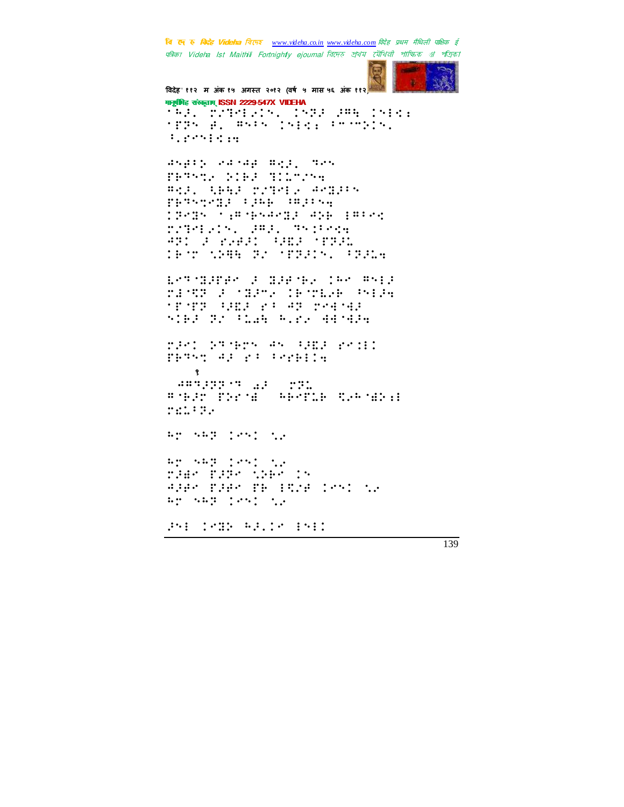वि ए रु क्रिडे Videha विएक www.videha.co.in www.videha.com विदेह प्रथम मैथिली पाक्षिक ई पत्रिका Videha Ist Maithili Fortnightly ejournal রিদেহ প্রথম মৌথিনী পাক্ষিক প্র পত্রিকা



विदेह' ११२ म अंक १५ अगस्त २०१२ (वर्ष ५ मास ५६ अंक ११२) मानूसीमेह संस्कृताम् ISSN 2229-547X VIDEHA

SAR SEMPLAIN, 1988 884 1914: rpps al ms:s jsiel (schemats)  $3.33313333$ 

dsprp adjupter. This HERMAN HIEL HILMARA BALL ABAL STREET APRILES **PERSONAL LIGHT DESCRIPTION** 1988 (1896488) 456 (898) rinerate, say, nepress SI PRED SHIP TER **18:00 12000 22000 10000 10000 10000** 

ESTANDES D'ENSIER DES BRED rince a stand increase beams **TEACH SALE FROM THE TEACHER MID 31 MAR R.E. ARTHIS** 

MAC STORY AN GHE ROLL PERSY AP PROPERTY S. 48922279 42 221

**ANDRE CONNEL ABRICA CAPACITIE** man Para

ar san jest ti

an aan 1951 n.C.<br>1946 Fenconaeo 15 AND THE TE TIME ISSUED ago sago pesto su

PH THIR WAITH IND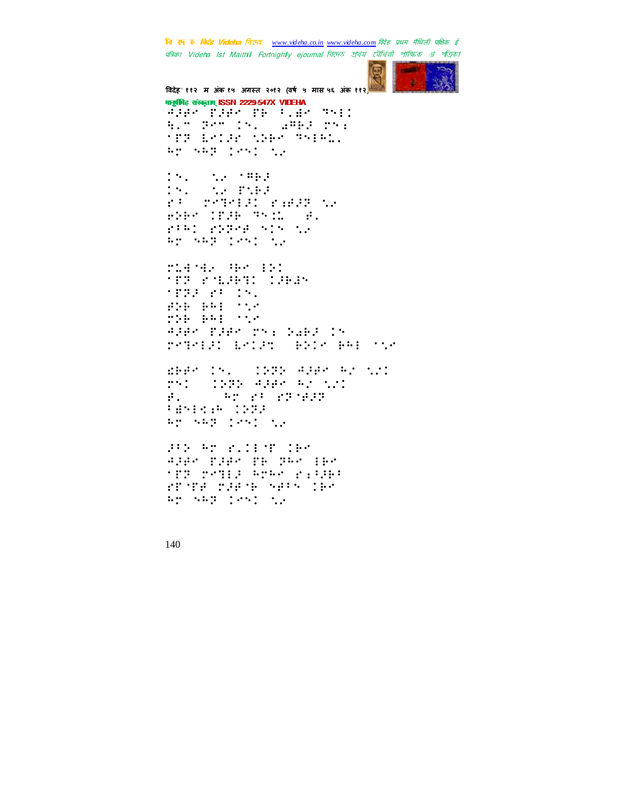वि ए रु क्रिडे Videha विएक www.videha.co.in www.videha.com विदेह प्रथम मैथिली पाक्षिक ई पत्रिका Videha Ist Maithili Fortnightly ejournal রিদেহ প্রথম মৌথিনী পাক্ষিক প্র পত্রিকা



विदेह' ११२ म अंक १५ अगस्त २०१२ (वर्ष ५ मास ५६ अंक ११२) मानूबंभिह संस्कृतम् ISSN 2229-547X VIDEHA Appelfier that are most A.P. Ben In. ( ambd rn: **TEP LOIPE APPO THING.** 

Ar SAP Design:

15. SA TREE<br>15. SA PARE  $\mathbb{R}^{n}$ r: report race to APAS IPAK PRIL (A.<br>2001 2002 PERSONA ap sap pesi di

ridok Br BC **THE PALENT LEAR** erna er is. #20 000 000 THE PRI TIME Alde Tide Thi Sabi In retendi metar (BSIP BRE Ste

ERROTAL INSTALLARS AN WI **MAIN CONTRACTORY AND SET**  $\frac{1}{2}$  . The set of  $\frac{1}{2}$  is the set of  $\frac{1}{2}$  $\mathbf{f}$ . Particle 1993 Ap SAP Test to

SUP AT PLIENT CHA Added Flar Th The The **THE SANDA REPARTMENT** FUTE THAN SHANIFY Ap SAP (PS) to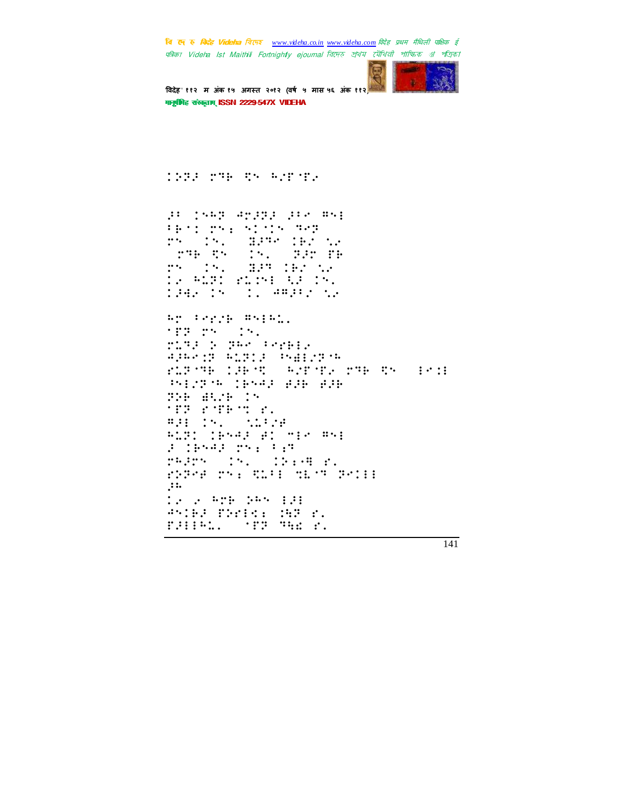बि एक रु मिन्हें Videha विरफर www.videha.co.in www.videha.com विदेह प्रथम मैथिली पाक्षिक ई पत्रिका Videha Ist Maithili Fortnightly ejournal রিদেহ প্রথম মৌথিনী পাক্ষিক প্র পত্রিকা



विदेह' ११२ म अंक १५ अगस्त २०१२ (वर्ष ५ मास ५६ अंक ११२) गानूबंगिह संस्कृताम् ISSN 2229-547X VIDEHA

**TERP THE RESERVITE** 

38 1582 AM323 388 851 there gay are the med 18. WHO IE SA  $\cdots$ **THE RN (19. 19.20 PB** ry (18) BPM (Brown)<br>12 Min: Firm (RP) (8) 1942 15 11 AM992 12

Ar Perri Weigh. 1999 PM 191 ring & gas corpus APACE ALBIA PABICETA PLETTE CORTES SOFTEN THE RNS ERSE PHILE (FOR 1994) 2008 200 The dist In fre rueur. **BALLING MARYE** electives at making S SPAR THE PER PREPRIMENT (1949) PL PRPPE PRESENTED TECH PRINT  $\ddots$ **1. . 878 285 111** ANIES PREPRI INF E. **POINT PRODUCT**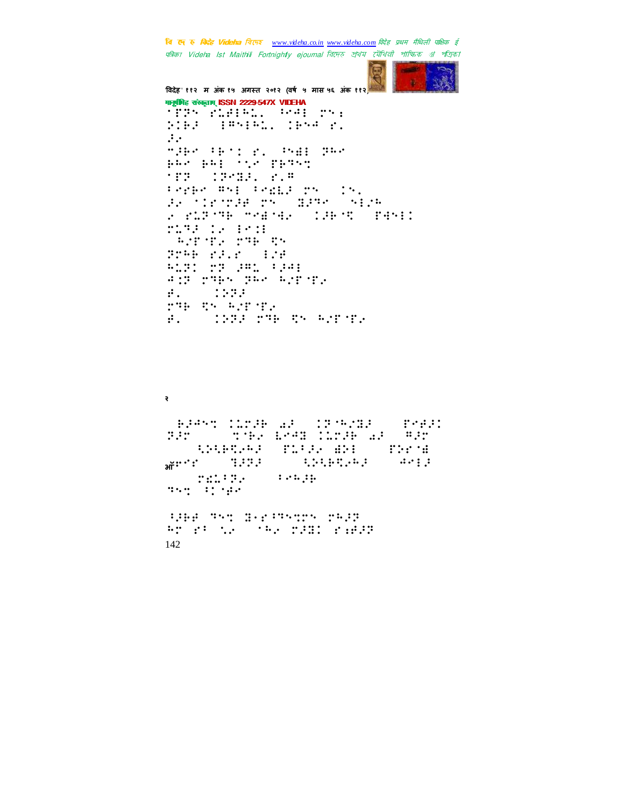वि ए रु क्रिडे Videha विएक www.videha.co.in www.videha.com विदेह प्रथम मैथिली पाक्षिक ई पत्रिका Videha Ist Maithili Fortnightly ejournal রিদেহ প্রথম মৌথিনী পাক্ষিক প্র পত্রিকা



विदेह' ११२ म अंक १५ अगस्त २०१२ (वर्ष ५ मास ५६ अंक ११२) मानूबंभिह संस्कृतम् ISSN 2229-547X VIDEHA from Chain, wai re: STEP TERMINE TERM FI  $\ddotsc$ MERCIFICAL PHE PRO photography that paying  $111 - 111111 - 1111$ Perke mai Perke di City<br>Geographie Serme (Sign 2 PLP TR THE HALL CORPORATION mas de Pedr **ASTER THE TY** Preb rale (176 **ALP:** 27 281 9241 an rak på brev  $1.1111$  $\mathbf{f}$ . THE REALTYPE E. COST THE TEACHER

 $\ddot{\mathbf{z}}$ 

ANDREW TOOK AND THE A <sub>ੇ</sub> ੱ∵``  $1.3331$  $\ldots$  : enting<br>September  $\mathbf{r}$  and  $\mathbf{r}$  and  $\mathbf{r}$  and  $\mathbf{r}$ 

HBF TST BEFINDING MASH An et the case noon redo 142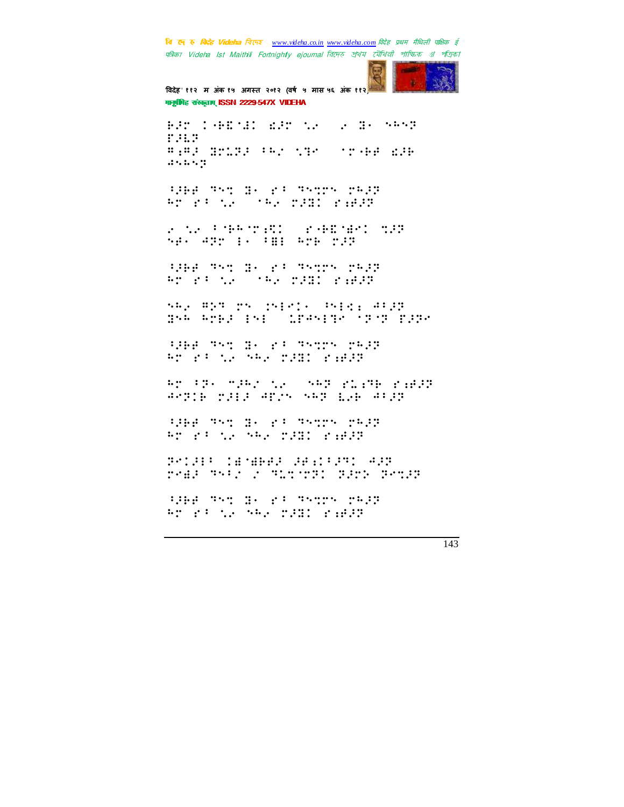वि एक रु मिनेह Videha विएक www.videha.co.in www.videha.com विदेह प्रथम मैथिली पाक्षिक ई पत्रिका Videha Ist Maithili Fortnightly ejournal রিদেহ প্রথম মৌথিনী পাক্ষিক প্র পত্রিকা



विदेह' ११२ म अंक १५ अगस्त २०१२ (वर्ष ५ मास ५६ अंक ११२) गानूबंगिह संस्कृताम् ISSN 2229-547X VIDEHA

BET THETH WE AR IN BY NAME **F.H.P.** # PRESENCE PROSTED STORES  $25.557$ 

SPEED TATURAL EST TATES CRAP RESTAINS THE PART PARTS

 $\mathcal{L} = \mathcal{L} \mathcal{L} = \mathcal{L} \mathcal{L} \mathcal{L} \mathcal{L} \mathcal{L} \mathcal{L} \mathcal{L} \mathcal{L} \mathcal{L} \mathcal{L} \mathcal{L} \mathcal{L} \mathcal{L} \mathcal{L} \mathcal{L} \mathcal{L} \mathcal{L} \mathcal{L} \mathcal{L} \mathcal{L} \mathcal{L} \mathcal{L} \mathcal{L} \mathcal{L} \mathcal{L} \mathcal{L} \mathcal{L} \mathcal{L} \mathcal{L} \mathcal{L} \mathcal{L} \mathcal{L} \mathcal{L} \math$ **SOUTHERN STATE** SAL APP EL FAI SPE PAR

SPEE THIS IS IN THINK TEST An electronic state number of the state

SAR ART TY INFORMATION AND Bre ener in: MERGIR STS BRP

HHF 75% H. F: 75%% MARR Ar rings was red reder

Ar FRA MEAN NA CAAR PLATE PARER ARTIE MIED APPS SAT EDE AFIT

SHART TO THE STATE TO THE STATE OF STATE OF STATE OF THE STATE OF THE STATE OF STATE OF STATE OF STATE OF STATE OF STATE OF STATE OF STATE OF STATE OF STATE OF STATE OF STATE OF STATE OF STATE OF STATE OF STATE OF STATE OF Ar ri th SAD PART radar

STORY CENERAL SPACEST ASS real asi, 'Theorit Tirk TeniT

HAR TST BY PT TSTP PRAP Ar rings who rangered?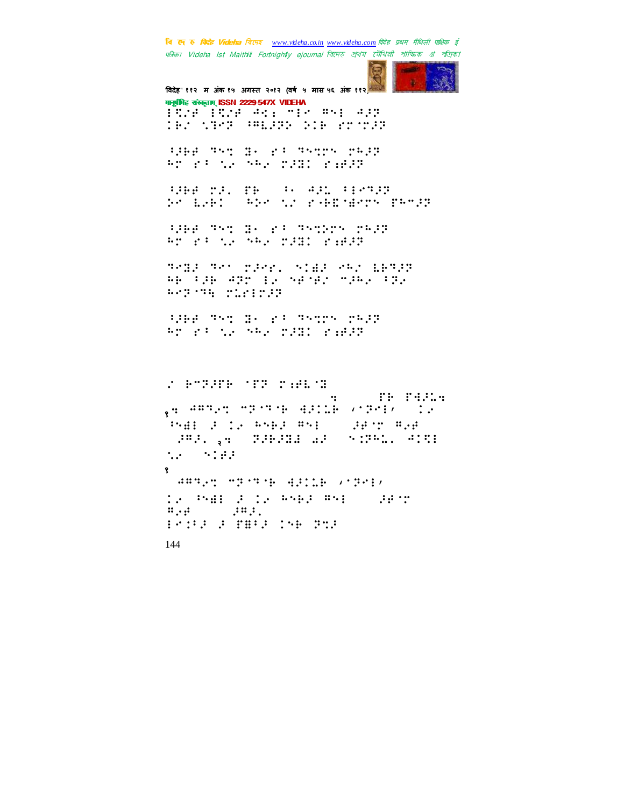बि एक रु क्रिटेड Videha विएक www.videha.co.in www.videha.com विदेह प्रथम मैथिली पाक्षिक ई पत्रिका Videha Ist Maithili Fortnightly ejournal রিদেহ প্রথম মৌথিনী পাক্ষিক প্র পত্রিকা



विदेह' ११२ म अंक १५ अगस्त २०१२ (वर्ष ५ मास ५६ अंक ११२) मानूसीमेह संस्कृताम् ISSN 2229-547X VIDEHA

Prie Prie Any Min Any Age **TRA STAR (PRINTS SIR STATES)** 

HHF TST HE PI TSTPS PREP An el te sae nemi rader

SPECTAL TECHNICAL SECTION Scotled ( AScotle PARTHerry PATER

HAR TYT BY PT TYTHTY PRAP Ar rings who rangered?

**RANK RAY MIRRY STAR ART LERFR** AB THE ATT IS NEVER THAN TTA **Wepen, Sherror** 

HHF TST HE PT TSTPS PREP An el te sae nedi reddi

*FARISH STR THESE* **TH PARLS**  $\dddot{\cdot}$ .4 APRAS MORTE ASILE VIRE, TIP  $\mathbb{R}^2 \times \mathbb{R}^2 \times \mathbb{R}^2 \times \mathbb{R}^2$ PAB S DE RAPS WALL GRANDA SARABA WAS SIRAN AIRE  $\mathcal{L}_{\mathcal{A}}(x) = \mathcal{L}_{\mathcal{A}}(x) \mathcal{L}_{\mathcal{A}}(x)$  $\mathbf{3}$ WHEN THE THE WILLE STIPLE De Pall 2 De Angel#ni (2015  $\mathbb{R}_{\geq 0}$  $\mathbb{R}^{n}$ POST PERMITTE TO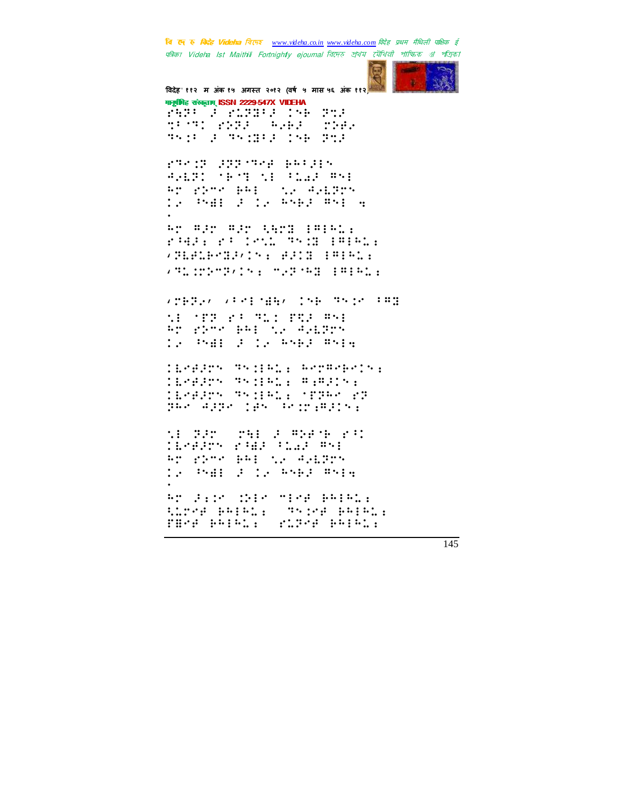वि एक रु क्विहेट Videha विएम्ब www.videha.co.in www.videha.com विदेह प्रथम मैथिली पाक्षिक ई पत्रिका Videha Ist Maithili Fortnightly ejournal রিদেহ প্রথম মৌথিনী পাক্ষিক প্র পত্রিকা



विदेह' ११२ म अंक १५ अगस्त २०१२ (वर्ष ५ मास ५६ अंक ११२ मानूबंगिह संस्कृतम् ISSN 2229-547X VIDEHA

899 France 19 22 **TEMPLE SERIES SERIES THIS SEPHINE INF FILE** 

rang panang pelas RADY TRIP ARTICLE WAR An electron page of the Alginor I. MAI FIR RAPE WAL 4

WE WAY WAY SAME IMING: radier Com Synchronic **WEBSTERN WARRENT FRIMAL AND SPREDGE AND SPECIAL PROPERTY** 

**ATERO ARCHIME, INFORMATION ME THE PROPERTY WAY** An ethnologie: the Alebrer **Control Polynomia** 

*linelyn "niklim" bergerini* TERRITS TRINGE WERDER TEPRINS NSTRIE STIRE ST gar agge jas argradis.

the Bar ( red of Whene end **TEPRITY PARK CLAP RYE** An electronic in August IS PART FOIS RAPP RATH An Side dies miss aniwal three earnis welch earnis THIS PRINCIP (THE PRINCIP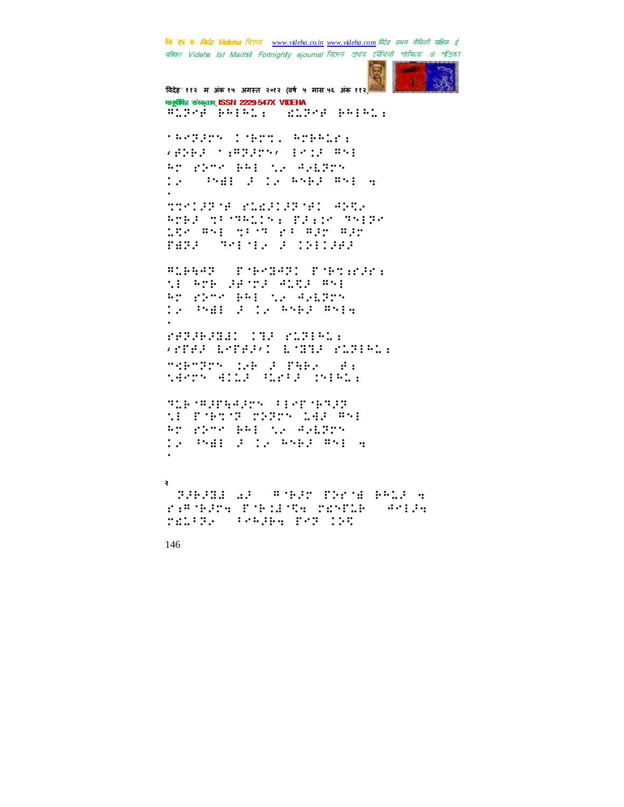वि ए रु क्रिडे Videha विएक www.videha.co.in www.videha.com विदेह प्रथम मैथिली पाक्षिक ई पत्रिका Videha Ist Maithili Fortnightly ejournal রিদেত প্রথম মৌথিলী পাক্ষিক রা পত্রিকা



विदेह' ११२ म अंक १५ अगस्त २०१२ (वर्ष ५ मास ५६ अंक ११२) मानूबंभिह संस्कृतम् ISSN 2229-547X VIDEHA Wheel bain, and bain, **SAPPEDS CORPORAGEMENT**  $\sqrt{p}$  (Fig. )  $\sqrt{p}$  (Fig. ) (Fig. ) (Fig. ) (Fig. An stre BAI to Agilbry IS PART FIR ROBERT WHEN TTP: STORE START STORE AND P Apal greating freeze 180 mil. gibt bilmda mas <u> 1919 - Teleta de Maria</u> **BLEAD SYRCHOL PORTICE** ti ana denni giri mat Ar show BA: th A.HSTM <u> 1. Mai 2.1. Gund</u> Ang<sub>i</sub> **REPORTS CONTROLLED VITED LOTED/I LOTE FIRENCE** "CHTPS OF FIRE #: terr ella flita chimi. THE SEPREMENT CONTROL

**NE PORTS SYSTEM LAP RME** Progress PPE to AddRrs TV PHE FILM RAPP RAILS

## र

THEAD AFT FORM THOM PRISON rathers phelice reveal ands range (Cengan Per 190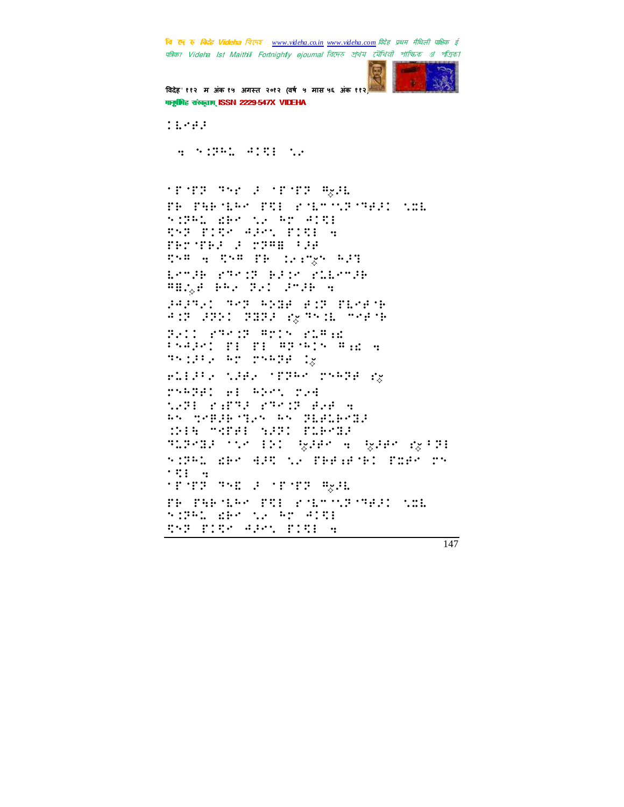वि एक रु क्विहेट Videha विएम्ब www.videha.co.in www.videha.com विदेह प्रथम मैथिली पाक्षिक ई पत्रिका Videha Ist Maithili Fortnightly ejournal রিদেহ প্রথম মৌথিনী পাক্ষিক প্র পত্রিকা



विदेह' ११२ म अंक १५ अगस्त २०१२ (वर्ष ५ मास ५६ अंक ११२ गानूबंगिह संस्कृताम् ISSN 2229-547X VIDEHA

```
11.141
```
**SPORT THE SUSPICE REAL** TE THE LAP TIL FORTUNITER SEE SIPE ART NO AT AIR tér Pile alet Pitl à ::::::::::::::::::::::: The a The Th 12:725 527 ESTER START REDACTION

**ABILE BALL SELL STIRE S** 

PRAY THE STREET BEARING AND SPRI PHPS Rg This modif

BAIL PROB BEIN PLANE 154281 TE TE #P3615 #id a Stille brontheims

FLIPPS NPRS TEPPS TOPPH RX

TYPHI HI PDF1 T24

1.7: 2.772 27217 2.2 4 Br SPEECES Br SEECESE SHE TEMP SAN PIPT

PLP-12 tim EDI WART 4 WART MY FPE SAMPLE WHO AND NO PHEARING TOPS TO  $\cdot$  ::  $\cdot$ 

**TENT THE STEP WAL** 

FR PHRINGE FUR FINE WEIGHT WEL SIPAL ERS NE AP AIRE SMS FIRE ARM FIEL A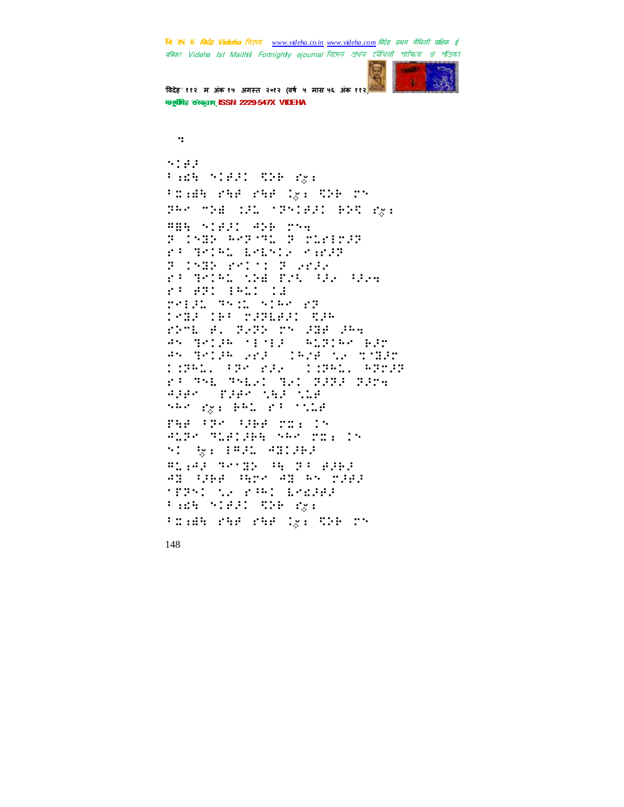वि ए रु क्रिडे Videha विएक www.videha.co.in www.videha.com विदेह प्रथम मैथिली पाक्षिक ई पत्रिका Videha Ist Maithili Fortnightly ejournal রিদেহ প্রথম মৌথিনী পাক্ষিক প্র পত্রিকা



विदेह' ११२ म अंक १५ अगस्त २०१२ (वर्ष ५ मास ५६ अंक ११२) मानूबंगिह संस्कृतम् ISSN 2229-547X VIDEHA

 $\cdot$ :  $5.797$ Pade Sledi She Ry: Formal ran ran (gr SDP ro PRO THE CHI SPAIRING END PRE **886 81011 410 750** F 1988 Report F claimer ra melan bebata karan 3 1582 Print S State ra metan ing Priside deng **F: 821 BM1 13** PRIED TRID SIRE FR 1982 16: 2396831 326 **FRANCIS SERVICE SERVICE SERVICE SERVICE SERVICE SERVICE SERVICE SERVICE SERVICE SERVICE SERVICE SERVICE SERVICE** Grande (1912) (1916) 1918<br>Arabia de Citre de Sager<br>Composito 1922 (1951) 1919<br>El Trichiel del 1922 225 Addr fier the the ner gyf Bel af Stie THE THE THE TILL IN supermating service: 15 n: y: PPL ABLAR sign: seems on program 81 MAR MAR 81 WY 238 **SPPS: CF PART EPERPR** Pade Slegi She dy: Frame she she ig: SDB rr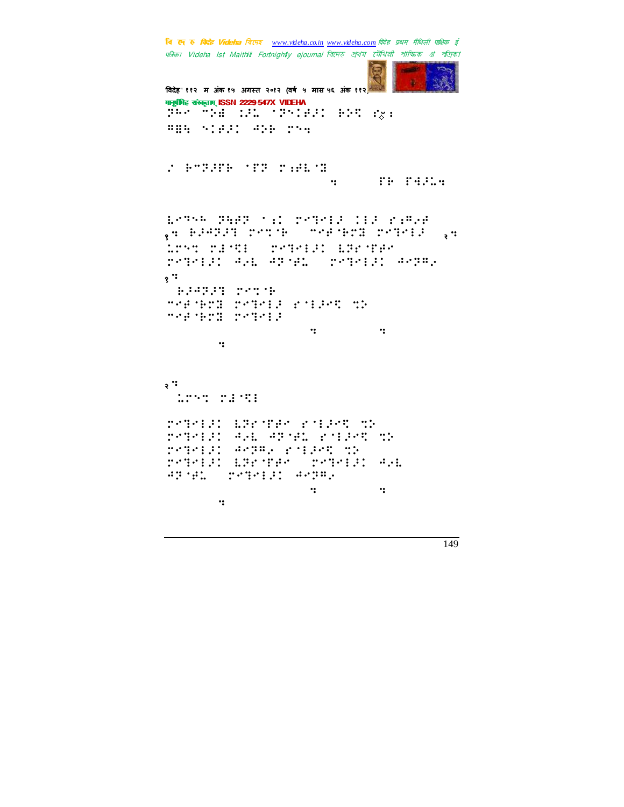चि एक रु *विदेह Videha चिए*न्छ <u>www.videha.co.in www.videha.com</u> विदेह प्रथम मैथिली पाक्षिक ई पत्रिका Videha Ist Maithili Fortnightly ejournal রিদেহ প্রথম মৌথিনী পাক্ষিক গ্র পত্রিক।

```
विदेह' ११२ म अंक १५ अगस्त २०१२ (वर्ष ५ मास ५६ अंक ११२)
मानुषीिह संस्कृताम् ISSN 2229-547X VIDEHA
∄é řá di :A 'PSIAI BST g;
WHAT MAN WAT WAT THE THE STATE
"!⢷+⢽⢼&⢷!&⢽!⣐⢾⣇⣝!
                               hhbkfoesbAwjefib⣒dpn!&⢷!&⣚⢼⣅⣒!!
⣇⢹⢳!⢽⣓⢾⢽!⣐!⣙3⢼!3⢼!⣐⢻⢴⢾!
१⣒!⢷⢼⢺⢽⢼⣙!⣉⢷!)+⢾⢷⣝!⣙3⢼*!२⣒!!
\text{L}\text{?} ) \text{?} \text{?} \text{?} \text{?} \text{?} \text{?} \text{?} \text{?} \text{?} \text{?} \text{?} \text{?} \text{?} \text{?} \text{?} \text{?} \text{?} \text{?} \text{?} \text{?} \text{?} \text{?} \text{?} \text{?} \text{?} \text{?} 
⣙3⢼!⢺⢴⣇.⢺⢽⢾⣅0!⣙3⢼!⢺⢽⢻⢴*!
\ddot{\textbf{S}}!⢷⢼⢺⢽⢼⣙!⣉⢷!
+⢾⢷⣝!⣙3⢼!3⢼⣋!⣉⢵!
+⢾⢷⣝!⣙3⢼!
                           \mathbf{u}iuqt;00tjuft\mathbf{u}jefib.dpn0wjefib.qbjoujoht.com
२⣒!
 10091002002002
3^{\circ} (300 \pm 300 \pm 300 \pm 300 \pm 300 \pm 300 \pm⣙3⢼!⢺⢴⣇.⢺⢽⢾⣅!3⢼⣋!⣉⢵!
⣙3⢼!⢺⢽⢻⢴!3⢼⣋!⣉⢵!
⣙3⢼!⣇⢽&⢾0!⣙3⢼!⢺⢴⣇!
⢺⢽⢾⣅0!⣙3⢼!⢺⢽⢻⢴!!
)iuuqt;00tjuftigta dipnobow (10th phmf dpn0bow)
jefib.dpn0wjefib.qbjoujoht.com
```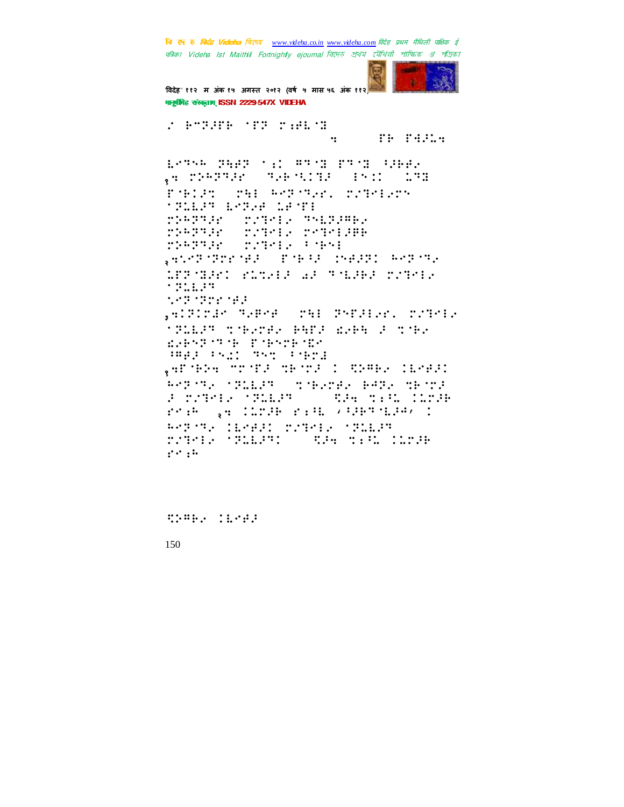वि ए रु क्रिडे Videha विएक www.videha.co.in www.videha.com विदेह प्रथम मैथिली पाक्षिक ई पत्रिका Videla Ist Maithili Fortnightly ejournal রিদেহ শ্রথম মৌথিনী পাক্ষিক প্রা পত্রিকা



विदेह' ११२ म अंक १५ अगस्त २०१२ (वर्ष ५ मास ५६ अंक ११२ मानूबंगिह संस्कृतम् ISSN 2229-547X VIDEHA

**TEMPER YES PRESS THE PASSA**  $\mathbf{B}$  . BOTH PHP (S WITH PIC HAR ge present central for Cre PORTIN THE POPULAR TERRIST \*\*\*\*\*\* \*\*\*\* \*\*\* riarak roman anggan **CONSTRAINS** manggung per **MARKET MARKET AND STREET** SAMPARENE PARK MARPE RAPIN MTTMANI RITALI AF TYLIBE TYTYLA  $+311.34$  $1.43.3222.333$ ,elfinar Symre (nei Prigier, n/Srie **TRIER TOBATES BACK RABB & TOBA** EARNESTSE ESPACHSEN<br>SPAALSSAL SNOWSER garneda monogramoenorum speel (16392) Report official conditions and chose **Allen Starter Construction** F TETHE START reak ga Clode radio (depoids) : Report (Head) rober officer reprise trainers of the pressure three  $\mathcal{C}^{(1)}$  , i.e.

STREET CEMPER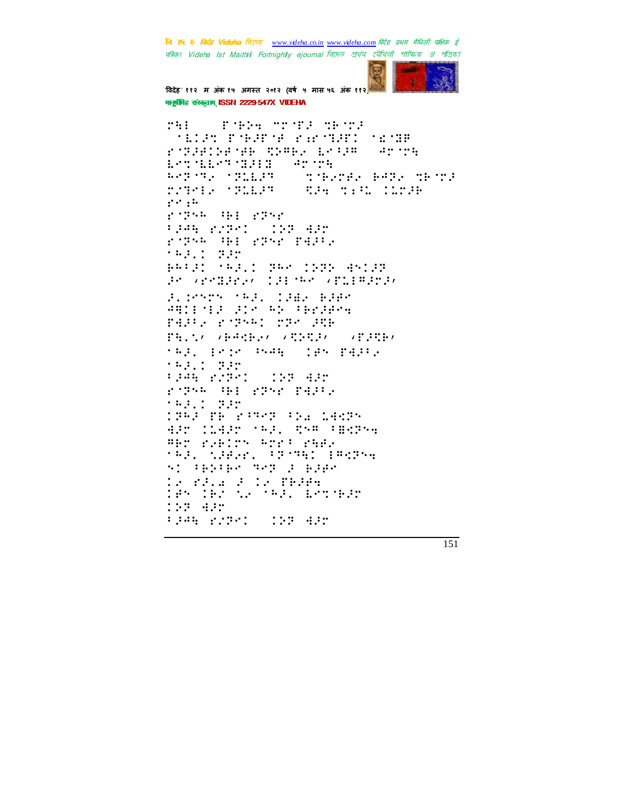वि ए रु क्रिडे Videha विएक www.videha.co.in www.videha.com विदेह प्रथम मैथिली पाक्षिक ई पत्रिका Videla Ist Maithili Fortnightly ejournal রিদেহ শ্রথম মৌথিনী পাক্ষিক প্রা পত্রিকা



विदेह' ११२ म अंक १५ अगस्त २०१२ (वर्ष ५ मास ५६ अंक ११२) गानूबंगिह संस्कृताम् ISSN 2229-547X VIDEHA

**TERM TEST SETE**  $\mathbb{R}^{n+1}$ **MEDAN EMPARMENT PEMPER MEMBE** rotherneous there began aroun *arma* **WEBSTERN STARTS TEACH PARA TRIPS MARKET STARTS SOURCE SECTION**  $\mathcal{C}^{(1)}$  : i.e. right 481 2255 FP44 22721 (197-422 rope up rper paper 19911 332 88121 (83.1 PR) 1991 45122 ProverBeer (198788) VELEBERS Supreme that Idde Base **ARIENED BIR AD TERRARY** PAPER STREET STREET Facto Abdabas Alberts Alberts tag, principal (program) 19911 332 1946 STRT 102 435 rope mi rper fare 153.1 225 **THAT THE PIRATE FILE LANTS** ART CONT TALL THE FRONT HET PUBLIC AND PUBLE **TRE SPREED PRINTS ERSPA** SI PERBY THE 2 BINK **Southeast Constant** ter throughout, agonear 103 435 1946 r:201 (100 432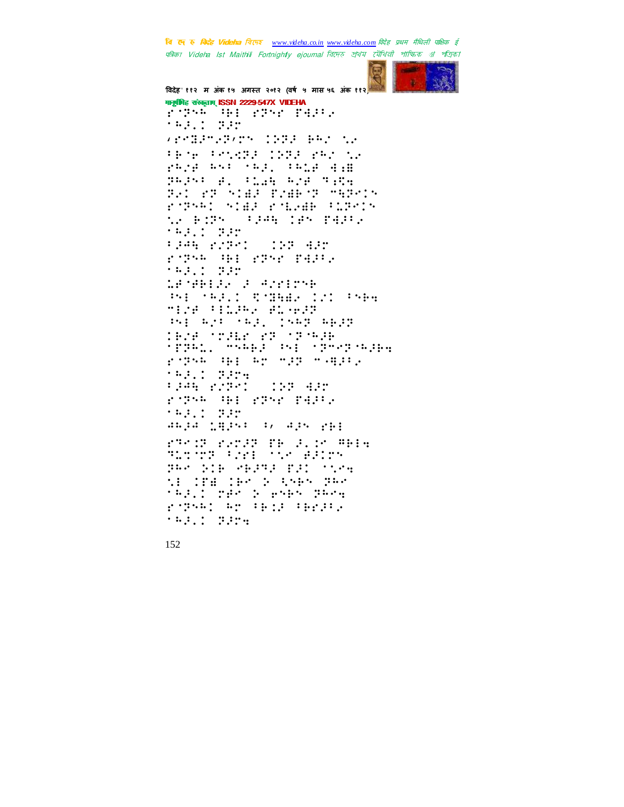वि ए रु क्रिडे Videha विएक www.videha.co.in www.videha.com विदेह प्रथम मैथिली पाक्षिक ई पत्रिका Videha Ist Maithili Fortnightly ejournal রিদেহ প্রথম মৌথিনী পাক্ষিক প্র পত্রিকা



विदेह' ११२ म अंक १५ अगस्त २०१२ (वर्ष ५ मास ५६ अंक ११२) मानूबंभिह संस्कृतम् ISSN 2229-547X VIDEHA Fund We sper paper  $14.317 - 3.32$ **VERSIONS CORPORATION** Programmed and the state of the state of the state of the state of the state of the state of the state of the gage as: (ag, :ag) 488 BRING B. C.A. RYE TER BAD AN STAR BANK M MARKIS rogen: elas romane (mgele th Bilts (1944) 195 PAPER 19911 332 1946 (1951) 198 435 ripe an roof fall. **FRANCISCO** MONETA PARTICO PH THEIR STREET IN PAPE ang aya say, 1nap agyp.<br>1928 szykk köl sösnye **TERG, THERE INE TETTERING** geral and ar error early 193.1 PATH 1944 r.201 (103 432 rope up rper paper 19911 392 **ARIA 1825: C. APS PRI** FROM FRONT TROLL MORE Thursday (1991) the BRIDS PROSIN SEPRESENT STOR ti IM De Sche Per telli neo a shek deca rden er blir blir  $14311 - 3379$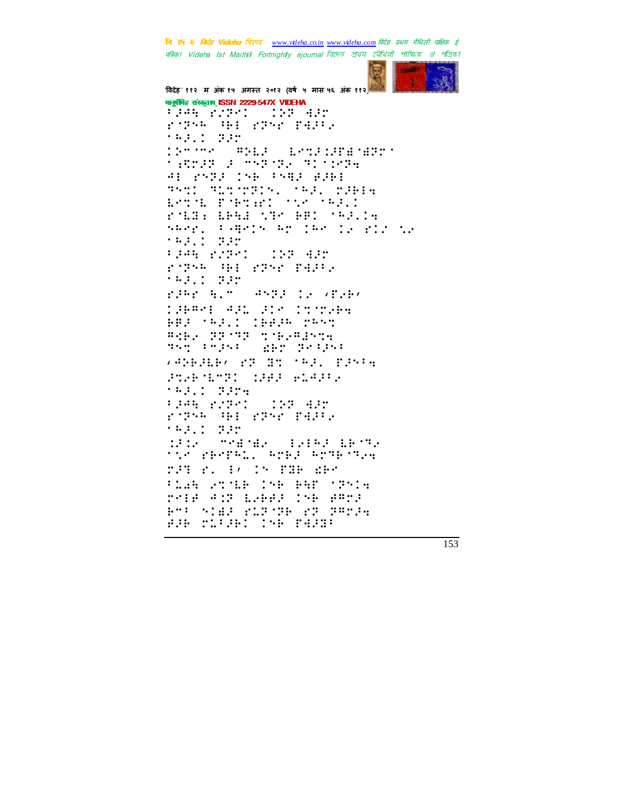वि ए रु क्रिडे Videha विएक www.videha.co.in www.videha.com विदेह प्रथम मैथिली पाक्षिक ई पत्रिका Videla Ist Maithili Fortnightly ejournal রিদেহ শ্রথম মৌথিনী পাক্ষিক প্রা পত্রিকা



विदेह' ११२ म अंक १५ अगस्त २०१२ (वर्ष ५ मास ५६ अंक ११२ गानूबंगिह संस्कृताम् ISSN 2229-547X VIDEHA 1946 22921 - 193 422 rope mi roc para 19911 332  $\sum_{i=1}^{n} \alpha_i \cdot \alpha_i$ **SALE ESTABLES THORE A TEST TESTS** 41 PSPA 156 PSPA PAGE Trul Thursday (1922–1981)<br>Esta Partel (1920–1922) rola: Leas van een oggine SAREL PRESS AT 188 12 FIL 12 19911 732 rope un sper falle  $143.1777$ rimr A.M. Angl 12 (P.A. Caesi Add din Cronae HPP (API) (BRPA pasq Bene STOR TORRENT The Pepper when Belghe  $\sqrt{414.414}$  ,  $\frac{1}{27}$   $\frac{1}{21}$  ,  $\frac{1}{24}$  ,  $\frac{1}{21}$  ,  $\frac{1}{21}$ President (BBP electe  $14311 - 3379$ 1946 r.S.C. 193 435 rone Wilshed Mar. 19311-332 die scheide leier beste tic recreas area armentes rat r. 17 (n PHP dBn **FLAR STALE INF BREAT SPAIR** rele Aur Laber (56 BR23 873 SIAS MIRTH WI PROPE

888 T. 1881 198 8888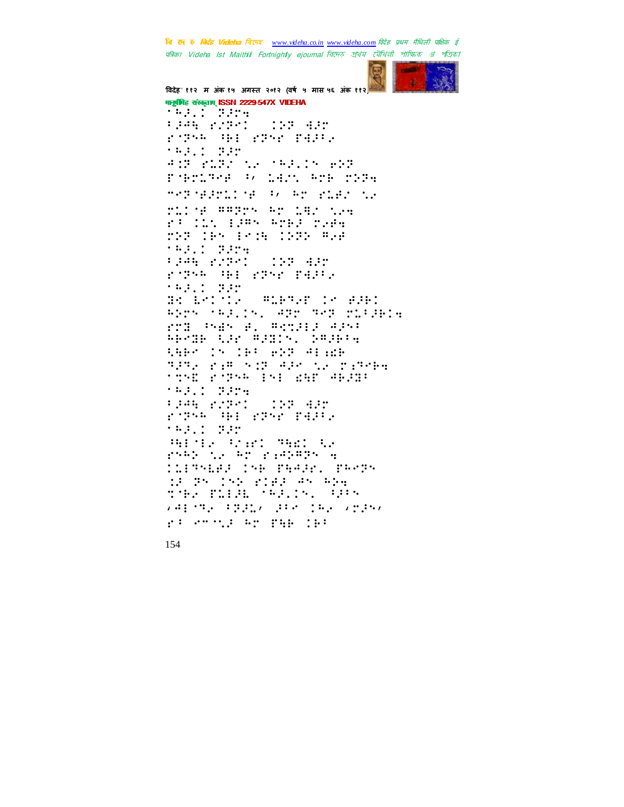वि ए रु क्रिडे Videha विएक www.videha.co.in www.videha.com विदेह प्रथम मैथिली पाक्षिक ई पत्रिका Videla Ist Maithili Fortnightly ejournal রিদেহ শ্রথম মৌথিনী পাক্ষিক প্রা পত্রিকা



विदेह' ११२ म अंक १५ अगस्त २०१२ (वर्ष ५ मास ५६ अंक ११२) मानूबंभिह संस्कृतम् ISSN 2229-547X VIDEHA  $\mathcal{F}^{\mathbf{L}}$  ,  $\mathcal{F}^{\mathbf{L}}$  ,  $\mathcal{F}^{\mathbf{L}}$  ,  $\mathcal{F}^{\mathbf{L}}$  ,  $\mathcal{F}^{\mathbf{L}}$  ,  $\mathcal{F}^{\mathbf{L}}$ F. 144 (2010)  $\sim 153 - 435$ rope mi rper fare 19311 332 ANT RETURNS TRACTS WHIT FORTING WORLD, ATE TERM medicated to the state the THE RESEARCH SEARCH F: ILL 1985 BrB3 reds THE IPS PORTION WAR  $143.17374$ 1946 22231 122 432 right off roof fells 199.1 332 BOARDING MERGETY PRED 8225 (82.15. 822 362 21:38:4 rrh Gymr al Wendid Adv: WARE WAR WARTH, SWARTH 5965 15 165 e22 #Fade SPR PARTNIE APPLICATIONAL \*\*\*\* \*\*\*\* \*\*\* \*\*\* ####  $143.1 - 3374$ 1946 r.S.C. 193 435 roma de romano 19911-000 **SAINTS CONTROLLS** ribb to br ridgery a INFRARE INF PARRY PAPPY :2 Pr (52 rid) 45 AD4 the Elek (52.15) QPS マチロ・サン スクラムアースもと てちょう マセラトア ga sheep ag paa jaa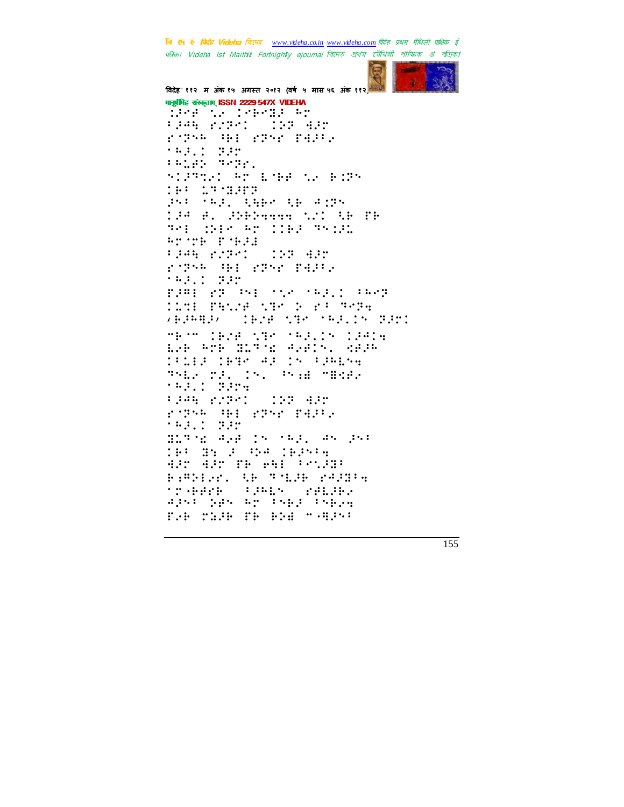वि ए रु क्रिडे Videha विएक www.videha.co.in www.videha.com विदेह प्रथम मैथिली पाक्षिक ई पत्रिका Videha Ist Maithili Fortnightly ejournal রিদেহ প্রথম মৌথিনী পাক্ষিক প্র পত্রিকা



विदेह' ११२ म अंक १५ अगस्त २०१२ (वर्ष ५ मास ५६ अंक ११२) मानूबंभिह संस्कृतम् ISSN 2229-547X VIDEHA SPATCH CHAND Ar 1945 rudol (200 430 roph Wilsher Mar. 19311 332 **PALENT SPEC.** STRUCK AN EMBERTATOR **THE MANUFICATION** gs: reg. ther th agre BH SHE AT TIER BY WE Animal Potes 1945 22771 - 122 432 rope OH 2252 PAPE **FRANCISH** play go but the tally tag TIME PROOF NEW 2023 SPPR **VERMIER (1928-1988-1982) SERVI** MESMO IEZE STROOMBELING IBADA LO WAR HITTE BOOK SHIP **COMPANY ARRESTS PRESS** This MI (M. Phai MHKE. 19311 3324 F. 144 (2010)  $\frac{1}{2}$   $\frac{1}{2}$   $\frac{1}{2}$   $\frac{1}{2}$   $\frac{1}{2}$   $\frac{1}{2}$   $\frac{1}{2}$   $\frac{1}{2}$   $\frac{1}{2}$   $\frac{1}{2}$ rope up: rper page. 192.1 322 Hitler Applied Cap, An put THE BY F CHA TERRIA SIN SIN TR WAI PROCH RAPPLAY, AR STAGE PAPER. **TOGHTH SUBS PRESE** apsi yas ar isagi isaya f.h rash fh bhd "Ages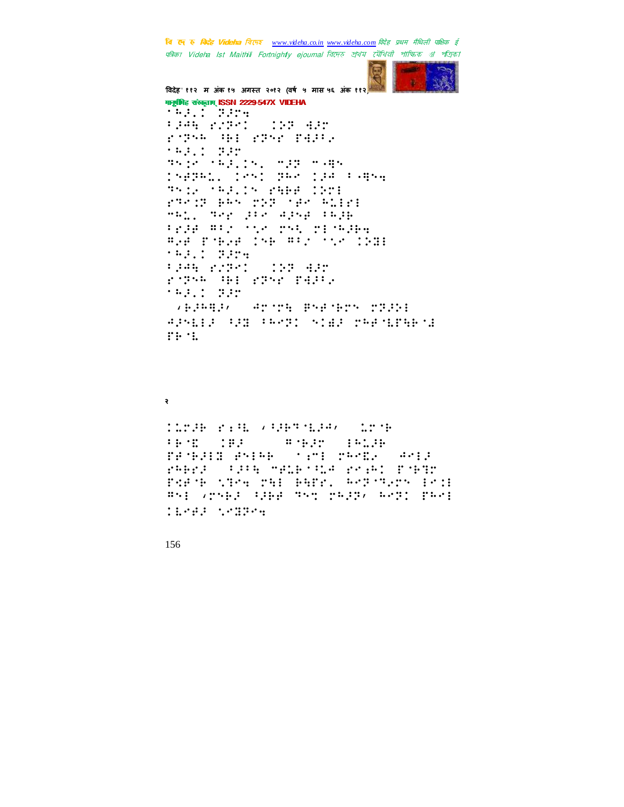बि एक रु मिन्हें Videha विरफर www.videha.co.in www.videha.com विदेह प्रथम मैथिली पाक्षिक ई पत्रिका Videha Ist Maithili Fortnightly ejournal রিদেহ প্রথম মৌথিনী পাক্ষিক প্র পত্রিকা



विदेह' ११२ म अंक १५ अगस्त २०१२ (वर्ष ५ मास ५६ अंक ११२) मानूबंगिह संस्कृतम् ISSN 2229-547X VIDEHA  $\mathcal{F}^{\mathbf{L}}$  ,  $\mathcal{F}^{\mathbf{L}}$  ,  $\mathcal{F}^{\mathbf{L}}$  ,  $\mathcal{F}^{\mathbf{L}}$  ,  $\mathcal{F}^{\mathbf{L}}$  ,  $\mathcal{F}^{\mathbf{L}}$ 1945 22771 - 122 432 roma del roma falle 19311 332 3516 (52115) 528 5385 regad. Test gal rud cupu This SAGIN PARE INTE annan amb ann Gàrd Màid<br>1962 - Nhàidhean Ann Anns Frid #12 (12 291 21 9284 species the content of the time  $1431173224$ 1945 PDP11  $\frac{1}{2}$   $\frac{1}{2}$   $\frac{1}{2}$   $\frac{1}{2}$   $\frac{1}{2}$   $\frac{1}{2}$   $\frac{1}{2}$   $\frac{1}{2}$   $\frac{1}{2}$ rope and real parts

\*\*\*: 22 **APPRELL ANTE PSEMBY MIDE** APSELF RECEPTS SIEF THE ETHER riot.

## $\mathbf{R}$

TEMPER FIRE VARRANTER, SEMP  $14.22 \div 18.2$ **SOLUTE INC.IL** PROBJECT PRESENT INTERVIEW CAMER PRESS STREETER PROPERTY FOR THE Perch (1984 PAI BAPE, Reporters Incl BSE VISED DREE BST IRDEA RATI PRAE **TEMPER SERVE**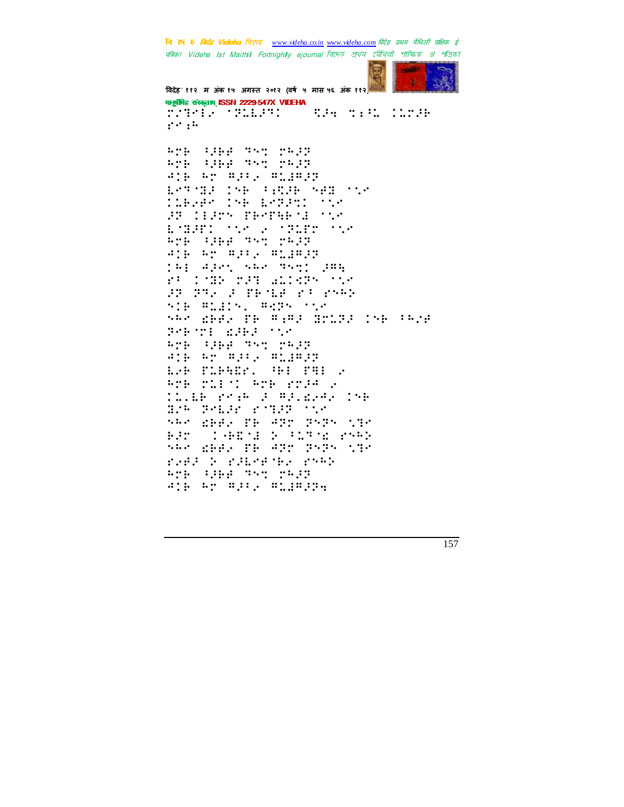वि ए रु क्रिडे Videha विएक www.videha.co.in www.videha.com विदेह प्रथम मैथिली पाक्षिक ई पत्रिका Videha Ist Maithili Fortnightly ejournal রিদেহ প্রথম মৌথিনী পাক্ষিক প্র পত্রিকা



विदेह' ११२ म अंक १५ अगस्त २०१२ (वर्ष ५ मास ५६ अंक ११२) मानूबंगिह संस्कृताम् ISSN 2229-547X VIDEHA F.T.L. THEFT **COMPANY COMPANY**  $\mathbf{r} \cdot \mathbf{r}$ 

**ATE GIBS 757 TAST App (200 The page** And ar wave where ESTAR INFORMED NAME AND TLEVER INE LRIPIC TIR 33 11325 PEPPHETE TO EMERT SAN FOREST **ATE GREE TAT TAST** And ar Apple And Andr **(8)** 498, 588 7571 286 FULTER THE BIRDS ON st the screene riceros SIE WIELE WARREN STA sko deda ne mama druža (se (kad President added the Applicated the page aja ar mata milangr Pre rif T Pre rregular TEIN PORT FORTIGATE INF BrW Prise Frist the aka dhe. Mh Alb laga 198 **CONFIDENTIAL CONSTRUCTION**  $H:U$ 583 MHZ PR 872 P575 MP red & raberthe reed **ATH WHE TAT TAST Alb Ar Mill, MilMille**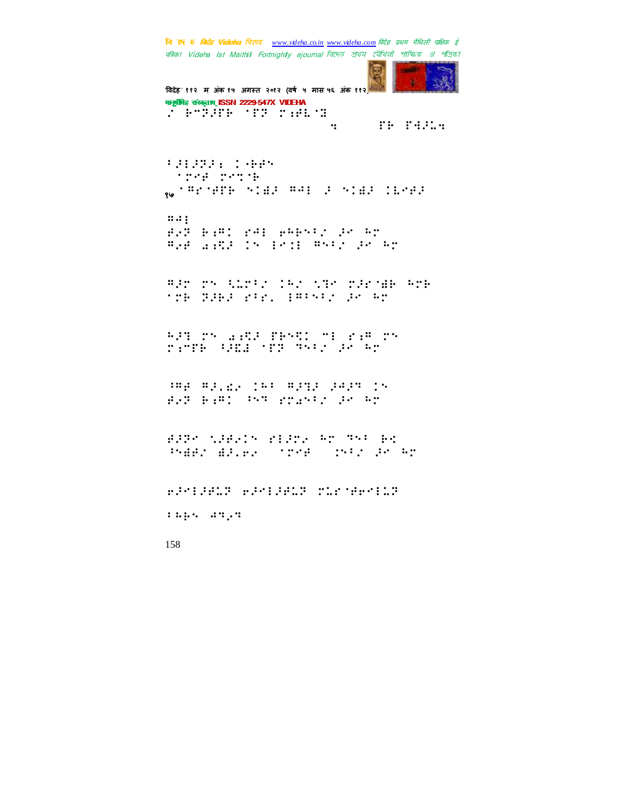चि एक रु *विदेह Videha चिए*न्छ <u>www.videha.co.in www.videha.com</u> विदेह प्रथम मैथिली पाक्षिक ई पत्रिका Videha Ist Maithili Fortnightly ejournal রিদেহ প্রথম মৌথিনী পাক্ষিক প্র পত্রিক।



.<br>विदेह' ११२ म अंक १५ अगस्त २०१२ (वर्ष ५ मास ५६ अंक ११२ मानुष्टीबिह संस्कृताम् ISSN 2229-547X VIDEHA  $\mathcal{L}$  by P. 200  $\mathcal{L}$  and  $\mathcal{L}$ hhbkfoesbAwjefib⣒dpn!&⢷!&⣚⢼⣅⣒!

7⢼3⢼⢽⢼⣐!9⢷⢾! !⢾!⣉⢷! <sup>१५</sup>⢻⢾&⢷!⣞⢼!⢻⢺3!⢼!⣞⢼!⣇⢾⢼!

⢻⢺3! ⢾⢴⢽!⢷⣐⢻!⢺3!⢶⢳⢷7"!⢼!⢳! BH SEN ST ST ST ST ST

WHI IS A REPORT OF THE CONTROL OF THE CONTROL OF THE CONTROL OF THE CONTROL OF THE CONTROL OF THE CONTROL OF T ⢷!⢽⢼⢷⢼!7=!3⢻77"!⢼!⢳!

 $^{\circ}$   $^{\circ}$  . The set of the set of the set of the set of the set of the set of the set of the set of the set of the set of the set of the set of the set of the set of the set of the set of the set of the set of the set rent will be seen to the second the

⢸⢻⢾!⢻⢼=⣎⢴!⢳7!⢻⢼⣙⢼!⢼⢺⢼⢹!! ⢾⢴⢽!⢷⣐⢻!⢸⢹!⣔7"!⢼!⢳!

⢾⢼⢽!⣁⢼⢾⢴!3⢼⢴!⢳!⢹7!⢷⣊! ™##rations free charge #r

⢶⢼3⢼⢾⣅⢽.⢶⢼3⢼⢾⣅⢽.⣅⢾⢶3⣅⢽! 7⢳⢷.⢺⢹⢴⢹!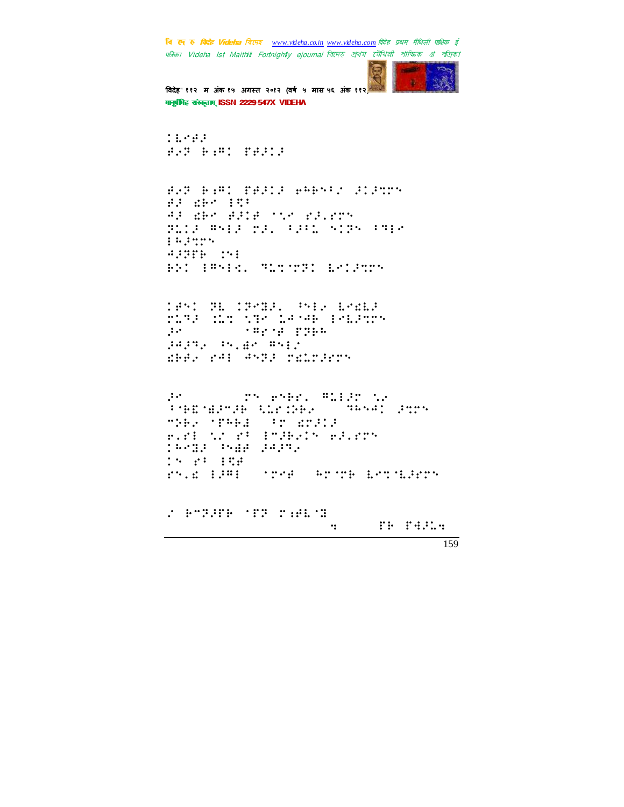चि एक रु *विदेह Videha चिए*न्छ <u>www.videha.co.in www.videha.com</u> विदेह प्रथम मैथिली पाक्षिक ई पत्रिका Videha Ist Maithili Fortnightly ejournal রিদেহ প্রথম মৌথিনী পাক্ষিক গ্র পত্রিক।



विदेह' ११२ म अंक १५ अगस्त २०१२ (वर्ष ५ मास ५६ अंक ११२) मानुष्टीमिह संस्कृताम् ISSN 2229-547X VIDEHA

 $\mathbf{C}$ .  $\mathbf{D}$ .  $\mathbf{D}$ ⢾⢴⢽!⢷⣐⢻!&⢾⢼⢼!

⢾⢴⢽!⢷⣐⢻!&⢾⢼⢼!⢶⢳⢷7"!⢼⢼⣉! ⢾⢼!⣎⢷!3⣋7! ⢺⢼!⣎⢷!⢾⢼⢾!⣁!⢼=! ⢽⣅⢼!⢻3⢼!⢼=.7⢼7⣅!⢽!7⢹3! 3⢳⢼⣉!  $\frac{1}{2}$ S. 1930 - 1930 - 1930 - 1930 - 1930 - 1930 - 1930 - 1930 - 1930 - 1930 - 1930 - 1930 - 1930 - 1930 - 1930 - 19

 $\{3991, 39912, 39912, 39912, 39912, 39912, 39912, 39912, 39912, 39912, 39912, 39912, 39912, 39912, 39912, 39912, 39912, 39912, 39912, 39912, 39912, 39912, 39912, 39912, 39912, 39912, 39912, 39912, 39912, 39912, 39912, 399$  $\mathcal{L}$  $?$ ⢼⢺⢼⢹⢴!⢸=⣞!⢻3"! ⣎⢷⢾⢴!⢺3!⢺⢽⢼!⣎⣅⢼!

.<br>Stephende blader (Selva Stere) ⢸⢷⣏⣞⢼+⢼⢷!⣃⣅⣈⢵⢷⢴!-!⢹⢳⢺!⢼⣉! +⢵⢷⢴!&⢳⢷⣜!-7!⣎⢼⢼!  $\pm$ .fi is filmler  $\pm$ ⢳⣝⢼!⢸⣞⢾!⢼⢺⢼⢹⢴! !7!3⣋⢾! =⣎!3⢼⢻3!#⢾#!⢳⢷!⣇⣉⣇⢼!

 $'$  b-200 + 200 + 200 + 200 + 200 + 200 + 200 + 200 + 200 + 200 + 200 + 200 + 200 + 200 + 200 + 200 + 200 + 20 hhbkfoesbAwjefib⣒dpn!&⢷!&⣚⢼⣅⣒!!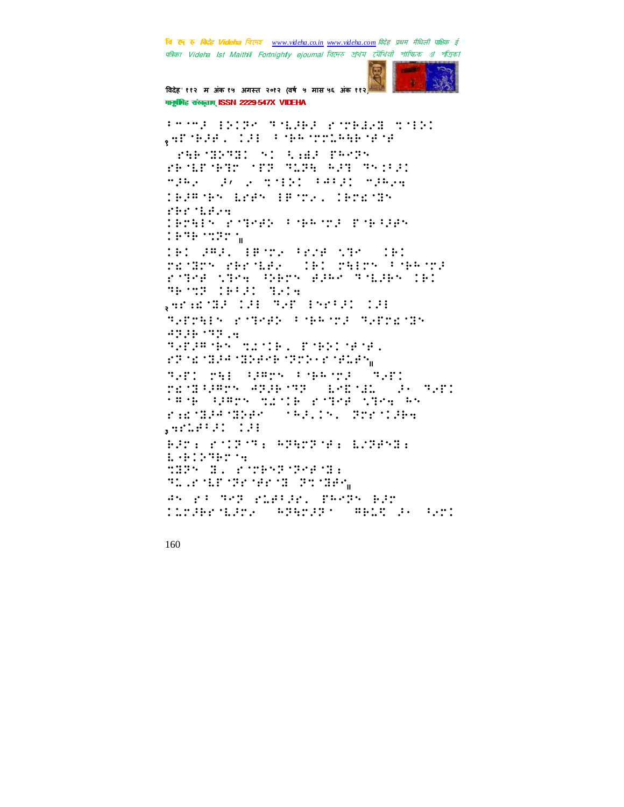वि एक रु क्रिटेड Videha विएम्ब www.videha.co.in www.videha.com विदेह प्रथम मैथिली पाक्षिक ई पत्रिका Videha Ist Maithili Fortnightly ejournal রিদেহ প্রথম মৌথিনী পাক্ষিক প্র পত্রিকা



विदेह' ११२ म अंक १५ अगस्त २०१२ (वर्ष ५ मास ५६ अंक ११२) गानूबंगिह संस्कृताम् ISSN 2229-547X VIDEHA

Proma decado monagea portegua ritera ...................... FAR MATHE SI LAND HATS PROMISSION OFFICIAL RESOURCES make a proposition for an energy **CEAPTER EPAR IBMS. CEPEMBR** rentaese TEMEN PORTER CONFIDENTIAL  $1979.2221$ IBI 282. EBST2 Prid ST5 (IBI redmy reroges (felopeiry togeor) rings the Sterk Black Ridges (B) WENCH CHILD NATH SPEED PORTS CONFIDENTIATE  $43.38 + 33.4$ **SHIPMAN SECRIPTION SECRITS** edinentale navene rapportnessen. SAPI PRE GRAMM FORROTS (SAPI PENDANGKAN ANG PASAR SERENGERAN ANG PART rang (paps dicte roger (geg)es<br>rardgengsen (162.15. gorcideg FATI POIPORE PRETTER EZRENDE 1991199919 **MIDS IN POSSESSION TO STORY TO SEE THE STORY OF STATE** AN PI REP PLATAR. PREPN BAT **TIMARE SURFACE RESOURCE IN SEC**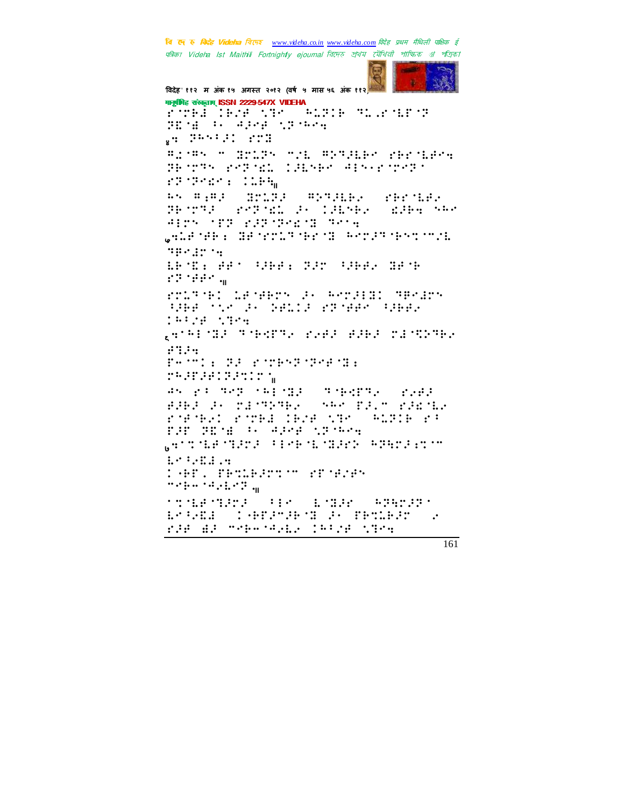वि एक रु क्विहेट Videha विएम्ब www.videha.co.in www.videha.com विदेह प्रथम मैथिली पाक्षिक ई पत्रिका Videha Ist Maithili Fortnightly ejournal রিদেহ প্রথম মৌথিনী পাক্ষিক প্র পত্রিকা



विदेह' ११२ म अंक १५ अगस्त २०१२ (वर्ष ५ मास ५६ अंक ११२) गानूबंगिह संस्कृताम् ISSN 2229-547X VIDEHA roma (1828 MBK) (ALTIB SLAMAROT PENE POSSESSE SPIEL #27#5 m BrLP5 m2E #272EB5 rBriEding BECOME PORTROL CORNEO APSERTONOMI rdider : Cheq sk man: Sriff Mondial Shrider PROTRE POTOS POSSERVERS and the start **Alpho MED ROBMBAR (Bonne** GALE ME E GENERAL POSTANT POST npege og LETT: APT (PRE: 225 (PRE) HATE rdiren un rolane: Lenebox (6) Anolis: aprilh SHE TO A GRID STORE SHEE  $144.78 - 1374$ gener das Schedores auer erhalt aufgrößer  $44.44$ Fermia BE Richterformenta **PRODUCTION** 45 23 322 141132 (319-3732) 2242 BARA A MESTRA SAN BAY MARSER roford rocks drug the SALPIF ra PAP GENE AN AGNE NONAN **WARRANTSHEET AND SERVICE STARFS AND SERVICE** ESSERIES **CAT. TENGERY'' STARF** media rapided a **Sheet School Sir Link Andrin** Bright (1982-263 P. Senard  $\ddot{\phantom{a}}$ rde al Schedell (Alde Stor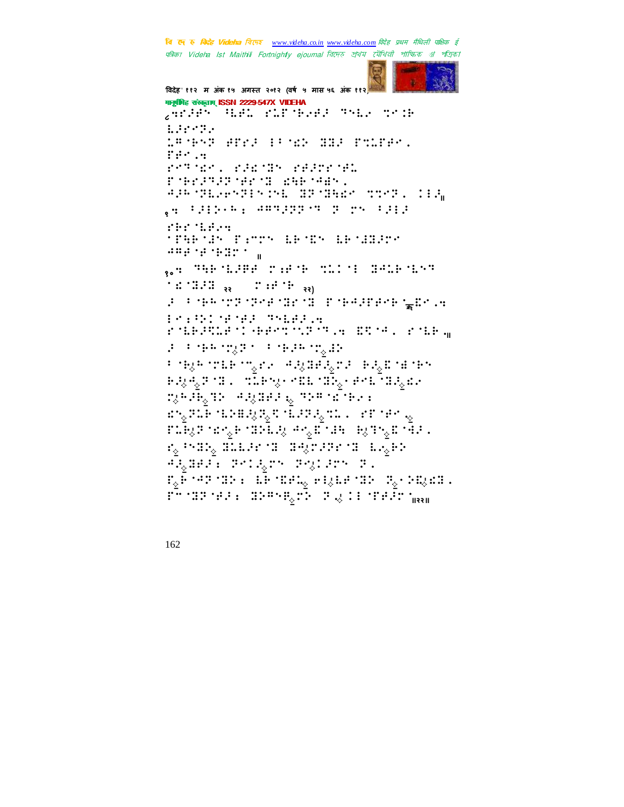वि एक रु क्रिटेड Videha विएम्ब www.videha.co.in www.videha.com विदेह प्रथम मैथिली पाक्षिक ई पत्रिका Videha Ist Maithili Fortnightly ejournal রিদেহ প্রথম মৌথিনী পাক্ষিক প্র পত্রিকা

```
विदेह' ११२ म अंक १५ अगस्त २०१२ (वर्ष ५ मास ५६ अंक ११२)
गानूबंगिह संस्कृताम् ISSN 2229-547X VIDEHA
garden (Bel rifsbeed they thin
LPPPPP
LEART WELF IN MAY HER PACER.
rander de
POTABLE PROTHERS PRACTICE
renchen der Stadten
APP TELENTIN INE GENERAL TONE LOSSA
rint theirs
MIGHTS PATT GRID GRADE
489.9321<sub>se</sub> making para suit sauking
3 Port of the control of the state of group
Principal masse
rangues degrassare pressoran
2. President Pressinger
天然被形式指形式学习的 进渡准装式工作或装置 维护的
aggyra, stay-reiney-enfegal
श्लुमेर्नम्<sub>ड</sub>म् अन्तर्ह्यसम् ६ त्रश्म व्यक्तिसम
\langle \psi_{\mathcal{Q}}(\mathbb{P},\mathbb{P})^{\mathsf{c}} \rangle \leq \langle \psi_{\mathcal{Q}}(\mathbb{P},\mathbb{P},\mathbb{P},\mathbb{P},\mathbb{P},\mathbb{P},\mathbb{P},\mathbb{P},\mathbb{P},\mathbb{P},\mathbb{P},\mathbb{P},\mathbb{P},\mathbb{P},\mathbb{P},\mathbb{P},\mathbb{P},\mathbb{P},\mathbb{P},\mathbb{P},\mathbb{P},\mathbb{P},\mathbb{P},\mathbb{P},\mathbb{P},\mathbb{P},\mathbb{P},\mathbb{P},\mathbb{P},वार्यम् अन्यन्तु सन्यानीयः अन्तु वनिर्यापः । म्हणन्तुः अपैक्षः ।
r, Har, aller a depression light
PROBLEM POLENT POLITY P.
\mathbb{P}_\phi Porture is a R-core \mathbb{I}_\phi is quarted by \mathbb{P}_\phi . So, and ,
Phode reals, domine<sub>s</sub>ed, in glid realer has
```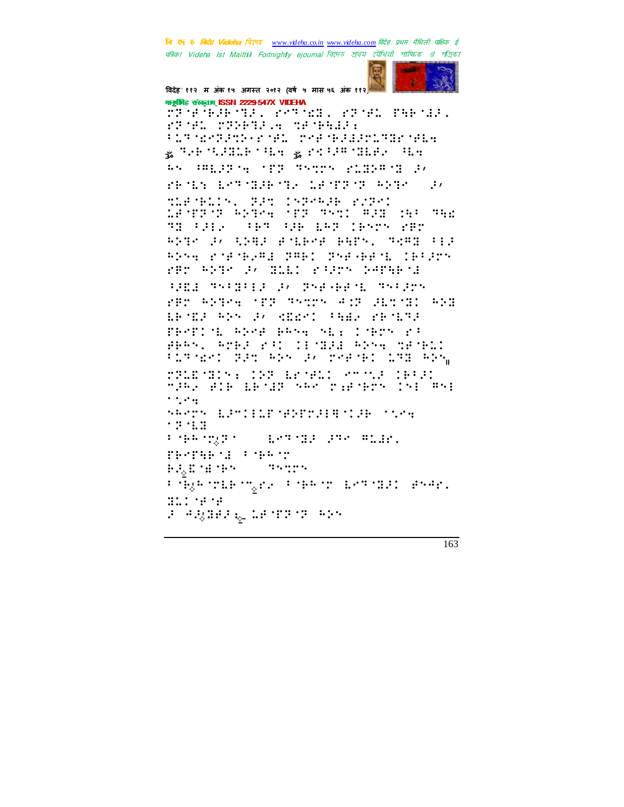वि एक रु क्विहेट Videha विएम्ब www.videha.co.in www.videha.com विदेह प्रथम मैथिली पाक्षिक ई पत्रिका Videha Ist Maithili Fortnightly ejournal রিদেহ প্রথম মৌথিনী পাক্ষিক প্র পত্রিকা



विदेह' ११२ म अंक १५ अगस्त २०१२ (वर्ष ५ मास ५६ अंक ११२) मानागिह संस्कृतम् ISSN 2229-547X VIDEHA

TEMPERMENT PARMED TEMPERMENT STOR STORIES SPORTE **FIRMS ENDING THE THIRD SECTION SECTIONS** SOMETHING STILL THE SALE AN HEAPNETIC THIN FAILS FOR THIS PROBA BOTOBROTH LEOTROP RETO (F) TERMELING PRO INPERIE FURNI LA STROT ANGRA (STROTHSI) ANG 1980 GA TH FALE (FRT RAN 187 CRNTH 28T 8238 F. C28F FALESE E5PA, 7898 FIF Absolute Guard SARI Sspeeding 19725 FAR ANDER SA HILL FANDER NATHERN HARA SSIRIE D. BSAGARYE SSIRV FBT ANGEL TER SATES AND JETTED AND EPSE ANN 3, SERVI PARK PROBA PROPINE REOR RANG NEW CORPORAT BRAN, AMBA RAD CENERA ADNA MBNBL FLAMENT BET ANN EX PREMET LAB ANN PRIEMENT INFORMATION MANUFIC make alb ibjer skr makings is: #s:  $\mathcal{L}(\mathcal{L},\mathcal{L},\mathcal{L})$ SPARS EPSIED SPERFIESIE SAME  $13113$  $\mathcal{L}$  , the strip  $\mathcal{L}$  strip **ALCOHOL PRODUCED** PERPERTE POSSIBLE  $\mathbb{R}^n \times \mathbb{R}^n \times \mathbb{R}^n$  $\mathbb{H}^1_{\mathcal{O}}\mathbb{H}^1\mathbb{H}^1\mathbb{H}^1$  . Fineshingte in the model of the college. Hill te te a segmeal that a sea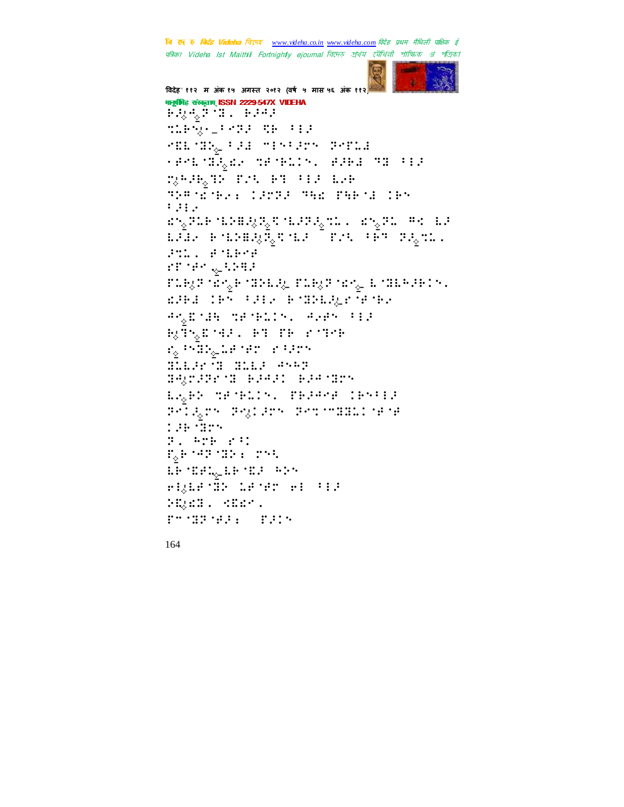वि एक रु क्रिटेड Videha विएम्ब www.videha.co.in www.videha.com विदेह प्रथम मैथिली पाक्षिक ई पत्रिका Videha Ist Maithili Fortnightly ejournal রিদেত প্রথম মৌথিনী পাক্ষিক রা পত্রিকা



```
विदेह' ११२ म अंक १५ अगस्त २०१२ (वर्ष ५ मास ५६ अंक ११
मानूबंगिह संस्कृतम् ISSN 2229-547X VIDEHA
6043 T. 600
MARGERSE RESER
PEECER_POR TEMPORY PRELA
HERE NEQUES NE NATIONS CEPEE THE SEE
DEPEND FOR PT TEP LAB
THRIGHT CHIEF THE PHOTOGRY
: 3: .ang PLE (12412), Pig (12712), CL (1413), PL (141412
LAR FOREST \bar{z}_2tola (1991) (\bar{z}_1tola 1991).
Full Public
\mathcal{C}\mathbb{P}^1\oplus\mathbb{P}^1\subset\mathbb{R}\oplus\mathbb{R}\oplus\mathbb{R}\mathbb{P}\text{Lip}_{\phi}\mathbb{P}^{-1}\text{d}\mathbb{P}_{\underline{\phi}}\text{F}^{-1}\mathbb{E}\text{P}\text{Lip}_{\phi}\text{F}\text{Lip}_{\phi}\mathbb{P}^{-1}\text{d}\mathbb{P}_{\underline{\phi}}\text{L}^{-1}\mathbb{E}\text{Lip}_{\phi}\text{F}\text{Lip}_{\phi}\text{F}\text{,}EPHOTES FREE EMPERIENCE
Program de relativa (Peer (FEP
BONEMAL PT TR PUTCH
agandagda ran a rans
SELR'S SILL SYD
SQ:33:3 RP431 RP4 325
EASER TEMPLING TEAPPE CENTER
Pright Prysent Promosous rene
1.34 \cdot 3.94P_+ (Fig. ) P_+ESPARANTE PAR
LE TERLETER ADT
FILENID LENET FI PIP
PERMIT SHEP.
Primarias, Path
```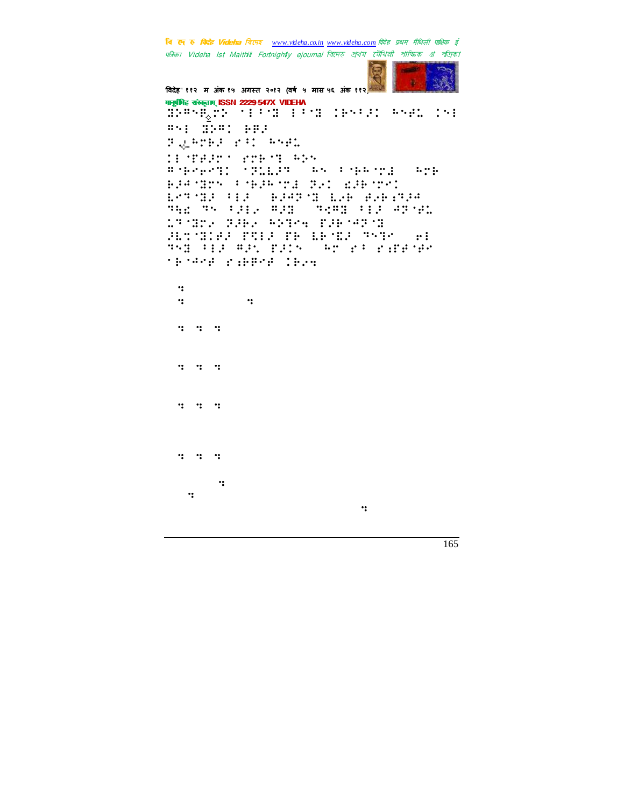चि एक रु *विदेह Videha चिए*न्छ <u>www.videha.co.in www.videha.com</u> विदेह प्रथम मैथिली पाक्षिक ई पत्रिका Videha Ist Maithili Fortnightly ejournal রিদেহ প্রথম মৌথিনী পাক্ষিক গ্র পত্রিক।



'विदेह' ११२ म अंक १५ अगस्त २०१२ (वर्ष ५ मास ५६ अंक ११२) मानुषीिह संस्कृताम् ISSN 2229-547X VIDEHA ⣝⢵⢻⢿◌॒⢵.3⢸⣝!3⢸⣝!⢷7⢼!⢳⢾⣅!3! **39: Č3** : E ⢽⣀◌॑-⢳⢷⢼!⢸!⢳⢾⣅! 3&⢾⢼.⢷⣙!⢳⢵! B NHAPANI (TRILPR) HA POHENNI (HMP) ⢷⢼⢺⣝!7⢷⢼⢳⣜!⢽⢴!⣎⢼⢷! ⣇⢹⣝⢼!73⢼-!⢷⢼⢺⢽⣝.⣇⢴⢷-⢾⢴⢷⣐⢹⢼⢺-! We we have the state of the state of the state of the state of the state of the state of the state of the stat ⣅⢹⣝⢴!⢽⢼⢷⢴!⢳⢵⣙⣒!&⢼⢷⢺⢽⣝! ⢼⣇⣉⣝⢾⢼!&⣋3⢼!&⢷!⣇⢷⣏⢼!⢹⣙-!⢶3! Wi Tij an 'e San ⢷⢺⢾0⣐⢷⢿⢾!⢷⢴⣒! 9 WJEFIBID: SFTJEFIBID: SFTJEFIBID: SFTJEFIBID: SFTJEFOUT! 9  $\cdot$   $\cdot$   $\cdot$   $\cdot$   $\cdot$   $\cdot$  $\cdot$   $\cdot$   $\cdot$   $\cdot$   $\cdot$  $9:2:2:2$  $\cdot$ :  $\cdot$ :  $\cdot$ :  $\cdot$ cz! Esperant w Political Political Political Political Political Political Political Political Political Political Political Political Political Political Political Political Political Political Political Political Politic  $\mathbb{R}^n$ Nbjuriji pri nastavlja se obiti pri nastavlja se obiti pri nastavlja se obiti pri nastavlja se obiti pri nastav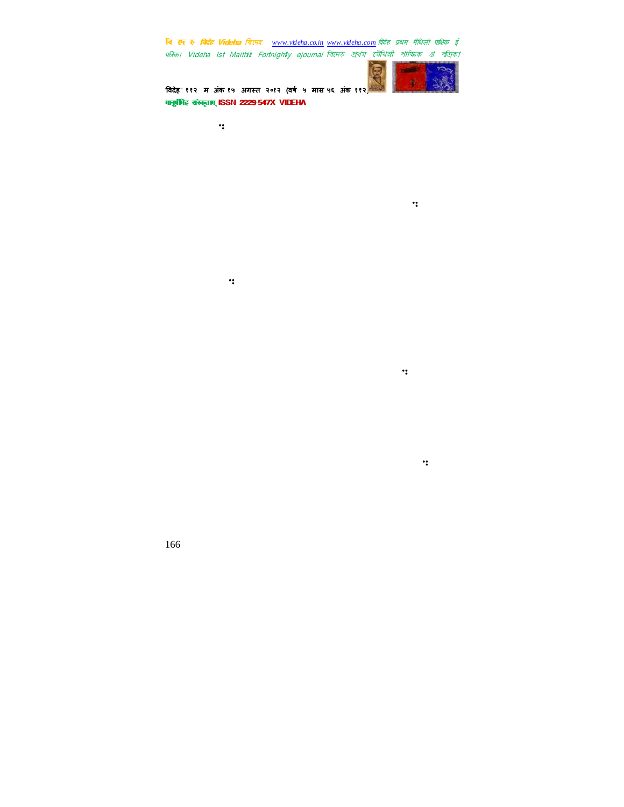चि एक रु *विदेह Videha चिए*न्छ <u>www.videha.co.in www.videha.com</u> विदेह प्रथम मैथिली पाक्षिक ई पत्रिका Videha Ist Maithili Fortnightly ejournal রিদেহ প্রথম মৌথিনী পাক্ষিক প্র পত্রিক।

jefoujgazh e voe de an de an de an de an de an de an de an de an de an de an de an de an de an de an de an de<br>Eventuel e voe de an de an de an de an de an de an de an de an de an de an de an de an de an de an de an de an

ufmania bhpozition and the control of the control of the control of the control of the control of the control of the control of the control of the control of the control of the control of the control of the control of the

 $\mathcal{L}_2$ pv $\mathcal{L}_2$ pv $\mathcal{L}_3$ pv $\mathcal{L}_4$ pv $\mathcal{L}_5$ pv $\mathcal{L}_6$ 



.<br>विदेह' ११२ म अंक १५ अगस्त २०१२ (वर्ष ५ मास ५६ अंक ११२) मानुषीिह संस्कृतम् ISSN 2229-547X VIDEHA

cz! Występu Wielkie występu Wielkie występu Wielkie występu Wielkie występu Wielkie występu Wielkie występu Wi

 $\ddot{\cdot}$ :

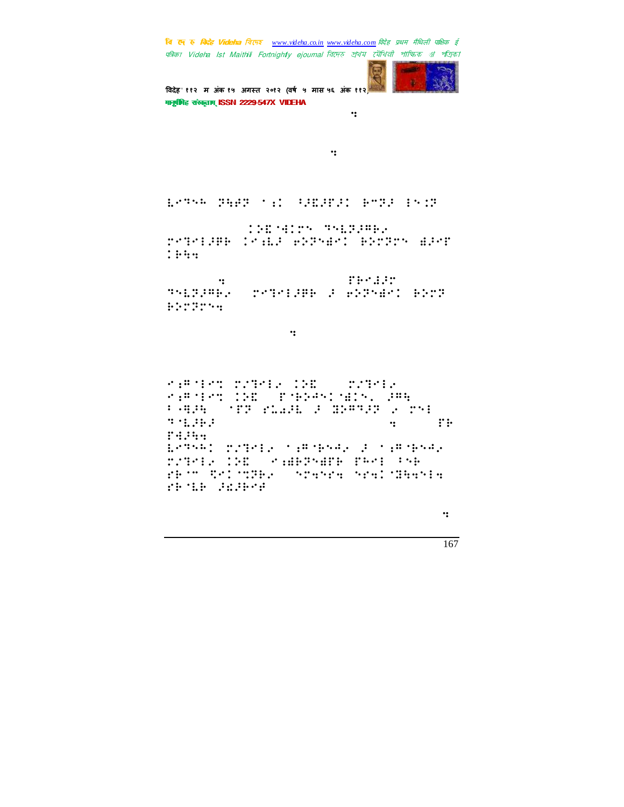चि एक रु *विदेह Videha चिए*न्छ <u>www.videha.co.in www.videha.com</u> विदेह प्रथम मैथिली पाक्षिक ई पत्रिका Videha Ist Maithili Fortnightly ejournal রিদেহ প্রথম মৌথিনী পাক্ষিক গ্র পত্রিক।



विदेह' ११२ म अंक १५ अगस्त २०१२ (वर्ष ५ मास ५६ अंक ११२ मानुष्टीमिह संस्कृताम् ISSN 2229-547X VIDEHA

sfmjer i politike politike politike politike politike politike politike politike politike politike politike po<br>Politike politike politike politike politike politike politike politike politike politike politike politike po

hhbkfoesbAwjefib⣒dpn!!!

⣇⢹⢳!⢽⣓⢾⢽!⣐!⢸⢼⣏⢼&⢼!⢷+⢽⢼.3⣈⢽!!!

Joqvu;!)⢵⣏⣚!⢹⣇⢽⢼⢻⢷⢴-! ⣙3⢼⢿⢷!⣐⣇⢼!⢶⢵⢽⣞.⢷⢵⢽!⣞⢼&!  $:$   $:$   $:$   $:$   $:$ 

 $\mathbf{S}$  space  $\mathbf{S}$  is a space  $\mathbf{S}$  is a space  $\mathbf{S}$  is a space  $\mathbf{S}$ ⢹⣇⢽⢼⢻⢷⢴-!⣙3⢼⢿⢷!⢼!⢶⢵⢽⣞.⢷⢵⢽0! ⢷⢵⢽⣒!Sftvmu!jo!Efwbobhbsj-!

Spield (Spield Control)

⣐⢻3⣉."⣙3⢴.⢵⣏!0!"⣙3⢴. ⣐⢻3⣉.⢵⣏!!&⢷⢵⢺⣞=!⢼⢻⣓! 79G, Pangal (1990) and an anti-series and an anti-series and an anti-series and an anti-series and an anti-se<br>The series and an anti-series and an anti-series and an anti-series and an anti-series and an anti-series and ⢹⣇⢼⢷⢼!hhbkfoesbAwjefib⣒dpn!&⢷!  $^{\circ}$  : ::::: ⣇⢹⢳!"⣙3⢴.⣐⢻⢷⢺⢴!⢼!⣐⢻⢷⢺⢴! "⣙3⢴!⢵⣏!)⣐⣞⢷⢽⣞&⢷!&⢳3!7⢷! ⢷+.⣋⣉⢽⢷⢴\*!⣒⣒!⣒⣝⣓⣒3⣒! ⢷⣇⢷!⢼⣎⢼⢷⢾!.Cbtfe!po!nt.trm!

Fohmjti.Nbjuijmj!Ejdujpobsz⣒!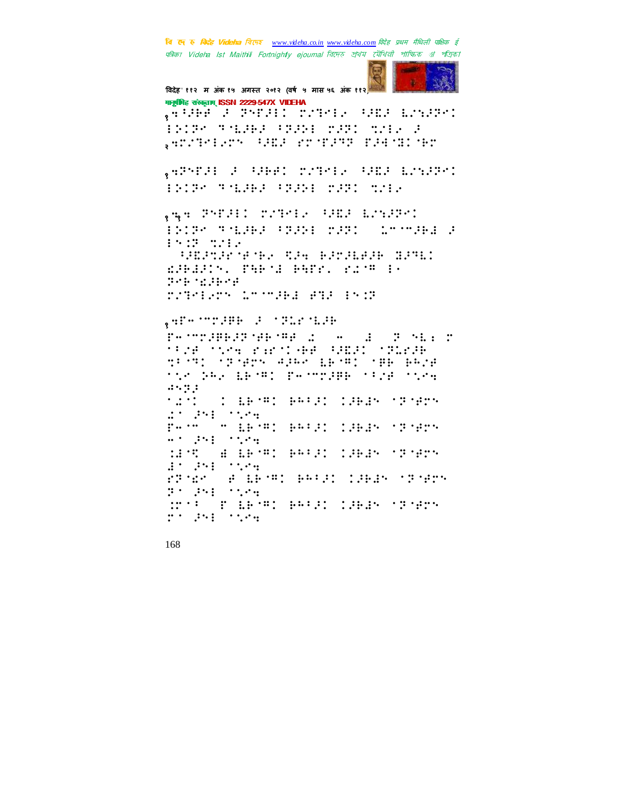**बि एक रु** *बिर्दह Videha विए***नर** www.videha.co.in www.videha.com विदेह प्रथम मैथिली पाक्षिक ई पत्रिका Videha Ist Maithili Fortnightly ejournal রিদেহ প্রথম মৌথিনী পাক্ষিক প্র পত্রিকা



विदेह' ११२ म अंक १५ अगस्त २०१२ (वर्ष ५ मास ५६ अंक ११२) गानूबंगिह संस्कृताम् ISSN 2229-547X VIDEHA

,AGAPJ STRAIT CONTROL AND ESSAY BOST TAGGE STORE THIS TALE & ,Angelen (AB) pronge nach de ,APSEVE 2 SPEAK TOPSER SPEAKERST BROWN THERE SHOWE MARI MODE , ma Prese: robert Sems monser BRIRG THURS CREW MED - 15 SPARE 3  $15.17 - 2.11$ **BOOKS TO BUILD BUILD** ESPASSE THE SEPHENT PETH IN September **MINERY LOOPED PHOTOS** , er - modern de l'alconder E-MONERNEMENT (1999) ISBN 988 1528 (1956 Karlinger Samal (1962)<br>SP 191 (1978) Aden Geroff (1966 Esta TOP DRAGGETRIC PHOTOGRECORDS ONCE  $45.334$ ndit (1 meng) besar taban ngneng  $\begin{aligned} \mathbb{R}^{2} \times \mathbb{R}^{2} \times \mathbb{R}^{2} \times \mathbb{R}^{2} \times \mathbb{R}^{2} \times \mathbb{R}^{2} \times \mathbb{R}^{2} \times \mathbb{R}^{2} \times \mathbb{R}^{2} \times \mathbb{R}^{2} \times \mathbb{R}^{2} \times \mathbb{R}^{2} \times \mathbb{R}^{2} \times \mathbb{R}^{2} \times \mathbb{R}^{2} \times \mathbb{R}^{2} \times \mathbb{R}^{2} \times \mathbb{R}^{2} \times \mathbb{R}^{2} \times \mathbb{R}$ Fermal moderned effect coedy incremy  $\alpha \leq \beta \leq \beta \leq \gamma \leq \gamma \leq \gamma$ MAR A BRAN PRINT IBER (2000)  $25.251.259$ rance a benn effal laegh nanrh  $\mathcal{B}^{(2)} = \mathcal{B}^{(2)} \mathcal{B}^{(1)} = \mathcal{B}^{(1)} \mathcal{B}^{(2)} \mathcal{B}^{(1)}$ COST PARTIES AND CHEAR SPORTS  $25.251.259$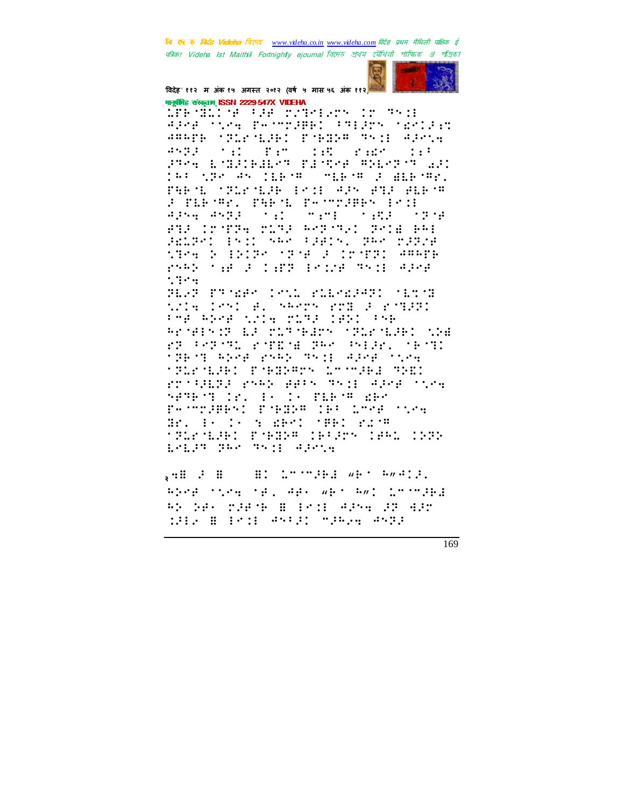वि एक रु क्विहेट Videha विएम्ब www.videha.co.in www.videha.com विदेह प्रथम मैथिली पाक्षिक ई पत्रिका Videha Ist Maithili Fortnightly ejournal রিদেহ প্রথম মৌথিনী পাক্ষিক প্র পত্রিকা



विदेह' ११२ म अंक १५ अगस्त २०१२ (वर्ष ५ मास ५६ अंक ११२) गानूबंगिह संस्कृताम् ISSN 2229-547X VIDEHA

STRATIST PRESSURERS IN THI APAR TERR PATTERNS PREPDY TEACHER ARADE STORINGED PORGER TRIE APPLA  $4572 + 11 + 12$  $\mathbf{1}:\mathbb{R}^n$  $\mathcal{L}^{\text{max}}$  $: : :$ ande bomannemen factor moboron aan ja: 530 45 jilow (milow 3 dilow). FARME MELROBER BROB ARR AND ALBOW F PERMAN, PHRME PAMMAPRA PAIR agsa aspall nationame (natal nonne<br>aggiornome popa aspanyt ostalage **JELT-C ENCL NAP FIRIN, TAP TITLE** the S BODY (Per P Indept PRACH rner og at land anne della gre  $1.329$  :

BEAT PROBACTOCK PLEARINGS ORDER this lest all seems and a podar Phe Abre wile play 1801 Php. REMENSIONS TO THE MAIN CONTROL SEE PROPERTY POTENT RESOURCES TROP the model real ment diese the **MINISHER PRESENCE MANUFICATION** PROGRESS PARTIES TO HISPARA OVER SPRETT IS IN IN TEETR SEC Fermannes Premie (B) Lord Stre Br. En la Scherl (PBI rang **MELRIEL EMBERGEFERT CHAL CODE** BREAK THE TRIE WIRE

 $\frac{1}{2}$ 48 (Februari - 81 (Stormalia Serbuari). Aber they from Arcocket Automotive AN NEW TIESE BOILERING APPROXIC 1982 B ESTE ANTOI MORPH ANDE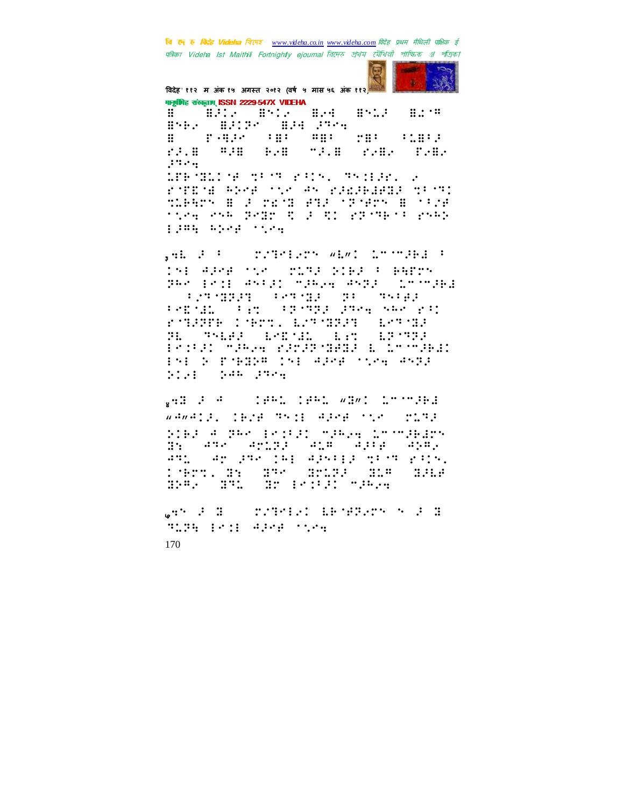वि ए रु क्रिडे Videha विएक www.videha.co.in www.videha.com विदेह प्रथम मैथिली पाक्षिक ई पत्रिका Videha Ist Maithili Fortnightly ejournal রিদেত প্রথম মৌথিনী পাক্ষিক রা পত্রিকা



विदेह' ११२ म अंक १५ अगस्त २०१२ (वर्ष ५ मास ५६ अंक ११२) गानूबंधिह संस्कृताम् ISSN 2229-547X VIDEHA

 $\mathbb{R}^{n}$   $\mathbb{R}^{n}$   $\mathbb{R}^{n}$   $\mathbb{R}^{n}$   $\mathbb{R}^{n}$ **FALL WHEN SHE MALE FROM TRUE** gathering of MP TACH TET FIN, THIRD F rotter and on a radament of

MIRRON BOJ CENE PAJ NJARON BONICE tice com podrugue di recordine rema plan abel steel

gab 2 For contribute what incompled f THE APPENDIX CONTROLLER PORTON par proposero monda sepo commond **SEPTED BETTER TO THE** PARTER (Part (PRIMER 2004) SAR 201 FOREST CORPORATIONS ARRAIG B. THE STILL ET ETTE Programmed Porto della Cimmolegi 151 2 FORDA 151 APME STM ASTR  $\frac{1}{2}$  and  $\frac{1}{2}$  and  $\frac{1}{2}$  $7:7:1$ 

 $\sqrt{4\pi^2(12)}$  (Prim Thii Alch the transformation Siel 4 der Erdel maege Lmomaedor de and armyl and alle app. 경제임 - 경반 경제에 인터링 경영사이용은 생이시며 관리인사. **THERE IN ITH INCHE IN INCHER** 828. 83. 82. 82. 82. 92.

GAN 2 I ( MINISI LENPRAN N 2 I **TERR POSS APPROXIMAT**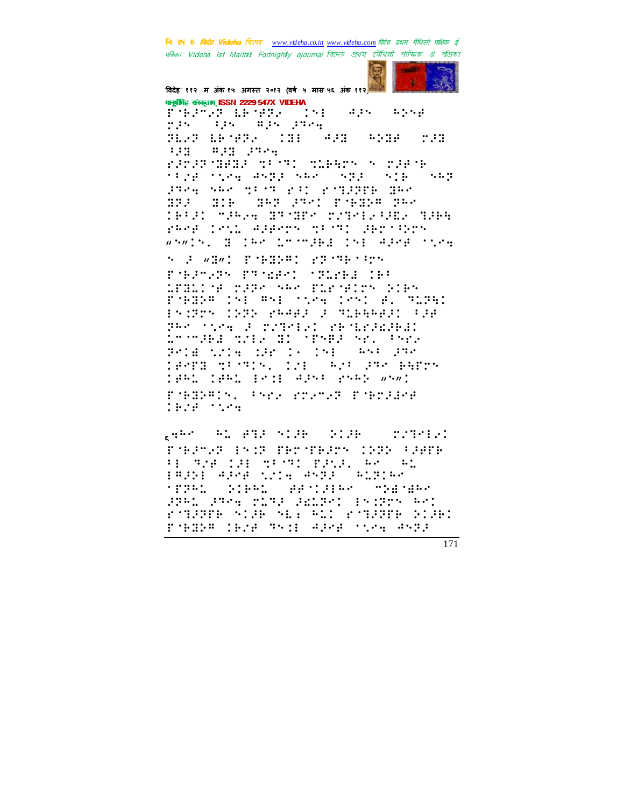वि एक रु क्विहेट Videha विएम्ब www.videha.co.in www.videha.com विदेह प्रथम मैथिली पाक्षिक ई पत्रिका Videha Ist Maithili Fortnightly ejournal রিদেহ প্রথম মৌথিনী পাক্ষিক প্র পত্রিকা



विदेह' ११२ म अंक १५ अगस्त २०१२ (वर्ष ५ मास ५६ अंक ११२) गानूबंगिह संस्कृताम् ISSN 2229-547X VIDEHA

होत्स्क्लेटेडी क्रिक्किस्ट (1980)<br>इक्स्प्रास्त्रीय स्वतं क्रिकेट agn apsp **SEPT ED SEPT 131**  $\frac{1}{2}$   $\frac{1}{2}$   $\frac{1}{2}$   $\frac{1}{2}$   $\frac{1}{2}$   $\frac{1}{2}$   $\frac{1}{2}$   $\frac{1}{2}$  $\mathbf{1}$ FRIDE MARK STORE START A STACK riga ngay angg nasi nggo nga  $\cdots$ 3984 SAR MESS PAI PSIDNED BA BPA (BIB) BRP 2981 F-BB28 PRO TRANS WARREN BROBEN WORKER TARE PROF LOND APPOINT NE ME PROTECTS whath, Boles Loomaka Info@aane over

**SOURCE SERVICE SECTION** PORPHORM PROBAT CRIPED IP: 1881: W SSP SAR B1278155 CIPS FOREST INFORMED MONETIME (FLORE) 15:375 1232 PRAFT 2 SIPRAFT FJP The steel Portfolk: PROBREMENT brongel mode di Spred rel Cres Brighthis MR In 1988, And 250 THATE SPATES, INE (AND PRO BATCH TEAC TEAC EXTENSIVE PART WAS Pobleman (Server Pressure Poblement 1928 (1959)

per el espace die component PORTUGE IN CROTECTE CONTROLLERE HE THE INE TEST FRIEL ROLL  $\ddots$ PRODE ROCK STOR RED BIDING  $\cdot$  real. **SALES AND SECTION SERVICE** 2261 2374 MINI (B1281 ES12MS RK) FMARTH SIDE SEE AND FMARTH SIDE POBRE CHOP TACE APAR SOME ANDR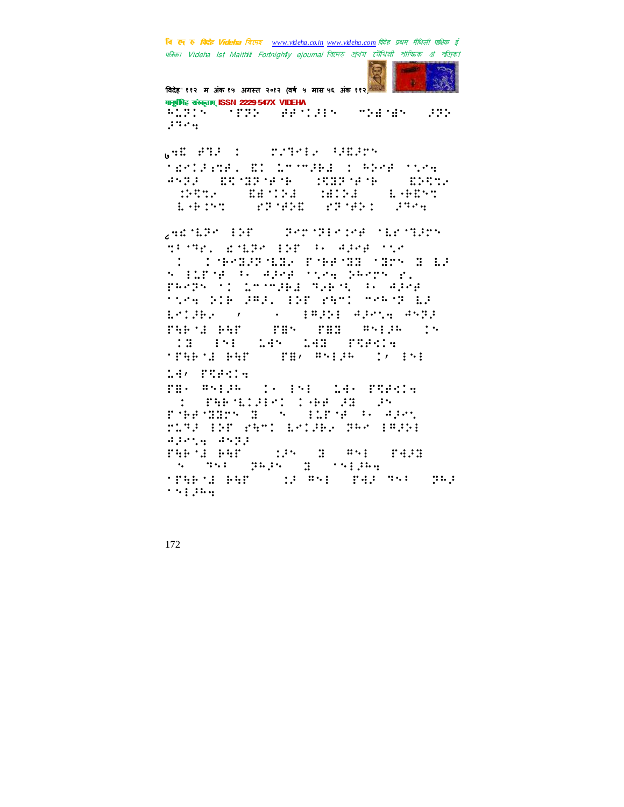वि ए रु क्रिडे Videha विएक www.videha.co.in www.videha.com विदेह प्रथम मैथिली पाक्षिक ई पत्रिका Videla Ist Maithili Fortnightly ejournal রিদেহ শ্রথম মৌথিনী পাক্ষিক প্রা পত্রিকা



विदेह' ११२ म अंक १५ अगस्त २०१२ (वर्ष ५ मास ५६ अंक ११२, मानूबंगिह संस्कृताम् ISSN 2229-547X VIDEHA Addis (1996) Aastals (1947as (296  $\mathcal{L}^{\text{max}}$ 

**WE SAY IS SENIVAL PRODUCT TEPLE:SE, ED LT TEEL : PROF TIPE AND EVERY PERMITTER ASSESSING East Page** della Lebro and the second second second second and continuously and a LANS STAR STAR STAR

yezhigen ig: 11 gezhiele bezonielezh TESTEL ESERCINE EL APPECISC s presenta also con Terry r. parps of thoughd makes, as adre MARK DIE GROOTSE EERSTE MARKE EG **Second Service Service Service Service**  $L^2$  . Fig. ( ) and  $L^2$ FARMS RAT (THR) FHS PRESP (TR TE PHONE WE WE FRAGE **THE SEART** TH, #5128 (1) 151 <u>. . . . . . . .</u>

FB: #SEPRO IS ESEC 14: FRACH s (Samhaidirí 1962)<br>Pomorais (Samhaidirí 1975) ring for samt betgal par fagoi  $\mathcal{A}(\mathcal{I},\mathcal{C}^{\ast},\mathcal{A})=\mathcal{A}(\mathcal{C}^{\ast}_{\mathcal{C}}(\mathcal{I}))$ PHP 12 (PHP) = 125 = 3 = 851 = P423<br>| 5 = 351 = 3625 = 3 = 151264 **TEACHER OFFICERS** TAP THE SPACE  $\cdots$  ; ; ; ; , , ,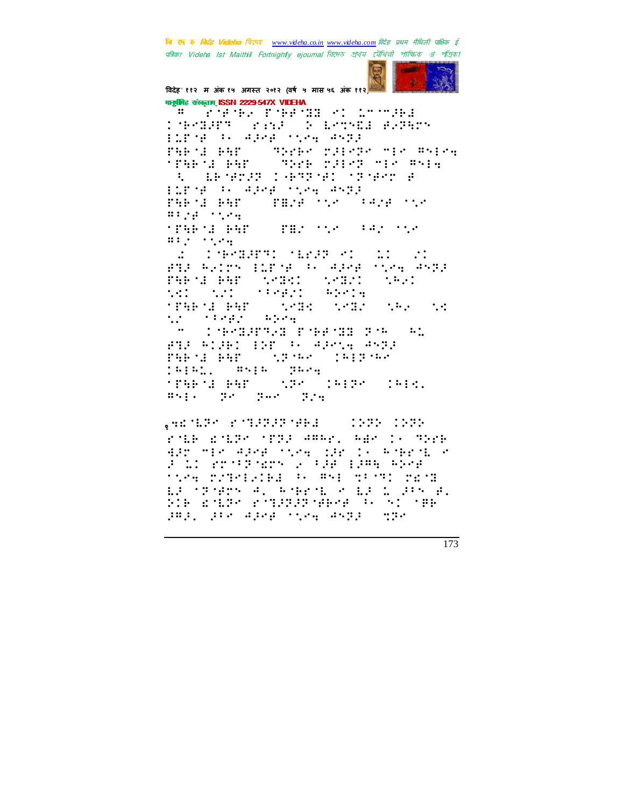वि एक रु क्विहेट Videha विएम्ब www.videha.co.in www.videha.com विदेह प्रथम मैथिली पाक्षिक ई पत्रिका Videla Ist Maithili Fortnightly ejournal রিদেহ শ্রথম মৌথিনী পাক্ষিক প্রা পত্রিকা



विदेह' ११२ म अंक १५ अगस्त २०१२ (वर्ष ५ मास ५६ अंक ११२ ) गानूबंगिह संस्कृताम् ISSN 2229-547X VIDEHA

<sup>To S</sup>herby Prefrom at Lorroged **THERM PART & LETTER BURGE** ELPARTA APARTANA ANDR PHP 12 PHP  $\mathbb{R}^n$  . The property of  $\mathbb{R}^n$  and  $\mathbb{R}^n$ TEAPOR PAR ( TEAP CHECK TECHNIC  $\mathcal{A} = \mathbb{E} \mathbb{P} \left[ \mathbb{P} \mathbb{P} \mathbb{P} \mathbb{P} \mathbb{P} \right] \in \mathbb{P} \left[ \mathbb{P} \mathbb{P} \mathbb{P} \mathbb{P} \right] \cap \mathbb{P} \left[ \mathbb{P} \mathbb{P} \mathbb{P} \right] \cap \mathbb{P}$ ilfy a scape the angl THE SE BHT - THIS SIM - PRIS SIM  $0.124 + 0.044$ **SPARIS RAP CONSTRACT CONTROL**  $\mathfrak{m}:\mathbb{R}\rightarrow\mathbb{R}\times\mathbb{R}$ CE THANFUL MEAN AT LIST AND ASIMA BIROK AN ADMA SYSA ANDD PHP G (PHP) (SMBS)  $1.4321$  $\cdot$  :  $\cdot$  : William Street Window TERRITA RAE (1984) SMED 1982 (19 <u> 10 - Fragis Abru</u> 74 - Chefmannia Tragadh (1948 - 41)<br>1912 - Aldel (1987 - 600 - 4201 - 4512) PHP G PHP ( SP Sec ) PHP Se

Separa Sepanjang Para **TEACH AND STATES IN THE STATES.**  $\mathbf{a} \cdot \mathbf{b}$  , and  $\mathbf{a} \cdot \mathbf{b}$  , and  $\mathbf{a} \cdot \mathbf{b}$  , and  $\mathbf{a} \cdot \mathbf{b}$ 

.417127 roll2227481 (1222-1222 rnik rnišk (1931. <sup>ama</sup>r, 548. l. Thrk are new area they include the shared by TORE CONFIDENT POSSESS CRIME CAN 12 (1988) 41 Annelis (1988) 1988 4.<br>Sin anist anisses Green (1988) pap, pre aper syes aspro mpe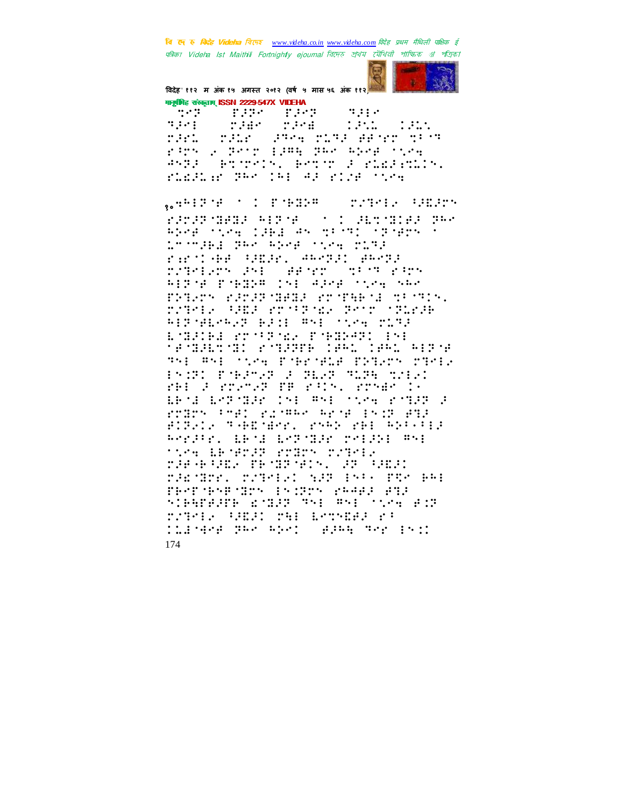वि एक रु क्रिटेड Videha विएम्ब www.videha.co.in www.videha.com विदेह प्रथम मैथिली पाक्षिक ई पत्रिका Videla Ist Maithili Fortnightly ejournal রিদেহ শ্রথম মৌথিনী পাক্ষিক প্রা পত্রিকা



विदेह' ११२ म अंक १५ अगस्त २०१२ (वर्ष ५ मास ५६ अंक ११२) गानूबंगिह संस्कृताम् ISSN 2229-547X VIDEHA

**PASSE PARA**  $\mathcal{L}$  ,  $\mathcal{L}$  ,  $\mathcal{L}$  $\mathbb{R}^n$  $\mathcal{L}$  $2.333$ maart. **Santa Cardinal**  $\mathbf{1}$  :  $\mathbf{2}$  :  $\mathbf{3}$  :  $\mathbf{5}$ **TELL STARTIFIER TEAM** martin i rans o Benn 1984 Bae aber ties ANTE (PTITAIN, PATIT E FLEEPLIN, ringler das ia: 43 rich sise

WHIPP TO PERMIT **TERMINAL RESERV** FRONTHE WEBSTATE COMPONERS THE ANGKUNING ISANG PAULANG MANGKAL Loomini dhe heef over 213: rantae SEP. Aberg Boer TIRESTA SAL SERVIC TROT PRY RIPA PARPE (SI APAR Syde She FRIEDS STORPSHER SOSPHERE OF STA. rathe GHB erstrag Thar (Biede RIP GEMENT BRIDGES (1989) MITR EMBRIED FRANCH FANDARI ENE **MARKET STORE CAL CAL ACTS** The Rhe Sing Powership Present Street British President Company (1992) PAI 2 POVOJ PR PIN. PONANJI ERME EMPORER CAP RAP STAR PORER D rodos (Pel rismas arme fsog edi BIT.LA TAREMENT PARK PRE REPORT Arrair, about architectrical med **TOPA ARTEST STATE STORES THERMIE TEMPNEY, JP HALL** racurr. reports an over the se PROPORTED INTEN PROFI PRE SIBBBBB RNBB 751 FS1 1554 BIP TITELE BREE THE LETTER FR TLENGA PROTECT (BPR) Rob ENI 174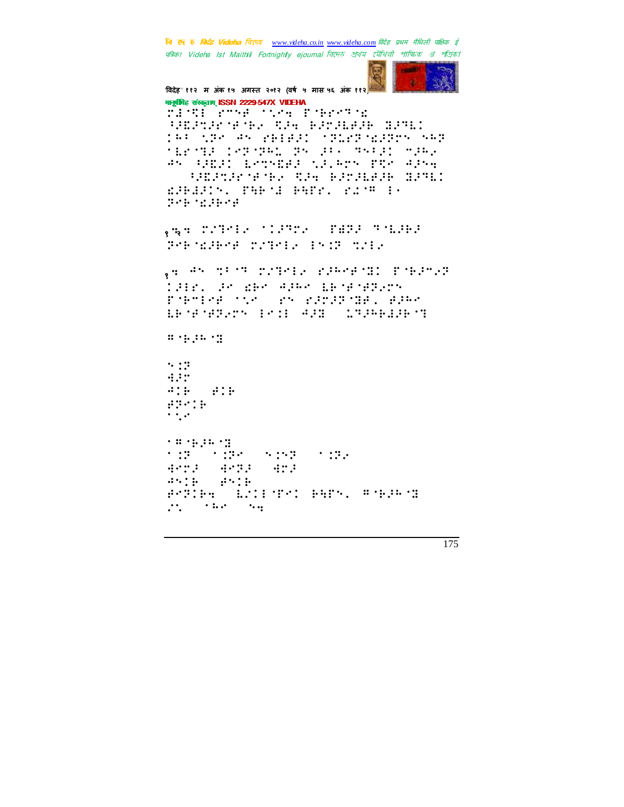वि एक रु क्रिटेड Videha विएक www.videha.co.in www.videha.com विदेह प्रथम मैथिली पाक्षिक ई पत्रिका Videha Ist Maithili Fortnightly ejournal রিদেহ প্রথম মৌথিনী পাক্ষিক প্র পত্রিকা



विदेह' ११२ म अंक १५ अगस्त २०१२ (वर्ष ५ मास ५६ अंक ११२) मानूबंगिह संस्कृतम् ISSN 2229-547X VIDEHA find bre ste forest **BOOKSYNG CONDITIONS INC.** THE SPACES PRIERIC SPLER SERRS SAR the macroscoped decode welcomens AN HEED ESTNEED WELFTY FRY APNE HEPSHORNEY SHE BROWNER SPAC dibility, THE GUIDEL SIMPLIE Police Serve , ga chiele flame. Teag mobile President province in Control ge as distinguiere primerie priempr TEER OF ERS ADAPTERMENTERS Poboleg the striptions game Brander Pol AM Stabler  $\frac{11}{2}$  +  $\frac{1}{2}$  ,  $\frac{1}{2}$  +  $\frac{1}{2}$  $\ddots$  : : H.P  $\mathbf{a}$  :  $\mathbf{b}$  $\mathbf{r}$  :  $\mathbf{r}$ **BEATE**  $\cdot$  , .  $127 - 127 - 5197$ 4022 4032 423  $d\mathcal{H}(\mathbb{R}) = d\mathcal{H}(\mathbb{R})$ POTTER (ESTEMPOR PRES) PORPHOR  $\mathbf{m} = \mathbf{m}$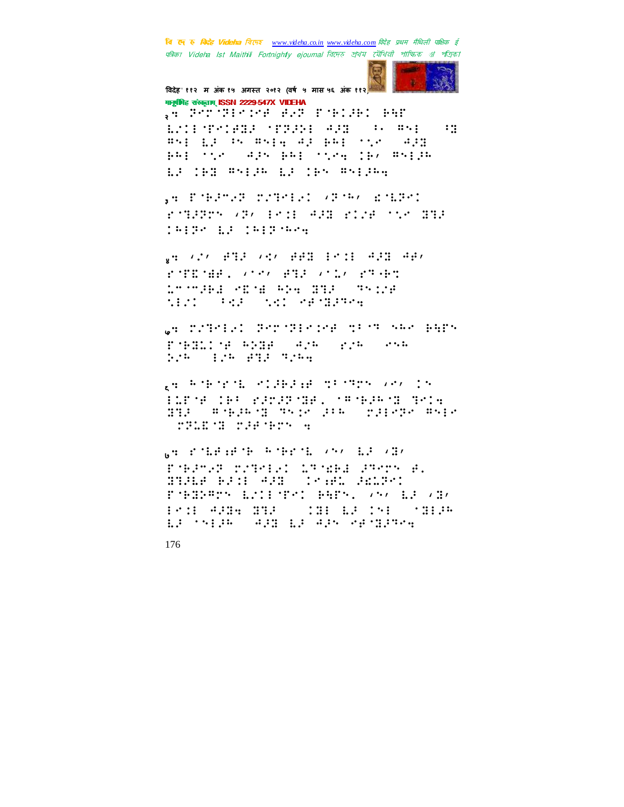**बि एक रु** *बिर्दह Videha विए***नर** www.videha.co.in www.videha.com विदेह प्रथम मैथिली पाक्षिक ई पत्रिका Videha Ist Maithili Fortnightly ejournal রিদেহ প্রথম মৌথিনী পাক্ষিক প্র পত্রিকা



विदेह' ११२ म अंक १५ अगस्त २०१२ (वर्ष ५ मास ५६ अंक ११२) गानूबंगिह संस्कृताम् ISSN 2229-547X VIDEHA

, STORIES ME BAR PORTAGE BAR EMISTERIAL STREET ARE THE ANGEL  $\mathbb{R}^2$  $\mathbf{B} \leq \frac{1}{2} \sum_{i=1}^{n} \mathbf{I}_i \leq \mathbf{I}_i \leq \mathbf{B} \leq \frac{1}{2} \sum_{i=1}^{n} \mathbf{I}_i \leq \frac{1}{2} \sum_{i=1}^{n} \frac{1}{2} \sum_{i=1}^{n} \frac{1}{2} \sum_{i=1}^{n} \frac{1}{2} \sum_{i=1}^{n} \frac{1}{2} \sum_{i=1}^{n} \frac{1}{2} \sum_{i=1}^{n} \frac{1}{2} \sum_{i=1}^{n} \frac{1}{2} \sum_{i=1}^{n} \frac$  $144$   $122$   $122$   $123$   $124$   $125$   $1224$   $125$   $126$   $127$ **WE THE WALLER WE THAN WALLER** 

, E PORTUR COTMER (SPOR) EMERG FOREST VEL POINTED FIRE TOP THE **TREPS LE TREPSAGE** 

08 NJ/ PHF NS/ PPH ESSE PPH PP/ POTENBEL ANNA BIB ANDA PROBE 10000111 0000111 10000111 1000011 tici (si tel del cadinaro)

GA SIREEI POSTERINE SE'N SAR BADS POSITION AND ANNO 2016 CONF 526 (126 #32 3264)

gen Roboten Bustable of Carolines (Seville) ELPORTIES FRONTSEL OFFICEOR SOL 1918 - Anglick Manger, Albert Manger *POINT TESTING* 

<sub>W</sub>e romanierte Aomerom (Sky ma (ma) PORTUGE TUTPLE: LEONER STORY B. Teach Sampet POHENHOW ESTECTIVE BHPM, AND ER ATD **FOR STREET STREET** 13 SAIDE AND 13 AND PROBABLY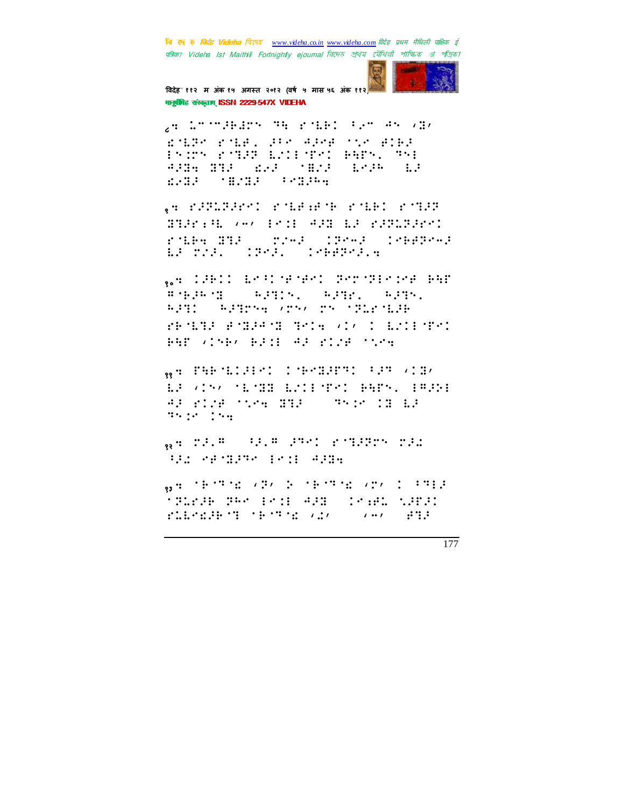वि ए रु क्रिडे Videha विएक www.videha.co.in www.videha.com विदेह प्रथम मैथिली पाक्षिक ई पत्रिका Videha Ist Maithili Fortnightly ejournal রিদেহ প্রথম মৌথিনী পাক্ষিক প্র পত্রিকা



विदेह' ११२ म अंक १५ अगस्त २०१२ (वर्ष ५ मास ५६ अंक ११२ गानूबंगिह संस्कृताम् ISSN 2229-547X VIDEHA

ge animetears the power for as voly ROLES ROLE, FROM PRESS MASSER Prove Form End (Pro PAPR) 751  $\mathbb{R}^n$ **SERVICE SERVICE SERVICE**  $\mathbb{R}^2$ 

ge ragbaarn robeert rober robe BREEK VALLEYS ARB EN MARINENT rdie 392 (chef (2002) (degroep EP TIL (IPS) (PEPPS)

WARD THE COMMON STATE OF THE COMMUNIST WAS STATED FOR THE STATED OF THE STATED OF THE STATED OF THE STATED OF THE STATED OF THE STATED OF THE STATED OF THE STATED OF THE STATED OF THE STATED OF THE STATED OF THE STATED OF 进行的开始 网络拉尔 网络托尔 机四极 **APPEN APPROVE STAS TO STRESHER** REMOVED AND ARREST TECHNIC CONTROL BAT (1987 BACK 43 STOR TOOK

WHO EARCHINES IN THE HIPPIC CREWS IN THE EF (15) MEMBERIENT PROGRESS IRES AF RICH STRE HIP (1981) IN 18 12  $25.16 - 15.4$ 

WHO TANK OF A PAPEL AND PRESS TANK **BELOGYNEY EST SER** 

489、大臣大学大臣大学、李、大臣大学大臣、大学人 (1993年12月) **TRIER PHOTOGRAPH (PARL NRPA)** POLENCIA (1989) STATE AND A STATE OF A STATE OF A STATE OF A STATE OF A STATE OF A STATE OF A STATE OF A STATE  $\mathbf{y} \cdot \mathbf{y} = \mathbf{y} \cdot \mathbf{y}$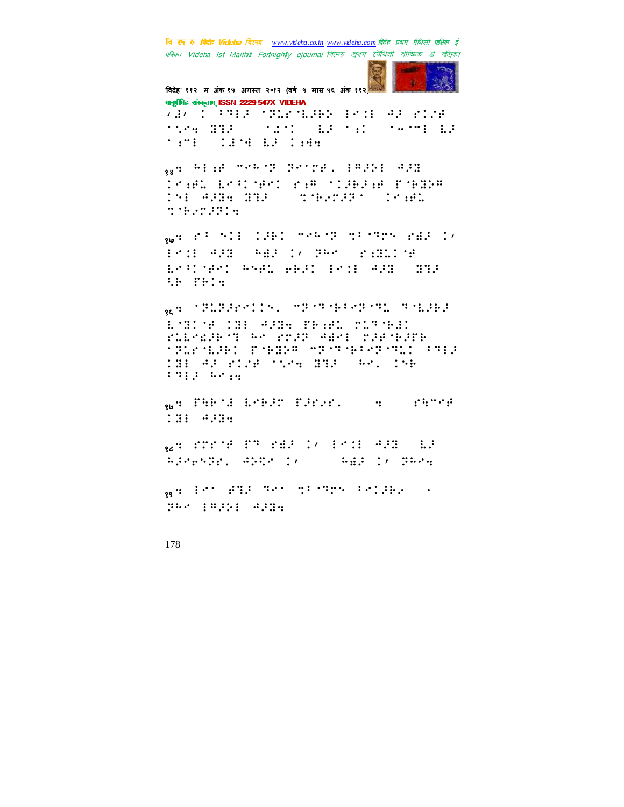वि ए रु क्रिडे Videha विएक www.videha.co.in www.videha.com विदेह प्रथम मैथिली पाक्षिक ई पत्रिका Videha Ist Maithili Fortnightly ejournal রিদেহ প্রথম মৌথিনী পাক্ষিক প্র পত্রিকা



विदेह' ११२ म अंक १५ अगस्त २०१२ (वर्ष ५ मास ५६ अंक ११२) गानूबंगिह संस्कृताम् ISSN 2229-547X VIDEHA

**Advisor PREPARENT REPORT POST PRODUCT SAMPLE REPORT OF THE RE**  $11.24 \pm 0.000$ **THE CONSTRUCTION** 

WHO REAR ORDER TRIVES (FRINE APE Deal betract ran (1828) Pages INE ARBA BRA (STARTER) (PABL **TOBATES** 

WAR AND THE MARKET TRITE AND IN 1931 428 542 17 758 238113 ESPIRATORSAL PROTOCOLOGO STO the Phine

**REACTED ARTICLES** IN THE PERSON IN THE PROPERTY OF THE PERSON IN THE PERSON IN THE PERSON IN THE PERSON IN THE BOOK ON AND PRAN MOVIN rledgen er rrgt gegen raftege **TELEMBER EMBER MESTAFFARMELL FREE** 138 AP RICH MICH 33P AP. 158  $1.313 \pm 0.0014$ 

<sub>36</sub>4 PARTA LORAD PAPAN. The Control 131 4234

 $_{36}$ u ruruf ru rak 17 (Fribung) ak Adepeding Angel () ( Again), garag

 $_{38}$  and Proposition (2010) and the proposition (2010)  $\mu$  . par pappi app.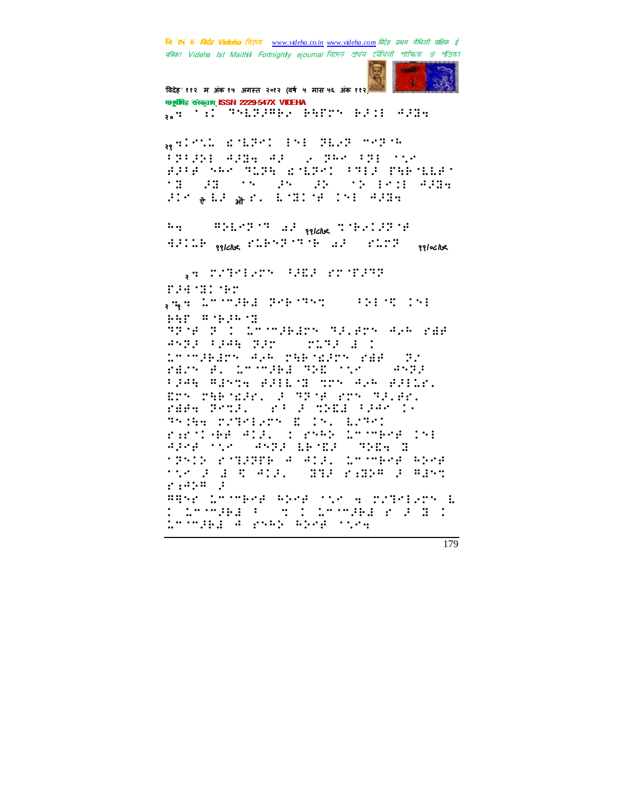**बि एक रु** *बिर्दह Videha विए***नर** www.videha.co.in www.videha.com विदेह प्रथम मैथिली पाक्षिक ई पत्रिका Videha Ist Maithili Fortnightly ejournal রিদেহ প্রথম মৌথিনী পাক্ষিক প্র পত্রিকা



38/06/15

विदेह' ११२ म अंक १५ अगस्त २०१२ (वर्ष ५ मास ५६ अंक ११२,

WHICH EMERGE IN TEACHERS FREED ANNA AN 1980 FRA FREEDOM BREAGAN MICH RICHARD FMB THEMILES

गानूबंगिह संस्कृताम् ISSN 2229-547X VIDEHA WAR THE THEFFULL BUTTH BELL WEDN

18 28 15 25 25 26 17 18 27 28

Pir and and nothing information

 $\cdots$ 

 $\texttt{HSE}(\mathcal{P}, \mathcal{P}) \texttt{H} \texttt{MSE} \texttt{MSE} \texttt{H} \texttt{H} \texttt{H} \texttt{H} \texttt{H} \texttt{H} \texttt{H} \texttt{H} \texttt{H} \texttt{H} \texttt{H} \texttt{H} \texttt{H} \texttt{H} \texttt{H} \texttt{H} \texttt{H} \texttt{H} \texttt{H} \texttt{H} \texttt{H} \texttt{H} \texttt{H} \texttt{H} \texttt{H} \texttt{H} \texttt{H} \texttt{H} \texttt{H} \texttt{H} \$ HALLE <sub>SSIGH</sub> PLENT THE WAR HILLY <sub>a</sub>n complete same endrag

F.PE 120 1911 ga 15 milio Presidente (Parti 15) **BAP #18.8012** 33 YEAR OL AMINGERS SELEN AVE YEE 8522 1245 222 22372 123 Conception also capacities rap (2) PACK B. LOOMBA MAR TVO COMMA ting witch SHEET TO AN SHEET ETS THEORET 2 TROP STS TRIED. PAPA POST ( PROF CREA PAPA I) Thing consider E in. Lote: randar sold, canbi broken (n. 191 **TRAIN PORPHER ACAID, LOOPERA ANGE** stra a plata. And Public Adri<br>Para PRSE LOOPERF PERFORMED COTRIECTS L : 1658. Partie de la Competito Polonia tronged a prep epop cyce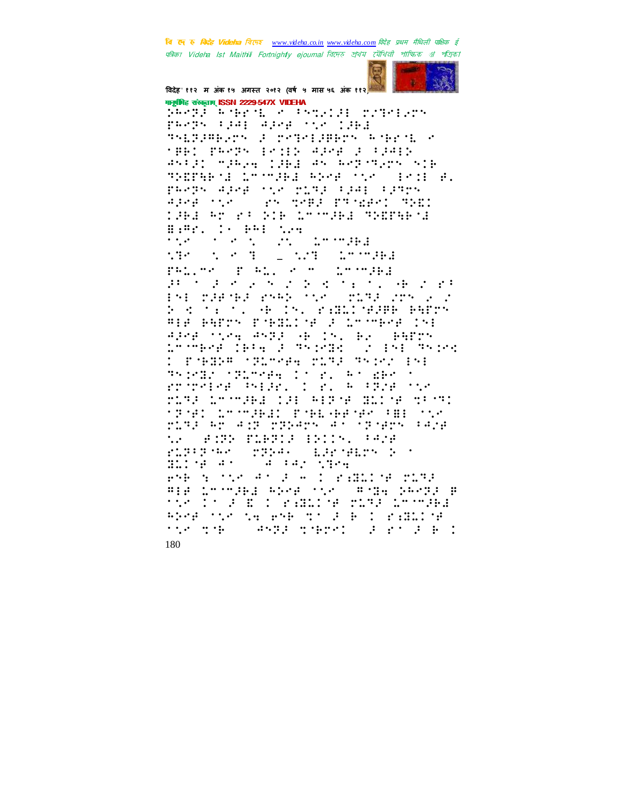बि एक रु *बिरोह Videha चिएक www.videha.co.in www.videha.com विदेह प्रथम मैथिली पाक्षिक ई* पत्रिका Videha Ist Maithili Fortnightly ejournal রিদেহ প্রথম মৌথিনী পাক্ষিক প্র পত্রিকা



विदेह' ११२ म अंक १५ अगस्त २०१२ (वर्ष ५ मास ५६ अंक ११२ की गानूबंगिह संस्कृताम् ISSN 2229-547X VIDEHA

SARRE ARBENE SCHARELE STIPLET PROPOSIBLE APORTION IPED THIRPHENY F TYTHIBBTY RYBYN C **THE PROPY ECOLD ARGE 2 FRAID** #5121 miRea 12Bd #5 Reporters 51B THING I LOOPED REAR TO SPOILE. PROPRIADOR STOCKTONIA PORTA apan sin serang pengan dan 1961 Ar es Sie Loodel Gymneid B:Pr. 1- PHI 524  $\ddot{m}$  ,  $\ddot{m}$  ,  $\ddot{m}$  ,  $\ddot{m}$  ,  $\ddot{m}$  ,  $\ddot{m}$  ,  $\ddot{m}$  ,  $\ddot{m}$  ,  $\ddot{m}$  $\mathcal{L}(\mathcal{L}^{\text{max}}_{\mathcal{L}^{\text{max}}_{\mathcal{L}^{\text{max}}_{\mathcal{L}^{\text{max}}_{\mathcal{L}^{\text{max}}_{\mathcal{L}^{\text{max}}_{\mathcal{L}^{\text{max}}_{\mathcal{L}^{\text{max}}_{\mathcal{L}^{\text{max}}_{\mathcal{L}^{\text{max}}_{\mathcal{L}^{\text{max}}_{\mathcal{L}^{\text{max}}_{\mathcal{L}^{\text{max}}_{\mathcal{L}^{\text{max}}_{\mathcal{L}^{\text{max}}_{\mathcal{L}^{\text{max}}_{\mathcal{L}$ MP CACK TO LOWED AMMPRE PRISHE PAIL SOME IMPORT an in a shi yi yi yi yi yi na cha cha shekaran<br>Ana channan annyo cho contae chin yi c S K title H In. PHAINER PHTT FIR PRIM FORESCH 2 LOOPPER IN Alex ties Angl (B 15, Br) BATTN Looperful Francis Shirter (1981-1989) D PARP (RITCH PLAS ANDC 151 deredis (diverge listas, estades )<br>En verfeg (definition) et (divergente ring in what the Aspea dite steep MEMBI GMOMABAI EMBEGHAMAR FBESON ring ar an rear at teach and NA SERIE PLEPIA ERITAL PAME **STORY LESSERS S** runnerfarikini ferni ser m PARTN START AND A STOREHOLD PLAN First Loomsey Adept only to Folk deeps a tir It a Bouogamania maga intela REAR TO THE RMB STORE IS FOREIGN the nome of ASBA nomination and the Annual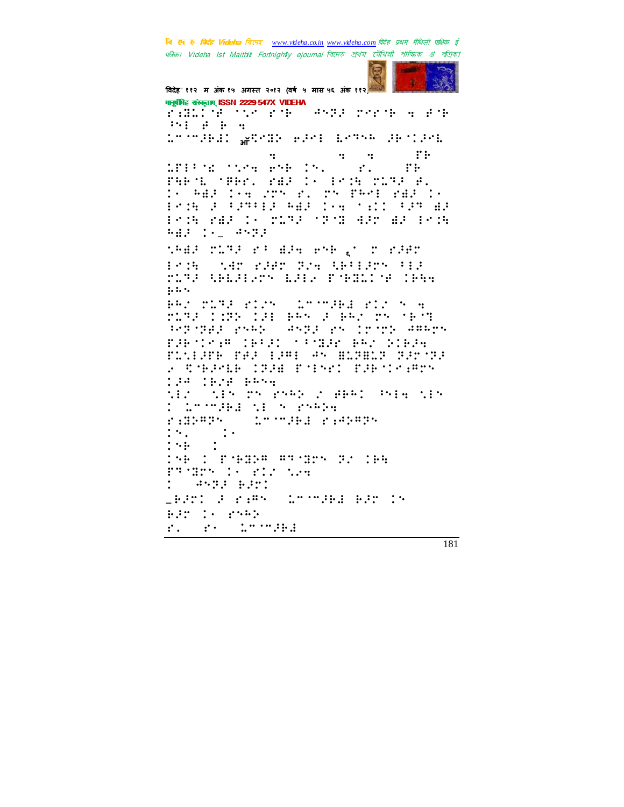

विदेह' ११२ म अंक १५ अगस्त २०१२ (वर्ष ५ मास ५६ अंक ११२) मानूबंगिह संस्कृताम् ISSN 2229-547X VIDEHA family the star and servan a ata do colegi grega (elemente de Clend  $\mathbf{u}$  ,  $\mathbf{u}$ **Similar**  $\dddot{\mathbf{z}}$ MPIRE TOPE PRESS.  $:::$  $\mathbf{r}$ PARTE TRACK PARTICULAR PORTUGAL<br>In 1942 Institute P. Professor Parti Problem Performance and South Perman Problema (F. 2198) (Pomlead and Prob  $\frac{1}{2}$   $\frac{1}{2}$   $\frac{1}{2}$   $\frac{1}{2}$   $\frac{1}{2}$   $\frac{1}{2}$   $\frac{1}{2}$   $\frac{1}{2}$   $\frac{1}{2}$   $\frac{1}{2}$   $\frac{1}{2}$   $\frac{1}{2}$   $\frac{1}{2}$   $\frac{1}{2}$   $\frac{1}{2}$   $\frac{1}{2}$   $\frac{1}{2}$   $\frac{1}{2}$   $\frac{1}{2}$   $\frac{1}{2}$   $\frac{1}{2}$   $\frac{1}{2}$  SHEP TORP INFORMED HTML 200 TO INFO Prim (1985) Public River Charles (1982) TITE ABLEDITY LEDG FOREDOM CHAN  $\ddot{p}$  in the set of  $\ddot{p}$ PRODUCED STORY COMMODER STORY HOME MIRA CORPORAL BASOS BAZONS CROB PERSONAL PRAY CARDS PROJECTS ARABY FAR MANH (BRAD (1973A) BRZ GOBAN PLOIPE PARTIME AN BLABLA ARCAR 2 STEPHE INSE PTETE FRETCHETT 134 1678 BRS4 MP SENTH PHR 2 BEE PHAINEN **COMMONS SECTIONS PASSAGE MONDAY**  $\mathbb{R}^{n}$  $\ddots$  $\mathbf{1}$  :  $\mathbf{1}$ **196 : PARCH ANNERS C. 165** Prime to the Window **:** *dwyless:* \_BATI A riffy (1878)Bac BAT IN Bir : Phil r. r. human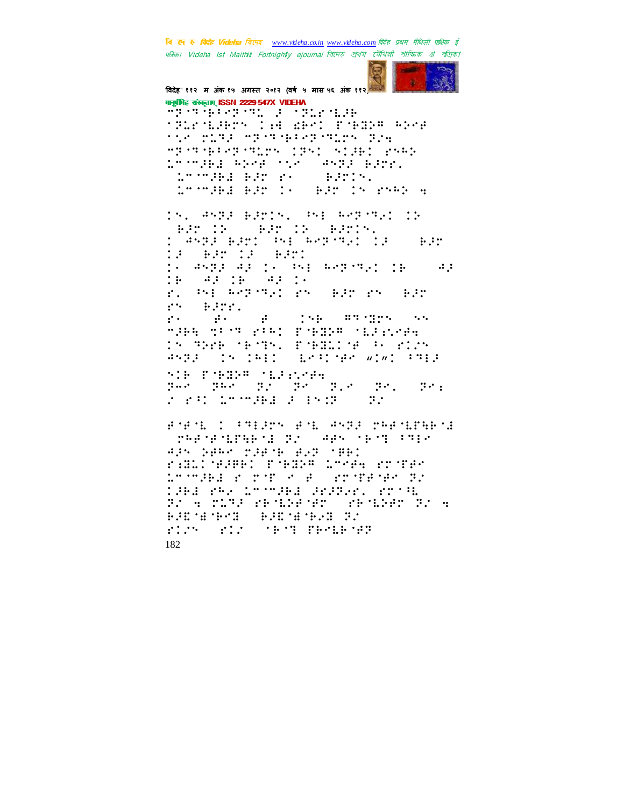

विदेह' ११२ म अंक १५ अगस्त २०१२ (वर्ष ५ मास ५६ अंक ११२) गानूबंगिह संस्कृताम् ISSN 2229-547X VIDEHA **MESTARIAN AND ARRIVERS TRACKART CALARY PORT REAR THE PLAY MEMAGEMENT BIG** MEST NEEDER TENNISCHE SCHEN tronged about the sample edge. Loomsha Bar even Barin. Connell Bar (8) Bar (8) reed a

15. ASTA BATIS, PHORETON IN (Barole (Barole Bar)s.<br>1 Aspa Barl (Si Bergeral 14  $\mathbb{R}^n$  is a set 13 BRT 13 BRT1 16 ANG AR 16 PNI AMBANG 18 - AR  $-42.18 - 42.14$  $:math$ r, bi bergenet re der re der **SEPTE**  $\mathbf{r}$  $\mathbf{H}$  $\begin{picture}(180,10) \put(0,0){\vector(1,0){10}} \put(10,0){\vector(1,0){10}} \put(10,0){\vector(1,0){10}} \put(10,0){\vector(1,0){10}} \put(10,0){\vector(1,0){10}} \put(10,0){\vector(1,0){10}} \put(10,0){\vector(1,0){10}} \put(10,0){\vector(1,0){10}} \put(10,0){\vector(1,0){10}} \put(10,0){\vector(1,0){10}} \put(10,0){\vector(1,0){10}} \put(10,0){\vector($  $\mathbf{r}$ .  $\mathbb{R}^n$ MARA MEST PERI PORTABLE SEARCHER IN THE MEMBER POBLICE IN FILM **AND : 18 INIT**  $\frac{1}{2}$  .  $\frac{1}{2}$  .  $\frac{1}{2}$  .  $\frac{1}{2}$  .  $\frac{1}{2}$  .  $\frac{1}{2}$  .  $\frac{1}{2}$  .  $\frac{1}{2}$  .  $\frac{1}{2}$ **NID PARDS MERCHE**  $p\overline{b}b$  ,  $p\overline{b}b$  ,  $p\overline{b}$  ,  $p\overline{c}$  ,  $p\overline{c}$  ,  $p\overline{c}$  ,  $p\overline{c}$  ,  $p\overline{c}$  , FOR THURSDAY PAIR OF

FOR NO CONTRACTO FOR ANCHO CAPACINARY SPACERBER 2018 APROVED PRE 435 SARA MIRTH AST TAB: FAMILYMANNI TYMNA LTYMA PTYPA Chinaea e pipile a l'epipeire du .<br>Dael 242 chwael ardari 2018 ar Albana resperso l'essanto ar la **BOOK WARRENT BOOKS** FILM SIL TEMPERAR 182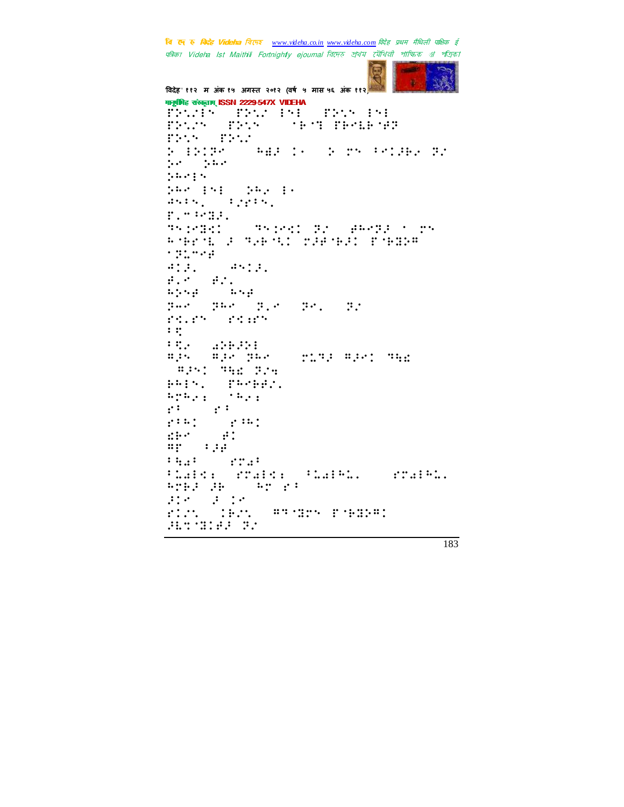**COLOR** 

विदेह' ११२ म अंक १५ अगस्त २०१२ (वर्ष ५ मास ५६ अंक ११२) मानुषीिह संस्कृतम् ISSN 2229-547X VIDEHA FRANCH TRANSPORT  $\mathbf{F}$ bility of  $\mathbf{F}$  and  $\mathbf{F}$   $\mathbf{F}$  and  $\mathbf{F}$   $\mathbf{F}$  and  $\mathbf{F}$  and  $\mathbf{F}$ ERNA (ERNA)<br>Rojekter **AU S & T & T & T B & T ?** ⢵0!⢵⢳! ⢵⢳30!!  $330$  330  $330$  330  $330$ GATS, TOPPER, &=+⢸⣝⢼=! ⢹⣈⣝⣊0!)⢹⣈⣊!⢽".!⢾⢳⢽⢼!!!  $\overline{h}$  (Frid )  $\overline{h}$  (Frid )  $\overline{h}$  (Frid )  $\overline{h}$ izure<br>All'asig  $\frac{1}{2}$   $\frac{1}{2}$   $\frac{1}{2}$   $\frac{1}{2}$  $\theta$  ,  $\theta$  = 0.0  $\theta$  $\mathbf{L}$  ,  $\mathbf{L}$  ,  $\mathbf{L}$  ,  $\mathbf{L}$  ,  $\mathbf{L}$  ,  $\mathbf{L}$  ,  $\mathbf{L}$ ⢽⢲0!⢽⢳0!⢽=0!⢽=0!⢽"! ⣊=0!⣊⣐!  $:$   $:$ 7⣋⢴!)⣔⢵⢷⢼⢵3\*!! BPN | BPN PRN | INTP BPN | PRN | )⢻⢼!⢹⣓⣎!⢽"⣒\*! **PHIN.** PHOPPI. Bregi (1eg)<br>gi  $\frac{2}{7}$  :  $\frac{2}{7}$  :  $\frac{2}{7}$  :  $\frac{2}{7}$  :  $\frac{2}{7}$  :  $\frac{2}{7}$  $7 \cdot$   $7 \cdot 11$ .<br>∷∷ ::  $\dddot{\textbf{r}} = \ddot{\textbf{r}} \dot{\textbf{r}} \dot{\textbf{r}} \dot{\textbf{r}}$  $7.77 \times 7.77$ 7ïald: rhald: Fialbi, rhalbi, Hrb3 JB (Hr Hr f:  $\frac{H^2}{2\pi}$  ,  $\frac{H^2}{2\pi}$  ,  $\frac{H^2}{2\pi}$ "⣁0!⢷"⣁!)⢻⢹⣝!&⢷⣝⢵⢻! ⢼⣇⣉⣝⢾⢼!⢽"\*!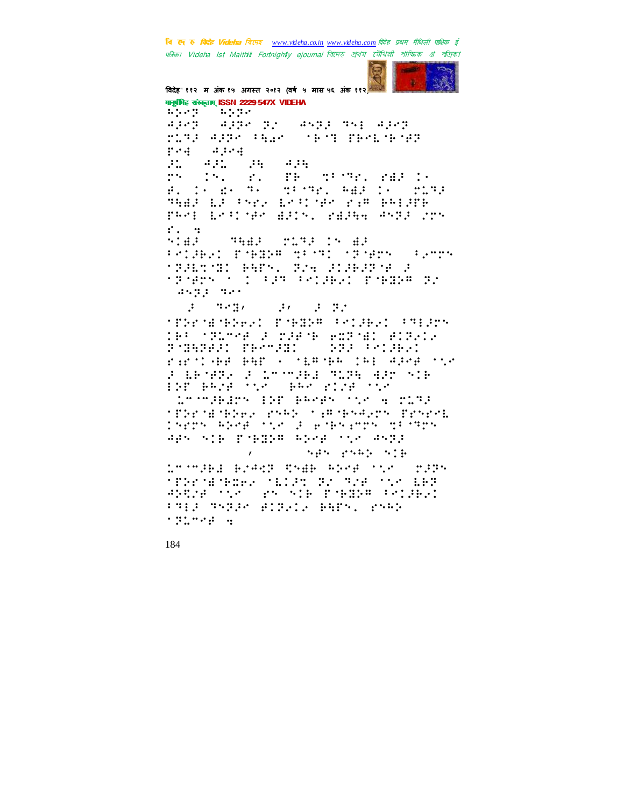

विदेह' ११२ म अंक १५ अगस्त २०१२ (वर्ष ५ मास ५६ अंक ११२) गानूबंगिह संस्कृताम् ISSN 2229-547X VIDEHA  $1.1.11$  $\sim 1.5$  (Fig. Sappe pro aspporal apep  $\mathcal{L}^1_{\mathcal{I}}$  ,  $\mathcal{L}^2_{\mathcal{I}}$  ,  $\mathcal{L}^2_{\mathcal{I}}$ MISS ASSESSMENT CONTROL SECTION pear agear  $\mathcal{L}$  $\mathcal{A}$  ,  $\mathcal{B}$  ,  $\mathcal{B}$  ,  $\mathcal{B}$  ,  $\mathcal{B}$  ,  $\mathcal{B}$  ,  $\mathcal{B}$  ,  $\mathcal{B}$  $\ldots$  :  $\ldots$  $\begin{array}{ll} \frac{1}{2} \mathcal{D}^2 \left( \frac{1}{2} \mathcal{D}^2 \right) & \frac{1}{2} \mathcal{D}^2 \left( \frac{1}{2} \mathcal{D}^2 \right) \\ \frac{1}{2} \mathcal{D}^2 \left( \frac{1}{2} \mathcal{D}^2 \right) & \frac{1}{2} \mathcal{D}^2 \left( \frac{1}{2} \mathcal{D}^2 \right) \end{array}$ THE TESTIC PART IS **MISSING PARTIES IN STREET** THE EF PYE ESTING FROM BRIDE PROF ESSUAR BRIS, PBRAY ASPE 205  $\mathcal{C}^{\dagger}$  , and  $\mathcal{C}^{\dagger}$  $5.147\pm0.001$ **THE SAIL IS STATE** PRINGE PORTH SPORT CROPS (PROS 19961191 PAPY, P24 SLGBSP14 S<br>191925 1 1 FSP FRIGHT PADDR P2 asproace  $\begin{array}{cccccccccc} \mathbb{P} & \mathbb{P} & \mathbb{P} & \mathbb{P} & \mathbb{P} & \mathbb{P} & \mathbb{P} & \mathbb{P} & \mathbb{P} & \mathbb{P} & \mathbb{P} & \mathbb{P} & \mathbb{P} & \mathbb{P} & \mathbb{P} & \mathbb{P} & \mathbb{P} & \mathbb{P} & \mathbb{P} & \mathbb{P} & \mathbb{P} & \mathbb{P} & \mathbb{P} & \mathbb{P} & \mathbb{P} & \mathbb{P} & \mathbb{P} & \mathbb{P} & \mathbb{P} & \mathbb{P} & \$ **TERM NERVOL EMPRESSORIER** (STREP) te: (Ploye a parte edfort etf.) PARTNER PROGRESS (200 POINT randae een volgens (spoedinge von FARMER COMMUNE TITL AND MIR ishaka ya ake hundu interpreted by proposition a rite **TERMINERAL PRAY TARNARY PRYPE** Gers Week that a pipelers of the 485 SIR PORTH ANGELONG ASTA Springship Sip  $\mathbf{r}$ Loomand Reads Ship Aber over 2235 STRESHOPHER SELLER TROUBLESS ERT ANDRE STATE AND NIE PONGER PRIJERI FREE RATES BITSIN BATA, PARK **STEAM STAR**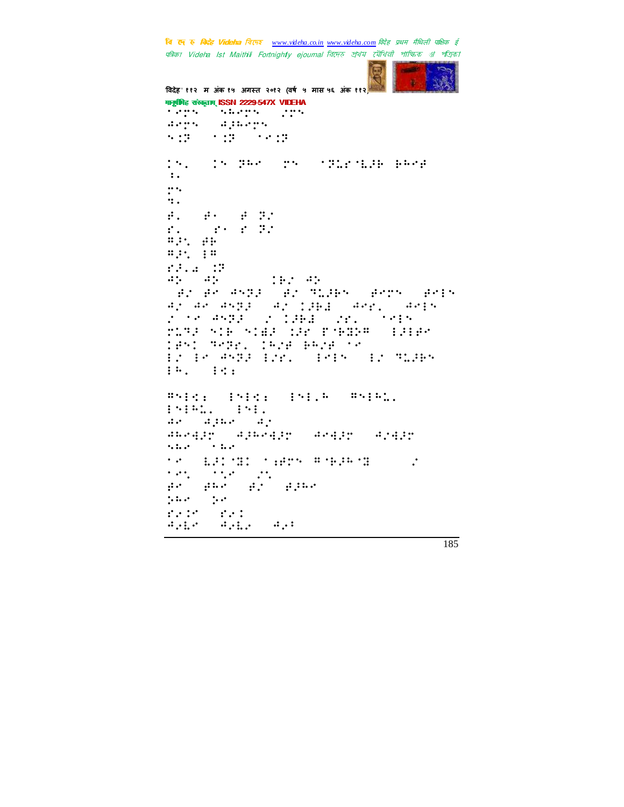```
START
```

```
'वदेह' ११२ म अंक १५ अगत २०१२ (वष ५ मास ५६ अंक ११२)
मानुमिह संस्कृतम् ISSN 2229-547X VIDEHA<br>प्राप्तः स्टब्स्
- 1995 - 1995 - 1996<br>Aego - Agbego
               \ldots\overline{\gamma} (9) \overline{\gamma} (9) \overline{\gamma}\mathbb{R}^n=!)!⢽⢳*!!)⢽⣅⣇⢼⢷!⢷⢳⢾*!!
 \ddot{\phantom{1}}!
 \ddots⢾=!)⢾j-!⢾!⢽"*!
=!)!j!!⢽"*!
⢻⢼⣁!⢾⢷!
⢻⢼⣁!3⢻!
∷:<br>∷¦ ∴
⢺⢵!)⢺⢵!hp-!⢷"!⢺⢵!ep*!
!Å DEN 1959 STATE STATE OVER 1990 STATE OVER 1990 STATE OVER 1990 STATE OVER 1990 STATE OVER 1990 STATE OVER 1
OZ 00 020 021 022 032 042 043 0
"0!⢺⢽⢼.!"!⢼⢷⣜0!"=0!30!
⣅⢹⢼!⢷!⣞⢼!⣈⢼!&⢷⣝⢵⢻.!3⢼3⢾!
\frac{1}{2} \frac{1}{2} \frac{1}{2} \frac{1}{2} \frac{1}{2} \frac{1}{2} \frac{1}{2} \frac{1}{2} \frac{1}{2} \frac{1}{2} \frac{1}{2} \frac{1}{2} \frac{1}{2} \frac{1}{2} \frac{1}{2} \frac{1}{2} \frac{1}{2} \frac{1}{2} \frac{1}{2} \frac{1}{2} \frac{1}{2} \frac{1}{2} \3"03!⢺⢽⢼!3"=0!330!3"!⢹⣅⢼⢷!
3^{\circ} 3^{\circ} 3^{\circ} 3^{\circ} 3^{\circ} 3^{\circ} 3^{\circ} 3^{\circ} 3^{\circ} 3^{\circ} 3^{\circ} 3^{\circ} 3^{\circ} 3^{\circ} 3^{\circ} 3^{\circ} 3^{\circ} 3^{\circ} 3^{\circ} 3^{\circ} 3^{\circ} 3^{\circ} 3^{\circ} 3^{\circ} 3^{\circ} 3^{\circ} 3^{\circ} 3^{\circPHRISH IND<br>1995. 1991.
33⢳⣅=0!33=!
de djie dj
anegin ajnegin aegin ajgin<br>She
           ⊙0 0 10:00
!) ) )<br>!Projections of the state of the state of the state of the state of the state of the state of the state of the<br>!
\mathcal{O}(\mathcal{O}(1)) . The contract of the contract of the contract of the contract of the contract of the contract of the contract of the contract of the contract of the contract of the contract of the contract of the contra
βr βhr β2 βlbr
⢵⢳0!⢵!!
red red<br>Agreemagne agr
⢺⢴⣇0!⢺⢴⣇⢴0!⢺⢴7!!!
```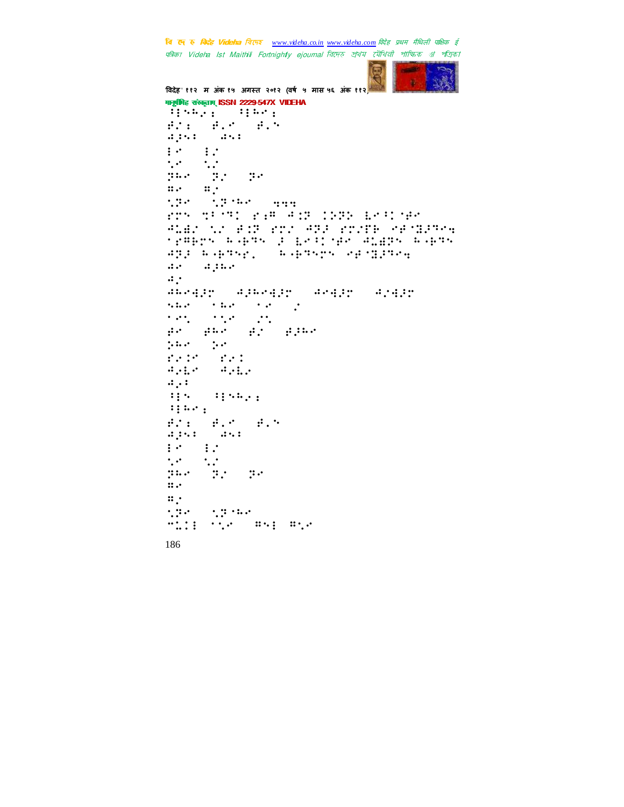

'वदेह' ११२ म अंक १५ अगत २०१२ (वष ५ मास ५६ अंक ११२) मानुषीिह संस्कृताम् ISSN 2229-547X VIDEHA ∬3Weele Site fit: fit fit ⢺⢼70!⢺7!!  $350^\circ$   $320^\circ$  $\mathcal{O}(\mathcal{O}(\log n))$ ⢽⢳0!⢽"0!⢽!!  $\mathbb{R}^3$   $\mathbb{R}^3$ ⣁⢽0!⣁⢽⢳!!⣒⣒⣒!! !⣉7⢹!⣐⢻!⢺⣈⢽!⢵⢽⢵!⣇⢸⢾! ⢺⣅⣞"!⣁"!⢾⣈⢽!"!⢺⢽⢼!"&⢷!⢾⣝⢼⢹⣒! Mr#Bry Ages (Fire) Bry Andre Ages ⢺⢽⢼!⢳9⢷⢹=-!⢳9⢷⢹!⢾⣝⢼⢹⣒!!!! de distant  $\ddot{a}$  : GRAGIN GRAGIN GANGIN<br>SRAMA SRAMA SAMA when the construction of the construction of the construction of the construction of the construction of the c<br>Second to the construction of the construction of the construction of the construction of the construction of<br>S  $\mathcal{O}(\mathcal{O}(1))$  . The contract of the contract of the contract of the contract of the contract of the contract of the contract of the contract of the contract of the contract of the contract of the contract of the contra βr β60 βr Blo ⢵⢳0!⢵! ⢴⣈0!⢴⣈! ⢺⢴⣇0!⢺⢴⣇⢴0!!  $\mathbf{a}$   $\mathbf{a}$  : ⢸30!⢸3⢳⢴⣐0!!  $3:3:4:5$  $f: P \rightarrow P \rightarrow P$ age: as:  $\begin{array}{ll} \mbox{130} & \mbox{141} \\ \mbox{251} & \mbox{252} \\ \mbox{262} & \mbox{262} \end{array}$  $\frac{1}{2}$ ⢽⢳0!⢽"0!⢽!  $\mathbf{::}.$  $::$ . ⣁⢽0!⣁⢽⢳! +⣅3!⣁0!⢻3!⢻⣁!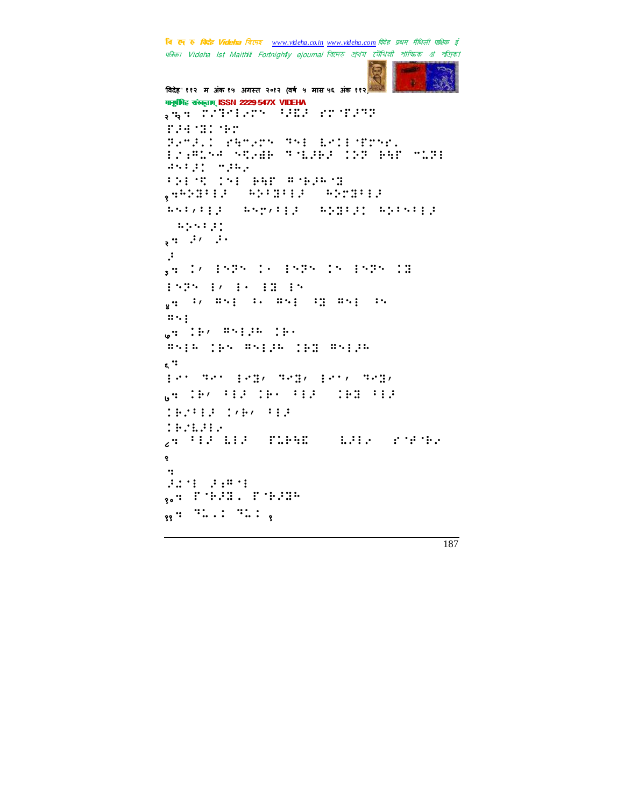```
'वदेह' ११२ म अंक १५ अगत २०१२ (वष ५ मास ५६ अंक ११२)
मानुष्मिह संस्कृतम् ISSN 2229-547X VIDEHA
२ देख के संसार काली के साथ स्थान
F24.100 101
SAMALI PEMANY THE ESIPTIME.
3"⣐⢻⣅⢺!⣋⢴⣞⢷!⢹⣇⢼⢷⢼!⢵⢽!⢷⣓&!+⣅⢽3!
77.7 77.77⢵3⣋!3!⢷⣓&!⢻⢷⢼⢳⣝;!!!
१⣒⢳⢵⣝73⢼0!⢳⢵7⣝73⢼0!⢳⢵⣝73⢼0!
T371, T3T- T3T1, T3T0⢳⢵7⢼!!
२ में \ddot{\phantom{a}}\mathcal{F}३⣒!'!3⢽0j!3⢽0!3⢽0⣝!
1939 17 17 18 19
\frac{1}{2}4, 30, 454 (30, 454 (30, 454 (30, 454 (30, 454 (30, 454 (30, 454 (30, 454 (30, 454 (30, 454 (30, 454 (30)
3! \cdot 3!५⣒!⢷'!⢻3⢼⢳0⢷j!
⢻3⢳0⢷!⢻3⢼⢳0⢷⣝!⢻3⢼⢳!!
\epsilon :
300 THE 30W OR THE 20W OR THE 20W OR THE 20W OR THE 30W OR THE 30W OR THE 30W OR THE 30W OR THE 30W OR THE 30W
७⣒!⢷'!73⢼0⢷j!73⢼0!⢷⣝!73⢼!
⢷"73⢼0'⢷'!73⢼!0!
: Probably
८⣒!73⢼!⣇3⢼!)&⣅⢷⣓⣏*-!⣇⢼3⢴!)⢾⢷⢴*!
९
\cdot!
⢼⣌3!⢼⣐⢻3!!
<sub>९०</sub>० : १५८% : १५८% :
1999: "... "...
```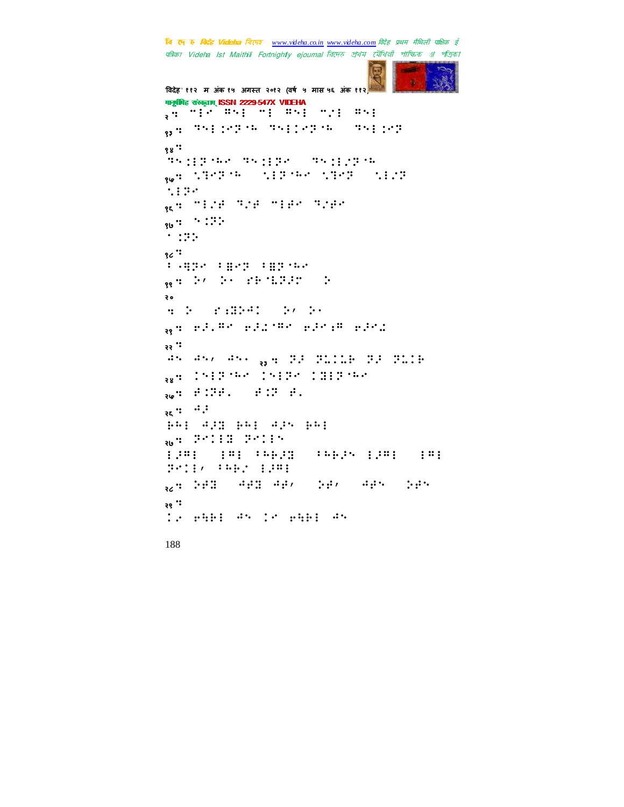```
विदेह' ११२ म अंक १५ अगस्त २०१२ (वर्ष ५ मास ५६ अंक ११२)
मानुष्मिह संस्कृतम् ISSN 2229-547X VIDEHA
\frac{3}{2} +3 \frac{3}{2} +3 \frac{3}{2} +3 \frac{3}{2} +3 \frac{3}{2} +3 \frac{3}{2} +3 \frac{3}{2} +3 \frac{3}{2} +3 \frac{3}{2} +3 \frac{3}{2} +3 \frac{3}{2} +3 \frac{3}{2}१३⣒!⢹3⣈⢽⢳!⢹3⢽⢳-!⢹3⣈⢽!!
१४⣒!
⢹⣈3⢽⢳!⢹⣈3⢽0!⢹⣈3"⢽⢳!!
१५⣒!⣁⣙⢽⢳0!⣁3⢽⢳!⣁⣙⢽0!⣁3"⢽0!
\ddot{\phantom{0}}१६९ °CCP TOP TEP TOP
30 : \ddots : : : : :
^{\circ} :31:
१८\cdot :
79. THE PRESS OF THE PRESS OF THE PRESS
१९⣒!⢵'0⢵j)⢷⣇⢽⢼*!⢵!!
२०
\vdots \vdots \vdots \vdots \vdots२१⣒!⢶⢼=⢻0⢶⢼⣌⢻!⢶⢼⣐⢻0⢶⢼⣌!!
२२ "
\frac{1}{2} \frac{1}{2} \frac{1}{2} \frac{1}{2} \frac{1}{2} \frac{1}{2} \frac{1}{2} \frac{1}{2} \frac{1}{2} \frac{1}{2} \frac{1}{2} \frac{1}{2} \frac{1}{2} \frac{1}{2} \frac{1}{2} \frac{1}{2} \frac{1}{2} \frac{1}{2} \frac{1}{2} \frac{1}{2} \frac{1}{2} \frac{1}{2} \२४⣒!3⢽⢳03⢽0⣝3⢽⢳!!
२७: #224. #224.
25 \cdot 10^{-3}.
⢷⢳30⢺⢼⣝!⢷⢳30⢺⢼!⢷⢳3!!
<sub>२७</sub> - 300 : 300 : 300 : 300 : 300 : 300 : 300 : 300 : 300 : 300 : 300 : 300 : 300 : 300 : 300 : 300 : 300 : 300 : 300 : 300 : 300 : 300 : 300 : 300 : 300 : 300 : 300 : 300 : 300 : 300 : 300 : 300 : 300 : 300 : 300 : 300 
3.3¤: 3¤: 3¤£33 3¤£20 3.3¤: 3¤:
3'11, '55E' 13"1
२८⣒!⢵⢾⣝0!⢺⢾⣝!⢺⢾'0!⢵⢾'0!⢺⢾0!⢵⢾!!
२९ ः
\ddotsc while the \ddotsc shift the \ddotsc
```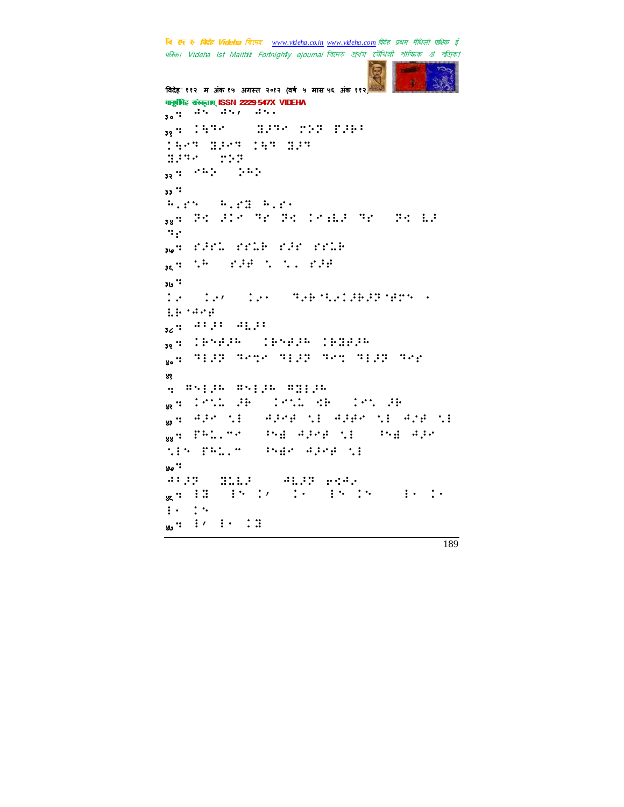```
'वदेह' ११२ म अंक १५ अगत २०१२ (वष ५ मास ५६ अंक ११२)
मानुष्मिह संस्कृतम् ISSN 2229-547X VIDEHA
\frac{304}{30} : \frac{45.745}{14.0} , \frac{7277}{14.0}३१⣒!⣓⢹!0!⣝⢼⢹)⢵⢽!&⢼⢷7*!
⣓⢹0⣝⢼⢹0⣓⢹0⣝⢼⢹0!!
 ⣝⢼⢹!)⢵⢽*!!
३२<sup>.</sup>३ जन्मी अधिकारि
३३ <sup>1</sup>
\begin{aligned} \mathbf{5}_{11} \mathbf{25}_{11} & \mathbf{5}_{12} \mathbf{13}_{12} & \mathbf{5}_{13} \mathbf{14}_{13} \\ \mathbf{5}_{11} \mathbf{25}_{11} & \mathbf{5}_{12} \mathbf{13}_{13} & \mathbf{5}_{13} \mathbf{14}_{13} \\ \mathbf{5}_{11} \mathbf{25}_{12} & \mathbf{5}_{12} \mathbf{13}_{13} & \mathbf{5}_{13} \mathbf{14}_{13} \\ \mathbf{5}_{12} \mathbf{25}_{12} & \mathbf{5}_{12} \mathbf{13३४⣒!⢽⣊!⢼!⢹0⢽⣊!⣐⣇⢼!⢹0!⢽⣊!⣇⢼!
 \dddot{ } :
३७° (2001) 2011 2012 2013
३६⣒!⣁⢳0!⢼⢾!⣁0⣁⣀0⢼⢾!!
३७ "\mathbf{I}, \mathbf{I} , \mathbf{I} , \mathbf{I} , \mathbf{I} , \mathbf{I} , \mathbf{I} , \mathbf{I} , \mathbf{I} , \mathbf{I} , \mathbf{I} , \mathbf{I} , \mathbf{I} , \mathbf{I} , \mathbf{I} , \mathbf{I} , \mathbf{I} , \mathbf{I} , \mathbf{I} , \mathbf{I} , \math⣇⢷⢺⢾*!!
36 ? 41.71 41.71३९⣒!⢷⢾⢼⢳0!⢷⢾⢼⢳!⢷⣝⢾⢼⢳!!
४०⣒!⢹3⢼⢽!⢹⣉!⢹3⢼⢽!⢹⣉0⢹3⢼⢽!⢹!!
४१
⣒!⢻3⢼⢳!⢻3⢼⢳0⢻⣝3⢼⢳!!
<sub>अ</sub>प (2011) 2<del>0</del> | 1911 थ€ | 1911 2<del>0</del>
७. 420 XI 420 XI 4200 XI 420 XI
४४⣒!&⢳⣅=+0!⢸⣞!⢺⢼⢾!⣁30!⢸⣞!⢺⢼!
 ⣁3!&⢳⣅=+0!⢸⣞!⢺⢼⢾!⣁3!!
: ماہر
 ⢺7⢼⢽!)⣝⣅⣇⢼*0!⢺⣇⢼⢽)⢶⣊⢺⢴*!!
<sub>क्क</sub>म अञ्चाल अक्षर २४ वटा असे अक्षर २४ वटा असे अक्षर २४ वटा असे अक्षर २४ वटा असे अक्षर २४ वटा असे अक्षर २४ वटा
3j!!
30 : \frac{1}{2} : \frac{1}{2} : \frac{1}{2} : \frac{1}{2} : \frac{1}{2}
```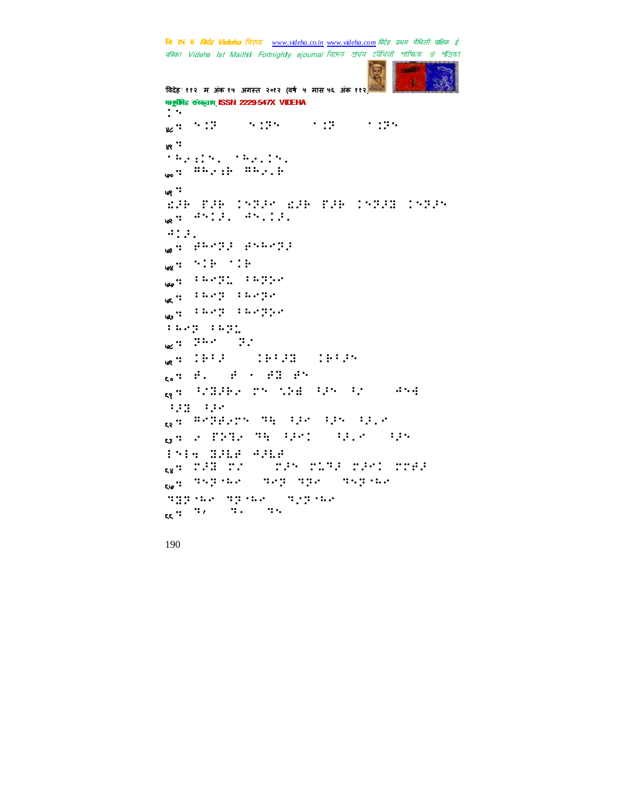```
चि एक रु विदेह Videha चिएन्छ <u>www.videha.co.in www.videha.com</u> विदेह प्रथम मैथिली पाक्षिक ई
 पत्रिका Videha Ist Maithili Fortnightly ejournal রিদেহ প্রথম মৌথিনী পাক্ষিক প্র পত্রিক।
'वदेह' ११२ म अंक १५ अगत २०१२ (वष ५ मास ५६ अंक ११२)
मानुष्टीमिह संस्कृताम् ISSN 2229-547X VIDEHA
\frac{1}{36} : \frac{1}{36} : \frac{1}{36} : \frac{1}{36}४८⣒!⣈⢽!0!⣈⢽!0!⣈⢽!0!⣈⢽!!
<sub>५९</sub> :
\mathcal{F} is a property of the position of
بي: ⊞ابر: ⊞ابر: World Upper Strategy & Strategy & Strategy & Strategy & Strategy & Strategy & Strategy & Strat<br>ابر: 2010 & Strategy & Strategy & Strategy & Strategy & Strategy & Strategy & Strategy & Strategy & Strategy 
५२ "
⣎⢼⢷!&⢼⢷!⢽⢼!⣎⢼⢷!&⢼⢷!⢽⢼⣝0⢽⢼!!
\mathbb{R}^n: \mathbb{R}^n: \mathbb{R}^n, \mathbb{R}^n, \mathbb{R}^n\therefore:
७<br>⊌ : <sup>‡62</sup>∄! ∄∿™?!
\mathcal{L}_{\text{bg}} : \mathcal{L} : \mathcal{L} : \mathcal{L} : \mathcal{L} : \mathcal{L}<sub>५७</sub>. ™™7∷ ‼9
्<sub>ष</sub>ः । मन्त्रः । मन्त्रः
५० <sup>:</sup> <sup>11,7</sup>7 : 11,777
7 and 7 and 7 and 7 and 7 and 7 and 7 and 7 and 7 and 7 and 7 and 7 and 7 and 7 and 7 and 7 and 7 and 7 and 7 a
्<sub>ष्ट</sub>ः ३००९ = ३३
५९⣒!⢷7⢼!0!⢷7⢼⣝0!⢷7⢼!!
\mathbf{t}_0 : \mathbf{d} : \mathbf{d} : \mathbf{d} : \mathbf{d} : \mathbf{d} : \mathbf{d} : \mathbf{d} : \mathbf{d} : \mathbf{d} : \mathbf{d} : \mathbf{d} : \mathbf{d} : \mathbf{d} : \mathbf{d} : \mathbf{d} : \mathbf{d} : \mathbf{d} : \mathbf{d} : \mathbf{d} : 
६१⣒!⢸"⣝⢼⢷⢴!!⣁⢵⣞.⢸⢼0⢸"0-!⢺⣚.
 ⢸⢼⣝0⢸⢼-!!
६२⣒!⢻⢽⢾⢴!⢹⣓!⢸⢼0⢸⢼0⢸⢼=!!!
६३⣒!⢴!&⢵⣙⢴!⢹⣓!⢸⢼0!⢸⢼=0!⢸⢼0!
339 END BREE SHE<br>33 THE PRESS OF PR
                                   ६४⣒!⢼⣝!"!0!⢼!⣅⢹⢼!⢼!⢾⢼!!
९७ अप्रति का अप्रति अप्रति ।<br>जन्म अप्रति ।
 ⢹⣝⢽⢳!⢹⢽⢳0!⢹"⢽⢳!!
\frac{1}{66} : \frac{9}{10} , \frac{1}{10} : \frac{1}{10} : \frac{1}{10}
```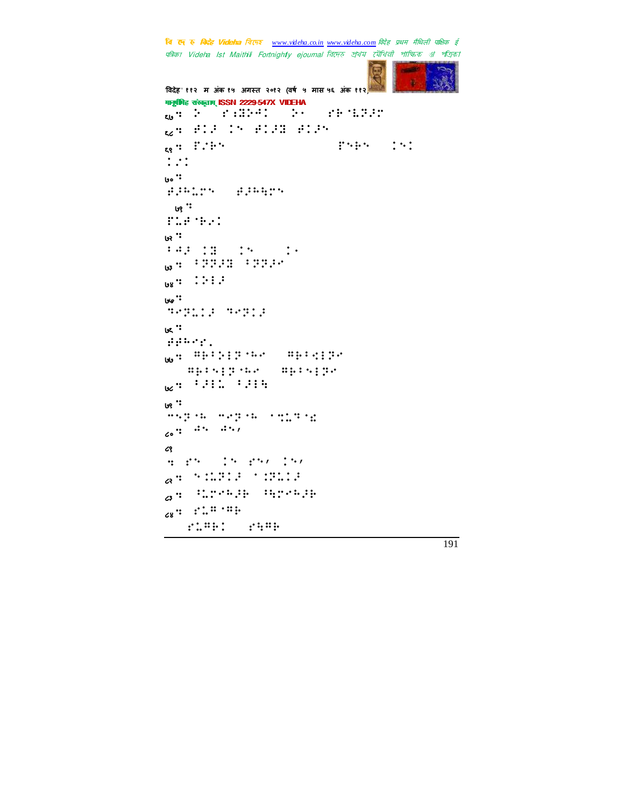```
'वदेह' ११२ म अंक १५ अगत २०१२ (वष ५ मास ५६ अंक ११२)
मानुषीिह संस्कृताम् ISSN 2229-547X VIDEHA
६७⣒!⢵!)⣐⣝⢵⢺*!⢵j!)⢷⣇⢽⢼*!!
६८⣒!⢾⢼!!⢾⢼⣝!⢾⢼!!
९७ में प्रतिकारण करते हैं। अपनी कारण करते हैं कि अपनी कारण करते हैं कि अपनी कारण करते हैं। अपनी कारण करते हैं
\mathcal{L} :
७०⣒!
⢾⢼⢳⣅0!⢾⢼⢳⣓!!
 '' १७
ELP (B)
७२ "749 18 19 19 19 19
७३⣒!7⢽⢽⢼⣝07⢽⢽⢼!!
08 : \therefore \therefore \therefore \therefore \therefore...<br>७७
⢹⢽⣅⢼!⢹⢽⢼!!
७६ "⢾⢾⢳=!!
७७⣒!⢻⢷7⢵3⢽⢳0!⢻⢷7⣊3⢽0!
    !!⢻⢷73⢽⢳0!⢻⢷73⢽!!
\mathbf{G}^2 : \mathbf{G}^2 : \mathbf{G}^2 : \mathbf{G}^2 : \mathbf{G}^2 : \mathbf{G}^2 : \mathbf{G}^2 : \mathbf{G}^2 : \mathbf{G}^2 : \mathbf{G}^2 : \mathbf{G}^2 : \mathbf{G}^2 : \mathbf{G}^2 : \mathbf{G}^2 : \mathbf{G}^2 : \mathbf{G}^2 : \mathbf{G}^2 : 
''  গু।
+⢽⢳!+⢽⢳)⣉⣅⢹⣎*!!
\frac{1}{60} : \frac{1}{20} : \frac{1}{20}८१
e en 10 en 25 (5)
८२⣒!⣈⣅⢽⢼!⣈⢽⣅⢼!!
\sigma^{\mu} : Especial equipment
\zeta_8: \zeta_8: \zeta_90.01991 \pm 0.00199
```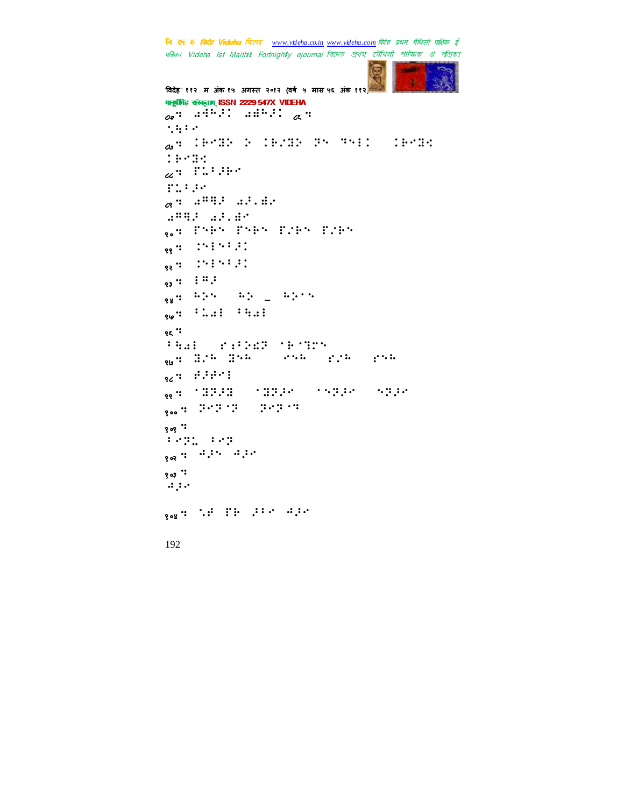```
'वदेह' ११२ म अंक १५ अगत २०१२ (वष ५ मास ५६ अंक ११२)
मानुषीिह संस्कृताम् ISSN 2229-547X VIDEHA
192
\lambdas: \lambda<sup>11</sup>\lambda: \lambda: \lambda\gamma is in \gamma८७⣒!⢷⣝⢵0⢵!⢷"⣝⢵!⢽!⢹3!0⢷⣝⣊.
 ⢷⣝⣊!!
८८⣒!&⣅7⢼⢷!!
&⣅7⢼!!
८९⣒!⣔⢻⣛⢼.⣔⢼=⣞⢴!
⣔⢻⣛⢼.⣔⢼=⣞!!
९०⣒!&⢷.&⢷!&"⢷.&"⢷!
\frac{1}{28} : \frac{1}{2} : \frac{1}{2} : \frac{1}{2} : \frac{1}{2} : \frac{1}{2} : \frac{1}{2} : \frac{1}{2} : \frac{1}{2} : \frac{1}{2} : \frac{1}{2} : \frac{1}{2} : \frac{1}{2} : \frac{1}{2} : \frac{1}{2} : \frac{1}{2} : \frac{1}{2} : \frac{1}{2} : \frac{\frac{1}{32} : \frac{1}{2} : \frac{1}{2} : \frac{1}{2} : \frac{1}{2} : \frac{1}{2} : \frac{1}{2} : \frac{1}{2} : \frac{1}{2} : \frac{1}{2} : \frac{1}{2} : \frac{1}{2} : \frac{1}{2} : \frac{1}{2} : \frac{1}{2} : \frac{1}{2} : \frac{1}{2} : \frac{1}{2} : \frac{\frac{1}{3} : \frac{1}{3} : \frac{1}{3}\frac{1}{38}9 \frac{1}{2} 52 \frac{1}{2} = \frac{1}{2} 52 \frac{1}{2}_{\text{96}}\text{...} \text{...} \text{...} \text{...}९६ "7⣓⣔3!)⣐7⢵⣎⢽!⢷⣙*!!
९७९ में अपने प्राप्त करने के अनुसार करने अपने अपने अपने अधिकारिक करने अपने अधिकारिक करने अपने अधिकारिक करने अध<br>प्राप्त स्थिति अपने अधिकारिक करने अधिकारिक करने अधिकारिक करने अधिकारिक करने अधिकारिक करने अधिकारिक करने अधिकार
\mathcal{S}_\mathcal{S} : \mathcal{S}_\mathcal{S} : \mathcal{S}_\mathcal{S}९९⣒!⣝⢽⢼⣝.!⣝⢽⢼0!⢽⢼0!⢽⢼!!
<sub>१००</sub>०: २०३०: २०३०: २०३०
303 :
Pepi 107
१०२ में में में में में में भी प्रदेश करते था।
903 :
 \mathcal{A}jo:efforfatta fou tfotfolio tfotfolio tfotfolio tfotfolio tfotfolio tfotfolio tfotfolio tfotfolio telefoni
 <sub>१०४</sub> : 19 FB 2:3 A25
```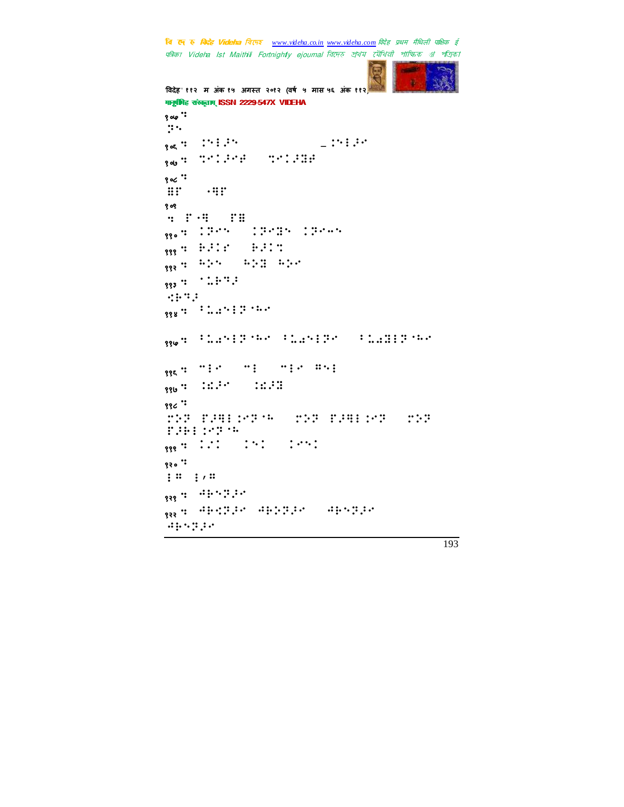```
विदेह' ११२ म अंक १५ अगस्त २०१२ (वर्ष ५ मास ५६ अंक ११२
मानुषीिह संस्कृतम् ISSN 2229-547X VIDEHA
१०७ :
\mathbf{P}१०६ मा अधिका<br>२०६० मा अधिकारी - अधिकारी – अधिकारी<br>अधिकारी अधिकारी - अधिकारी निर्वाती का
\mathbf{B}_{\mathbf{S}} \mathbf{B}_{\mathbf{S}} : \mathbf{B}_{\mathbf{S}} : \mathbf{B}_{\mathbf{S}} : \mathbf{B}_{\mathbf{S}}१०८⣒!!
⣟&.!9⣛&!!
१०९
\ddots \ddots \ddots<sub>१९०</sub>०: 1985 - 1989 - 1986
1999: F.I.: F.I.
१९३ मध्य प्रकार का अनुसार
\frac{1}{333} : \frac{1}{333}.
⣊⢷⢹⢼!!
\mathbf{R}_{\text{gg}} : \mathbf{R}_{\text{g}} : \mathbf{R}_{\text{g}} : \mathbf{R}_{\text{g}}<sub>१९७</sub>५ : 12.1913-996 : 12.1913-1 : 12.1913-1 : 12.1913-1 : 13.1913-1 : 13.1913-1 : 13.1913-1 : 13.19
 <sub>११६</sub> में अधिकारिक संस्कृतिकारी संस्कृतिकारी अधिकारिक संस्कृतिकारी संस्कृतिकारी संस्कृतिकारिक संस्कृतिकारिक संस्<br>प्राचीन संस्कृतिकारिक संस्कृतिकारिक संस्कृतिकारिक संस्कृतिकारिक संस्कृतिकारिक संस्कृतिकारिक संस्कृतिकारिक स
\frac{1}{330} : \frac{11.14}{11.11}336 \cdotTF.391 : 07 : 07
<sub>999</sub> = 121 = 191 = 1991
१२० \cdot; " " ; " " ]\frac{1}{333} : \frac{11}{21} : \frac{11}{21} : \frac{1}{21}१२२⣒!⢺⢷⣊⢽⢼!⢺⢷⢵⢽⢼.!⢺⢷⢽⢼0!
⢺⢷⢽⢼!!
```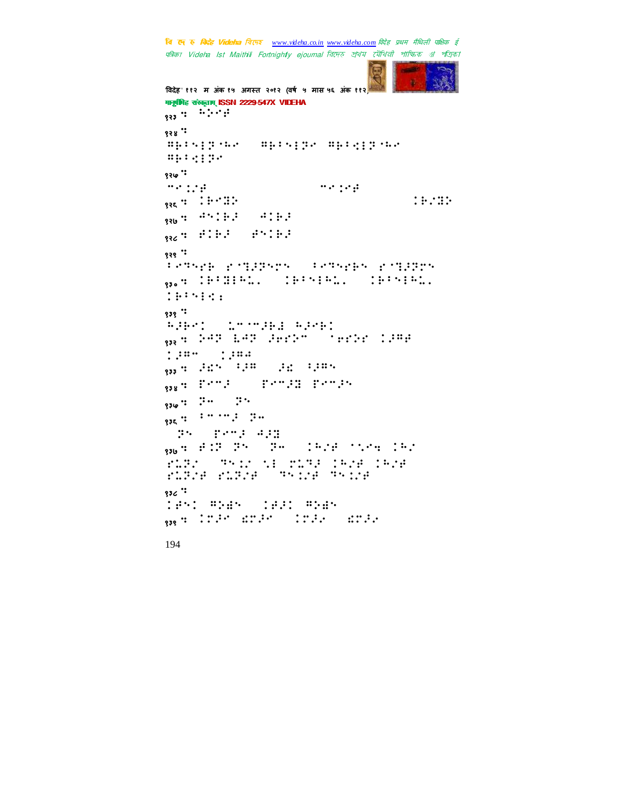```
चि एक रु विदेह Videha चिएन्छ <u>www.videha.co.in www.videha.com</u> विदेह प्रथम मैथिली पाक्षिक ई
पत्रिका Videha Ist Maithili Fortnightly ejournal রিদেহ প্রথম মৌথিনী পাক্ষিক প্র পত্রিক।
```

```
विदेह' ११२ म अंक १५ अगस्त २०१२ (वर्ष ५ मास ५६ अंक ११२
मानुषीिह संस्कृतम् ISSN 2229-547X VIDEHA
\frac{1}{22} : \frac{1}{2} : \frac{1}{2} : \frac{1}{2} : \frac{1}{2}९२४ :
⢻⢷73⢽⢳0!⢻⢷73⢽!⢻⢷7⣊3⢽⢳0!
⢻⢷7⣊3⢽!!
१२७ :
+⣈"⢾.!)up!uftu*+⣈⢾!!
\frac{1}{335} \frac{1}{25} \frac{1}{25} \frac{1}{25} \frac{1}{25} \frac{1}{25} \frac{1}{25} \frac{1}{25} \frac{1}{25} \frac{1}{25} \frac{1}{25} \frac{1}{25} \frac{1}{25} \frac{1}{25} \frac{1}{25} \frac{1}{25} \frac{1}{25} \frac{1}{25} \frac{1}{25} \frac{1}{25} 
\frac{1}{330}: \frac{1}{100}. \frac{1}{100}. \frac{1}{100}. \frac{1}{100}. \frac{1}{100}. \frac{1}{100}. \frac{1}{100}. \frac{1}{100}. \frac{1}{100}. \frac{1}{100}. \frac{1}{100}. \frac{1}{100}. \frac{1}{100}. \frac{1}{100}. \frac{1}{100}. \frac{1}{100}. 
R_{332} : \pm 1 : \pm 1 : \pm 1 : \pm 1 : \pm 1१२९ "
7⢹⢷!⣙⢼⢽0!7⢹⢷!⣙⢼⢽!!
१३०⣒!⢷7⣝3⢳⣅=0!⢷73⢳⣅=0!⢷73⢳⣅=!
⢷73⣊⣐!!
१३९ :
WEEN!
<sub>933</sub> के अन्य किन्दा जिल्हा है। अन्य का
⢼⢻+0!⢼⢻⢺!
<sub>933</sub> : 245 - 128 - 246 - 1285
<sub>938</sub>, Prof. - Prof. Prof.
\mathfrak{g}_{36}: \mathbb{R}^6 \mathbb{R}^6\frac{335}{10} : \frac{1}{10} . \frac{1}{10} : \frac{1}{10} : \frac{1}{10})⢽*!&+⢼!⢺⢼⣝!!
१३७⣒!⢾⣈⢽!⢽!)⢽⢲*!⢳"⢾!⣁⣒!⢳"0!
rik. This second to the second second to the second second second to the second second second second second se
⣅⢽"⢾.⣅⢽"⢾0!⢹⣈"⢾.⢹⣈"⢾!
१३८ "CONTROLL CONTROLL CONTROLL CONTROLL CONTROLL CONTROLL CONTROLL CONTROLL CONTROLL CONTROLL CONTROLL CONTROLL CO
१३९⣒!⢼.⣎⢼0!⢼⢴.!⣎⢼⢴!!
```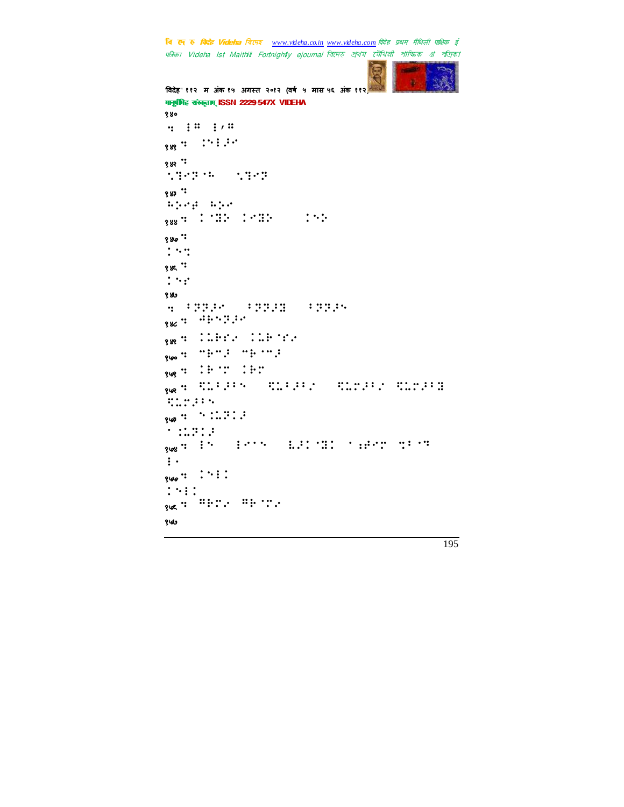```
विदेह' ११२ म अंक १५ अगस्त २०१२ (वर्ष ५ मास ५६ अंक ११२)
मानुषीिह संस्कृताम् ISSN 2229-547X VIDEHA
१४०
\frac{1}{3} : \frac{1}{3} : \frac{1}{3} : \frac{1}{3} : \frac{1}{3} : \frac{1}{3} : \frac{1}{3} : \frac{1}{3} : \frac{1}{3} : \frac{1}{3} : \frac{1}{3} : \frac{1}{3} : \frac{1}{3} : \frac{1}{3} : \frac{1}{3} : \frac{1}{3} : \frac{1}{3} : \frac{1}{3} : \frac{1\mathbf{R}_{\text{gg}} : \mathbf{S}_{\text{sg}} : \mathbf{S}_{\text{sg}}१४२ ः
 ⣁⣙⢽⢳0!⣁⣙⢽!!
१४३⣒!!
\overline{u} \overline{u} \overline{u} \overline{u} \overline{u} \overline{u} \overline{u}<sub>९४४</sub>० : 192 - 1938 - 194
१४७ :
 : \cdot :
१४६ :
\vdots :
१४७
⣒!7⢽⢽⢼0!7⢽⢽⢼⣝0!7⢽⢽⢼!!
\frac{1}{386} : \frac{11}{25} : \frac{11}{25}१४९⣒!⣅⢷⢴!⣅⢷⢴!!
\frac{3}{100} : \frac{11}{100} : \frac{11}{100} : \frac{11}{100}१५१⣒!⢷!⢷!!
१५२⣒!⣋⣅7⢼70!⣋⣅7⢼7"0!⣋⣅⢼7"!⣋⣅⢼7⣝0!
⣋⣅⢼7!!
\frac{1}{3}\frac{1}{9} \frac{1}{9} \frac{1}{9} \frac{1}{9} \frac{1}{9} \frac{1}{9} \frac{1}{9} \frac{1}{9} \frac{1}{9} \frac{1}{9} \frac{1}{9} \frac{1}{9} \frac{1}{9} \frac{1}{9} \frac{1}{9} \frac{1}{9} \frac{1}{9} \frac{1}{9} \frac{1}{9} \frac{1}{9} \frac{1}{9} \⣈⣅⢽⢼!!
१७४ IS | 1975 | 1937 MIL 1949 MIL 19
\vdots\frac{1}{3000} : \frac{1}{300} : \frac{1}{300} : \frac{1}{300} : \frac{1}{300} : \frac{1}{300} : \frac{1}{300} : \frac{1}{300} : \frac{1}{300} : \frac{1}{300} : \frac{1}{300} : \frac{1}{300} : \frac{1}{300} : \frac{1}{300} : \frac{1}{300} : \frac{1}{300}3!!
१७६: "। "। " । " । " । "
१५७
```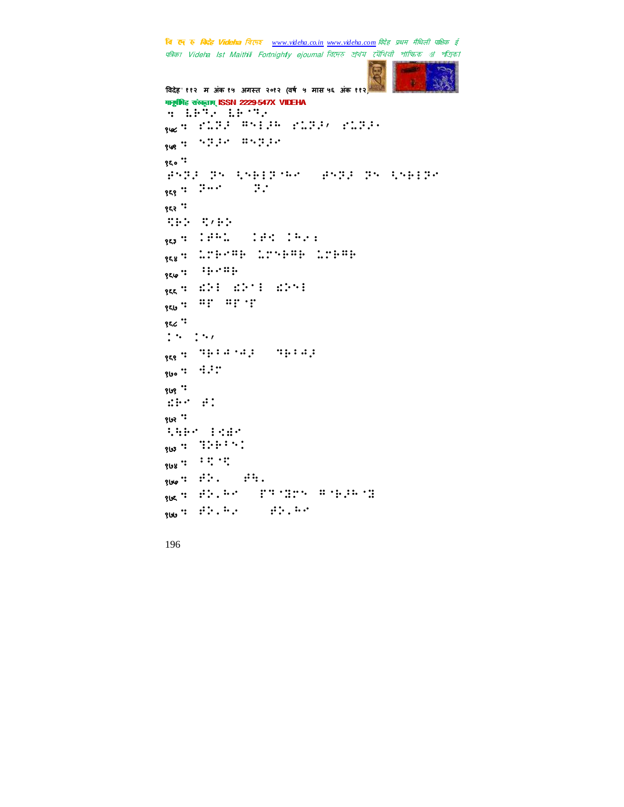```
'वदेह' ११२ म अंक १५ अगत २०१२ (वष ५ मास ५६ अंक ११२)
मानुषीिह संस्कृताम् ISSN 2229-547X VIDEHA
WEIGHT THE SET OF STATE
१५८⣒!⣅⢽⢼!⢻3⢼⢳!⣅⢽⢼'0⣅⢽⢼j!!
।<br>१७९ : १९९३ : मध्यप्रदेश
१६० :
⢾⢽⢼!⢽!⣃⢷3⢽⢳0!⢾⢽⢼!⢽!⣃⢷3⢽!!
_{88} : \frac{100}{100} : \frac{100}{100}१६२ :
SHE SHE
१६३ °C - २००९ - २००९ - २००९ - २००९ - २००९ - २००९ - २००९ - २००९ - २००९ - २००९ - २००९ - २००९ - २००९ - २००९ - २००
१६४⣒!⣅⢷⢻⢷.⣅⢷⢻⢷!⣅⢷⢻⢷!!
\mathfrak{g}_{\xi\varphi} : \mathfrak{i}\vdots\mathfrak{i}\mathfrak{j}:
<sub>955</sub> : 201 201 201
\mathbb{R}^{60}: \mathbb{R}^{60} : \mathbb{R}^{60}१६८ <sup>:</sup>
\mathbb{R}^n :
,<br>।<br>१६९ <sup>∶</sup> 7iliana; 1
\frac{1}{300}: \frac{1}{3}:
१७१ :
dist #1
९७२ <sup>.</sup>
SAP PORT
303 : 7.7 : \cdot :
\frac{308}{10} : \frac{1}{2} : \frac{1}{2} : \frac{1}{2}\frac{1}{300}: \frac{1}{100}: \frac{1}{100}१७६⣒!⢾⢵=⢳)!&⢹⣝!⢻⢷⢼⢳⣝*!!
\frac{1}{300} : \frac{1}{20}. \frac{1}{20}. \frac{1}{20}. \frac{1}{20}. \frac{1}{20}. \frac{1}{20}. \frac{1}{20}.
```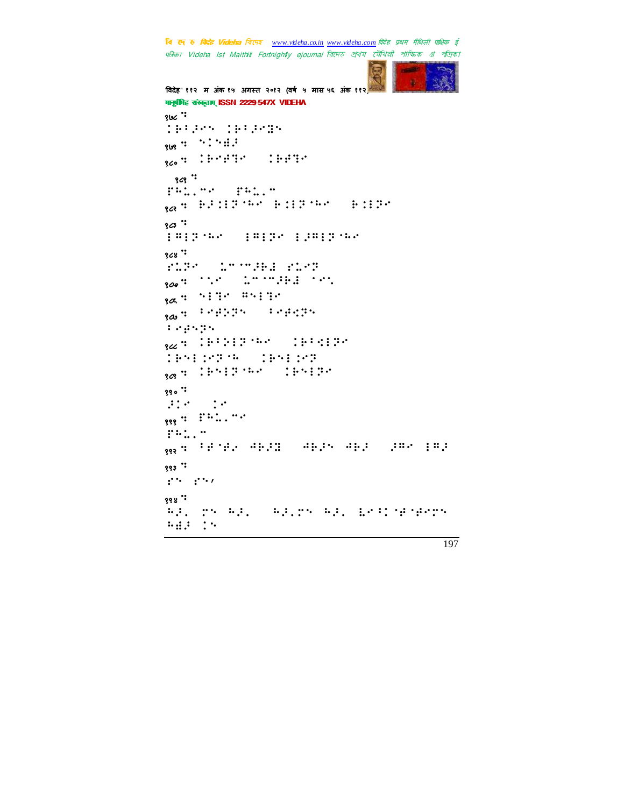```
'वदेह' ११२ म अंक १५ अगत २०१२ (वष ५ मास ५६ अंक ११२)
मानुष्टीमिह संस्कृताम् ISSN 2229-547X VIDEHA
30<sup>2</sup>⢷7⢼!⢷7⢼⣝!!
१७९ : 'ं' ::::
,<br><sub>१८०</sub>०: (Premier || 1999)
 १८१ "
PRIME PRIME
१८२ BED PRO BOOK PRO
९८३ <sup>"</sup>
3⢻3⢽⢳0!3⢻3⢽!3⢼⢻3⢽⢳!!
१८४ <sup>:</sup>
⣅⢽!)⣅++⢼⢷⣜!⣅⢽*!!
१८५⣒!⣁!)⣅++⢼⢷⣜!⣁*!!
\frac{1}{3}\alpha : \frac{1}{2} : \frac{1}{2} : \frac{1}{2} : \frac{1}{2} : \frac{1}{2} : \frac{1}{2} : \frac{1}{2} : \frac{1}{2} : \frac{1}{2} : \frac{1}{2} : \frac{1}{2} : \frac{1}{2} : \frac{1}{2} : \frac{1}{2} : \frac{1}{2} : \frac{1}{2} : \frac{1}{2} : \frac{1}{3}\frac{1}{3} \frac{1}{3} \frac{1}{3} \frac{1}{3} \frac{1}{3} \frac{1}{3} \frac{1}{3} \frac{1}{3} \frac{1}{3} \frac{1}{3} \frac{1}{3} \frac{1}{3} \frac{1}{3} \frac{1}{3} \frac{1}{3} \frac{1}{3} \frac{1}{3} \frac{1}{3} \frac{1}{3} \frac{1}{3} \frac{1}{3} \T . The property T१८८: 1991-1999 - 1992
⢷3⣈⢽⢳0!⢷3⣈⢽!!
<sub>909</sub> : 20013-00 : 200130
१९०<sup>०</sup><br>|-<br>|-
\mathcal{G}(P) = \mathcal{G}(P)<sub>999</sub> : :- ...
FWL. "
१९२⣒!7⢾⢾⢴!⢺⢷⢼⣝0!⢺⢷⢼!⢺⢷⢼!)⢼⢻!3⢻⢼*!!
१९३ ः
\mathbf{r}^{\prime\prime} , \mathbf{r}^{\prime\prime} ,
१९४ <sup>:</sup>
⢳⢼=!!⢳⢼=!)⢳⢼=!⢳⢼=!⣇⢸⢾⢾!
⢳⣞⢼!*!!
```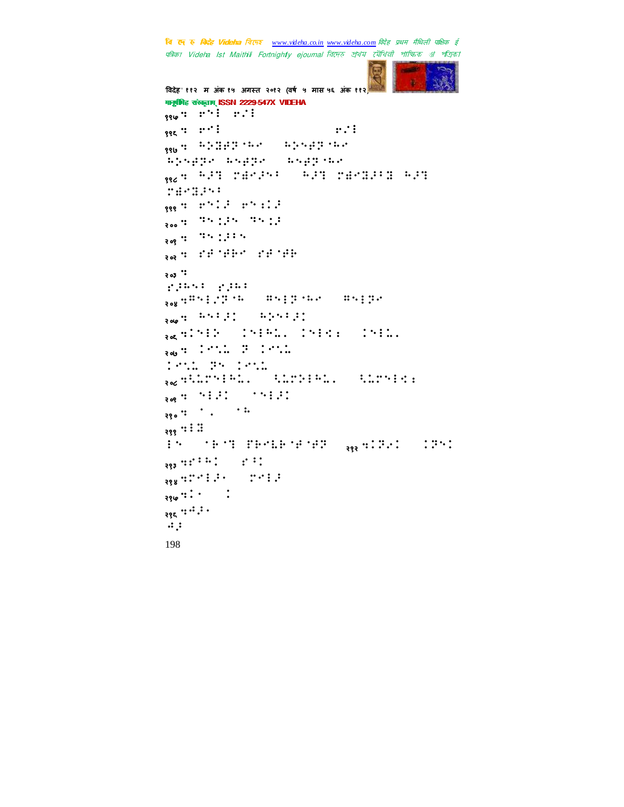

```
.<br>विदेह' ११२ म अंक १५ अगस्त २०१२ (वर्ष ५ मास ५६ अंक ११२
मानुषिहि संस्कृतम् ISSN 2229-547X VIDEHA
896 : : '': '': '':'\frac{1}{3}<sub>395</sub> \frac{1}{3} \frac{1}{3} \frac{1}{3} \frac{1}{3} \frac{1}{3} \frac{1}{3} \frac{1}{3} \frac{1}{3} \frac{1}{3} \frac{1}{3} \frac{1}{3} \frac{1}{3} \frac{1}{3} \frac{1}{3} \frac{1}{3} \frac{1}{3} \frac{1}{3} \frac{1}{3} \frac{1}{3} \frac{1}{3} \frac{1}{१९७⣒!⢳⢵⣝⢾⢽⢳0!⢳⢵⢾⢽⢳0!
⢳⢵⢾⢽0⢳⢾⢽0!⢳⢾⢽⢳!!
१९८⣒!⢳⢼⣙!⣞⢼70!⢳⢼⣙!⣞⣝⢼7⣝0⢳⢼⣙!
⣞⣝⢼7!!
१९९ : २९९३ : २९९३
२०० में भारत के प्राप्त करना
\frac{1}{208} : \frac{11}{208} : \frac{11}{208} : \frac{1}{208} : \frac{1}{208}<sub>२०२</sub>९ :20190-100 :201910
२०३⣒!!
 ⢼⢳7!⢼⢳7!!
२०४ जनसङ्ख्या अन्य अधिकारणाना अवस्थित ।<br>इति अपि अधिकारणानां अस्ति ।
\frac{1}{200} : \frac{1}{2} \frac{1}{2} : \frac{1}{2} : \frac{1}{2} : \frac{1}{2} : \frac{1}{2} : \frac{1}{2} : \frac{1}{2} : \frac{1}{2} : \frac{1}{2} : \frac{1}{2} : \frac{1}{2} : \frac{1}{2} : \frac{1}{2} : \frac{1}{2} : \frac{1}{2} : \frac{1}{2} : \frac{1<sub>२०६</sub> साथिति । 1940-साथिति । 1940-साथिति । अस्ति । अस्ति ।
२०७ : २०९९: २०७१: २०७१: २०७१: २०७१: २०७१: २०७१: २०७१: २०७१: २०७१: २०७१: २०७१: २०७१: २०७१: २०७१: २०७१: २०७१: २०
 1951 PH 1951
<sub>२०८</sub> ⊕%irelei. (Carelei. (Carelei
<sub>२०९</sub> में <sup>5</sup>‡.3∶ | 1991
२१०⣒!⣀0!⢳!!
\frac{1}{288} : : : :
3!)⢷⣙.&⢷⣇⢷⢾⢾⢽*!२१२⣒⢽⢴0!⢽!!
\frac{1}{333} \frac{1}{2} \frac{1}{2} \frac{1}{2} \frac{1}{2} \frac{1}{2} \frac{1}{2} \frac{1}{2} \frac{1}{2}238 329 339 339२९७\mathbf{P}ः :
२९६\cdotः\cdot\ddots :
```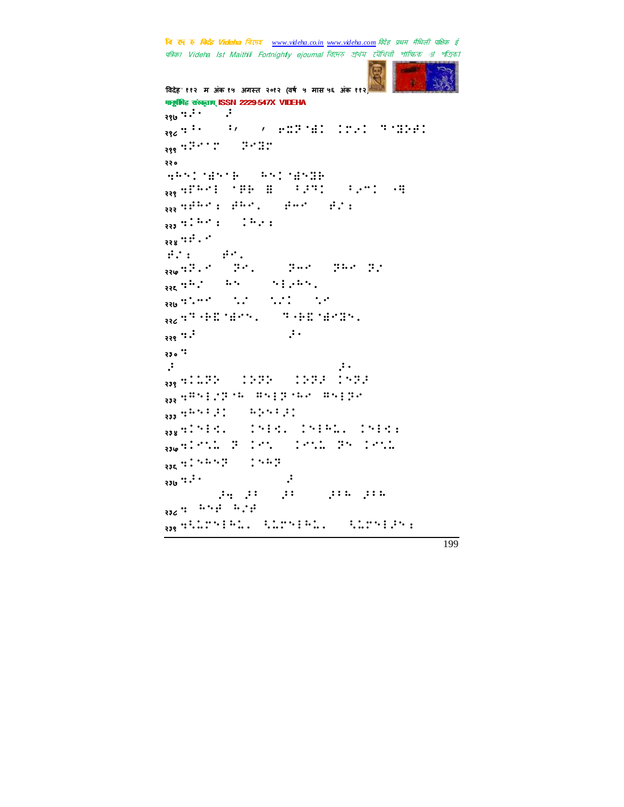```
.<br>विदेह' ११२ म अंक १५ अगस्त २०१२ (वर्ष ५ मास ५६ अंक ११२
मानुषिहि संस्कृतम् ISSN 2229-547X VIDEHA
\ddot{\mathbf{r}} \ddot{\mathbf{r}} \ddot{\mathbf{r}} \ddot{\mathbf{r}} \ddot{\mathbf{r}} \ddot{\mathbf{r}} \ddot{\mathbf{r}}२१८ से <sup>1</sup> प्राप्त करने के साथ प्राप्त करने के लिए से इस्लाई के लिए से इस प्राप्त करने के लिए से इस प्राप्त करन
<sub>२९९</sub> : २००९ : २००९ : २००९ : २००९ : २००९ : २००९ : २००९ : २००९ : २००९ : २००९ : २००९ : २००९ : २००९ : २००९ : २००९ : २०
२२०
 ⣒⢳⣞⢷0!⢳⣞⣝⢷!!
२२१ अप्रसन्दर्भ सामग्रीहरू अधिकारी अप्रसार अधिकारिक अधिकारी अधिकारिक अधिकारिक अधिकारिक अधिकारिक अधिकारिक अधिक<br>अधिकारिक अधिकारिक अधिकारिक अधिकारिक अधिकारिक अधिकारिक अधिकारिक अधिकारिक अधिकारिक अधिकारिक अधिकारिक अधिकारिक अध
२२२ चुक्रमधील का अपनी अपनी अधिकारिक अधिकारिक अधिकारिक अधिकारिक अधिकारिक अधिकारिक अधिकारिक अधिकारिक अधिकारिक अध<br>अधिकारिक अधिकारिक अधिकारिक अधिकारिक अधिकारिक अधिकारिक अधिकारिक अधिकारिक अधिकारिक अधिकारिक अधिकारिक अधिकारिक अ
233 225 - 15.
\mathbf{R}_{\mathbf{R}_{\mathbf{X}}} :::
 \#\mathcal{E}: \#\mathcal{E}.
२२५ वर्ष संग्रहण करते हैं।<br>इन्दर्भ संग्रहण करते हैं कि अपनी कार्य करते हैं कि अपनी कार्य करते हैं कि अपनी कार्य क
\frac{2}{335} \frac{1}{9} \frac{1}{9} \frac{1}{9} \frac{1}{9} \frac{1}{9} \frac{1}{9} \frac{1}{9} \frac{1}{9} \frac{1}{9} \frac{1}{9} \frac{1}{9} \frac{1}{9} \frac{1}{9} \frac{1}{9} \frac{1}{9} \frac{1}{9} \frac{1}{9} \frac{1}{9} \frac{1}{9} \frac{1}{9} \frac{1}{9} \frac{1}{9} \frac{1}{9} \frac{1}{9} \frac{1}{9} \frac{1}{9} \frac{1}{9} \frac{1}{9} \frac{1}{9} \frac{1}{9} \२२७⣒⣁⢲0!⣁"0!⣁"!0⣁!!
<sub>२२८</sub>५९ ⊕E MEnsi ( 9 HEMENEN)
 \mathcal{L}२३०⣒!!
 \mathcal{F} ) define the control of the control \mathcal{F} . We also also the control of
 <sub>२३९</sub> क:1223 - 1222 - 1223 - 1223 -
२३२⣒⢻3"⢽⢳.⢻3⢽⢳.⢻3⢽!
२३३⣒⢳7⢼.!⢳⢵7⢼!
२३४⣒3⣊=.!3⣊=.3⢳⣅=03⣊⣐!!
२३५⣒⣁⣅!⢽!⣁.!⣁⣅!⢽!⣁⣅!
\frac{236}{336} \frac{\pi^2}{45} \frac{5 \cdot 4 \cdot 5}{2} \approx \frac{1}{2} \frac{5 \cdot 4 \cdot 5}{2} \approx \frac{1}{2} \frac{5 \cdot 4 \cdot 5}{2} \approx \frac{1}{2} \frac{5 \cdot 4 \cdot 5}{2} \approx \frac{1}{2} \frac{5 \cdot 4 \cdot 5}{2} \approx \frac{1}{2} \frac{5 \cdot 4 \cdot 5}{2} \approx \frac{1}{2} \frac{5 \cdot 4 \cdot 5}{2} \approx \frac{1}{2} \frac{5 \cdot 4 \cdot 5}{2} \approx \frac{1}{2} \frac{5 \cdot \mathbf{a}_{30} : \mathbf{a}_{1} , \mathbf{b}_{2}boe*0⢼⣒!⢼7(.⢼7(!0⢼7⢳.⢼7⢳!
२३८ <sup>म</sup>ें <sup>अ</sup>स्ति के अनुसार
२३९⣒⣃⣅3⢳⣅=.⣃⣅3⢳⣅=.!⣃⣅3⢼⣐!
```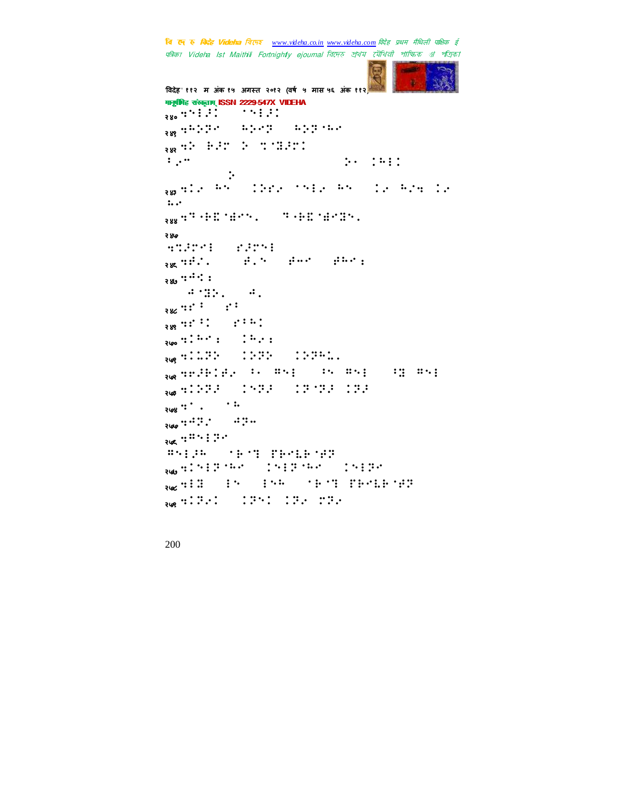```
.<br>विदेह' ११२ म अंक १५ अगस्त २०१२ (वर्ष ५ मास ५६ अंक ११२
मानुभी हे संस्कृतम् ISSN 2229-547X VIDEHA<br>२००१: संस्कृति संस्कृति संस्कृति संस्कृति संस्कृति ।
\frac{1}{380} : \frac{1}{3}: \frac{1}{3}:
२४१⣒⢳⢵⢽.!⢳⢵⢽0!⢳⢵⢽⢳0!
२४२⣒⢵.⢷⢼!⢵!⣉⣝⢼!
7⢴+)dpokvodujpo*-!⢵j!⢳3!)if!
 t_{\rm b} the 0.02<sub>२४३</sub> कोटेल किया था दिया है। इस स्टेड के बाद प्राप्त करता था दिया था जाने के बाद प्राप्त करता था जाने के बाद प्
 \mathbb{Z}२४४⣒⢹9⢷⣏⣞=0!⢹9⢷⣏⣞⣝=!
२४५
⣒⣉⢼30!⢼3!!
२४६ पर्वतीय सामान्य अधिकारण स्थानि ।<br>जन्म
२४७\cdotः संक\cdot\mathbf{d} \cdot \mathbf{0}\overline{386} \cdots \overline{3} \cdots \overline{3}\frac{1}{288} : \frac{1}{2} : \frac{1}{2} : \frac{1}{2} : \frac{1}{2} : \frac{1}{2} : \frac{1}{2} : \frac{1}{2} : \frac{1}{2} : \frac{1}{2} : \frac{1}{2} : \frac{1}{2} : \frac{1}{2} : \frac{1}{2} : \frac{1}{2} : \frac{1}{2} : \frac{1}{2} : \frac{1}{2} : \frac\frac{1}{200} : \frac{1}{2} \frac{1}{2} \frac{1}{2} \frac{1}{2} \frac{1}{2} \frac{1}{2} \frac{1}{2} \frac{1}{2} \frac{1}{2} \frac{1}{2} \frac{1}{2} \frac{1}{2} \frac{1}{2} \frac{1}{2} \frac{1}{2} \frac{1}{2} \frac{1}{2} \frac{1}{2} \frac{1}{2} \frac{1}{2} \frac{1}{2२७९ : 1122 - 1122 - 1122 : 1123 : 1124 : 1125 : 1125 : 1125 : 1126 : 1127 : 1127 : 1127 : 1127 : 1127 : 1127 : 1<br>|-
२७२ अज्ञात अर्थात अपनी स्थान करने अपनी स्थान करने अपनी स्थान करने अपनी स्थान करने अपनी स्थान करने अपनी स्थान क<br>जन्म
२५३⣒⢵⢽⢼0!⢽⢼0!⢽⢽⢼0⢽⢼!
२५४⣒⣀0!⢳!
२५५⣒⢺⢽"0!⢺⢽⢲!
245 350⢻3⢼⢳!)⢷⣙!&⢷⣇⢷⢾⢽*!!
२७७ अ.२००१ अ.२००१ अ.२००१ अ.२००१ अ.२००१ अ.२००१ अ.
२७८ अ.स. २५०० अ.स. १९०० अ.स. १९०० अ.स. १९७० अ.स. १९७० अ.स. १९७० अ.स. १९७० अ.स. १९७० अ.स. १९७० अ.स. १९७० अ.स. १९
२७९ ± 10 PM = 10 PM = 10 PM = 10 PM = 10 PM = 10 PM = 10 PM = 10 PM = 10 PM = 10 PM = 10 PM = 10 PM = 10 PM =
```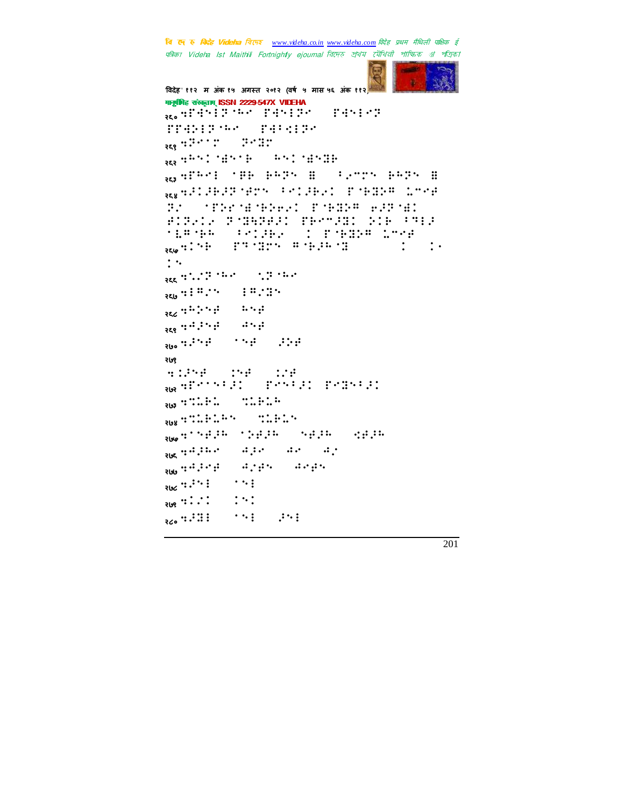```
विदेह' ११२ म अंक १५ अगस्त २०१२ (वर्ष ५ मास ५६ अंक ११२)
मानुष्टीमिह संस्कृताम् ISSN 2229-547X VIDEHA
२६०⣒&⣚3⢽⢳!&⣚3⢽0!&⣚3⢽0!
&&⣚⢵3⢽⢳0!&⣚7⣊3⢽0!
२६९ में २००९ में २००९ में अर्थ से उ
<sub>२६३</sub> च स्पर्धाः अप्रति । स्पर्धाः अप्रति ।
२६३⣒&⢳3!⢿⢷!⢷⢳⢽!⣟0!7⢴+!⢷⢳⢽!⣟!
२६४⣒⢼⢼⢷⢼⢽⢾!7⢼⢷⢴!&⢷⣝⢵⢻!⣅+⢾!
P⢾⢽⢴⢴!⢽⣝⣓⢽⢾⢼!&⢷+⢼⣝!⢵⢷!7⢹3⢼!
⣇⢻⢷⢳!)7⢼⢷⢴*!!&⢷⣝⢵⢻!⣅+⢾!
२६७ थे अपनी साथ से साथ से अपनी साथ से अपनी साथ से अपनी साथ से अपनी साथ से अपनी साथ से अपनी साथ से अपनी साथ से अ<br>जनसङ्ख्या
\mathbf{\cdot} \mathbf{\cdot}२६६ घ.<del>२.३ घ.२ घ.</del> मध्य प्राप्त कर
२६७⣒3⢻"0!3⢻"⣝!
२६८ : २००९ : २००९ : २००९ : २००९ : २००९ : २००९ : 2008 : 2008 : 2008 : 2008 : 2008 : 2008 : 2008 : 200
्<br>२६९ : पर्ने अप्राप्त कर<mark>्न</mark>
२७०⣒⢼⢾0!⢾0!⢼⢵⢾!
२७१
⣒⣈⢼⢾0!⣈⢾0!⣈"⢾!!
<sub>२७२</sub>०<del>:</del> २००२ जन्म २००२ जन्म २००२ जन्म २००१ जन्म २००१ जन्म २००१ जन्म २००१ जन्म २००१ जन्म २००१ जन्म २००१ जन्म २०
२७३⣒⣉⣅⢷⣅0!⣉⣅⢷⣅⢳!
२७४⣒⣉⣅⢷⣅⢳0!⣉⣅⢷⣅!
२७५⣒⢾⢼⢳0⢵⢾⢼⢳0!⢾⢼⢳0!⣊⢾⢼⢳!
२७६ पर्वतीय संगीत करता है।<br>राजनीय
२७७ सेल्टोलेले सेल्यूटर के सम्पूर्ण करने सेल्यूटर के अन्या सम्पूर्ण करने सेल्यूटर के अन्या सम्पूर्ण करने सम्पू<br>जनसङ्ख्या
२७८ : : : : : : : : : : : 395
२७९⣒"0!!
\frac{1}{360} \frac{1}{3} \frac{3}{3} \frac{3}{3} \frac{1}{3} \frac{1}{3} \frac{1}{3} \frac{1}{3} \frac{1}{3} \frac{1}{3} \frac{1}{3} \frac{1}{3} \frac{1}{3} \frac{1}{3} \frac{1}{3} \frac{1}{3} \frac{1}{3} \frac{1}{3} \frac{1}{3} \frac{1}{3} \frac{1}{3} \frac{1}{3}
```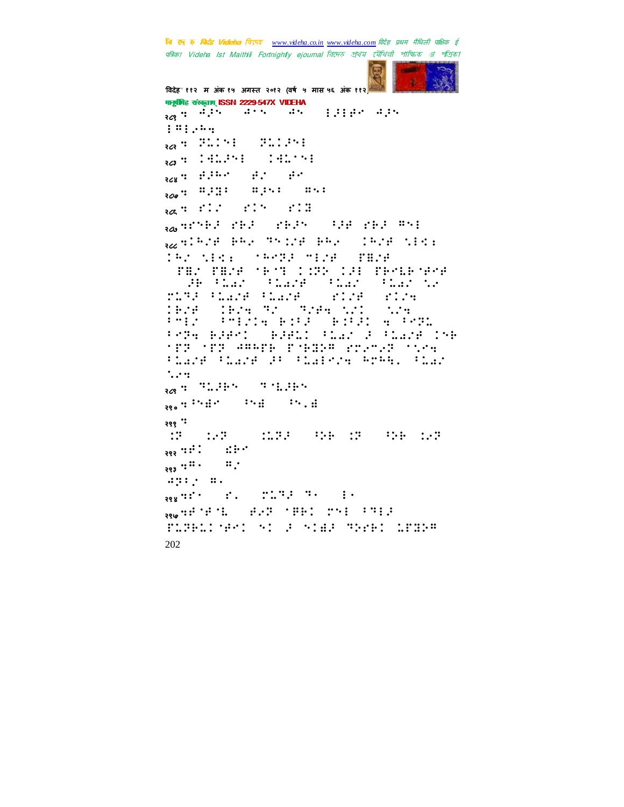'विदेह' ११२ म अंक १५ अगस्त २०१२ (वर्ष ५ मास ५६ अंक ११२) मानुषीिमह संकृताम्ISSN 2229-547X VIDEHA 202 २८९ में जीतिक अपने अपने अपने अधिकारिक अपने अधिकारिक अधिकारिक अधिकारिक अधिकारिक अधिकारिक अधिकारिक अधिकारिक अधिक<br>अधिकारिक अधिकारिक अधिकारिक अधिकारिक अधिकारिक अधिकारिक अधिकारिक अधिकारिक अधिकारिक अधिकारिक अधिकारिक अधिकारिक अध  $3$  3  $3$  3  $3$  3  $3$  3  $3$  3  $3$ २८२ : 30:25 : 30:25 : 30 <sub>२८</sub>५ :4129: 1419:5 २८४**:** हेलें<sup>81</sup> हेलें बहुत होते. २८५ : महाराज महाराज्य संस्कृतिका संस्कृतिका संस्कृतिका संस्कृतिका संस्कृतिका संस्कृतिक २८६ में प्रदेश करते हैं । अपने प्रदेश करते हैं । <sup>२८७</sup>⣒⢷⢼0⢷⢼0!⢷⢼!)⢸⢼⢾!⢷⢼!⢻3\*! <sup>२८८</sup>⣒⢳"⢾!⢷⢳⢴0⢹⣈"⢾!⢷⢳⢴0!⢳"⢾!⣁3⣊⣐0! ⢳"!⣁3⣊⣐.!⢳⢽⢼!+3"⢾0!&⣟"⢾! )&⣟".&⣟"⢾!⢷⣙!⣈⢽⢵!⢼3!&⢷⣇⢷⢾⢾\*! .!⢼⢷!7⣅⣔"0!7⣅⣔"⢾!)7⣅⣔"0!7⣅⣔"!⣁⢴-! ⣅⢹⢼!7⣅⣔"⢾.7⣅⣔"⢾\*0!"⢾0!"⣒! ÎÊZÊ (1624-72) TZAN SZI (SZN)<br>Priz (Prizin 6390) 6390 N Pr 7+3"0!7+3"⣒!⢷⣈7⢼0!⢷⣈7⢼!⣒!7⢽⣅0! 7⢽⣒!⢷⢼⢾0!⢷⢼⢾⣅!7⣅⣔"!⢼!7⣅⣔"⢾!⢷! &⢽.&⢽!⢺⢻⢳&⢷!&⢷⣝⢵⢻!⢴+⢴⢽!⣁⣒! 7⣅⣔"⢾.7⣅⣔"⢾!⢼7!7⣅⣔3"⣒!⢳⢳⣓=!7⣅⣔"!  $\ddots$  : २८९ : "1.889 : "1.889 : "1.889 २९०**:** १९८० - १९८० - १९८८ २९९ ः ⣈⢽0!⣈⢴⢽0!!⣈⣅⢽⢼!)⢸⢵⢷!⣈⢽0!⢸⢵⢷!⣈⢴⢽\*!!  $\frac{1}{282}$   $\therefore$   $\therefore$   $\therefore$   $\therefore$   $\therefore$   $\therefore$   $\therefore$   $\therefore$   $\therefore$   $\therefore$   $\therefore$   $\therefore$   $\therefore$   $\therefore$   $\therefore$   $\therefore$   $\therefore$   $\therefore$   $\therefore$   $\therefore$   $\therefore$   $\therefore$   $\therefore$   $\therefore$   $\therefore$   $\therefore$   $\therefore$   $\therefore$   $\therefore$   $\therefore$   $\therefore$   $\therefore$   $\therefore$   $\therefore$   $\therefore$  $\mathbf{R}$   $\mathbf{S}$   $\mathbf{S}$   $\mathbf{S}$   $\mathbf{S}$   $\mathbf{S}$   $\mathbf{S}$   $\mathbf{S}$   $\mathbf{S}$   $\mathbf{S}$   $\mathbf{S}$   $\mathbf{S}$   $\mathbf{S}$   $\mathbf{S}$   $\mathbf{S}$   $\mathbf{S}$   $\mathbf{S}$   $\mathbf{S}$   $\mathbf{S}$   $\mathbf{S}$   $\mathbf{S}$   $\mathbf{S}$   $\mathbf{S}$   $\mathbf{S}$   $\mathbf{$  $T_1$  $\frac{1}{398}$  with  $\frac{1}{35}$  ,  $\frac{1}{35}$  ,  $\frac{1}{35}$  ,  $\frac{1}{35}$  ,  $\frac{1}{35}$  ,  $\frac{1}{35}$  ,  $\frac{1}{35}$  ,  $\frac{1}{35}$  ,  $\frac{1}{35}$  ,  $\frac{1}{35}$  ,  $\frac{1}{35}$  ,  $\frac{1}{35}$  ,  $\frac{1}{35}$  ,  $\frac{1}{35}$  ,  $\frac{1}{35}$  ,  $\frac{1}{35}$ <sup>२९५</sup>⣒⢾⢾⣇-)⢾⢴⢽!⢿⢷!3!7⢹3⢼! &⣅⢽⢷⣅⢾!!⢼!⣞⢼!⢹⢵⢷!⣅&⣝⢵⢻\*!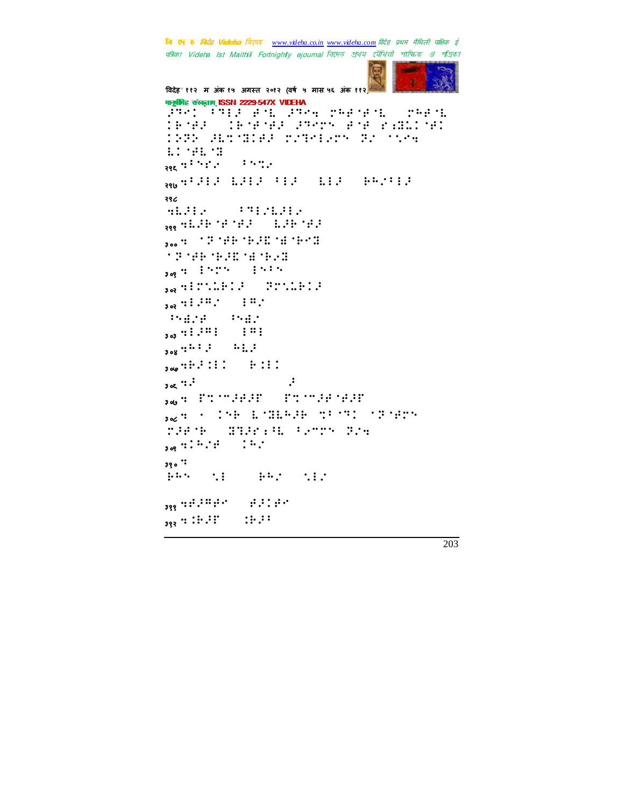```
.<br>विदेह' ११२ म अंक १५ अगस्त २०१२ (वर्ष ५ मास ५६ अंक ११२)
मानुषीिह संस्कृताम् ISSN 2229-547X VIDEHA
 \tilde{P}92] \tilde{P} \tilde{P} \tilde{P} \tilde{P} \tilde{P} \tilde{P} \tilde{P} \tilde{P} \tilde{P} \tilde{P} \tilde{P} \tilde{P} \tilde{P} \tilde{P} \tilde{P} \tilde{P} \tilde{P} \tilde{P} \tilde{P} \tilde{P} \tilde{P} \tilde{P} \tilde{P} \til^{\prime} ^{\prime} ^{\prime} ^{\prime} ^{\prime} ^{\prime} ^{\prime} ^{\prime} ^{\prime} ^{\prime} ^{\prime} ^{\prime} ^{\prime} ^{\prime} ^{\prime} ^{\prime} ^{\prime} ^{\prime} ^{\prime} ^{\prime} ^{\prime} ^{\prime} ^{\prime} ^{\prime} ^{\prime} ^{\prime} ^{\prime} ^{\prime} ^{\prime} ^{\prime} ^{\prime} ^{\prime}⢵⢽⢵!⢼⣇⣉⣝⢾⢼!"⣙3⢴!⢽"!⣁⣒!
 \text{Li} \text{Li} \text{Li} \text{Li}\frac{1}{395} or \frac{1}{2} \frac{1}{2} \frac{1}{2} \frac{1}{2} \frac{1}{2} \frac{1}{2} \frac{1}{2} \frac{1}{2} \frac{1}{2} \frac{1}{2}२९७ मध्या अध्यान अध्यान अध्यान अध्यान अध्यान अध्यान अध्यान अध्यान अध्यान अध्यान अध्यान अध्यान अध्यान अध्यान अध
२९८
⣒⣇⢼3⢴0!)7⢹3"⣇⢼3⢴*!!
२<sub>९९</sub> सो.मे अल्लोले अप्रैल
३००⣒!⢽⢾⢷⢷⢼⣏⣞⢷⣝0!
 ⢽⢾⢷⢷⢼⣏⣞⢷⢴⣝!
308 : 1513 1513३०२⣒3⣁⣅⢷⢼-!⢽⣁⣅⢷⢼!
303 \frac{11337}{100} \frac{187}{100}⢸⣞"⢾0!⢸⣞"*!!
3^{3} : \vdots \vdots \vdots \vdots308 ... ... ... ...304 \frac{1}{304} \frac{1}{304} \frac{1}{304} \frac{1}{304} \frac{1}{304} \frac{1}{304} \frac{1}{304}\frac{3}{2}oc\frac{1}{2}:
\overline{300} + Frontier (Frontier Ernstell
302 : \cdot 154 in The Fe \cdot 1577 in The \cdot⢼⢾⢷-!⣝⣙⢼⣐⢸⣇!7⢴+!⢽"⣒!
309 :: :: :: :: :: ::३१०⣒!
\frac{1}{2} \frac{1}{3} \frac{1}{3} \frac{1}{3} \frac{1}{3} \frac{1}{3} \frac{1}{3} \frac{1}{3} \frac{1}{3} \frac{1}{3} \frac{1}{3} \frac{1}{3} \frac{1}{3} \frac{1}{3} \frac{1}{3} \frac{1}{3} \frac{1}{3} \frac{1}{3} \frac{1}{3} \frac{1}{3} \frac{1}{3} \frac{1}{3} \<sub>399</sub> ........  5....
३१२⣒⣈⢷⢼&0!⣈⢷⢼7!
```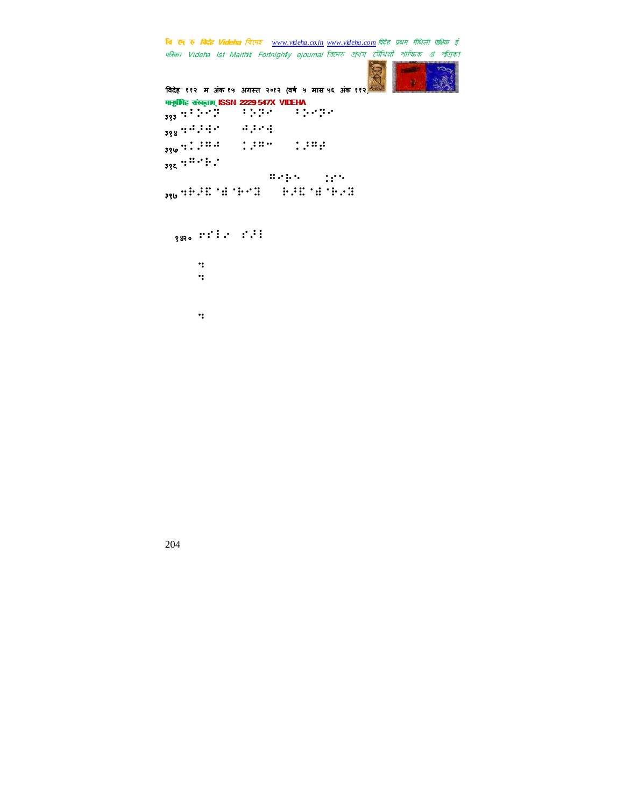

विदेह' ११२ म अंक १५ अगस्त २०१२ (वर्ष ५ मास ५६ अंक ११२ मानुमिह संस्कृतम् ISSN 2229-547X VIDEHA<br>३९३ <sup>:</sup> : : : : : : : : : : : : : : : <sup>३१३</sup>⣒7⢵⢽0!7⢵⢽0!7⢵⢽!  $338$  :  $\frac{1}{2}$ ;  $\frac{1}{2}$ ;  $\frac{1}{2}$ ;  $\frac{1}{2}$ ;  $\frac{1}{2}$ ;  $\frac{1}{2}$ ;  $\frac{1}{2}$ ;  $\frac{1}{2}$ ;  $\frac{1}{2}$ ;  $\frac{1}{2}$ ;  $\frac{1}{2}$ ;  $\frac{1}{2}$ ;  $\frac{1}{2}$ ;  $\frac{1}{2}$ ;  $\frac{1}{2}$ ;  $\frac{1}{2}$ ;  $\frac{1}{2}$ ;  $\frac{1}{2}$ ;  $\frac{1}{2}$ ;  $\frac{$  $\frac{336}{100}$  ::  $\frac{1}{20}$  :  $\frac{1}{20}$  :  $\frac{1}{20}$  :  $\frac{1}{20}$  :  $\frac{1}{20}$  :  $\frac{1}{20}$  :  $\frac{1}{20}$  :  $\frac{1}{20}$  :  $\frac{1}{20}$  :  $\frac{1}{20}$  :  $\frac{1}{20}$  :  $\frac{1}{20}$  :  $\frac{1}{20}$  :  $\frac{1}{20}$  :  $\frac{1}{20}$  :  $\frac{1}{20}$  $\frac{336}{25}$  if  $\frac{10}{25}$  if  $\frac{1}{25}$  if  $\frac{1}{25}$  if  $\frac{1}{25}$  if  $\frac{1}{25}$  if  $\frac{1}{25}$  if  $\frac{1}{25}$  if  $\frac{1}{25}$  if  $\frac{1}{25}$  if  $\frac{1}{25}$  if  $\frac{1}{25}$  if  $\frac{1}{25}$  if  $\frac{1}{25}$  if  $\frac{1}{25}$  if  $\frac{1}{25$ txbmmpx\*0.000 and txbmmpx\*0.000 and txbmmpx\*0.000 and txbmmpx\*0.000 and txbmmpx\*0.000 and txbmmpx\*0.000 and txb<br>The contract of the contract of the contract of the contract of the contract of the contract of the contract o <sup>३१७</sup>⣒⢷⢼⣏⣞⢷⣝0!⢷⢼⣏⣞⢷⢴⣝!

<sub>९४२०</sub> :::: : :::

Opwerstelling and the state of the state of the state of the state of the state of the state of the state of the  $\mathbf{P}_{\mathbf{S}}$ 

 $G_{\rm 3}$  3124.  $G_{\rm 3}$  3124.  $G_{\rm 3}$  3124.  $G_{\rm 3}$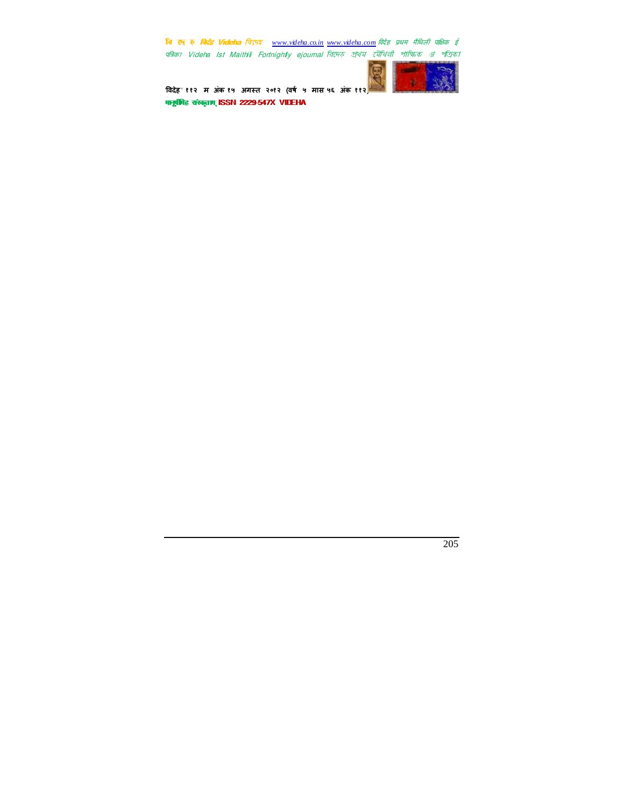

.<br>विदेह' ११२ म अंक १५ अगस्त २०१२ (वर्ष ५ मास ५६ अंक ११२) मानुषीिह संस्कृतम् ISSN 2229-547X VIDEHA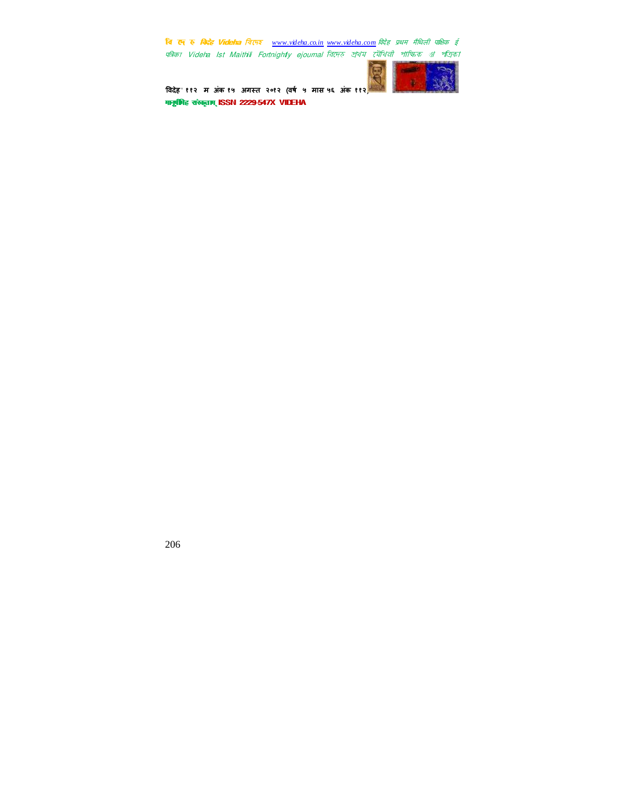

.<br>विदेह' ११२ म अंक १५ अगस्त २०१२ (वर्ष ५ मास ५६ अंक ११२) मानुष्टीिह संस्कृतम् ISSN 2229-547X VIDEHA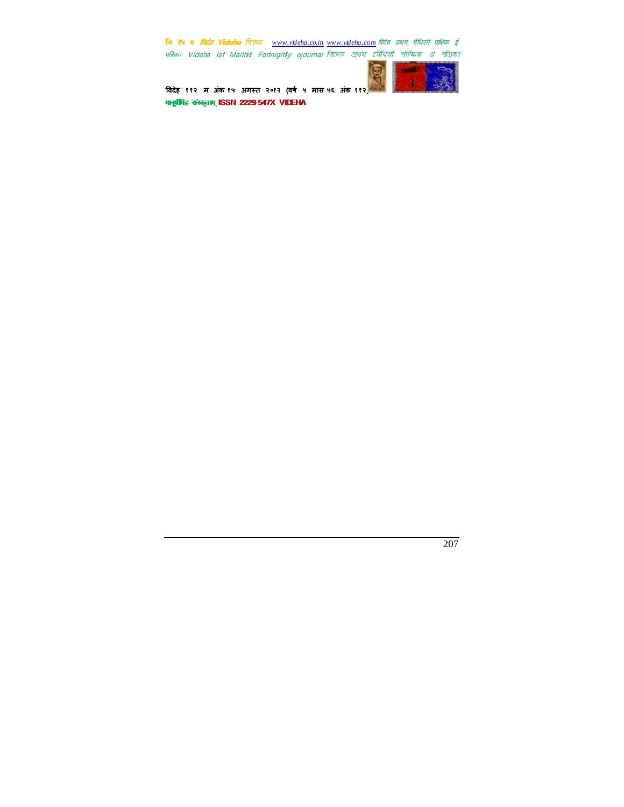

.<br>विदेह' ११२ म अंक १५ अगस्त २०१२ (वर्ष ५ मास ५६ अंक ११२) मानुषीिह संस्कृतम् ISSN 2229-547X VIDEHA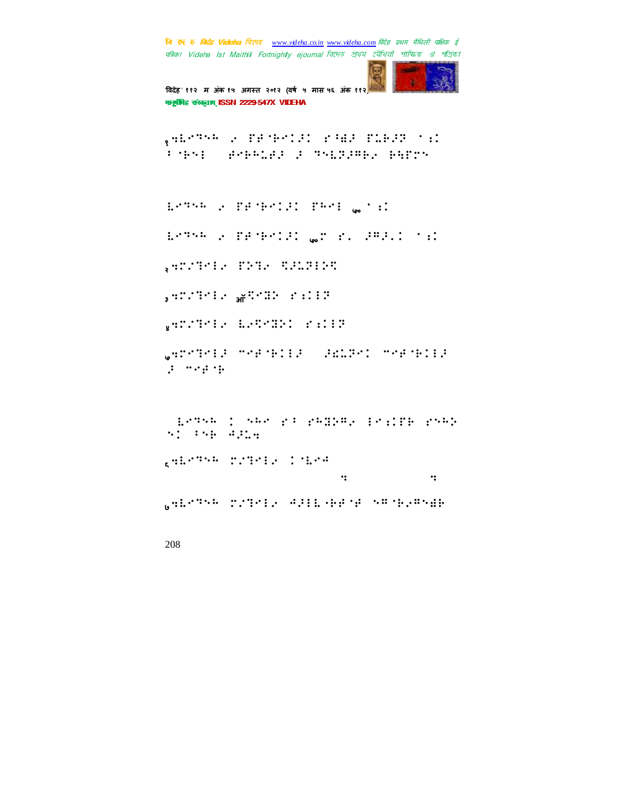

'वदेह' ११२ म अंक १५ अगत २०१२ (वष ५ मास ५६ अंक ११२) मानुष्टीबिह संस्कृताम् ISSN 2229-547X VIDEHA

<sup>१</sup>⣒⣇⢹⢳!⢴.&⢾⢷⢼!⢸⣞⢼!&⣅⢷⢼⢽!⣐! 7⢷3-!⢾⢷⢳⣅⢾⢼!⢼!⢹⣇⢽⢼⢻⢷⢴!⢷⣓&!

⣇⢹⢳!⢴.&⢾⢷⢼!&⢳3!५० ⣐!

⣇⢹⢳!⢴.&⢾⢷⢼!५०!=!⢼⢻⢼=!⣐!

 $_3$ 42.794.8 | P29. | P29. | P20.392.

, AND IN THE SAME OF STREET AND THE SAME OF STREET AND THE SAME OF STREET AND THE SAME OF STREET AND THE SAME O

 $\mathbf{y}$ 420.334 ! $\mathbf{y}$  . In  $\mathbf{y}$  . In  $\mathbf{y}$  . In  $\mathbf{y}$  . In  $\mathbf{y}$ 

<sup>५</sup>⣒⣙3⢼!+⢾⢷3⢼0!⢼⣎⣅⢽!+⢾⢷3⢼! ⢼!+⢾⢷!Njuijmb!Qbjoujoh0!

#⣇⢹⢳#!⢳!⢸!⢳⣝⢵⢻⢴!3⣐&⢷!⢳⢵! **31** : 1946 : 1946 :  $\frac{1}{6}$ 419756 | 123916 | 1319  $\ddot{\mathbf{u}}$ 

ुख:नभ्यभ 2299€ 4981 4989 9 भाषा:स्यभ⊞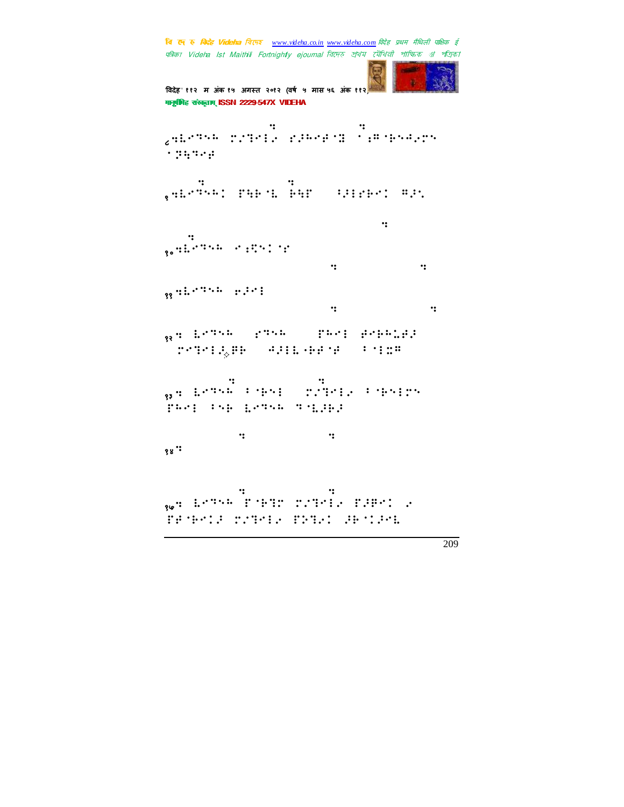```
चि एक रु विदेह Videha चिएन्छ <u>www.videha.co.in www.videha.com</u> विदेह प्रथम मैथिली पाक्षिक ई
 पत्रिका Videha Ist Maithili Fortnightly ejournal রিদেহ প্রথম মৌথিনী পাক্ষিক গ্র পত্রিক।
'विदेह' ११२ म अंक १५ अगस्त २०१२ (वर्ष ५ मास ५६ अंक ११
मानुषीिह संस्कृताम् ISSN 2229-547X VIDEHA
 bhship shows the control of the control of the control of the control of the control of the control of the control of
 \epsilongilinga (postinje od stanovni se obađena (
^{\prime} ^{\prime} ^{\prime} ^{\prime} ^{\prime} ^{\prime} ^{\prime} ^{\prime} ^{\prime} ^{\prime} ^{\prime} ^{\prime} ^{\prime} ^{\prime} ^{\prime} ^{\prime} ^{\prime} ^{\prime} ^{\prime} ^{\prime} ^{\prime} ^{\prime} ^{\prime} ^{\prime} ^{\prime} ^{\prime} ^{\prime} ^{\prime} ^{\prime} ^{\prime} ^{\prime} ^{\primebsuch the control of the control of the control of the control of the control of the control of the control of
 ९⣒⣇⢹⢳!&⣓⢷⣇.⢷⣓&!#⢸⢼3⢷!⢻⢼⣁#!!
 iuuq;00hbkfoesbuiblvs⣒cmphtq
 puòde della contra
 १०⣒⣇⢹⢳!⣐⣋!!;!!
 iuuq;00wjefib234⣒cmphtqpu⣒dpn
 <sub>९९</sub> •:.•∵∵… •:.•:
 ius;00wjefib234,000wjefib234
१२⣒!⣇⢹⢳;!⢹⢳!;!&⢳3!⢾⢷⢳⣅⢾⢼!
  \deltasemerigae\delta algrede e\delta , form
 tbefore the control of the control of the control of the control of the control of the control of the control of the control of the control of the control of the control of the control of the control of the control of the 
 <sub>१३</sub>५ 12°95' (1951) - 2009 - 2009 - 2009 - 2009 - 2009 - 2009 - 2009 - 2009 - 2009 - 2009 - 2009 - 2009 - 2009 -
FRAI THE EATH THEFT
 csbimmed and the control of the control of the control of the control of the control of the control of the control of the control of the control of the control of the control of the control of the control of the control of
 9y is the state of the state of the state of the state of the state of the state of the state of the state of the state of the state of the state of the state of the state of the state of the state of the state of the s
 bsdie bedruik in der deutsche bedruik in der deutsche bedruik in der deutsche bedruik in der deutsche bedruik 
 <sub>१७</sub>: 1/756 P.982 P.981 P.985 P.98
BENDIE TERM SHOP
```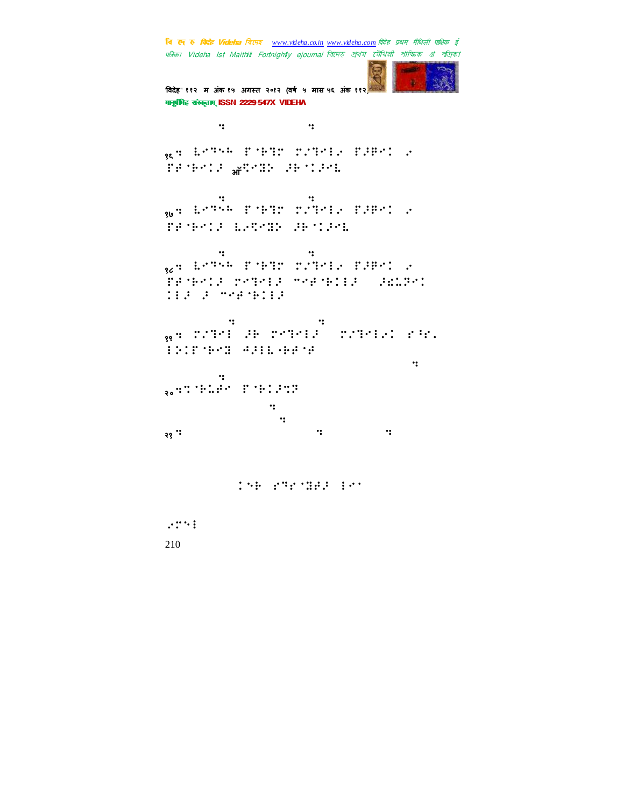

'वदेह' ११२ म अंक १५ अगत २०१२ (वष ५ मास ५६ अंक ११२) मानुष्टीबिह संस्कृताम् ISSN 2229-547X VIDEHA

## qpuijon and the control of the control of the control of the control of the control of the control of the control of the control of the control of the control of the control of the control of the control of the control of

<sub>१६</sub>५ 1934 P1932 P2931 P2931 P2931 P3 &⢾⢷⢼!ऑ⣋⣝⢵!⢼⢷⢼⣇!

by the control of the control of the control of the control of the control of the control of the control of the <sub>१७</sub>५ 1/956 P.992 P.991 P.992 P.992 P. &⢾⢷⢼!⣇⢴⣋⣝⢵!⢼⢷⢼⣇!

where  $\mathbf{q}$  is the positive point of  $\mathbf{q}$ <sub>%/</sub>g 12556 Policy Policy Policy Policy 2 &⢾⢷⢼!⣙3⢼!+⢾⢷3⢼-!⢼⣎⣅⢽!  $113$  3 media 1113

quadratic control of the control of the control of the control of the control of the control of the control of <sub>१९</sub>५ : 22991 - 28 : 299912 - 2299121 - 3991 - $\frac{1}{2}\frac{1}{2}\frac{1}{2}\frac{1}{2}\frac{1}{2}\frac{1}{2}\frac{1}{2}$ 

ius;00nbjuijmbvsnjuijmbvsnjuijmbvsniuijmbvsniuijmbvsniuijmbvsniuijmbvsniuijmbvsniuijmbvsniuijmbvsniuijmbvsniui https://www.file.com <sub>२०</sub>५९'862#\* | 1962#198 ius in control de la control de la control de la control de la control de la control de la control de la control de la control de la control de la control de la control de la control de la control de la control de la contr  $\mathbf{q}$  $\mathcal{R}$ 

INE PREMIER INT

210  $3:2:3$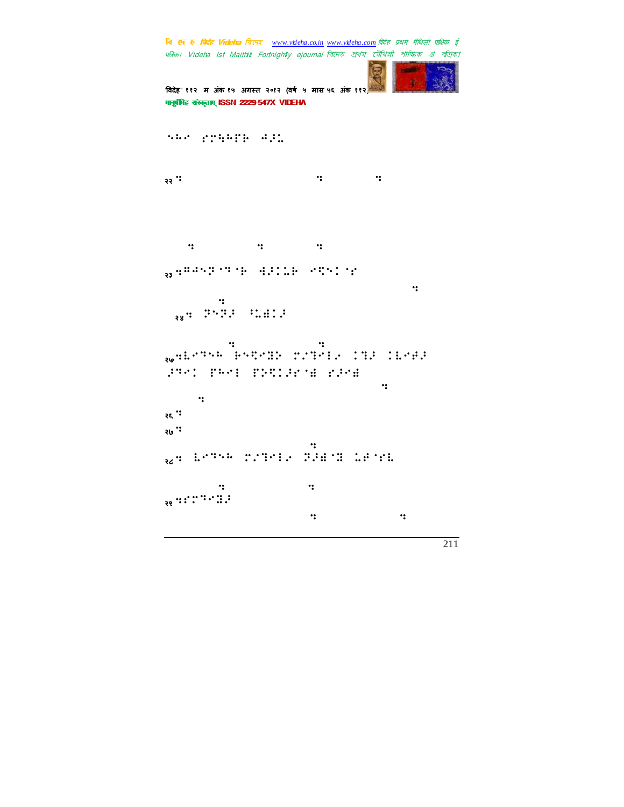```
चि एक रु विदेह Videha चिएन्छ <u>www.videha.co.in www.videha.com</u> विदेह प्रथम मैथिली पाक्षिक ई
पत्रिका Videha Ist Maithili Fortnightly ejournal রিদেহ প্রথম মৌথিনী পাক্ষিক গ্র পত্রিক।
'वदेह' ११२ म अंक १५ अगत २०१२ (वष ५ मास ५६ अंक ११२)
मानुष्टीबिह संस्कृताम् ISSN 2229-547X VIDEHA
SHA STRAIN SIL
\mathcal{R}\mathbf{v}_t and \mathbf{v}_t and \mathbf{v}_t and \mathbf{v}_t<sub>३३</sub>५#452°°C अपनी साम्राज्य सम्पर्कतन्त्र
ius;00hbkfoesbuibloesbuibloesbuibloesbuibloesbuibloesbuibloesbuibloesbuibloesbuibloesbuibloesbuibloesbuibloesb
https://www.file.com
   <sub>२४</sub>५ २०३३ - २०३३ - २०
libco de la contrada de la contrada de la contrada de la contrada de la contrada de la contrada de la contrada
<sub>२७</sub>५६८°९५ के सम्पादी होती हैं। इन्द्र सम्पादी के सम्पादी सम्पादी हैं।
⢼⢹!&⢳3!&⢵⣋⢼⣞!⢼⣞!
ius (100 wieleniai) in die stelling von die stelling von die stelling von die stelling von die stelling von die
         \cdot:
२६\mathbf{B} Wiefib Sbejp \mathbf{S}\mathcal{L}_{\mathcal{D}} : where \mathcal{L}_{\mathcal{D}} is the parameter \mathcal{L}_{\mathcal{D}}\mathbf{g} is a set of \mathbf{g} is a set of \mathbf{g}<sub>२८</sub>० 1979-9 - 229919 - 239910 - 239910
esbnb, esbnb, esbnb, esbnb, esbnb, esbnb, esbnb, esbnb, esbnb, esbnb, esbnb, esbnb, esbnb, esbnb, esbnb, esbnb
<sub>२९</sub> :::::::::
ius;00ftbnbbesquedpnbbesquedpnbbesquedpnbbesquedpnbbesquedpnbbesquedpnbbesquedpnbbesquedpnbbesquedpnbbesquedpn
```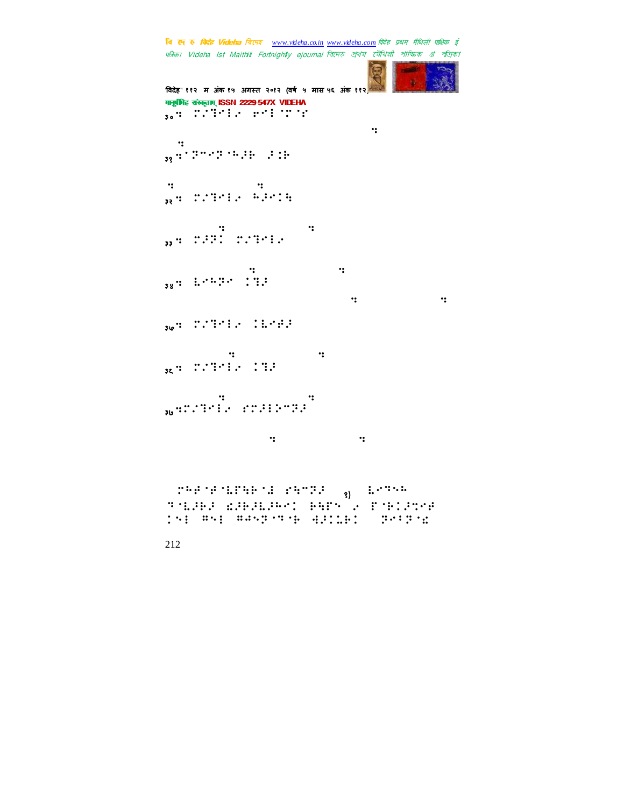.<br>विदेह' ११२ म अंक १५ अगस्त २०१२ (वर्ष ५ मास ५६ अंक ११ मानुष्टीबिह संस्कृताम् ISSN 2229-547X VIDEHA <sub>३०</sub>० : : : : : : : : : : : : : : : : ius;00nbjuijmjegimntoja (1900-1900) udproduce the control of the control of the control of the control of the control of the control of the control of the control of the control of the control of the control of the control of the control of the control of th <sub>३९</sub> + 100 + 100 + 100 + 100 + 100 + 100 + 100 + 100 + 100 + 100 + 100 + 100 + 100 + 100 + 100 + 100 + 100 + 100 ⣒cmphtqpu⣒dpn0!! <sub>३२</sub>५ :2799:2 क्रिकेट के ibility of the company of the company of the company of the company of the company of the company of the company of the company of the company of the company of the company of the company of the company of the company of t <sup>३३</sup>⣒!⢼⢽!"⣙3⢴! nbjurga julijanske političare postavlja se objavlja se objavlja se objavlja se objavlja se objavlja se objavlj <sub>३४</sub>: 1995-2017 ( ius dialektura dialektura dialektura dialektura dialektura dialektura dialektura dialektura dialektura dialekt<br>Dialektura dialektura dialektura dialektura dialektura dialektura dialektura dialektura dialektura dialektura <sub>३७</sub>५ :2299:20 : 1199:30 : lbwydd a chwaraeth a chwaraeth a chwaraeth a chwaraeth a chwaraeth a chwaraeth a chwaraeth a chwaraeth a chwar<br>Daeth a chwaraeth a chwaraeth a chwaraeth a chwaraeth a chwaraeth a chwaraeth a chwaraeth a chwaraeth a chwara <sub>३६</sub>० | 2239||२० | 332|| lbuib $\mathcal{L}$ <sub>३७</sub> :::39 ::: :::39 :::39 :::39 :::39 :: tbnbmpdiobate both products and the products of the products of the products of the products of the products of the products of the products of the products of the products of the products of the products of the products o

 $\left\langle \mathcal{D}^{\text{L}}\mathcal{D}^{\text{L}}\mathcal{D}^{\text{L}}\mathcal{D}^{\text{L}}\mathcal{D}^{\text{L}}\mathcal{D}^{\text{L}}\mathcal{D}^{\text{L}}\mathcal{D}^{\text{L}}\mathcal{D}^{\text{L}}\mathcal{D}^{\text{L}}\mathcal{D}^{\text{L}}\mathcal{D}^{\text{L}}\mathcal{D}^{\text{L}}\mathcal{D}^{\text{L}}\mathcal{D}^{\text{L}}\mathcal{D}^{\text{L}}\mathcal{D}^{\text{L}}\mathcal{D}^{\text{L}}$ ⢹⣇⢼⢷⢼!⣎⢼⢷⢼⣇⢼⢳!⢷⣓&!⢴.&⢷⢼⣉⢾! 3!⢻3!⢻⢺⢽⢹⢷!⣚⢼⣅⢷!!⢽7⢽⣎.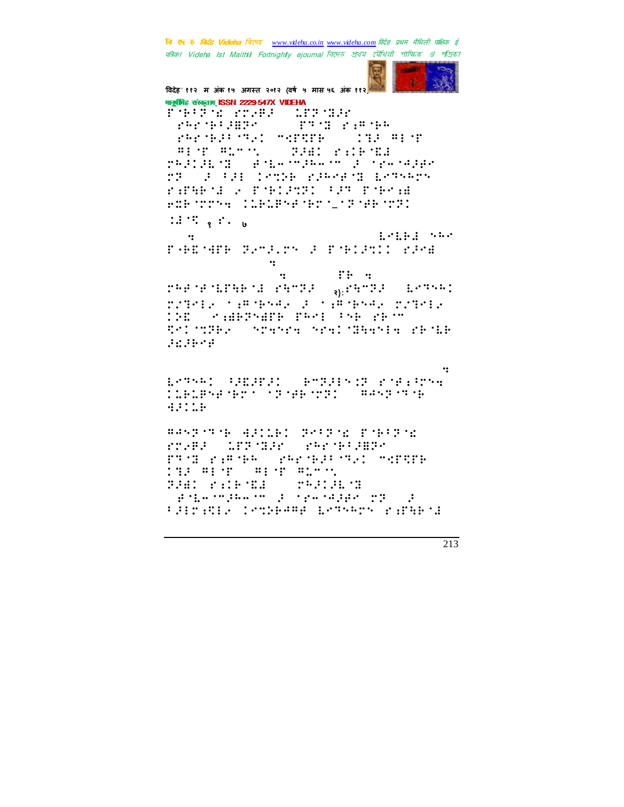

विदेह' ११२ म अंक १५ अगस्त २०१२ (वर्ष ५ मास ५६ अंक ११२) मानुषीिमह संकृताम्ISSN 2229-547X VIDEHA BÕ7B7Î^# (PIVB2)<br>| PAP^B7JBBY )⢳⢷7⢼⣟⢽\*!-!&⢹⣝.⣐⢻⢷⢳! )<br>CHEAT (HEAT) + 2000 (STAR) + 1000 (STAR)<br>CHEAT (HEAT) + 2000 (STAR) + 11000 (STAR) )⢻3&.⢻⣅+⣁\*-!⢽⢼⣞)⣐⢷⣏⣜\*-! ⢳⢼⢼⣇⣝!)⢾⣇⢲+⢼⢳⢲+!⢼!⢲⢺⢼⢾!  $T$ 3.  $T$  3.3.  $T$  7.0.3.  $T$  3.3.  $T$  3.3.  $T$  3.3.  $T$  3.3.  $T$  3.3.  $T$  3.3.  $T$ ⣐&⣓⢷⣜!⢴.&⢷⢼⣉⢽!7⢼⢹!&⢷⣐⣞! ⢶⣍⢷⣒!⣅⢷⣅⢿⢾⢷–⢽⢾⢷⢽!  $\mathbb{Z}$ :  $\mathbb{Z}$   $\mathbb{Z}$   $\mathbb{Z}$   $\mathbb{Z}$   $\mathbb{Z}$   $\mathbb{Z}$   $\mathbb{Z}$   $\mathbb{Z}$   $\mathbb{Z}$   $\mathbb{Z}$   $\mathbb{Z}$   $\mathbb{Z}$   $\mathbb{Z}$   $\mathbb{Z}$   $\mathbb{Z}$   $\mathbb{Z}$   $\mathbb{Z}$   $\mathbb{Z}$   $\mathbb{Z}$   $\mathbb{Z}$   $\mathbb{Z}$   $\mathbb{Z}$   $\mathbb{Z}$   $\mathbb$ Op 39.92.1883:00 10.92.1883:00 10.93.1883:00 10.93.1883:00 10.93.1883:00 10.93.1883:00 10.93.1883:00 10.93.18  $\mathbf{P}$  . Our property of the set of the set of the set of the set of the set of the set of the set of the set of the set of the set of the set of the set of the set of the set of the set of the set of the set of the set ius in control de la control de la control de la control de la control de la control de la control de la control de la control de la control de la control de la control de la control de la control de la control de la contr qvcmjdbujpo dpn0.  $\mathbb{R}$ Ad yd yn Erddi ac yn Allymau (1995). Yn Allymau (1995) "⣙3⢴.⣐⢻⢷⢺⢴!⢼!⣐⢻⢷⢺⢴!"⣙3⢴!  $^{\prime}$  )  $^{\prime}$  (  $^{\prime}$  )  $^{\prime}$  (  $^{\prime}$  )  $^{\prime}$  (  $^{\prime}$  )  $^{\prime}$  (  $^{\prime}$  )  $^{\prime}$  (  $^{\prime}$  )  $^{\prime}$  (  $^{\prime}$  )  $^{\prime}$  (  $^{\prime}$  )  $^{\prime}$  (  $^{\prime}$  )  $^{\prime}$  (  $^{\prime}$  )  $^{\prime}$  (  $^{\prime}$  )  $^{\prime}$  (  $^{\prime}$  )  $^{\prime}$  (  $^{\prime}$ SAL MERRY ARANG MERRY ARTER  $...$ Fohmjti.Nbjuijmj!Ejdujpobsz⣒! ⣇⢹⢳!⢸⢼⣏⢼&⢼.!⢷+⢽⢼3⣈⢽!⢾⣐⢸⣒! ⣅⢷⣅⢿⢾⢷!⢽⢾⢷⢽.!⢻⢺⢽⢹⢷!  $...$ ⊞ASP'T NE INSTRACT ⢴⢿⢼-!⣅&⢽⣝⢼!)⢳⢷7⢼⣟⢽\*!-! &⢹⣝.⣐⢻⢷⢳!)⢳⢷⢼7⢹⢴!+⣊&⣋&⢷\*-! ⣙⢼.⢻3&!)⢻3&!⢻⣅+⣁\*-! BH : :HE'BI → TELHE ) engan negaran di serangan dan 7⢼3⣐⣋3⢴.⣉⢵⢷⢺⢻⢾!⣇⢹⢳!⣐&⣓⢷⣜!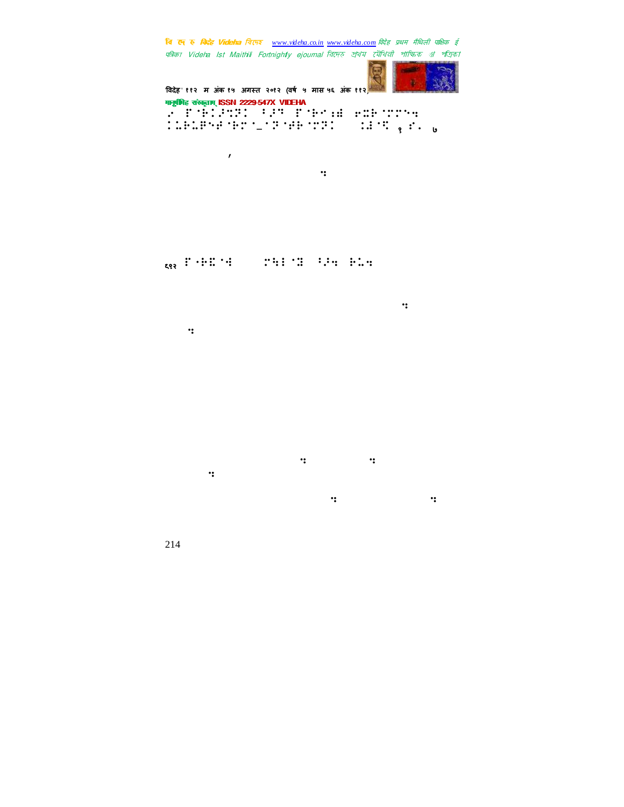

विदेह' ११२ म अंक १५ अगस्त २०१२ (वर्ष ५ मास ५६ अंक ११२) मानुष्टीिह संस्कृतम् ISSN 2229-547X VIDEHA  $\sim$  P/B1252. F2P P/B4:B e2B/2254.

Uiblist van die Stern van die Stern van die Stern van die Stern van die Stern van die Stern van die Stern van<br>Gebeure

⣅⢷⣅⢿⢾⢷–⢽⢾⢷⢽-!⣈⣜⣋.१ =!<sup>७</sup>

Boubsnboble. (1999)

## <sub>६९२</sub> #२<del>०</del>€ #२० % | 2111 | 2111 | 3211 | 3211 | 3211 | 3211 | 3211 | 3211 | 3211 | 3211 | 3211 | 3211 | 3211 |

) (between the distribution of the distribution of the distribution of the distribution of the distribution of State of the state of the state of the state of the state of the state of the state of the state of the state

iuuqt;00tjuftigtation on the phmf dpn0bowj

efib $\alpha$  of  $\alpha$  of  $\alpha$  of  $\alpha$  of  $\alpha$ ius;00wjefib234,000wjefib234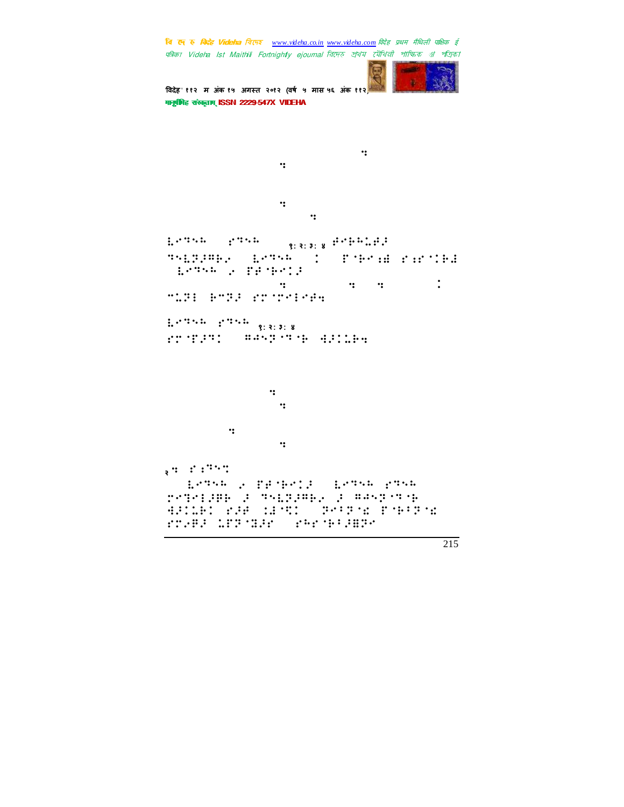पत्रिका Videha Ist Maithili Fortnightly ejournal রিদেহ প্রথম মৌথিনী পাক্ষিক গ্র পত্রিক। 'वदेह' ११२ म अंक १५ अगत २०१२ (वष ५ मास ५६ अंक ११२) मानुषीिह संस्कृतम् ISSN 2229-547X VIDEHA xfctium (1980), iuu quadrum (1980), iuu  $\frac{d\theta}{d\theta}$ nbjm;tisvuj⣒qvcmjdbujpoAtisv uj.dov. a na staro dpa je postavlja se obrazil na staro dpa je postavlja se obrazil na staro dpa je postavlja<br>Dogodka je postavlja se obrazil na staro dpa je postavlja se obrazil na staro dpa je postavlja se obrazil na s  $\mathbb{R}^{2\times 3\times 4}$  ;  $\mathbb{R}^{3\times 4}$   $\mathbb{R}^{3\times 4}$   $\mathbb{R}^{4\times 4}$   $\mathbb{R}^{4\times 4}$  ;  $\mathbb{R}^{4\times 4}$  ;  $\mathbb{R}^{4\times 4}$  ;  $\mathbb{R}^{4\times 4}$  ;  $\mathbb{R}^{4\times 4}$  ;  $\mathbb{R}^{4\times 4}$  ;  $\mathbb{R}^{4\times 4}$  ;  $\mathbb{R}^{4\times 4}$  ;  $\mathbb{R}$ ⢹⣇⢽⢼⢻⢷⢴!#⣇⢹⢳#!-!&⢷⣐⣞!⣐⢷⣜! ;⣇⢹⢳.⢴.&⢾⢷⢼!  $\mathbf{u}$  is defined by  $\mathbf{u}$  is defined by  $\mathbf{u}$ +⣅⢽3!⢷+⢽⢼!3⢾⣒!  $\frac{1}{2}$ ;  $\frac{1}{2}$ ;  $\frac{1}{2}$ ;  $\frac{1}{2}$ ;  $\frac{1}{2}$ ;  $\frac{1}{2}$ ;  $\frac{1}{2}$ ;  $\frac{1}{2}$ ;  $\frac{1}{2}$ ;  $\frac{1}{2}$ ;  $\frac{1}{2}$ ;  $\frac{1}{2}$ ;  $\frac{1}{2}$ &⢼⢹;!⢻⢺⢽⢹⢷!⣚⢼⣅⢷⣒! iuuq;00xxx⣒tisvuj.  $q$  and  $q$  and  $q$  and  $q$  and  $q$  and  $q$ tisvuje konstantine konstantine konstantine konstantine konstantine konstantine konstantine konstantine konstantine konstantine konstantine konstantine konstantine konstantine konstantine konstantine konstantine konstantin  $\mathbf{q}$  $\mathbf{z}$  :  $\mathbf{z}$ :  $\mathbf{z}$  $\sim$  10.300  $\sim$  10.300  $\sim$  10.300  $\sim$  10.300  $\sim$ ⣙3⢼⢿⢷!⢼!⢹⣇⢽⢼⢻⢷⢴!⢼!⢻⢺⢽⢹⢷! ⣚⢼⣅⢷!⢼⢾!⣈⣜⣋.!⢽7⢽⣎.&⢷7⢽⣎. ⢴⢿⢼-⣅&⢽⣝⢼!)⢳⢷7⢼⣟⢽\*!-!

चि एक रु *विदेह Videha चिए*न्छ <u>www.videha.co.in www.videha.com</u> विदेह प्रथम मैथिली पाक्षिक ई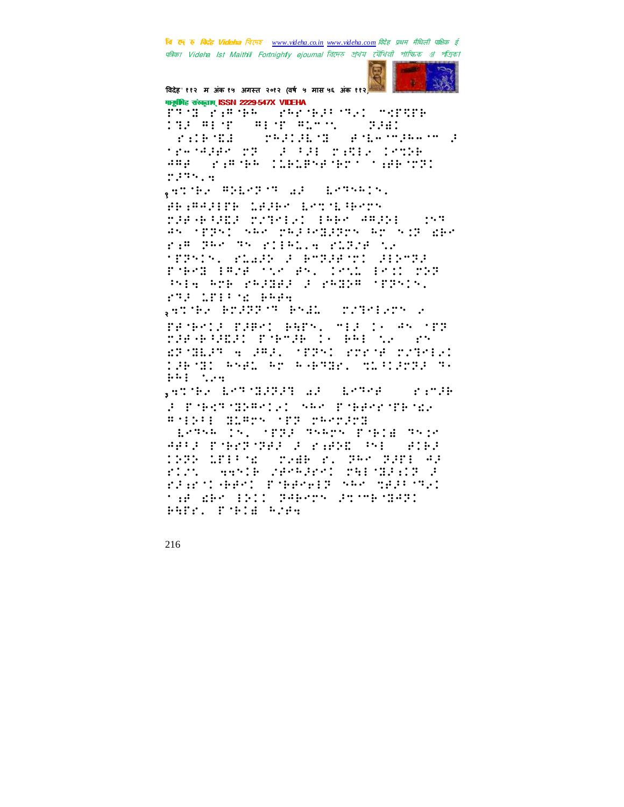

विदेह' ११२ म अंक १५ अगस्त २०१२ (वर्ष ५ मास ५६ अंक ११२)

गानुबंधिह संस्कृतम् ISSN 2229-547X VIDEHA PROBLEM SPACE PRODUCT PRESER **THE WEST CONFIDENT Widt** and the state of the state of the state of the state of the state of the state of the state of the state of th ten Sager (22) **SOURCE PARAGEMENT** ARE SEPTER CORDENELLY THEORI 

genome spresh af crements.

**BEAMAINE LANGE LOCALIFOR** rad Gara retailed inne amani (193 45 (1895) 546 8423-832885 48 538 866 ram dhe dhe rifhica ridhe ne <u> 152515. 21422 2 Present Sieres</u> PORCH BROWN COMPANY ISSUED TO THE Principal Packet Constant Preside FTP LEEP & BREE

, et des Praggions Prais  $\begin{array}{ccc} \mathbf{1} & \mathbf{1} & \mathbf{1} & \mathbf{1} & \mathbf{1} & \mathbf{1} & \mathbf{1} & \mathbf{1} & \mathbf{1} & \mathbf{1} & \mathbf{1} & \mathbf{1} & \mathbf{1} & \mathbf{1} & \mathbf{1} & \mathbf{1} & \mathbf{1} & \mathbf{1} & \mathbf{1} & \mathbf{1} & \mathbf{1} & \mathbf{1} & \mathbf{1} & \mathbf{1} & \mathbf{1} & \mathbf{1} & \mathbf{1} & \mathbf{1} & \mathbf{1} & \mathbf{1} & \mathbf$ FRONTS FIRST BATS, MISSION AS OFF THE RESEARCH THREE IS THE SACTOS EPSIER A PRAY STRAINSTER STRAIN 198001 Angl Ar Agenol Mislarda no 991 729

gever britannisk britansk reth

2 Pjedigerick se Pjedrjeer BARA HIPS AN SEATH

SEPTER IS, STRACTERY PORCHOTECH APPS PYRTIMES S PARK PHI ATRA 1985 LEEPSE (SVAR 2018-1988 SPEET 43 **SAMPLE SEPARANT THE MERIT P**  $\mathcal{L}^{\bullet}$  . The set of  $\mathcal{L}^{\bullet}$ rancher, popperar se sea del the der (1911 Paerdy (Promeopar) PAPEL POPIN ROBE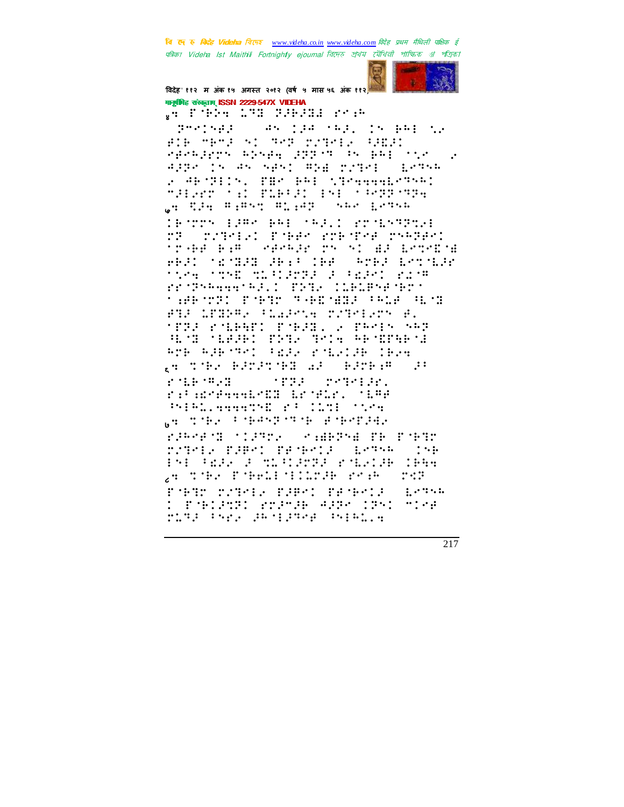

विदेह' ११२ म अंक १५ अगस्त २०१२ (वर्ष ५ मास ५६ अंक ११२ गानूबंगिह संस्कृताम् ISSN 2229-547X VIDEHA

**WEIGH AND BURGERY:** 

(45 124 542) 15 BHF 12  $399219433$ Bib Spel at Sep Provide Condi rerages above grow in particular APPA IN AN NEWS REAL MOTOR (LATER 2 AFTEIN, MBT PAE STRAAGERTSAI MALVED TEL PLATAL INE TARGETER Ge CDe #i#st #1902 she betsh IR TON (ESP) RAE (SAS) I POSESSONE MP ( MARCEAL PORP) MARCHER (MARRA) trake kan saarkan ny youer brondse **ABOUT TEMPS OF SALE OF A PART LOT TER** 1919-22 3 Pedro Pine **Side Shall the** rrogammental: PDB, CLELPARTES MARKING PART SARAWA PALE BUN BO CROSS CARTE CONSIDER tra rumer ruar 2 reds se and there: mone acts aremared RTE RABITEL FEAR POLRIGE IBRE ge the Barathe was Barbies af **STRA PORTABLE** POLE SEAR rildringskrift brith. 1888 Princesserre stiller (199 <sub>a</sub>n the Changers Poperal raknens flagre (staepha pe poegr rother fames factors formed the PHOREA FOLKERS FORCH CHA ge opder indebtidieren erse i i de de Co Poble colored papel probable masses D'ESPORT PRESE ARRE CRYD SINE ring three gargened thealls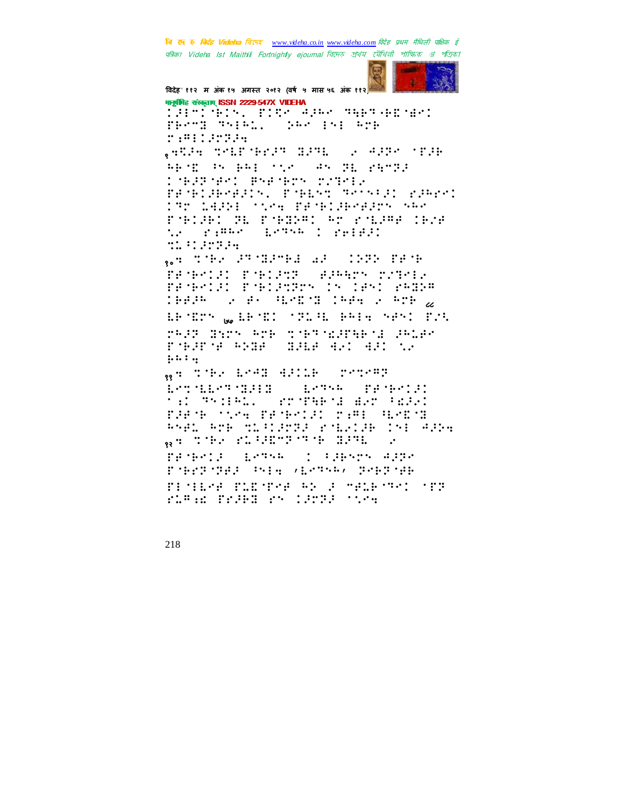

विदेह' ११२ म अंक १५ अगस्त २०१२ (वर्ष ५ मास ५६ अंक ११२) गानुबंधिह संस्कृतम् ISSN 2229-547X VIDEHA Denthis, Bige Aper man appear FRAME TRING, CAR INFORMER 2:8:122234 **SARA THE BEAT BANK SO ARRESTED** ABOR IN BAILONY (48) HE PATHS **CONSTRAY Bracker college** PACHINHANIS, POHLSO RACSEN, PARPOI ITT 14321 TIME PROPINERTY NEW recept an removar entered the ta ang pag-ang pangalan **MARK PERSON** .. THA PROPHET AN IND PACH PANEOLI PNELSOS (AJEANS NUMBER FRONTIL PORTREY IN 1851 PAGER TERRE SORE ROBOT TERRISORDE & LETERY WARTED TRING BRING NAME TON TRAP BYTY RTP TOPPORATHEOR ARGEO  $......$ WHO TORY ESSENTIAL COMPANY **Letteller (S.S.S.)** and the second second second second second second second second second second second second second second second second second second second second second second second second second second second second second second seco ': Thill, rocheti ar tall FRESH STRAGGERS IN THE SERIES RNAL AME MIRIAMES ROLLIA 1NE AANA g: The PLEETTE BRE  $\bullet$ PROPOSE ESTAR (1 FRANK ARRA Pobracher (Sig (Estat) pobroh FINISH FLENTE AN FURNITURE TE ruan fragilen (artistica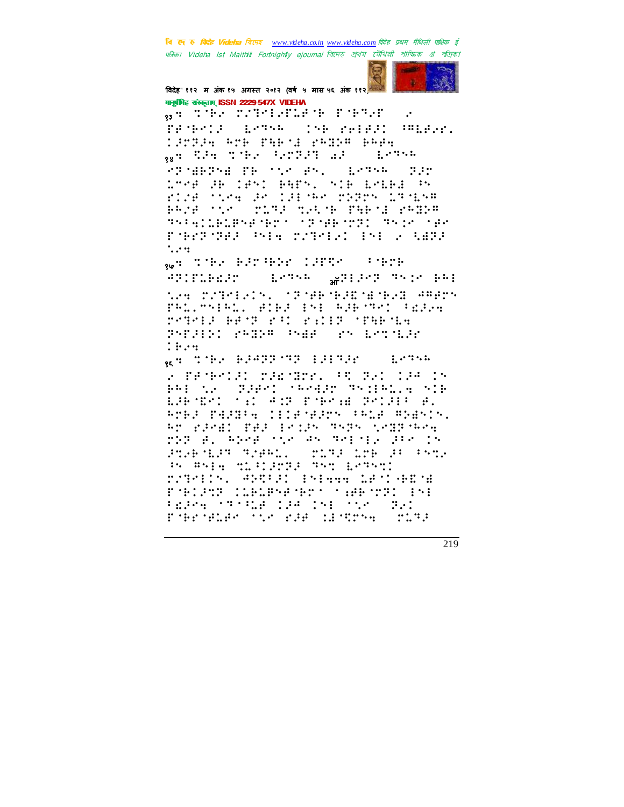

विदेह' ११२ म अंक १५ अगस्त २०१२ (वर्ष ५ मास ५६ अंक ११२) गानूबंगिह संस्कृताम् ISSN 2229-547X VIDEHA

WHO THE PATHLED IN POPPER  $\ddot{\phantom{a}}$ PROPOSE LOTGE (SE PRIPAL PRIPAL **TROPAGE ROBERTS CREDU BRAGE** WHO RUBS TO BE CONSIDERED AND A BOTTOM SPORFER PROTOCOPS, ASSAULTED 1798 SB (851 BAP5, 51B LALB2 SS ring time an 131 mm regro 17 mins <del>1921</del> - Sel Grund South Chesa Shape THE RICHARD RICH OF THE 1971 THIS ONE PORTUGE PHA TITLE IN STARR  $\ddots$  :

we the EPPRESS LAPRE Conder **ATTITUDEST SEATHER SEEDING THIS BEE** 

New Statements of the reading read (Amars PALITABAL, BIBS BAB ASBORI BESAN repeak bend and allowed inherita PSTAINI PAGNA PSHA (PS LOTTLAR  $: ...:$ 

ge the EPPP'TP EPPPE ( EPP) 2 TEMPOR TREMEN PROPER CAPITA **THAI SEART TRIEL: SIE**  $1.41 \cdot 1.4$ ERPORT PED POP ESPAGE PAIRE (P. RMBA PAARPA (1118-9385 PR18 PDASIS) Ar right fill became the completed 2008 B. Aber 1520 BN 381-112-212-15 Prekimen nemmer (PLNP) Lrk PH (Prre By White Millergi Who Erght ratelly, spread infanctificialit FORCES CLEARAFORM MARKETING PERSONALISM CRAINE STATE RAD Poblokation of the candres with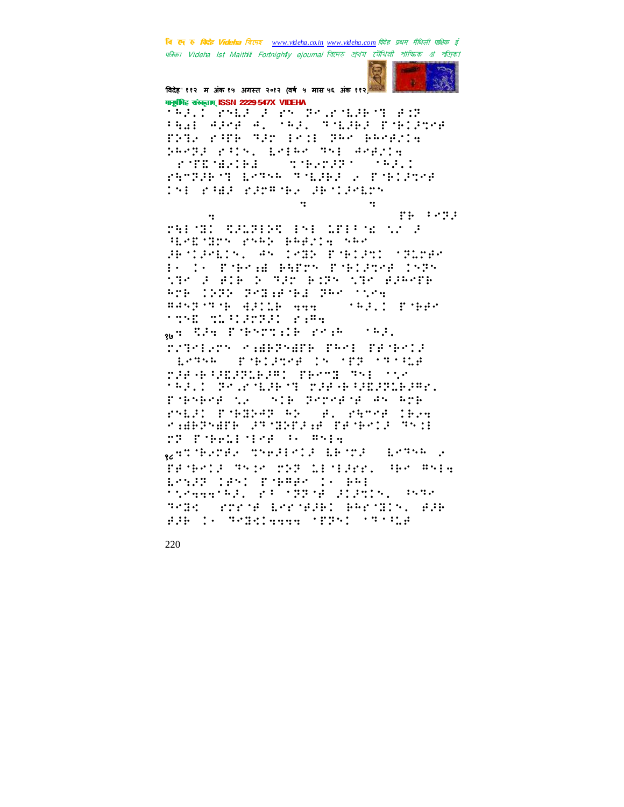

विदेह' ११२ म अंक १५ अगस्त २०१२ (वर्ष ५ मास ५६ अंक ११२) गानूबंगिह संस्कृताम् ISSN 2229-547X VIDEHA

SALT PALE FOR PORTLANT FIR PANE APPROACH PAP, PRESENT PRESPON DSD rATE ART EST DAS BASEIN PROTE PAIN, LOIRO TSE ROBOTA FTEMPH TERRIT MAL FAMPLE TO ESTAR TALLED OF TALISHE INE PART PROPER SEMIPARTY

 $\dddot{\mathbf{r}}$ 

 $\dddot{\mathbf{r}}$ 

TH POIL PHORO RELEEFS ESECUTEFING NO 2 HERBOIN PARK PRENIN SAR ARTIANIS, AN INGEN PORTAGE OGGINAN Bole Purad Barry Published 1929 the a bib S man bone the banenp Age (1931 Senagena Sae Stea BASE STE GRILD ANN **Southern State THAN THE SECOND STATE WHICH ENDINGS IN SALE**  $\cdots$  : ratelers eadersdrik roei resieta SEPTER COMMISSION IN MORE STANDE rae e britisher (from Sei Ste **MARIO PORTUGALE ME TRANSPORTANT** Pobober to structurers an are rnest popular al de denne tera raksmare (storial redet) sti **TT Principles : Service** genomerate influence amount around r PENECIE THIS PRESSURE SENSE THE THIS ESSER CHAINTSHARE CONNE Steamer Rachard Starte (alanis, Caste **TAIR STEAM LARGERY PRESIDE SIR** AND IS MONICHAN (PRS) (MONIC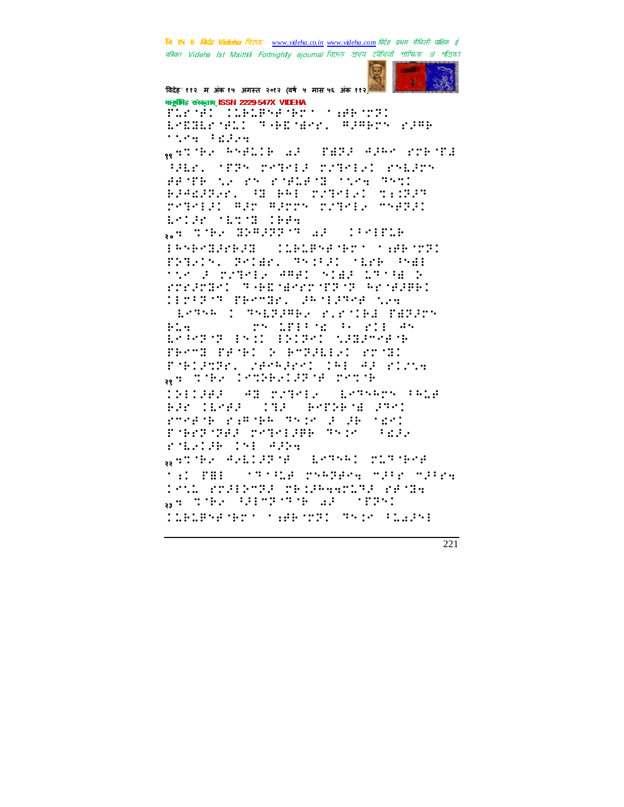

विदेह' ११२ म अंक १५ अगस्त २०१२ (वर्ष ५ मास ५६ अंक ११२) गानूबंगिह संस्कृताम् ISSN 2229-547X VIDEHA

first (margeter is a E-BOOK-ALL THEODYNE HIMES FINE **Time Parker** WATCHER PORTION ARD CONDUCTING WITHOUT SHER, MERS MATALE MITTALLY ROLLER BROTH AS PROPORTED THAT THAT BANGARAN SA BAI MATKIRI MIGRAT redelli Alr Alrry ridell myezi: **WORKSHOW** WORK We the BEERT at Clement ERSPORACER (CLELPSPORT) (APPORT CONSIN, SMIDS, SMIDS, MED SMID vink amer slag 1974 2  $\gamma$  ,  $\gamma$  ,  $\gamma$  ,  $\gamma$ rorado: 34E145codo 936 Arieles **CEPTRIN PERMIEL 28/E2988 New** Leter : Telfines fifile fation ry drived by ril 45  $H: \mathbb{R}^n$ ERRET IND INDED CHERRITH FRONT FRONT DO ROBBINI STORI PORTUGAL CAPARENT IAE AR FICUR WHO TO BE CONTRACTED TO THE TABLE TRITAR (AB MINERIA ERSANYA PALA BAR (1983) (TD) BRTSBYE (PR) rockie riege and die Benned PORTUGE TOTALIE TO MOVED ristar in Adre WHITEH ANEIGHTH (ESTAR) PLTTER ti for the control theories of the state Teni rodineza originariza renza **A** THE HITFING AF THE CONSENSATION CONTINUES TRIANS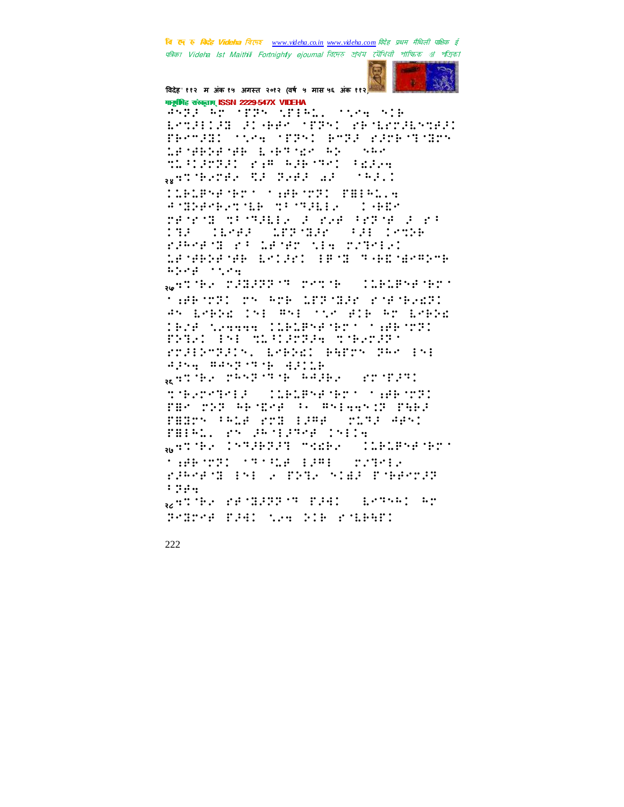

विदेह' ११२ म अंक १५ अगस्त २०१२ (वर्ष ५ मास ५६ अंक ११२) मानूबंभिह संस्कृतम् ISSN 2229-547X VIDEHA

When We offer the Milk. Street wie ESTATION OF GAS TERMI PROFESSIONI PROSED TOOK TERM ROBE WEEKS THE LEMENEME LAPASA PD  $\ddots$  :  $\ddots$ TERRIC FROM THE TELLS <sub>ap</sub>erdever to paer ar (1622)

CONFERENT THEORY COUNTY **ANDREASNE SPURIER**  $\mathbb{R}^n$  . In the set of  $\mathbb{R}^n$ rankis ta nasara ya kuangira ya ka 11/22 100101221 1001 **Senter**  $\mathbf{1}$ ramens ri dener die raselat LA MARRA MARCELLANI (1871-1878) A PARTY ARABANY  $\mathcal{L}(\mathcal{L},\mathcal{L},\mathcal{L})=\mathcal{L}(\mathcal{L},\mathcal{L},\mathcal{L})$ 

WATCHE PAGARRYT PATCH (CLALPSPORT) ta#Frog: or acF 18271826 pr#reag: An Especial information and are Especial TESE SPAAA (SIELPSPACHT) (ABCTS) rand Tall Schule Search FTJERTEJIN, EMPREJ PRTTN PRM ENE

Apropramente applie gethe response eage.  $\sim$  and the state  $\sim$ thermals (1968-581-1919) (AB-021 THE THI RESEARCH REGARD THAT FARTY (GLA 273 1386) TLT3 ABY: FHIRD, PROPERTIES INDIA WHIPPER INTERFET TREES (ILBLENEMENT) **THEORY ORDER EPH CONTROL** rawers in , file nime what remer  $\mathcal{L}$   $\mathcal{L}$   $\mathcal{L}$   $\mathcal{L}$ WATCHE PECHANNICS PART (EPSON) AP

Sombol City, the till policy.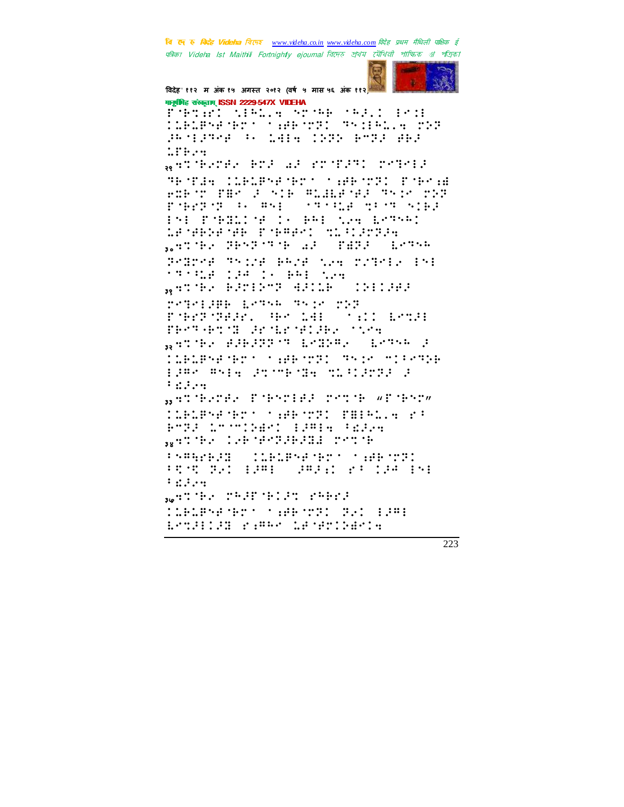

विदेह' ११२ म अंक १५ अगस्त २०१२ (वर्ष ५ मास ५६ अंक ११२) गानूबंगिह संस्कृताम् ISSN 2229-547X VIDEHA

FORTHER MERLYN STORE CRAIN  $\cdots$  : TERENFORT THROTE THIRD CON *p*angrap : 1999 (200 bry, 80  $LIF++$ WATCHPOOR BOW WAS KONSTANT OPTERA TESTAR COROPHENS SHESTIC PSPSH embor fme a sib miggeral model pip progress to map **STATE TO THE STATE** 191 Poblice In PH S24 1279-1<br>1909-2019: Poblet Silvier WATCHER PROPERTY ALL STARR CONCOR Promote Things Profiles of Controls Inc **STARR CREATE BREATH** WHITE PROPERTY BRIDE (1981-98) repersons neves very rif PORTUGES, GROSSE SOLICIONS PROTHER TO APPEAR OF HER STOCK WHITE PREPETT EMPERICATION P CONDENSATION IN BENOTO THINK MIRRIES place and a concentration of the control of  $\frac{1}{2}$  :  $\frac{1}{2}$  :  $\frac{1}{2}$  :  $\frac{1}{2}$  :  $\frac{1}{2}$  :  $\frac{1}{2}$ BRITHSTES PORTIER TOTOR WEOPTA **CLELBYERENT MEBSON PHIPLE 23** 8722 12 7719421 12814 12224 WARTHA CARTHODARDAD CONTR **CONSERVATION AND SERVICE**  $1.4447411$ FRONT BALL 1981 (1991) 28 (1991) 191  $\mathcal{L}_{\text{max}}$ WANTER TRAP GELAN SPREA Brillia rame Sencialis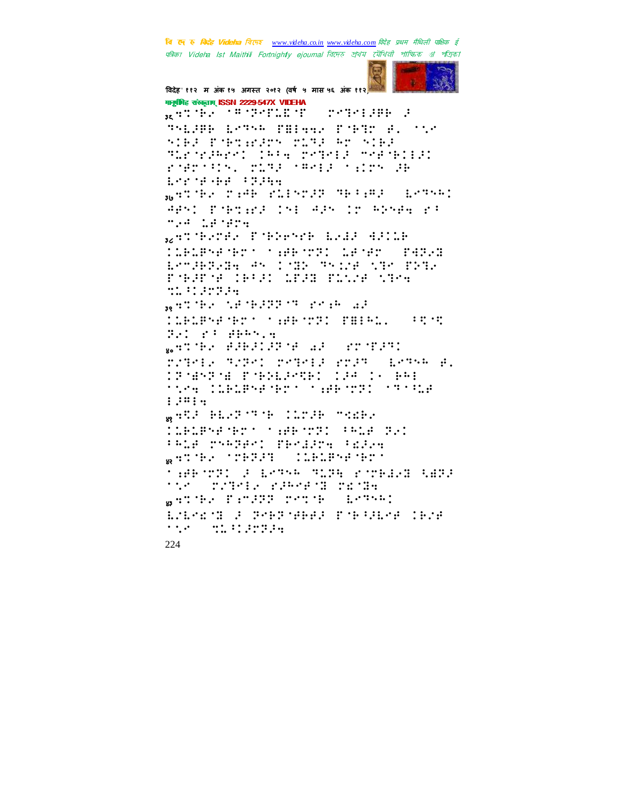

विदेह' ११२ म अंक १५ अगस्त २०१२ (वर्ष ५ मास ५६ अंक ११२) गानूबंगिह संस्कृताम् ISSN 2229-547X VIDEHA RATH SETTEMBER **CONTRACTOR** THLUB LOTAL PHINGS POPT B. TIC SIEP PORTHICLE TERP RT SIEP TERMINERI IPA PRIMIE MARGEIEI rografiy, rigg agers from ge **Lere Gabe (2005)** WHITE THE PLENTED TEAMS (ESTAR) APSI PORTHER INFORMATION ANNEW PR most defense <sub>az</sub>hor teknologi interesten ile 12 dentar CLELPSEMENT THE MOST LEMENT COOPER ESTABALE AN INEX TRIM NEW PRES PORTO INTELECTION CONTROL  $11.11.1177744$ WHITE NETHRITIST POST WA CONSENSATION TO SANDRED THEAD. THE MET WARTHOL BUBURIER AND CONFUSIO rather samed reteil rrisk (1956-18) **CRYBYRYB PYRREPYRC (200 C) BRE TOM CORPRETED THEORY TELESCO**  $: 101111$ WHIPPYB CLTD TOOR **CLELPSHORY (SHECKED FALE R.C** PALE TARGET TESSURE PESSE general comparent comparent and taments a brown once riceard where **MAS PREMIX REPARENT PENDE** <sub>w</sub>atter Panggg proje (1875) LARAM F TRETHBEFTBEHAR IBA  $-11.3133334$  $\cdots$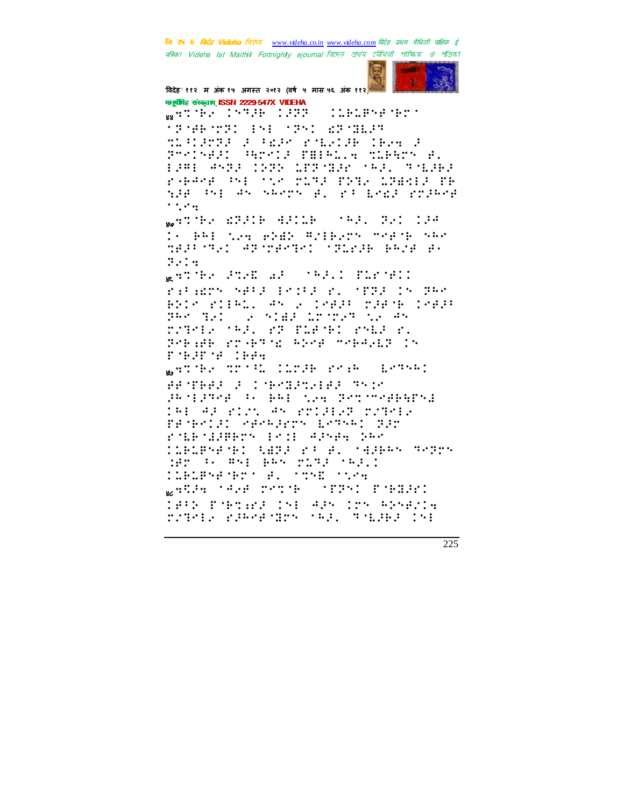

विदेह' ११२ म अंक १५ अगस्त २०१२ (वर्ष ५ मास ५६ अंक ११२) गानूबंगिह संस्कृताम् ISSN 2229-547X VIDEHA

WHITE ISTH 1998 **CONDITACTE MEMBER 2018 1991 BEMBER** LIDAYI A FEAT PALIAR CRYM A Protegal Herold PHIPL.4 SLPACH B. 1381 4593 1282 129-932 563. 951383 range the tighter free inserer fr gar ber as skeps al es regalerade  $\cdot$  ,  $\cdot$  .

WATCHE APPIE APPIE (1962) PEL 196

In BRE the BDBD ASEBSTA TRACK SAR MARK MAIL AP MARKEY (1912)AR (BR28) BK  $7.14$ 

genote and as other: macher:

riture spletcher, specie pe BRIS PIERL AN 2 ISBN 22878 18828 and and "I wear their Mi in rately that an emaching the at Presib stable brake mregion (n **POINT PRODUCT** 

WHIPE TO BE INTER POST (BOTTL) BESTEED OF CONSTITUTED TRIP akolanda (K. 641 (204 dominisher).

TAE AP RICE AN ROLPER CONSER FRONTIL SPEARED ESTART FRO rolbollerry from Alyan Sar Clebeshi GBS 21 A. (4365) 9225 HP W #MP BAN MINE (APP) **CLELBARARY R. MYAR MAGH** WARPA TANK PATTE (TEPSI PTEGP)

1952 Edenard Information Arnelia<br>Schela Scheelden (Ad. Mobiled Inf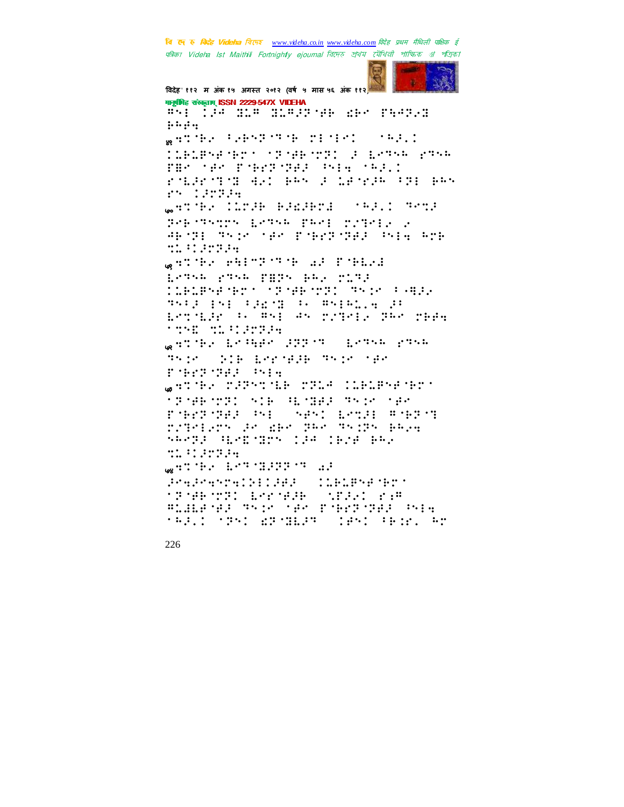

विदेह' ११२ म अंक १५ अगस्त २०१२ (वर्ष ५ मास ५६ अंक ११२) गानूबंगिह संस्कृताम् ISSN 2229-547X VIDEHA When I has most considered in the parties of the second control of the second control of the second control of  $1.1.1.$ WHITEHOLD FREME IN THE TELL OF THE VEHICLE IN THE VEHICLE IN THE VEHICLE IN THE VEHICLE IN THE VEHICLE IN THE  $\cdots$  :  $\cdots$ CONDENSATOR TERMINE STATE STATE FBP TAP PORTPART PHALOWER rance and and basic interest and basic rn 120324 Westim Constantinoperation  $\cdots$  and  $\cdots$  . The set of  $\cdots$ Personal Leonal Part (2001) 2 AB THE TRIP CAP PORT THAT THE STA **MARK PERSON** WHITE HETPIT WAS ITEDE ESTAR PTAR PHPA BRP PLTP **CLELBYANETY (1878B)281 MY10 F-ALL** HAID EAR PORTH IN HAIN, A DI Estile Work as the presented page **THE MANUFILM** watche beshied grows beach gash Thir (216 Lerosia Thir 198 ruerus: 1919 GATIER PRESTILE PROF COEDESEIENT 'P'AR'TEL SIR AL'BAR TS'N 'AP PORCHORA PHOTOGRAPH AND A GRACIE roletors an den den skips belg SARRE HERBYBYS 198 1928 BAS the Control Paragona PraPrahoa:PECPER (CLPLPhener)  $\mathbb{R}^2$  . The set of  $\mathbb{R}^2$ **MINE MILLER SERVICE** BLILENES TYPE NEW PORCHOL SYE **TRACK TOPS WORTHLAR (1851-1818) RD**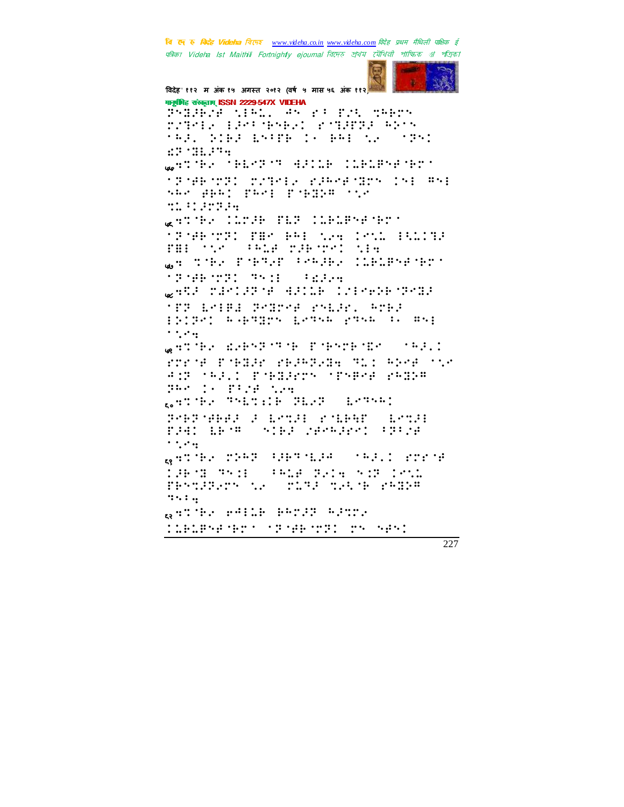

विदेह' ११२ म अंक १५ अगस्त २०१२ (वर्ष ५ मास ५६ अंक ११२)

गानुबंधिह संस्कृतम् ISSN 2229-547X VIDEHA PARTNE MIRL AN FI POL TRETA TITEL LEAPTHALL FURTHERN tel biel byffe in eel tu tryt  $17.131.334$ WHITE THETT HEILE ILELENFIT **TRIBUTE TRIEF PROFILES IN SOF** SAR BEAT TARE TORING TOP the Controller genthe Clock His Claimster. **SPERING THE RAILWAY INSIDE SALE THRIDGE PHI 1751** WHO THE POPPER PRAIRS CORDPORTED  $\frac{1}{2}$  :  $\frac{1}{2}$  :  $\frac{1}{2}$  :  $\frac{1}{2}$  :  $\frac{1}{2}$ **STORY STORY SERVICE** WARE MENICIPAL ACTIVE COMPANY TRED 'TT LAIRI TATRAR SALIK, ROBI principal and signal provided and service and service and service and service and service and service and service  $\mathcal{L}^{\bullet}$  ,  $\mathcal{L}^{\bullet}$  as gander arbonisme poborbone (1921) rrens finally rainteds the bors the **SALE PRESENS SPARE PARAM**  $4.1\%$ **PRACIS PICE NAM** genore Thansir Bask (assemn POSTOBER FIRTH FORBE  $\ldots$ FAAD ERSA (SIRA SASAARS) (BISA  $\cdots$ WHITE THE SPECIAL CAPACITY takim skip (pada sula kim ted FRANCHEN NEU MITE NEUTROPHIER  $\mathbb{S}^{n+1}$  in gander efflik kanss asonr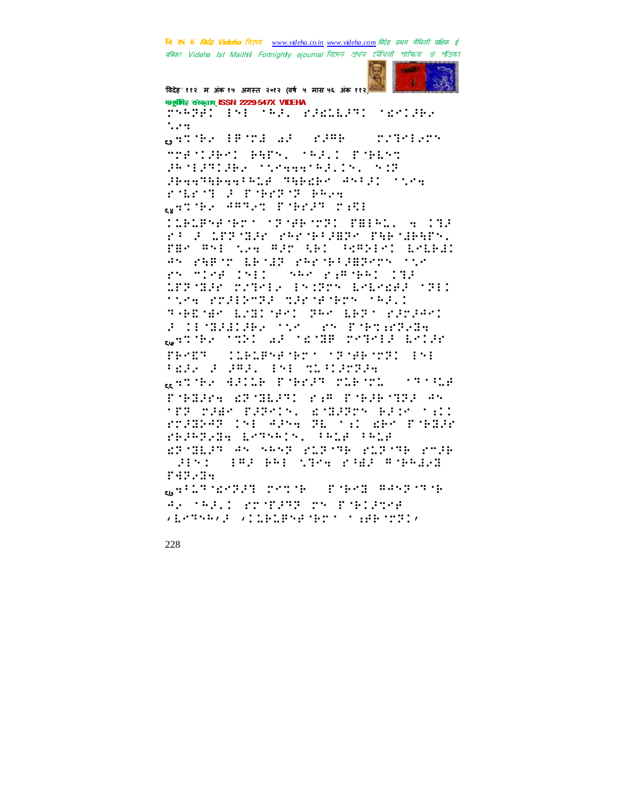

विदेह' ११२ म अंक १५ अगस्त २०१२ (वर्ष ५ मास ५६ अंक ११२) गानूबंगिह संस्कृताम् ISSN 2229-547X VIDEHA

MARAT ESE SAL, RIRGEIRT SRSTIAL  $\ddots$  :

gevik 18.72 af  $\mathbf{r}$  ,  $\mathbf{r}$  ,  $\mathbf{r}$  ,  $\mathbf{r}$ MMB MIRRI BREAK (MARII BARLAM PRODUCED COMMENDED NOR Shaankhaalkid nheibr Arls: Mira POLECT & PORTS PRAY WHITE APPAINTMENT PAT

**CLELPHENEY (PRIME) FELAL (A CTD** PROFILED MAP SPECHALISM THE MEREN. FBK WHO WAS WED ARD ANNERT ERERE AN PARTY LETAR PRETRIBURN TOP ry mise indicate she rimshed ind LPP GAR STORED IN CRON LELEVARD (SPI) tice rolledly determined. THEMP LIBINES DRY LEDY FRYRAG FOI TEMPERATURE CONTROLLER WATCH TIME AF CACHE POTOR ROLL COMO CONSTANT TRENT DI **FRANK AREA ENE MISSINGE** gende aktor meek morech  $-0.32333334$ rdene ardent ræ rderde av

'FF THE THRIN, S'HIPT' BIG 'SI PTINAR INE APNE RE TEL WAT PORCH FRINGER LEGANIA, PALE PALE EPTHIT AN NAME FOR THE COPY FOR  $\mathcal{L}$ : **SEP PRESSOR PART POPRES** 

ranona.

wallsheered rete (reem makreep

**VERTHALL VILLESHERT TO HERTIC** 

228

42 MAIL RESERVE EN PORTER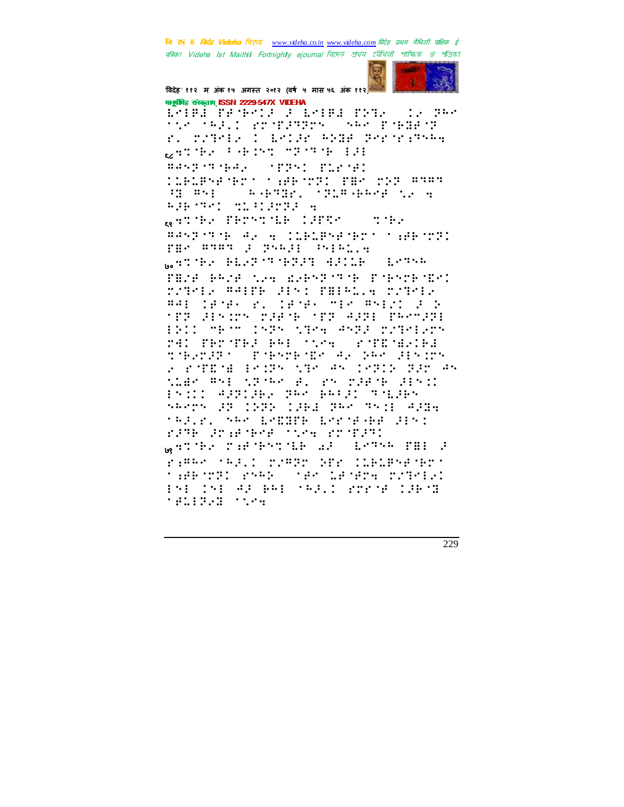

विदेह' ११२ म अंक १५ अगस्त २०१२ (वर्ष ५ मास ५६ अंक ११२) गानुबंधिह संस्कृतम् ISSN 2229-547X VIDEHA

<u>Drigi'na meta a saiga nyma (ta ger</u> MAR MARIO EN TRAPPENDO NAMOR MADE ME r. There I boid and Pressent general Person State (19) BRST THE THIS HISTORY CONDUCTS THETE BE THE THE **ARTICLE STARFORD COMPANY**  $\mathbb{R}^n$  and  $\mathbb{R}^n$ **APP TAIL TO BEFORE A** ganche Personae (SPR) ( oche adsporte de la Clélesenero o ABS/201<br>PBP anan (F psegi Ssielle WHIP HERTTHRIT HILLE SPIRE FEIN PRIE NIE KIENTSTE FSPORTEI rathe WHIPE HEAD PHINGE rathe  $\mathbb{R}^2 \times \mathbb{R}^2$ BAE CROP P. CROP MESSENC MPP HAIDA DHEMB MPP ARRE PROMPE THI THT THE BRI STAR **CONTECTADOR** therary CEMPATEMENT AP DAY (BESID) 2 POTENE EXITY NTP AN IPTID TEM AN tide and true al rootered sport Print APPLERS PRO BROED TOLERS **SRAPS OF 1999 1982 PRA TS10 APRA TRACK SPACEMENT EMPTRIME ADS:** KPR STAPPE TOM KTTPP WHITE AND IN THE TEACHER IN THE SAME IS A égmen negyi prmap apr (161858-92) tan wal anno stat la nom would PAP TAP AP BAP SARIT PERSETIAN **MANUFACTURER**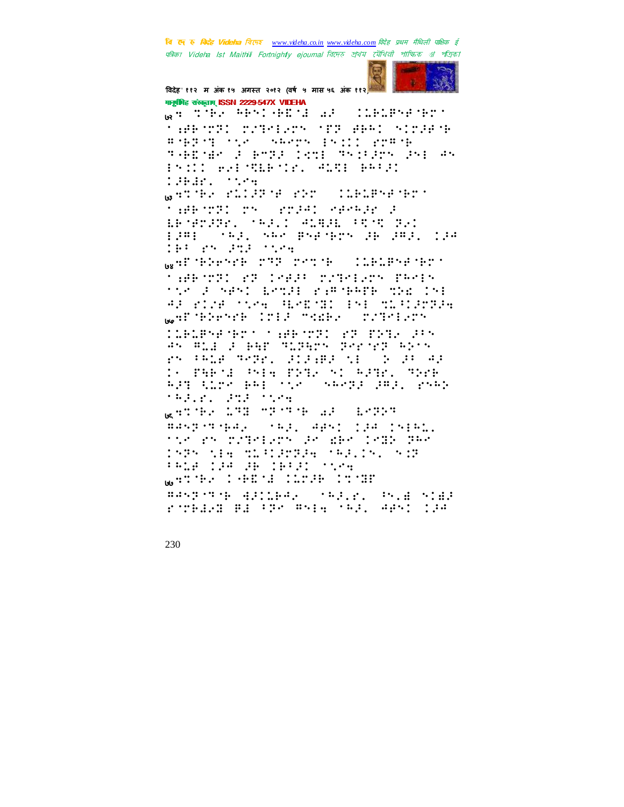

विदेह' ११२ म अंक १५ अगस्त २०१२ (वर्ष ५ मास ५६ अंक ११२) गानूबंगिह संस्कृताम् ISSN 2229-547X VIDEHA

we the mesignize are cleared mor **THE MAIL MATHEVON STATEMED SIMPLE SE** BOBBOT TEM SARPS ENCIL PUBLE térésé a Pola Loi telang aga se PAIL BAPTERIEL AND BROAD **THERE SAYS** WHITEH PLISTING PROVIDED ENGINEERY **THEATH TY PEPPE PROPER** F

EPSPIER SALL ALBUE PRSPIEL 1981 - MAJ, SAR BSENDY 28 282, 198 THE PROPERTY STATE

webserved rooms claiments tan vrdi ad lengt redelars daels

TO PART LONE PARTE THE CHI AF RICH SCRA HERDON IN SCHIFFER Well'Ebrail (213 Saints matteriants.

CLELENFORM MOREOVER PRIS 255 as which has then her my most PS PALE ROBEL SISERS NI (2018) AS In Parts bis Pray of Fam. Sher RPT WITH BRI STROOM SRPPP PRP. PSRP 199121 953 1575

**WATTER LTD STORE ARE LESSED** ##SPYPYB#2 (1821-4#SPICP# 18181) the restriction is make this day 1535 MER MIRIERRA MARION, SMP **FALE TOW OR TEST (1984)** WHITE ISLETIC COMPUTER ##SPOTOB RELEASE ORGEO POLE SIER romans es tre suggerant aput the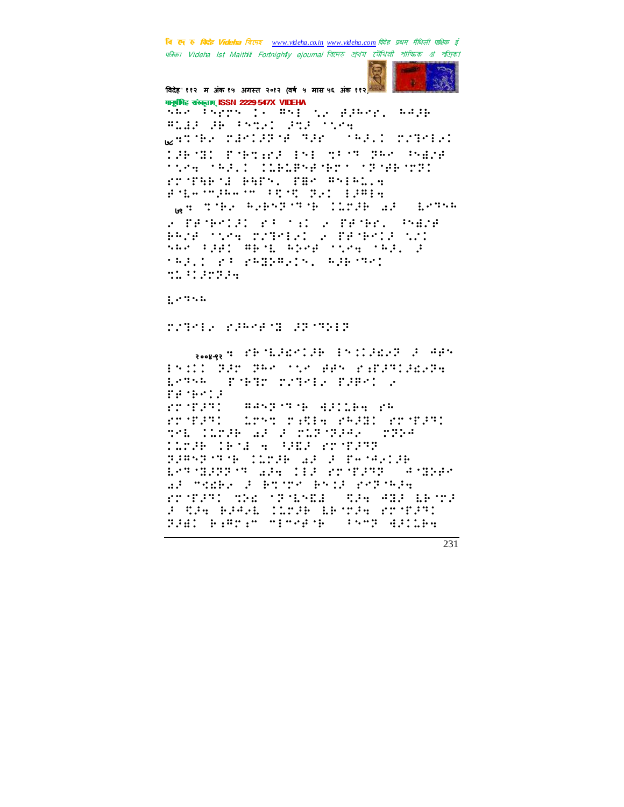

विदेह' ११२ म अंक १५ अगस्त २०१२ (वर्ष ५ मास ५६ अंक ११२) गानूबंधिह संस्कृताम् ISSN 2229-547X VIDEHA

Aber Dagga (1988-1981) ay sidoog soo doog.<br>Bilis sa sanad sanad ahaan WHITES PARTIES THE STARLI POTPERI THE SIT PORTHER IN THE SPOKE PART REAL tics (FRA): CLELESATET (TRIABITR) **POSTED AND AND SERVICE SERVICE SERVICE SERVICE SERVICE SERVICE SERVICE SERVICE SERVICE SERVICE SERVICE SERVICE** File mine mother (2010) 19814 We died alternative cards af a a gumhair a bha an air a probotat rockic a proba. Para PROF TOTAL DOGRESS OF BETROOF OOS 医肝的 医牙联胎 用针结合用的物质 计存储器 计语言的过去式和过去分词 **SAFLI PROPAGENTS, APROVI MARISHER** 

 $1.43444$ 

TITH PERSON PROBE

Roomer in the Museum Sheep of States and Sheep Sheep Sheep ESIL THE THE SAM HES PATITIALITY ESTAR PORT TITER PRESS PROPERTY ED TEATL **SEARTH AND PRO CONSTRUCT** (1959 PARIS PRAID PROPAG the Condense of Condense, 1994 MODE OF A 4 SHIP POTERT BRANCH CONFAIL PESSIE <u>Sandarra Section de Compart Angle</u> AP TREE PORTTY PAIP PORTHER FT TET THE TEMPER SEARCH AND LETTE F CA BAGE COSB BESCA STORT FABI BARTAN MENYESE (PSMF BAILBA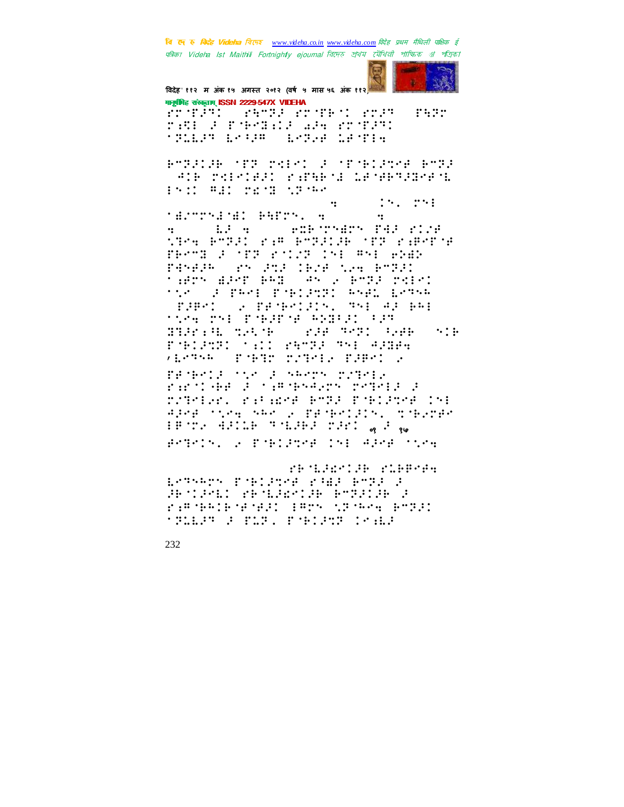

विदेह' ११२ म अंक १५ अगस्त २०१२ (वर्ष ५ मास ५६ अंक ११२) मानूबंगिह संस्कृताम् ISSN 2229-547X VIDEHA

CONFIDENTIAL CONFIDENT CONFI rane ren førbælle an rryen **THEY DONN BOYS DETER** 

PTERCH TER TRIPS A TETRIPOR PTER **ATE POINTED PAPERS LESPERSES INSTERN WEST STORY** 

•:

 $\mathbb{C}^{n}$ .  $\mathbb{C}^{n}$ 

**MARK COMMANDS**  $\bullet$ **FOR THE PART CON**  $\mathbf{Q}$  and  $\mathbf{Q}$  $\mathbb{R}^3$  and  $\mathbb{R}^3$ the Police for Police off reports FRAME S YFF POLICE INE WAS READY FANAJA (25 JUL 1828 NPA BUJI) tiers ager pag (as y prog relet the digital periodic samples and THROUGHTENDEN, THE 42 BH **TOM THE PHOTO BOOKS FOR** BRACKE SAME CONFIDENT PARK STR PARTNER TELL PATRO THE WORLD ALSAMA (PORTROLLARIST) PROBATION AS SEATS TATGE Partide do fementos presedo TITELED PALARE PTF THIRTE INE APPE TOPE SAR 2 PEMPIRING THROPS PRODUCED TO BE THE TIME OF SAL POTOL 2 PORTUGALISE APORTUNA

rh there is cleared ESTARTA POBLETSE POHE BOTE 2 **JENTIFED RENEARDIE EMPIDIE J** rimship gard (Personale Para) **TOOLS FILE FRAME IN LARA**